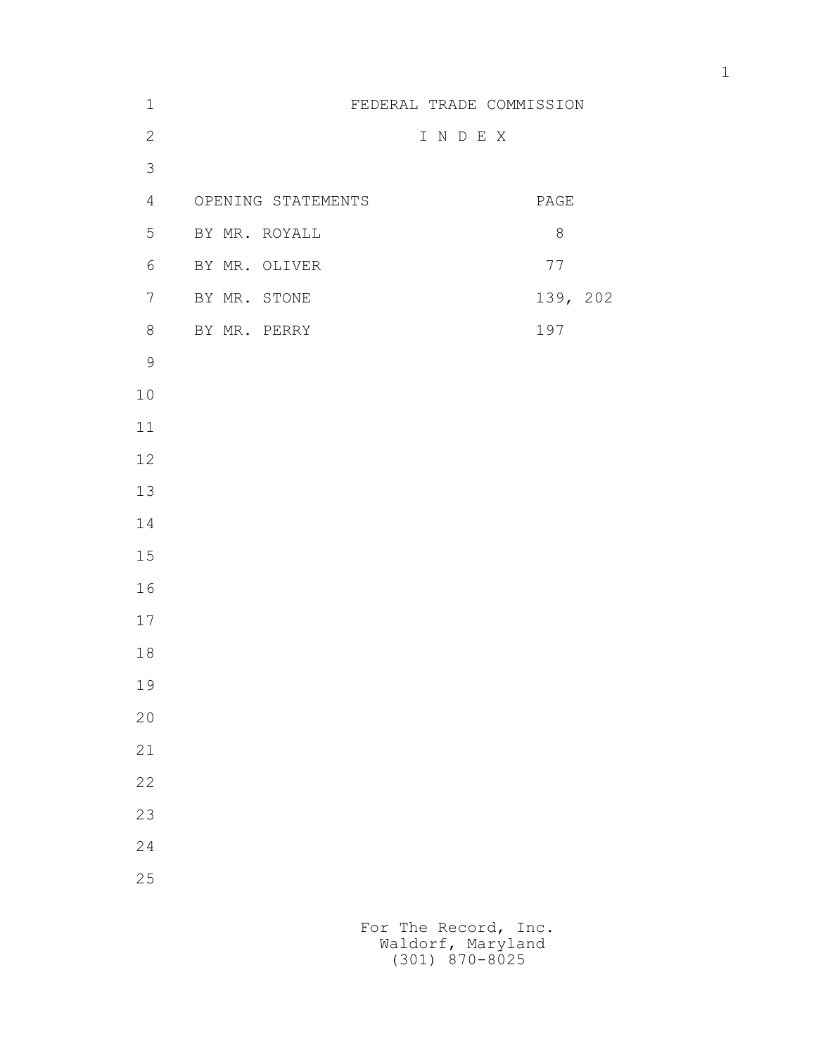| $\mathbf 1$    |                    | FEDERAL TRADE COMMISSION |                          |
|----------------|--------------------|--------------------------|--------------------------|
| $\mathbf{2}$   |                    | I N D E X                |                          |
| 3              |                    |                          |                          |
| $\overline{4}$ | OPENING STATEMENTS |                          | $\mathop{\mathtt{PAGE}}$ |
| 5              | BY MR. ROYALL      |                          | $\,8\,$                  |
| 6              | BY MR. OLIVER      |                          | 77                       |
| $7\phantom{.}$ | BY MR. STONE       |                          | 139, 202                 |
| $8\,$          | BY MR. PERRY       |                          | 197                      |
| $\mathcal{G}$  |                    |                          |                          |
| $10$           |                    |                          |                          |
| $11$           |                    |                          |                          |
| $12$           |                    |                          |                          |
| 13             |                    |                          |                          |
| 14             |                    |                          |                          |
| 15             |                    |                          |                          |
| 16             |                    |                          |                          |
| $17$           |                    |                          |                          |
| 18             |                    |                          |                          |
| 19             |                    |                          |                          |
| $20$           |                    |                          |                          |
| 21             |                    |                          |                          |
| 22             |                    |                          |                          |
| 23             |                    |                          |                          |
| 24             |                    |                          |                          |
| $25\,$         |                    |                          |                          |
|                |                    |                          |                          |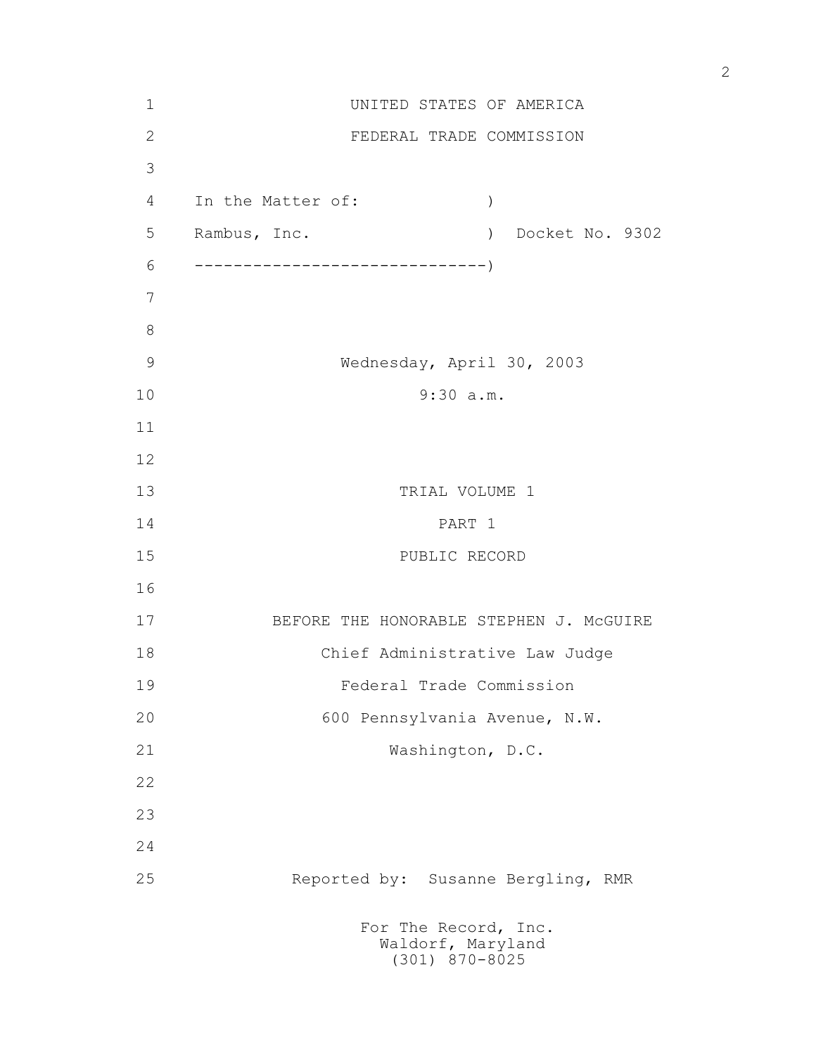| $1\,$         |                                | UNITED STATES OF AMERICA                                      |  |
|---------------|--------------------------------|---------------------------------------------------------------|--|
| $\mathbf{2}$  |                                | FEDERAL TRADE COMMISSION                                      |  |
| 3             |                                |                                                               |  |
| 4             | In the Matter of:              | $\mathcal{C}$                                                 |  |
| 5             | Rambus, Inc.                   | Docket No. 9302<br>$\rightarrow$                              |  |
| 6             |                                |                                                               |  |
| 7             |                                |                                                               |  |
| $8\,$         |                                |                                                               |  |
| $\mathcal{G}$ |                                | Wednesday, April 30, 2003                                     |  |
| 10            | 9:30 a.m.                      |                                                               |  |
| 11            |                                |                                                               |  |
| 12            |                                |                                                               |  |
| 13            |                                | TRIAL VOLUME 1                                                |  |
| 14            | PART 1                         |                                                               |  |
| 15            | PUBLIC RECORD                  |                                                               |  |
| 16            |                                |                                                               |  |
| 17            |                                | BEFORE THE HONORABLE STEPHEN J. MCGUIRE                       |  |
| 18            | Chief Administrative Law Judge |                                                               |  |
| 19            | Federal Trade Commission       |                                                               |  |
| 20            |                                | 600 Pennsylvania Avenue, N.W.                                 |  |
| 21            |                                | Washington, D.C.                                              |  |
| 22            |                                |                                                               |  |
| 23            |                                |                                                               |  |
| 24            |                                |                                                               |  |
| 25            |                                | Reported by: Susanne Bergling, RMR                            |  |
|               |                                | For The Record, Inc.<br>Waldorf, Maryland<br>$(301)$ 870-8025 |  |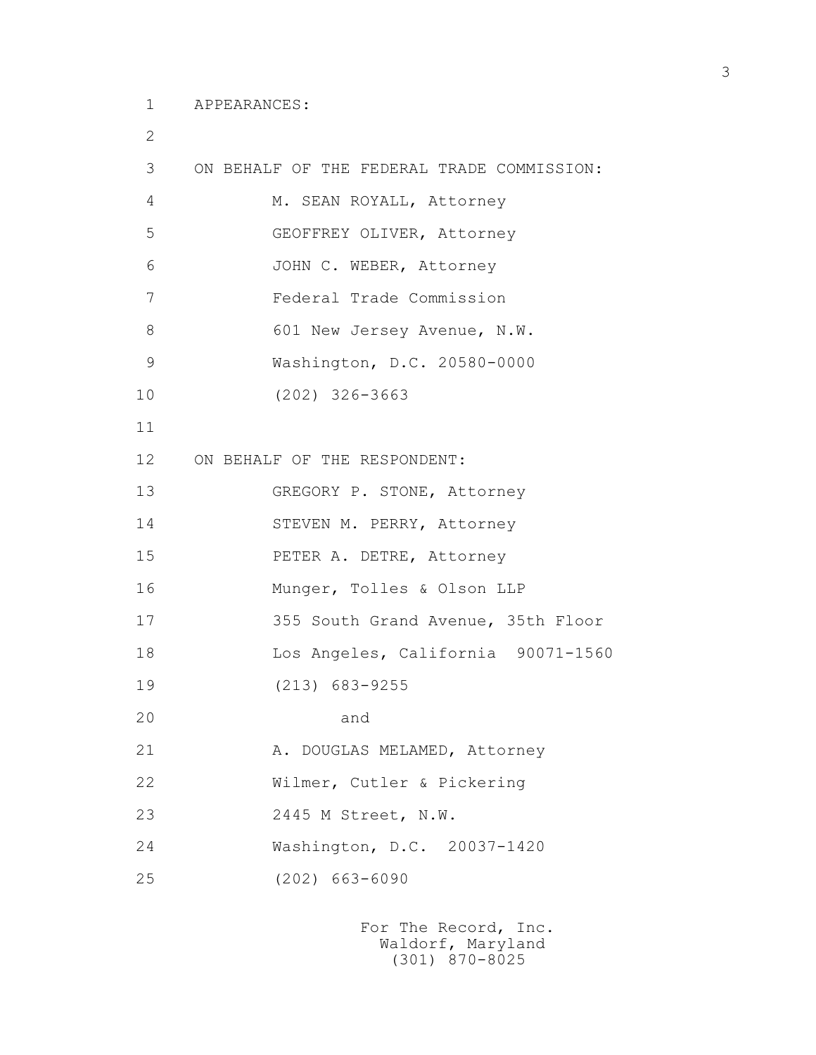2

| 3               | ON BEHALF OF THE FEDERAL TRADE COMMISSION: |
|-----------------|--------------------------------------------|
| 4               | M. SEAN ROYALL, Attorney                   |
| 5               | GEOFFREY OLIVER, Attorney                  |
| 6               | JOHN C. WEBER, Attorney                    |
| 7               | Federal Trade Commission                   |
| 8               | 601 New Jersey Avenue, N.W.                |
| $\mathcal{G}$   | Washington, D.C. 20580-0000                |
| 10              | $(202)$ 326-3663                           |
| 11              |                                            |
| 12 <sup>°</sup> | ON BEHALF OF THE RESPONDENT:               |
| 13              | GREGORY P. STONE, Attorney                 |
| 14              | STEVEN M. PERRY, Attorney                  |
| 15              | PETER A. DETRE, Attorney                   |
| 16              | Munger, Tolles & Olson LLP                 |
| 17              | 355 South Grand Avenue, 35th Floor         |
| 18              | Los Angeles, California 90071-1560         |
| 19              | $(213)$ 683-9255                           |
| 20              | and                                        |
| 21              | A. DOUGLAS MELAMED, Attorney               |
| 22              | Wilmer, Cutler & Pickering                 |
| 23              | 2445 M Street, N.W.                        |
| 24              | Washington, D.C. 20037-1420                |
| 25              | $(202)$ 663-6090                           |
|                 |                                            |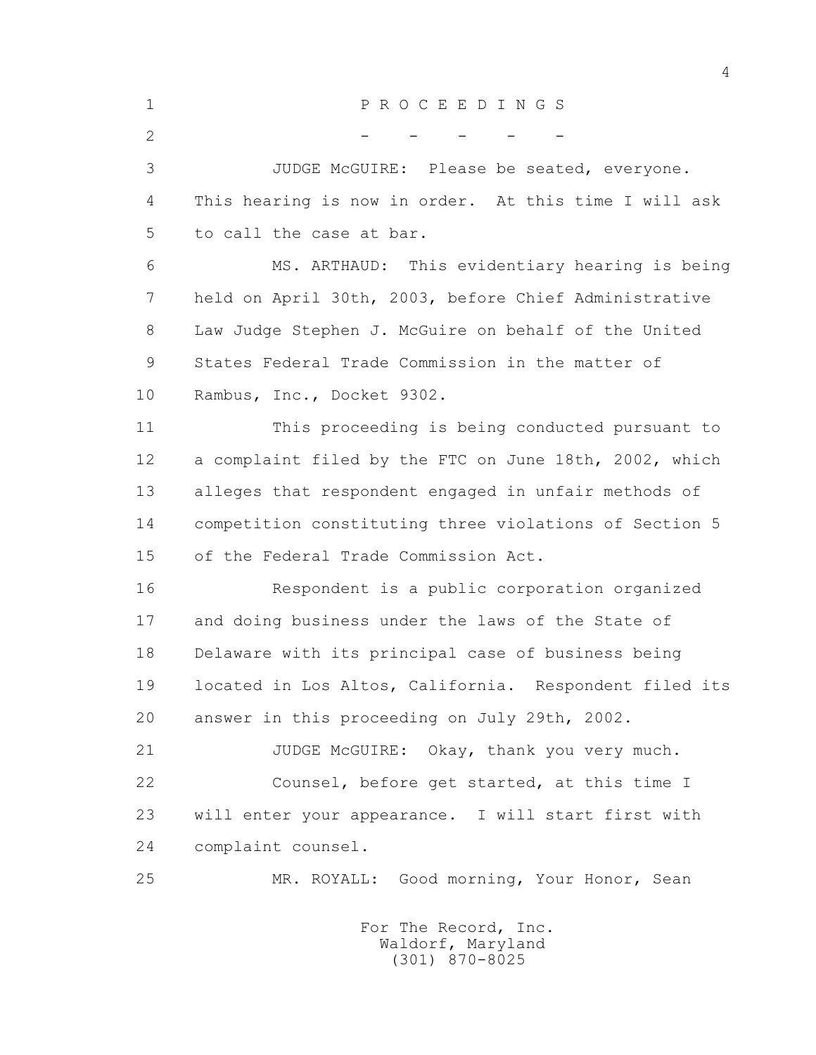| $\mathbf 1$  | PROCEEDINGS                                            |
|--------------|--------------------------------------------------------|
| $\mathbf{2}$ |                                                        |
| 3            | JUDGE McGUIRE: Please be seated, everyone.             |
| 4            | This hearing is now in order. At this time I will ask  |
| 5            | to call the case at bar.                               |
| 6            | MS. ARTHAUD: This evidentiary hearing is being         |
| 7            | held on April 30th, 2003, before Chief Administrative  |
| 8            | Law Judge Stephen J. McGuire on behalf of the United   |
| 9            | States Federal Trade Commission in the matter of       |
| 10           | Rambus, Inc., Docket 9302.                             |
| 11           | This proceeding is being conducted pursuant to         |
| 12           | a complaint filed by the FTC on June 18th, 2002, which |
| 13           | alleges that respondent engaged in unfair methods of   |
| 14           | competition constituting three violations of Section 5 |
| 15           | of the Federal Trade Commission Act.                   |
| 16           | Respondent is a public corporation organized           |
| 17           | and doing business under the laws of the State of      |
| 18           | Delaware with its principal case of business being     |
| 19           | located in Los Altos, California. Respondent filed its |
| 20           | answer in this proceeding on July 29th, 2002.          |
| 21           | JUDGE McGUIRE: Okay, thank you very much.              |
| 22           | Counsel, before get started, at this time I            |
| 23           | will enter your appearance. I will start first with    |
| 24           | complaint counsel.                                     |
| 25           | MR. ROYALL: Good morning, Your Honor, Sean             |
|              | For The Record, Inc.                                   |
|              |                                                        |

4

Waldorf, Maryland (301) 870-8025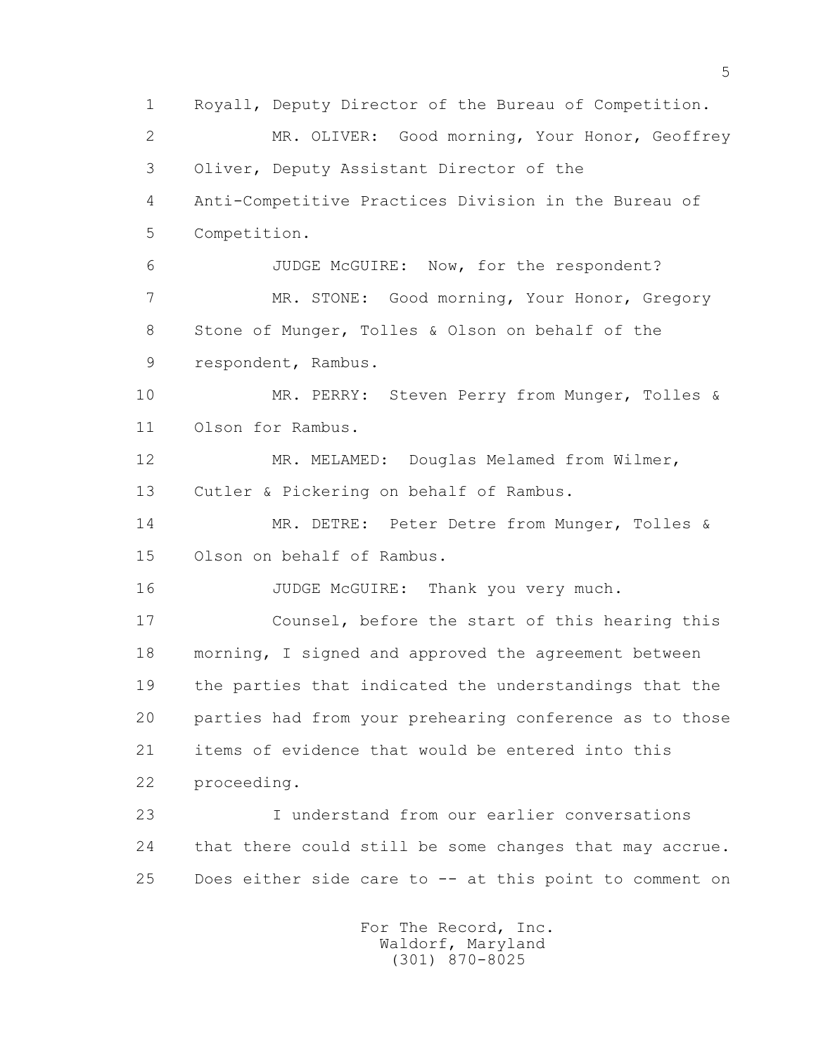1 Royall, Deputy Director of the Bureau of Competition. 2 MR. OLIVER: Good morning, Your Honor, Geoffrey 3 Oliver, Deputy Assistant Director of the 4 Anti-Competitive Practices Division in the Bureau of 5 Competition. 6 JUDGE McGUIRE: Now, for the respondent? 7 MR. STONE: Good morning, Your Honor, Gregory 8 Stone of Munger, Tolles & Olson on behalf of the 9 respondent, Rambus. 10 MR. PERRY: Steven Perry from Munger, Tolles & 11 Olson for Rambus. 12 MR. MELAMED: Douglas Melamed from Wilmer, 13 Cutler & Pickering on behalf of Rambus. 14 MR. DETRE: Peter Detre from Munger, Tolles & 15 Olson on behalf of Rambus. 16 JUDGE McGUIRE: Thank you very much. 17 Counsel, before the start of this hearing this 18 morning, I signed and approved the agreement between 19 the parties that indicated the understandings that the 20 parties had from your prehearing conference as to those 21 items of evidence that would be entered into this 22 proceeding. 23 I understand from our earlier conversations 24 that there could still be some changes that may accrue. 25 Does either side care to -- at this point to comment on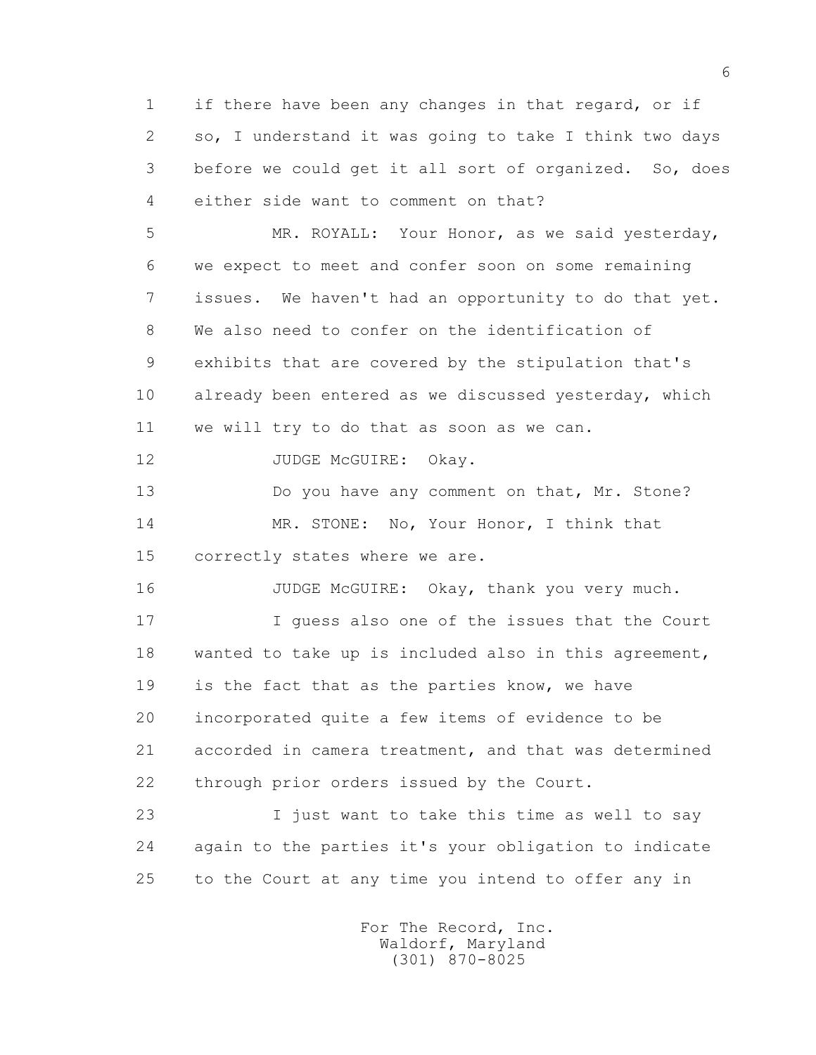1 if there have been any changes in that regard, or if 2 so, I understand it was going to take I think two days 3 before we could get it all sort of organized. So, does 4 either side want to comment on that?

 5 MR. ROYALL: Your Honor, as we said yesterday, 6 we expect to meet and confer soon on some remaining 7 issues. We haven't had an opportunity to do that yet. 8 We also need to confer on the identification of 9 exhibits that are covered by the stipulation that's 10 already been entered as we discussed yesterday, which 11 we will try to do that as soon as we can.

12 JUDGE McGUIRE: Okay.

13 Do you have any comment on that, Mr. Stone? 14 MR. STONE: No, Your Honor, I think that 15 correctly states where we are.

16 JUDGE McGUIRE: Okay, thank you very much.

 17 I guess also one of the issues that the Court 18 wanted to take up is included also in this agreement, 19 is the fact that as the parties know, we have 20 incorporated quite a few items of evidence to be 21 accorded in camera treatment, and that was determined 22 through prior orders issued by the Court.

 23 I just want to take this time as well to say 24 again to the parties it's your obligation to indicate 25 to the Court at any time you intend to offer any in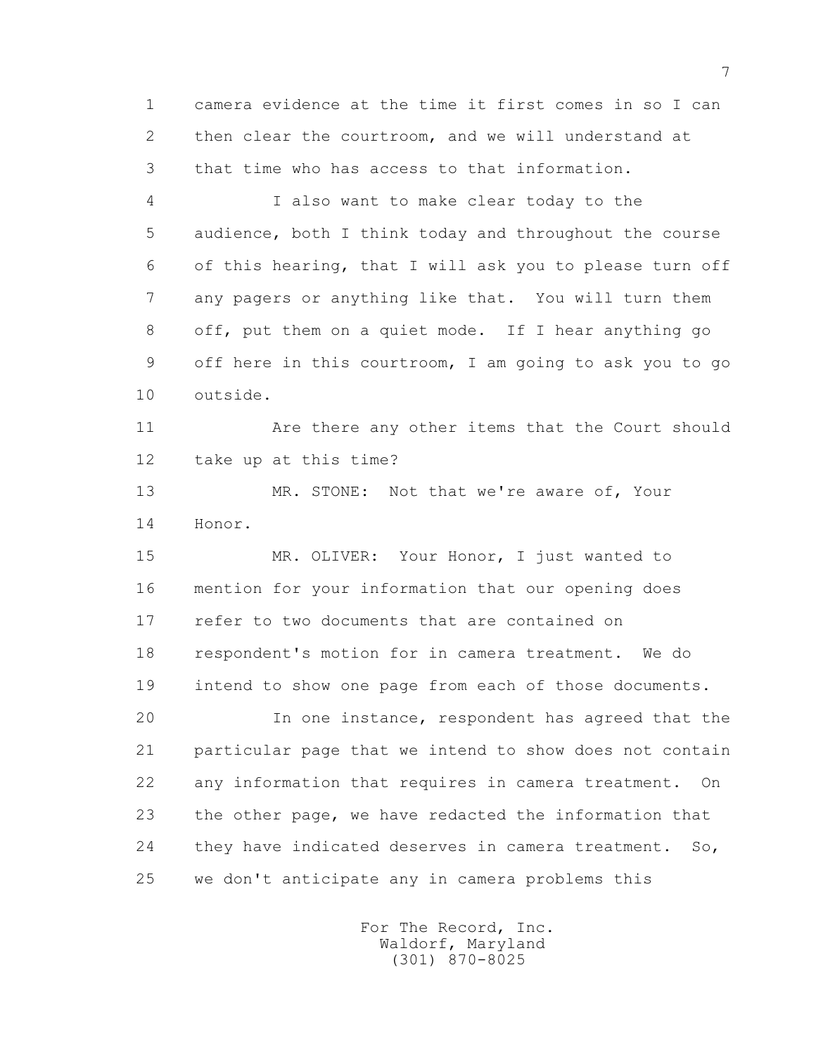1 camera evidence at the time it first comes in so I can 2 then clear the courtroom, and we will understand at 3 that time who has access to that information.

 4 I also want to make clear today to the 5 audience, both I think today and throughout the course 6 of this hearing, that I will ask you to please turn off 7 any pagers or anything like that. You will turn them 8 off, put them on a quiet mode. If I hear anything go 9 off here in this courtroom, I am going to ask you to go 10 outside.

 11 Are there any other items that the Court should 12 take up at this time?

13 MR. STONE: Not that we're aware of, Your 14 Honor.

 15 MR. OLIVER: Your Honor, I just wanted to 16 mention for your information that our opening does 17 refer to two documents that are contained on 18 respondent's motion for in camera treatment. We do 19 intend to show one page from each of those documents.

 20 In one instance, respondent has agreed that the 21 particular page that we intend to show does not contain 22 any information that requires in camera treatment. On 23 the other page, we have redacted the information that 24 they have indicated deserves in camera treatment. So, 25 we don't anticipate any in camera problems this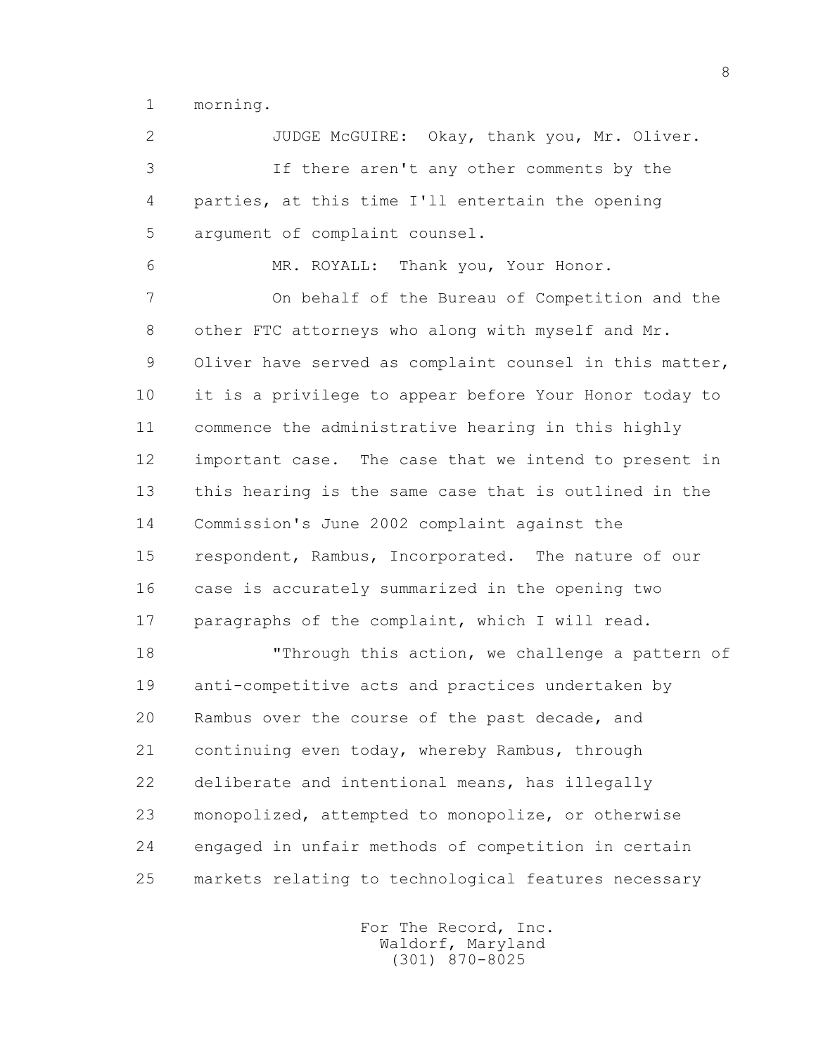1 morning.

 2 JUDGE McGUIRE: Okay, thank you, Mr. Oliver. 3 If there aren't any other comments by the 4 parties, at this time I'll entertain the opening 5 argument of complaint counsel. 6 MR. ROYALL: Thank you, Your Honor. 7 On behalf of the Bureau of Competition and the 8 other FTC attorneys who along with myself and Mr. 9 Oliver have served as complaint counsel in this matter, 10 it is a privilege to appear before Your Honor today to 11 commence the administrative hearing in this highly 12 important case. The case that we intend to present in 13 this hearing is the same case that is outlined in the 14 Commission's June 2002 complaint against the 15 respondent, Rambus, Incorporated. The nature of our 16 case is accurately summarized in the opening two 17 paragraphs of the complaint, which I will read. 18 Through this action, we challenge a pattern of

 19 anti-competitive acts and practices undertaken by 20 Rambus over the course of the past decade, and 21 continuing even today, whereby Rambus, through 22 deliberate and intentional means, has illegally 23 monopolized, attempted to monopolize, or otherwise 24 engaged in unfair methods of competition in certain 25 markets relating to technological features necessary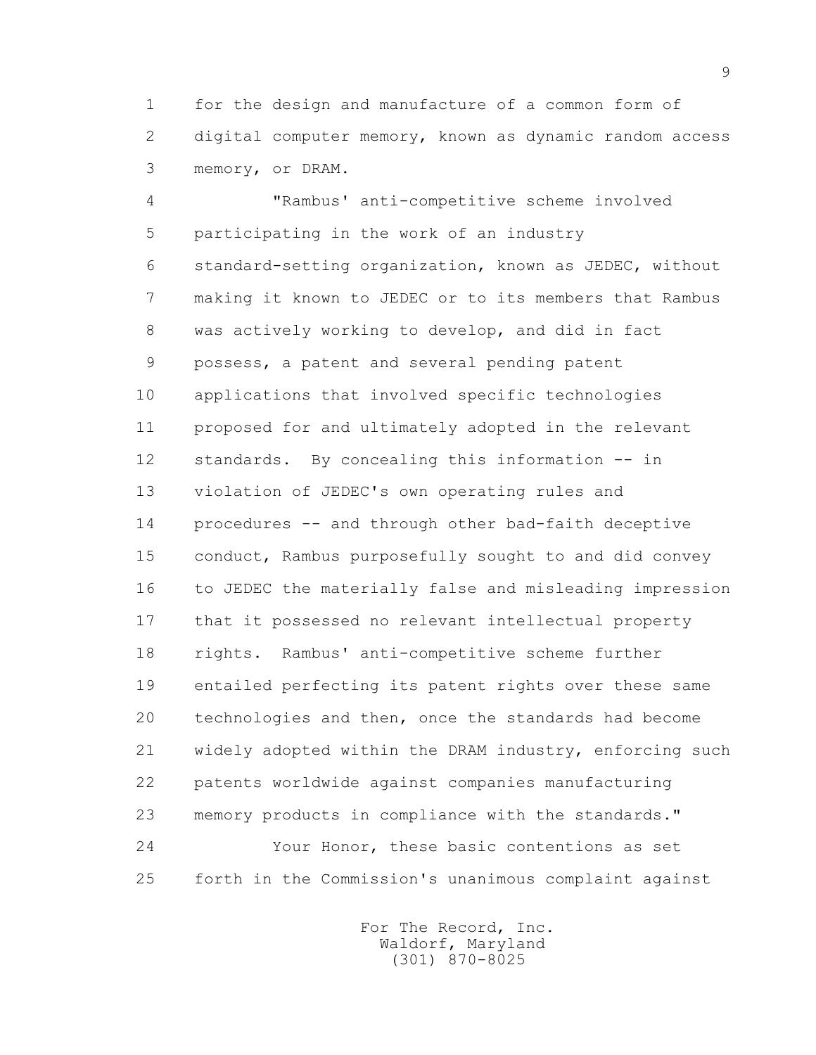1 for the design and manufacture of a common form of 2 digital computer memory, known as dynamic random access 3 memory, or DRAM.

 4 "Rambus' anti-competitive scheme involved 5 participating in the work of an industry 6 standard-setting organization, known as JEDEC, without 7 making it known to JEDEC or to its members that Rambus 8 was actively working to develop, and did in fact 9 possess, a patent and several pending patent 10 applications that involved specific technologies 11 proposed for and ultimately adopted in the relevant 12 standards. By concealing this information -- in 13 violation of JEDEC's own operating rules and 14 procedures -- and through other bad-faith deceptive 15 conduct, Rambus purposefully sought to and did convey 16 to JEDEC the materially false and misleading impression 17 that it possessed no relevant intellectual property 18 rights. Rambus' anti-competitive scheme further 19 entailed perfecting its patent rights over these same 20 technologies and then, once the standards had become 21 widely adopted within the DRAM industry, enforcing such 22 patents worldwide against companies manufacturing 23 memory products in compliance with the standards." 24 Your Honor, these basic contentions as set 25 forth in the Commission's unanimous complaint against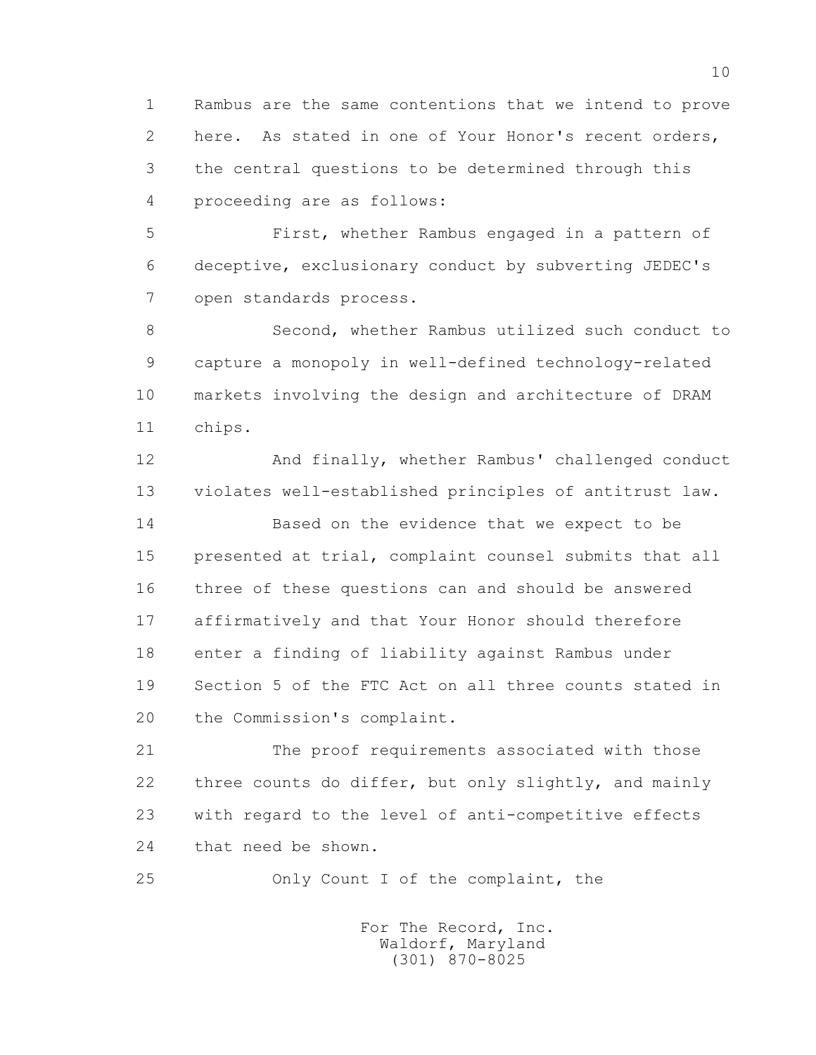1 Rambus are the same contentions that we intend to prove 2 here. As stated in one of Your Honor's recent orders, 3 the central questions to be determined through this 4 proceeding are as follows:

 5 First, whether Rambus engaged in a pattern of 6 deceptive, exclusionary conduct by subverting JEDEC's 7 open standards process.

 8 Second, whether Rambus utilized such conduct to 9 capture a monopoly in well-defined technology-related 10 markets involving the design and architecture of DRAM 11 chips.

 12 And finally, whether Rambus' challenged conduct 13 violates well-established principles of antitrust law. 14 Based on the evidence that we expect to be 15 presented at trial, complaint counsel submits that all 16 three of these questions can and should be answered 17 affirmatively and that Your Honor should therefore 18 enter a finding of liability against Rambus under 19 Section 5 of the FTC Act on all three counts stated in 20 the Commission's complaint.

 21 The proof requirements associated with those 22 three counts do differ, but only slightly, and mainly 23 with regard to the level of anti-competitive effects 24 that need be shown.

25 Only Count I of the complaint, the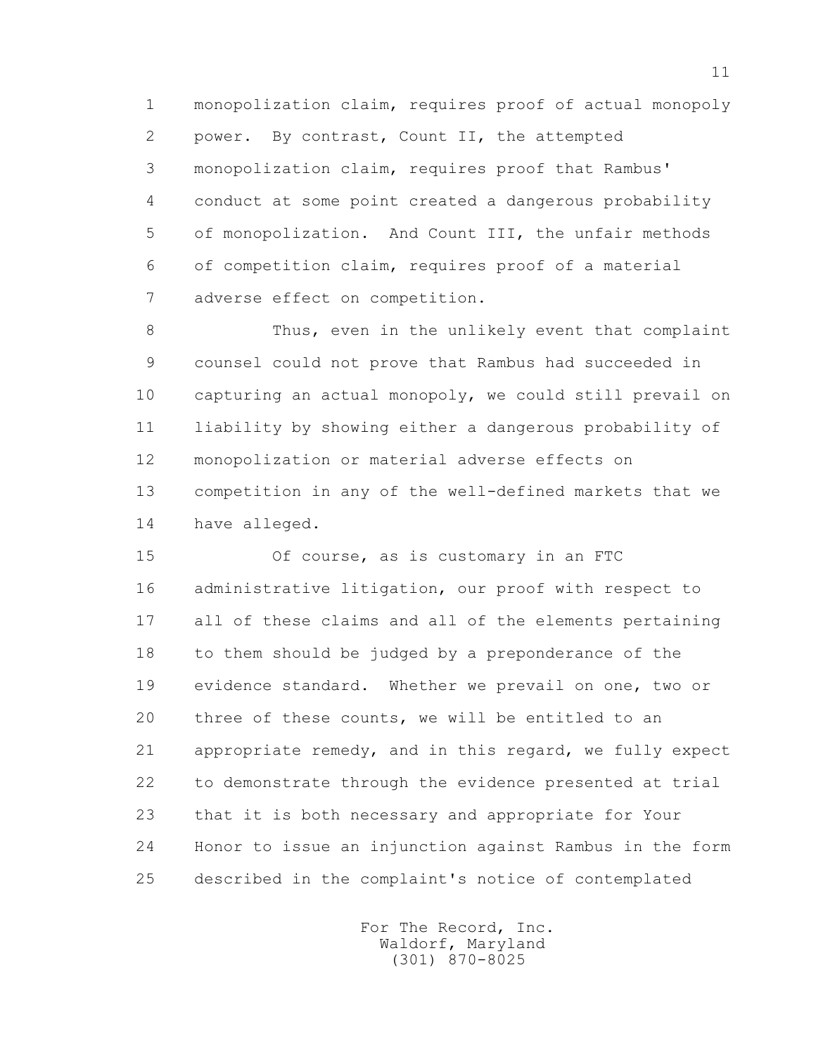1 monopolization claim, requires proof of actual monopoly 2 power. By contrast, Count II, the attempted 3 monopolization claim, requires proof that Rambus' 4 conduct at some point created a dangerous probability 5 of monopolization. And Count III, the unfair methods 6 of competition claim, requires proof of a material 7 adverse effect on competition.

 8 Thus, even in the unlikely event that complaint 9 counsel could not prove that Rambus had succeeded in 10 capturing an actual monopoly, we could still prevail on 11 liability by showing either a dangerous probability of 12 monopolization or material adverse effects on 13 competition in any of the well-defined markets that we 14 have alleged.

 15 Of course, as is customary in an FTC 16 administrative litigation, our proof with respect to 17 all of these claims and all of the elements pertaining 18 to them should be judged by a preponderance of the 19 evidence standard. Whether we prevail on one, two or 20 three of these counts, we will be entitled to an 21 appropriate remedy, and in this regard, we fully expect 22 to demonstrate through the evidence presented at trial 23 that it is both necessary and appropriate for Your 24 Honor to issue an injunction against Rambus in the form 25 described in the complaint's notice of contemplated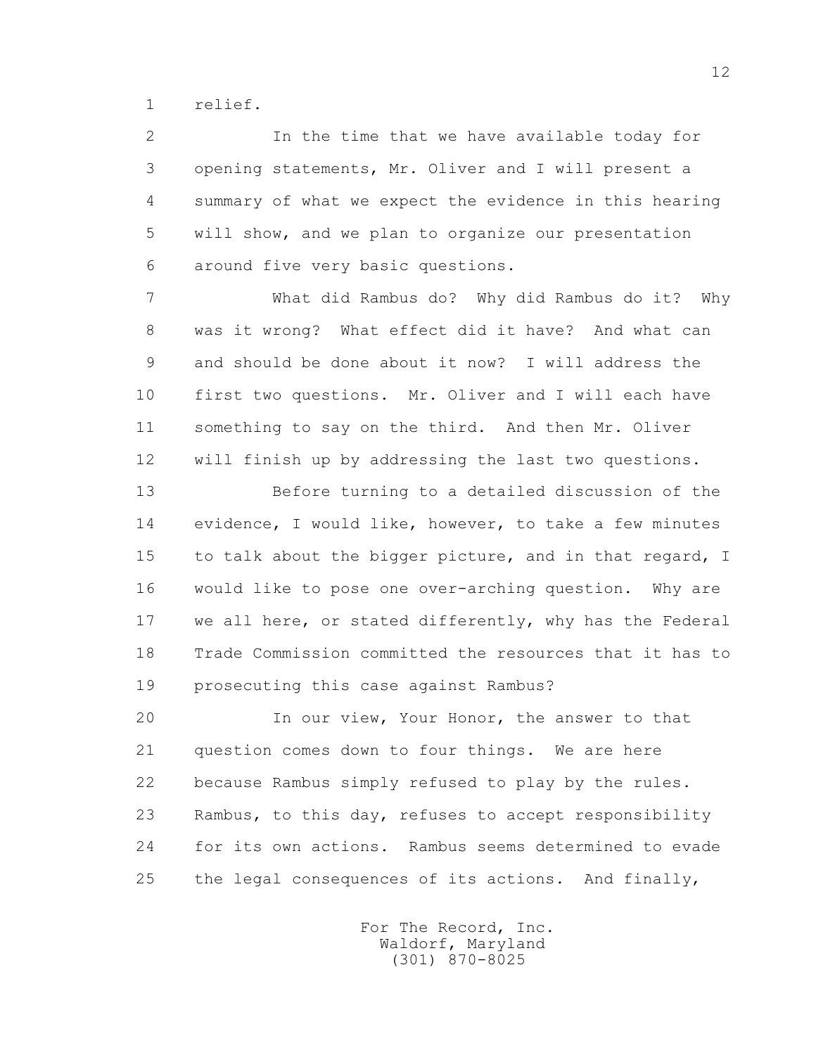1 relief.

 2 In the time that we have available today for 3 opening statements, Mr. Oliver and I will present a 4 summary of what we expect the evidence in this hearing 5 will show, and we plan to organize our presentation 6 around five very basic questions.

 7 What did Rambus do? Why did Rambus do it? Why 8 was it wrong? What effect did it have? And what can 9 and should be done about it now? I will address the 10 first two questions. Mr. Oliver and I will each have 11 something to say on the third. And then Mr. Oliver 12 will finish up by addressing the last two questions.

 13 Before turning to a detailed discussion of the 14 evidence, I would like, however, to take a few minutes 15 to talk about the bigger picture, and in that regard, I 16 would like to pose one over-arching question. Why are 17 we all here, or stated differently, why has the Federal 18 Trade Commission committed the resources that it has to 19 prosecuting this case against Rambus?

 20 In our view, Your Honor, the answer to that 21 question comes down to four things. We are here 22 because Rambus simply refused to play by the rules. 23 Rambus, to this day, refuses to accept responsibility 24 for its own actions. Rambus seems determined to evade 25 the legal consequences of its actions. And finally,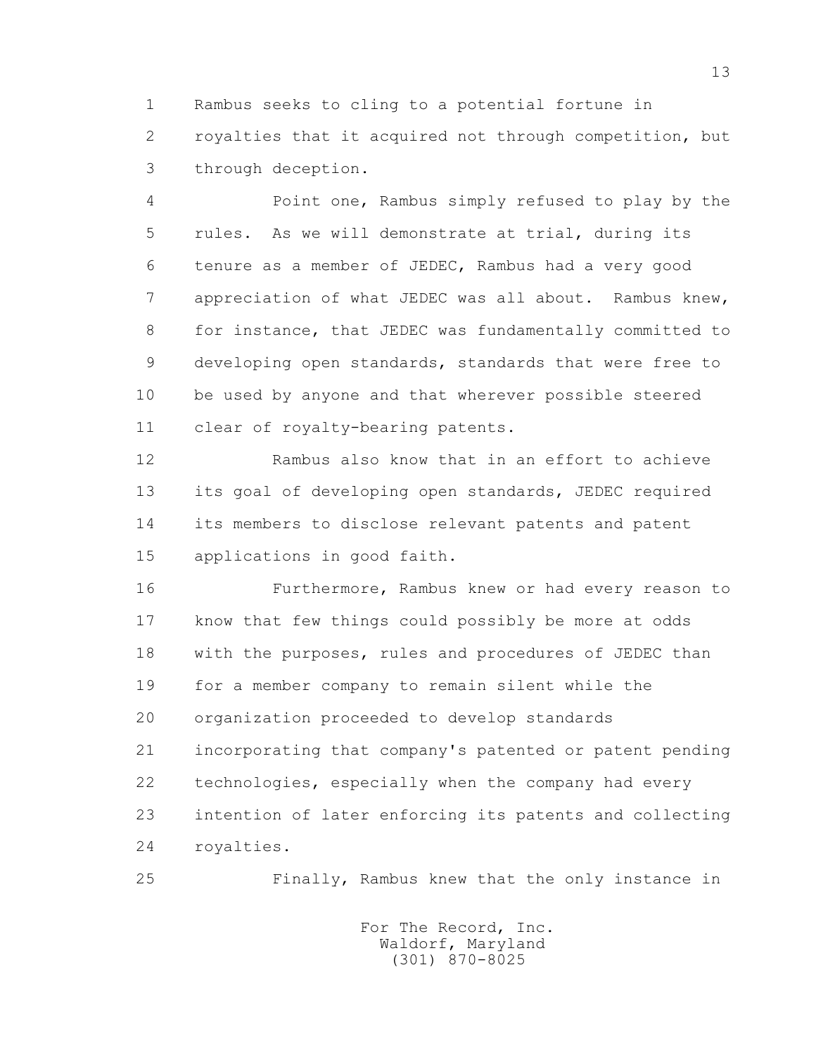1 Rambus seeks to cling to a potential fortune in 2 royalties that it acquired not through competition, but 3 through deception.

 4 Point one, Rambus simply refused to play by the 5 rules. As we will demonstrate at trial, during its 6 tenure as a member of JEDEC, Rambus had a very good 7 appreciation of what JEDEC was all about. Rambus knew, 8 for instance, that JEDEC was fundamentally committed to 9 developing open standards, standards that were free to 10 be used by anyone and that wherever possible steered 11 clear of royalty-bearing patents.

 12 Rambus also know that in an effort to achieve 13 its goal of developing open standards, JEDEC required 14 its members to disclose relevant patents and patent 15 applications in good faith.

 16 Furthermore, Rambus knew or had every reason to 17 know that few things could possibly be more at odds 18 with the purposes, rules and procedures of JEDEC than 19 for a member company to remain silent while the 20 organization proceeded to develop standards 21 incorporating that company's patented or patent pending 22 technologies, especially when the company had every 23 intention of later enforcing its patents and collecting 24 royalties.

25 Finally, Rambus knew that the only instance in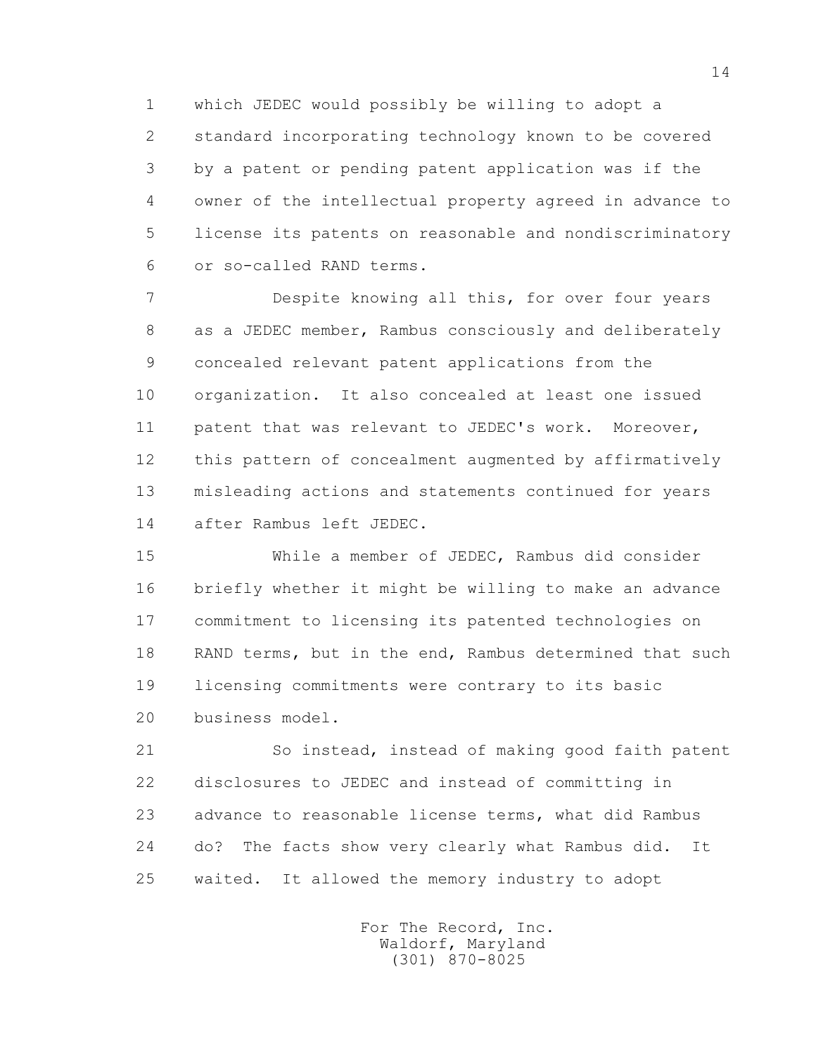1 which JEDEC would possibly be willing to adopt a 2 standard incorporating technology known to be covered 3 by a patent or pending patent application was if the 4 owner of the intellectual property agreed in advance to 5 license its patents on reasonable and nondiscriminatory 6 or so-called RAND terms.

 7 Despite knowing all this, for over four years 8 as a JEDEC member, Rambus consciously and deliberately 9 concealed relevant patent applications from the 10 organization. It also concealed at least one issued 11 patent that was relevant to JEDEC's work. Moreover, 12 this pattern of concealment augmented by affirmatively 13 misleading actions and statements continued for years 14 after Rambus left JEDEC.

 15 While a member of JEDEC, Rambus did consider 16 briefly whether it might be willing to make an advance 17 commitment to licensing its patented technologies on 18 RAND terms, but in the end, Rambus determined that such 19 licensing commitments were contrary to its basic 20 business model.

 21 So instead, instead of making good faith patent 22 disclosures to JEDEC and instead of committing in 23 advance to reasonable license terms, what did Rambus 24 do? The facts show very clearly what Rambus did. It 25 waited. It allowed the memory industry to adopt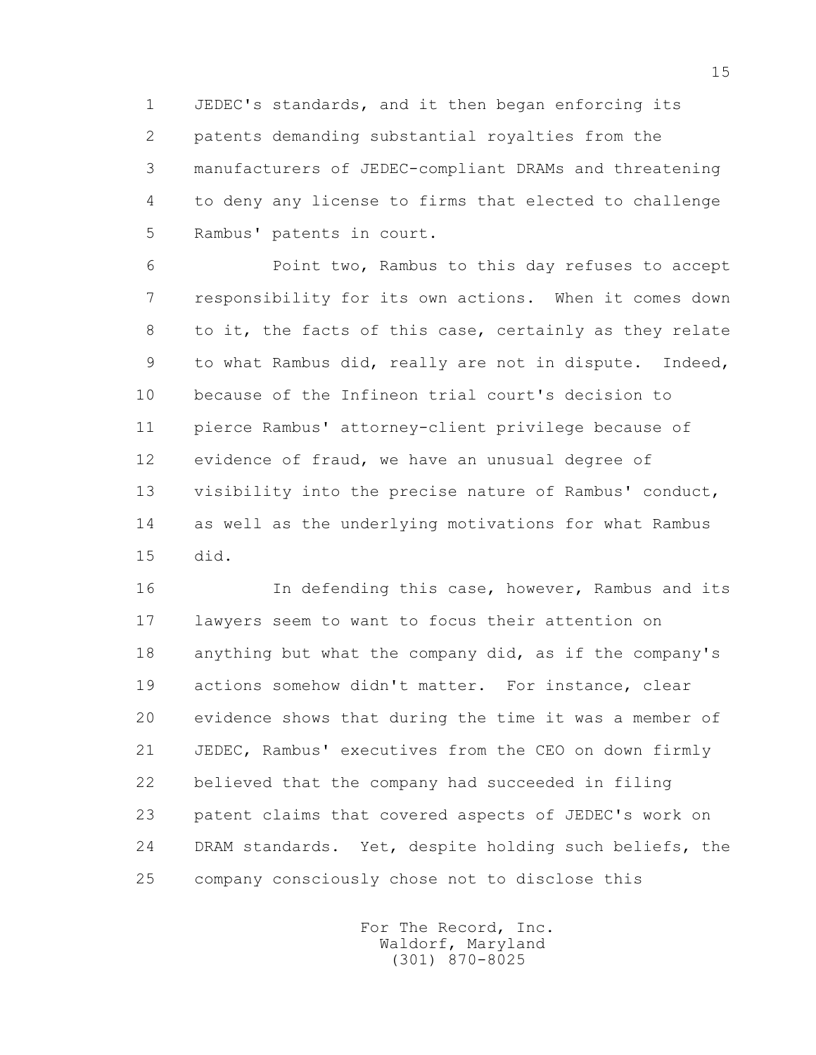1 JEDEC's standards, and it then began enforcing its 2 patents demanding substantial royalties from the 3 manufacturers of JEDEC-compliant DRAMs and threatening 4 to deny any license to firms that elected to challenge 5 Rambus' patents in court.

 6 Point two, Rambus to this day refuses to accept 7 responsibility for its own actions. When it comes down 8 to it, the facts of this case, certainly as they relate 9 to what Rambus did, really are not in dispute. Indeed, 10 because of the Infineon trial court's decision to 11 pierce Rambus' attorney-client privilege because of 12 evidence of fraud, we have an unusual degree of 13 visibility into the precise nature of Rambus' conduct, 14 as well as the underlying motivations for what Rambus 15 did.

 16 In defending this case, however, Rambus and its 17 lawyers seem to want to focus their attention on 18 anything but what the company did, as if the company's 19 actions somehow didn't matter. For instance, clear 20 evidence shows that during the time it was a member of 21 JEDEC, Rambus' executives from the CEO on down firmly 22 believed that the company had succeeded in filing 23 patent claims that covered aspects of JEDEC's work on 24 DRAM standards. Yet, despite holding such beliefs, the 25 company consciously chose not to disclose this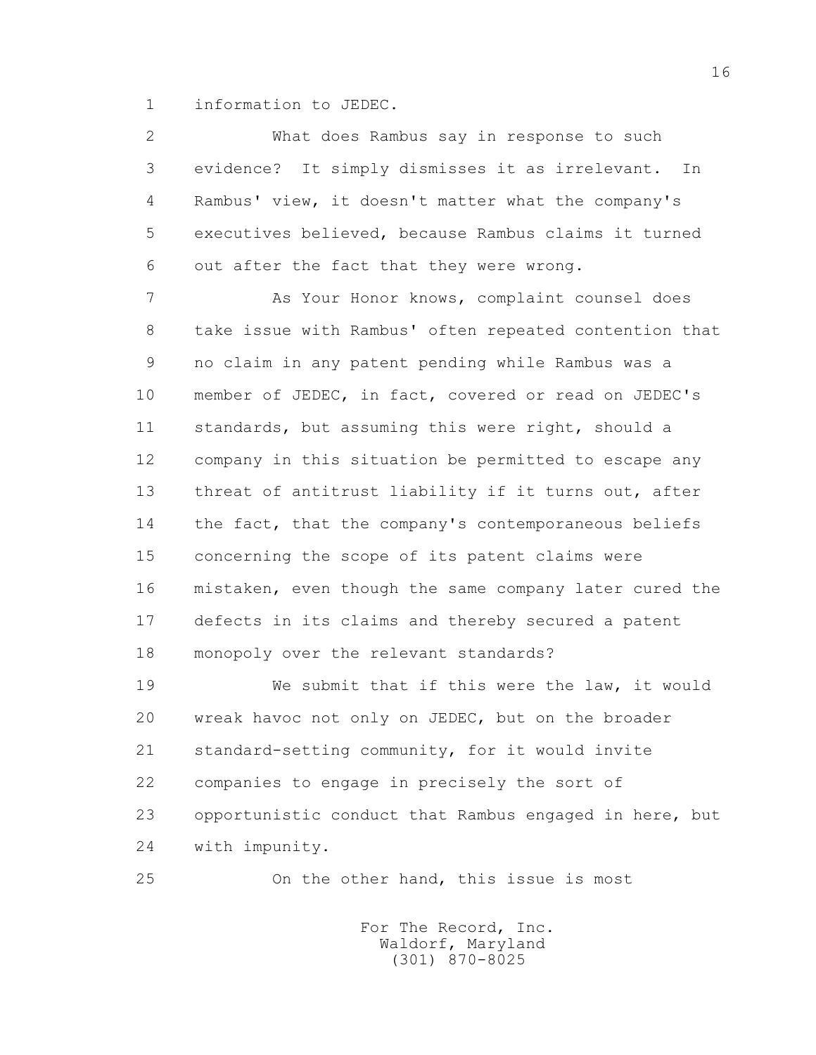1 information to JEDEC.

 2 What does Rambus say in response to such 3 evidence? It simply dismisses it as irrelevant. In 4 Rambus' view, it doesn't matter what the company's 5 executives believed, because Rambus claims it turned 6 out after the fact that they were wrong. 7 As Your Honor knows, complaint counsel does 8 take issue with Rambus' often repeated contention that 9 no claim in any patent pending while Rambus was a 10 member of JEDEC, in fact, covered or read on JEDEC's 11 standards, but assuming this were right, should a 12 company in this situation be permitted to escape any 13 threat of antitrust liability if it turns out, after 14 the fact, that the company's contemporaneous beliefs 15 concerning the scope of its patent claims were 16 mistaken, even though the same company later cured the

 17 defects in its claims and thereby secured a patent 18 monopoly over the relevant standards?

 19 We submit that if this were the law, it would 20 wreak havoc not only on JEDEC, but on the broader 21 standard-setting community, for it would invite 22 companies to engage in precisely the sort of 23 opportunistic conduct that Rambus engaged in here, but 24 with impunity.

25 On the other hand, this issue is most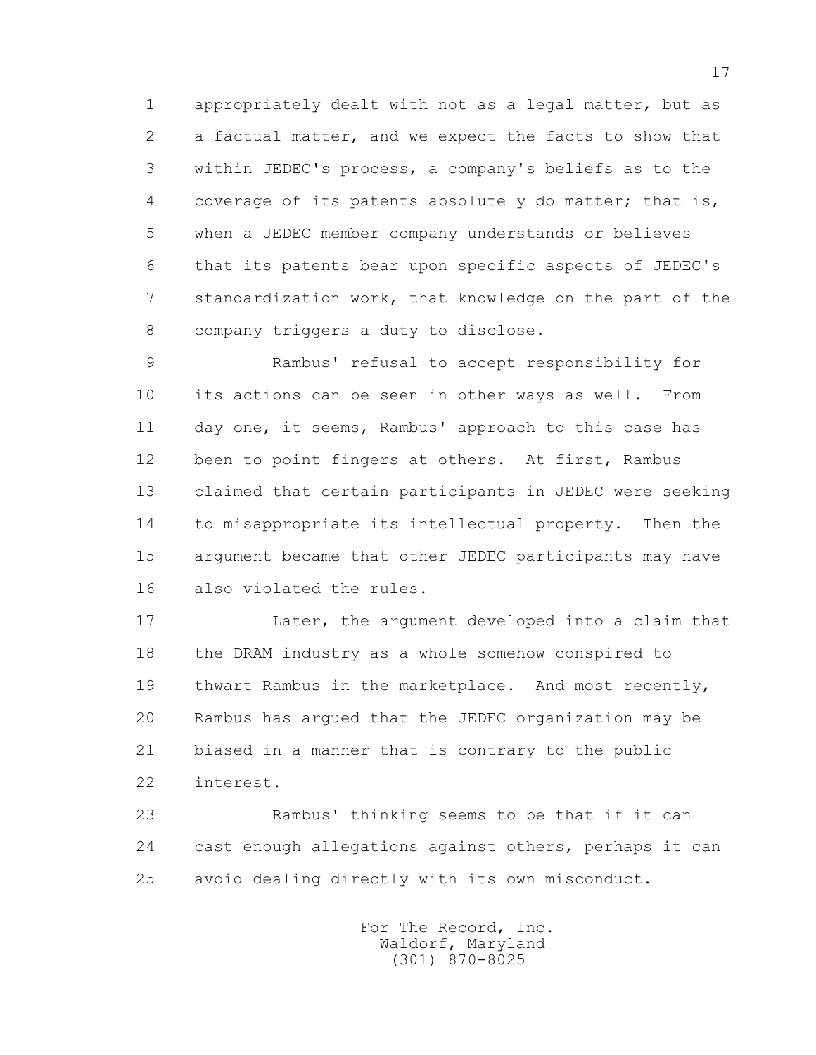1 appropriately dealt with not as a legal matter, but as 2 a factual matter, and we expect the facts to show that 3 within JEDEC's process, a company's beliefs as to the 4 coverage of its patents absolutely do matter; that is, 5 when a JEDEC member company understands or believes 6 that its patents bear upon specific aspects of JEDEC's 7 standardization work, that knowledge on the part of the 8 company triggers a duty to disclose.

 9 Rambus' refusal to accept responsibility for 10 its actions can be seen in other ways as well. From 11 day one, it seems, Rambus' approach to this case has 12 been to point fingers at others. At first, Rambus 13 claimed that certain participants in JEDEC were seeking 14 to misappropriate its intellectual property. Then the 15 argument became that other JEDEC participants may have 16 also violated the rules.

 17 Later, the argument developed into a claim that 18 the DRAM industry as a whole somehow conspired to 19 thwart Rambus in the marketplace. And most recently, 20 Rambus has argued that the JEDEC organization may be 21 biased in a manner that is contrary to the public 22 interest.

 23 Rambus' thinking seems to be that if it can 24 cast enough allegations against others, perhaps it can 25 avoid dealing directly with its own misconduct.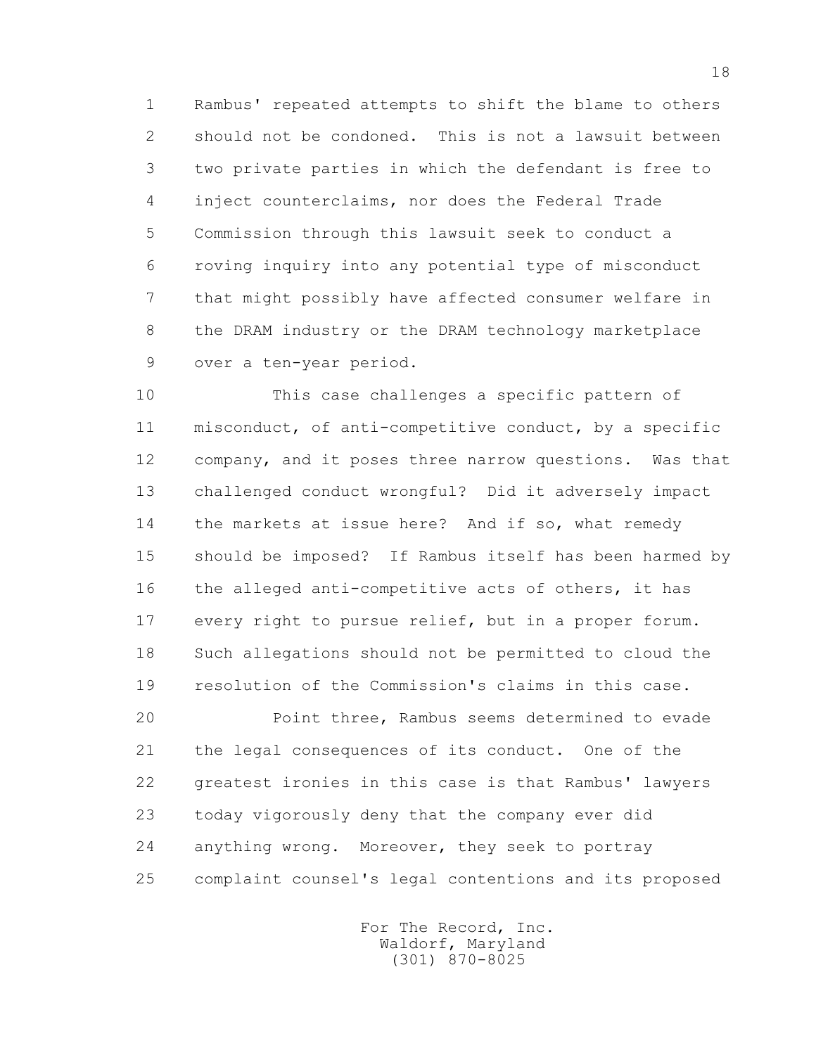1 Rambus' repeated attempts to shift the blame to others 2 should not be condoned. This is not a lawsuit between 3 two private parties in which the defendant is free to 4 inject counterclaims, nor does the Federal Trade 5 Commission through this lawsuit seek to conduct a 6 roving inquiry into any potential type of misconduct 7 that might possibly have affected consumer welfare in 8 the DRAM industry or the DRAM technology marketplace 9 over a ten-year period.

 10 This case challenges a specific pattern of 11 misconduct, of anti-competitive conduct, by a specific 12 company, and it poses three narrow questions. Was that 13 challenged conduct wrongful? Did it adversely impact 14 the markets at issue here? And if so, what remedy 15 should be imposed? If Rambus itself has been harmed by 16 the alleged anti-competitive acts of others, it has 17 every right to pursue relief, but in a proper forum. 18 Such allegations should not be permitted to cloud the 19 resolution of the Commission's claims in this case.

 20 Point three, Rambus seems determined to evade 21 the legal consequences of its conduct. One of the 22 greatest ironies in this case is that Rambus' lawyers 23 today vigorously deny that the company ever did 24 anything wrong. Moreover, they seek to portray 25 complaint counsel's legal contentions and its proposed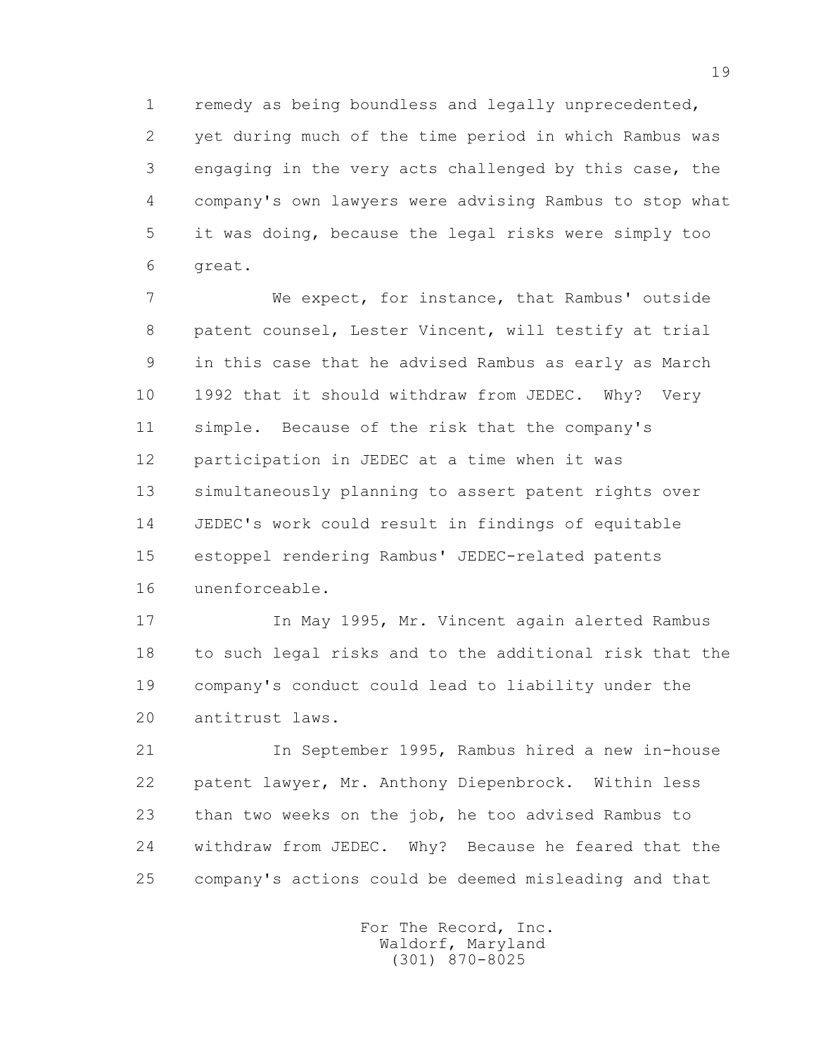1 remedy as being boundless and legally unprecedented, 2 yet during much of the time period in which Rambus was 3 engaging in the very acts challenged by this case, the 4 company's own lawyers were advising Rambus to stop what 5 it was doing, because the legal risks were simply too 6 great.

 7 We expect, for instance, that Rambus' outside 8 patent counsel, Lester Vincent, will testify at trial 9 in this case that he advised Rambus as early as March 10 1992 that it should withdraw from JEDEC. Why? Very 11 simple. Because of the risk that the company's 12 participation in JEDEC at a time when it was 13 simultaneously planning to assert patent rights over 14 JEDEC's work could result in findings of equitable 15 estoppel rendering Rambus' JEDEC-related patents 16 unenforceable.

 17 In May 1995, Mr. Vincent again alerted Rambus 18 to such legal risks and to the additional risk that the 19 company's conduct could lead to liability under the 20 antitrust laws.

 21 In September 1995, Rambus hired a new in-house 22 patent lawyer, Mr. Anthony Diepenbrock. Within less 23 than two weeks on the job, he too advised Rambus to 24 withdraw from JEDEC. Why? Because he feared that the 25 company's actions could be deemed misleading and that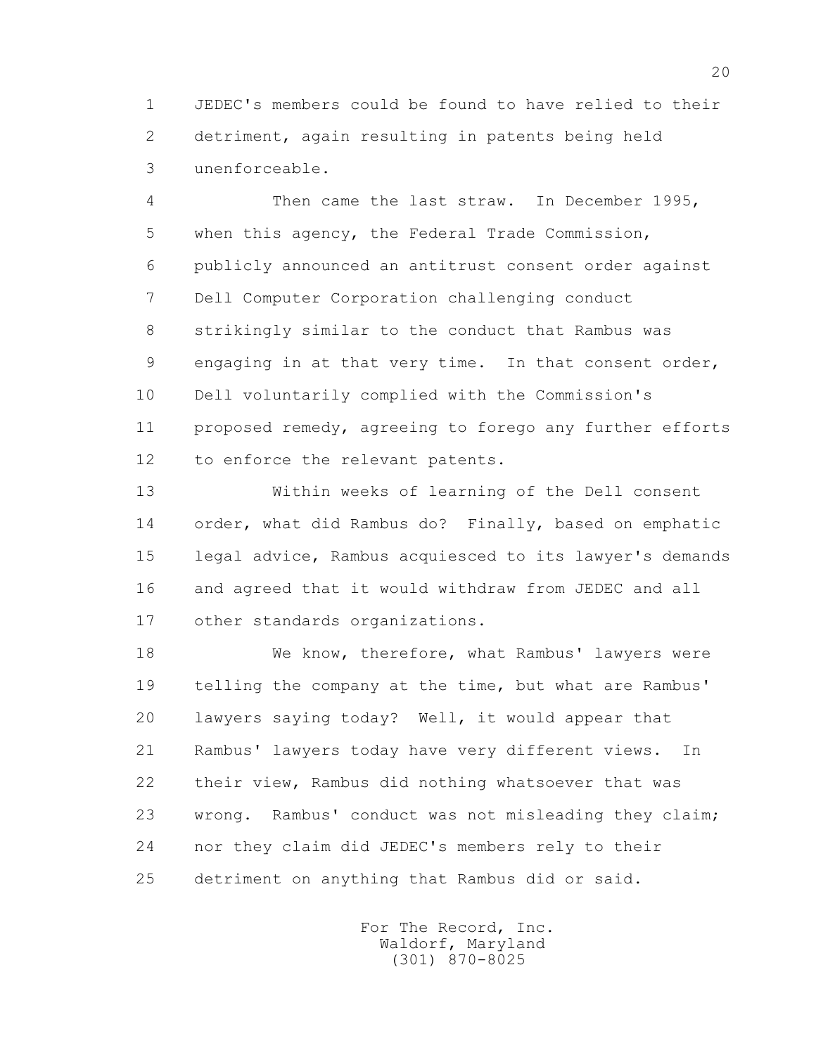1 JEDEC's members could be found to have relied to their 2 detriment, again resulting in patents being held 3 unenforceable.

 4 Then came the last straw. In December 1995, 5 when this agency, the Federal Trade Commission, 6 publicly announced an antitrust consent order against 7 Dell Computer Corporation challenging conduct 8 strikingly similar to the conduct that Rambus was 9 engaging in at that very time. In that consent order, 10 Dell voluntarily complied with the Commission's 11 proposed remedy, agreeing to forego any further efforts 12 to enforce the relevant patents.

 13 Within weeks of learning of the Dell consent 14 order, what did Rambus do? Finally, based on emphatic 15 legal advice, Rambus acquiesced to its lawyer's demands 16 and agreed that it would withdraw from JEDEC and all 17 other standards organizations.

18 We know, therefore, what Rambus' lawyers were 19 telling the company at the time, but what are Rambus' 20 lawyers saying today? Well, it would appear that 21 Rambus' lawyers today have very different views. In 22 their view, Rambus did nothing whatsoever that was 23 wrong. Rambus' conduct was not misleading they claim; 24 nor they claim did JEDEC's members rely to their 25 detriment on anything that Rambus did or said.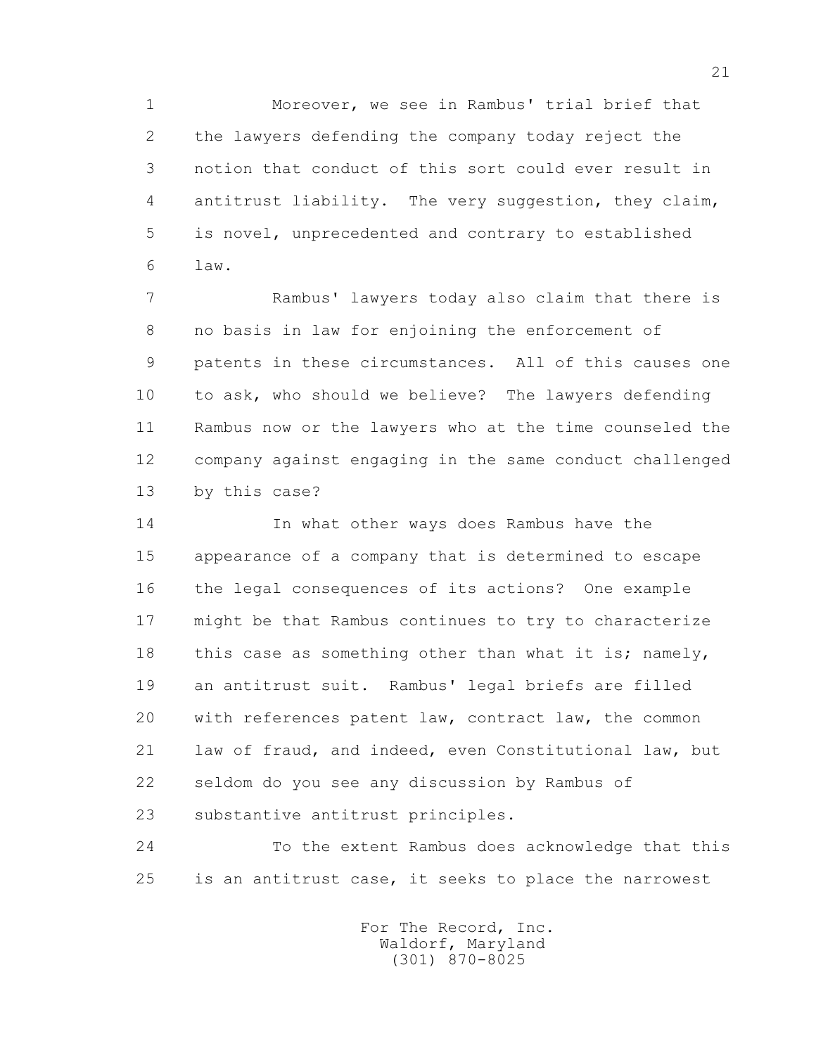1 Moreover, we see in Rambus' trial brief that 2 the lawyers defending the company today reject the 3 notion that conduct of this sort could ever result in 4 antitrust liability. The very suggestion, they claim, 5 is novel, unprecedented and contrary to established 6 law.

 7 Rambus' lawyers today also claim that there is 8 no basis in law for enjoining the enforcement of 9 patents in these circumstances. All of this causes one 10 to ask, who should we believe? The lawyers defending 11 Rambus now or the lawyers who at the time counseled the 12 company against engaging in the same conduct challenged 13 by this case?

 14 In what other ways does Rambus have the 15 appearance of a company that is determined to escape 16 the legal consequences of its actions? One example 17 might be that Rambus continues to try to characterize 18 this case as something other than what it is; namely, 19 an antitrust suit. Rambus' legal briefs are filled 20 with references patent law, contract law, the common 21 law of fraud, and indeed, even Constitutional law, but 22 seldom do you see any discussion by Rambus of 23 substantive antitrust principles.

 24 To the extent Rambus does acknowledge that this 25 is an antitrust case, it seeks to place the narrowest

> For The Record, Inc. Waldorf, Maryland (301) 870-8025

21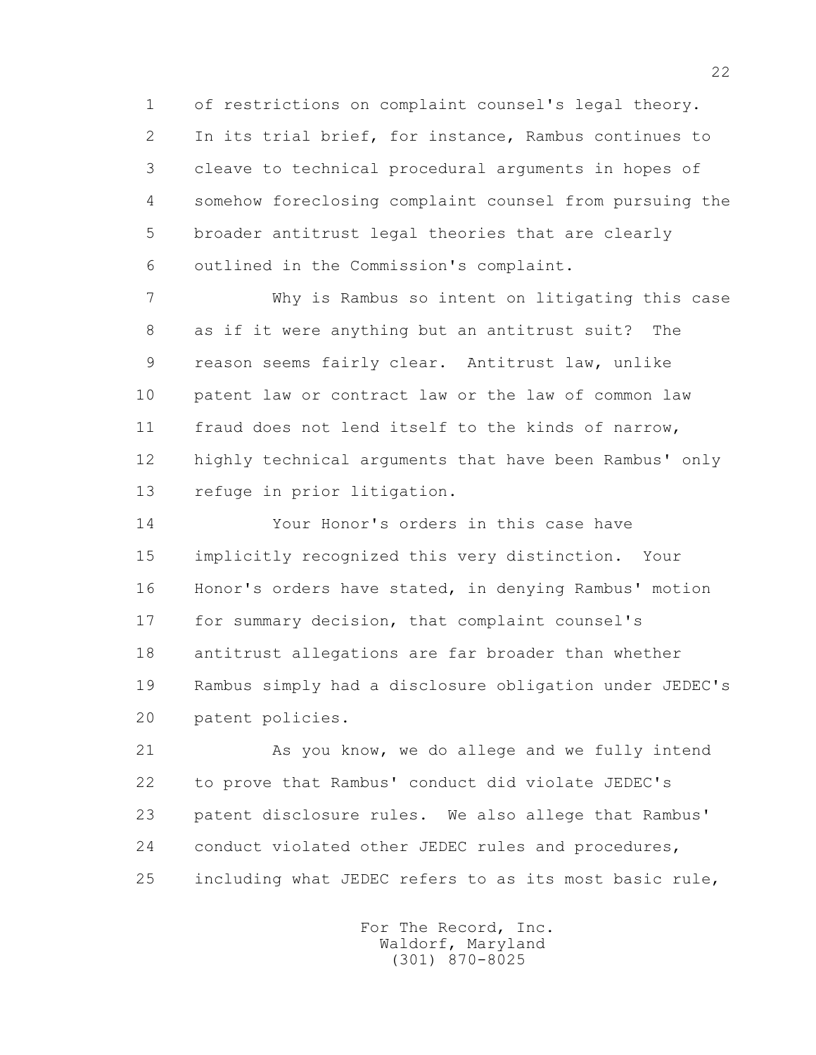1 of restrictions on complaint counsel's legal theory. 2 In its trial brief, for instance, Rambus continues to 3 cleave to technical procedural arguments in hopes of 4 somehow foreclosing complaint counsel from pursuing the 5 broader antitrust legal theories that are clearly 6 outlined in the Commission's complaint.

 7 Why is Rambus so intent on litigating this case 8 as if it were anything but an antitrust suit? The 9 reason seems fairly clear. Antitrust law, unlike 10 patent law or contract law or the law of common law 11 fraud does not lend itself to the kinds of narrow, 12 highly technical arguments that have been Rambus' only 13 refuge in prior litigation.

 14 Your Honor's orders in this case have 15 implicitly recognized this very distinction. Your 16 Honor's orders have stated, in denying Rambus' motion 17 for summary decision, that complaint counsel's 18 antitrust allegations are far broader than whether 19 Rambus simply had a disclosure obligation under JEDEC's 20 patent policies.

 21 As you know, we do allege and we fully intend 22 to prove that Rambus' conduct did violate JEDEC's 23 patent disclosure rules. We also allege that Rambus' 24 conduct violated other JEDEC rules and procedures, 25 including what JEDEC refers to as its most basic rule,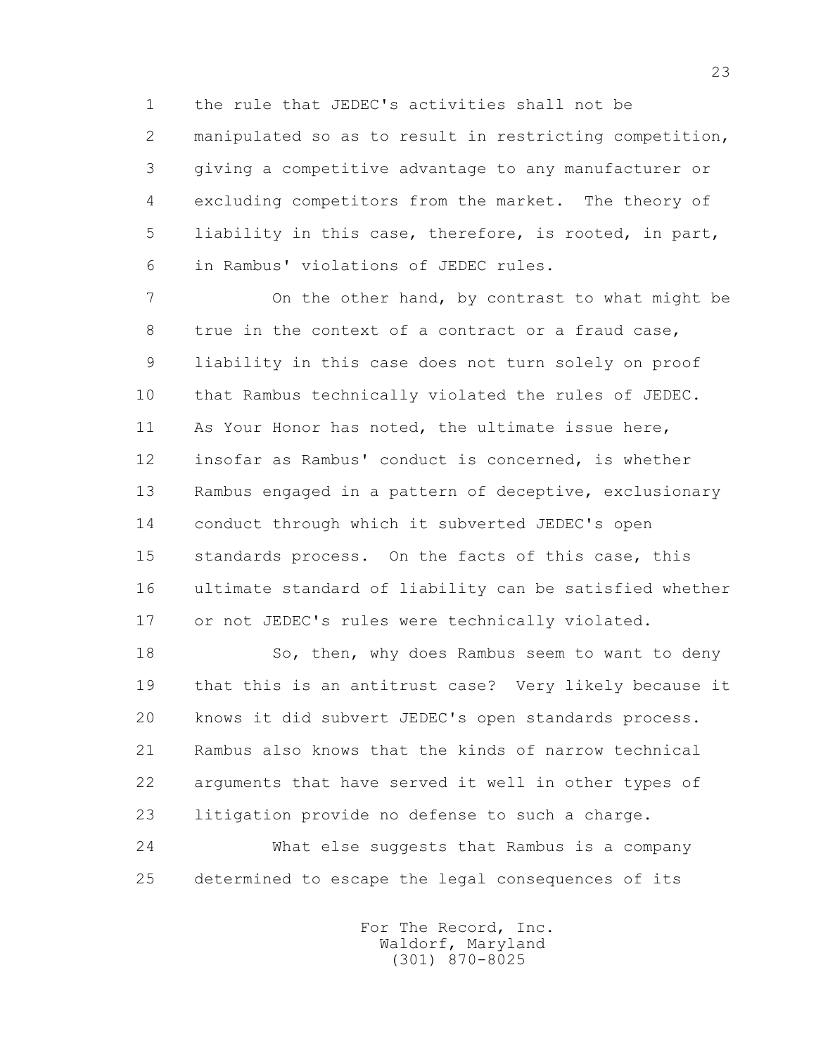1 the rule that JEDEC's activities shall not be 2 manipulated so as to result in restricting competition, 3 giving a competitive advantage to any manufacturer or 4 excluding competitors from the market. The theory of 5 liability in this case, therefore, is rooted, in part, 6 in Rambus' violations of JEDEC rules.

7 On the other hand, by contrast to what might be 8 true in the context of a contract or a fraud case, 9 liability in this case does not turn solely on proof 10 that Rambus technically violated the rules of JEDEC. 11 As Your Honor has noted, the ultimate issue here, 12 insofar as Rambus' conduct is concerned, is whether 13 Rambus engaged in a pattern of deceptive, exclusionary 14 conduct through which it subverted JEDEC's open 15 standards process. On the facts of this case, this 16 ultimate standard of liability can be satisfied whether 17 or not JEDEC's rules were technically violated.

18 So, then, why does Rambus seem to want to deny 19 that this is an antitrust case? Very likely because it 20 knows it did subvert JEDEC's open standards process. 21 Rambus also knows that the kinds of narrow technical 22 arguments that have served it well in other types of 23 litigation provide no defense to such a charge.

 24 What else suggests that Rambus is a company 25 determined to escape the legal consequences of its

> For The Record, Inc. Waldorf, Maryland (301) 870-8025

23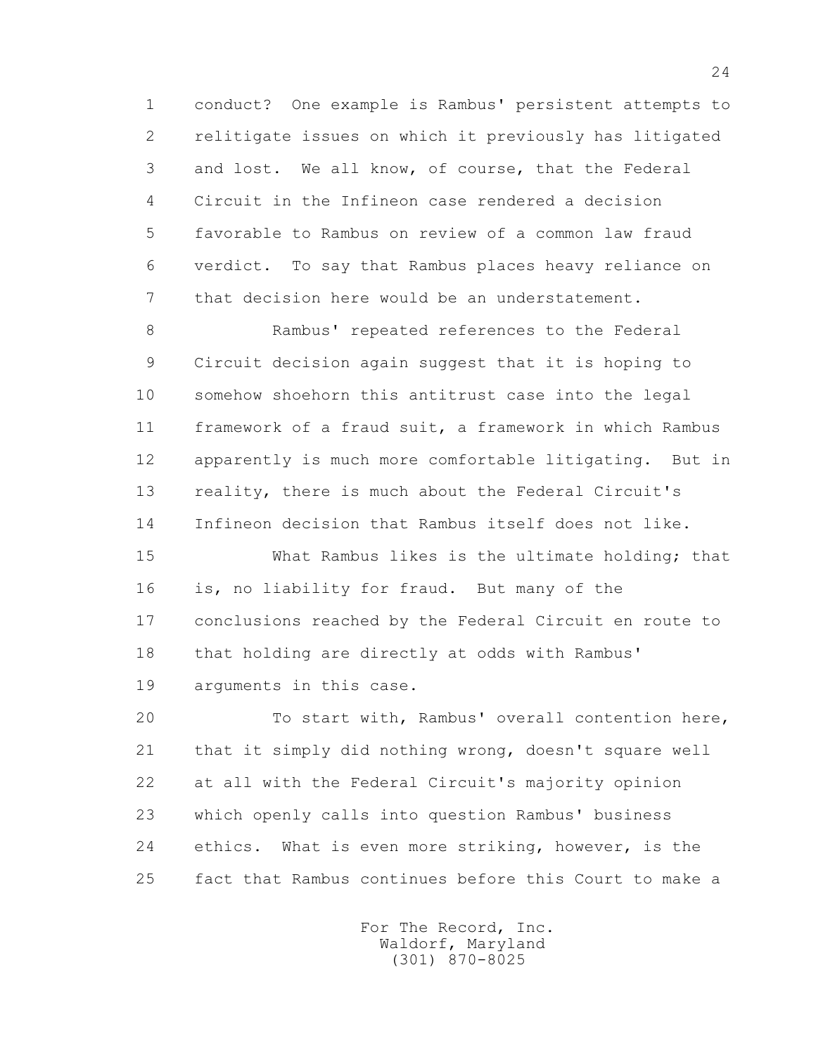1 conduct? One example is Rambus' persistent attempts to 2 relitigate issues on which it previously has litigated 3 and lost. We all know, of course, that the Federal 4 Circuit in the Infineon case rendered a decision 5 favorable to Rambus on review of a common law fraud 6 verdict. To say that Rambus places heavy reliance on 7 that decision here would be an understatement.

 8 Rambus' repeated references to the Federal 9 Circuit decision again suggest that it is hoping to 10 somehow shoehorn this antitrust case into the legal 11 framework of a fraud suit, a framework in which Rambus 12 apparently is much more comfortable litigating. But in 13 reality, there is much about the Federal Circuit's 14 Infineon decision that Rambus itself does not like.

 15 What Rambus likes is the ultimate holding; that 16 is, no liability for fraud. But many of the 17 conclusions reached by the Federal Circuit en route to 18 that holding are directly at odds with Rambus' 19 arguments in this case.

 20 To start with, Rambus' overall contention here, 21 that it simply did nothing wrong, doesn't square well 22 at all with the Federal Circuit's majority opinion 23 which openly calls into question Rambus' business 24 ethics. What is even more striking, however, is the 25 fact that Rambus continues before this Court to make a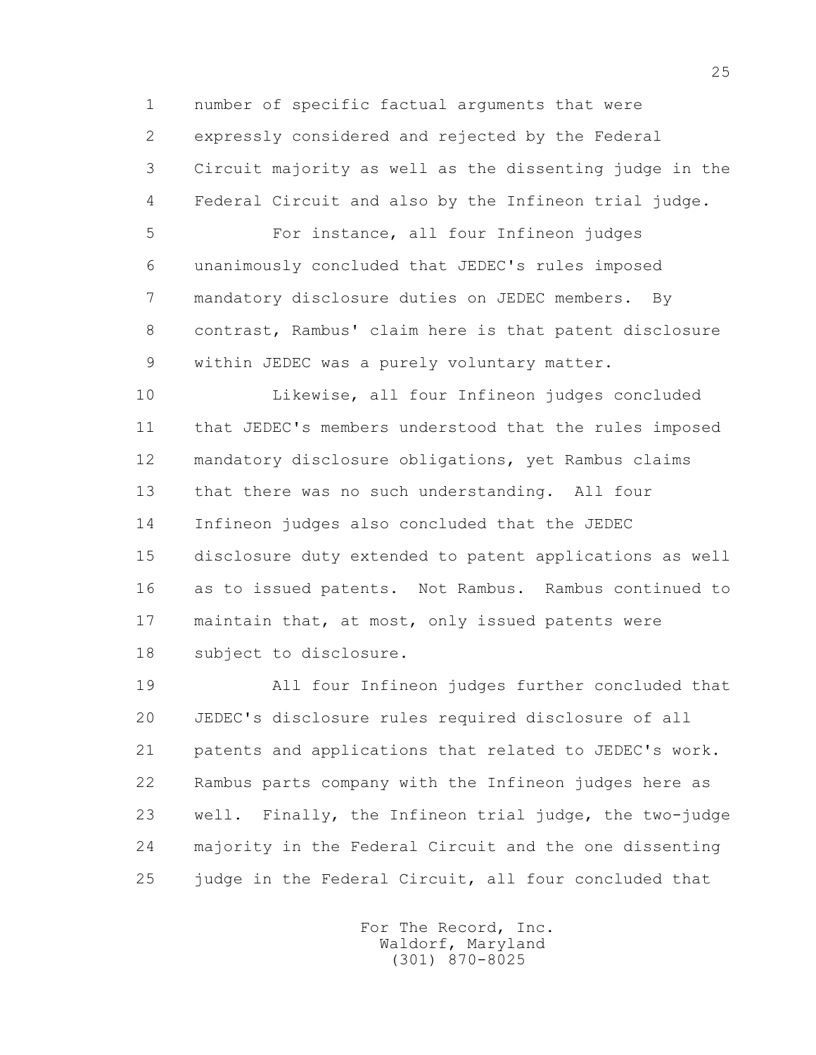1 number of specific factual arguments that were 2 expressly considered and rejected by the Federal 3 Circuit majority as well as the dissenting judge in the 4 Federal Circuit and also by the Infineon trial judge.

 5 For instance, all four Infineon judges 6 unanimously concluded that JEDEC's rules imposed 7 mandatory disclosure duties on JEDEC members. By 8 contrast, Rambus' claim here is that patent disclosure 9 within JEDEC was a purely voluntary matter.

 10 Likewise, all four Infineon judges concluded 11 that JEDEC's members understood that the rules imposed 12 mandatory disclosure obligations, yet Rambus claims 13 that there was no such understanding. All four 14 Infineon judges also concluded that the JEDEC 15 disclosure duty extended to patent applications as well 16 as to issued patents. Not Rambus. Rambus continued to 17 maintain that, at most, only issued patents were 18 subject to disclosure.

 19 All four Infineon judges further concluded that 20 JEDEC's disclosure rules required disclosure of all 21 patents and applications that related to JEDEC's work. 22 Rambus parts company with the Infineon judges here as 23 well. Finally, the Infineon trial judge, the two-judge 24 majority in the Federal Circuit and the one dissenting 25 judge in the Federal Circuit, all four concluded that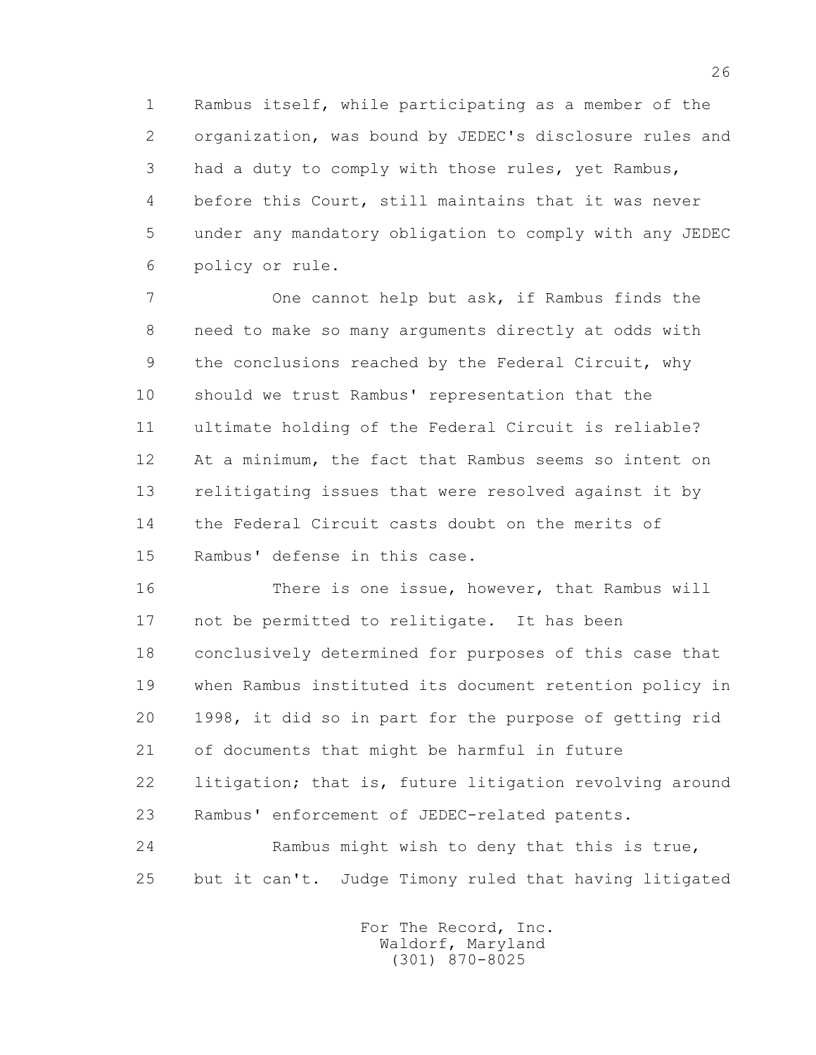1 Rambus itself, while participating as a member of the 2 organization, was bound by JEDEC's disclosure rules and 3 had a duty to comply with those rules, yet Rambus, 4 before this Court, still maintains that it was never 5 under any mandatory obligation to comply with any JEDEC 6 policy or rule.

 7 One cannot help but ask, if Rambus finds the 8 need to make so many arguments directly at odds with 9 the conclusions reached by the Federal Circuit, why 10 should we trust Rambus' representation that the 11 ultimate holding of the Federal Circuit is reliable? 12 At a minimum, the fact that Rambus seems so intent on 13 relitigating issues that were resolved against it by 14 the Federal Circuit casts doubt on the merits of 15 Rambus' defense in this case.

 16 There is one issue, however, that Rambus will 17 not be permitted to relitigate. It has been 18 conclusively determined for purposes of this case that 19 when Rambus instituted its document retention policy in 20 1998, it did so in part for the purpose of getting rid 21 of documents that might be harmful in future 22 litigation; that is, future litigation revolving around 23 Rambus' enforcement of JEDEC-related patents. 24 Rambus might wish to deny that this is true,

25 but it can't. Judge Timony ruled that having litigated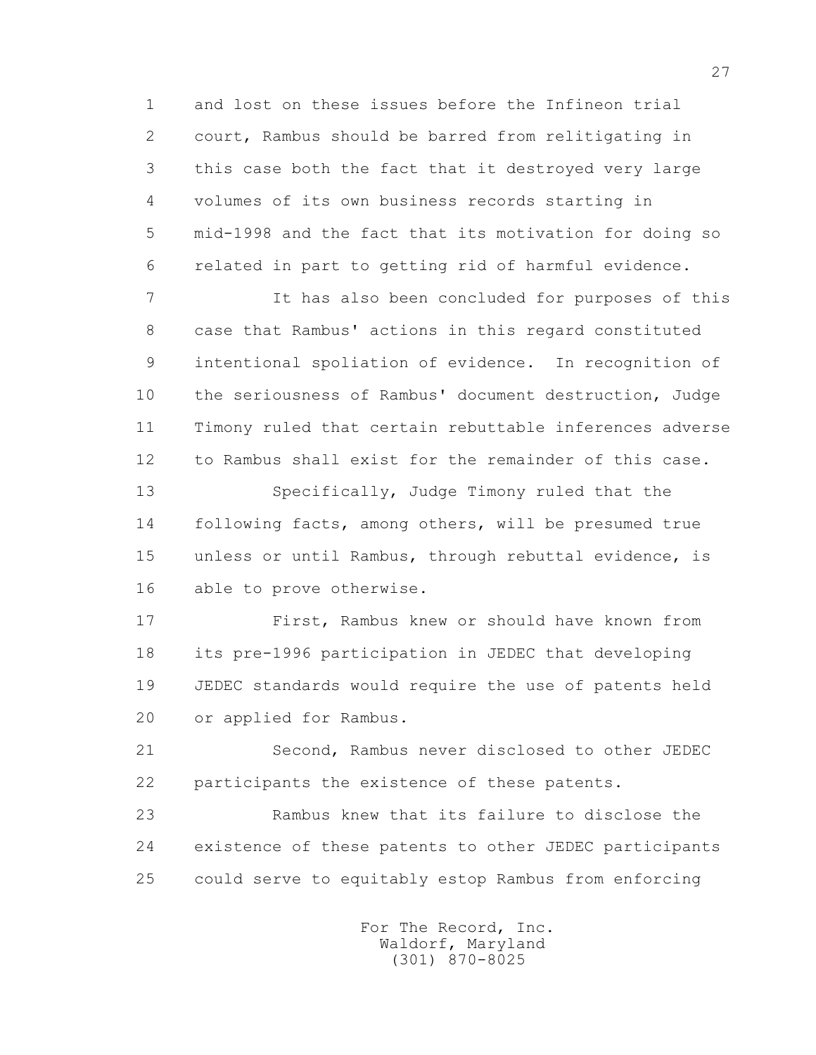1 and lost on these issues before the Infineon trial 2 court, Rambus should be barred from relitigating in 3 this case both the fact that it destroyed very large 4 volumes of its own business records starting in 5 mid-1998 and the fact that its motivation for doing so 6 related in part to getting rid of harmful evidence.

 7 It has also been concluded for purposes of this 8 case that Rambus' actions in this regard constituted 9 intentional spoliation of evidence. In recognition of 10 the seriousness of Rambus' document destruction, Judge 11 Timony ruled that certain rebuttable inferences adverse 12 to Rambus shall exist for the remainder of this case.

 13 Specifically, Judge Timony ruled that the 14 following facts, among others, will be presumed true 15 unless or until Rambus, through rebuttal evidence, is 16 able to prove otherwise.

 17 First, Rambus knew or should have known from 18 its pre-1996 participation in JEDEC that developing 19 JEDEC standards would require the use of patents held 20 or applied for Rambus.

 21 Second, Rambus never disclosed to other JEDEC 22 participants the existence of these patents.

 23 Rambus knew that its failure to disclose the 24 existence of these patents to other JEDEC participants 25 could serve to equitably estop Rambus from enforcing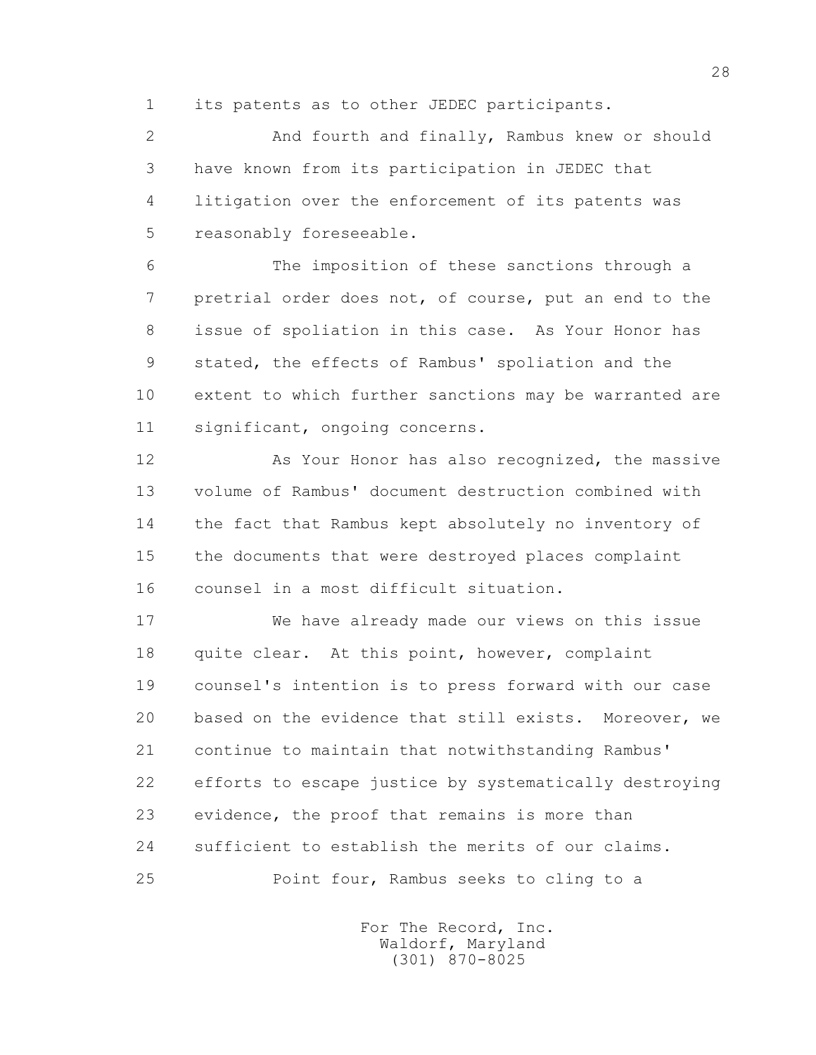1 its patents as to other JEDEC participants.

 2 And fourth and finally, Rambus knew or should 3 have known from its participation in JEDEC that 4 litigation over the enforcement of its patents was 5 reasonably foreseeable.

 6 The imposition of these sanctions through a 7 pretrial order does not, of course, put an end to the 8 issue of spoliation in this case. As Your Honor has 9 stated, the effects of Rambus' spoliation and the 10 extent to which further sanctions may be warranted are 11 significant, ongoing concerns.

12 As Your Honor has also recognized, the massive 13 volume of Rambus' document destruction combined with 14 the fact that Rambus kept absolutely no inventory of 15 the documents that were destroyed places complaint 16 counsel in a most difficult situation.

 17 We have already made our views on this issue 18 quite clear. At this point, however, complaint 19 counsel's intention is to press forward with our case 20 based on the evidence that still exists. Moreover, we 21 continue to maintain that notwithstanding Rambus' 22 efforts to escape justice by systematically destroying 23 evidence, the proof that remains is more than 24 sufficient to establish the merits of our claims. 25 Point four, Rambus seeks to cling to a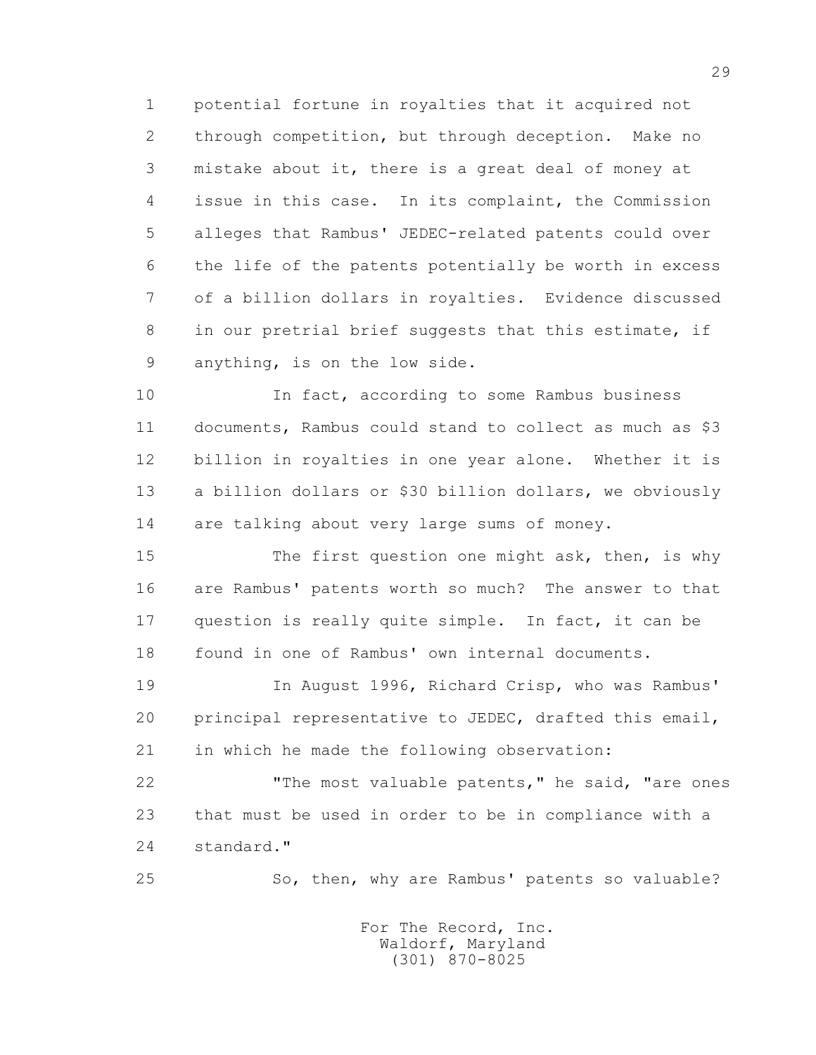1 potential fortune in royalties that it acquired not 2 through competition, but through deception. Make no 3 mistake about it, there is a great deal of money at 4 issue in this case. In its complaint, the Commission 5 alleges that Rambus' JEDEC-related patents could over 6 the life of the patents potentially be worth in excess 7 of a billion dollars in royalties. Evidence discussed 8 in our pretrial brief suggests that this estimate, if 9 anything, is on the low side.

 10 In fact, according to some Rambus business 11 documents, Rambus could stand to collect as much as \$3 12 billion in royalties in one year alone. Whether it is 13 a billion dollars or \$30 billion dollars, we obviously 14 are talking about very large sums of money.

15 The first question one might ask, then, is why 16 are Rambus' patents worth so much? The answer to that 17 question is really quite simple. In fact, it can be 18 found in one of Rambus' own internal documents.

 19 In August 1996, Richard Crisp, who was Rambus' 20 principal representative to JEDEC, drafted this email, 21 in which he made the following observation:

 22 "The most valuable patents," he said, "are ones 23 that must be used in order to be in compliance with a 24 standard."

25 So, then, why are Rambus' patents so valuable?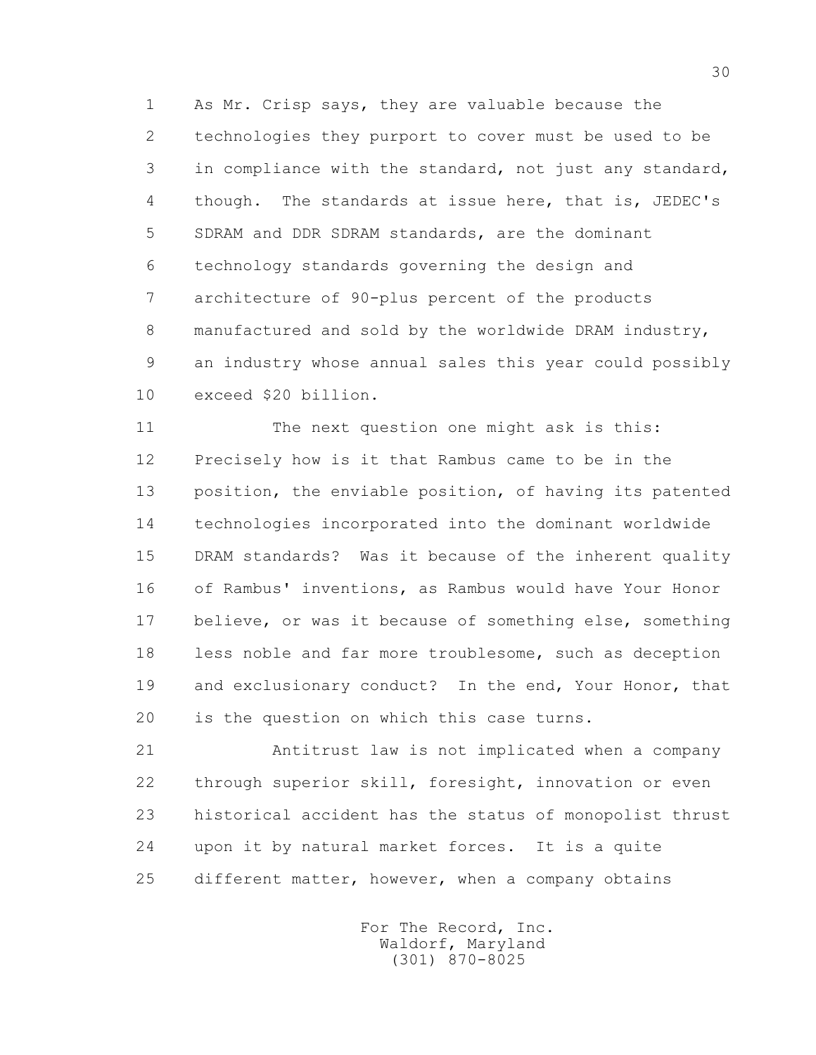1 As Mr. Crisp says, they are valuable because the 2 technologies they purport to cover must be used to be 3 in compliance with the standard, not just any standard, 4 though. The standards at issue here, that is, JEDEC's 5 SDRAM and DDR SDRAM standards, are the dominant 6 technology standards governing the design and 7 architecture of 90-plus percent of the products 8 manufactured and sold by the worldwide DRAM industry, 9 an industry whose annual sales this year could possibly 10 exceed \$20 billion.

 11 The next question one might ask is this: 12 Precisely how is it that Rambus came to be in the 13 position, the enviable position, of having its patented 14 technologies incorporated into the dominant worldwide 15 DRAM standards? Was it because of the inherent quality 16 of Rambus' inventions, as Rambus would have Your Honor 17 believe, or was it because of something else, something 18 less noble and far more troublesome, such as deception 19 and exclusionary conduct? In the end, Your Honor, that 20 is the question on which this case turns.

 21 Antitrust law is not implicated when a company 22 through superior skill, foresight, innovation or even 23 historical accident has the status of monopolist thrust 24 upon it by natural market forces. It is a quite 25 different matter, however, when a company obtains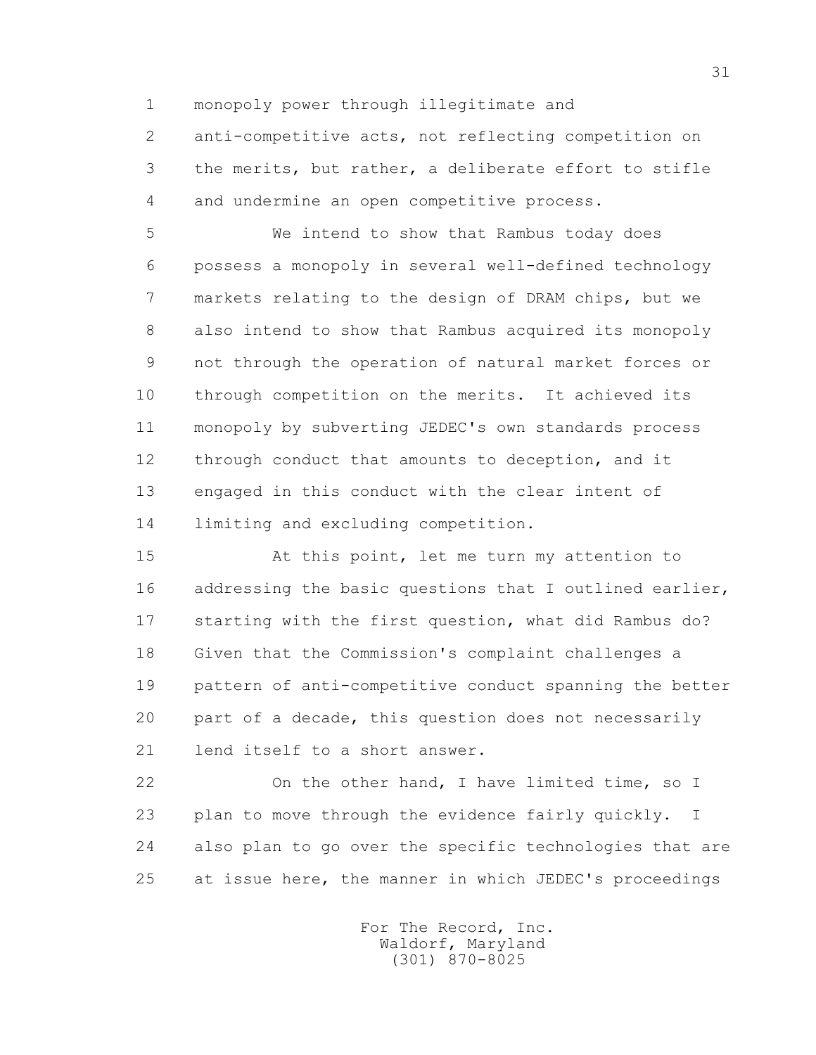1 monopoly power through illegitimate and

 2 anti-competitive acts, not reflecting competition on 3 the merits, but rather, a deliberate effort to stifle 4 and undermine an open competitive process.

 5 We intend to show that Rambus today does 6 possess a monopoly in several well-defined technology 7 markets relating to the design of DRAM chips, but we 8 also intend to show that Rambus acquired its monopoly 9 not through the operation of natural market forces or 10 through competition on the merits. It achieved its 11 monopoly by subverting JEDEC's own standards process 12 through conduct that amounts to deception, and it 13 engaged in this conduct with the clear intent of 14 limiting and excluding competition.

 15 At this point, let me turn my attention to 16 addressing the basic questions that I outlined earlier, 17 starting with the first question, what did Rambus do? 18 Given that the Commission's complaint challenges a 19 pattern of anti-competitive conduct spanning the better 20 part of a decade, this question does not necessarily 21 lend itself to a short answer.

22 On the other hand, I have limited time, so I 23 plan to move through the evidence fairly quickly. I 24 also plan to go over the specific technologies that are 25 at issue here, the manner in which JEDEC's proceedings

> For The Record, Inc. Waldorf, Maryland (301) 870-8025

31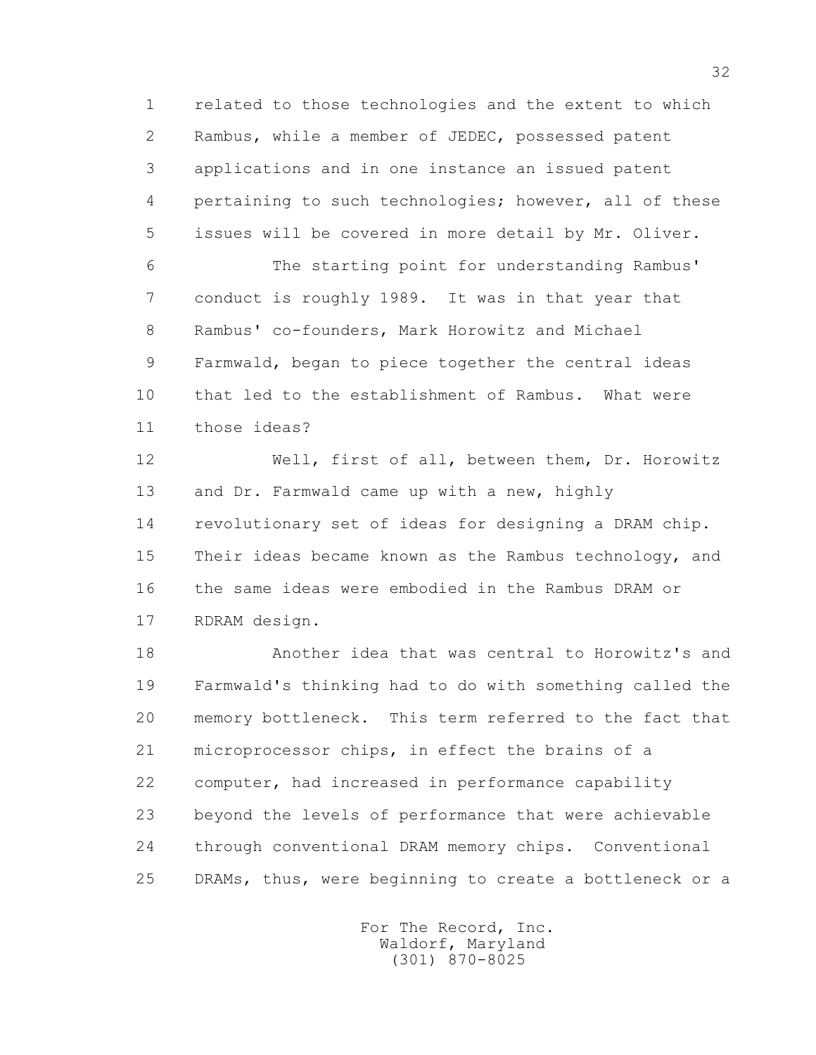1 related to those technologies and the extent to which 2 Rambus, while a member of JEDEC, possessed patent 3 applications and in one instance an issued patent 4 pertaining to such technologies; however, all of these 5 issues will be covered in more detail by Mr. Oliver.

 6 The starting point for understanding Rambus' 7 conduct is roughly 1989. It was in that year that 8 Rambus' co-founders, Mark Horowitz and Michael 9 Farmwald, began to piece together the central ideas 10 that led to the establishment of Rambus. What were 11 those ideas?

 12 Well, first of all, between them, Dr. Horowitz 13 and Dr. Farmwald came up with a new, highly 14 revolutionary set of ideas for designing a DRAM chip. 15 Their ideas became known as the Rambus technology, and 16 the same ideas were embodied in the Rambus DRAM or 17 RDRAM design.

 18 Another idea that was central to Horowitz's and 19 Farmwald's thinking had to do with something called the 20 memory bottleneck. This term referred to the fact that 21 microprocessor chips, in effect the brains of a 22 computer, had increased in performance capability 23 beyond the levels of performance that were achievable 24 through conventional DRAM memory chips. Conventional 25 DRAMs, thus, were beginning to create a bottleneck or a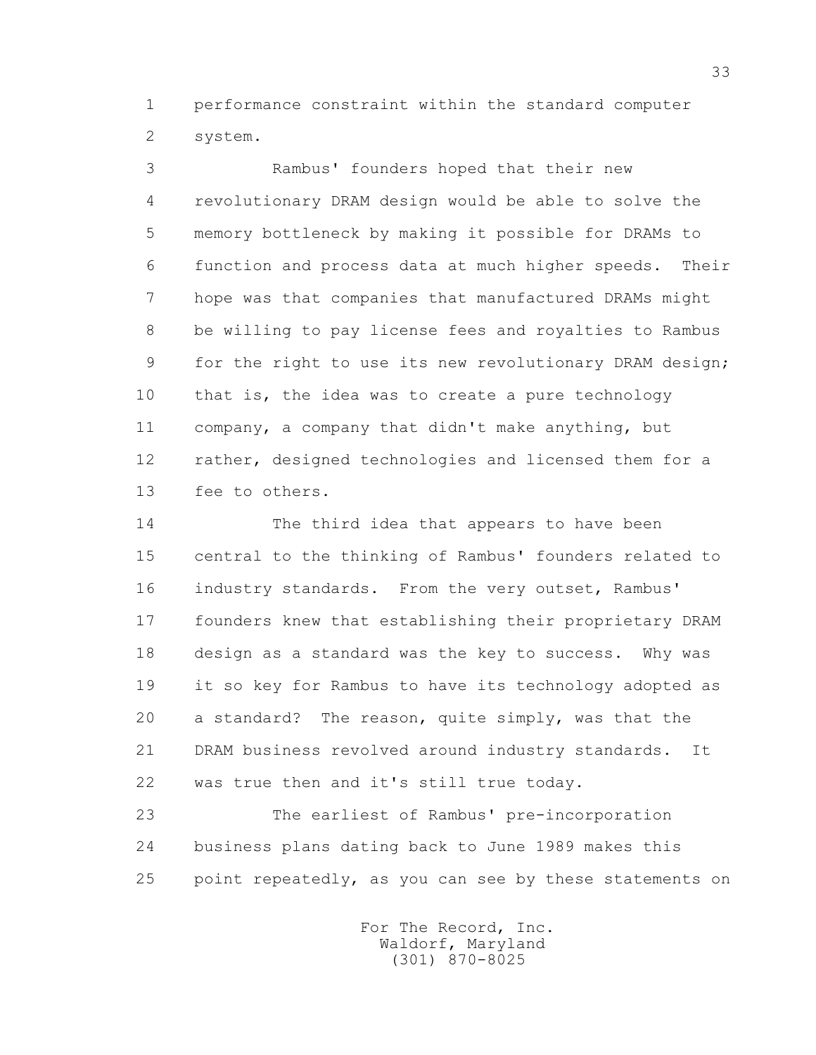1 performance constraint within the standard computer 2 system.

 3 Rambus' founders hoped that their new 4 revolutionary DRAM design would be able to solve the 5 memory bottleneck by making it possible for DRAMs to 6 function and process data at much higher speeds. Their 7 hope was that companies that manufactured DRAMs might 8 be willing to pay license fees and royalties to Rambus 9 for the right to use its new revolutionary DRAM design; 10 that is, the idea was to create a pure technology 11 company, a company that didn't make anything, but 12 rather, designed technologies and licensed them for a 13 fee to others.

 14 The third idea that appears to have been 15 central to the thinking of Rambus' founders related to 16 industry standards. From the very outset, Rambus' 17 founders knew that establishing their proprietary DRAM 18 design as a standard was the key to success. Why was 19 it so key for Rambus to have its technology adopted as 20 a standard? The reason, quite simply, was that the 21 DRAM business revolved around industry standards. It 22 was true then and it's still true today.

 23 The earliest of Rambus' pre-incorporation 24 business plans dating back to June 1989 makes this 25 point repeatedly, as you can see by these statements on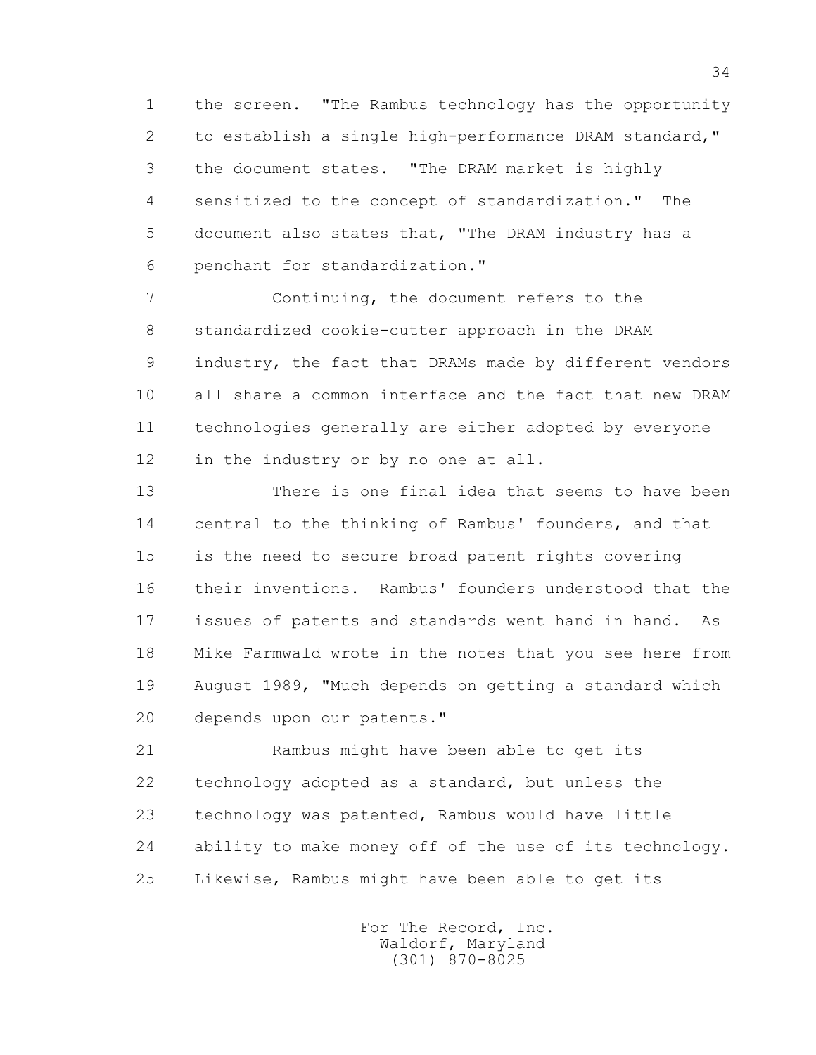1 the screen. "The Rambus technology has the opportunity 2 to establish a single high-performance DRAM standard," 3 the document states. "The DRAM market is highly 4 sensitized to the concept of standardization." The 5 document also states that, "The DRAM industry has a 6 penchant for standardization."

 7 Continuing, the document refers to the 8 standardized cookie-cutter approach in the DRAM 9 industry, the fact that DRAMs made by different vendors 10 all share a common interface and the fact that new DRAM 11 technologies generally are either adopted by everyone 12 in the industry or by no one at all.

 13 There is one final idea that seems to have been 14 central to the thinking of Rambus' founders, and that 15 is the need to secure broad patent rights covering 16 their inventions. Rambus' founders understood that the 17 issues of patents and standards went hand in hand. As 18 Mike Farmwald wrote in the notes that you see here from 19 August 1989, "Much depends on getting a standard which 20 depends upon our patents."

 21 Rambus might have been able to get its 22 technology adopted as a standard, but unless the 23 technology was patented, Rambus would have little 24 ability to make money off of the use of its technology. 25 Likewise, Rambus might have been able to get its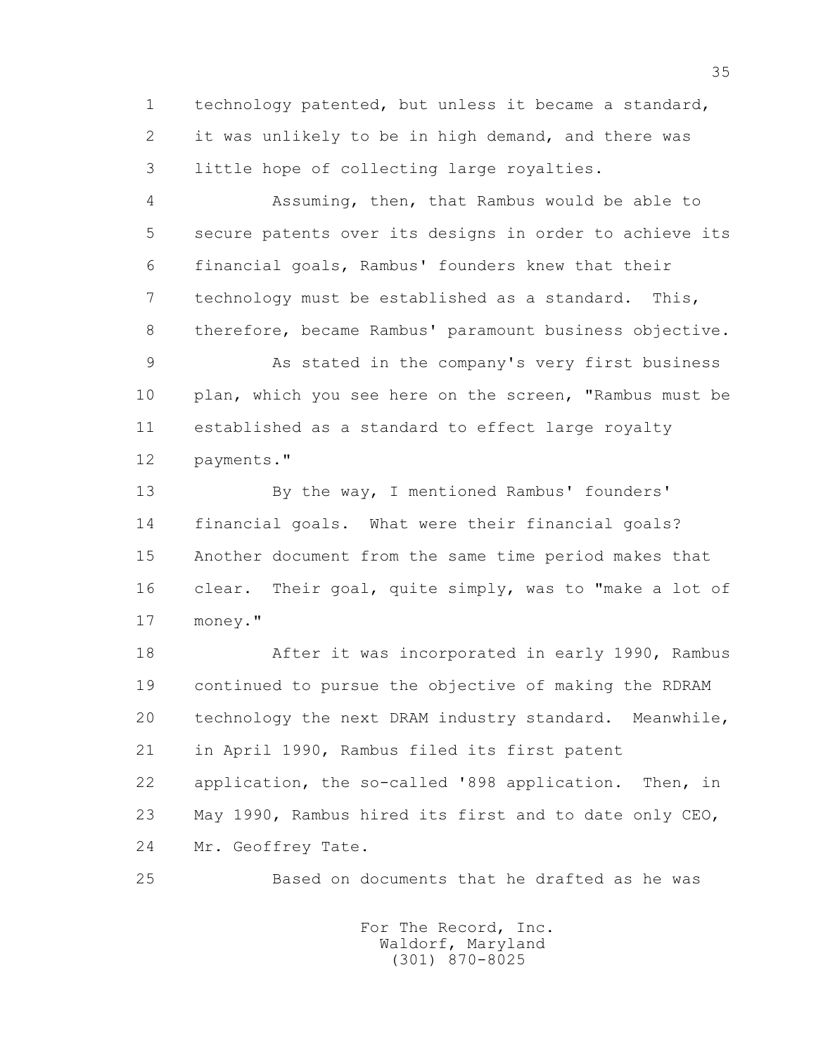1 technology patented, but unless it became a standard, 2 it was unlikely to be in high demand, and there was 3 little hope of collecting large royalties.

 4 Assuming, then, that Rambus would be able to 5 secure patents over its designs in order to achieve its 6 financial goals, Rambus' founders knew that their 7 technology must be established as a standard. This, 8 therefore, became Rambus' paramount business objective.

 9 As stated in the company's very first business 10 plan, which you see here on the screen, "Rambus must be 11 established as a standard to effect large royalty 12 payments."

 13 By the way, I mentioned Rambus' founders' 14 financial goals. What were their financial goals? 15 Another document from the same time period makes that 16 clear. Their goal, quite simply, was to "make a lot of 17 money."

 18 After it was incorporated in early 1990, Rambus 19 continued to pursue the objective of making the RDRAM 20 technology the next DRAM industry standard. Meanwhile, 21 in April 1990, Rambus filed its first patent 22 application, the so-called '898 application. Then, in 23 May 1990, Rambus hired its first and to date only CEO, 24 Mr. Geoffrey Tate.

25 Based on documents that he drafted as he was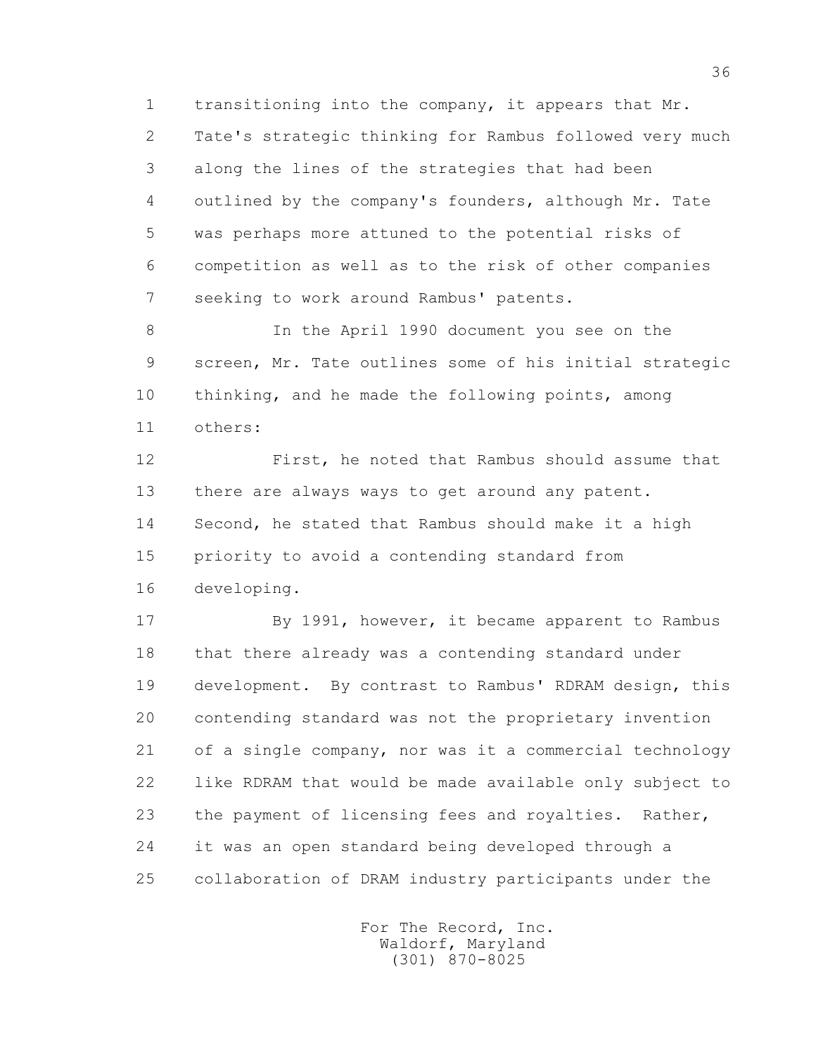1 transitioning into the company, it appears that Mr. 2 Tate's strategic thinking for Rambus followed very much 3 along the lines of the strategies that had been 4 outlined by the company's founders, although Mr. Tate 5 was perhaps more attuned to the potential risks of 6 competition as well as to the risk of other companies 7 seeking to work around Rambus' patents.

 8 In the April 1990 document you see on the 9 screen, Mr. Tate outlines some of his initial strategic 10 thinking, and he made the following points, among 11 others:

 12 First, he noted that Rambus should assume that 13 there are always ways to get around any patent. 14 Second, he stated that Rambus should make it a high 15 priority to avoid a contending standard from 16 developing.

 17 By 1991, however, it became apparent to Rambus 18 that there already was a contending standard under 19 development. By contrast to Rambus' RDRAM design, this 20 contending standard was not the proprietary invention 21 of a single company, nor was it a commercial technology 22 like RDRAM that would be made available only subject to 23 the payment of licensing fees and royalties. Rather, 24 it was an open standard being developed through a 25 collaboration of DRAM industry participants under the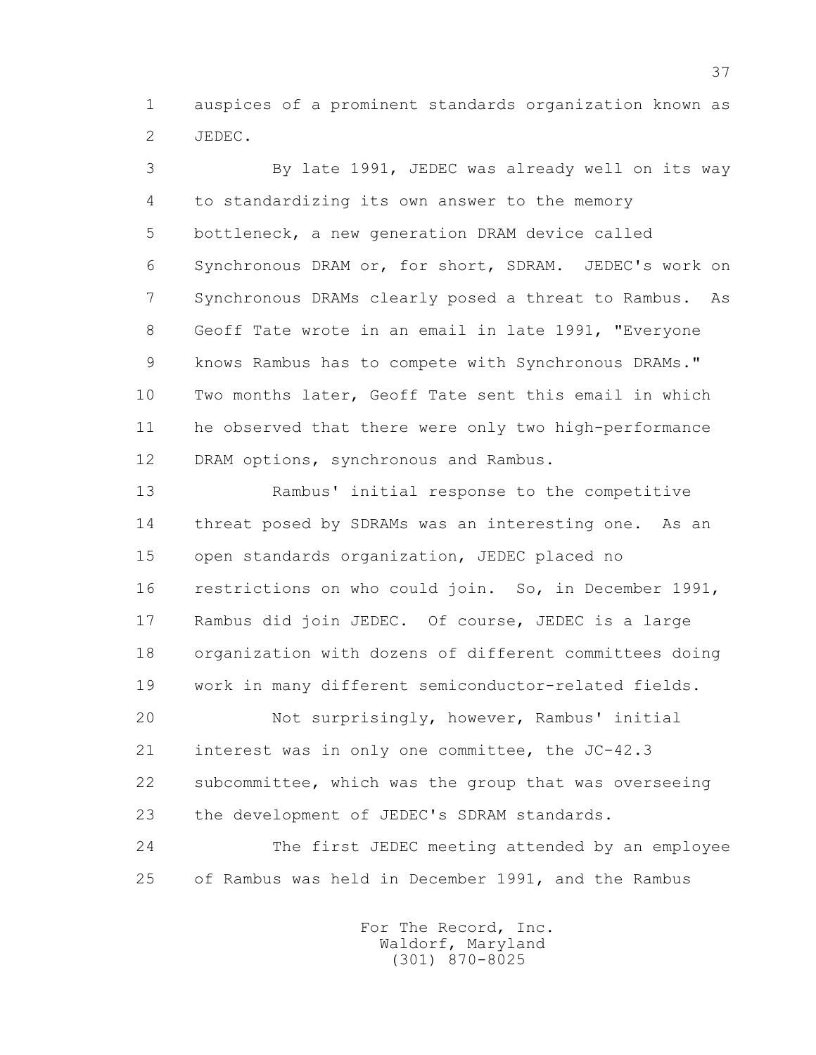1 auspices of a prominent standards organization known as 2 JEDEC.

 3 By late 1991, JEDEC was already well on its way 4 to standardizing its own answer to the memory 5 bottleneck, a new generation DRAM device called 6 Synchronous DRAM or, for short, SDRAM. JEDEC's work on 7 Synchronous DRAMs clearly posed a threat to Rambus. As 8 Geoff Tate wrote in an email in late 1991, "Everyone 9 knows Rambus has to compete with Synchronous DRAMs." 10 Two months later, Geoff Tate sent this email in which 11 he observed that there were only two high-performance 12 DRAM options, synchronous and Rambus.

 13 Rambus' initial response to the competitive 14 threat posed by SDRAMs was an interesting one. As an 15 open standards organization, JEDEC placed no 16 restrictions on who could join. So, in December 1991, 17 Rambus did join JEDEC. Of course, JEDEC is a large 18 organization with dozens of different committees doing 19 work in many different semiconductor-related fields.

 20 Not surprisingly, however, Rambus' initial 21 interest was in only one committee, the JC-42.3 22 subcommittee, which was the group that was overseeing 23 the development of JEDEC's SDRAM standards.

 24 The first JEDEC meeting attended by an employee 25 of Rambus was held in December 1991, and the Rambus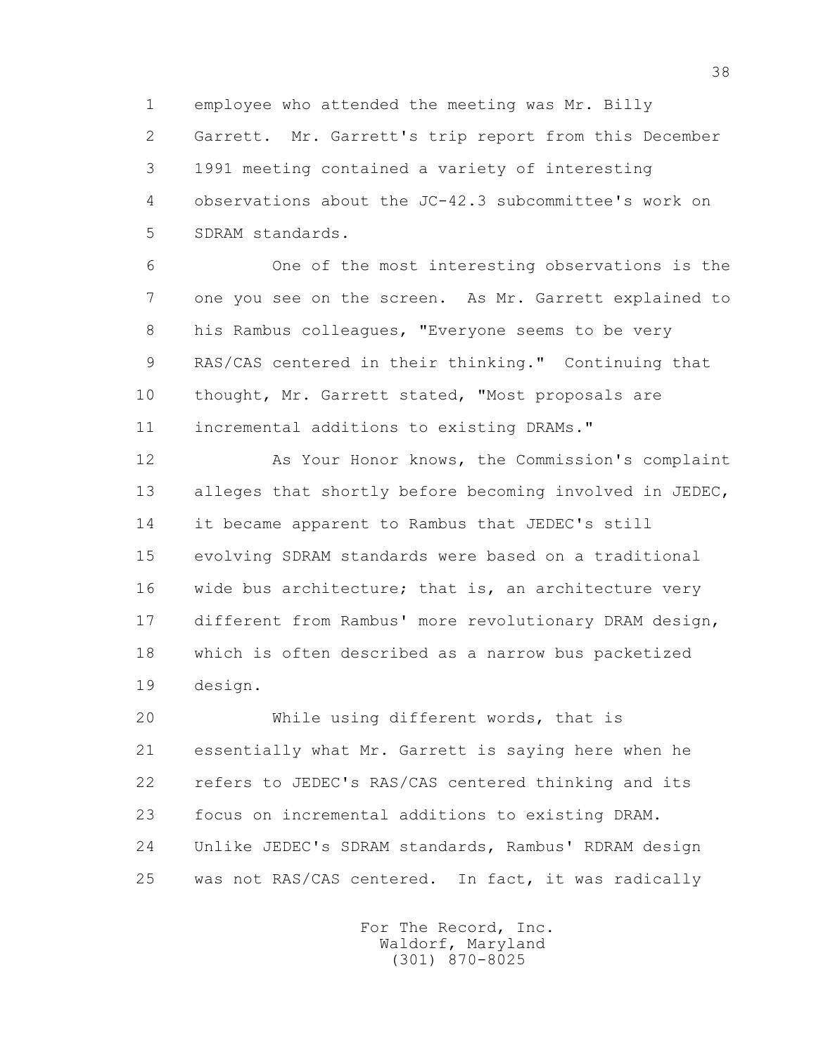1 employee who attended the meeting was Mr. Billy

 2 Garrett. Mr. Garrett's trip report from this December 3 1991 meeting contained a variety of interesting 4 observations about the JC-42.3 subcommittee's work on 5 SDRAM standards.

 6 One of the most interesting observations is the 7 one you see on the screen. As Mr. Garrett explained to 8 his Rambus colleagues, "Everyone seems to be very 9 RAS/CAS centered in their thinking." Continuing that 10 thought, Mr. Garrett stated, "Most proposals are 11 incremental additions to existing DRAMs."

 12 As Your Honor knows, the Commission's complaint 13 alleges that shortly before becoming involved in JEDEC, 14 it became apparent to Rambus that JEDEC's still 15 evolving SDRAM standards were based on a traditional 16 wide bus architecture; that is, an architecture very 17 different from Rambus' more revolutionary DRAM design, 18 which is often described as a narrow bus packetized 19 design.

 20 While using different words, that is 21 essentially what Mr. Garrett is saying here when he 22 refers to JEDEC's RAS/CAS centered thinking and its 23 focus on incremental additions to existing DRAM. 24 Unlike JEDEC's SDRAM standards, Rambus' RDRAM design 25 was not RAS/CAS centered. In fact, it was radically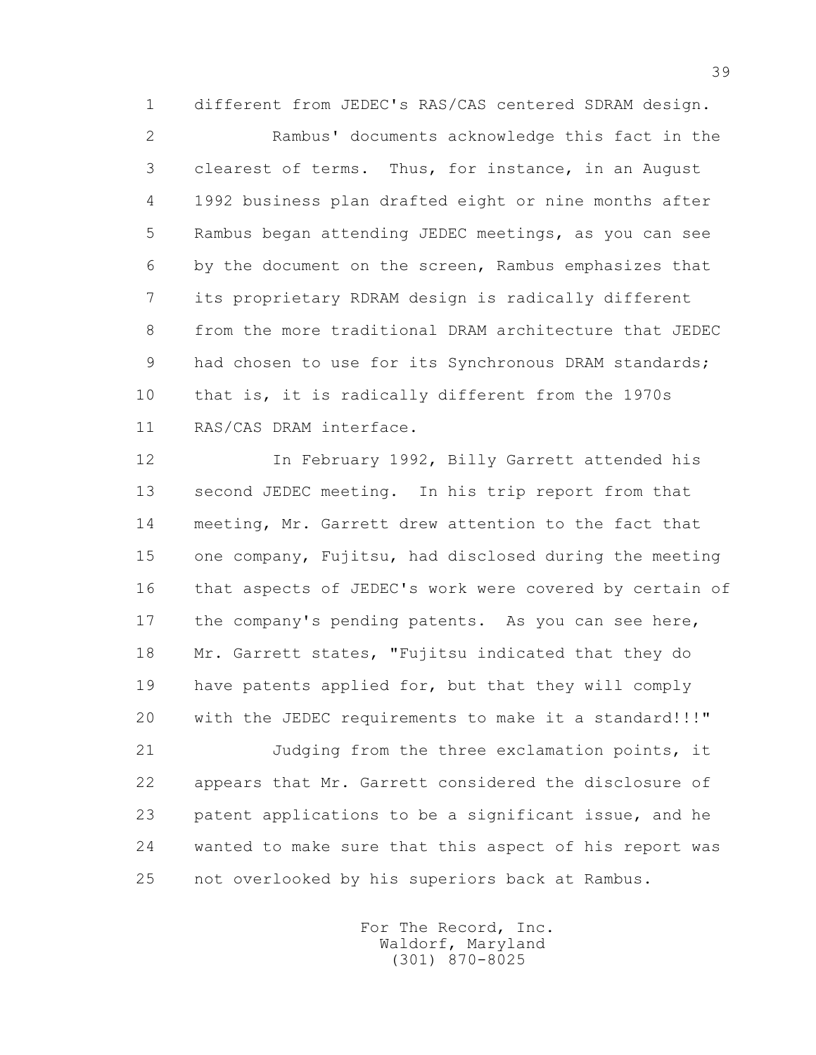1 different from JEDEC's RAS/CAS centered SDRAM design.

 2 Rambus' documents acknowledge this fact in the 3 clearest of terms. Thus, for instance, in an August 4 1992 business plan drafted eight or nine months after 5 Rambus began attending JEDEC meetings, as you can see 6 by the document on the screen, Rambus emphasizes that 7 its proprietary RDRAM design is radically different 8 from the more traditional DRAM architecture that JEDEC 9 had chosen to use for its Synchronous DRAM standards; 10 that is, it is radically different from the 1970s 11 RAS/CAS DRAM interface.

 12 In February 1992, Billy Garrett attended his 13 second JEDEC meeting. In his trip report from that 14 meeting, Mr. Garrett drew attention to the fact that 15 one company, Fujitsu, had disclosed during the meeting 16 that aspects of JEDEC's work were covered by certain of 17 the company's pending patents. As you can see here, 18 Mr. Garrett states, "Fujitsu indicated that they do 19 have patents applied for, but that they will comply 20 with the JEDEC requirements to make it a standard!!!"

 21 Judging from the three exclamation points, it 22 appears that Mr. Garrett considered the disclosure of 23 patent applications to be a significant issue, and he 24 wanted to make sure that this aspect of his report was 25 not overlooked by his superiors back at Rambus.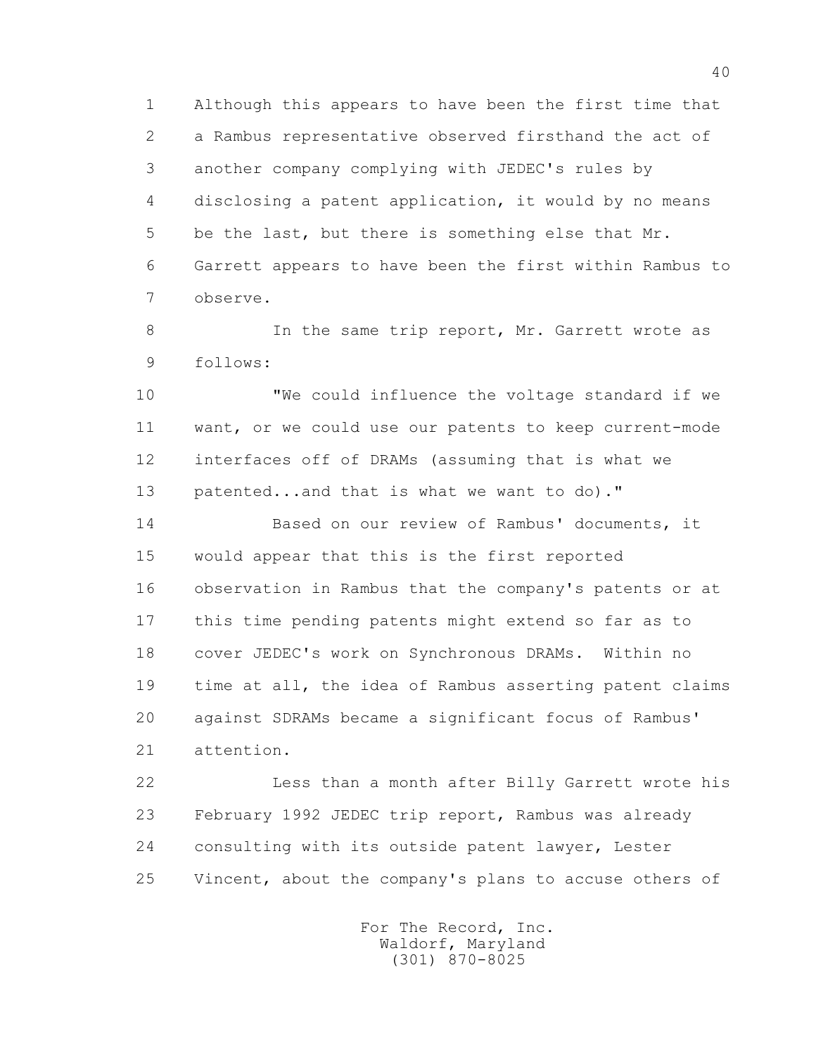1 Although this appears to have been the first time that 2 a Rambus representative observed firsthand the act of 3 another company complying with JEDEC's rules by 4 disclosing a patent application, it would by no means 5 be the last, but there is something else that Mr. 6 Garrett appears to have been the first within Rambus to 7 observe.

8 In the same trip report, Mr. Garrett wrote as 9 follows:

 10 "We could influence the voltage standard if we 11 want, or we could use our patents to keep current-mode 12 interfaces off of DRAMs (assuming that is what we 13 patented...and that is what we want to do)."

 14 Based on our review of Rambus' documents, it 15 would appear that this is the first reported 16 observation in Rambus that the company's patents or at 17 this time pending patents might extend so far as to 18 cover JEDEC's work on Synchronous DRAMs. Within no 19 time at all, the idea of Rambus asserting patent claims 20 against SDRAMs became a significant focus of Rambus' 21 attention.

 22 Less than a month after Billy Garrett wrote his 23 February 1992 JEDEC trip report, Rambus was already 24 consulting with its outside patent lawyer, Lester 25 Vincent, about the company's plans to accuse others of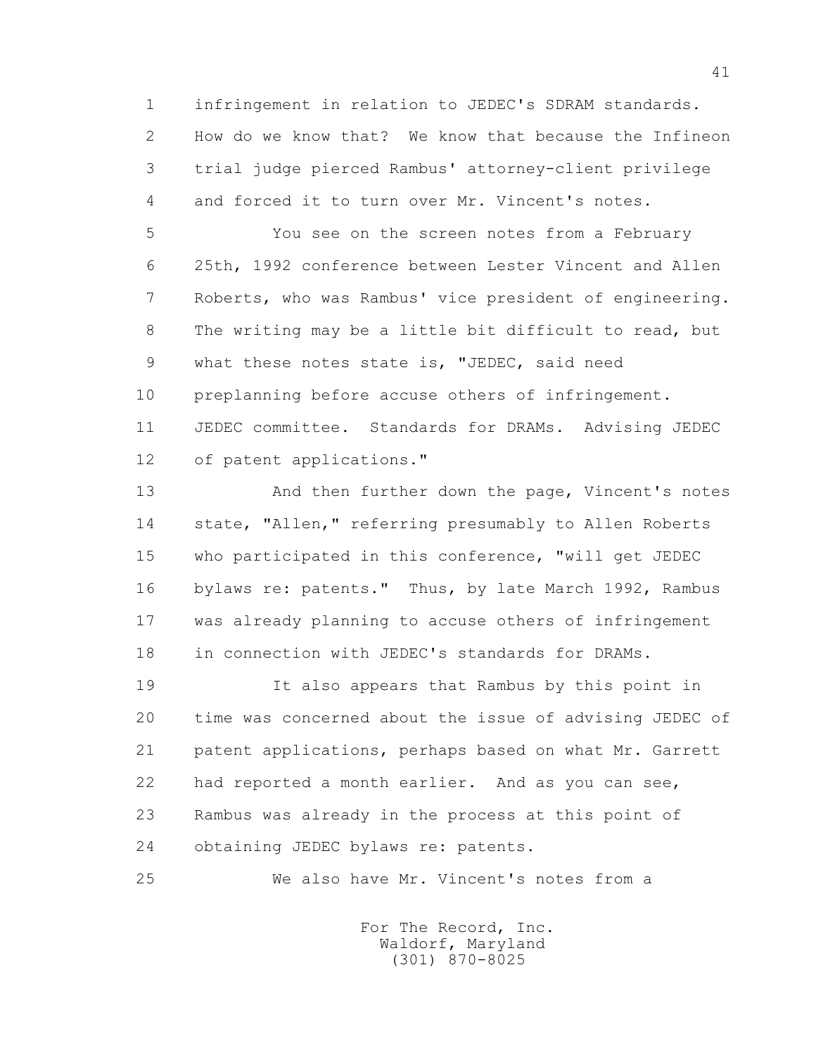1 infringement in relation to JEDEC's SDRAM standards. 2 How do we know that? We know that because the Infineon 3 trial judge pierced Rambus' attorney-client privilege 4 and forced it to turn over Mr. Vincent's notes.

 5 You see on the screen notes from a February 6 25th, 1992 conference between Lester Vincent and Allen 7 Roberts, who was Rambus' vice president of engineering. 8 The writing may be a little bit difficult to read, but 9 what these notes state is, "JEDEC, said need 10 preplanning before accuse others of infringement. 11 JEDEC committee. Standards for DRAMs. Advising JEDEC 12 of patent applications."

 13 And then further down the page, Vincent's notes 14 state, "Allen," referring presumably to Allen Roberts 15 who participated in this conference, "will get JEDEC 16 bylaws re: patents." Thus, by late March 1992, Rambus 17 was already planning to accuse others of infringement 18 in connection with JEDEC's standards for DRAMs.

 19 It also appears that Rambus by this point in 20 time was concerned about the issue of advising JEDEC of 21 patent applications, perhaps based on what Mr. Garrett 22 had reported a month earlier. And as you can see, 23 Rambus was already in the process at this point of 24 obtaining JEDEC bylaws re: patents.

25 We also have Mr. Vincent's notes from a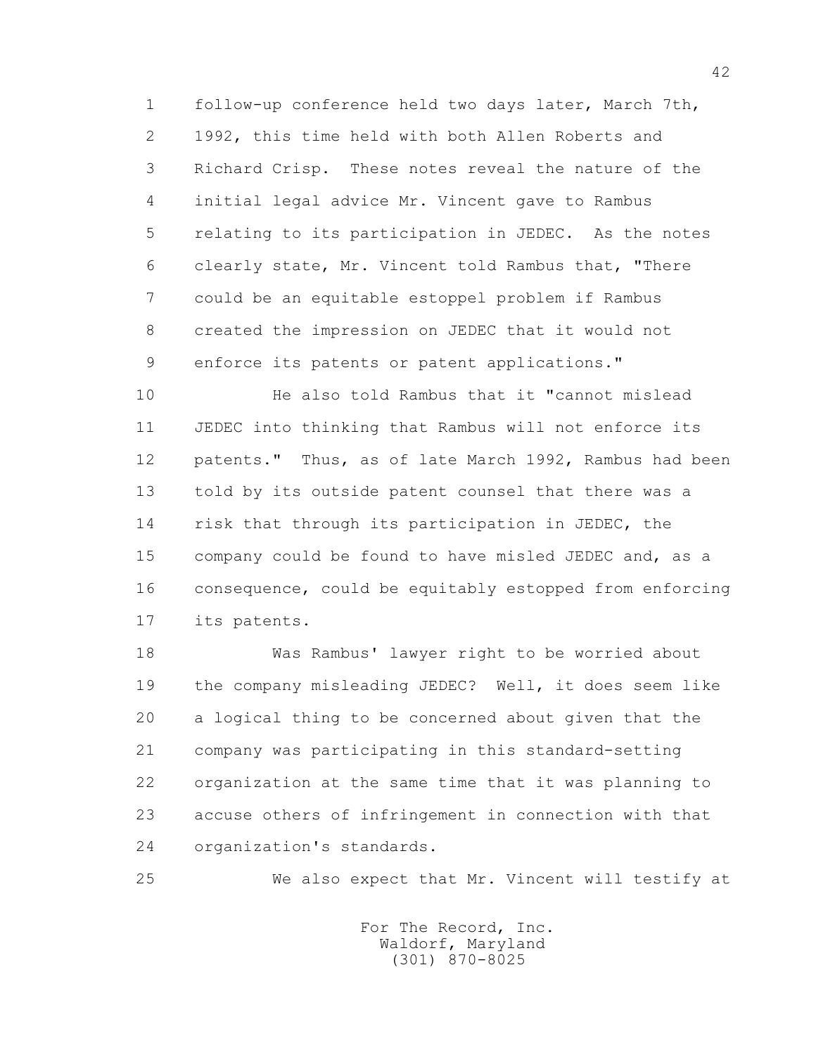1 follow-up conference held two days later, March 7th, 2 1992, this time held with both Allen Roberts and 3 Richard Crisp. These notes reveal the nature of the 4 initial legal advice Mr. Vincent gave to Rambus 5 relating to its participation in JEDEC. As the notes 6 clearly state, Mr. Vincent told Rambus that, "There 7 could be an equitable estoppel problem if Rambus 8 created the impression on JEDEC that it would not 9 enforce its patents or patent applications."

 10 He also told Rambus that it "cannot mislead 11 JEDEC into thinking that Rambus will not enforce its 12 patents." Thus, as of late March 1992, Rambus had been 13 told by its outside patent counsel that there was a 14 risk that through its participation in JEDEC, the 15 company could be found to have misled JEDEC and, as a 16 consequence, could be equitably estopped from enforcing 17 its patents.

 18 Was Rambus' lawyer right to be worried about 19 the company misleading JEDEC? Well, it does seem like 20 a logical thing to be concerned about given that the 21 company was participating in this standard-setting 22 organization at the same time that it was planning to 23 accuse others of infringement in connection with that 24 organization's standards.

25 We also expect that Mr. Vincent will testify at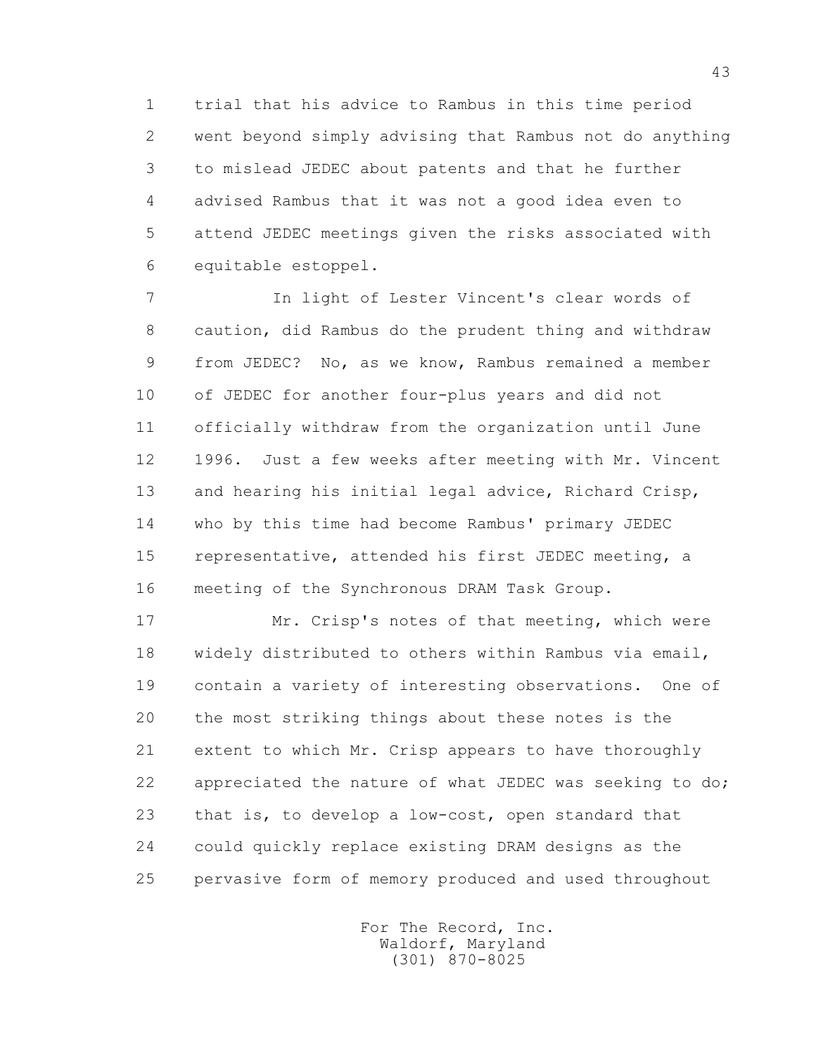1 trial that his advice to Rambus in this time period 2 went beyond simply advising that Rambus not do anything 3 to mislead JEDEC about patents and that he further 4 advised Rambus that it was not a good idea even to 5 attend JEDEC meetings given the risks associated with 6 equitable estoppel.

 7 In light of Lester Vincent's clear words of 8 caution, did Rambus do the prudent thing and withdraw 9 from JEDEC? No, as we know, Rambus remained a member 10 of JEDEC for another four-plus years and did not 11 officially withdraw from the organization until June 12 1996. Just a few weeks after meeting with Mr. Vincent 13 and hearing his initial legal advice, Richard Crisp, 14 who by this time had become Rambus' primary JEDEC 15 representative, attended his first JEDEC meeting, a 16 meeting of the Synchronous DRAM Task Group.

 17 Mr. Crisp's notes of that meeting, which were 18 widely distributed to others within Rambus via email, 19 contain a variety of interesting observations. One of 20 the most striking things about these notes is the 21 extent to which Mr. Crisp appears to have thoroughly 22 appreciated the nature of what JEDEC was seeking to do; 23 that is, to develop a low-cost, open standard that 24 could quickly replace existing DRAM designs as the 25 pervasive form of memory produced and used throughout

> For The Record, Inc. Waldorf, Maryland (301) 870-8025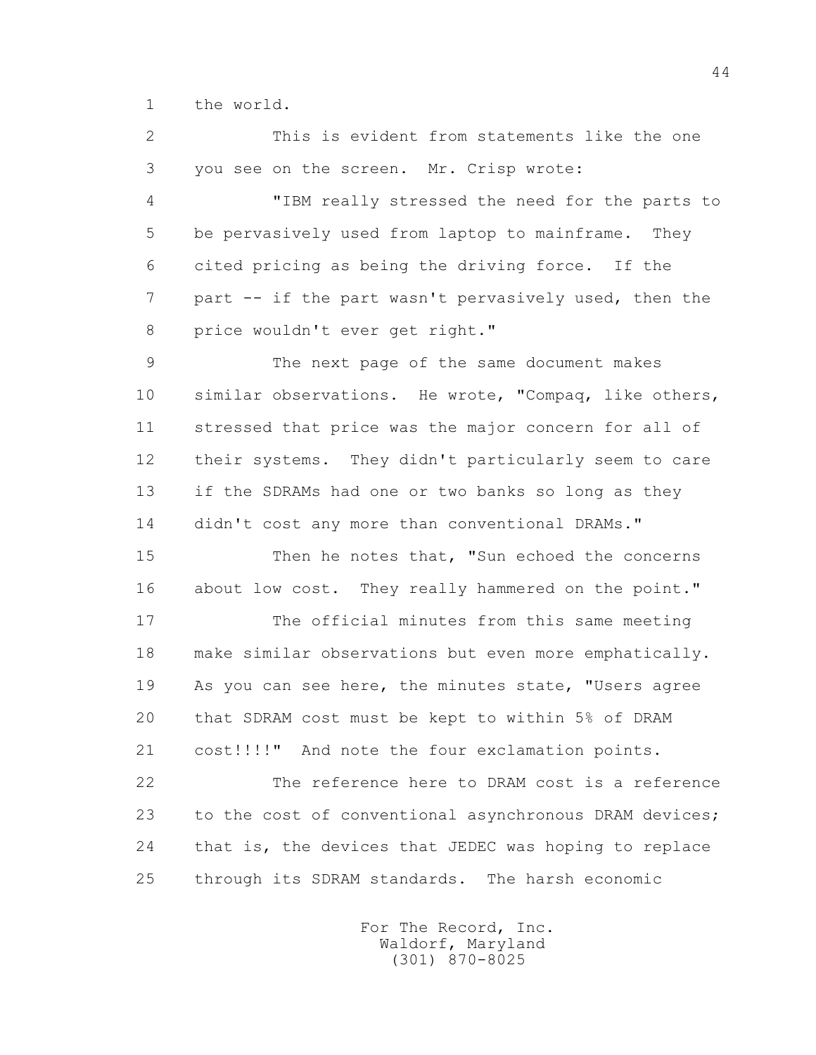1 the world.

 2 This is evident from statements like the one 3 you see on the screen. Mr. Crisp wrote: 4 "IBM really stressed the need for the parts to 5 be pervasively used from laptop to mainframe. They 6 cited pricing as being the driving force. If the 7 part -- if the part wasn't pervasively used, then the 8 price wouldn't ever get right." 9 The next page of the same document makes 10 similar observations. He wrote, "Compaq, like others, 11 stressed that price was the major concern for all of 12 their systems. They didn't particularly seem to care 13 if the SDRAMs had one or two banks so long as they 14 didn't cost any more than conventional DRAMs." 15 Then he notes that, "Sun echoed the concerns 16 about low cost. They really hammered on the point."

 17 The official minutes from this same meeting 18 make similar observations but even more emphatically. 19 As you can see here, the minutes state, "Users agree 20 that SDRAM cost must be kept to within 5% of DRAM 21 cost!!!!" And note the four exclamation points.

 22 The reference here to DRAM cost is a reference 23 to the cost of conventional asynchronous DRAM devices; 24 that is, the devices that JEDEC was hoping to replace 25 through its SDRAM standards. The harsh economic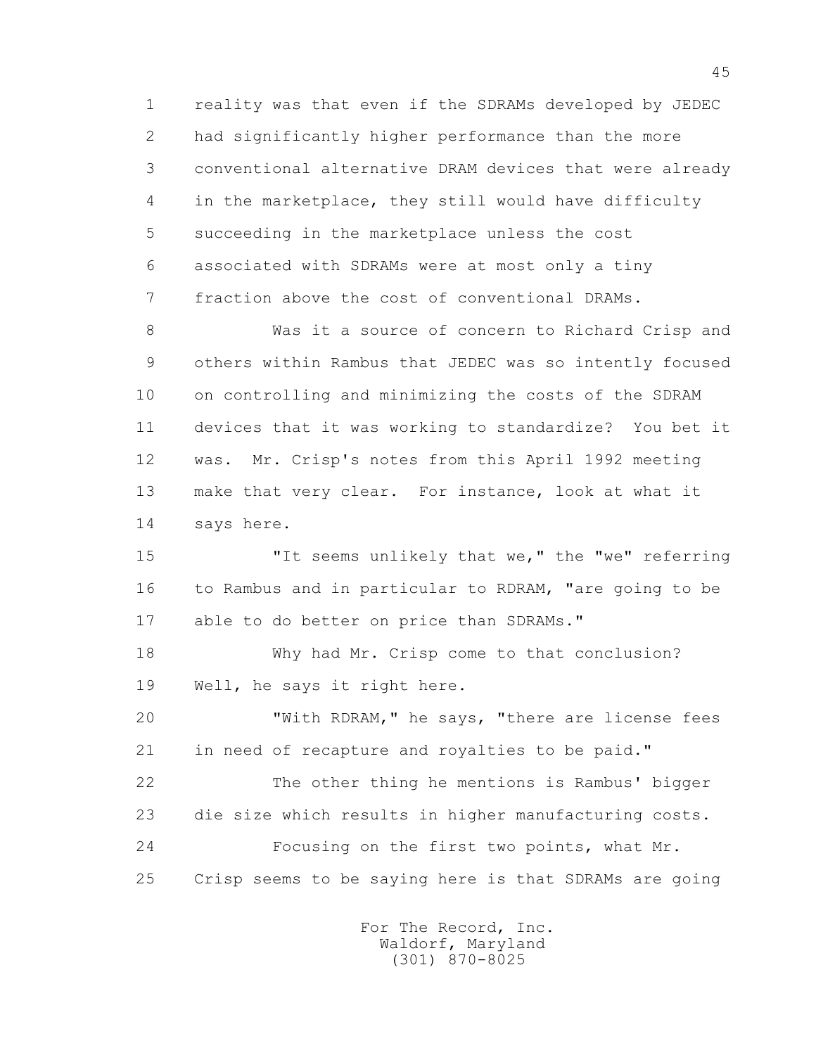1 reality was that even if the SDRAMs developed by JEDEC 2 had significantly higher performance than the more 3 conventional alternative DRAM devices that were already 4 in the marketplace, they still would have difficulty 5 succeeding in the marketplace unless the cost 6 associated with SDRAMs were at most only a tiny 7 fraction above the cost of conventional DRAMs.

 8 Was it a source of concern to Richard Crisp and 9 others within Rambus that JEDEC was so intently focused 10 on controlling and minimizing the costs of the SDRAM 11 devices that it was working to standardize? You bet it 12 was. Mr. Crisp's notes from this April 1992 meeting 13 make that very clear. For instance, look at what it 14 says here.

15 "It seems unlikely that we," the "we" referring 16 to Rambus and in particular to RDRAM, "are going to be 17 able to do better on price than SDRAMs."

 18 Why had Mr. Crisp come to that conclusion? 19 Well, he says it right here.

 20 "With RDRAM," he says, "there are license fees 21 in need of recapture and royalties to be paid." 22 The other thing he mentions is Rambus' bigger 23 die size which results in higher manufacturing costs.

 24 Focusing on the first two points, what Mr. 25 Crisp seems to be saying here is that SDRAMs are going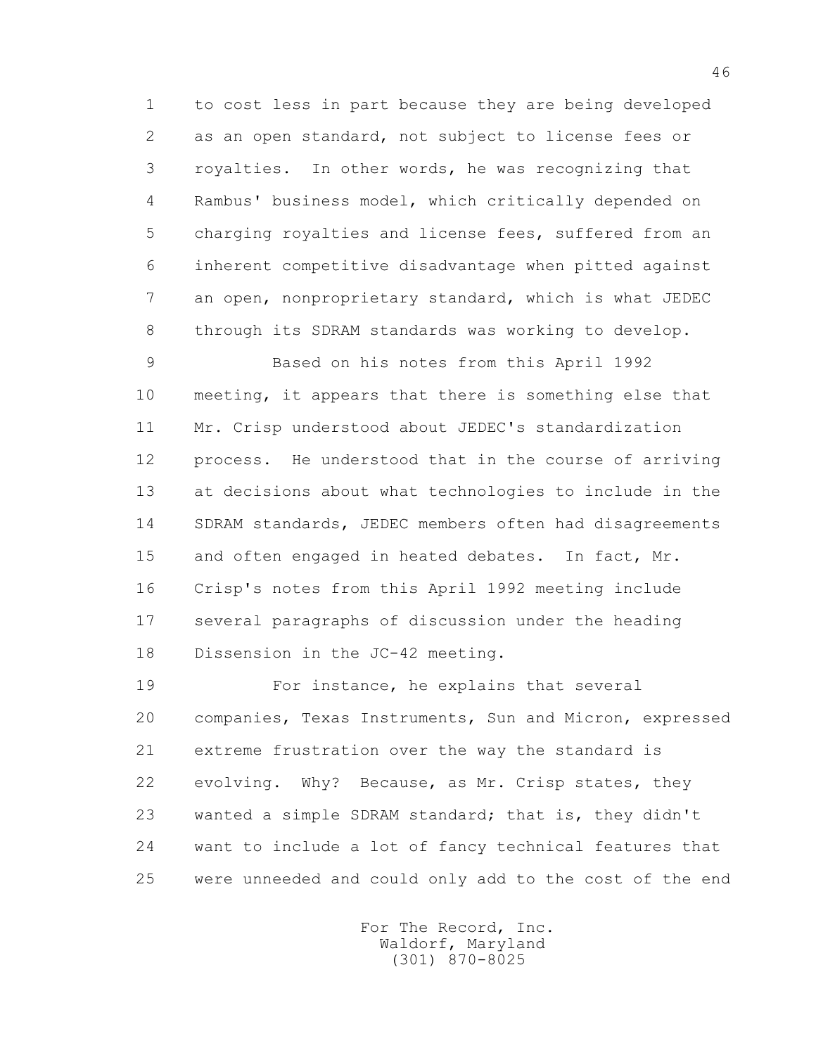1 to cost less in part because they are being developed 2 as an open standard, not subject to license fees or 3 royalties. In other words, he was recognizing that 4 Rambus' business model, which critically depended on 5 charging royalties and license fees, suffered from an 6 inherent competitive disadvantage when pitted against 7 an open, nonproprietary standard, which is what JEDEC 8 through its SDRAM standards was working to develop.

 9 Based on his notes from this April 1992 10 meeting, it appears that there is something else that 11 Mr. Crisp understood about JEDEC's standardization 12 process. He understood that in the course of arriving 13 at decisions about what technologies to include in the 14 SDRAM standards, JEDEC members often had disagreements 15 and often engaged in heated debates. In fact, Mr. 16 Crisp's notes from this April 1992 meeting include 17 several paragraphs of discussion under the heading 18 Dissension in the JC-42 meeting.

 19 For instance, he explains that several 20 companies, Texas Instruments, Sun and Micron, expressed 21 extreme frustration over the way the standard is 22 evolving. Why? Because, as Mr. Crisp states, they 23 wanted a simple SDRAM standard; that is, they didn't 24 want to include a lot of fancy technical features that 25 were unneeded and could only add to the cost of the end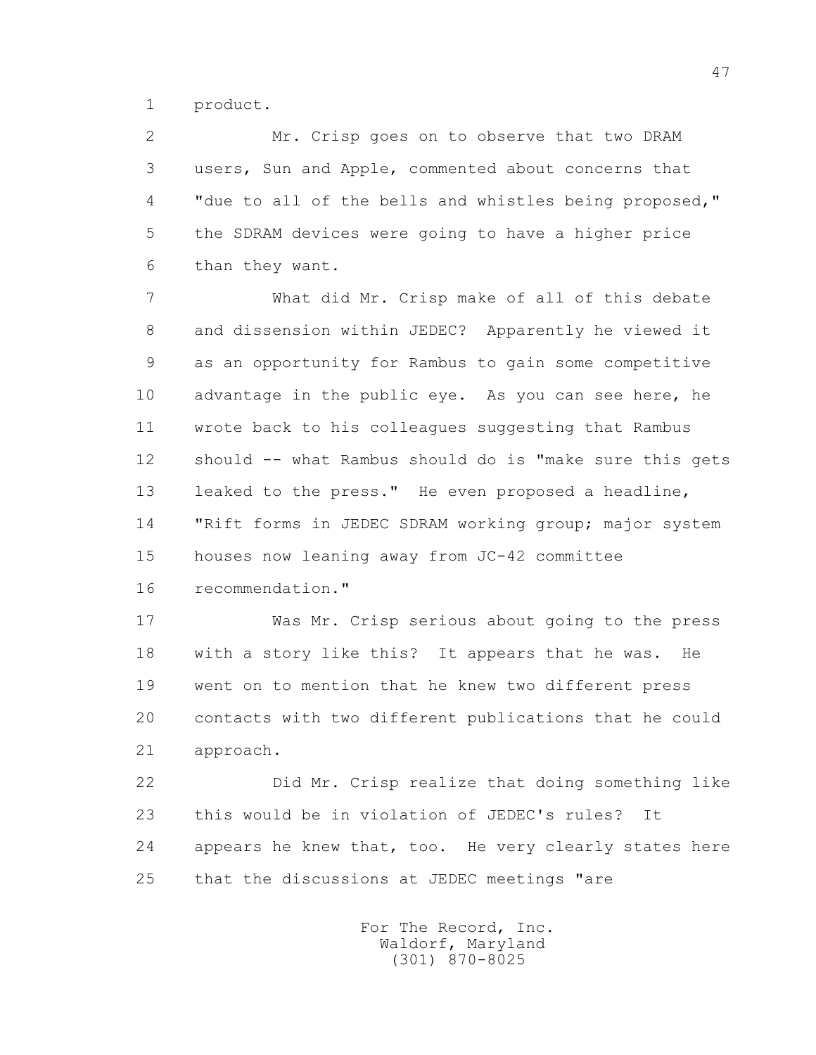1 product.

 2 Mr. Crisp goes on to observe that two DRAM 3 users, Sun and Apple, commented about concerns that 4 "due to all of the bells and whistles being proposed," 5 the SDRAM devices were going to have a higher price 6 than they want.

 7 What did Mr. Crisp make of all of this debate 8 and dissension within JEDEC? Apparently he viewed it 9 as an opportunity for Rambus to gain some competitive 10 advantage in the public eye. As you can see here, he 11 wrote back to his colleagues suggesting that Rambus 12 should -- what Rambus should do is "make sure this gets 13 leaked to the press." He even proposed a headline, 14 "Rift forms in JEDEC SDRAM working group; major system 15 houses now leaning away from JC-42 committee 16 recommendation."

 17 Was Mr. Crisp serious about going to the press 18 with a story like this? It appears that he was. He 19 went on to mention that he knew two different press 20 contacts with two different publications that he could 21 approach.

 22 Did Mr. Crisp realize that doing something like 23 this would be in violation of JEDEC's rules? It 24 appears he knew that, too. He very clearly states here 25 that the discussions at JEDEC meetings "are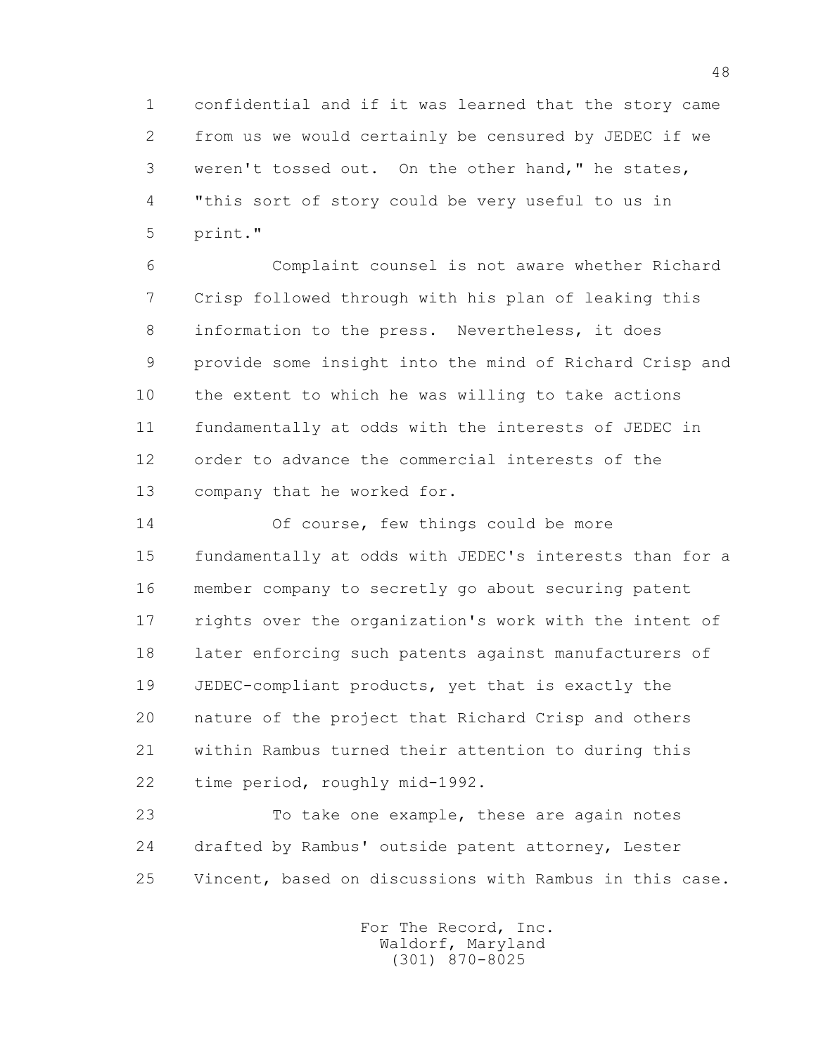1 confidential and if it was learned that the story came 2 from us we would certainly be censured by JEDEC if we 3 weren't tossed out. On the other hand," he states, 4 "this sort of story could be very useful to us in 5 print."

 6 Complaint counsel is not aware whether Richard 7 Crisp followed through with his plan of leaking this 8 information to the press. Nevertheless, it does 9 provide some insight into the mind of Richard Crisp and 10 the extent to which he was willing to take actions 11 fundamentally at odds with the interests of JEDEC in 12 order to advance the commercial interests of the 13 company that he worked for.

 14 Of course, few things could be more 15 fundamentally at odds with JEDEC's interests than for a 16 member company to secretly go about securing patent 17 rights over the organization's work with the intent of 18 later enforcing such patents against manufacturers of 19 JEDEC-compliant products, yet that is exactly the 20 nature of the project that Richard Crisp and others 21 within Rambus turned their attention to during this 22 time period, roughly mid-1992.

 23 To take one example, these are again notes 24 drafted by Rambus' outside patent attorney, Lester 25 Vincent, based on discussions with Rambus in this case.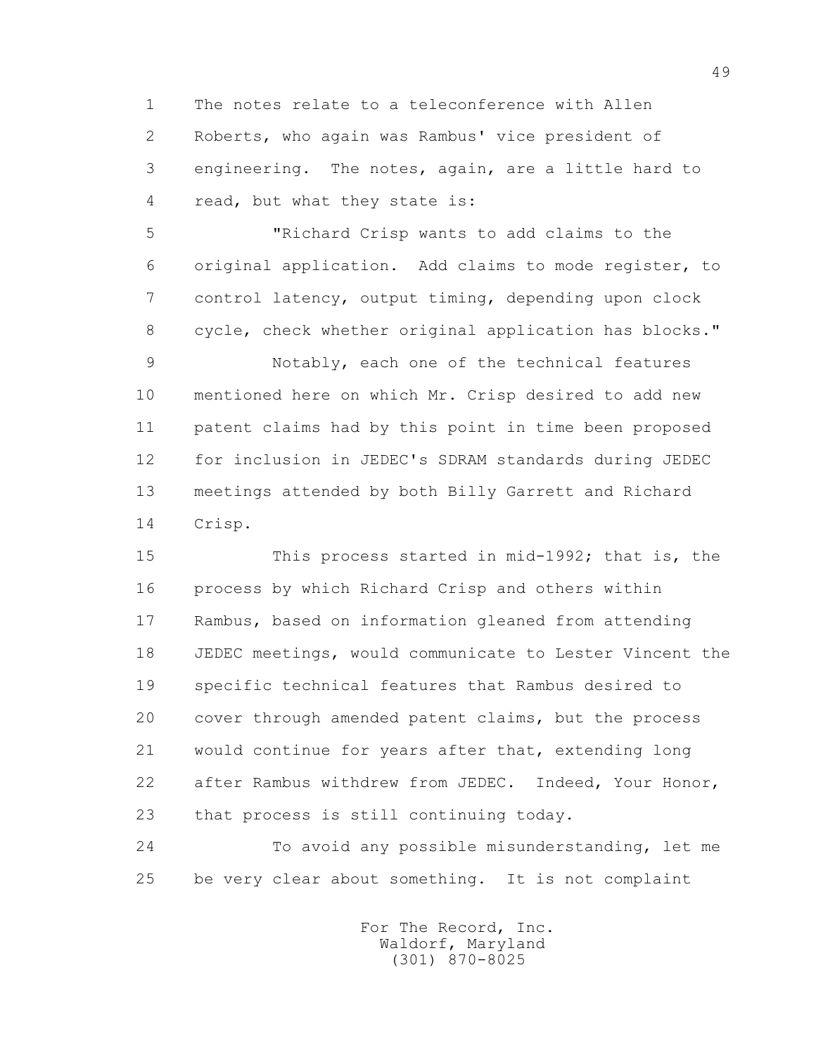1 The notes relate to a teleconference with Allen 2 Roberts, who again was Rambus' vice president of 3 engineering. The notes, again, are a little hard to 4 read, but what they state is:

 5 "Richard Crisp wants to add claims to the 6 original application. Add claims to mode register, to 7 control latency, output timing, depending upon clock 8 cycle, check whether original application has blocks."

 9 Notably, each one of the technical features 10 mentioned here on which Mr. Crisp desired to add new 11 patent claims had by this point in time been proposed 12 for inclusion in JEDEC's SDRAM standards during JEDEC 13 meetings attended by both Billy Garrett and Richard 14 Crisp.

 15 This process started in mid-1992; that is, the 16 process by which Richard Crisp and others within 17 Rambus, based on information gleaned from attending 18 JEDEC meetings, would communicate to Lester Vincent the 19 specific technical features that Rambus desired to 20 cover through amended patent claims, but the process 21 would continue for years after that, extending long 22 after Rambus withdrew from JEDEC. Indeed, Your Honor, 23 that process is still continuing today.

 24 To avoid any possible misunderstanding, let me 25 be very clear about something. It is not complaint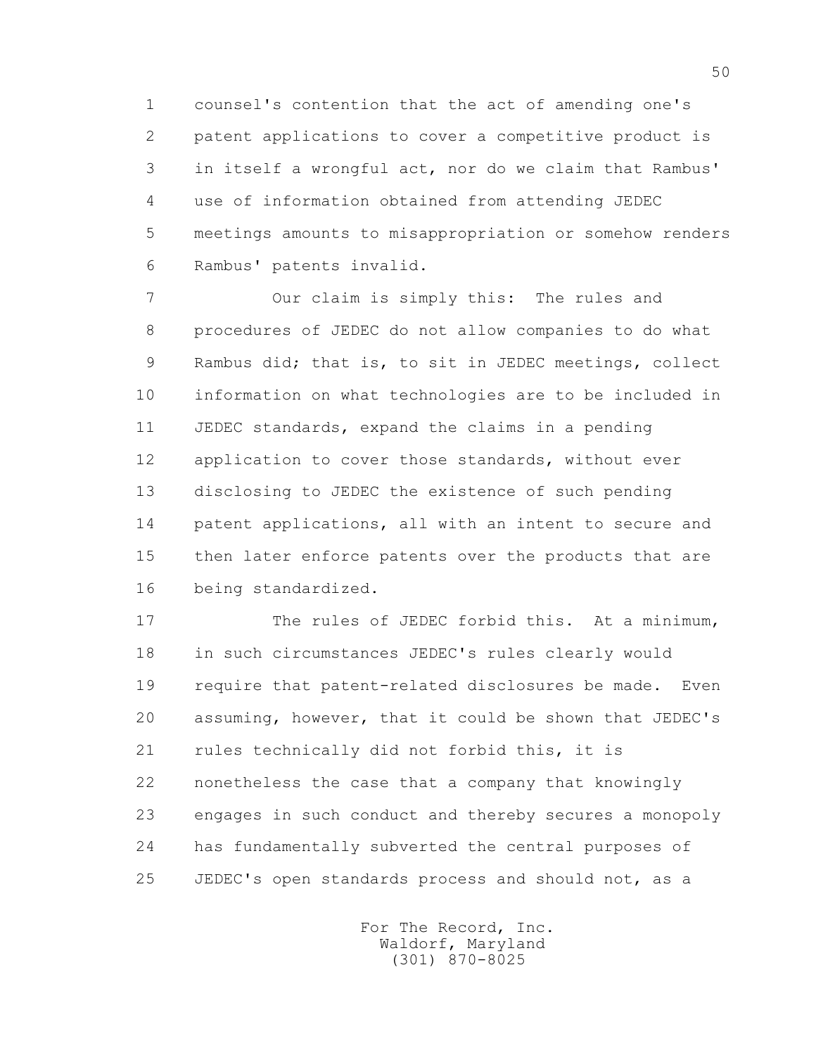1 counsel's contention that the act of amending one's 2 patent applications to cover a competitive product is 3 in itself a wrongful act, nor do we claim that Rambus' 4 use of information obtained from attending JEDEC 5 meetings amounts to misappropriation or somehow renders 6 Rambus' patents invalid.

 7 Our claim is simply this: The rules and 8 procedures of JEDEC do not allow companies to do what 9 Rambus did; that is, to sit in JEDEC meetings, collect 10 information on what technologies are to be included in 11 JEDEC standards, expand the claims in a pending 12 application to cover those standards, without ever 13 disclosing to JEDEC the existence of such pending 14 patent applications, all with an intent to secure and 15 then later enforce patents over the products that are 16 being standardized.

 17 The rules of JEDEC forbid this. At a minimum, 18 in such circumstances JEDEC's rules clearly would 19 require that patent-related disclosures be made. Even 20 assuming, however, that it could be shown that JEDEC's 21 rules technically did not forbid this, it is 22 nonetheless the case that a company that knowingly 23 engages in such conduct and thereby secures a monopoly 24 has fundamentally subverted the central purposes of 25 JEDEC's open standards process and should not, as a

> For The Record, Inc. Waldorf, Maryland (301) 870-8025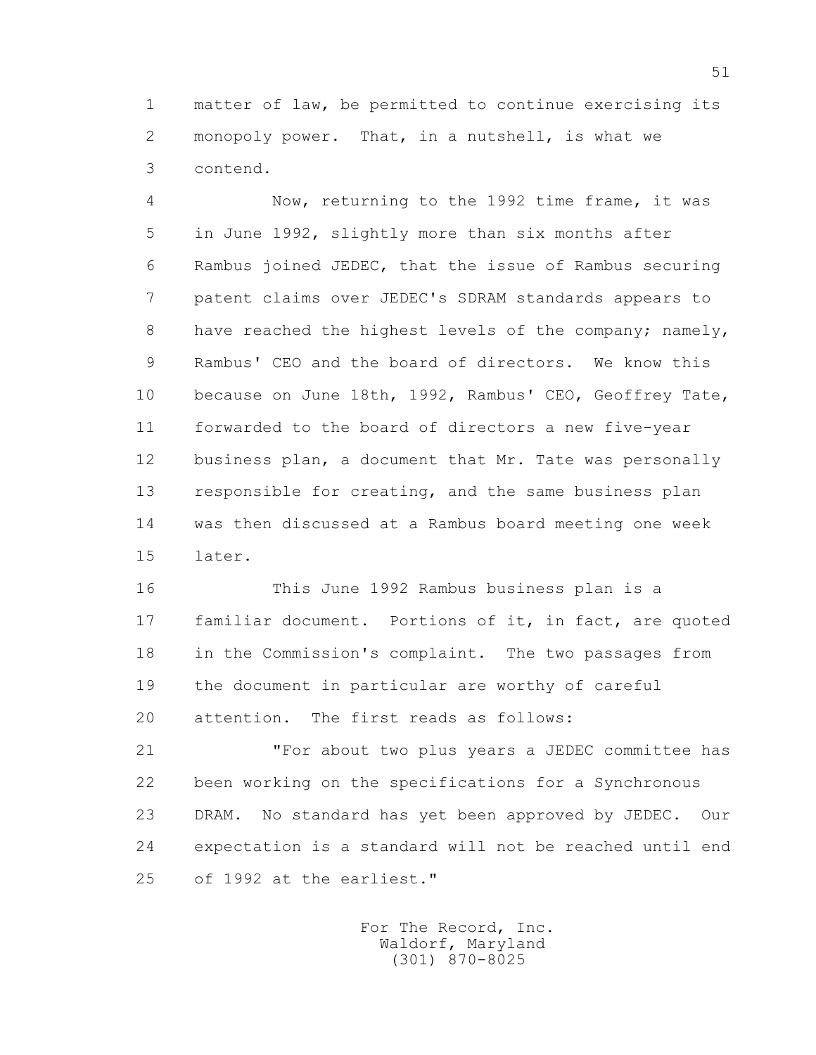1 matter of law, be permitted to continue exercising its 2 monopoly power. That, in a nutshell, is what we 3 contend.

 4 Now, returning to the 1992 time frame, it was 5 in June 1992, slightly more than six months after 6 Rambus joined JEDEC, that the issue of Rambus securing 7 patent claims over JEDEC's SDRAM standards appears to 8 have reached the highest levels of the company; namely, 9 Rambus' CEO and the board of directors. We know this 10 because on June 18th, 1992, Rambus' CEO, Geoffrey Tate, 11 forwarded to the board of directors a new five-year 12 business plan, a document that Mr. Tate was personally 13 responsible for creating, and the same business plan 14 was then discussed at a Rambus board meeting one week 15 later.

 16 This June 1992 Rambus business plan is a 17 familiar document. Portions of it, in fact, are quoted 18 in the Commission's complaint. The two passages from 19 the document in particular are worthy of careful 20 attention. The first reads as follows:

 21 "For about two plus years a JEDEC committee has 22 been working on the specifications for a Synchronous 23 DRAM. No standard has yet been approved by JEDEC. Our 24 expectation is a standard will not be reached until end 25 of 1992 at the earliest."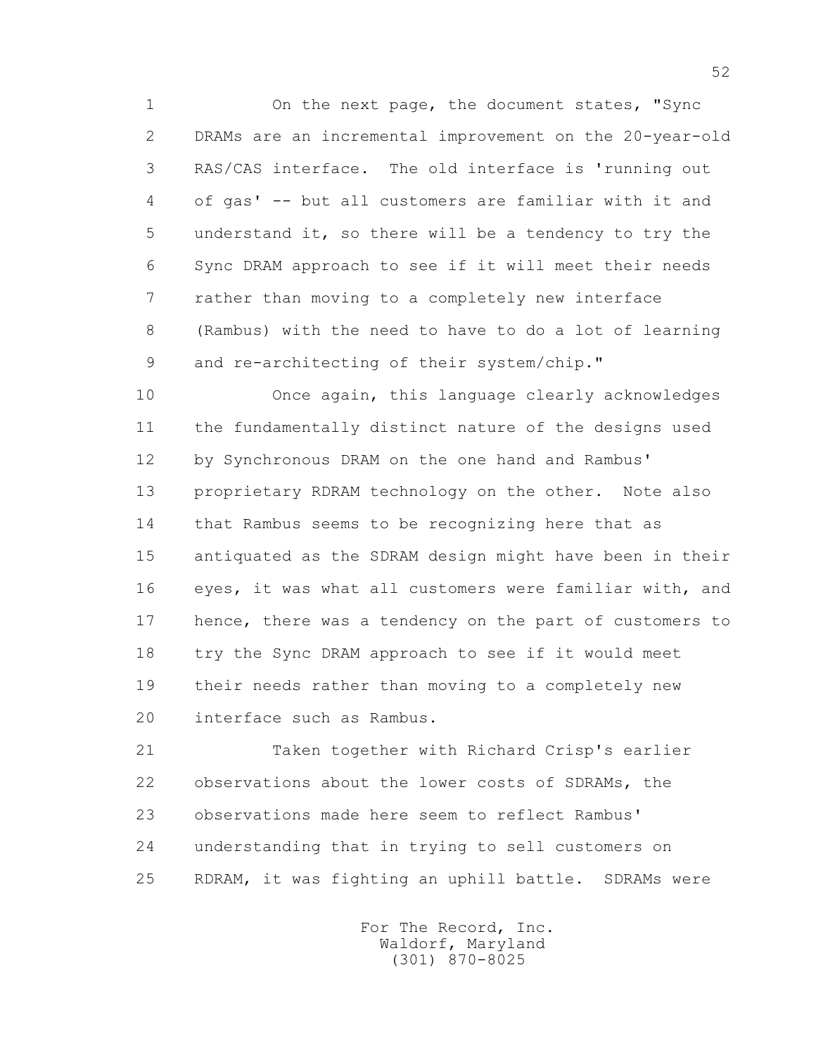1 On the next page, the document states, "Sync 2 DRAMs are an incremental improvement on the 20-year-old 3 RAS/CAS interface. The old interface is 'running out 4 of gas' -- but all customers are familiar with it and 5 understand it, so there will be a tendency to try the 6 Sync DRAM approach to see if it will meet their needs 7 rather than moving to a completely new interface 8 (Rambus) with the need to have to do a lot of learning 9 and re-architecting of their system/chip."

 10 Once again, this language clearly acknowledges 11 the fundamentally distinct nature of the designs used 12 by Synchronous DRAM on the one hand and Rambus' 13 proprietary RDRAM technology on the other. Note also 14 that Rambus seems to be recognizing here that as 15 antiquated as the SDRAM design might have been in their 16 eyes, it was what all customers were familiar with, and 17 hence, there was a tendency on the part of customers to 18 try the Sync DRAM approach to see if it would meet 19 their needs rather than moving to a completely new 20 interface such as Rambus.

 21 Taken together with Richard Crisp's earlier 22 observations about the lower costs of SDRAMs, the 23 observations made here seem to reflect Rambus' 24 understanding that in trying to sell customers on 25 RDRAM, it was fighting an uphill battle. SDRAMs were

> For The Record, Inc. Waldorf, Maryland (301) 870-8025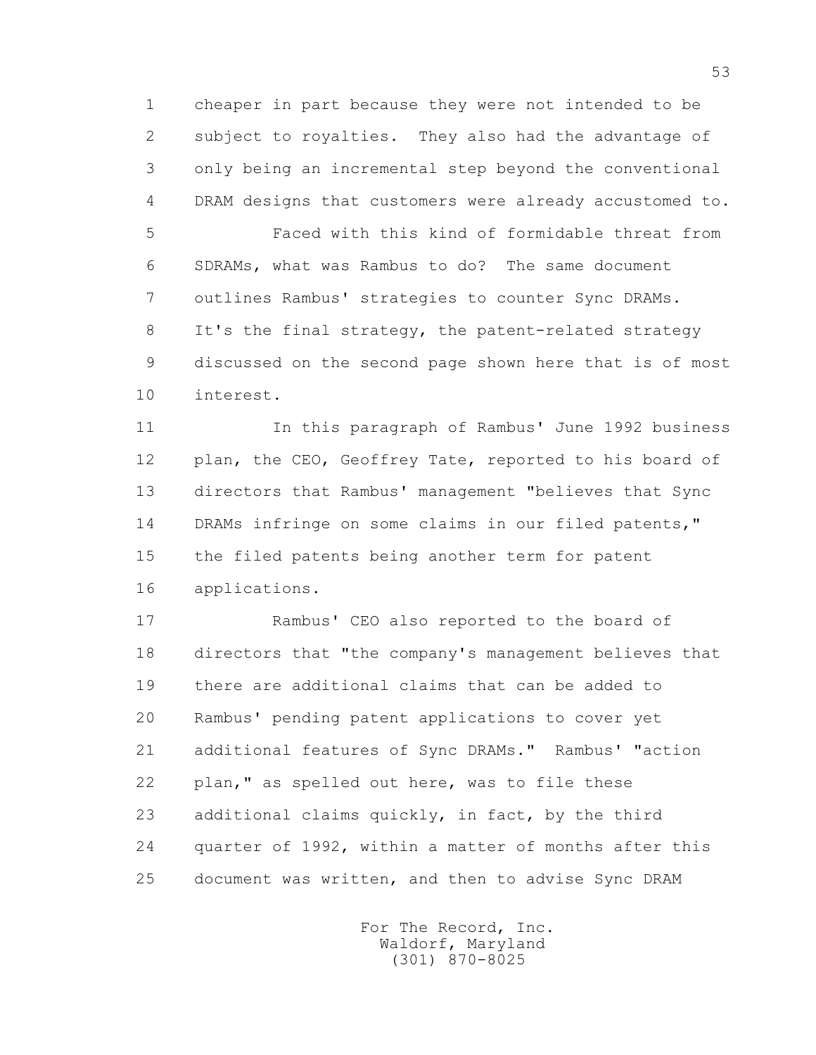1 cheaper in part because they were not intended to be 2 subject to royalties. They also had the advantage of 3 only being an incremental step beyond the conventional 4 DRAM designs that customers were already accustomed to.

 5 Faced with this kind of formidable threat from 6 SDRAMs, what was Rambus to do? The same document 7 outlines Rambus' strategies to counter Sync DRAMs. 8 It's the final strategy, the patent-related strategy 9 discussed on the second page shown here that is of most 10 interest.

 11 In this paragraph of Rambus' June 1992 business 12 plan, the CEO, Geoffrey Tate, reported to his board of 13 directors that Rambus' management "believes that Sync 14 DRAMs infringe on some claims in our filed patents," 15 the filed patents being another term for patent 16 applications.

 17 Rambus' CEO also reported to the board of 18 directors that "the company's management believes that 19 there are additional claims that can be added to 20 Rambus' pending patent applications to cover yet 21 additional features of Sync DRAMs." Rambus' "action 22 plan," as spelled out here, was to file these 23 additional claims quickly, in fact, by the third 24 quarter of 1992, within a matter of months after this 25 document was written, and then to advise Sync DRAM

> For The Record, Inc. Waldorf, Maryland (301) 870-8025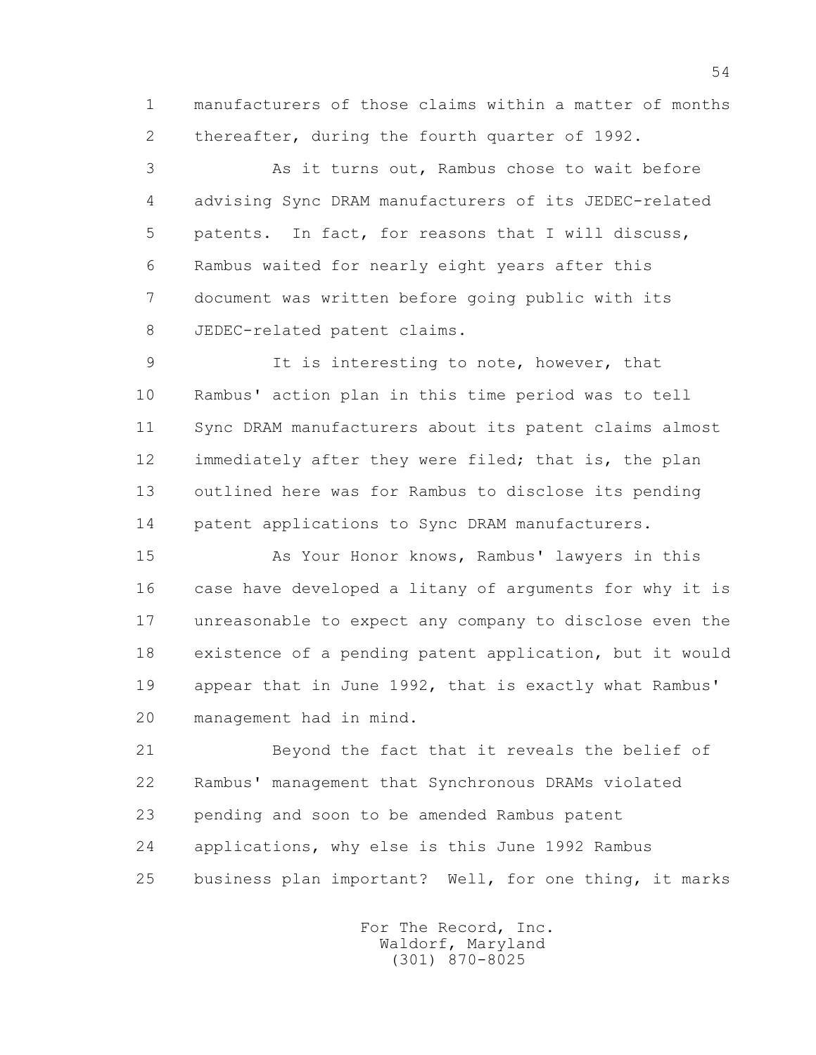1 manufacturers of those claims within a matter of months 2 thereafter, during the fourth quarter of 1992.

 3 As it turns out, Rambus chose to wait before 4 advising Sync DRAM manufacturers of its JEDEC-related 5 patents. In fact, for reasons that I will discuss, 6 Rambus waited for nearly eight years after this 7 document was written before going public with its 8 JEDEC-related patent claims.

 9 It is interesting to note, however, that 10 Rambus' action plan in this time period was to tell 11 Sync DRAM manufacturers about its patent claims almost 12 immediately after they were filed; that is, the plan 13 outlined here was for Rambus to disclose its pending 14 patent applications to Sync DRAM manufacturers.

 15 As Your Honor knows, Rambus' lawyers in this 16 case have developed a litany of arguments for why it is 17 unreasonable to expect any company to disclose even the 18 existence of a pending patent application, but it would 19 appear that in June 1992, that is exactly what Rambus' 20 management had in mind.

 21 Beyond the fact that it reveals the belief of 22 Rambus' management that Synchronous DRAMs violated 23 pending and soon to be amended Rambus patent 24 applications, why else is this June 1992 Rambus 25 business plan important? Well, for one thing, it marks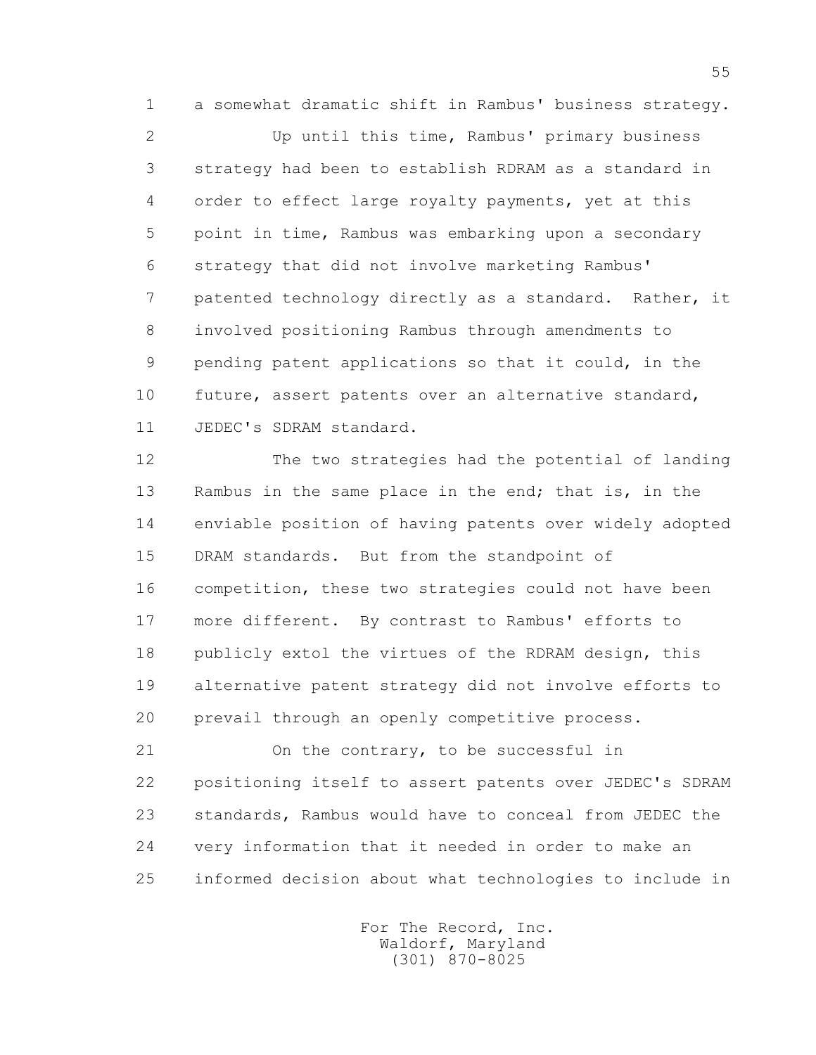1 a somewhat dramatic shift in Rambus' business strategy.

 2 Up until this time, Rambus' primary business 3 strategy had been to establish RDRAM as a standard in 4 order to effect large royalty payments, yet at this 5 point in time, Rambus was embarking upon a secondary 6 strategy that did not involve marketing Rambus' 7 patented technology directly as a standard. Rather, it 8 involved positioning Rambus through amendments to 9 pending patent applications so that it could, in the 10 future, assert patents over an alternative standard, 11 JEDEC's SDRAM standard.

 12 The two strategies had the potential of landing 13 Rambus in the same place in the end; that is, in the 14 enviable position of having patents over widely adopted 15 DRAM standards. But from the standpoint of 16 competition, these two strategies could not have been 17 more different. By contrast to Rambus' efforts to 18 publicly extol the virtues of the RDRAM design, this 19 alternative patent strategy did not involve efforts to 20 prevail through an openly competitive process.

 21 On the contrary, to be successful in 22 positioning itself to assert patents over JEDEC's SDRAM 23 standards, Rambus would have to conceal from JEDEC the 24 very information that it needed in order to make an 25 informed decision about what technologies to include in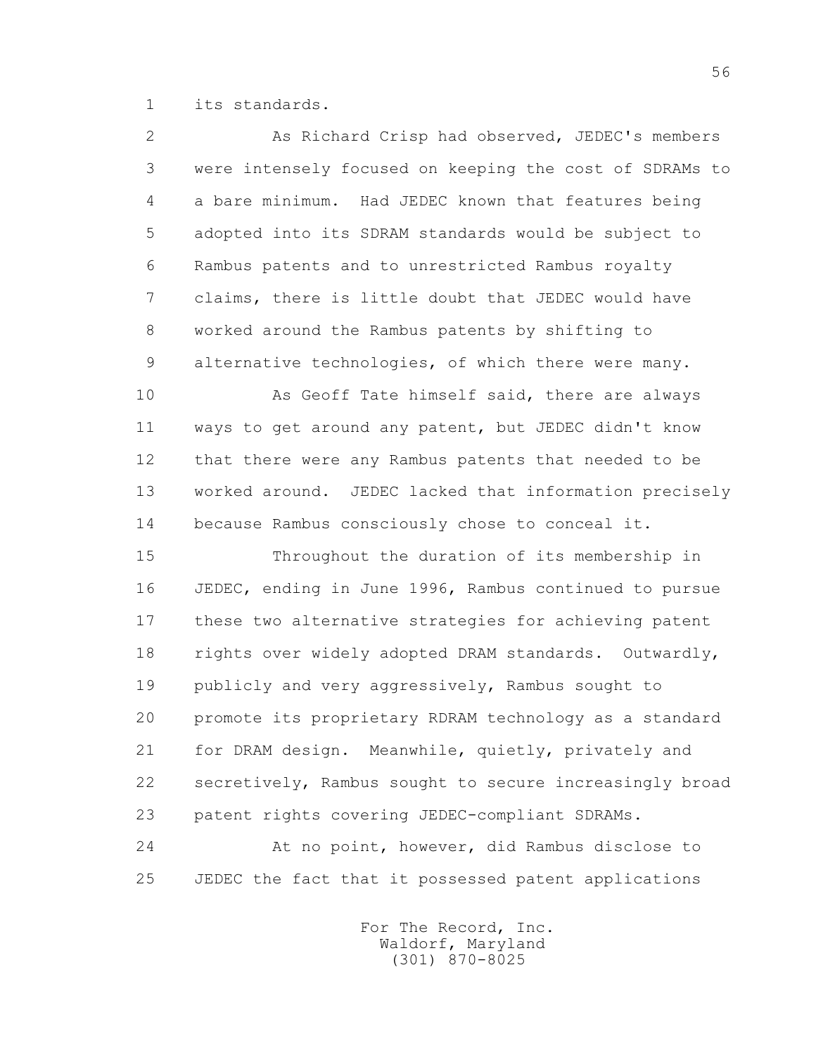1 its standards.

 2 As Richard Crisp had observed, JEDEC's members 3 were intensely focused on keeping the cost of SDRAMs to 4 a bare minimum. Had JEDEC known that features being 5 adopted into its SDRAM standards would be subject to 6 Rambus patents and to unrestricted Rambus royalty 7 claims, there is little doubt that JEDEC would have 8 worked around the Rambus patents by shifting to 9 alternative technologies, of which there were many. 10 As Geoff Tate himself said, there are always 11 ways to get around any patent, but JEDEC didn't know 12 that there were any Rambus patents that needed to be 13 worked around. JEDEC lacked that information precisely 14 because Rambus consciously chose to conceal it. 15 Throughout the duration of its membership in 16 JEDEC, ending in June 1996, Rambus continued to pursue

 17 these two alternative strategies for achieving patent 18 rights over widely adopted DRAM standards. Outwardly, 19 publicly and very aggressively, Rambus sought to 20 promote its proprietary RDRAM technology as a standard 21 for DRAM design. Meanwhile, quietly, privately and 22 secretively, Rambus sought to secure increasingly broad 23 patent rights covering JEDEC-compliant SDRAMs.

 24 At no point, however, did Rambus disclose to 25 JEDEC the fact that it possessed patent applications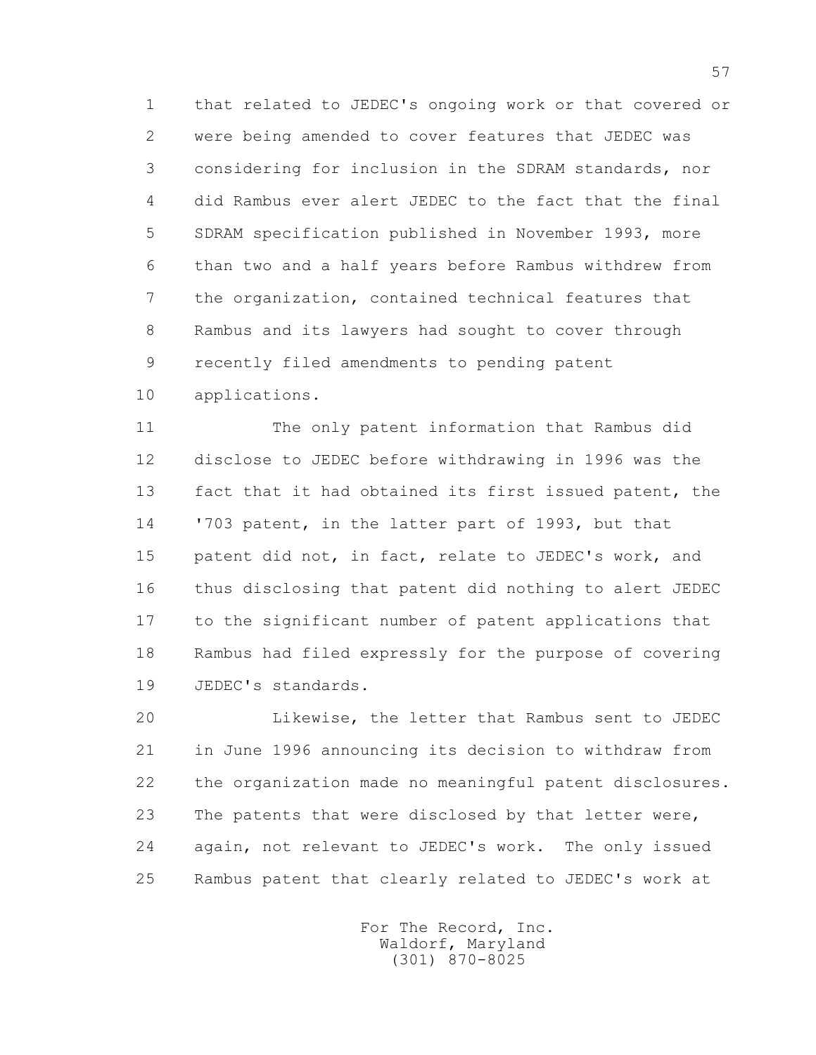1 that related to JEDEC's ongoing work or that covered or 2 were being amended to cover features that JEDEC was 3 considering for inclusion in the SDRAM standards, nor 4 did Rambus ever alert JEDEC to the fact that the final 5 SDRAM specification published in November 1993, more 6 than two and a half years before Rambus withdrew from 7 the organization, contained technical features that 8 Rambus and its lawyers had sought to cover through 9 recently filed amendments to pending patent

10 applications.

 11 The only patent information that Rambus did 12 disclose to JEDEC before withdrawing in 1996 was the 13 fact that it had obtained its first issued patent, the 14 '703 patent, in the latter part of 1993, but that 15 patent did not, in fact, relate to JEDEC's work, and 16 thus disclosing that patent did nothing to alert JEDEC 17 to the significant number of patent applications that 18 Rambus had filed expressly for the purpose of covering 19 JEDEC's standards.

 20 Likewise, the letter that Rambus sent to JEDEC 21 in June 1996 announcing its decision to withdraw from 22 the organization made no meaningful patent disclosures. 23 The patents that were disclosed by that letter were, 24 again, not relevant to JEDEC's work. The only issued 25 Rambus patent that clearly related to JEDEC's work at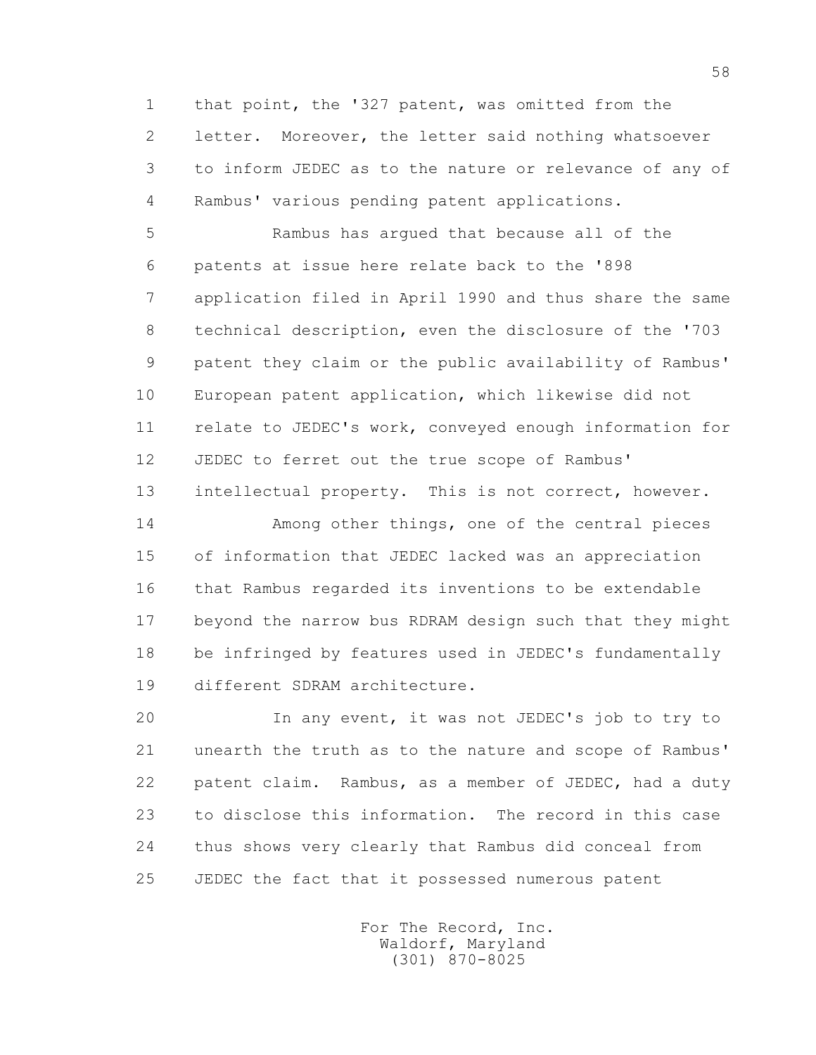1 that point, the '327 patent, was omitted from the 2 letter. Moreover, the letter said nothing whatsoever 3 to inform JEDEC as to the nature or relevance of any of 4 Rambus' various pending patent applications.

 5 Rambus has argued that because all of the 6 patents at issue here relate back to the '898 7 application filed in April 1990 and thus share the same 8 technical description, even the disclosure of the '703 9 patent they claim or the public availability of Rambus' 10 European patent application, which likewise did not 11 relate to JEDEC's work, conveyed enough information for 12 JEDEC to ferret out the true scope of Rambus' 13 intellectual property. This is not correct, however.

 14 Among other things, one of the central pieces 15 of information that JEDEC lacked was an appreciation 16 that Rambus regarded its inventions to be extendable 17 beyond the narrow bus RDRAM design such that they might 18 be infringed by features used in JEDEC's fundamentally 19 different SDRAM architecture.

 20 In any event, it was not JEDEC's job to try to 21 unearth the truth as to the nature and scope of Rambus' 22 patent claim. Rambus, as a member of JEDEC, had a duty 23 to disclose this information. The record in this case 24 thus shows very clearly that Rambus did conceal from 25 JEDEC the fact that it possessed numerous patent

> For The Record, Inc. Waldorf, Maryland (301) 870-8025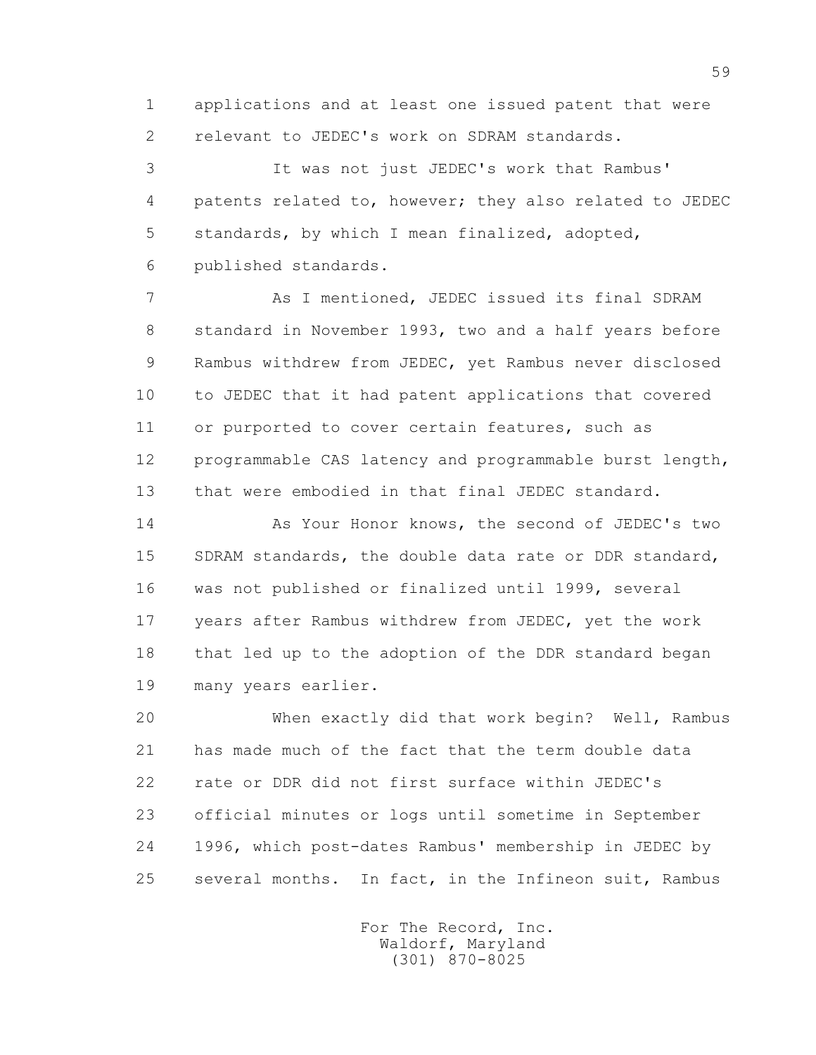1 applications and at least one issued patent that were 2 relevant to JEDEC's work on SDRAM standards.

 3 It was not just JEDEC's work that Rambus' 4 patents related to, however; they also related to JEDEC 5 standards, by which I mean finalized, adopted, 6 published standards.

 7 As I mentioned, JEDEC issued its final SDRAM 8 standard in November 1993, two and a half years before 9 Rambus withdrew from JEDEC, yet Rambus never disclosed 10 to JEDEC that it had patent applications that covered 11 or purported to cover certain features, such as 12 programmable CAS latency and programmable burst length, 13 that were embodied in that final JEDEC standard.

 14 As Your Honor knows, the second of JEDEC's two 15 SDRAM standards, the double data rate or DDR standard, 16 was not published or finalized until 1999, several 17 years after Rambus withdrew from JEDEC, yet the work 18 that led up to the adoption of the DDR standard began 19 many years earlier.

 20 When exactly did that work begin? Well, Rambus 21 has made much of the fact that the term double data 22 rate or DDR did not first surface within JEDEC's 23 official minutes or logs until sometime in September 24 1996, which post-dates Rambus' membership in JEDEC by 25 several months. In fact, in the Infineon suit, Rambus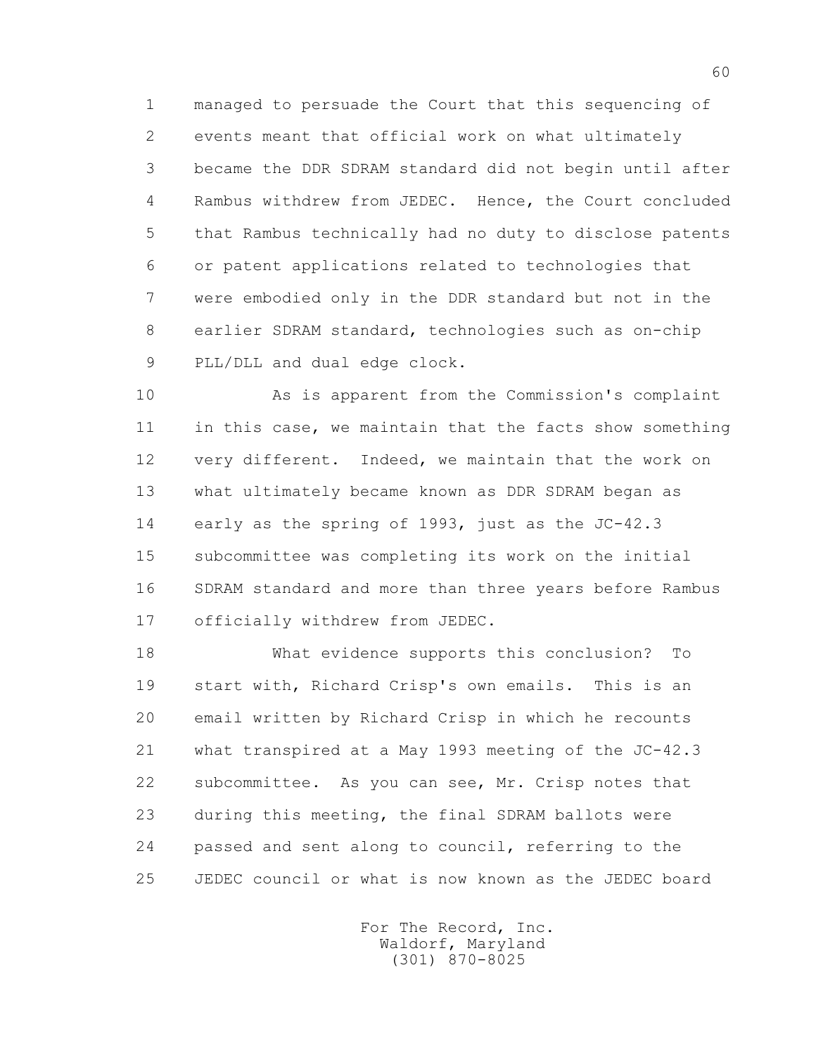1 managed to persuade the Court that this sequencing of 2 events meant that official work on what ultimately 3 became the DDR SDRAM standard did not begin until after 4 Rambus withdrew from JEDEC. Hence, the Court concluded 5 that Rambus technically had no duty to disclose patents 6 or patent applications related to technologies that 7 were embodied only in the DDR standard but not in the 8 earlier SDRAM standard, technologies such as on-chip 9 PLL/DLL and dual edge clock.

 10 As is apparent from the Commission's complaint 11 in this case, we maintain that the facts show something 12 very different. Indeed, we maintain that the work on 13 what ultimately became known as DDR SDRAM began as 14 early as the spring of 1993, just as the JC-42.3 15 subcommittee was completing its work on the initial 16 SDRAM standard and more than three years before Rambus 17 officially withdrew from JEDEC.

 18 What evidence supports this conclusion? To 19 start with, Richard Crisp's own emails. This is an 20 email written by Richard Crisp in which he recounts 21 what transpired at a May 1993 meeting of the JC-42.3 22 subcommittee. As you can see, Mr. Crisp notes that 23 during this meeting, the final SDRAM ballots were 24 passed and sent along to council, referring to the 25 JEDEC council or what is now known as the JEDEC board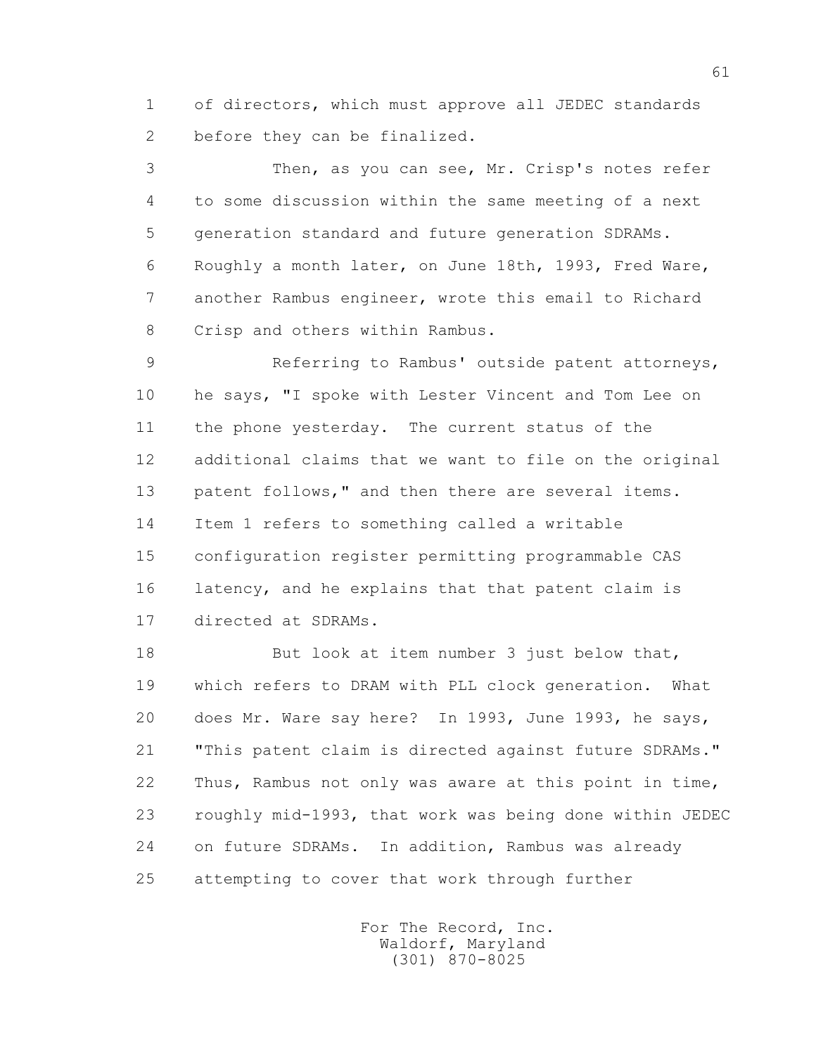1 of directors, which must approve all JEDEC standards 2 before they can be finalized.

 3 Then, as you can see, Mr. Crisp's notes refer 4 to some discussion within the same meeting of a next 5 generation standard and future generation SDRAMs. 6 Roughly a month later, on June 18th, 1993, Fred Ware, 7 another Rambus engineer, wrote this email to Richard 8 Crisp and others within Rambus.

 9 Referring to Rambus' outside patent attorneys, 10 he says, "I spoke with Lester Vincent and Tom Lee on 11 the phone yesterday. The current status of the 12 additional claims that we want to file on the original 13 patent follows," and then there are several items. 14 Item 1 refers to something called a writable 15 configuration register permitting programmable CAS 16 latency, and he explains that that patent claim is 17 directed at SDRAMs.

18 But look at item number 3 just below that, 19 which refers to DRAM with PLL clock generation. What 20 does Mr. Ware say here? In 1993, June 1993, he says, 21 "This patent claim is directed against future SDRAMs." 22 Thus, Rambus not only was aware at this point in time, 23 roughly mid-1993, that work was being done within JEDEC 24 on future SDRAMs. In addition, Rambus was already 25 attempting to cover that work through further

> For The Record, Inc. Waldorf, Maryland (301) 870-8025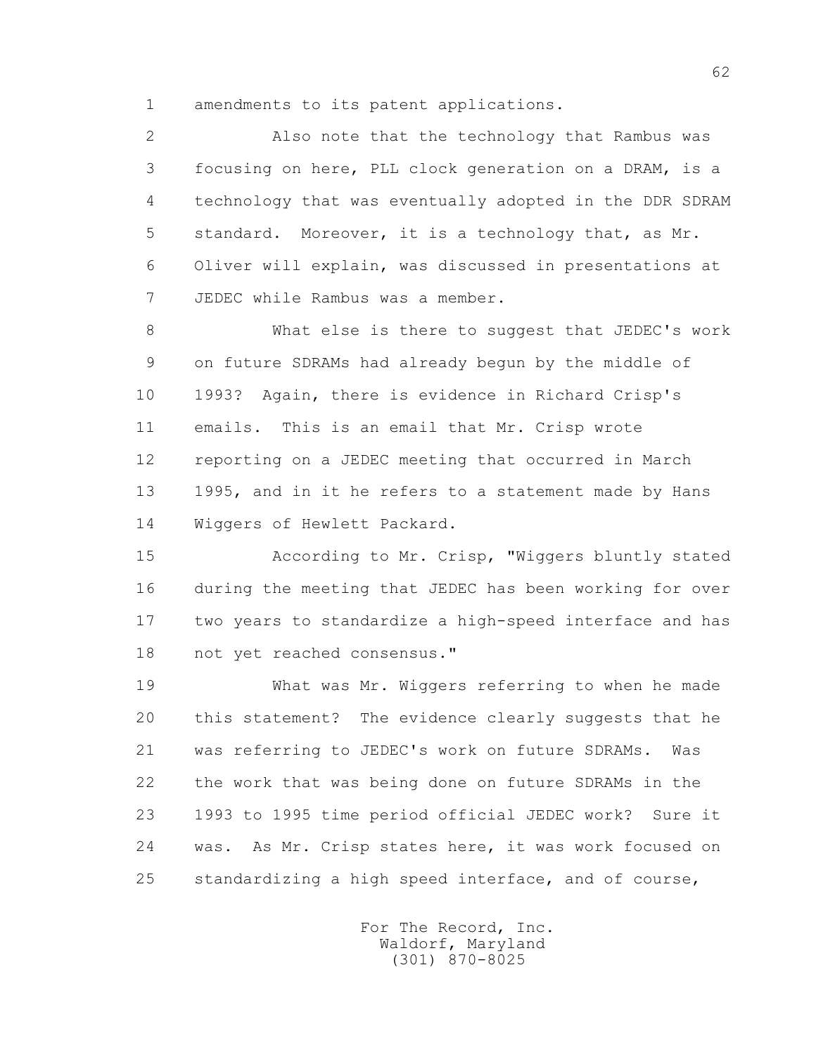1 amendments to its patent applications.

 2 Also note that the technology that Rambus was 3 focusing on here, PLL clock generation on a DRAM, is a 4 technology that was eventually adopted in the DDR SDRAM 5 standard. Moreover, it is a technology that, as Mr. 6 Oliver will explain, was discussed in presentations at 7 JEDEC while Rambus was a member.

 8 What else is there to suggest that JEDEC's work 9 on future SDRAMs had already begun by the middle of 10 1993? Again, there is evidence in Richard Crisp's 11 emails. This is an email that Mr. Crisp wrote 12 reporting on a JEDEC meeting that occurred in March 13 1995, and in it he refers to a statement made by Hans 14 Wiggers of Hewlett Packard.

 15 According to Mr. Crisp, "Wiggers bluntly stated 16 during the meeting that JEDEC has been working for over 17 two years to standardize a high-speed interface and has 18 not yet reached consensus."

 19 What was Mr. Wiggers referring to when he made 20 this statement? The evidence clearly suggests that he 21 was referring to JEDEC's work on future SDRAMs. Was 22 the work that was being done on future SDRAMs in the 23 1993 to 1995 time period official JEDEC work? Sure it 24 was. As Mr. Crisp states here, it was work focused on 25 standardizing a high speed interface, and of course,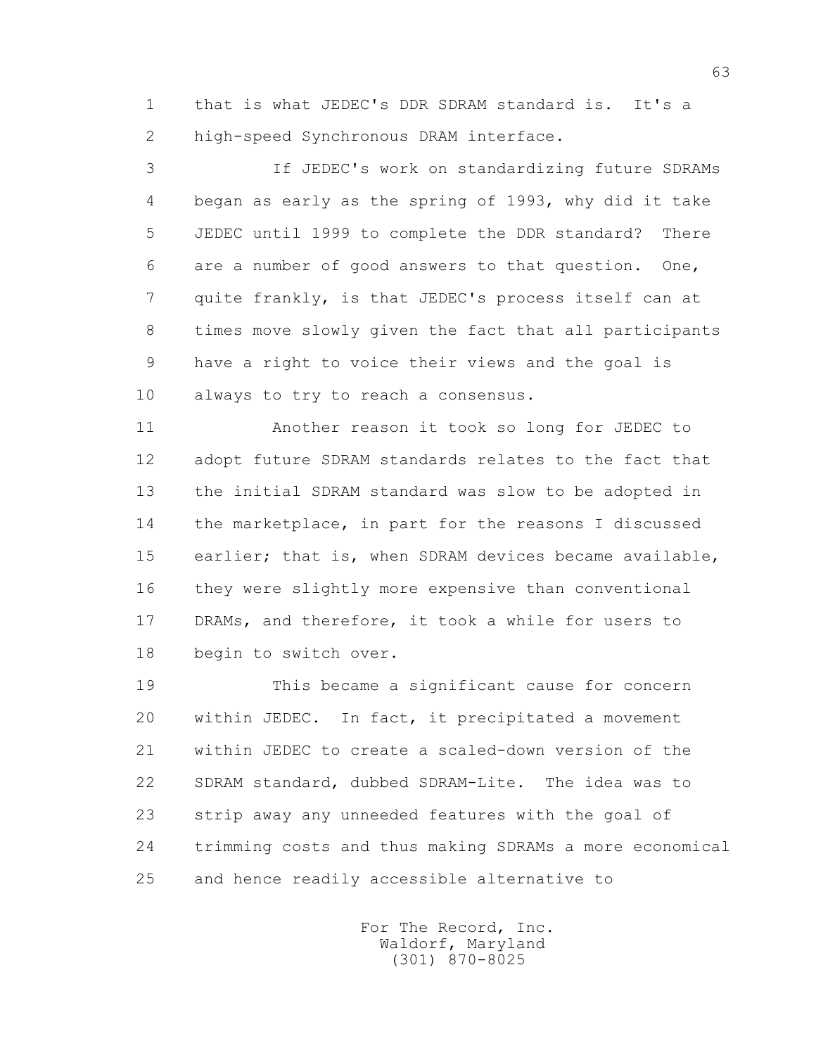1 that is what JEDEC's DDR SDRAM standard is. It's a 2 high-speed Synchronous DRAM interface.

 3 If JEDEC's work on standardizing future SDRAMs 4 began as early as the spring of 1993, why did it take 5 JEDEC until 1999 to complete the DDR standard? There 6 are a number of good answers to that question. One, 7 quite frankly, is that JEDEC's process itself can at 8 times move slowly given the fact that all participants 9 have a right to voice their views and the goal is 10 always to try to reach a consensus.

 11 Another reason it took so long for JEDEC to 12 adopt future SDRAM standards relates to the fact that 13 the initial SDRAM standard was slow to be adopted in 14 the marketplace, in part for the reasons I discussed 15 earlier; that is, when SDRAM devices became available, 16 they were slightly more expensive than conventional 17 DRAMs, and therefore, it took a while for users to 18 begin to switch over.

 19 This became a significant cause for concern 20 within JEDEC. In fact, it precipitated a movement 21 within JEDEC to create a scaled-down version of the 22 SDRAM standard, dubbed SDRAM-Lite. The idea was to 23 strip away any unneeded features with the goal of 24 trimming costs and thus making SDRAMs a more economical 25 and hence readily accessible alternative to

> For The Record, Inc. Waldorf, Maryland (301) 870-8025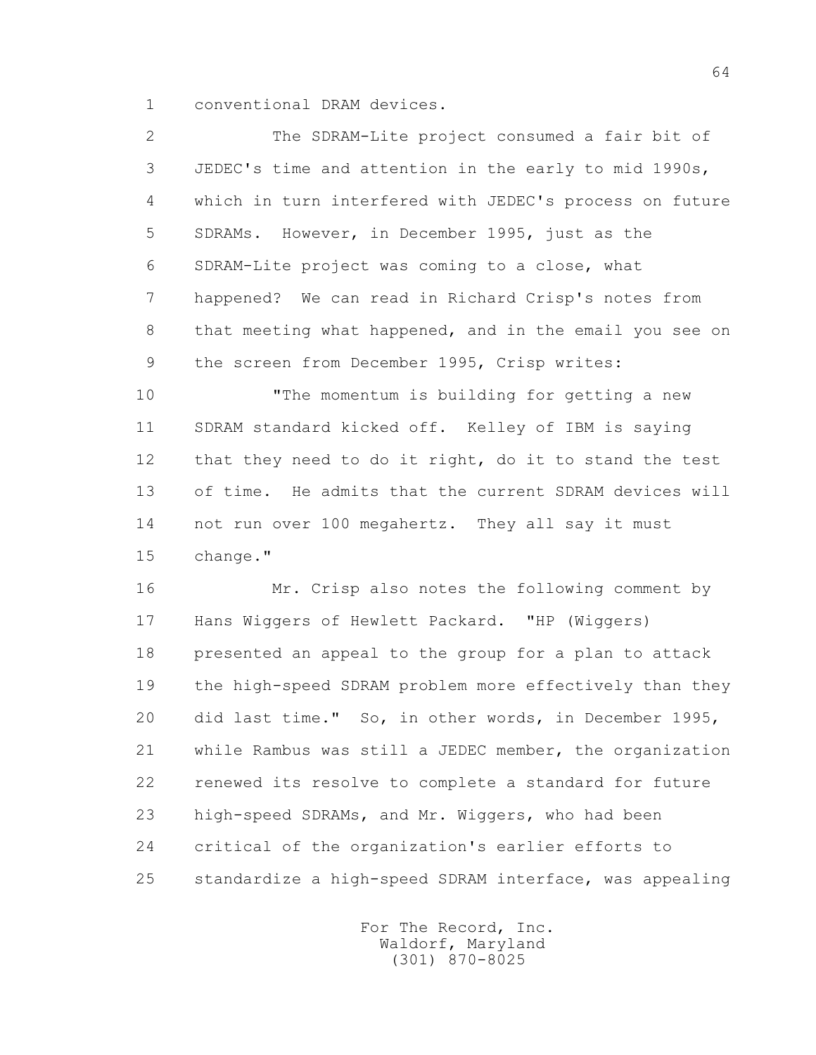1 conventional DRAM devices.

 2 The SDRAM-Lite project consumed a fair bit of 3 JEDEC's time and attention in the early to mid 1990s, 4 which in turn interfered with JEDEC's process on future 5 SDRAMs. However, in December 1995, just as the 6 SDRAM-Lite project was coming to a close, what 7 happened? We can read in Richard Crisp's notes from 8 that meeting what happened, and in the email you see on 9 the screen from December 1995, Crisp writes:

 10 "The momentum is building for getting a new 11 SDRAM standard kicked off. Kelley of IBM is saying 12 that they need to do it right, do it to stand the test 13 of time. He admits that the current SDRAM devices will 14 not run over 100 megahertz. They all say it must 15 change."

 16 Mr. Crisp also notes the following comment by 17 Hans Wiggers of Hewlett Packard. "HP (Wiggers) 18 presented an appeal to the group for a plan to attack 19 the high-speed SDRAM problem more effectively than they 20 did last time." So, in other words, in December 1995, 21 while Rambus was still a JEDEC member, the organization 22 renewed its resolve to complete a standard for future 23 high-speed SDRAMs, and Mr. Wiggers, who had been 24 critical of the organization's earlier efforts to 25 standardize a high-speed SDRAM interface, was appealing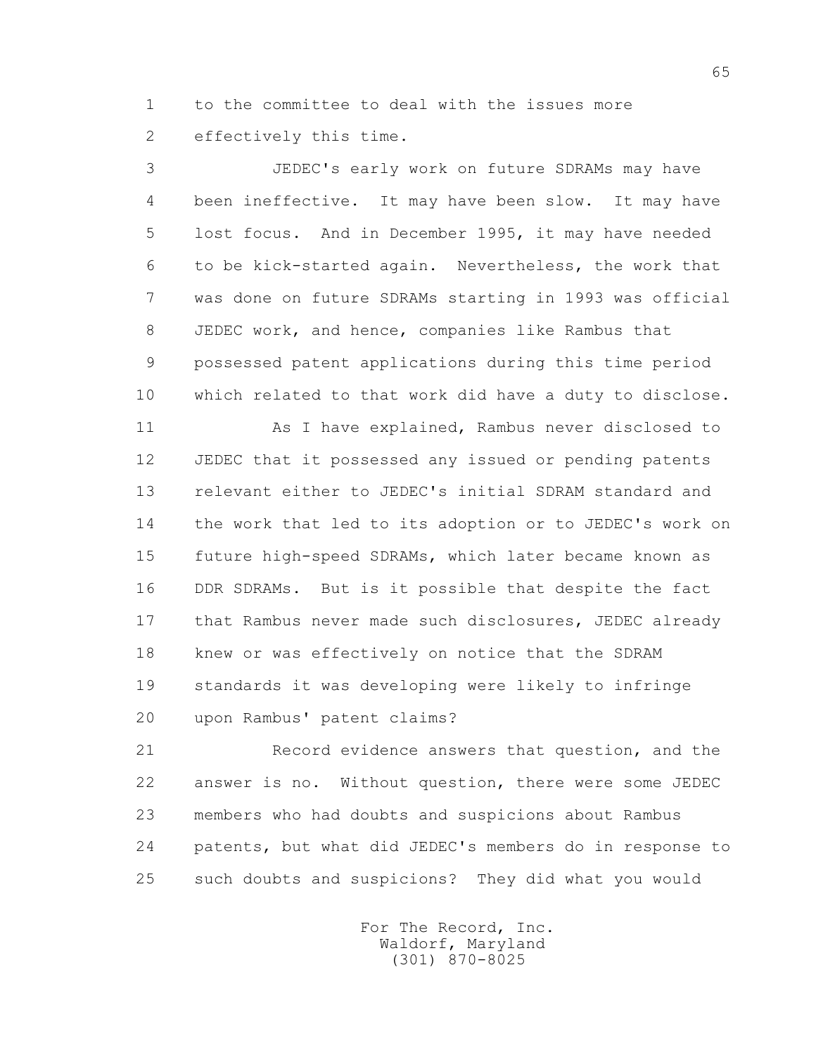1 to the committee to deal with the issues more 2 effectively this time.

 3 JEDEC's early work on future SDRAMs may have 4 been ineffective. It may have been slow. It may have 5 lost focus. And in December 1995, it may have needed 6 to be kick-started again. Nevertheless, the work that 7 was done on future SDRAMs starting in 1993 was official 8 JEDEC work, and hence, companies like Rambus that 9 possessed patent applications during this time period 10 which related to that work did have a duty to disclose.

11 As I have explained, Rambus never disclosed to 12 JEDEC that it possessed any issued or pending patents 13 relevant either to JEDEC's initial SDRAM standard and 14 the work that led to its adoption or to JEDEC's work on 15 future high-speed SDRAMs, which later became known as 16 DDR SDRAMs. But is it possible that despite the fact 17 that Rambus never made such disclosures, JEDEC already 18 knew or was effectively on notice that the SDRAM 19 standards it was developing were likely to infringe 20 upon Rambus' patent claims?

21 Record evidence answers that question, and the 22 answer is no. Without question, there were some JEDEC 23 members who had doubts and suspicions about Rambus 24 patents, but what did JEDEC's members do in response to 25 such doubts and suspicions? They did what you would

> For The Record, Inc. Waldorf, Maryland (301) 870-8025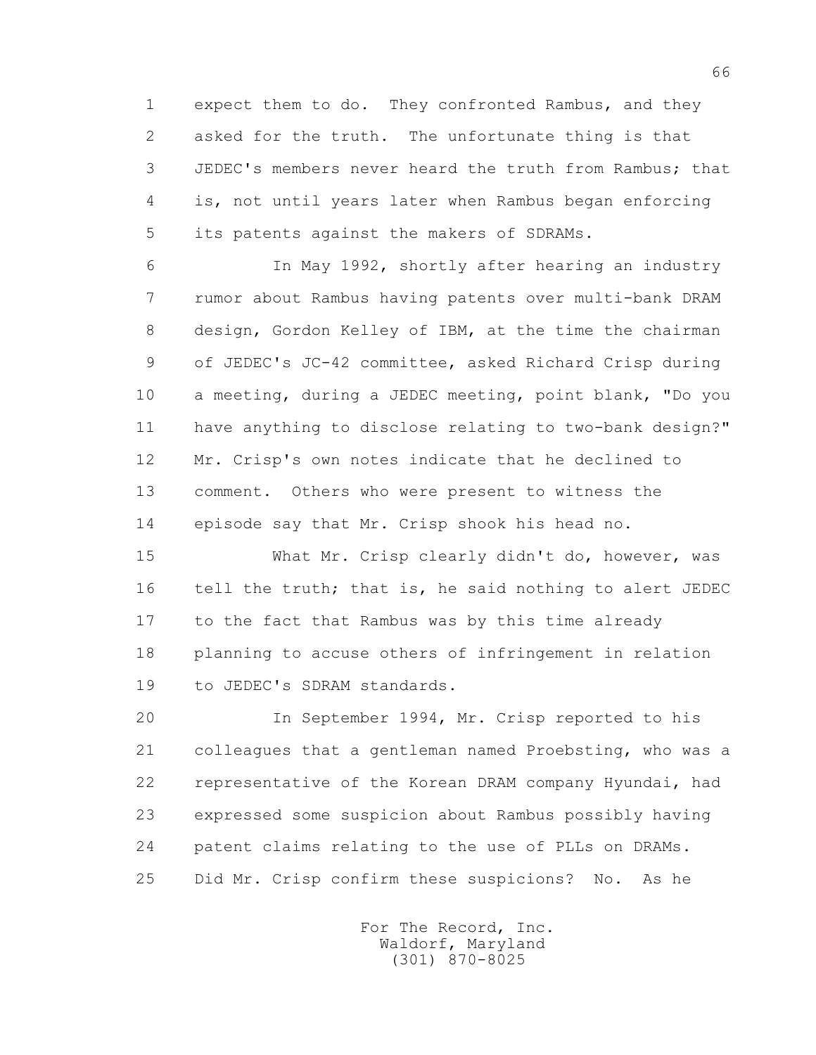1 expect them to do. They confronted Rambus, and they 2 asked for the truth. The unfortunate thing is that 3 JEDEC's members never heard the truth from Rambus; that 4 is, not until years later when Rambus began enforcing 5 its patents against the makers of SDRAMs.

 6 In May 1992, shortly after hearing an industry 7 rumor about Rambus having patents over multi-bank DRAM 8 design, Gordon Kelley of IBM, at the time the chairman 9 of JEDEC's JC-42 committee, asked Richard Crisp during 10 a meeting, during a JEDEC meeting, point blank, "Do you 11 have anything to disclose relating to two-bank design?" 12 Mr. Crisp's own notes indicate that he declined to 13 comment. Others who were present to witness the 14 episode say that Mr. Crisp shook his head no.

15 What Mr. Crisp clearly didn't do, however, was 16 tell the truth; that is, he said nothing to alert JEDEC 17 to the fact that Rambus was by this time already 18 planning to accuse others of infringement in relation 19 to JEDEC's SDRAM standards.

 20 In September 1994, Mr. Crisp reported to his 21 colleagues that a gentleman named Proebsting, who was a 22 representative of the Korean DRAM company Hyundai, had 23 expressed some suspicion about Rambus possibly having 24 patent claims relating to the use of PLLs on DRAMs. 25 Did Mr. Crisp confirm these suspicions? No. As he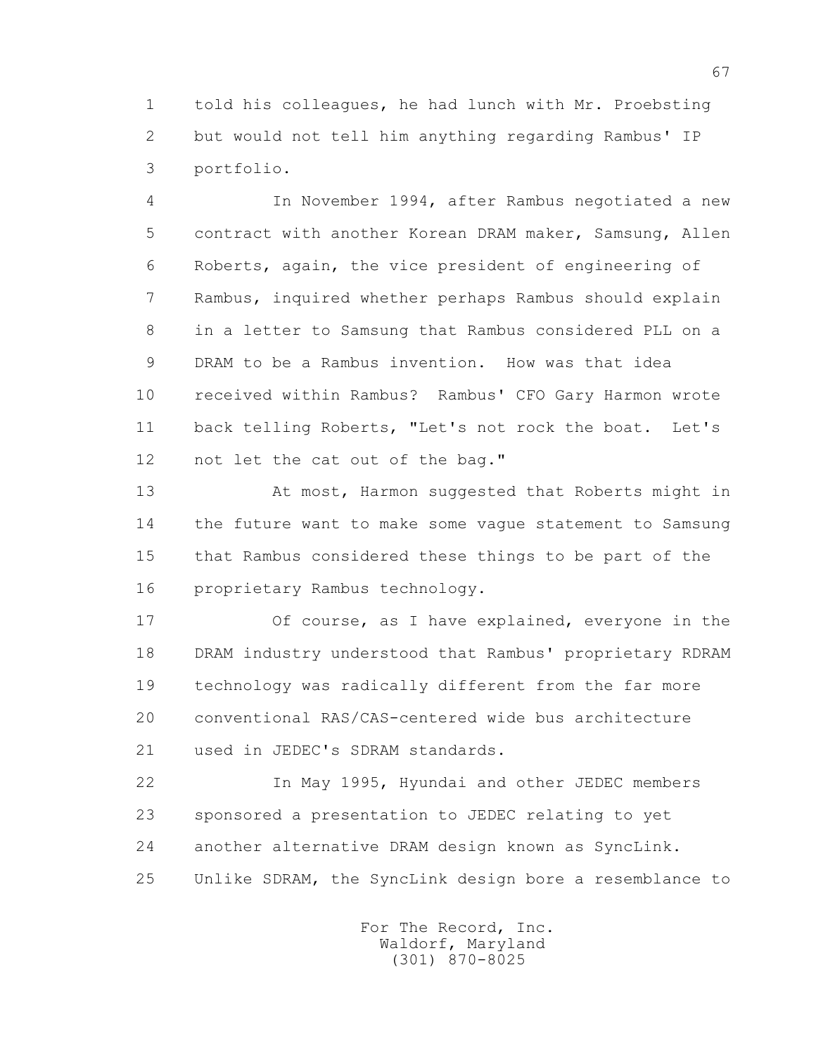1 told his colleagues, he had lunch with Mr. Proebsting 2 but would not tell him anything regarding Rambus' IP 3 portfolio.

 4 In November 1994, after Rambus negotiated a new 5 contract with another Korean DRAM maker, Samsung, Allen 6 Roberts, again, the vice president of engineering of 7 Rambus, inquired whether perhaps Rambus should explain 8 in a letter to Samsung that Rambus considered PLL on a 9 DRAM to be a Rambus invention. How was that idea 10 received within Rambus? Rambus' CFO Gary Harmon wrote 11 back telling Roberts, "Let's not rock the boat. Let's 12 not let the cat out of the bag."

13 At most, Harmon suggested that Roberts might in 14 the future want to make some vague statement to Samsung 15 that Rambus considered these things to be part of the 16 proprietary Rambus technology.

 17 Of course, as I have explained, everyone in the 18 DRAM industry understood that Rambus' proprietary RDRAM 19 technology was radically different from the far more 20 conventional RAS/CAS-centered wide bus architecture 21 used in JEDEC's SDRAM standards.

 22 In May 1995, Hyundai and other JEDEC members 23 sponsored a presentation to JEDEC relating to yet 24 another alternative DRAM design known as SyncLink. 25 Unlike SDRAM, the SyncLink design bore a resemblance to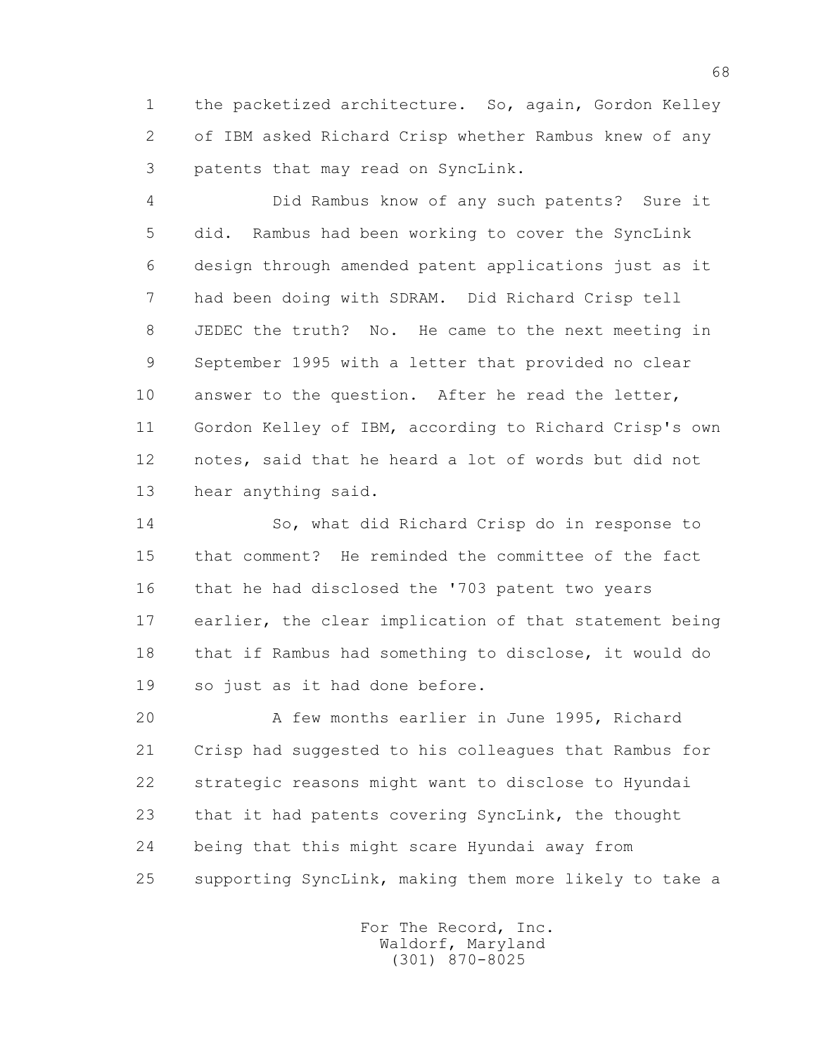1 the packetized architecture. So, again, Gordon Kelley 2 of IBM asked Richard Crisp whether Rambus knew of any 3 patents that may read on SyncLink.

 4 Did Rambus know of any such patents? Sure it 5 did. Rambus had been working to cover the SyncLink 6 design through amended patent applications just as it 7 had been doing with SDRAM. Did Richard Crisp tell 8 JEDEC the truth? No. He came to the next meeting in 9 September 1995 with a letter that provided no clear 10 answer to the question. After he read the letter, 11 Gordon Kelley of IBM, according to Richard Crisp's own 12 notes, said that he heard a lot of words but did not 13 hear anything said.

 14 So, what did Richard Crisp do in response to 15 that comment? He reminded the committee of the fact 16 that he had disclosed the '703 patent two years 17 earlier, the clear implication of that statement being 18 that if Rambus had something to disclose, it would do 19 so just as it had done before.

 20 A few months earlier in June 1995, Richard 21 Crisp had suggested to his colleagues that Rambus for 22 strategic reasons might want to disclose to Hyundai 23 that it had patents covering SyncLink, the thought 24 being that this might scare Hyundai away from 25 supporting SyncLink, making them more likely to take a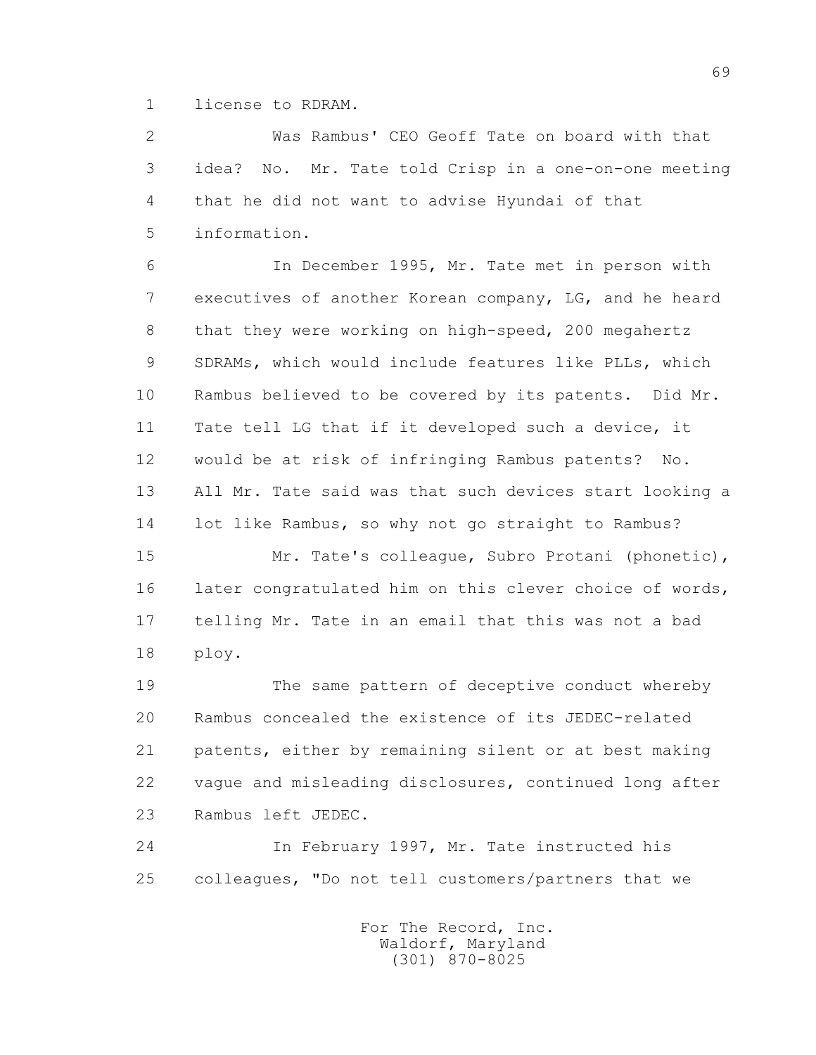1 license to RDRAM.

 2 Was Rambus' CEO Geoff Tate on board with that 3 idea? No. Mr. Tate told Crisp in a one-on-one meeting 4 that he did not want to advise Hyundai of that 5 information.

 6 In December 1995, Mr. Tate met in person with 7 executives of another Korean company, LG, and he heard 8 that they were working on high-speed, 200 megahertz 9 SDRAMs, which would include features like PLLs, which 10 Rambus believed to be covered by its patents. Did Mr. 11 Tate tell LG that if it developed such a device, it 12 would be at risk of infringing Rambus patents? No. 13 All Mr. Tate said was that such devices start looking a 14 lot like Rambus, so why not go straight to Rambus?

 15 Mr. Tate's colleague, Subro Protani (phonetic), 16 later congratulated him on this clever choice of words, 17 telling Mr. Tate in an email that this was not a bad 18 ploy.

 19 The same pattern of deceptive conduct whereby 20 Rambus concealed the existence of its JEDEC-related 21 patents, either by remaining silent or at best making 22 vague and misleading disclosures, continued long after 23 Rambus left JEDEC.

 24 In February 1997, Mr. Tate instructed his 25 colleagues, "Do not tell customers/partners that we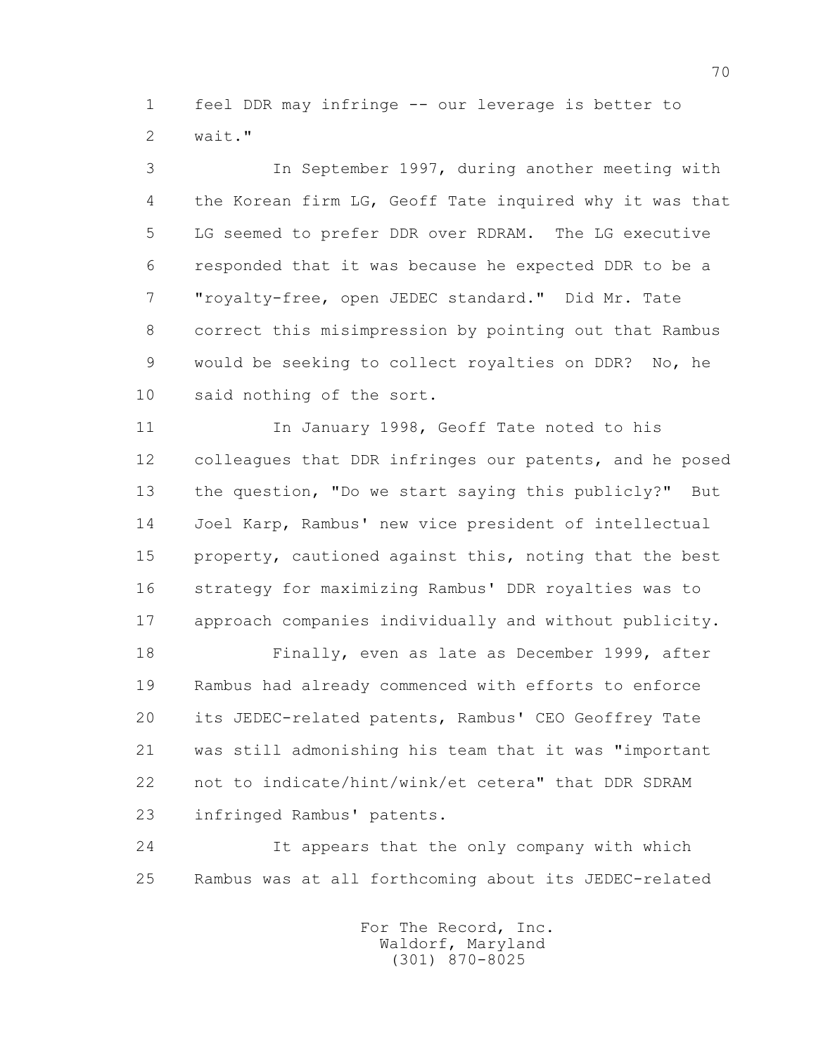1 feel DDR may infringe -- our leverage is better to 2 wait."

 3 In September 1997, during another meeting with 4 the Korean firm LG, Geoff Tate inquired why it was that 5 LG seemed to prefer DDR over RDRAM. The LG executive 6 responded that it was because he expected DDR to be a 7 "royalty-free, open JEDEC standard." Did Mr. Tate 8 correct this misimpression by pointing out that Rambus 9 would be seeking to collect royalties on DDR? No, he 10 said nothing of the sort.

 11 In January 1998, Geoff Tate noted to his 12 colleagues that DDR infringes our patents, and he posed 13 the question, "Do we start saying this publicly?" But 14 Joel Karp, Rambus' new vice president of intellectual 15 property, cautioned against this, noting that the best 16 strategy for maximizing Rambus' DDR royalties was to 17 approach companies individually and without publicity.

 18 Finally, even as late as December 1999, after 19 Rambus had already commenced with efforts to enforce 20 its JEDEC-related patents, Rambus' CEO Geoffrey Tate 21 was still admonishing his team that it was "important 22 not to indicate/hint/wink/et cetera" that DDR SDRAM 23 infringed Rambus' patents.

 24 It appears that the only company with which 25 Rambus was at all forthcoming about its JEDEC-related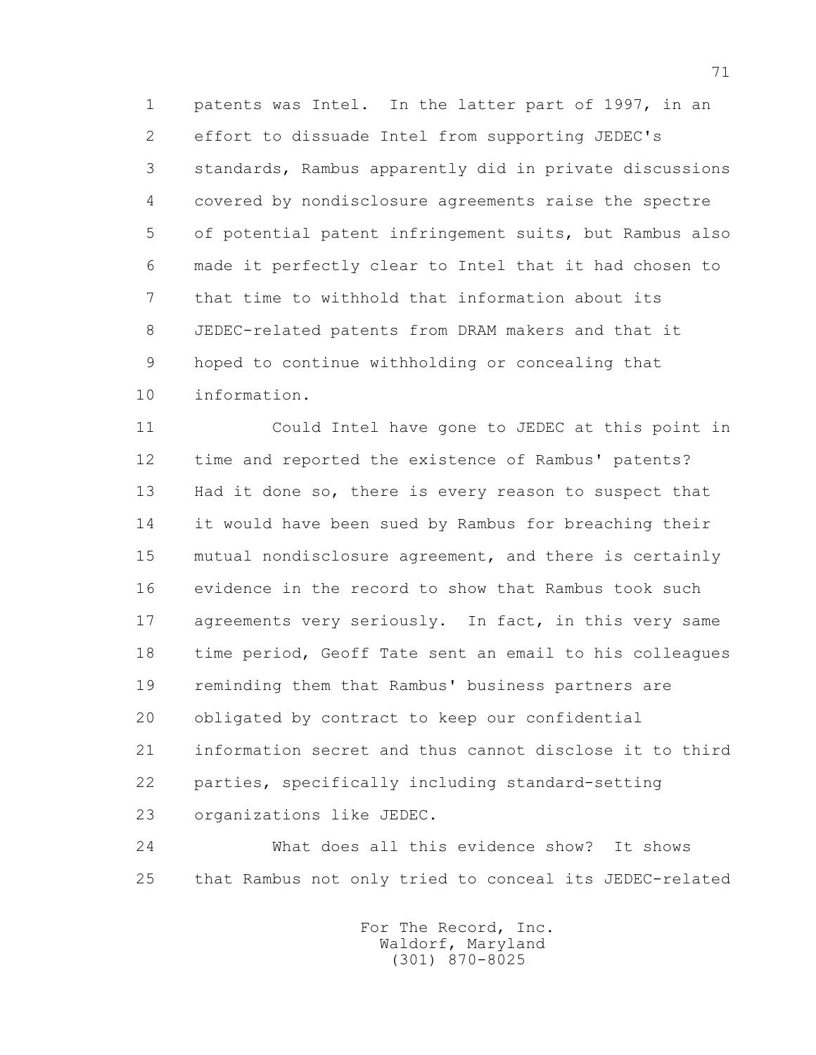1 patents was Intel. In the latter part of 1997, in an 2 effort to dissuade Intel from supporting JEDEC's 3 standards, Rambus apparently did in private discussions 4 covered by nondisclosure agreements raise the spectre 5 of potential patent infringement suits, but Rambus also 6 made it perfectly clear to Intel that it had chosen to 7 that time to withhold that information about its 8 JEDEC-related patents from DRAM makers and that it 9 hoped to continue withholding or concealing that 10 information.

 11 Could Intel have gone to JEDEC at this point in 12 time and reported the existence of Rambus' patents? 13 Had it done so, there is every reason to suspect that 14 it would have been sued by Rambus for breaching their 15 mutual nondisclosure agreement, and there is certainly 16 evidence in the record to show that Rambus took such 17 agreements very seriously. In fact, in this very same 18 time period, Geoff Tate sent an email to his colleagues 19 reminding them that Rambus' business partners are 20 obligated by contract to keep our confidential 21 information secret and thus cannot disclose it to third 22 parties, specifically including standard-setting 23 organizations like JEDEC.

 24 What does all this evidence show? It shows 25 that Rambus not only tried to conceal its JEDEC-related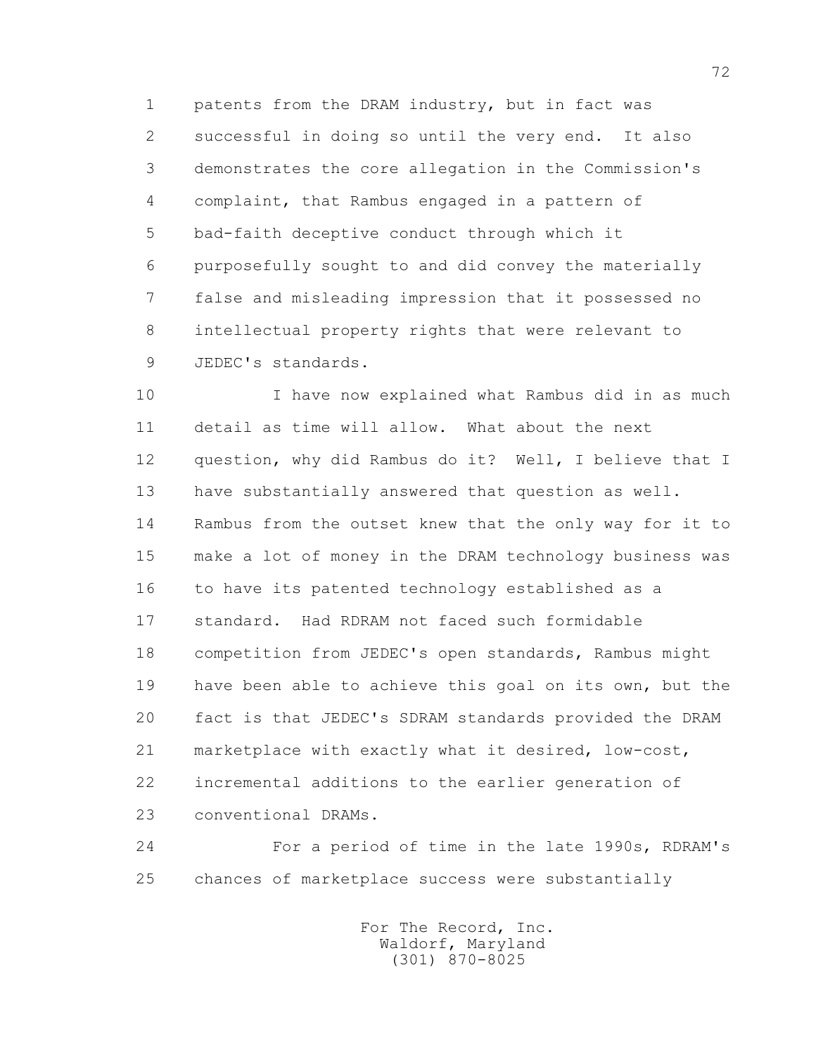1 patents from the DRAM industry, but in fact was 2 successful in doing so until the very end. It also 3 demonstrates the core allegation in the Commission's 4 complaint, that Rambus engaged in a pattern of 5 bad-faith deceptive conduct through which it 6 purposefully sought to and did convey the materially 7 false and misleading impression that it possessed no 8 intellectual property rights that were relevant to 9 JEDEC's standards.

 10 I have now explained what Rambus did in as much 11 detail as time will allow. What about the next 12 question, why did Rambus do it? Well, I believe that I 13 have substantially answered that question as well. 14 Rambus from the outset knew that the only way for it to 15 make a lot of money in the DRAM technology business was 16 to have its patented technology established as a 17 standard. Had RDRAM not faced such formidable 18 competition from JEDEC's open standards, Rambus might 19 have been able to achieve this goal on its own, but the 20 fact is that JEDEC's SDRAM standards provided the DRAM 21 marketplace with exactly what it desired, low-cost, 22 incremental additions to the earlier generation of 23 conventional DRAMs.

 24 For a period of time in the late 1990s, RDRAM's 25 chances of marketplace success were substantially

> For The Record, Inc. Waldorf, Maryland (301) 870-8025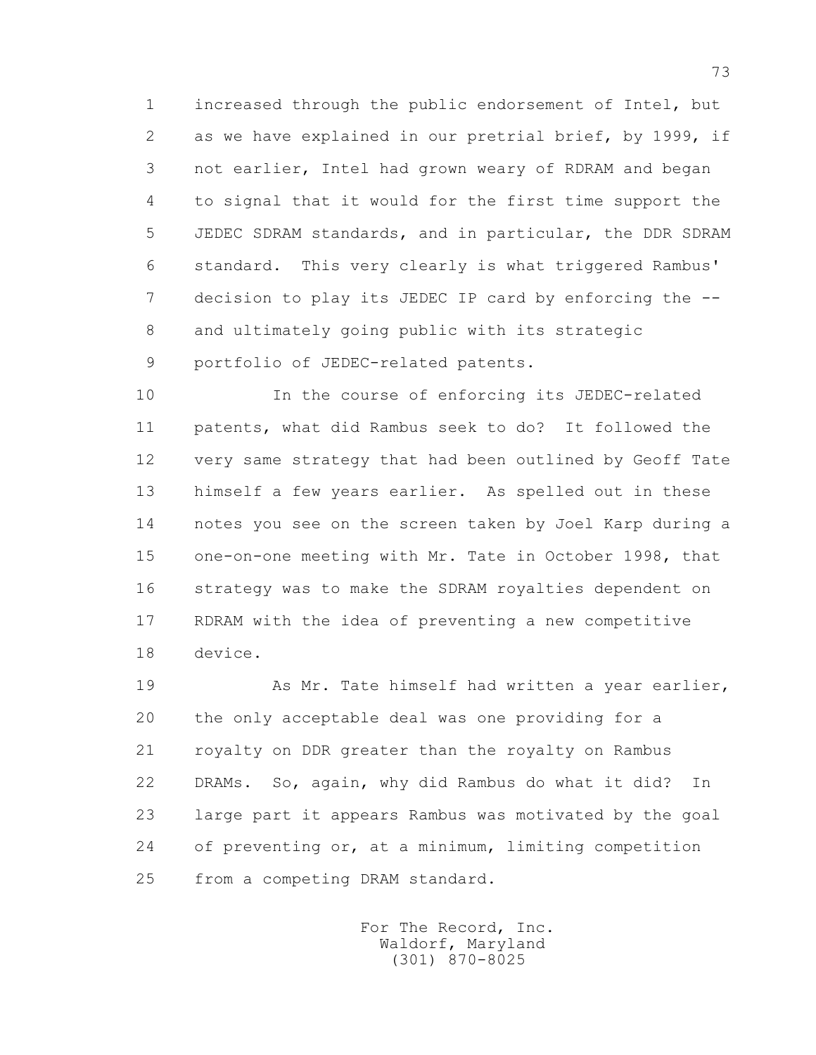1 increased through the public endorsement of Intel, but 2 as we have explained in our pretrial brief, by 1999, if 3 not earlier, Intel had grown weary of RDRAM and began 4 to signal that it would for the first time support the 5 JEDEC SDRAM standards, and in particular, the DDR SDRAM 6 standard. This very clearly is what triggered Rambus' 7 decision to play its JEDEC IP card by enforcing the -- 8 and ultimately going public with its strategic 9 portfolio of JEDEC-related patents.

 10 In the course of enforcing its JEDEC-related 11 patents, what did Rambus seek to do? It followed the 12 very same strategy that had been outlined by Geoff Tate 13 himself a few years earlier. As spelled out in these 14 notes you see on the screen taken by Joel Karp during a 15 one-on-one meeting with Mr. Tate in October 1998, that 16 strategy was to make the SDRAM royalties dependent on 17 RDRAM with the idea of preventing a new competitive 18 device.

 19 As Mr. Tate himself had written a year earlier, 20 the only acceptable deal was one providing for a 21 royalty on DDR greater than the royalty on Rambus 22 DRAMs. So, again, why did Rambus do what it did? In 23 large part it appears Rambus was motivated by the goal 24 of preventing or, at a minimum, limiting competition 25 from a competing DRAM standard.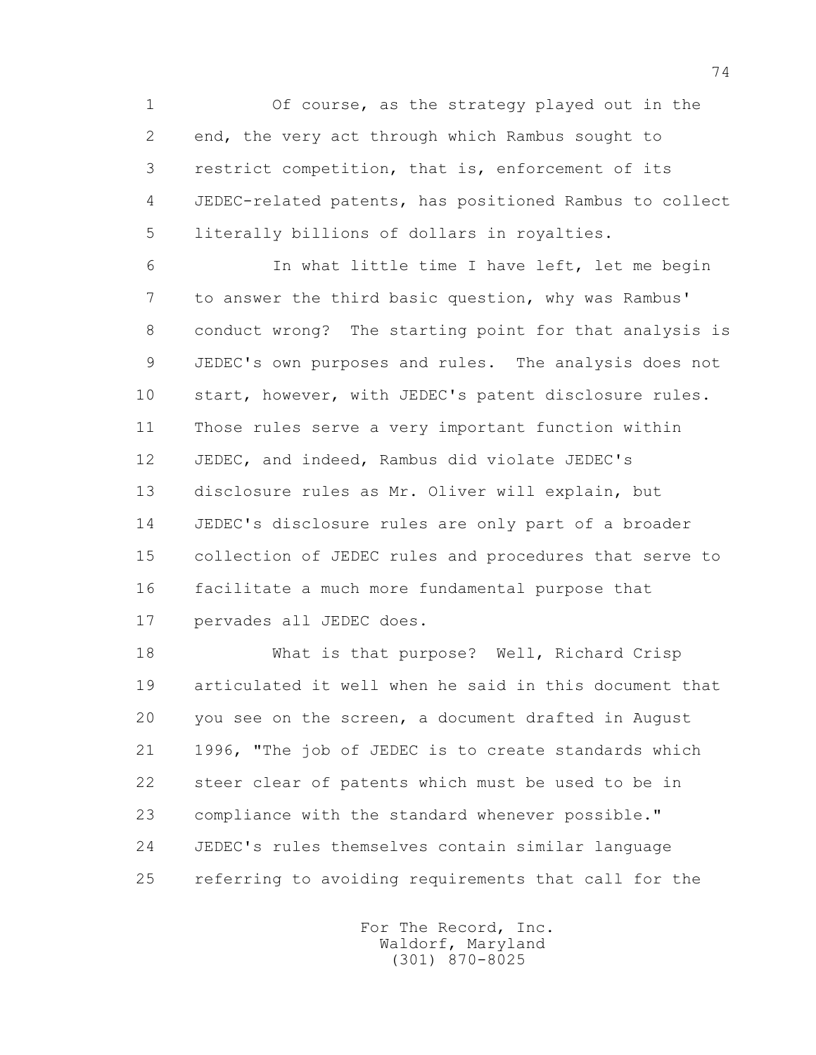1 Of course, as the strategy played out in the 2 end, the very act through which Rambus sought to 3 restrict competition, that is, enforcement of its 4 JEDEC-related patents, has positioned Rambus to collect 5 literally billions of dollars in royalties.

 6 In what little time I have left, let me begin 7 to answer the third basic question, why was Rambus' 8 conduct wrong? The starting point for that analysis is 9 JEDEC's own purposes and rules. The analysis does not 10 start, however, with JEDEC's patent disclosure rules. 11 Those rules serve a very important function within 12 JEDEC, and indeed, Rambus did violate JEDEC's 13 disclosure rules as Mr. Oliver will explain, but 14 JEDEC's disclosure rules are only part of a broader 15 collection of JEDEC rules and procedures that serve to 16 facilitate a much more fundamental purpose that 17 pervades all JEDEC does.

 18 What is that purpose? Well, Richard Crisp 19 articulated it well when he said in this document that 20 you see on the screen, a document drafted in August 21 1996, "The job of JEDEC is to create standards which 22 steer clear of patents which must be used to be in 23 compliance with the standard whenever possible." 24 JEDEC's rules themselves contain similar language 25 referring to avoiding requirements that call for the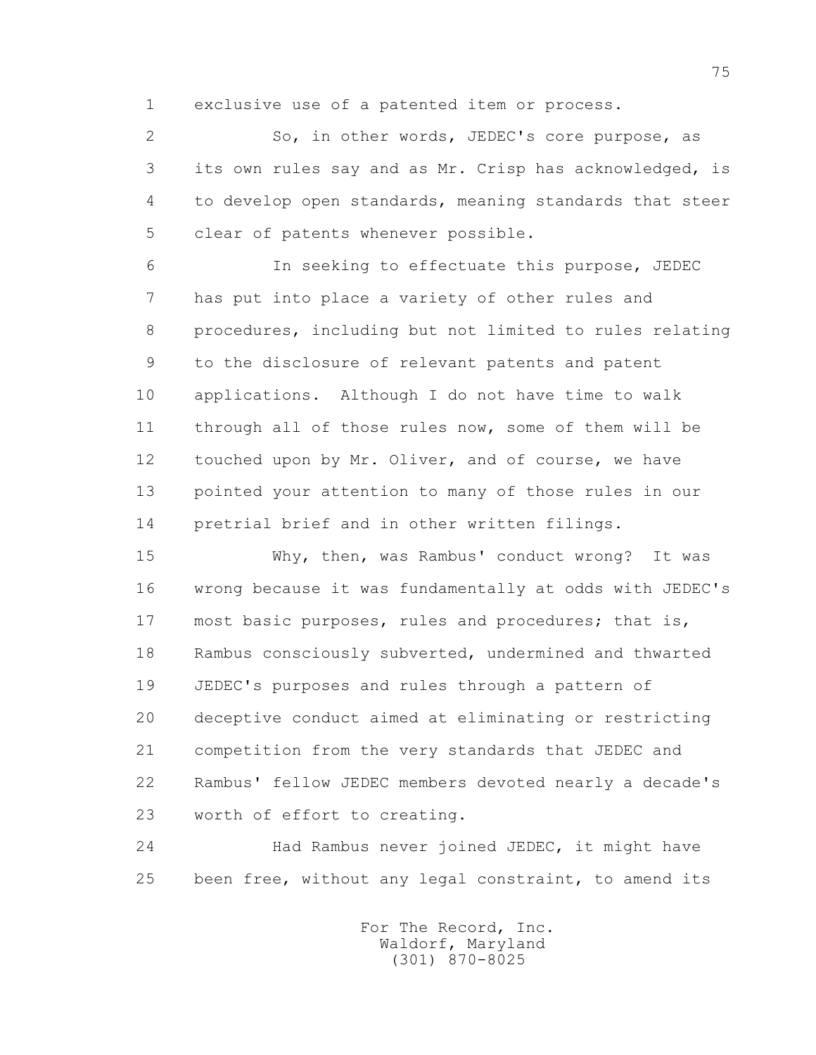1 exclusive use of a patented item or process.

 2 So, in other words, JEDEC's core purpose, as 3 its own rules say and as Mr. Crisp has acknowledged, is 4 to develop open standards, meaning standards that steer 5 clear of patents whenever possible.

 6 In seeking to effectuate this purpose, JEDEC 7 has put into place a variety of other rules and 8 procedures, including but not limited to rules relating 9 to the disclosure of relevant patents and patent 10 applications. Although I do not have time to walk 11 through all of those rules now, some of them will be 12 touched upon by Mr. Oliver, and of course, we have 13 pointed your attention to many of those rules in our 14 pretrial brief and in other written filings.

 15 Why, then, was Rambus' conduct wrong? It was 16 wrong because it was fundamentally at odds with JEDEC's 17 most basic purposes, rules and procedures; that is, 18 Rambus consciously subverted, undermined and thwarted 19 JEDEC's purposes and rules through a pattern of 20 deceptive conduct aimed at eliminating or restricting 21 competition from the very standards that JEDEC and 22 Rambus' fellow JEDEC members devoted nearly a decade's 23 worth of effort to creating.

 24 Had Rambus never joined JEDEC, it might have 25 been free, without any legal constraint, to amend its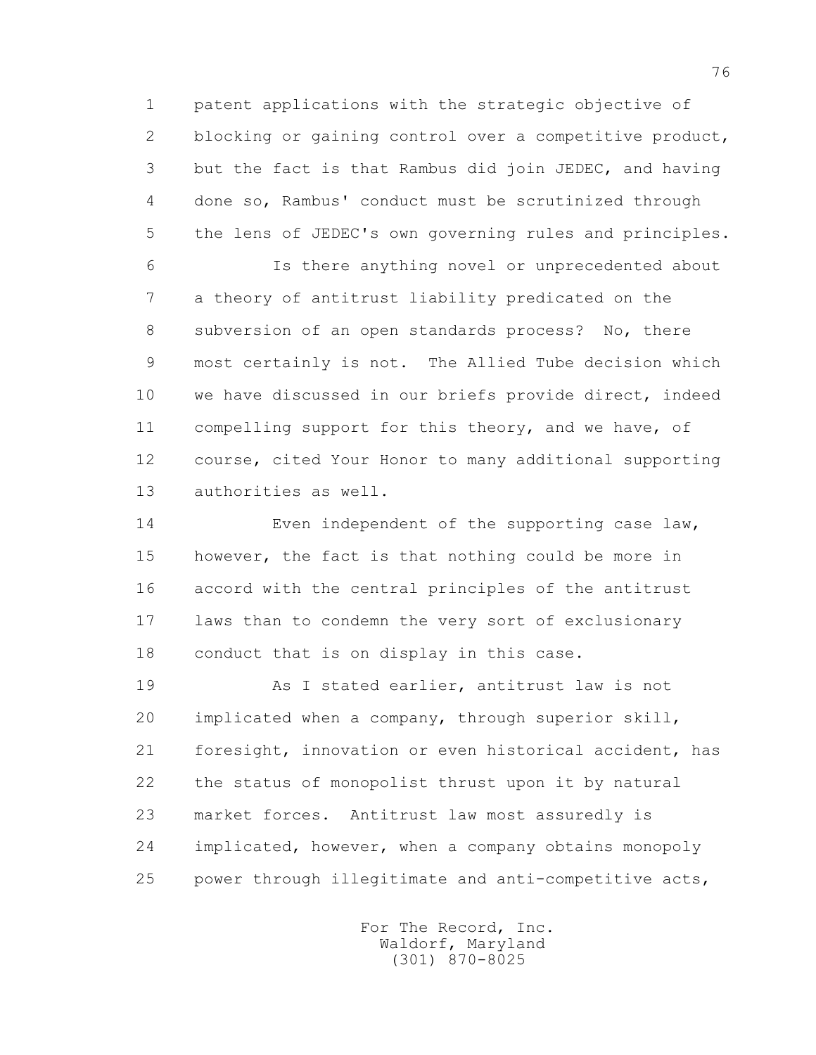1 patent applications with the strategic objective of 2 blocking or gaining control over a competitive product, 3 but the fact is that Rambus did join JEDEC, and having 4 done so, Rambus' conduct must be scrutinized through 5 the lens of JEDEC's own governing rules and principles.

 6 Is there anything novel or unprecedented about 7 a theory of antitrust liability predicated on the 8 subversion of an open standards process? No, there 9 most certainly is not. The Allied Tube decision which 10 we have discussed in our briefs provide direct, indeed 11 compelling support for this theory, and we have, of 12 course, cited Your Honor to many additional supporting 13 authorities as well.

 14 Even independent of the supporting case law, 15 however, the fact is that nothing could be more in 16 accord with the central principles of the antitrust 17 laws than to condemn the very sort of exclusionary 18 conduct that is on display in this case.

 19 As I stated earlier, antitrust law is not 20 implicated when a company, through superior skill, 21 foresight, innovation or even historical accident, has 22 the status of monopolist thrust upon it by natural 23 market forces. Antitrust law most assuredly is 24 implicated, however, when a company obtains monopoly 25 power through illegitimate and anti-competitive acts,

> For The Record, Inc. Waldorf, Maryland (301) 870-8025

76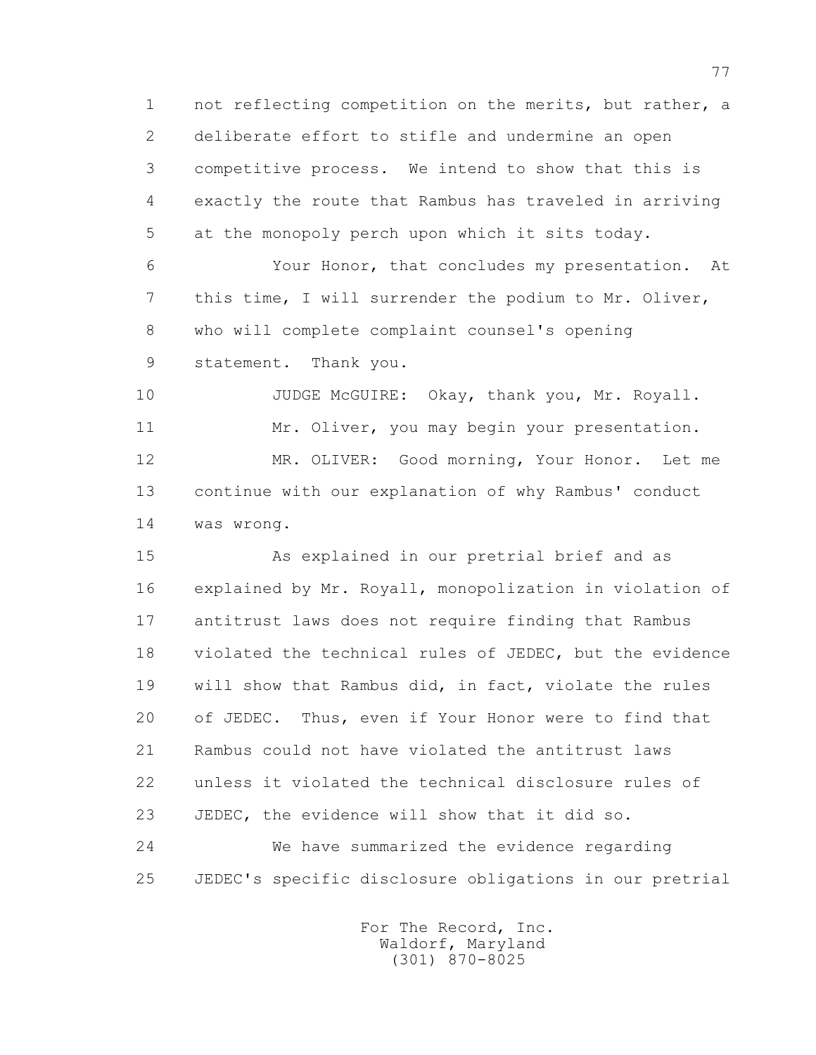1 not reflecting competition on the merits, but rather, a 2 deliberate effort to stifle and undermine an open 3 competitive process. We intend to show that this is 4 exactly the route that Rambus has traveled in arriving 5 at the monopoly perch upon which it sits today.

 6 Your Honor, that concludes my presentation. At 7 this time, I will surrender the podium to Mr. Oliver, 8 who will complete complaint counsel's opening 9 statement. Thank you.

 10 JUDGE McGUIRE: Okay, thank you, Mr. Royall. 11 Mr. Oliver, you may begin your presentation. 12 MR. OLIVER: Good morning, Your Honor. Let me 13 continue with our explanation of why Rambus' conduct 14 was wrong.

 15 As explained in our pretrial brief and as 16 explained by Mr. Royall, monopolization in violation of 17 antitrust laws does not require finding that Rambus 18 violated the technical rules of JEDEC, but the evidence 19 will show that Rambus did, in fact, violate the rules 20 of JEDEC. Thus, even if Your Honor were to find that 21 Rambus could not have violated the antitrust laws 22 unless it violated the technical disclosure rules of 23 JEDEC, the evidence will show that it did so. 24 We have summarized the evidence regarding 25 JEDEC's specific disclosure obligations in our pretrial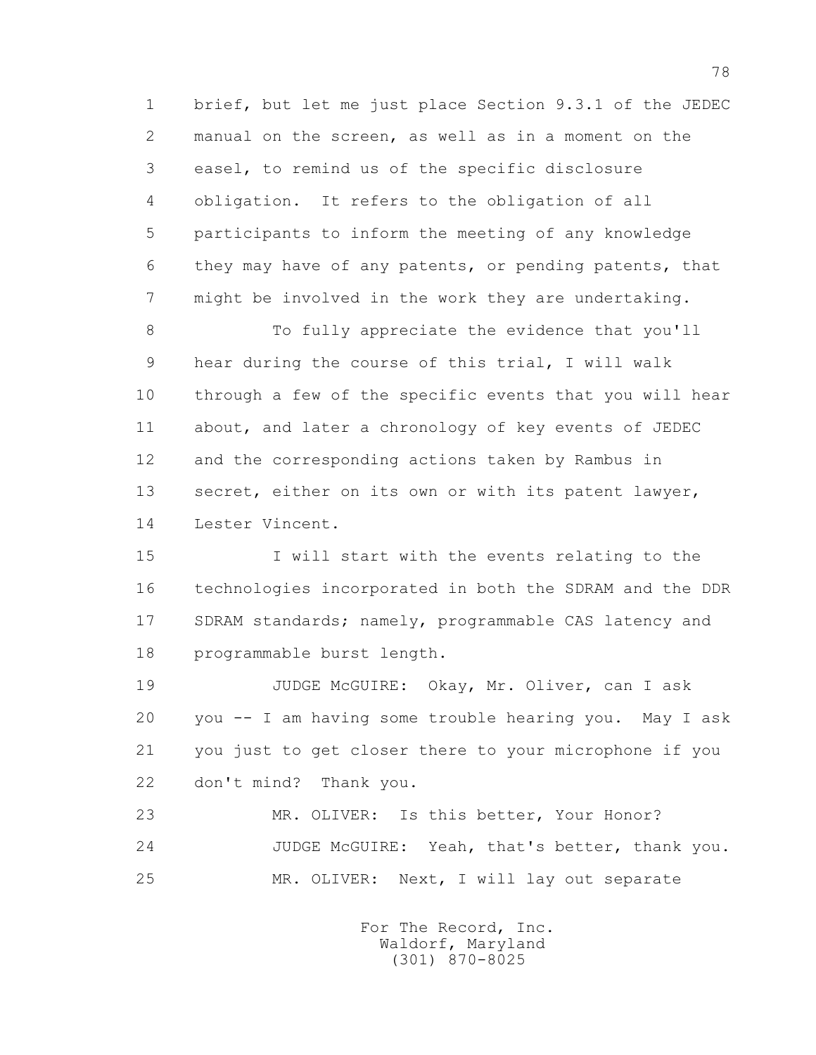1 brief, but let me just place Section 9.3.1 of the JEDEC 2 manual on the screen, as well as in a moment on the 3 easel, to remind us of the specific disclosure 4 obligation. It refers to the obligation of all 5 participants to inform the meeting of any knowledge 6 they may have of any patents, or pending patents, that 7 might be involved in the work they are undertaking.

 8 To fully appreciate the evidence that you'll 9 hear during the course of this trial, I will walk 10 through a few of the specific events that you will hear 11 about, and later a chronology of key events of JEDEC 12 and the corresponding actions taken by Rambus in 13 secret, either on its own or with its patent lawyer, 14 Lester Vincent.

 15 I will start with the events relating to the 16 technologies incorporated in both the SDRAM and the DDR 17 SDRAM standards; namely, programmable CAS latency and 18 programmable burst length.

 19 JUDGE McGUIRE: Okay, Mr. Oliver, can I ask 20 you -- I am having some trouble hearing you. May I ask 21 you just to get closer there to your microphone if you 22 don't mind? Thank you.

 23 MR. OLIVER: Is this better, Your Honor? 24 JUDGE McGUIRE: Yeah, that's better, thank you. 25 MR. OLIVER: Next, I will lay out separate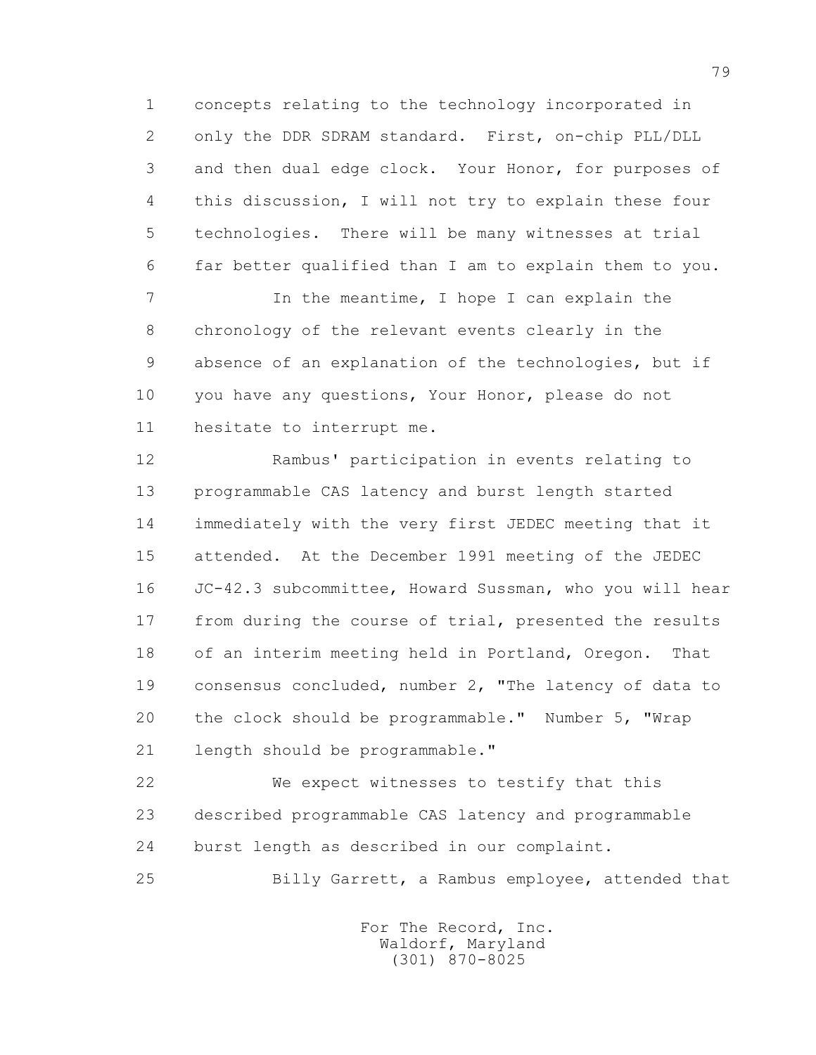1 concepts relating to the technology incorporated in 2 only the DDR SDRAM standard. First, on-chip PLL/DLL 3 and then dual edge clock. Your Honor, for purposes of 4 this discussion, I will not try to explain these four 5 technologies. There will be many witnesses at trial 6 far better qualified than I am to explain them to you.

7 1 In the meantime, I hope I can explain the 8 chronology of the relevant events clearly in the 9 absence of an explanation of the technologies, but if 10 you have any questions, Your Honor, please do not 11 hesitate to interrupt me.

 12 Rambus' participation in events relating to 13 programmable CAS latency and burst length started 14 immediately with the very first JEDEC meeting that it 15 attended. At the December 1991 meeting of the JEDEC 16 JC-42.3 subcommittee, Howard Sussman, who you will hear 17 from during the course of trial, presented the results 18 of an interim meeting held in Portland, Oregon. That 19 consensus concluded, number 2, "The latency of data to 20 the clock should be programmable." Number 5, "Wrap 21 length should be programmable."

 22 We expect witnesses to testify that this 23 described programmable CAS latency and programmable 24 burst length as described in our complaint.

25 Billy Garrett, a Rambus employee, attended that

 For The Record, Inc. Waldorf, Maryland (301) 870-8025

79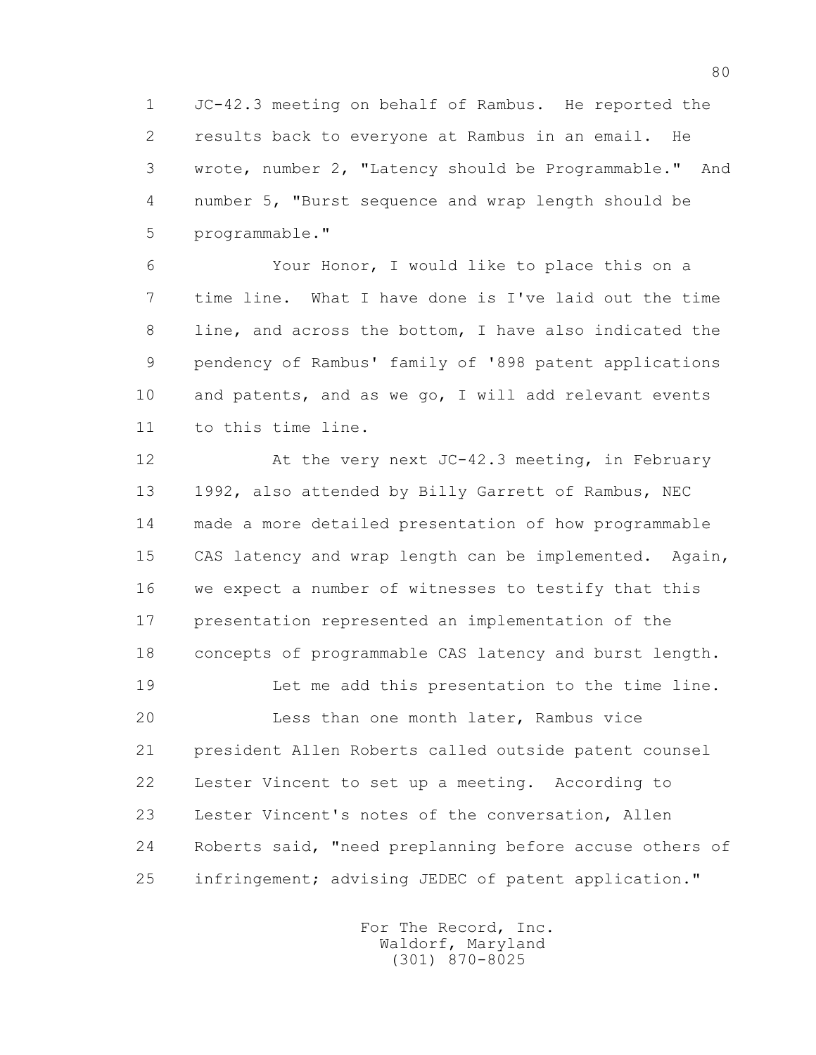1 JC-42.3 meeting on behalf of Rambus. He reported the 2 results back to everyone at Rambus in an email. He 3 wrote, number 2, "Latency should be Programmable." And 4 number 5, "Burst sequence and wrap length should be 5 programmable."

 6 Your Honor, I would like to place this on a 7 time line. What I have done is I've laid out the time 8 line, and across the bottom, I have also indicated the 9 pendency of Rambus' family of '898 patent applications 10 and patents, and as we go, I will add relevant events 11 to this time line.

 12 At the very next JC-42.3 meeting, in February 13 1992, also attended by Billy Garrett of Rambus, NEC 14 made a more detailed presentation of how programmable 15 CAS latency and wrap length can be implemented. Again, 16 we expect a number of witnesses to testify that this 17 presentation represented an implementation of the 18 concepts of programmable CAS latency and burst length.

 19 Let me add this presentation to the time line. 20 Less than one month later, Rambus vice 21 president Allen Roberts called outside patent counsel 22 Lester Vincent to set up a meeting. According to 23 Lester Vincent's notes of the conversation, Allen 24 Roberts said, "need preplanning before accuse others of 25 infringement; advising JEDEC of patent application."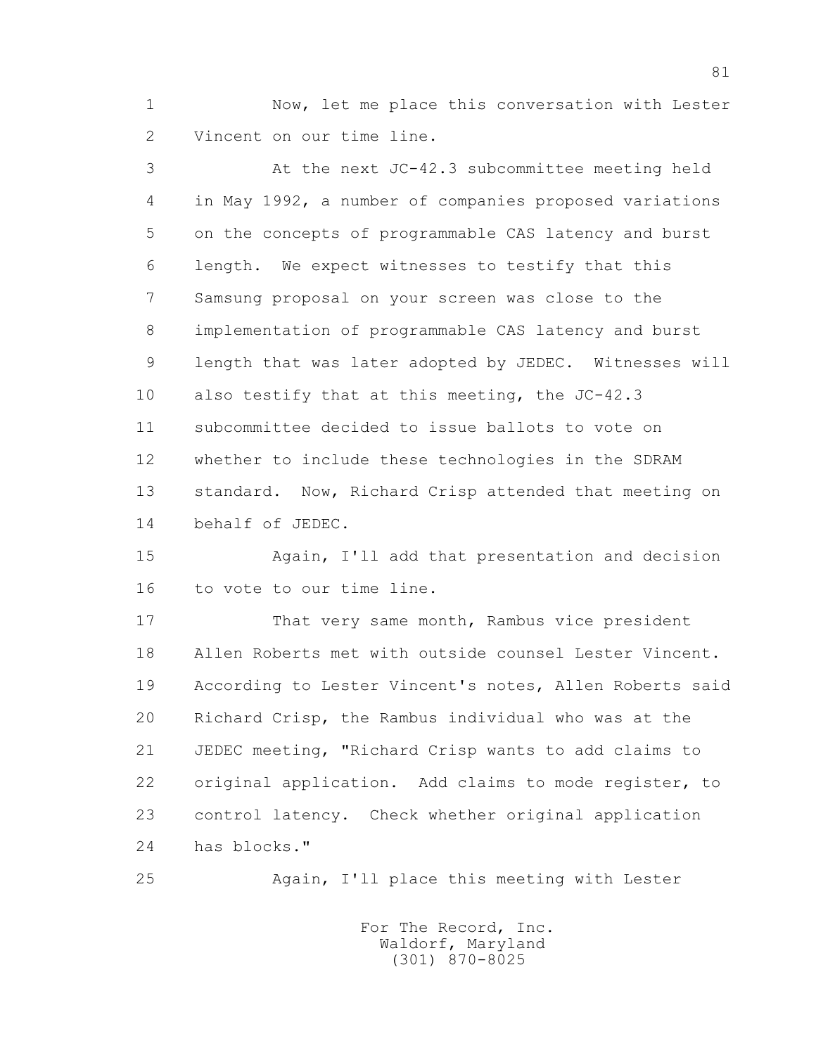1 Now, let me place this conversation with Lester 2 Vincent on our time line.

 3 At the next JC-42.3 subcommittee meeting held 4 in May 1992, a number of companies proposed variations 5 on the concepts of programmable CAS latency and burst 6 length. We expect witnesses to testify that this 7 Samsung proposal on your screen was close to the 8 implementation of programmable CAS latency and burst 9 length that was later adopted by JEDEC. Witnesses will 10 also testify that at this meeting, the JC-42.3 11 subcommittee decided to issue ballots to vote on 12 whether to include these technologies in the SDRAM 13 standard. Now, Richard Crisp attended that meeting on 14 behalf of JEDEC.

 15 Again, I'll add that presentation and decision 16 to vote to our time line.

 17 That very same month, Rambus vice president 18 Allen Roberts met with outside counsel Lester Vincent. 19 According to Lester Vincent's notes, Allen Roberts said 20 Richard Crisp, the Rambus individual who was at the 21 JEDEC meeting, "Richard Crisp wants to add claims to 22 original application. Add claims to mode register, to 23 control latency. Check whether original application 24 has blocks."

25 Again, I'll place this meeting with Lester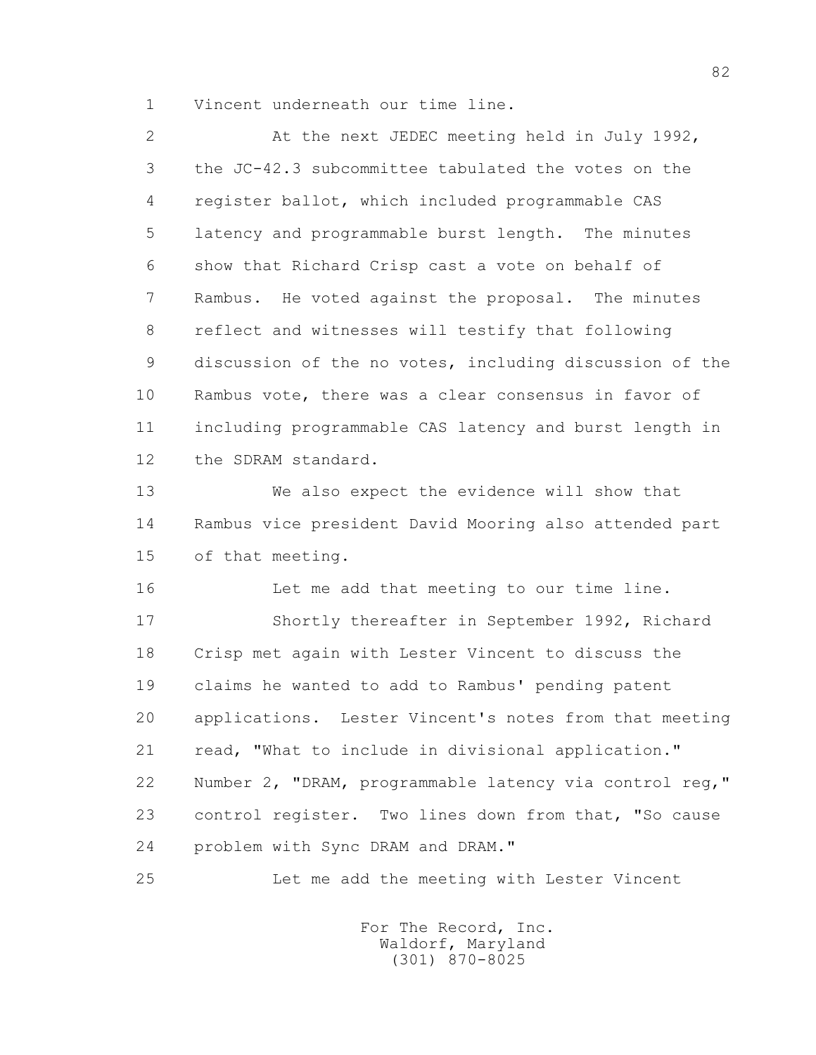1 Vincent underneath our time line.

 2 At the next JEDEC meeting held in July 1992, 3 the JC-42.3 subcommittee tabulated the votes on the 4 register ballot, which included programmable CAS 5 latency and programmable burst length. The minutes 6 show that Richard Crisp cast a vote on behalf of 7 Rambus. He voted against the proposal. The minutes 8 reflect and witnesses will testify that following 9 discussion of the no votes, including discussion of the 10 Rambus vote, there was a clear consensus in favor of 11 including programmable CAS latency and burst length in 12 the SDRAM standard. 13 We also expect the evidence will show that 14 Rambus vice president David Mooring also attended part 15 of that meeting. 16 Let me add that meeting to our time line. 17 Shortly thereafter in September 1992, Richard 18 Crisp met again with Lester Vincent to discuss the 19 claims he wanted to add to Rambus' pending patent 20 applications. Lester Vincent's notes from that meeting 21 read, "What to include in divisional application." 22 Number 2, "DRAM, programmable latency via control reg," 23 control register. Two lines down from that, "So cause

24 problem with Sync DRAM and DRAM."

25 Let me add the meeting with Lester Vincent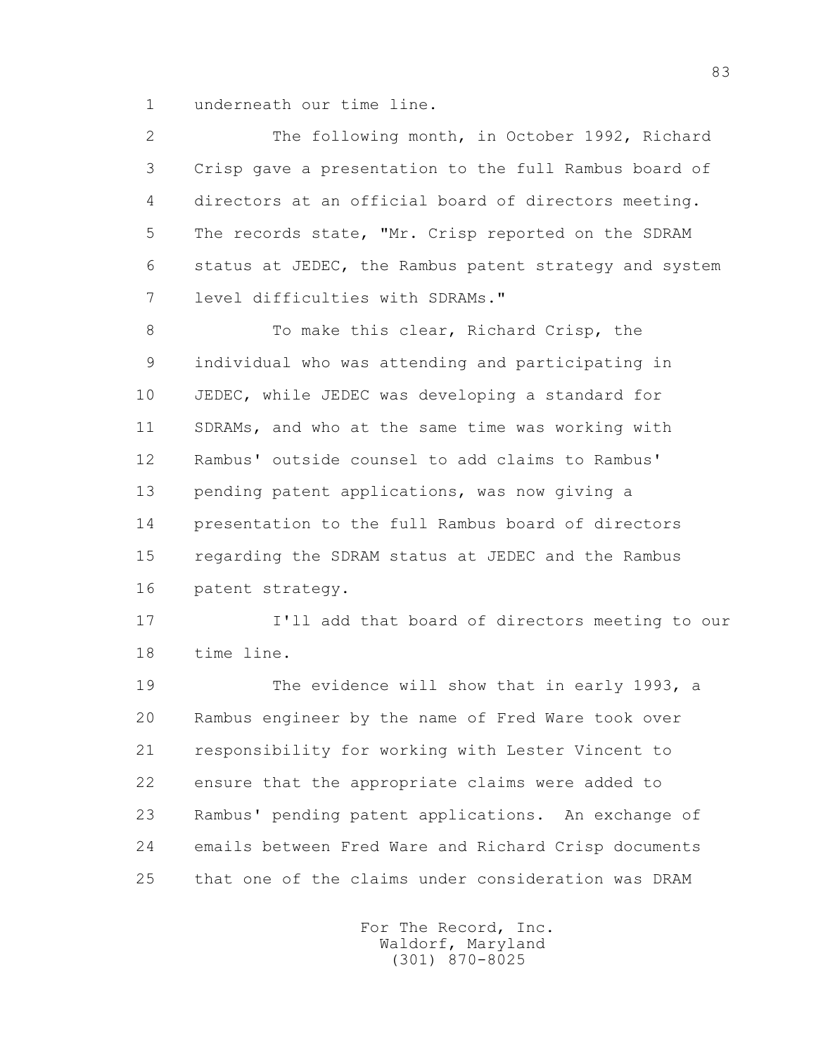1 underneath our time line.

 2 The following month, in October 1992, Richard 3 Crisp gave a presentation to the full Rambus board of 4 directors at an official board of directors meeting. 5 The records state, "Mr. Crisp reported on the SDRAM 6 status at JEDEC, the Rambus patent strategy and system 7 level difficulties with SDRAMs." 8 To make this clear, Richard Crisp, the 9 individual who was attending and participating in 10 JEDEC, while JEDEC was developing a standard for 11 SDRAMs, and who at the same time was working with 12 Rambus' outside counsel to add claims to Rambus' 13 pending patent applications, was now giving a 14 presentation to the full Rambus board of directors 15 regarding the SDRAM status at JEDEC and the Rambus 16 patent strategy. 17 I'll add that board of directors meeting to our 18 time line. 19 The evidence will show that in early 1993, a 20 Rambus engineer by the name of Fred Ware took over 21 responsibility for working with Lester Vincent to 22 ensure that the appropriate claims were added to

 23 Rambus' pending patent applications. An exchange of 24 emails between Fred Ware and Richard Crisp documents 25 that one of the claims under consideration was DRAM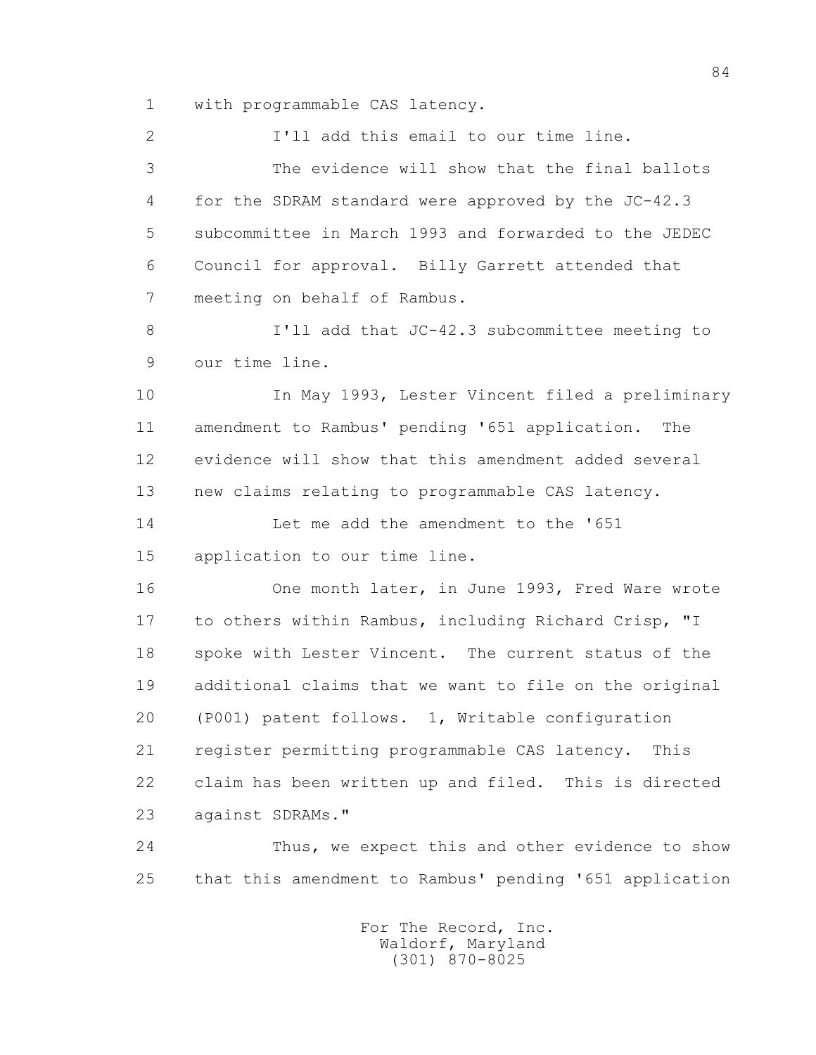1 with programmable CAS latency.

 2 I'll add this email to our time line. 3 The evidence will show that the final ballots 4 for the SDRAM standard were approved by the JC-42.3 5 subcommittee in March 1993 and forwarded to the JEDEC 6 Council for approval. Billy Garrett attended that 7 meeting on behalf of Rambus. 8 I'll add that JC-42.3 subcommittee meeting to 9 our time line. 10 In May 1993, Lester Vincent filed a preliminary 11 amendment to Rambus' pending '651 application. The 12 evidence will show that this amendment added several 13 new claims relating to programmable CAS latency. 14 Let me add the amendment to the '651 15 application to our time line. 16 One month later, in June 1993, Fred Ware wrote 17 to others within Rambus, including Richard Crisp, "I 18 spoke with Lester Vincent. The current status of the 19 additional claims that we want to file on the original 20 (P001) patent follows. 1, Writable configuration 21 register permitting programmable CAS latency. This 22 claim has been written up and filed. This is directed 23 against SDRAMs."

 24 Thus, we expect this and other evidence to show 25 that this amendment to Rambus' pending '651 application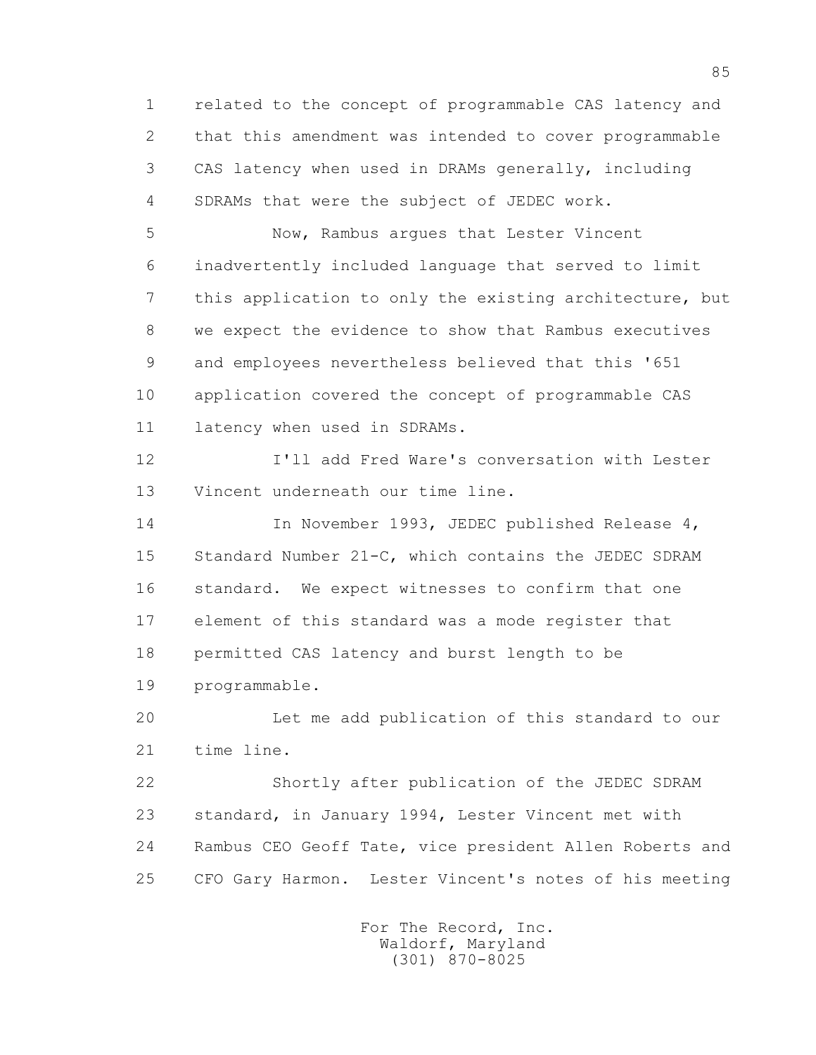1 related to the concept of programmable CAS latency and 2 that this amendment was intended to cover programmable 3 CAS latency when used in DRAMs generally, including 4 SDRAMs that were the subject of JEDEC work.

 5 Now, Rambus argues that Lester Vincent 6 inadvertently included language that served to limit 7 this application to only the existing architecture, but 8 we expect the evidence to show that Rambus executives 9 and employees nevertheless believed that this '651 10 application covered the concept of programmable CAS 11 latency when used in SDRAMs.

 12 I'll add Fred Ware's conversation with Lester 13 Vincent underneath our time line.

 14 In November 1993, JEDEC published Release 4, 15 Standard Number 21-C, which contains the JEDEC SDRAM 16 standard. We expect witnesses to confirm that one 17 element of this standard was a mode register that 18 permitted CAS latency and burst length to be 19 programmable.

 20 Let me add publication of this standard to our 21 time line.

 22 Shortly after publication of the JEDEC SDRAM 23 standard, in January 1994, Lester Vincent met with 24 Rambus CEO Geoff Tate, vice president Allen Roberts and 25 CFO Gary Harmon. Lester Vincent's notes of his meeting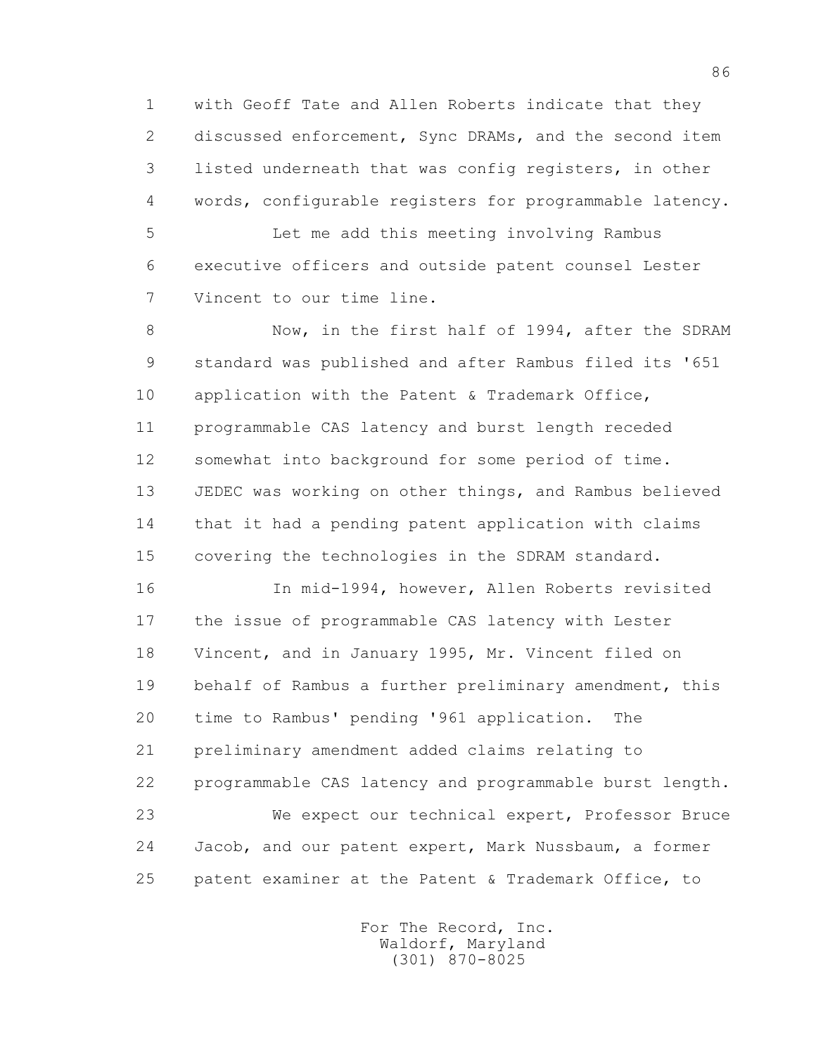1 with Geoff Tate and Allen Roberts indicate that they 2 discussed enforcement, Sync DRAMs, and the second item 3 listed underneath that was config registers, in other 4 words, configurable registers for programmable latency.

 5 Let me add this meeting involving Rambus 6 executive officers and outside patent counsel Lester 7 Vincent to our time line.

8 Now, in the first half of 1994, after the SDRAM 9 standard was published and after Rambus filed its '651 10 application with the Patent & Trademark Office, 11 programmable CAS latency and burst length receded 12 somewhat into background for some period of time. 13 JEDEC was working on other things, and Rambus believed 14 that it had a pending patent application with claims 15 covering the technologies in the SDRAM standard.

 16 In mid-1994, however, Allen Roberts revisited 17 the issue of programmable CAS latency with Lester 18 Vincent, and in January 1995, Mr. Vincent filed on 19 behalf of Rambus a further preliminary amendment, this 20 time to Rambus' pending '961 application. The 21 preliminary amendment added claims relating to 22 programmable CAS latency and programmable burst length. 23 We expect our technical expert, Professor Bruce 24 Jacob, and our patent expert, Mark Nussbaum, a former 25 patent examiner at the Patent & Trademark Office, to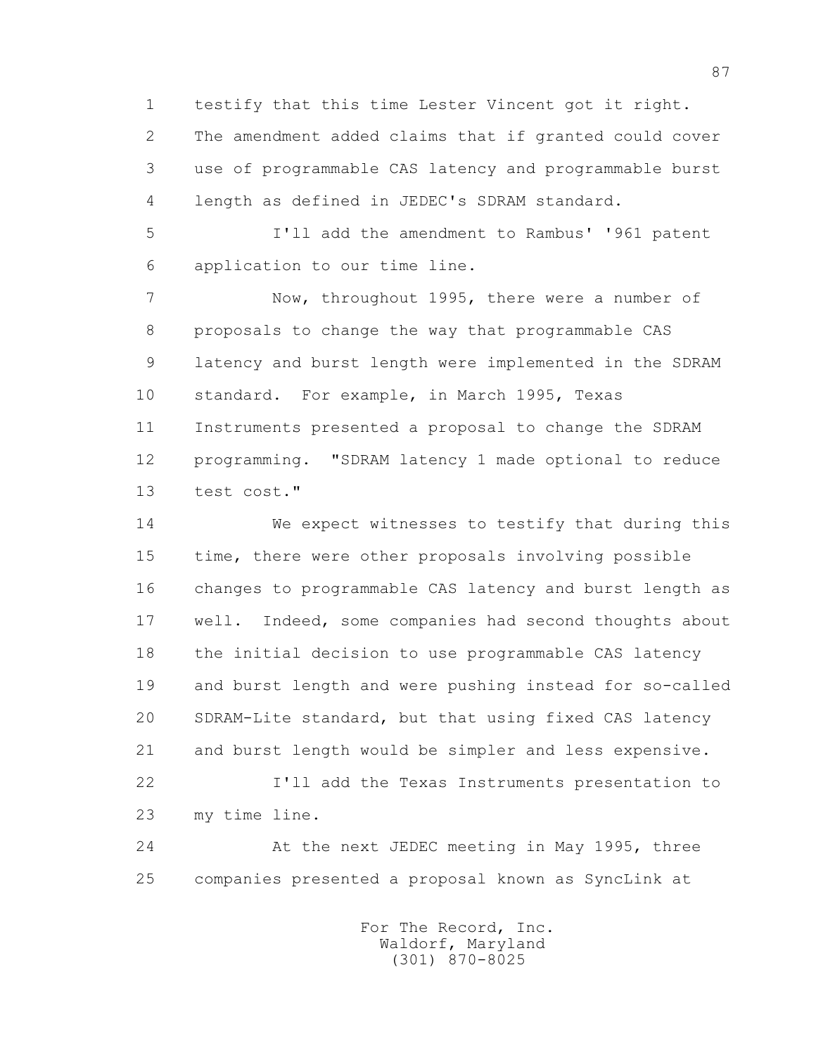1 testify that this time Lester Vincent got it right. 2 The amendment added claims that if granted could cover 3 use of programmable CAS latency and programmable burst 4 length as defined in JEDEC's SDRAM standard.

 5 I'll add the amendment to Rambus' '961 patent 6 application to our time line.

 7 Now, throughout 1995, there were a number of 8 proposals to change the way that programmable CAS 9 latency and burst length were implemented in the SDRAM 10 standard. For example, in March 1995, Texas 11 Instruments presented a proposal to change the SDRAM 12 programming. "SDRAM latency 1 made optional to reduce 13 test cost."

 14 We expect witnesses to testify that during this 15 time, there were other proposals involving possible 16 changes to programmable CAS latency and burst length as 17 well. Indeed, some companies had second thoughts about 18 the initial decision to use programmable CAS latency 19 and burst length and were pushing instead for so-called 20 SDRAM-Lite standard, but that using fixed CAS latency 21 and burst length would be simpler and less expensive. 22 I'll add the Texas Instruments presentation to 23 my time line.

 24 At the next JEDEC meeting in May 1995, three 25 companies presented a proposal known as SyncLink at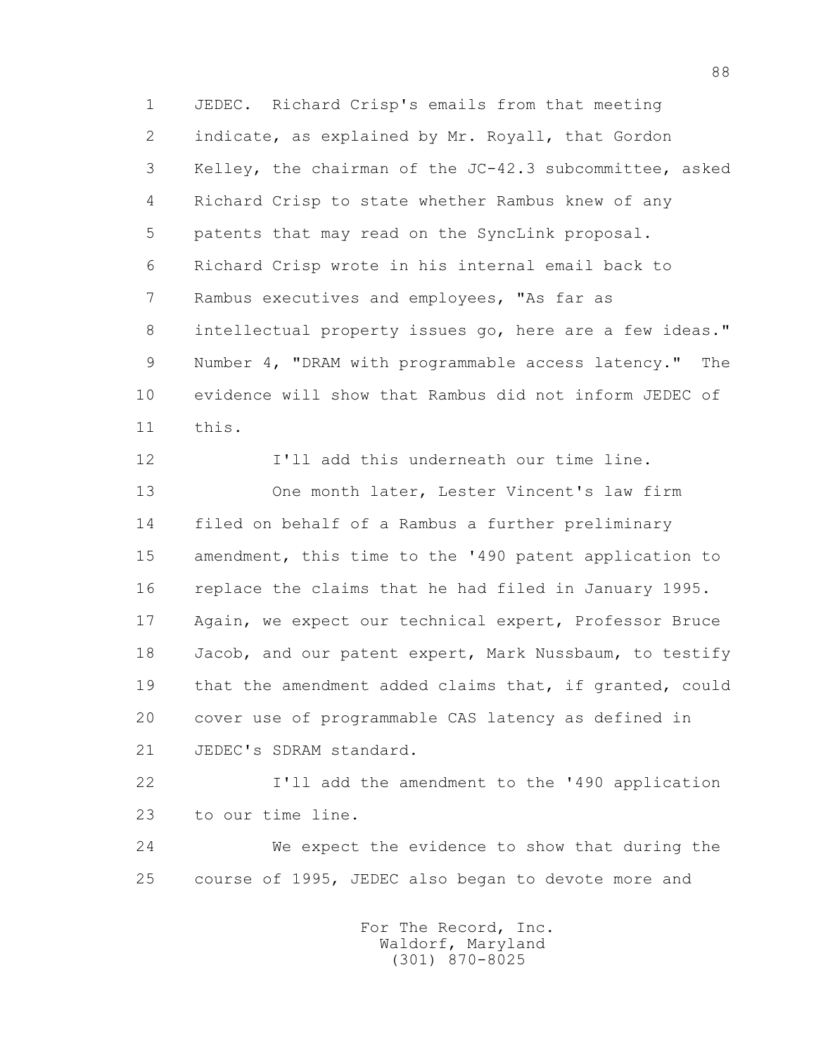1 JEDEC. Richard Crisp's emails from that meeting 2 indicate, as explained by Mr. Royall, that Gordon 3 Kelley, the chairman of the JC-42.3 subcommittee, asked 4 Richard Crisp to state whether Rambus knew of any 5 patents that may read on the SyncLink proposal. 6 Richard Crisp wrote in his internal email back to 7 Rambus executives and employees, "As far as 8 intellectual property issues go, here are a few ideas." 9 Number 4, "DRAM with programmable access latency." The 10 evidence will show that Rambus did not inform JEDEC of 11 this.

 12 I'll add this underneath our time line. 13 One month later, Lester Vincent's law firm 14 filed on behalf of a Rambus a further preliminary 15 amendment, this time to the '490 patent application to 16 replace the claims that he had filed in January 1995. 17 Again, we expect our technical expert, Professor Bruce 18 Jacob, and our patent expert, Mark Nussbaum, to testify 19 that the amendment added claims that, if granted, could 20 cover use of programmable CAS latency as defined in 21 JEDEC's SDRAM standard.

 22 I'll add the amendment to the '490 application 23 to our time line.

 24 We expect the evidence to show that during the 25 course of 1995, JEDEC also began to devote more and

> For The Record, Inc. Waldorf, Maryland (301) 870-8025

88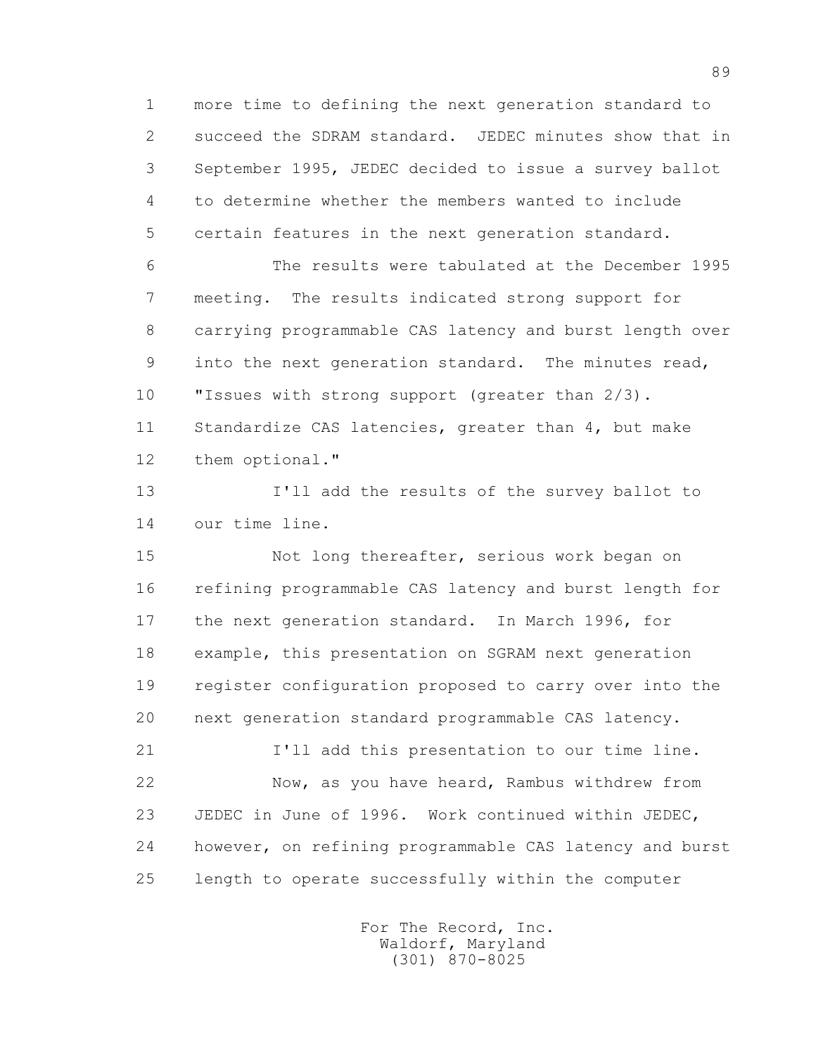1 more time to defining the next generation standard to 2 succeed the SDRAM standard. JEDEC minutes show that in 3 September 1995, JEDEC decided to issue a survey ballot 4 to determine whether the members wanted to include 5 certain features in the next generation standard.

 6 The results were tabulated at the December 1995 7 meeting. The results indicated strong support for 8 carrying programmable CAS latency and burst length over 9 into the next generation standard. The minutes read, 10 "Issues with strong support (greater than  $2/3$ ). 11 Standardize CAS latencies, greater than 4, but make 12 them optional."

 13 I'll add the results of the survey ballot to 14 our time line.

 15 Not long thereafter, serious work began on 16 refining programmable CAS latency and burst length for 17 the next generation standard. In March 1996, for 18 example, this presentation on SGRAM next generation 19 register configuration proposed to carry over into the 20 next generation standard programmable CAS latency.

 21 I'll add this presentation to our time line. 22 Now, as you have heard, Rambus withdrew from 23 JEDEC in June of 1996. Work continued within JEDEC, 24 however, on refining programmable CAS latency and burst 25 length to operate successfully within the computer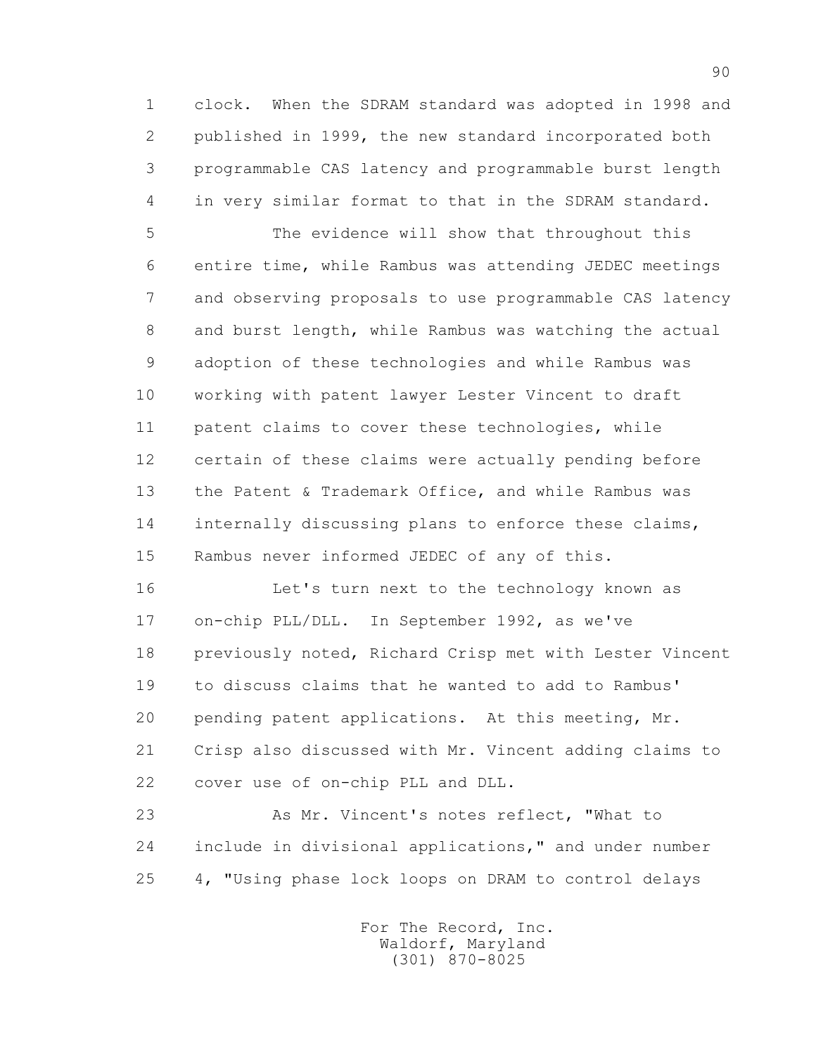1 clock. When the SDRAM standard was adopted in 1998 and 2 published in 1999, the new standard incorporated both 3 programmable CAS latency and programmable burst length 4 in very similar format to that in the SDRAM standard.

 5 The evidence will show that throughout this 6 entire time, while Rambus was attending JEDEC meetings 7 and observing proposals to use programmable CAS latency 8 and burst length, while Rambus was watching the actual 9 adoption of these technologies and while Rambus was 10 working with patent lawyer Lester Vincent to draft 11 patent claims to cover these technologies, while 12 certain of these claims were actually pending before 13 the Patent & Trademark Office, and while Rambus was 14 internally discussing plans to enforce these claims, 15 Rambus never informed JEDEC of any of this.

 16 Let's turn next to the technology known as 17 on-chip PLL/DLL. In September 1992, as we've 18 previously noted, Richard Crisp met with Lester Vincent 19 to discuss claims that he wanted to add to Rambus' 20 pending patent applications. At this meeting, Mr. 21 Crisp also discussed with Mr. Vincent adding claims to 22 cover use of on-chip PLL and DLL.

 23 As Mr. Vincent's notes reflect, "What to 24 include in divisional applications," and under number 25 4, "Using phase lock loops on DRAM to control delays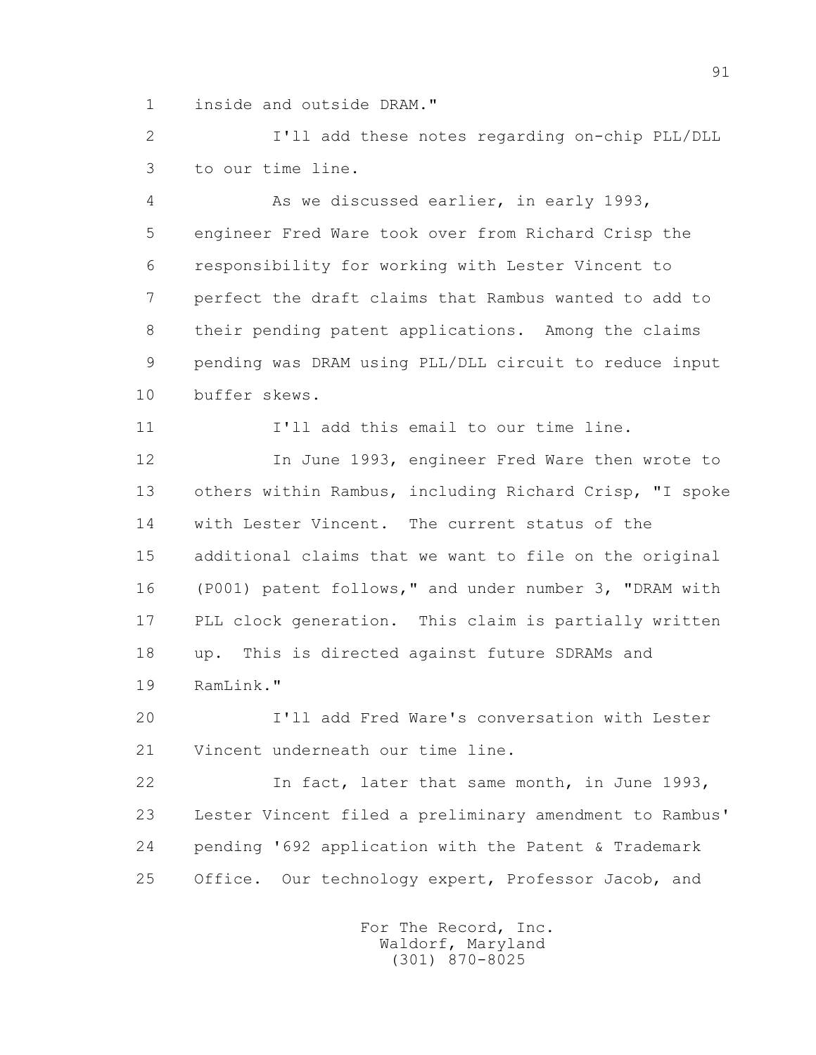1 inside and outside DRAM."

 2 I'll add these notes regarding on-chip PLL/DLL 3 to our time line.

 4 As we discussed earlier, in early 1993, 5 engineer Fred Ware took over from Richard Crisp the 6 responsibility for working with Lester Vincent to 7 perfect the draft claims that Rambus wanted to add to 8 their pending patent applications. Among the claims 9 pending was DRAM using PLL/DLL circuit to reduce input 10 buffer skews.

11 I'll add this email to our time line.

 12 In June 1993, engineer Fred Ware then wrote to 13 others within Rambus, including Richard Crisp, "I spoke 14 with Lester Vincent. The current status of the 15 additional claims that we want to file on the original 16 (P001) patent follows," and under number 3, "DRAM with 17 PLL clock generation. This claim is partially written 18 up. This is directed against future SDRAMs and 19 RamLink."

 20 I'll add Fred Ware's conversation with Lester 21 Vincent underneath our time line.

 22 In fact, later that same month, in June 1993, 23 Lester Vincent filed a preliminary amendment to Rambus' 24 pending '692 application with the Patent & Trademark 25 Office. Our technology expert, Professor Jacob, and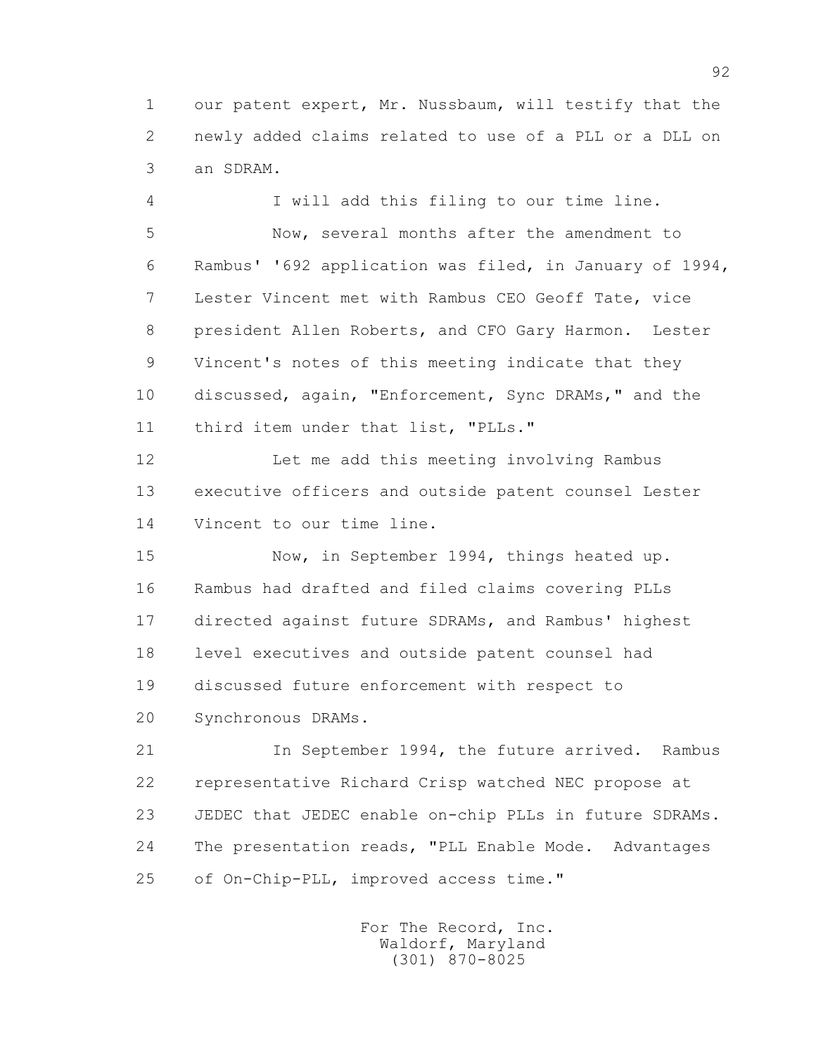1 our patent expert, Mr. Nussbaum, will testify that the 2 newly added claims related to use of a PLL or a DLL on 3 an SDRAM.

 4 I will add this filing to our time line. 5 Now, several months after the amendment to 6 Rambus' '692 application was filed, in January of 1994, 7 Lester Vincent met with Rambus CEO Geoff Tate, vice 8 president Allen Roberts, and CFO Gary Harmon. Lester 9 Vincent's notes of this meeting indicate that they 10 discussed, again, "Enforcement, Sync DRAMs," and the 11 third item under that list, "PLLs."

 12 Let me add this meeting involving Rambus 13 executive officers and outside patent counsel Lester 14 Vincent to our time line.

15 Now, in September 1994, things heated up. 16 Rambus had drafted and filed claims covering PLLs 17 directed against future SDRAMs, and Rambus' highest 18 level executives and outside patent counsel had 19 discussed future enforcement with respect to 20 Synchronous DRAMs.

 21 In September 1994, the future arrived. Rambus 22 representative Richard Crisp watched NEC propose at 23 JEDEC that JEDEC enable on-chip PLLs in future SDRAMs. 24 The presentation reads, "PLL Enable Mode. Advantages 25 of On-Chip-PLL, improved access time."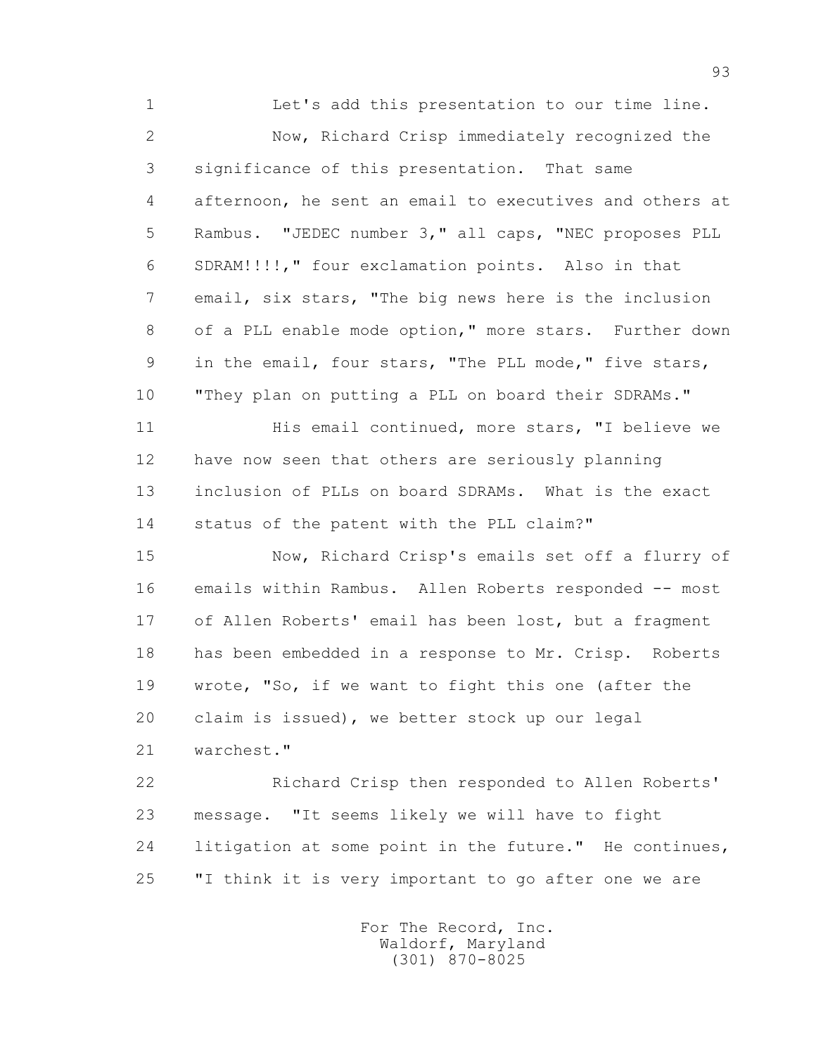1 Let's add this presentation to our time line. 2 Now, Richard Crisp immediately recognized the 3 significance of this presentation. That same 4 afternoon, he sent an email to executives and others at 5 Rambus. "JEDEC number 3," all caps, "NEC proposes PLL 6 SDRAM!!!!," four exclamation points. Also in that 7 email, six stars, "The big news here is the inclusion 8 of a PLL enable mode option," more stars. Further down 9 in the email, four stars, "The PLL mode," five stars, 10 "They plan on putting a PLL on board their SDRAMs." 11 His email continued, more stars, "I believe we 12 have now seen that others are seriously planning 13 inclusion of PLLs on board SDRAMs. What is the exact 14 status of the patent with the PLL claim?" 15 Now, Richard Crisp's emails set off a flurry of 16 emails within Rambus. Allen Roberts responded -- most 17 of Allen Roberts' email has been lost, but a fragment 18 has been embedded in a response to Mr. Crisp. Roberts 19 wrote, "So, if we want to fight this one (after the 20 claim is issued), we better stock up our legal 21 warchest." 22 Richard Crisp then responded to Allen Roberts'

 23 message. "It seems likely we will have to fight 24 litigation at some point in the future." He continues, 25 "I think it is very important to go after one we are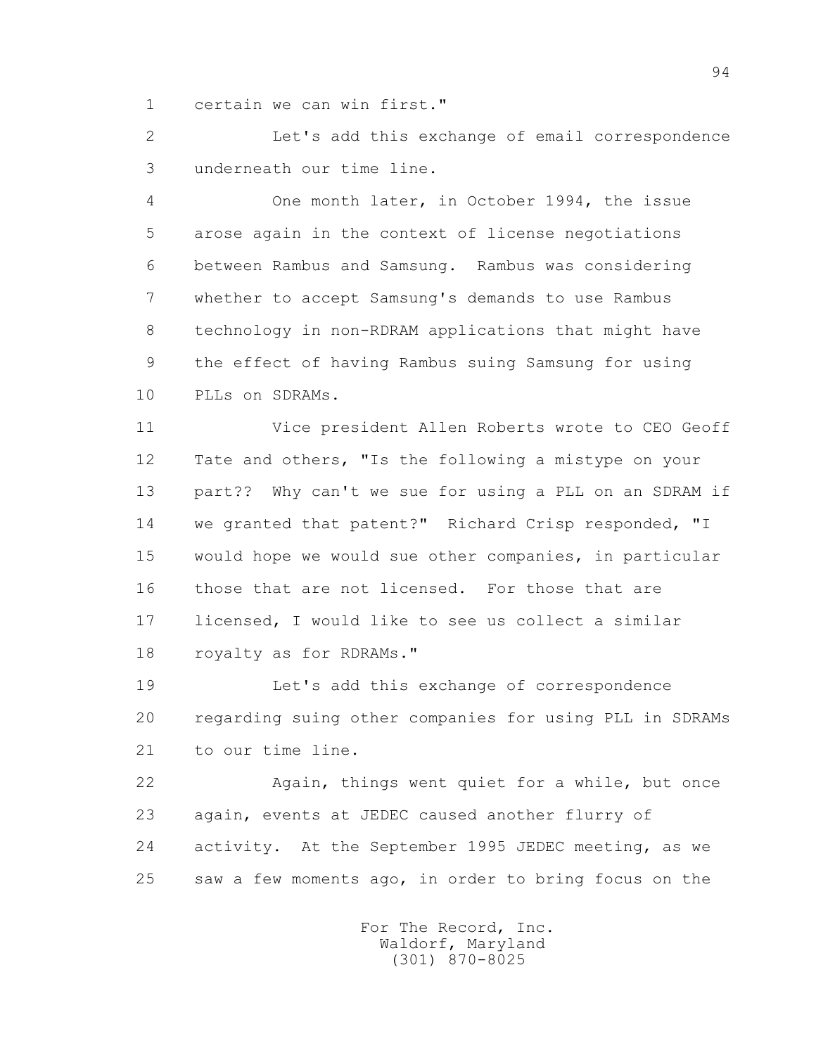1 certain we can win first."

 2 Let's add this exchange of email correspondence 3 underneath our time line.

 4 One month later, in October 1994, the issue 5 arose again in the context of license negotiations 6 between Rambus and Samsung. Rambus was considering 7 whether to accept Samsung's demands to use Rambus 8 technology in non-RDRAM applications that might have 9 the effect of having Rambus suing Samsung for using 10 PLLs on SDRAMs.

 11 Vice president Allen Roberts wrote to CEO Geoff 12 Tate and others, "Is the following a mistype on your 13 part?? Why can't we sue for using a PLL on an SDRAM if 14 we granted that patent?" Richard Crisp responded, "I 15 would hope we would sue other companies, in particular 16 those that are not licensed. For those that are 17 licensed, I would like to see us collect a similar 18 royalty as for RDRAMs."

 19 Let's add this exchange of correspondence 20 regarding suing other companies for using PLL in SDRAMs 21 to our time line.

 22 Again, things went quiet for a while, but once 23 again, events at JEDEC caused another flurry of 24 activity. At the September 1995 JEDEC meeting, as we 25 saw a few moments ago, in order to bring focus on the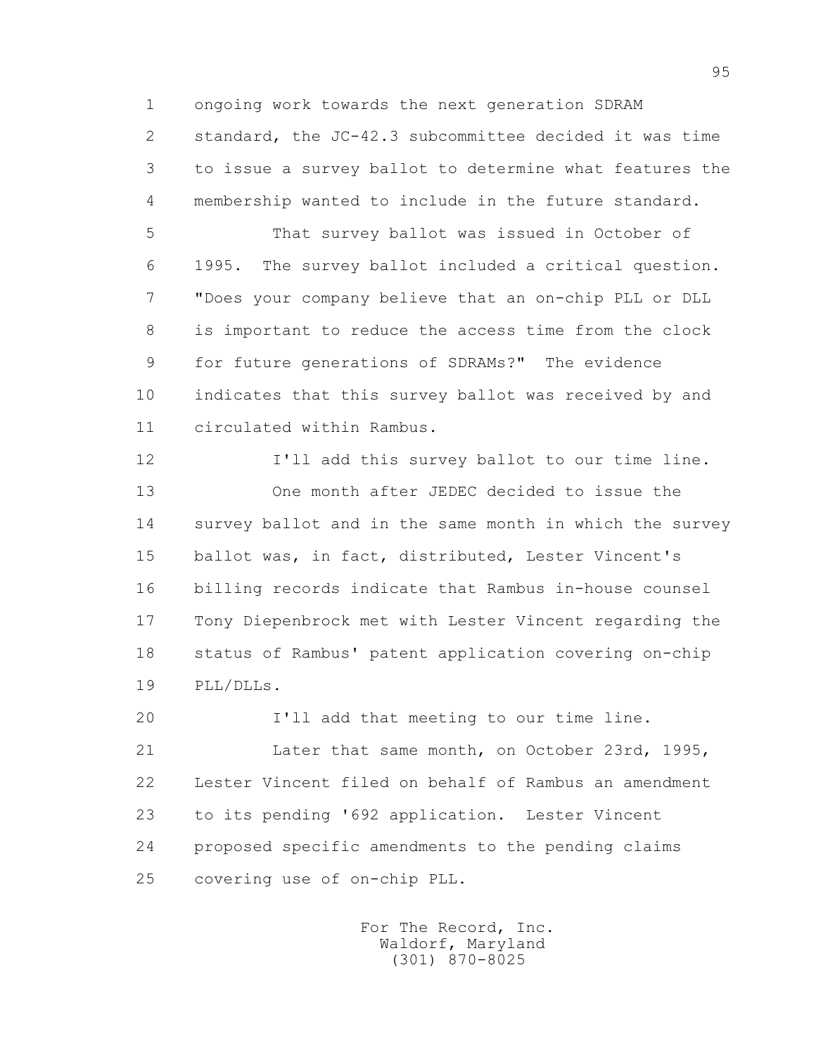1 ongoing work towards the next generation SDRAM 2 standard, the JC-42.3 subcommittee decided it was time 3 to issue a survey ballot to determine what features the 4 membership wanted to include in the future standard.

 5 That survey ballot was issued in October of 6 1995. The survey ballot included a critical question. 7 "Does your company believe that an on-chip PLL or DLL 8 is important to reduce the access time from the clock 9 for future generations of SDRAMs?" The evidence 10 indicates that this survey ballot was received by and 11 circulated within Rambus.

 12 I'll add this survey ballot to our time line. 13 One month after JEDEC decided to issue the 14 survey ballot and in the same month in which the survey 15 ballot was, in fact, distributed, Lester Vincent's 16 billing records indicate that Rambus in-house counsel 17 Tony Diepenbrock met with Lester Vincent regarding the 18 status of Rambus' patent application covering on-chip 19 PLL/DLLs.

20 I'll add that meeting to our time line.

 21 Later that same month, on October 23rd, 1995, 22 Lester Vincent filed on behalf of Rambus an amendment 23 to its pending '692 application. Lester Vincent 24 proposed specific amendments to the pending claims 25 covering use of on-chip PLL.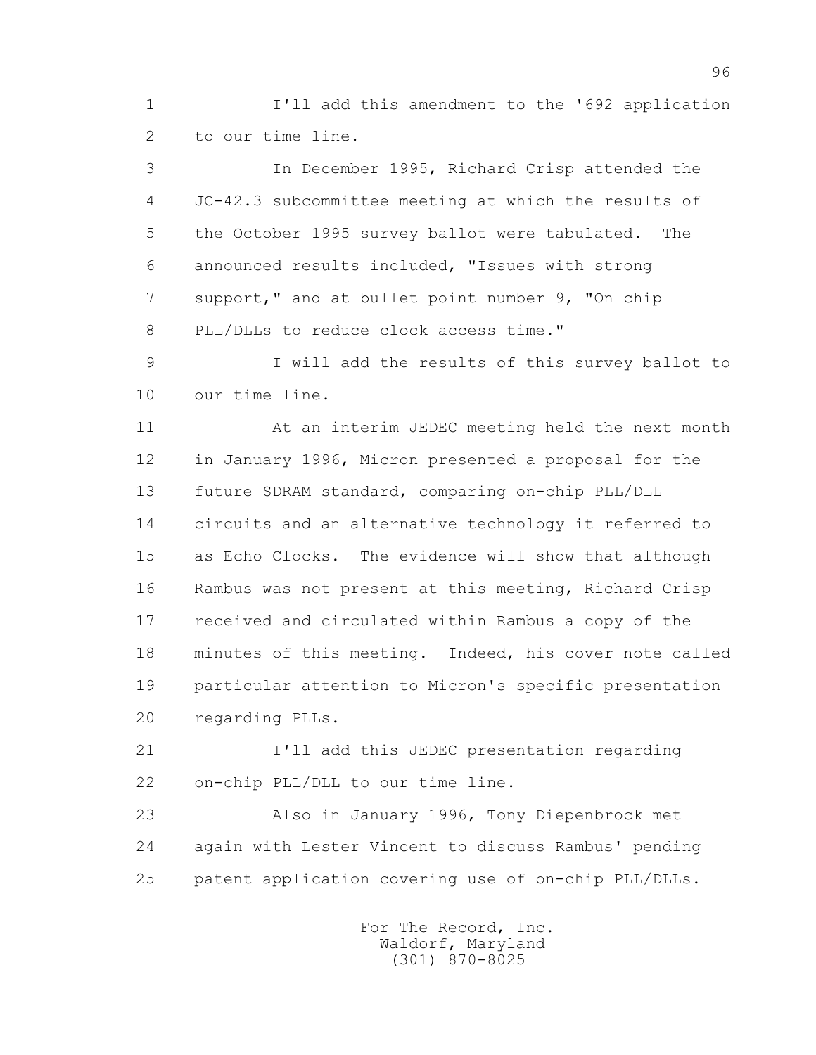1 I'll add this amendment to the '692 application 2 to our time line.

 3 In December 1995, Richard Crisp attended the 4 JC-42.3 subcommittee meeting at which the results of 5 the October 1995 survey ballot were tabulated. The 6 announced results included, "Issues with strong 7 support," and at bullet point number 9, "On chip 8 PLL/DLLs to reduce clock access time."

 9 I will add the results of this survey ballot to 10 our time line.

 11 At an interim JEDEC meeting held the next month 12 in January 1996, Micron presented a proposal for the 13 future SDRAM standard, comparing on-chip PLL/DLL 14 circuits and an alternative technology it referred to 15 as Echo Clocks. The evidence will show that although 16 Rambus was not present at this meeting, Richard Crisp 17 received and circulated within Rambus a copy of the 18 minutes of this meeting. Indeed, his cover note called 19 particular attention to Micron's specific presentation 20 regarding PLLs.

 21 I'll add this JEDEC presentation regarding 22 on-chip PLL/DLL to our time line.

 23 Also in January 1996, Tony Diepenbrock met 24 again with Lester Vincent to discuss Rambus' pending 25 patent application covering use of on-chip PLL/DLLs.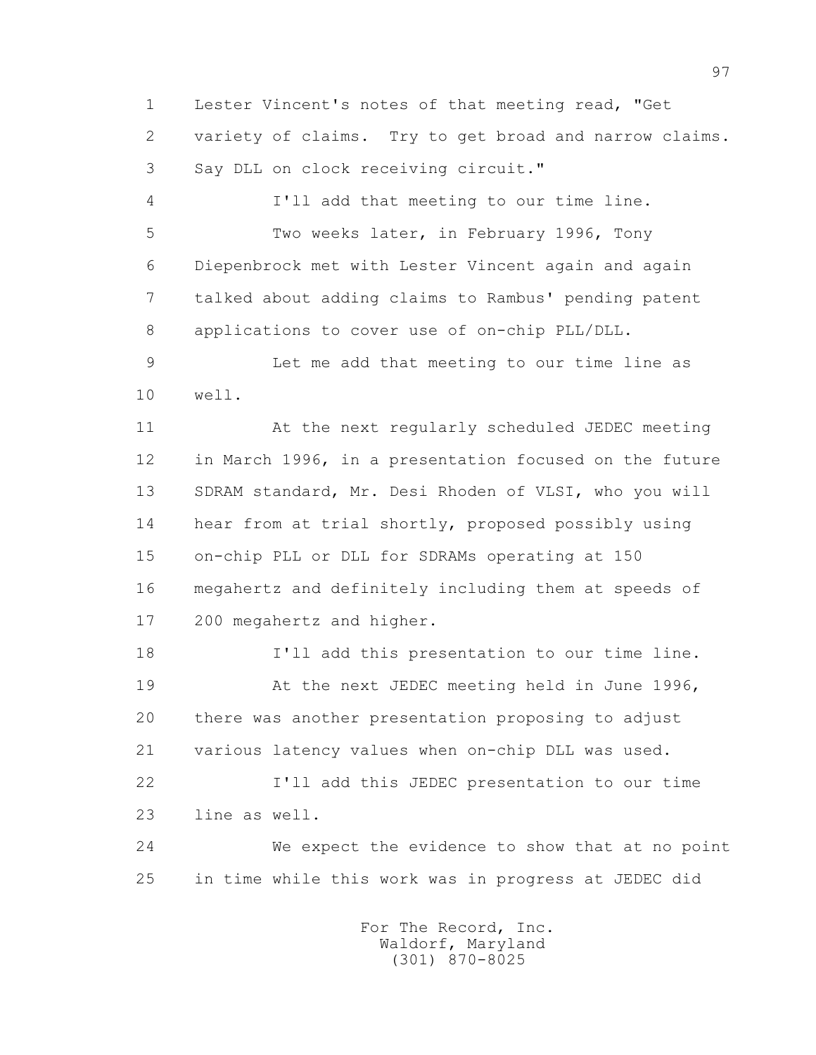1 Lester Vincent's notes of that meeting read, "Get 2 variety of claims. Try to get broad and narrow claims. 3 Say DLL on clock receiving circuit."

 4 I'll add that meeting to our time line. 5 Two weeks later, in February 1996, Tony 6 Diepenbrock met with Lester Vincent again and again 7 talked about adding claims to Rambus' pending patent 8 applications to cover use of on-chip PLL/DLL.

 9 Let me add that meeting to our time line as 10 well.

 11 At the next regularly scheduled JEDEC meeting 12 in March 1996, in a presentation focused on the future 13 SDRAM standard, Mr. Desi Rhoden of VLSI, who you will 14 hear from at trial shortly, proposed possibly using 15 on-chip PLL or DLL for SDRAMs operating at 150 16 megahertz and definitely including them at speeds of 17 200 megahertz and higher.

 18 I'll add this presentation to our time line. 19 At the next JEDEC meeting held in June 1996, 20 there was another presentation proposing to adjust 21 various latency values when on-chip DLL was used. 22 I'll add this JEDEC presentation to our time

23 line as well.

 24 We expect the evidence to show that at no point 25 in time while this work was in progress at JEDEC did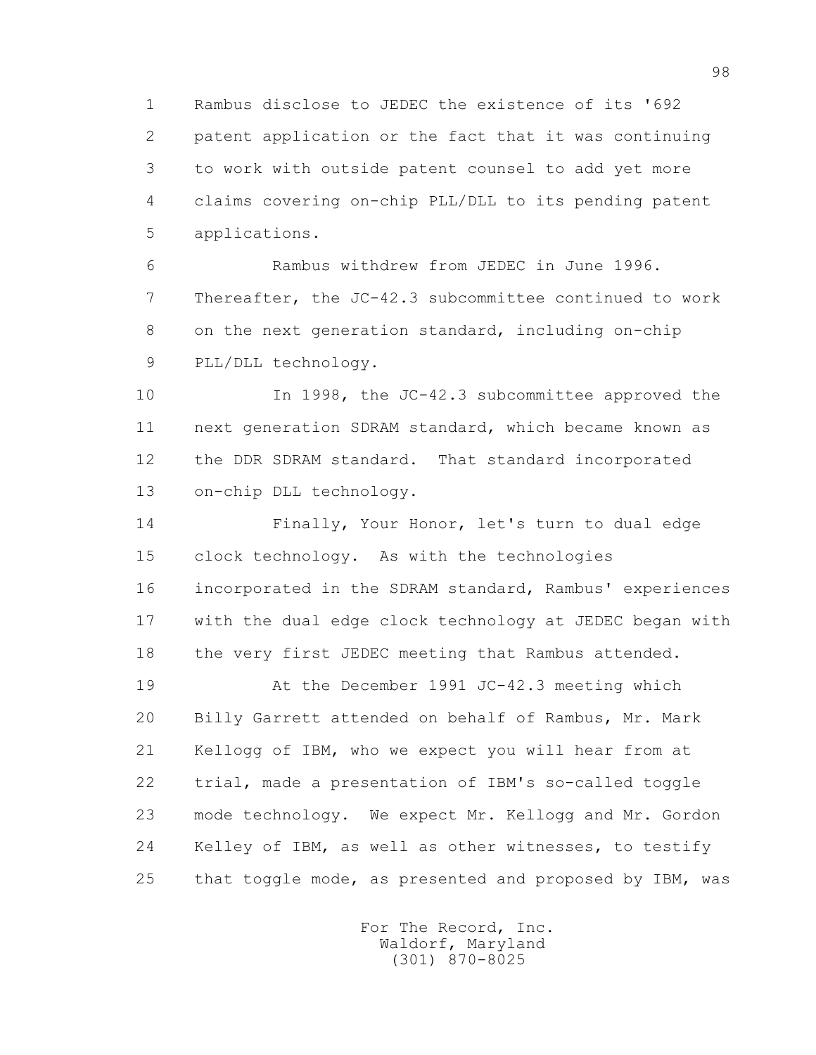1 Rambus disclose to JEDEC the existence of its '692 2 patent application or the fact that it was continuing 3 to work with outside patent counsel to add yet more 4 claims covering on-chip PLL/DLL to its pending patent 5 applications.

 6 Rambus withdrew from JEDEC in June 1996. 7 Thereafter, the JC-42.3 subcommittee continued to work 8 on the next generation standard, including on-chip 9 PLL/DLL technology.

 10 In 1998, the JC-42.3 subcommittee approved the 11 next generation SDRAM standard, which became known as 12 the DDR SDRAM standard. That standard incorporated 13 on-chip DLL technology.

 14 Finally, Your Honor, let's turn to dual edge 15 clock technology. As with the technologies 16 incorporated in the SDRAM standard, Rambus' experiences 17 with the dual edge clock technology at JEDEC began with 18 the very first JEDEC meeting that Rambus attended.

 19 At the December 1991 JC-42.3 meeting which 20 Billy Garrett attended on behalf of Rambus, Mr. Mark 21 Kellogg of IBM, who we expect you will hear from at 22 trial, made a presentation of IBM's so-called toggle 23 mode technology. We expect Mr. Kellogg and Mr. Gordon 24 Kelley of IBM, as well as other witnesses, to testify 25 that toggle mode, as presented and proposed by IBM, was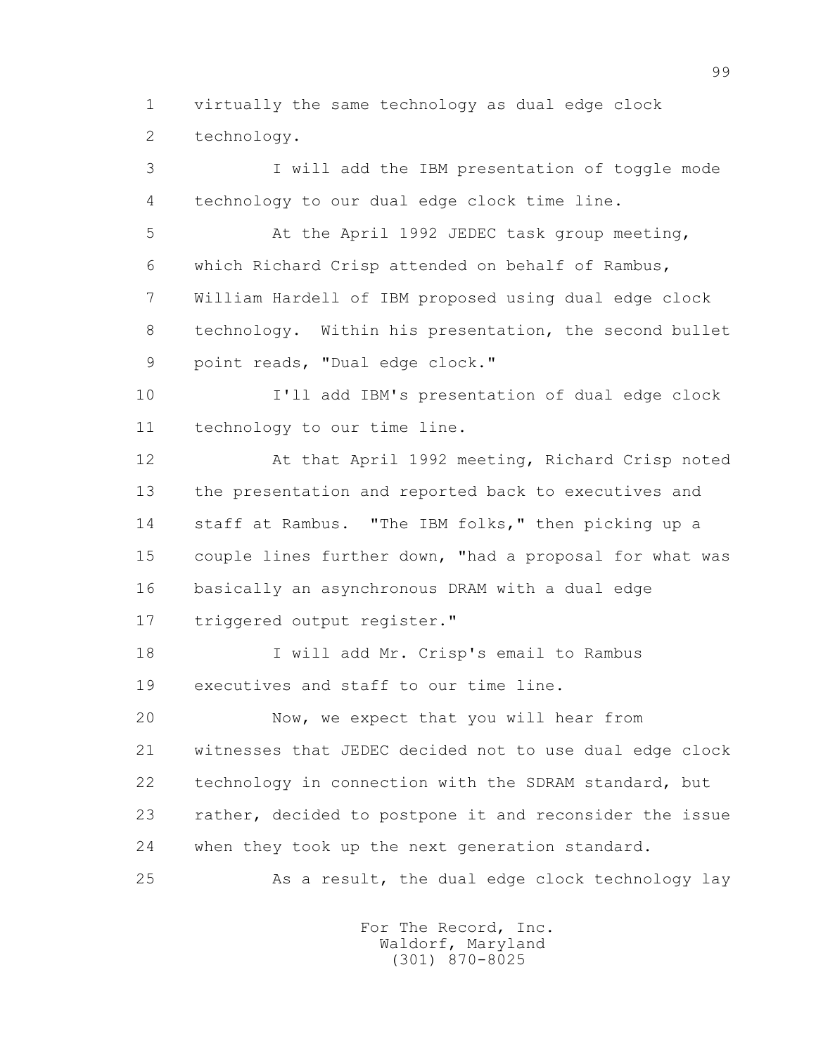1 virtually the same technology as dual edge clock 2 technology.

 3 I will add the IBM presentation of toggle mode 4 technology to our dual edge clock time line.

 5 At the April 1992 JEDEC task group meeting, 6 which Richard Crisp attended on behalf of Rambus, 7 William Hardell of IBM proposed using dual edge clock 8 technology. Within his presentation, the second bullet 9 point reads, "Dual edge clock."

 10 I'll add IBM's presentation of dual edge clock 11 technology to our time line.

 12 At that April 1992 meeting, Richard Crisp noted 13 the presentation and reported back to executives and 14 staff at Rambus. "The IBM folks," then picking up a 15 couple lines further down, "had a proposal for what was 16 basically an asynchronous DRAM with a dual edge 17 triggered output register."

 18 I will add Mr. Crisp's email to Rambus 19 executives and staff to our time line.

 20 Now, we expect that you will hear from 21 witnesses that JEDEC decided not to use dual edge clock 22 technology in connection with the SDRAM standard, but 23 rather, decided to postpone it and reconsider the issue 24 when they took up the next generation standard.

25 As a result, the dual edge clock technology lay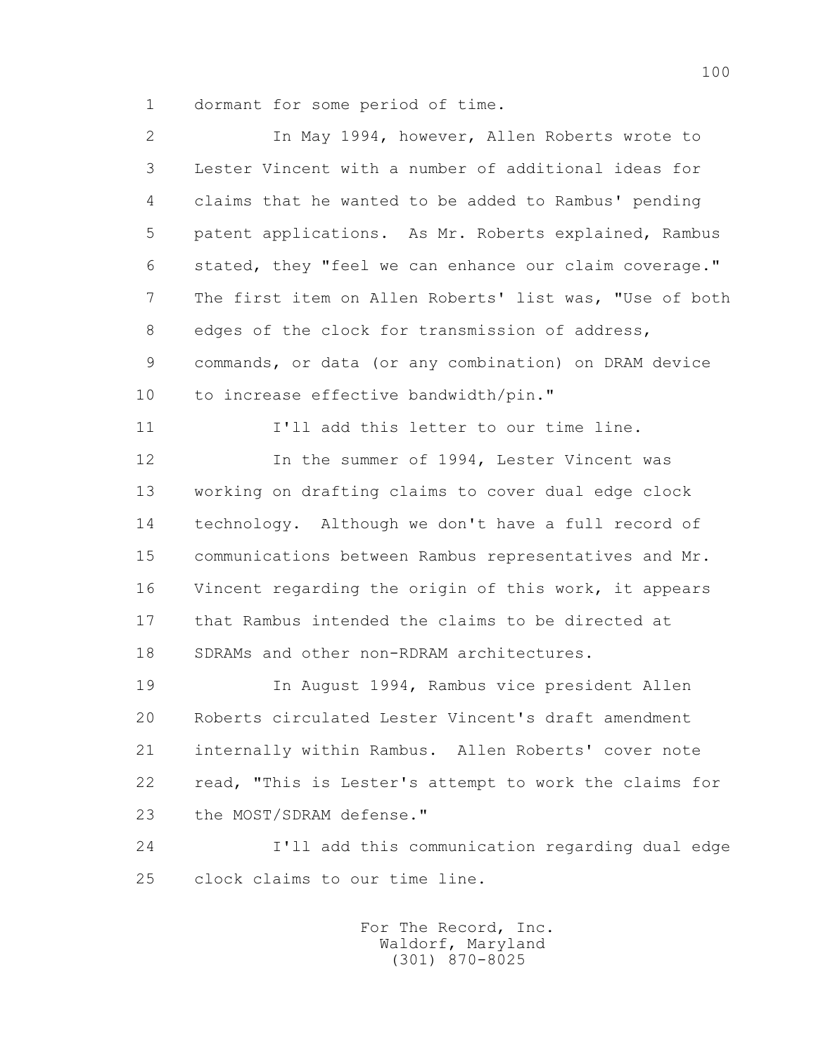1 dormant for some period of time.

 2 In May 1994, however, Allen Roberts wrote to 3 Lester Vincent with a number of additional ideas for 4 claims that he wanted to be added to Rambus' pending 5 patent applications. As Mr. Roberts explained, Rambus 6 stated, they "feel we can enhance our claim coverage." 7 The first item on Allen Roberts' list was, "Use of both 8 edges of the clock for transmission of address, 9 commands, or data (or any combination) on DRAM device 10 to increase effective bandwidth/pin." 11 I'll add this letter to our time line. 12 12 In the summer of 1994, Lester Vincent was 13 working on drafting claims to cover dual edge clock 14 technology. Although we don't have a full record of 15 communications between Rambus representatives and Mr. 16 Vincent regarding the origin of this work, it appears 17 that Rambus intended the claims to be directed at 18 SDRAMs and other non-RDRAM architectures. 19 In August 1994, Rambus vice president Allen 20 Roberts circulated Lester Vincent's draft amendment 21 internally within Rambus. Allen Roberts' cover note 22 read, "This is Lester's attempt to work the claims for 23 the MOST/SDRAM defense." 24 I'll add this communication regarding dual edge

25 clock claims to our time line.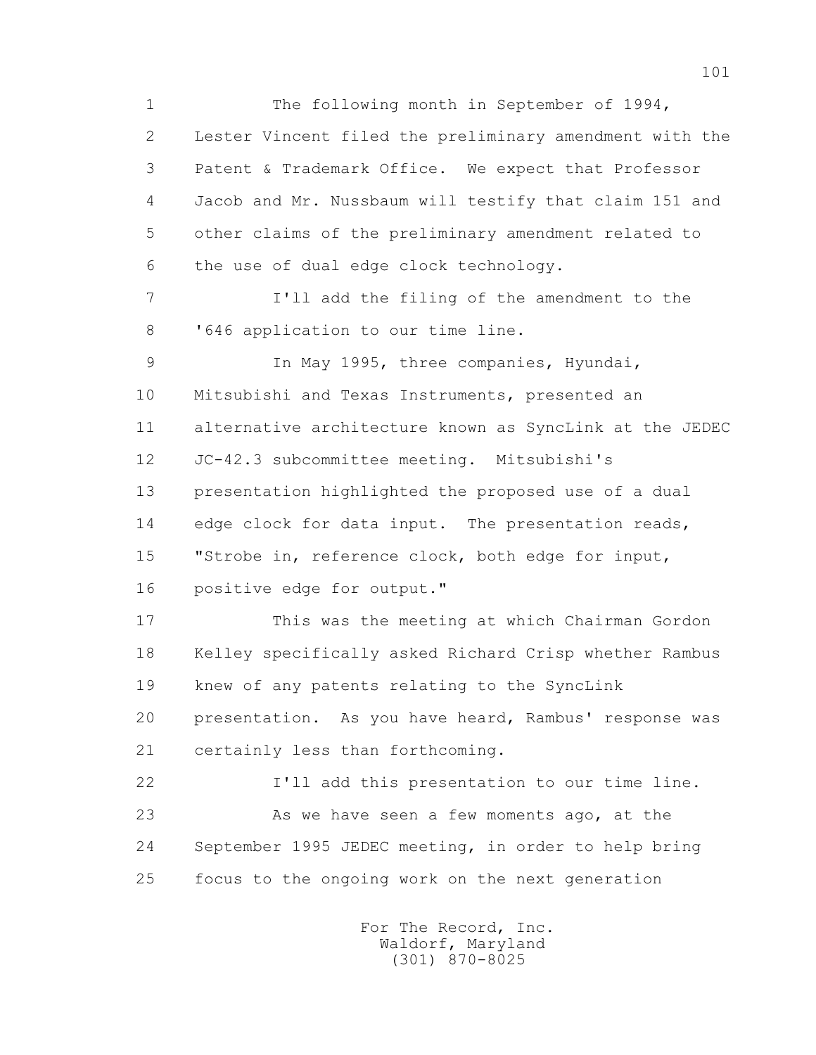1 The following month in September of 1994, 2 Lester Vincent filed the preliminary amendment with the 3 Patent & Trademark Office. We expect that Professor 4 Jacob and Mr. Nussbaum will testify that claim 151 and 5 other claims of the preliminary amendment related to 6 the use of dual edge clock technology. 7 I'll add the filing of the amendment to the 8 '646 application to our time line. 9 In May 1995, three companies, Hyundai, 10 Mitsubishi and Texas Instruments, presented an 11 alternative architecture known as SyncLink at the JEDEC 12 JC-42.3 subcommittee meeting. Mitsubishi's 13 presentation highlighted the proposed use of a dual 14 edge clock for data input. The presentation reads, 15 "Strobe in, reference clock, both edge for input, 16 positive edge for output." 17 This was the meeting at which Chairman Gordon 18 Kelley specifically asked Richard Crisp whether Rambus 19 knew of any patents relating to the SyncLink 20 presentation. As you have heard, Rambus' response was 21 certainly less than forthcoming. 22 I'll add this presentation to our time line. 23 As we have seen a few moments ago, at the 24 September 1995 JEDEC meeting, in order to help bring 25 focus to the ongoing work on the next generation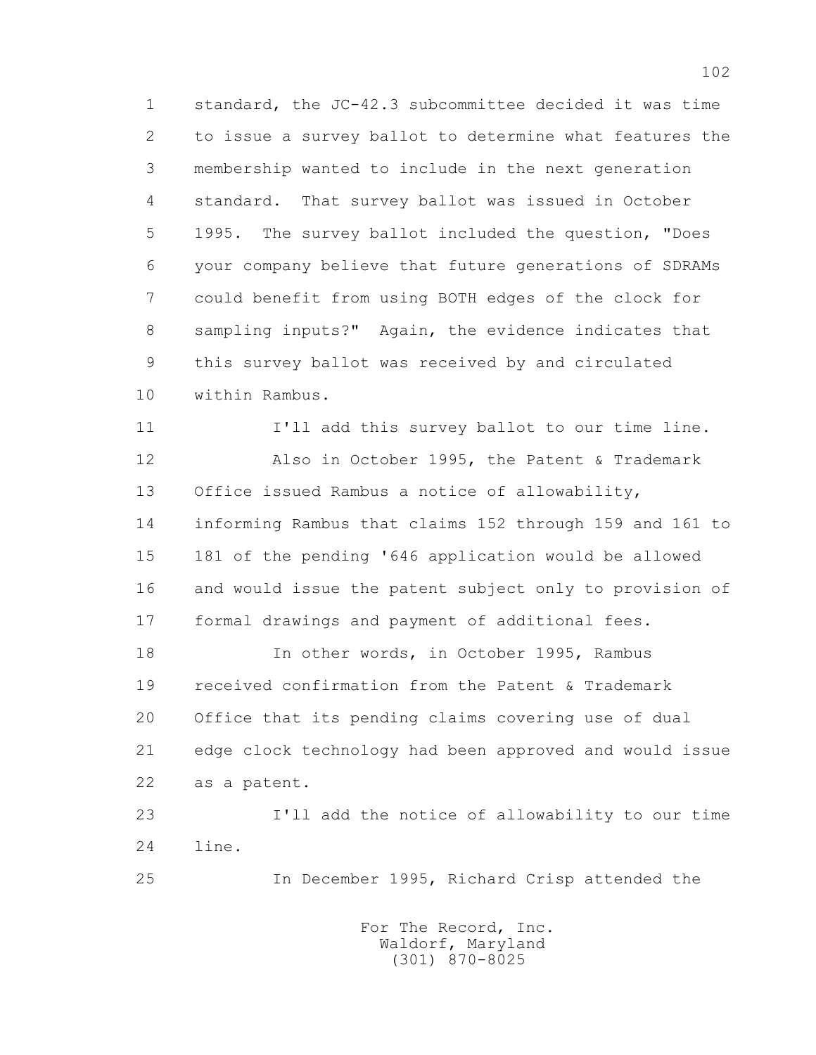1 standard, the JC-42.3 subcommittee decided it was time 2 to issue a survey ballot to determine what features the 3 membership wanted to include in the next generation 4 standard. That survey ballot was issued in October 5 1995. The survey ballot included the question, "Does 6 your company believe that future generations of SDRAMs 7 could benefit from using BOTH edges of the clock for 8 sampling inputs?" Again, the evidence indicates that 9 this survey ballot was received by and circulated 10 within Rambus.

 11 I'll add this survey ballot to our time line. 12 Also in October 1995, the Patent & Trademark 13 Office issued Rambus a notice of allowability, 14 informing Rambus that claims 152 through 159 and 161 to 15 181 of the pending '646 application would be allowed 16 and would issue the patent subject only to provision of 17 formal drawings and payment of additional fees.

18 In other words, in October 1995, Rambus 19 received confirmation from the Patent & Trademark 20 Office that its pending claims covering use of dual 21 edge clock technology had been approved and would issue 22 as a patent.

 23 I'll add the notice of allowability to our time 24 line.

25 In December 1995, Richard Crisp attended the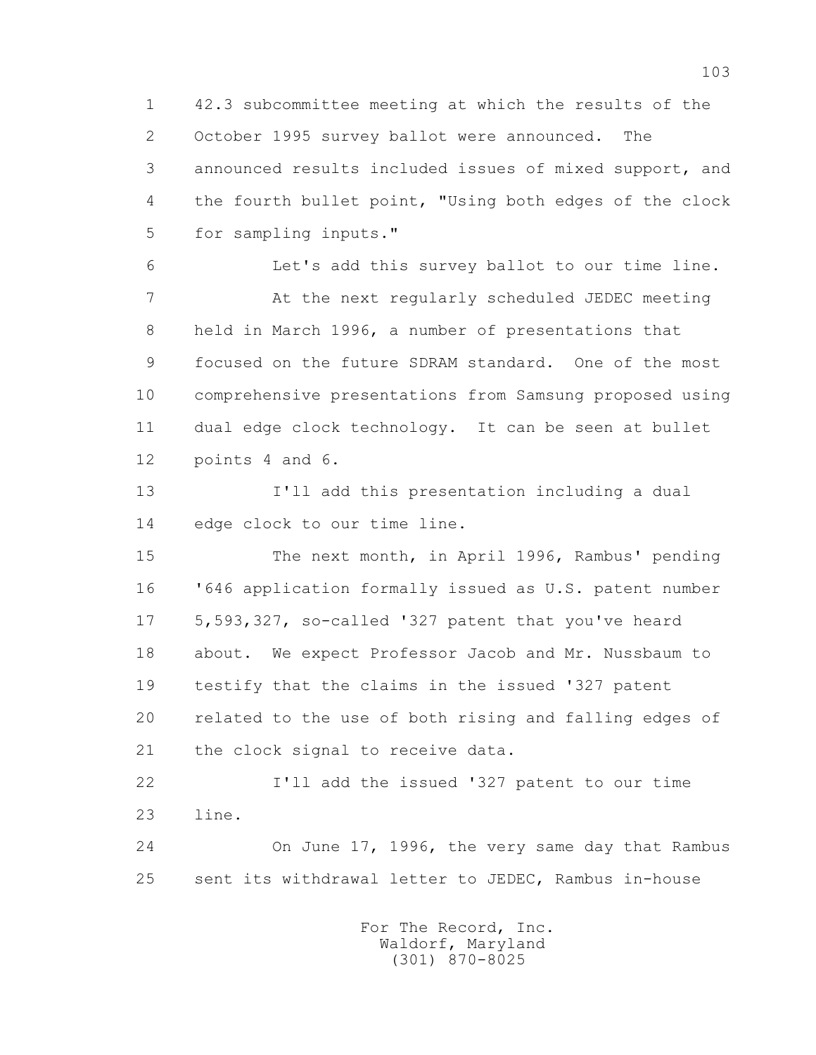1 42.3 subcommittee meeting at which the results of the 2 October 1995 survey ballot were announced. The 3 announced results included issues of mixed support, and 4 the fourth bullet point, "Using both edges of the clock 5 for sampling inputs."

 6 Let's add this survey ballot to our time line. 7 At the next regularly scheduled JEDEC meeting 8 held in March 1996, a number of presentations that 9 focused on the future SDRAM standard. One of the most 10 comprehensive presentations from Samsung proposed using 11 dual edge clock technology. It can be seen at bullet 12 points 4 and 6.

 13 I'll add this presentation including a dual 14 edge clock to our time line.

 15 The next month, in April 1996, Rambus' pending 16 '646 application formally issued as U.S. patent number 17 5,593,327, so-called '327 patent that you've heard 18 about. We expect Professor Jacob and Mr. Nussbaum to 19 testify that the claims in the issued '327 patent 20 related to the use of both rising and falling edges of 21 the clock signal to receive data.

 22 I'll add the issued '327 patent to our time 23 line.

 24 On June 17, 1996, the very same day that Rambus 25 sent its withdrawal letter to JEDEC, Rambus in-house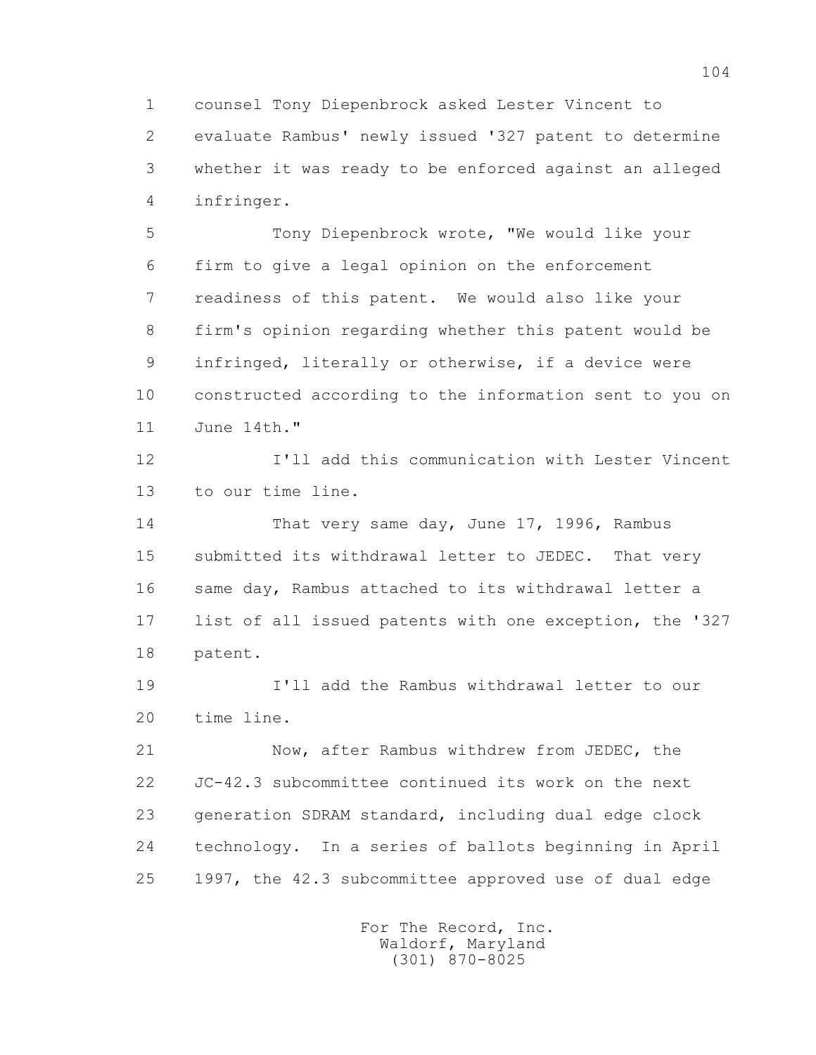1 counsel Tony Diepenbrock asked Lester Vincent to

 2 evaluate Rambus' newly issued '327 patent to determine 3 whether it was ready to be enforced against an alleged 4 infringer.

 5 Tony Diepenbrock wrote, "We would like your 6 firm to give a legal opinion on the enforcement 7 readiness of this patent. We would also like your 8 firm's opinion regarding whether this patent would be 9 infringed, literally or otherwise, if a device were 10 constructed according to the information sent to you on 11 June 14th."

 12 I'll add this communication with Lester Vincent 13 to our time line.

 14 That very same day, June 17, 1996, Rambus 15 submitted its withdrawal letter to JEDEC. That very 16 same day, Rambus attached to its withdrawal letter a 17 list of all issued patents with one exception, the '327 18 patent.

 19 I'll add the Rambus withdrawal letter to our 20 time line.

 21 Now, after Rambus withdrew from JEDEC, the 22 JC-42.3 subcommittee continued its work on the next 23 generation SDRAM standard, including dual edge clock 24 technology. In a series of ballots beginning in April 25 1997, the 42.3 subcommittee approved use of dual edge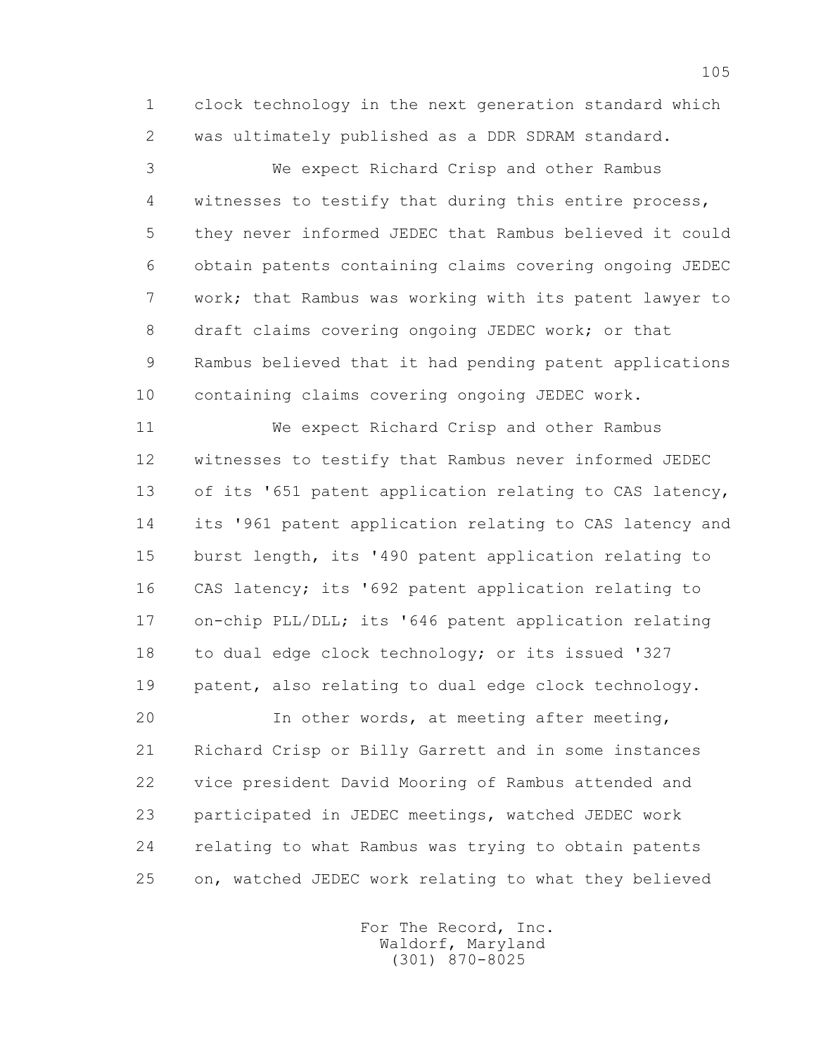1 clock technology in the next generation standard which 2 was ultimately published as a DDR SDRAM standard.

 3 We expect Richard Crisp and other Rambus 4 witnesses to testify that during this entire process, 5 they never informed JEDEC that Rambus believed it could 6 obtain patents containing claims covering ongoing JEDEC 7 work; that Rambus was working with its patent lawyer to 8 draft claims covering ongoing JEDEC work; or that 9 Rambus believed that it had pending patent applications 10 containing claims covering ongoing JEDEC work.

 11 We expect Richard Crisp and other Rambus 12 witnesses to testify that Rambus never informed JEDEC 13 of its '651 patent application relating to CAS latency, 14 its '961 patent application relating to CAS latency and 15 burst length, its '490 patent application relating to 16 CAS latency; its '692 patent application relating to 17 on-chip PLL/DLL; its '646 patent application relating 18 to dual edge clock technology; or its issued '327 19 patent, also relating to dual edge clock technology.

 20 In other words, at meeting after meeting, 21 Richard Crisp or Billy Garrett and in some instances 22 vice president David Mooring of Rambus attended and 23 participated in JEDEC meetings, watched JEDEC work 24 relating to what Rambus was trying to obtain patents 25 on, watched JEDEC work relating to what they believed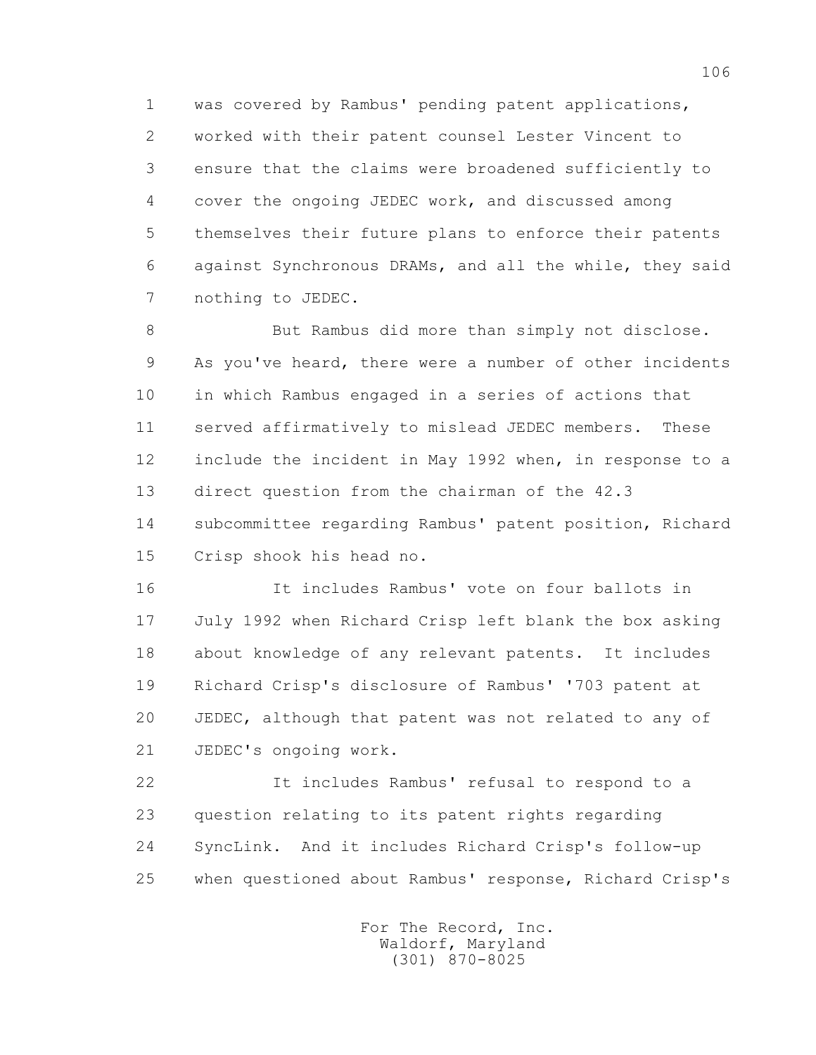1 was covered by Rambus' pending patent applications, 2 worked with their patent counsel Lester Vincent to 3 ensure that the claims were broadened sufficiently to 4 cover the ongoing JEDEC work, and discussed among 5 themselves their future plans to enforce their patents 6 against Synchronous DRAMs, and all the while, they said 7 nothing to JEDEC.

8 But Rambus did more than simply not disclose. 9 As you've heard, there were a number of other incidents 10 in which Rambus engaged in a series of actions that 11 served affirmatively to mislead JEDEC members. These 12 include the incident in May 1992 when, in response to a 13 direct question from the chairman of the 42.3 14 subcommittee regarding Rambus' patent position, Richard 15 Crisp shook his head no.

 16 It includes Rambus' vote on four ballots in 17 July 1992 when Richard Crisp left blank the box asking 18 about knowledge of any relevant patents. It includes 19 Richard Crisp's disclosure of Rambus' '703 patent at 20 JEDEC, although that patent was not related to any of 21 JEDEC's ongoing work.

 22 It includes Rambus' refusal to respond to a 23 question relating to its patent rights regarding 24 SyncLink. And it includes Richard Crisp's follow-up 25 when questioned about Rambus' response, Richard Crisp's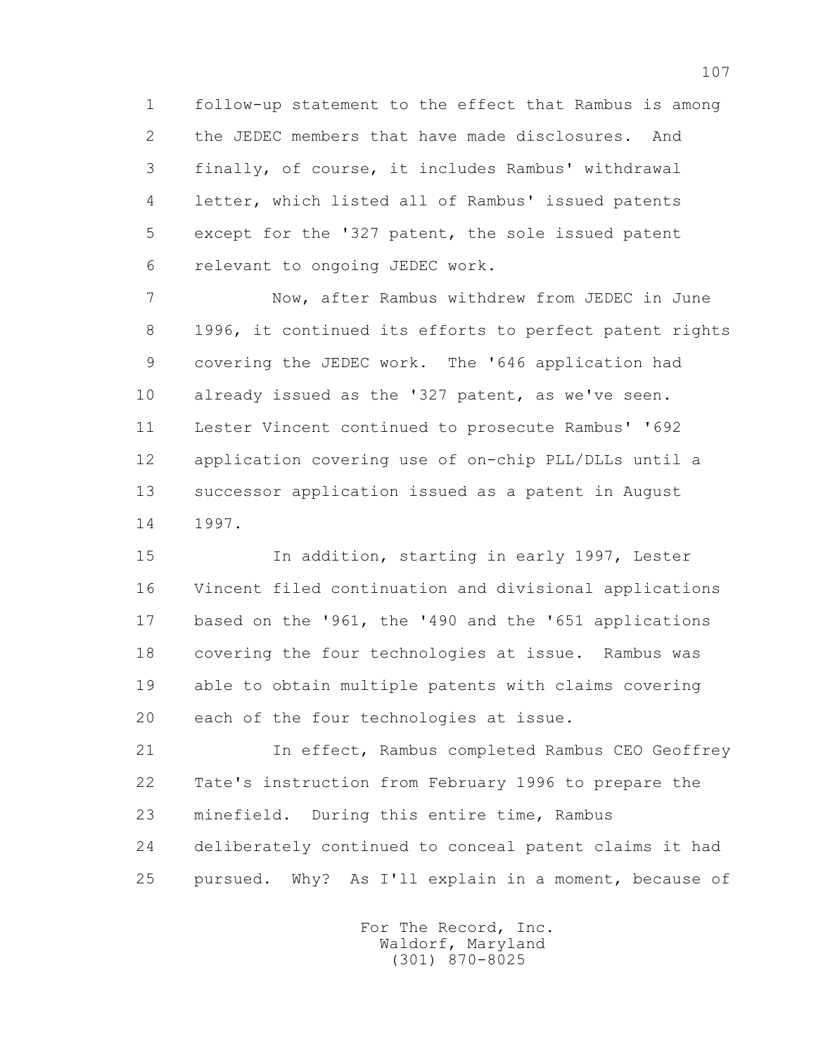1 follow-up statement to the effect that Rambus is among 2 the JEDEC members that have made disclosures. And 3 finally, of course, it includes Rambus' withdrawal 4 letter, which listed all of Rambus' issued patents 5 except for the '327 patent, the sole issued patent 6 relevant to ongoing JEDEC work.

 7 Now, after Rambus withdrew from JEDEC in June 8 1996, it continued its efforts to perfect patent rights 9 covering the JEDEC work. The '646 application had 10 already issued as the '327 patent, as we've seen. 11 Lester Vincent continued to prosecute Rambus' '692 12 application covering use of on-chip PLL/DLLs until a 13 successor application issued as a patent in August 14 1997.

 15 In addition, starting in early 1997, Lester 16 Vincent filed continuation and divisional applications 17 based on the '961, the '490 and the '651 applications 18 covering the four technologies at issue. Rambus was 19 able to obtain multiple patents with claims covering 20 each of the four technologies at issue.

 21 In effect, Rambus completed Rambus CEO Geoffrey 22 Tate's instruction from February 1996 to prepare the 23 minefield. During this entire time, Rambus 24 deliberately continued to conceal patent claims it had 25 pursued. Why? As I'll explain in a moment, because of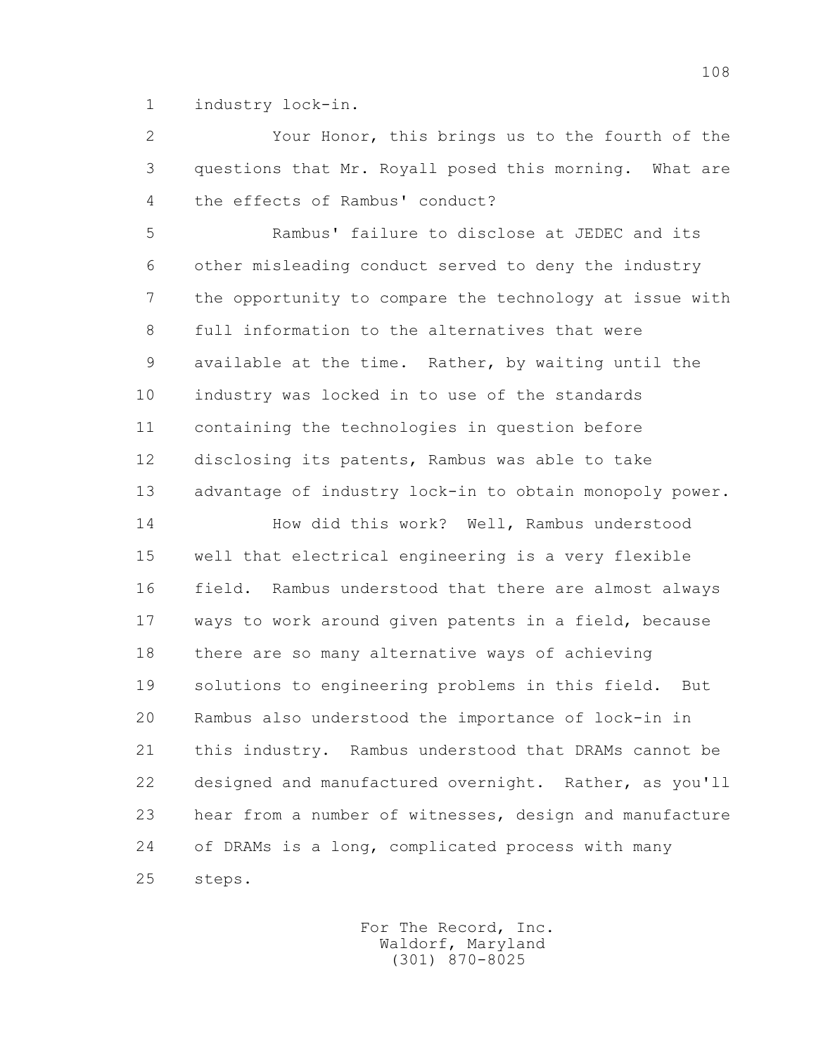1 industry lock-in.

 2 Your Honor, this brings us to the fourth of the 3 questions that Mr. Royall posed this morning. What are 4 the effects of Rambus' conduct?

 5 Rambus' failure to disclose at JEDEC and its 6 other misleading conduct served to deny the industry 7 the opportunity to compare the technology at issue with 8 full information to the alternatives that were 9 available at the time. Rather, by waiting until the 10 industry was locked in to use of the standards 11 containing the technologies in question before 12 disclosing its patents, Rambus was able to take 13 advantage of industry lock-in to obtain monopoly power.

 14 How did this work? Well, Rambus understood 15 well that electrical engineering is a very flexible 16 field. Rambus understood that there are almost always 17 ways to work around given patents in a field, because 18 there are so many alternative ways of achieving 19 solutions to engineering problems in this field. But 20 Rambus also understood the importance of lock-in in 21 this industry. Rambus understood that DRAMs cannot be 22 designed and manufactured overnight. Rather, as you'll 23 hear from a number of witnesses, design and manufacture 24 of DRAMs is a long, complicated process with many 25 steps.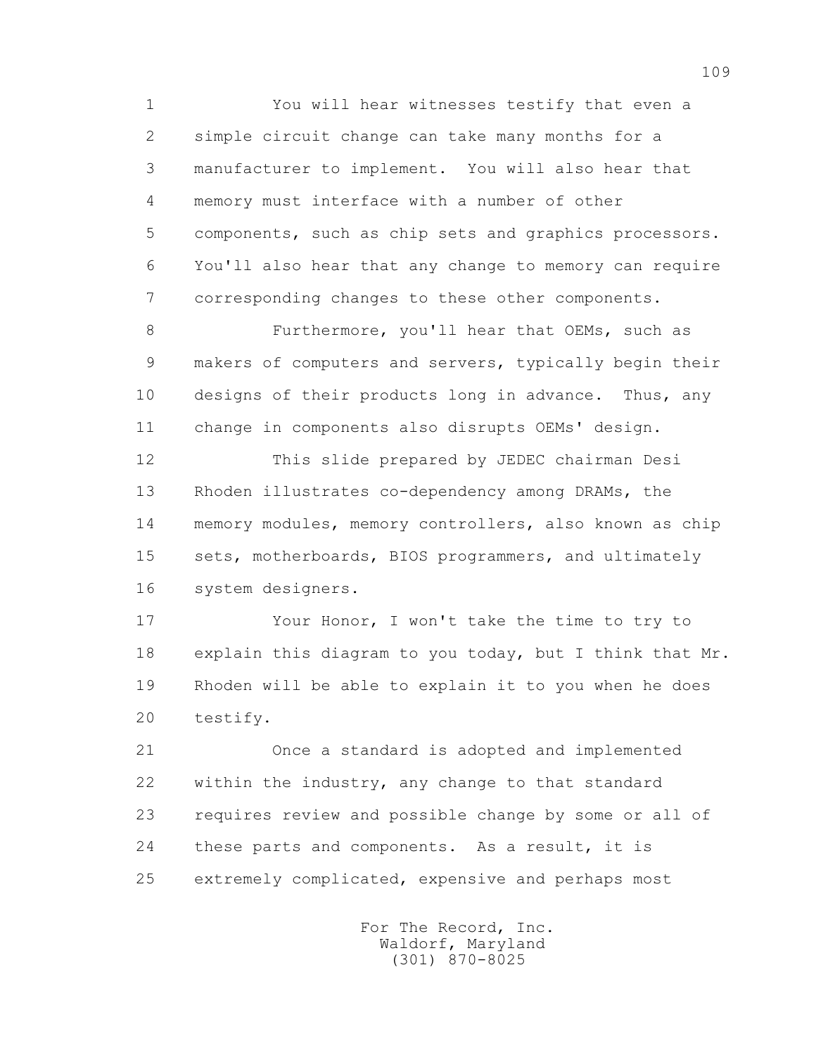1 You will hear witnesses testify that even a 2 simple circuit change can take many months for a 3 manufacturer to implement. You will also hear that 4 memory must interface with a number of other 5 components, such as chip sets and graphics processors. 6 You'll also hear that any change to memory can require 7 corresponding changes to these other components.

 8 Furthermore, you'll hear that OEMs, such as 9 makers of computers and servers, typically begin their 10 designs of their products long in advance. Thus, any 11 change in components also disrupts OEMs' design.

 12 This slide prepared by JEDEC chairman Desi 13 Rhoden illustrates co-dependency among DRAMs, the 14 memory modules, memory controllers, also known as chip 15 sets, motherboards, BIOS programmers, and ultimately 16 system designers.

 17 Your Honor, I won't take the time to try to 18 explain this diagram to you today, but I think that Mr. 19 Rhoden will be able to explain it to you when he does 20 testify.

 21 Once a standard is adopted and implemented 22 within the industry, any change to that standard 23 requires review and possible change by some or all of 24 these parts and components. As a result, it is 25 extremely complicated, expensive and perhaps most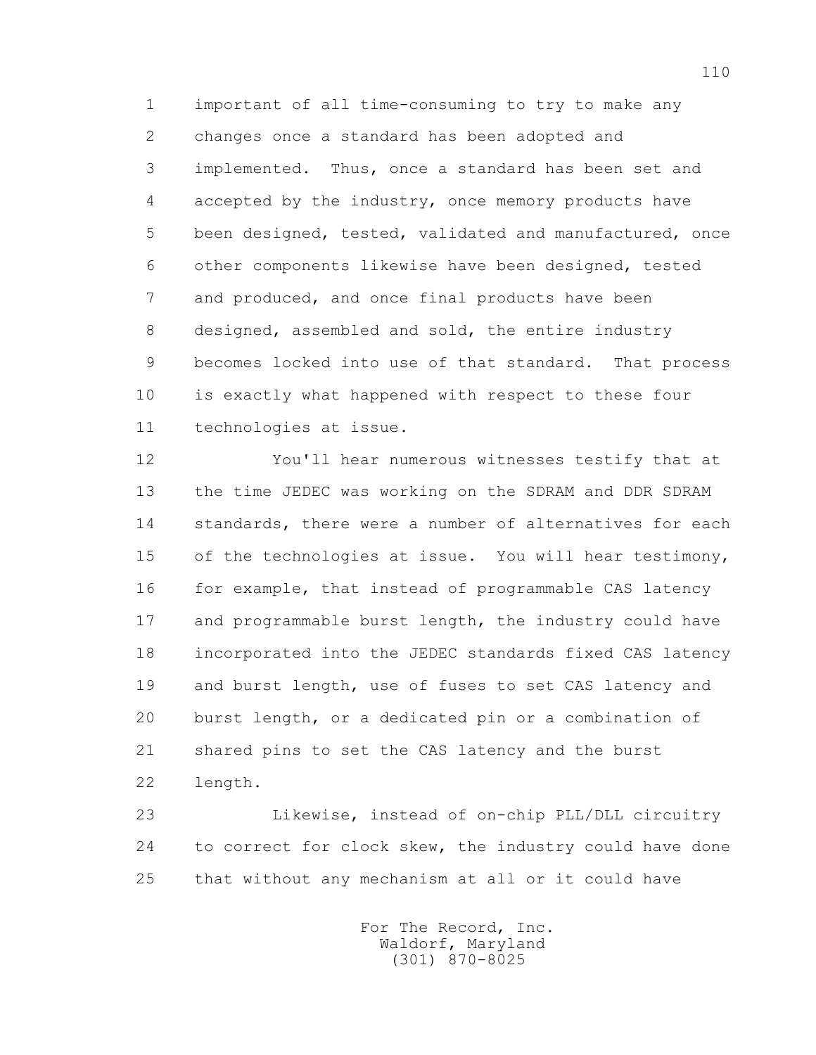1 important of all time-consuming to try to make any 2 changes once a standard has been adopted and 3 implemented. Thus, once a standard has been set and 4 accepted by the industry, once memory products have 5 been designed, tested, validated and manufactured, once 6 other components likewise have been designed, tested 7 and produced, and once final products have been 8 designed, assembled and sold, the entire industry 9 becomes locked into use of that standard. That process 10 is exactly what happened with respect to these four 11 technologies at issue.

 12 You'll hear numerous witnesses testify that at 13 the time JEDEC was working on the SDRAM and DDR SDRAM 14 standards, there were a number of alternatives for each 15 of the technologies at issue. You will hear testimony, 16 for example, that instead of programmable CAS latency 17 and programmable burst length, the industry could have 18 incorporated into the JEDEC standards fixed CAS latency 19 and burst length, use of fuses to set CAS latency and 20 burst length, or a dedicated pin or a combination of 21 shared pins to set the CAS latency and the burst 22 length.

 23 Likewise, instead of on-chip PLL/DLL circuitry 24 to correct for clock skew, the industry could have done 25 that without any mechanism at all or it could have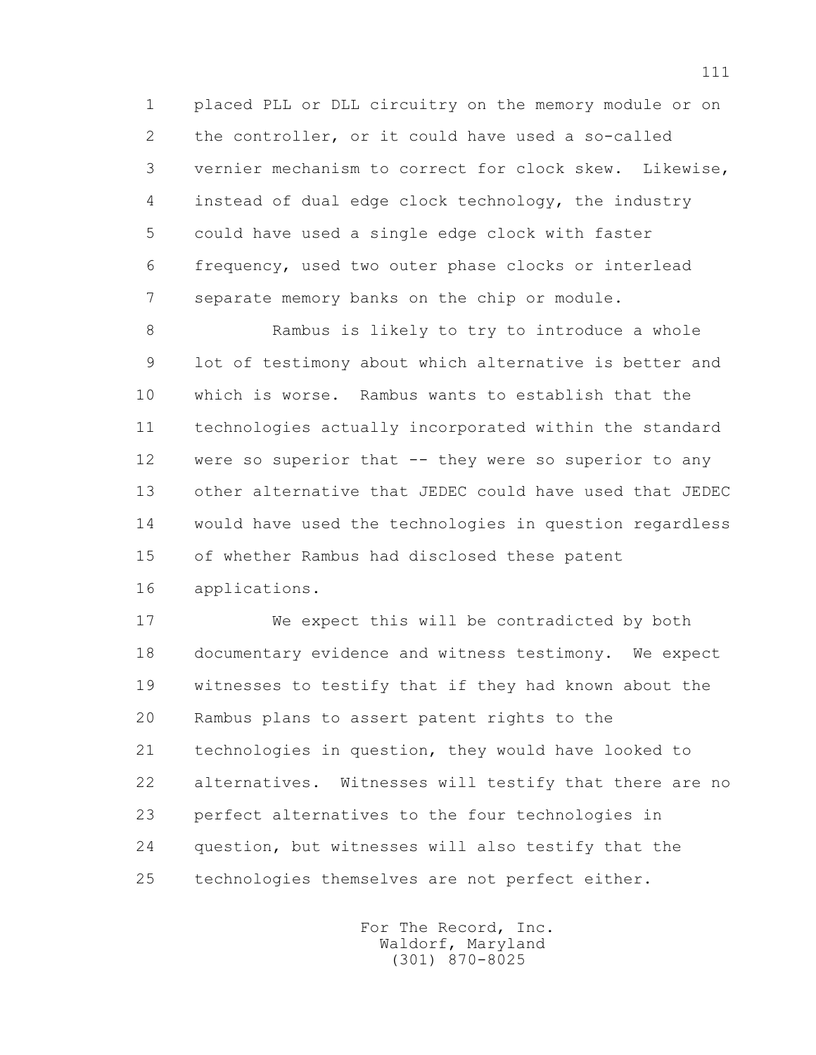1 placed PLL or DLL circuitry on the memory module or on 2 the controller, or it could have used a so-called 3 vernier mechanism to correct for clock skew. Likewise, 4 instead of dual edge clock technology, the industry 5 could have used a single edge clock with faster 6 frequency, used two outer phase clocks or interlead 7 separate memory banks on the chip or module.

 8 Rambus is likely to try to introduce a whole 9 lot of testimony about which alternative is better and 10 which is worse. Rambus wants to establish that the 11 technologies actually incorporated within the standard 12 were so superior that -- they were so superior to any 13 other alternative that JEDEC could have used that JEDEC 14 would have used the technologies in question regardless 15 of whether Rambus had disclosed these patent 16 applications.

 17 We expect this will be contradicted by both 18 documentary evidence and witness testimony. We expect 19 witnesses to testify that if they had known about the 20 Rambus plans to assert patent rights to the 21 technologies in question, they would have looked to 22 alternatives. Witnesses will testify that there are no 23 perfect alternatives to the four technologies in 24 question, but witnesses will also testify that the 25 technologies themselves are not perfect either.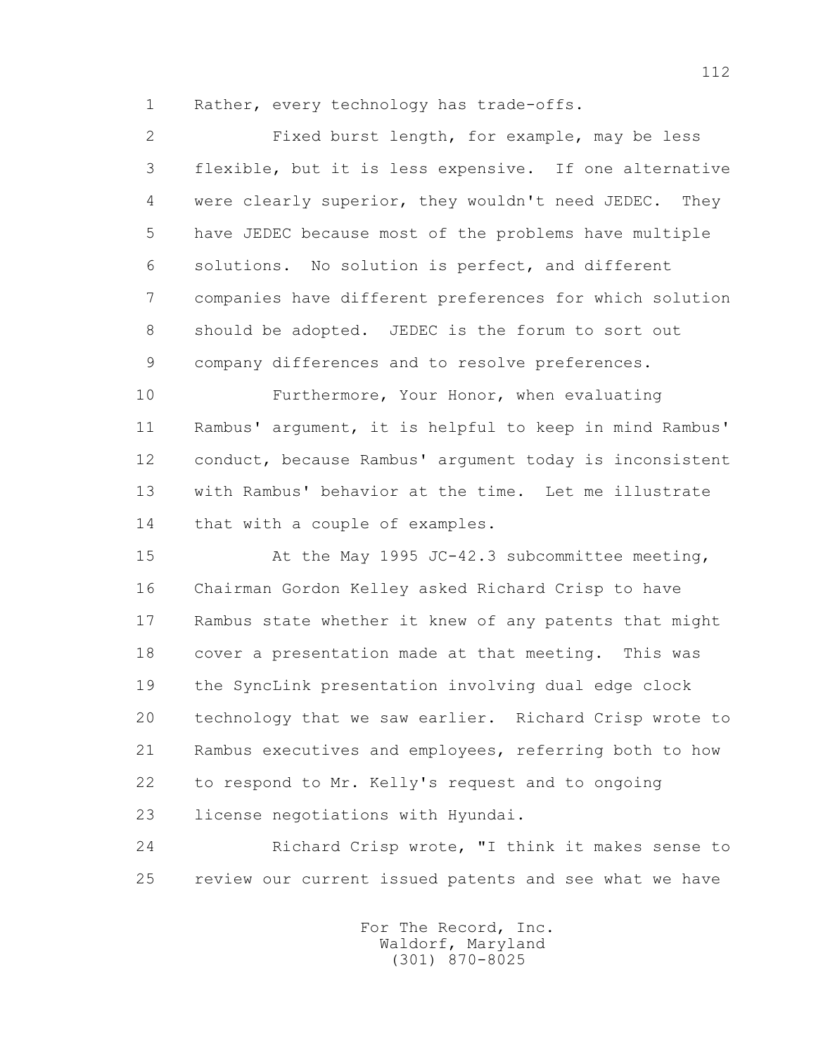1 Rather, every technology has trade-offs.

 2 Fixed burst length, for example, may be less 3 flexible, but it is less expensive. If one alternative 4 were clearly superior, they wouldn't need JEDEC. They 5 have JEDEC because most of the problems have multiple 6 solutions. No solution is perfect, and different 7 companies have different preferences for which solution 8 should be adopted. JEDEC is the forum to sort out 9 company differences and to resolve preferences.

 10 Furthermore, Your Honor, when evaluating 11 Rambus' argument, it is helpful to keep in mind Rambus' 12 conduct, because Rambus' argument today is inconsistent 13 with Rambus' behavior at the time. Let me illustrate 14 that with a couple of examples.

 15 At the May 1995 JC-42.3 subcommittee meeting, 16 Chairman Gordon Kelley asked Richard Crisp to have 17 Rambus state whether it knew of any patents that might 18 cover a presentation made at that meeting. This was 19 the SyncLink presentation involving dual edge clock 20 technology that we saw earlier. Richard Crisp wrote to 21 Rambus executives and employees, referring both to how 22 to respond to Mr. Kelly's request and to ongoing 23 license negotiations with Hyundai.

 24 Richard Crisp wrote, "I think it makes sense to 25 review our current issued patents and see what we have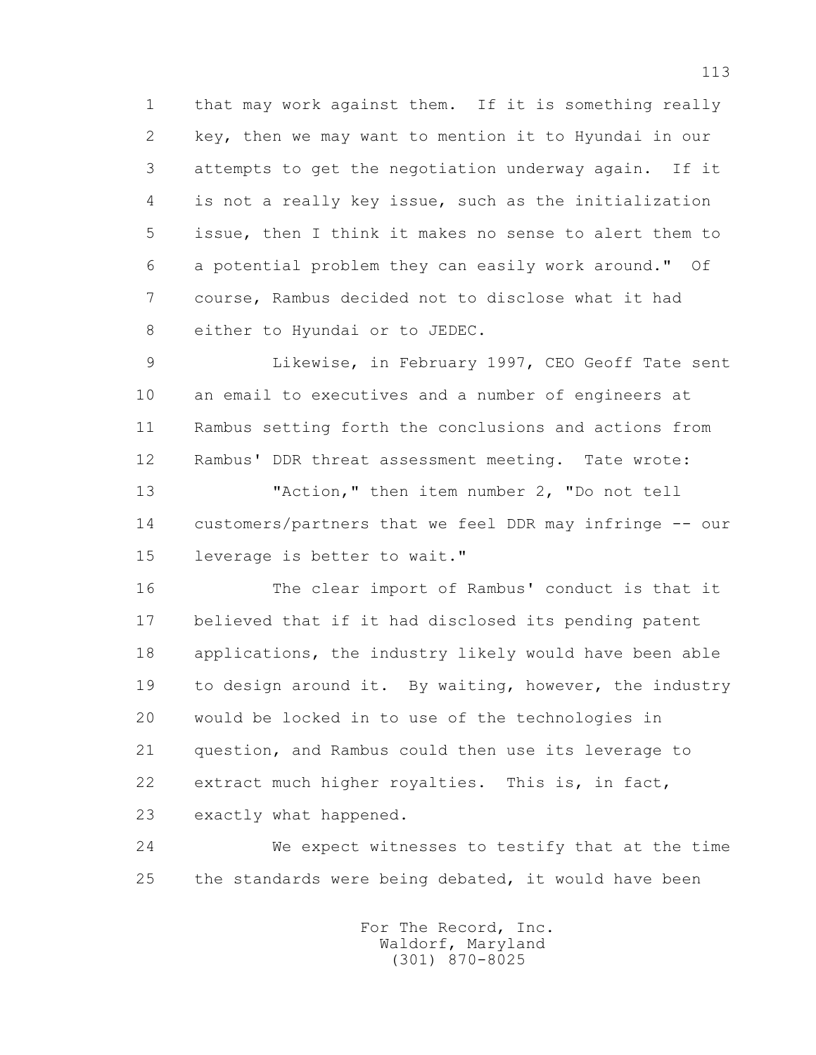1 that may work against them. If it is something really 2 key, then we may want to mention it to Hyundai in our 3 attempts to get the negotiation underway again. If it 4 is not a really key issue, such as the initialization 5 issue, then I think it makes no sense to alert them to 6 a potential problem they can easily work around." Of 7 course, Rambus decided not to disclose what it had 8 either to Hyundai or to JEDEC.

 9 Likewise, in February 1997, CEO Geoff Tate sent 10 an email to executives and a number of engineers at 11 Rambus setting forth the conclusions and actions from 12 Rambus' DDR threat assessment meeting. Tate wrote: 13 "Action," then item number 2, "Do not tell

 14 customers/partners that we feel DDR may infringe -- our 15 leverage is better to wait."

 16 The clear import of Rambus' conduct is that it 17 believed that if it had disclosed its pending patent 18 applications, the industry likely would have been able 19 to design around it. By waiting, however, the industry 20 would be locked in to use of the technologies in 21 question, and Rambus could then use its leverage to 22 extract much higher royalties. This is, in fact, 23 exactly what happened.

 24 We expect witnesses to testify that at the time 25 the standards were being debated, it would have been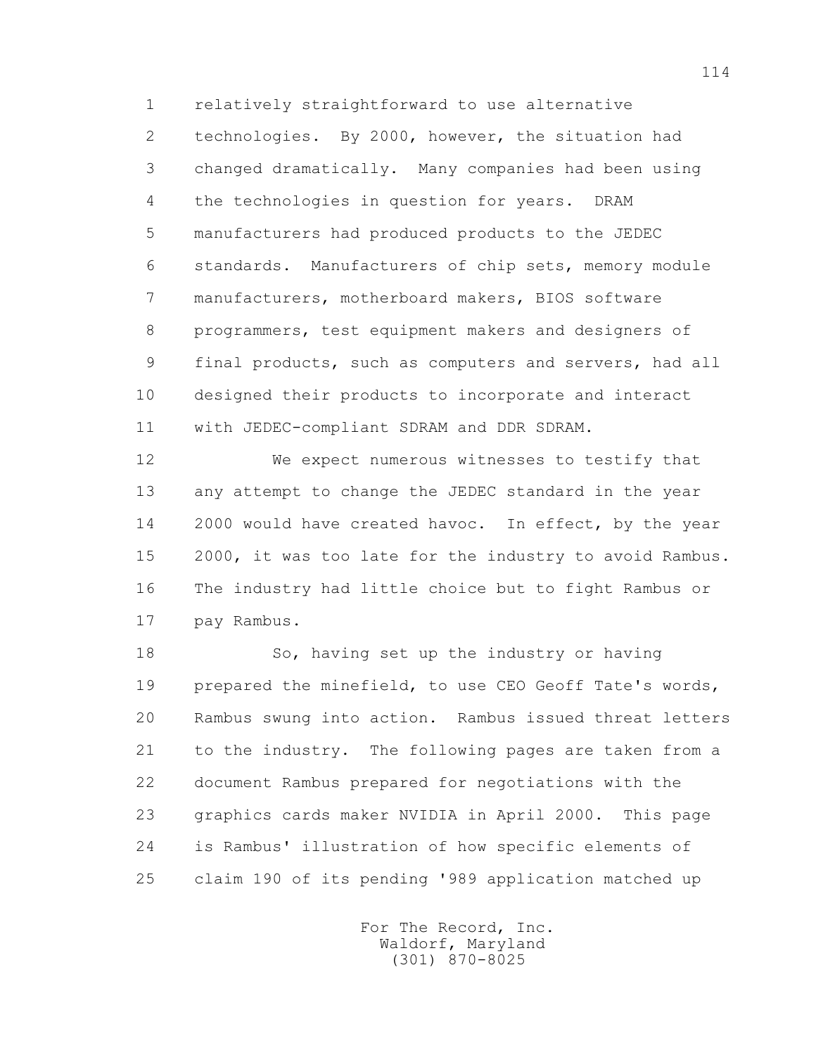1 relatively straightforward to use alternative 2 technologies. By 2000, however, the situation had 3 changed dramatically. Many companies had been using 4 the technologies in question for years. DRAM 5 manufacturers had produced products to the JEDEC 6 standards. Manufacturers of chip sets, memory module 7 manufacturers, motherboard makers, BIOS software 8 programmers, test equipment makers and designers of 9 final products, such as computers and servers, had all 10 designed their products to incorporate and interact 11 with JEDEC-compliant SDRAM and DDR SDRAM.

 12 We expect numerous witnesses to testify that 13 any attempt to change the JEDEC standard in the year 14 2000 would have created havoc. In effect, by the year 15 2000, it was too late for the industry to avoid Rambus. 16 The industry had little choice but to fight Rambus or 17 pay Rambus.

18 So, having set up the industry or having 19 prepared the minefield, to use CEO Geoff Tate's words, 20 Rambus swung into action. Rambus issued threat letters 21 to the industry. The following pages are taken from a 22 document Rambus prepared for negotiations with the 23 graphics cards maker NVIDIA in April 2000. This page 24 is Rambus' illustration of how specific elements of 25 claim 190 of its pending '989 application matched up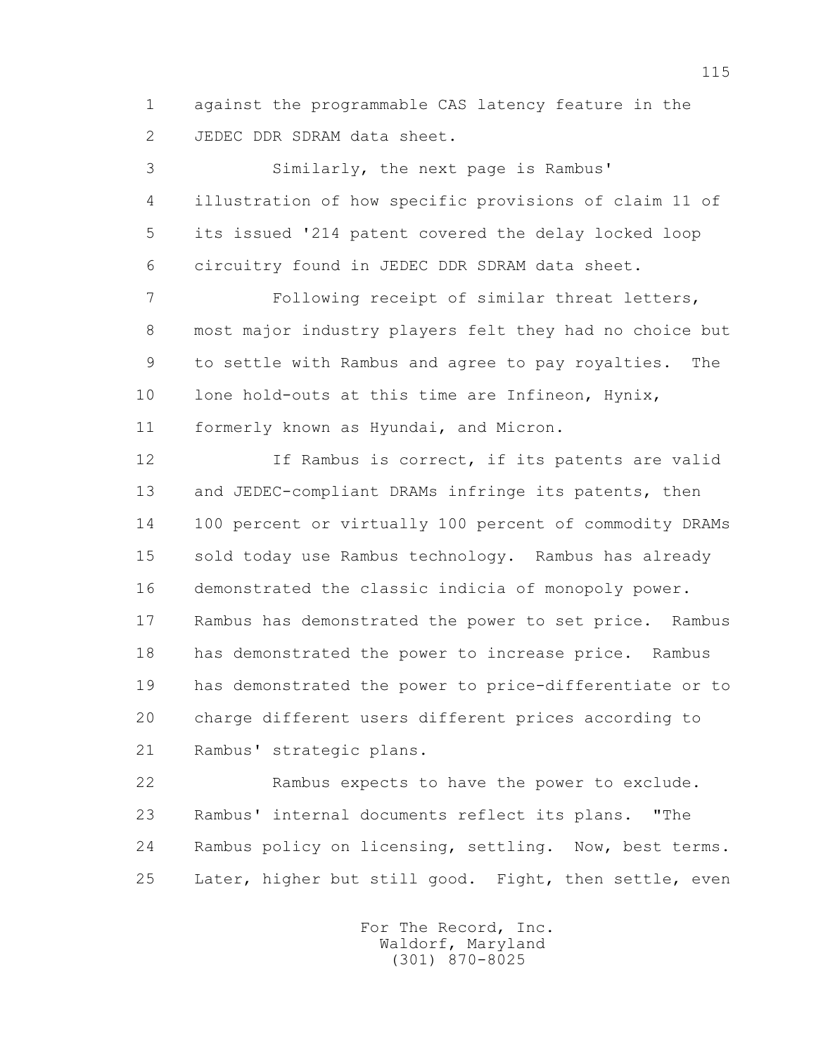1 against the programmable CAS latency feature in the 2 JEDEC DDR SDRAM data sheet.

 3 Similarly, the next page is Rambus' 4 illustration of how specific provisions of claim 11 of 5 its issued '214 patent covered the delay locked loop 6 circuitry found in JEDEC DDR SDRAM data sheet.

 7 Following receipt of similar threat letters, 8 most major industry players felt they had no choice but 9 to settle with Rambus and agree to pay royalties. The 10 lone hold-outs at this time are Infineon, Hynix, 11 formerly known as Hyundai, and Micron.

 12 If Rambus is correct, if its patents are valid 13 and JEDEC-compliant DRAMs infringe its patents, then 14 100 percent or virtually 100 percent of commodity DRAMs 15 sold today use Rambus technology. Rambus has already 16 demonstrated the classic indicia of monopoly power. 17 Rambus has demonstrated the power to set price. Rambus 18 has demonstrated the power to increase price. Rambus 19 has demonstrated the power to price-differentiate or to 20 charge different users different prices according to 21 Rambus' strategic plans.

 22 Rambus expects to have the power to exclude. 23 Rambus' internal documents reflect its plans. "The 24 Rambus policy on licensing, settling. Now, best terms. 25 Later, higher but still good. Fight, then settle, even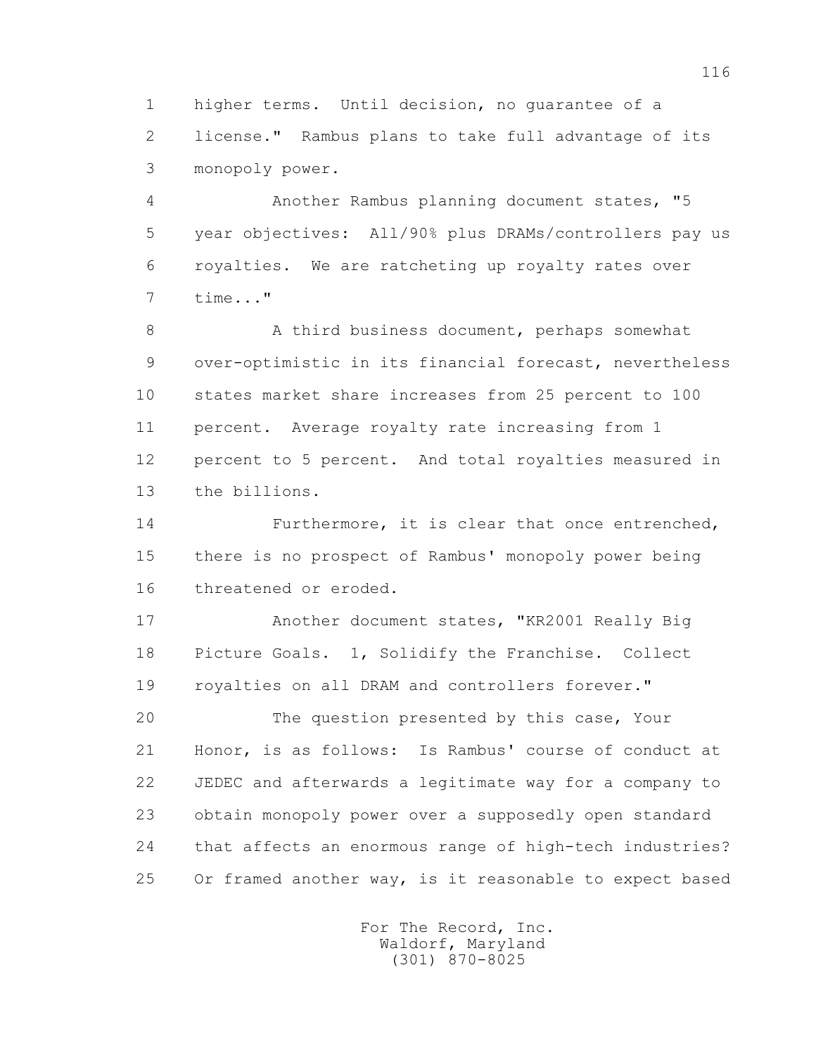1 higher terms. Until decision, no guarantee of a 2 license." Rambus plans to take full advantage of its 3 monopoly power.

 4 Another Rambus planning document states, "5 5 year objectives: All/90% plus DRAMs/controllers pay us 6 royalties. We are ratcheting up royalty rates over 7 time..."

8 A third business document, perhaps somewhat 9 over-optimistic in its financial forecast, nevertheless 10 states market share increases from 25 percent to 100 11 percent. Average royalty rate increasing from 1 12 percent to 5 percent. And total royalties measured in 13 the billions.

 14 Furthermore, it is clear that once entrenched, 15 there is no prospect of Rambus' monopoly power being 16 threatened or eroded.

 17 Another document states, "KR2001 Really Big 18 Picture Goals. 1, Solidify the Franchise. Collect 19 royalties on all DRAM and controllers forever."

 20 The question presented by this case, Your 21 Honor, is as follows: Is Rambus' course of conduct at 22 JEDEC and afterwards a legitimate way for a company to 23 obtain monopoly power over a supposedly open standard 24 that affects an enormous range of high-tech industries? 25 Or framed another way, is it reasonable to expect based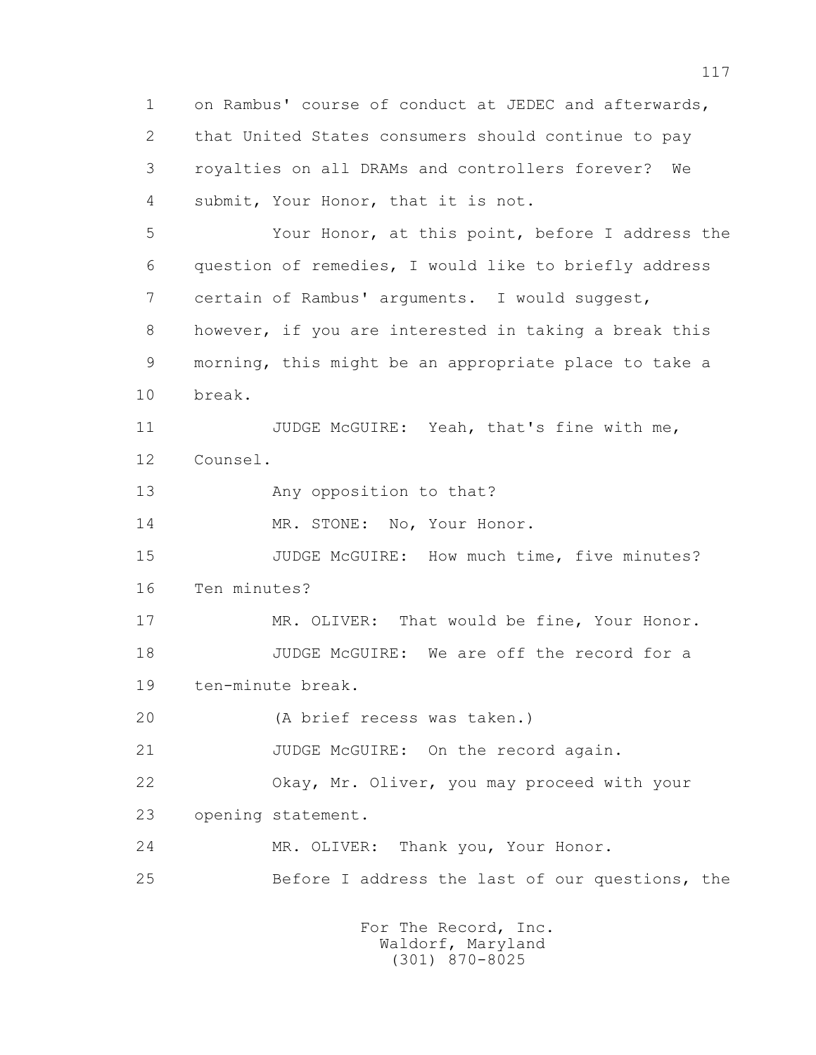1 on Rambus' course of conduct at JEDEC and afterwards, 2 that United States consumers should continue to pay 3 royalties on all DRAMs and controllers forever? We 4 submit, Your Honor, that it is not. 5 Your Honor, at this point, before I address the 6 question of remedies, I would like to briefly address 7 certain of Rambus' arguments. I would suggest, 8 however, if you are interested in taking a break this 9 morning, this might be an appropriate place to take a 10 break. 11 JUDGE McGUIRE: Yeah, that's fine with me, 12 Counsel. 13 Any opposition to that? 14 MR. STONE: No, Your Honor. 15 JUDGE McGUIRE: How much time, five minutes? 16 Ten minutes? 17 MR. OLIVER: That would be fine, Your Honor. 18 JUDGE McGUIRE: We are off the record for a 19 ten-minute break. 20 (A brief recess was taken.) 21 JUDGE McGUIRE: On the record again. 22 Okay, Mr. Oliver, you may proceed with your 23 opening statement. 24 MR. OLIVER: Thank you, Your Honor. 25 Before I address the last of our questions, the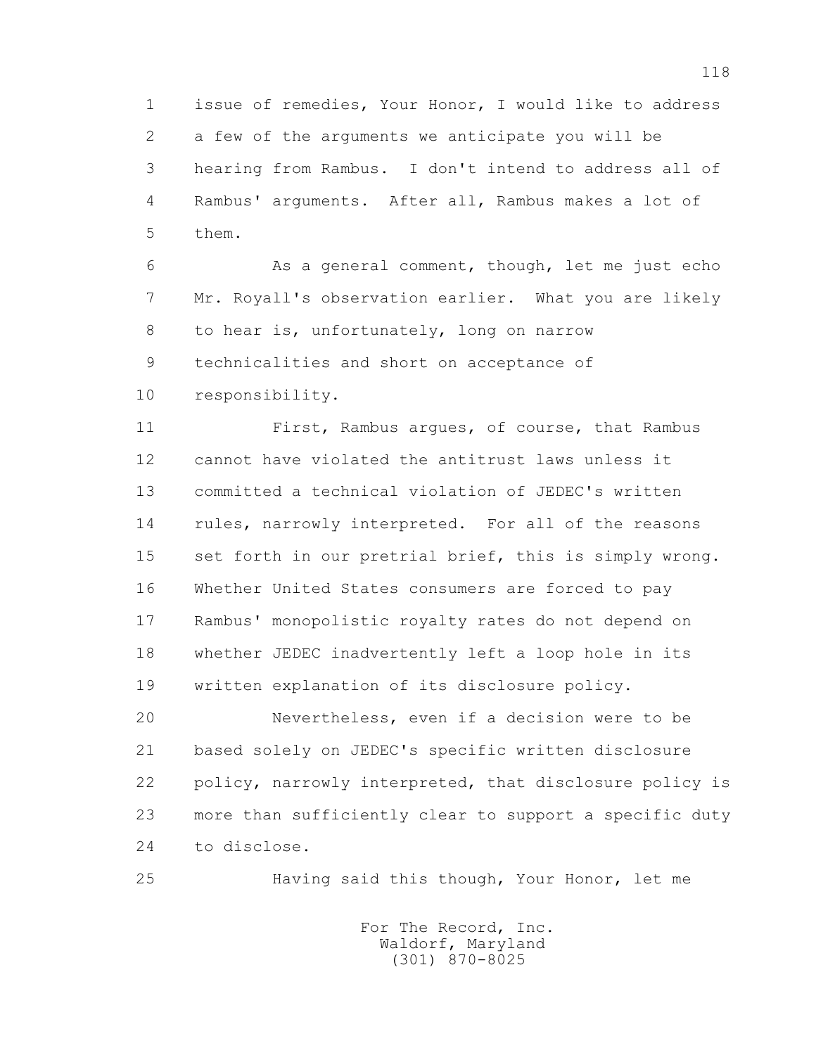1 issue of remedies, Your Honor, I would like to address 2 a few of the arguments we anticipate you will be 3 hearing from Rambus. I don't intend to address all of 4 Rambus' arguments. After all, Rambus makes a lot of 5 them.

 6 As a general comment, though, let me just echo 7 Mr. Royall's observation earlier. What you are likely 8 to hear is, unfortunately, long on narrow 9 technicalities and short on acceptance of 10 responsibility.

 11 First, Rambus argues, of course, that Rambus 12 cannot have violated the antitrust laws unless it 13 committed a technical violation of JEDEC's written 14 rules, narrowly interpreted. For all of the reasons 15 set forth in our pretrial brief, this is simply wrong. 16 Whether United States consumers are forced to pay 17 Rambus' monopolistic royalty rates do not depend on 18 whether JEDEC inadvertently left a loop hole in its 19 written explanation of its disclosure policy.

 20 Nevertheless, even if a decision were to be 21 based solely on JEDEC's specific written disclosure 22 policy, narrowly interpreted, that disclosure policy is 23 more than sufficiently clear to support a specific duty 24 to disclose.

25 Having said this though, Your Honor, let me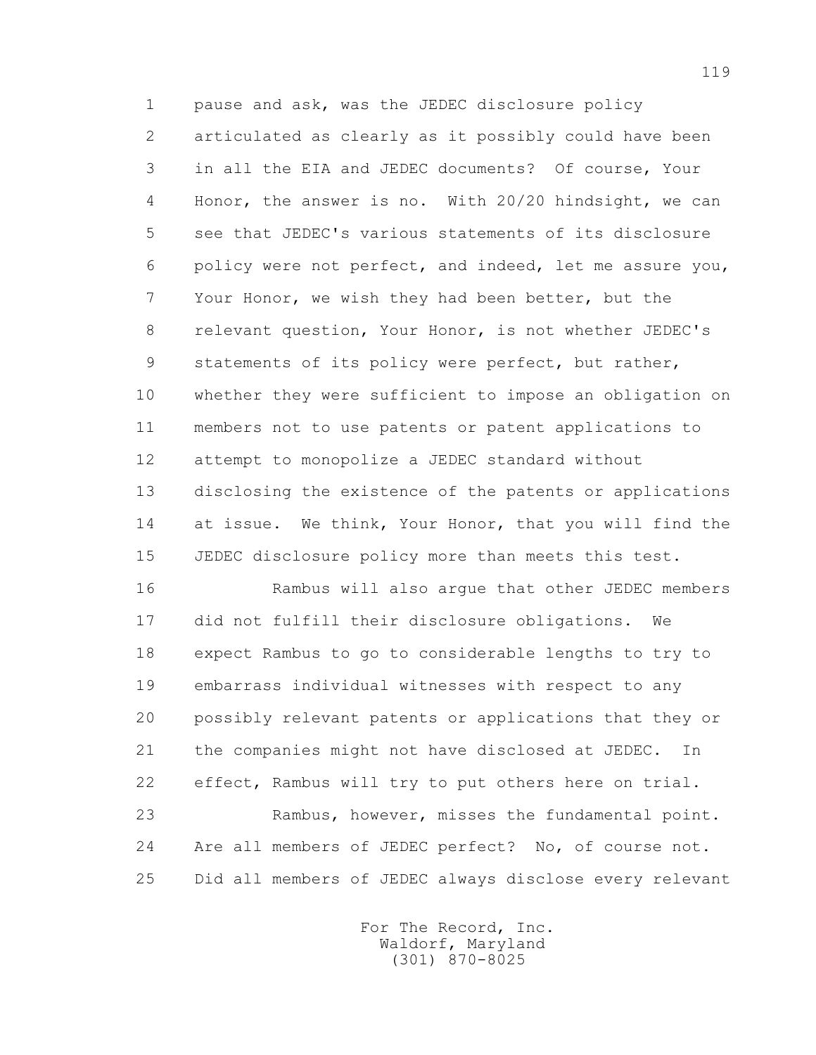1 pause and ask, was the JEDEC disclosure policy 2 articulated as clearly as it possibly could have been 3 in all the EIA and JEDEC documents? Of course, Your 4 Honor, the answer is no. With 20/20 hindsight, we can 5 see that JEDEC's various statements of its disclosure 6 policy were not perfect, and indeed, let me assure you, 7 Your Honor, we wish they had been better, but the 8 relevant question, Your Honor, is not whether JEDEC's 9 statements of its policy were perfect, but rather, 10 whether they were sufficient to impose an obligation on 11 members not to use patents or patent applications to 12 attempt to monopolize a JEDEC standard without 13 disclosing the existence of the patents or applications 14 at issue. We think, Your Honor, that you will find the 15 JEDEC disclosure policy more than meets this test.

 16 Rambus will also argue that other JEDEC members 17 did not fulfill their disclosure obligations. We 18 expect Rambus to go to considerable lengths to try to 19 embarrass individual witnesses with respect to any 20 possibly relevant patents or applications that they or 21 the companies might not have disclosed at JEDEC. In 22 effect, Rambus will try to put others here on trial. 23 Rambus, however, misses the fundamental point. 24 Are all members of JEDEC perfect? No, of course not. 25 Did all members of JEDEC always disclose every relevant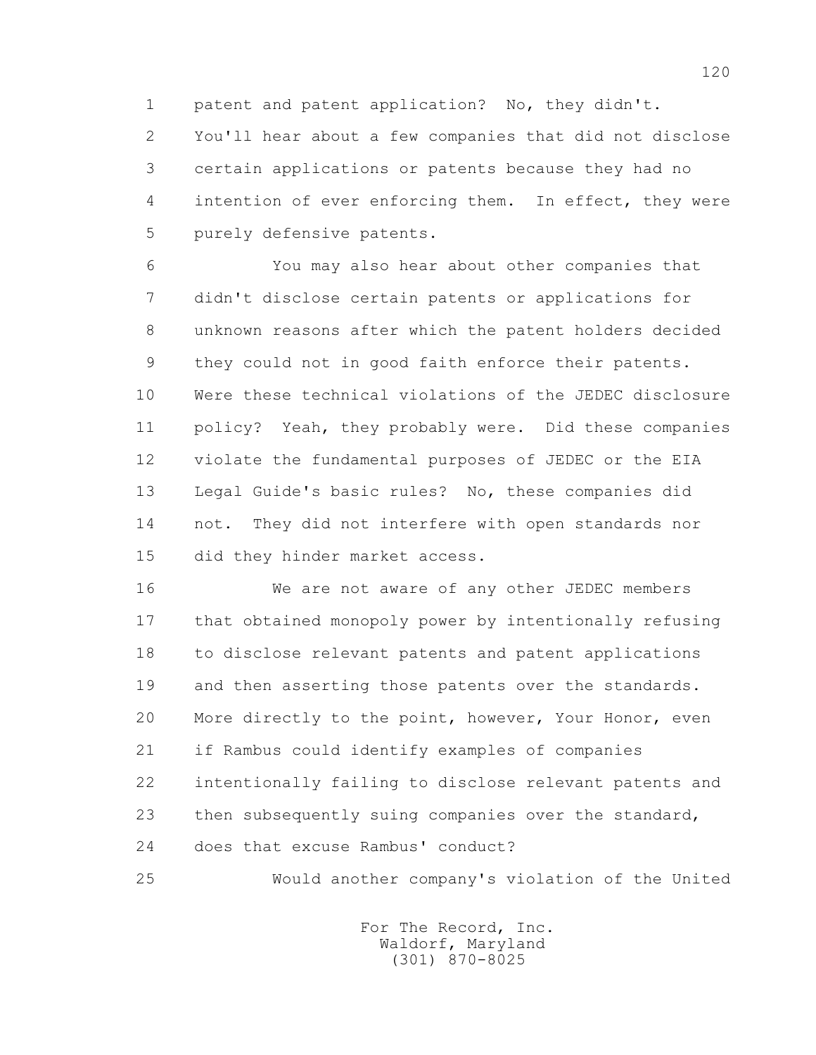1 patent and patent application? No, they didn't.

 2 You'll hear about a few companies that did not disclose 3 certain applications or patents because they had no 4 intention of ever enforcing them. In effect, they were 5 purely defensive patents.

 6 You may also hear about other companies that 7 didn't disclose certain patents or applications for 8 unknown reasons after which the patent holders decided 9 they could not in good faith enforce their patents. 10 Were these technical violations of the JEDEC disclosure 11 policy? Yeah, they probably were. Did these companies 12 violate the fundamental purposes of JEDEC or the EIA 13 Legal Guide's basic rules? No, these companies did 14 not. They did not interfere with open standards nor 15 did they hinder market access.

 16 We are not aware of any other JEDEC members 17 that obtained monopoly power by intentionally refusing 18 to disclose relevant patents and patent applications 19 and then asserting those patents over the standards. 20 More directly to the point, however, Your Honor, even 21 if Rambus could identify examples of companies 22 intentionally failing to disclose relevant patents and 23 then subsequently suing companies over the standard, 24 does that excuse Rambus' conduct?

25 Would another company's violation of the United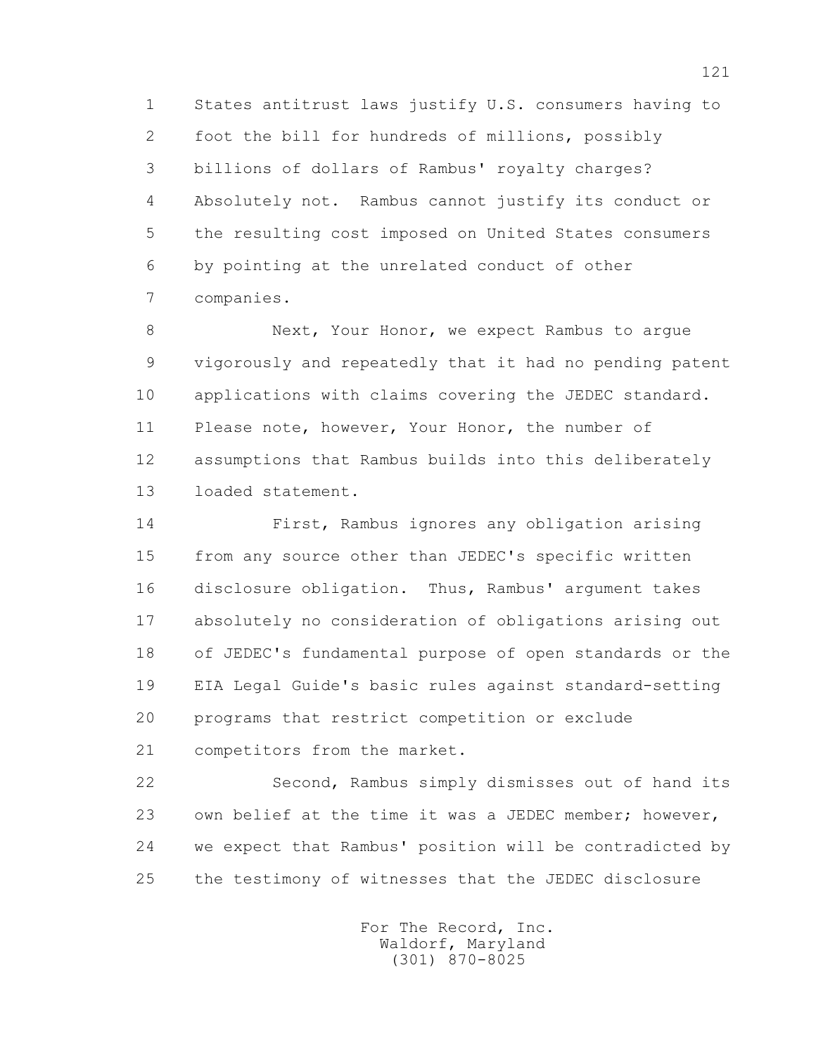1 States antitrust laws justify U.S. consumers having to 2 foot the bill for hundreds of millions, possibly 3 billions of dollars of Rambus' royalty charges? 4 Absolutely not. Rambus cannot justify its conduct or 5 the resulting cost imposed on United States consumers 6 by pointing at the unrelated conduct of other 7 companies.

 8 Next, Your Honor, we expect Rambus to argue 9 vigorously and repeatedly that it had no pending patent 10 applications with claims covering the JEDEC standard. 11 Please note, however, Your Honor, the number of 12 assumptions that Rambus builds into this deliberately 13 loaded statement.

 14 First, Rambus ignores any obligation arising 15 from any source other than JEDEC's specific written 16 disclosure obligation. Thus, Rambus' argument takes 17 absolutely no consideration of obligations arising out 18 of JEDEC's fundamental purpose of open standards or the 19 EIA Legal Guide's basic rules against standard-setting 20 programs that restrict competition or exclude 21 competitors from the market.

 22 Second, Rambus simply dismisses out of hand its 23 own belief at the time it was a JEDEC member; however, 24 we expect that Rambus' position will be contradicted by 25 the testimony of witnesses that the JEDEC disclosure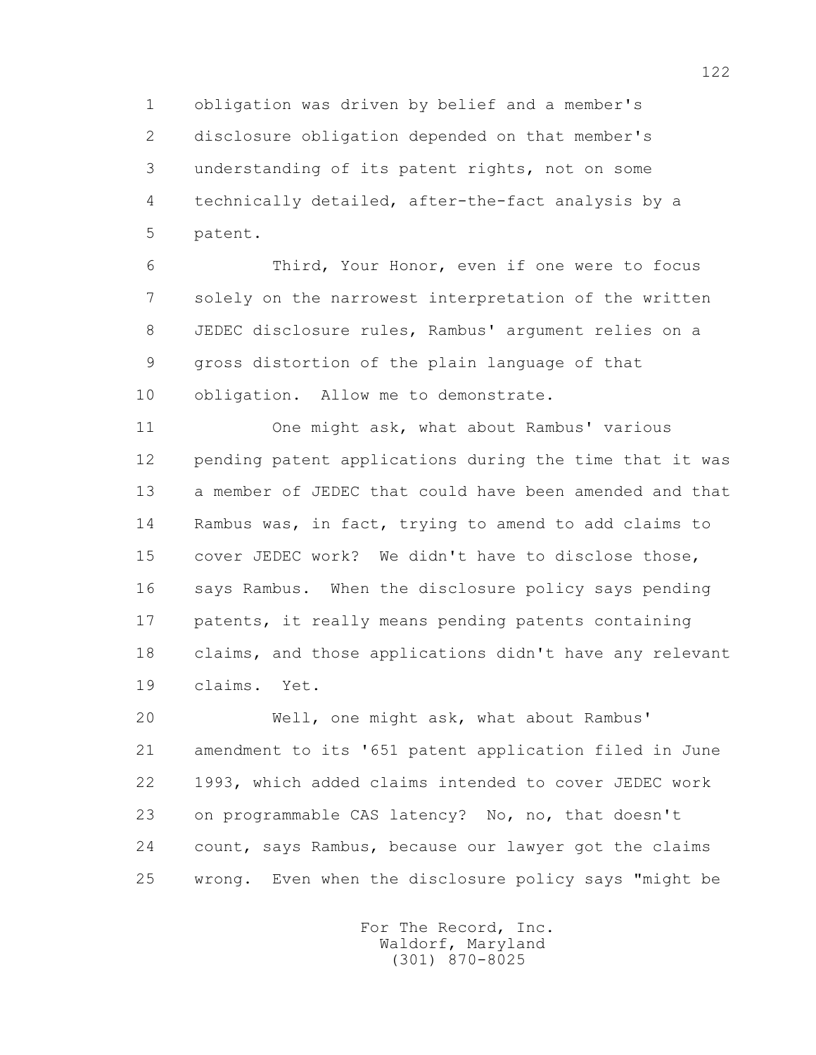1 obligation was driven by belief and a member's 2 disclosure obligation depended on that member's 3 understanding of its patent rights, not on some 4 technically detailed, after-the-fact analysis by a 5 patent.

 6 Third, Your Honor, even if one were to focus 7 solely on the narrowest interpretation of the written 8 JEDEC disclosure rules, Rambus' argument relies on a 9 gross distortion of the plain language of that 10 obligation. Allow me to demonstrate.

 11 One might ask, what about Rambus' various 12 pending patent applications during the time that it was 13 a member of JEDEC that could have been amended and that 14 Rambus was, in fact, trying to amend to add claims to 15 cover JEDEC work? We didn't have to disclose those, 16 says Rambus. When the disclosure policy says pending 17 patents, it really means pending patents containing 18 claims, and those applications didn't have any relevant 19 claims. Yet.

 20 Well, one might ask, what about Rambus' 21 amendment to its '651 patent application filed in June 22 1993, which added claims intended to cover JEDEC work 23 on programmable CAS latency? No, no, that doesn't 24 count, says Rambus, because our lawyer got the claims 25 wrong. Even when the disclosure policy says "might be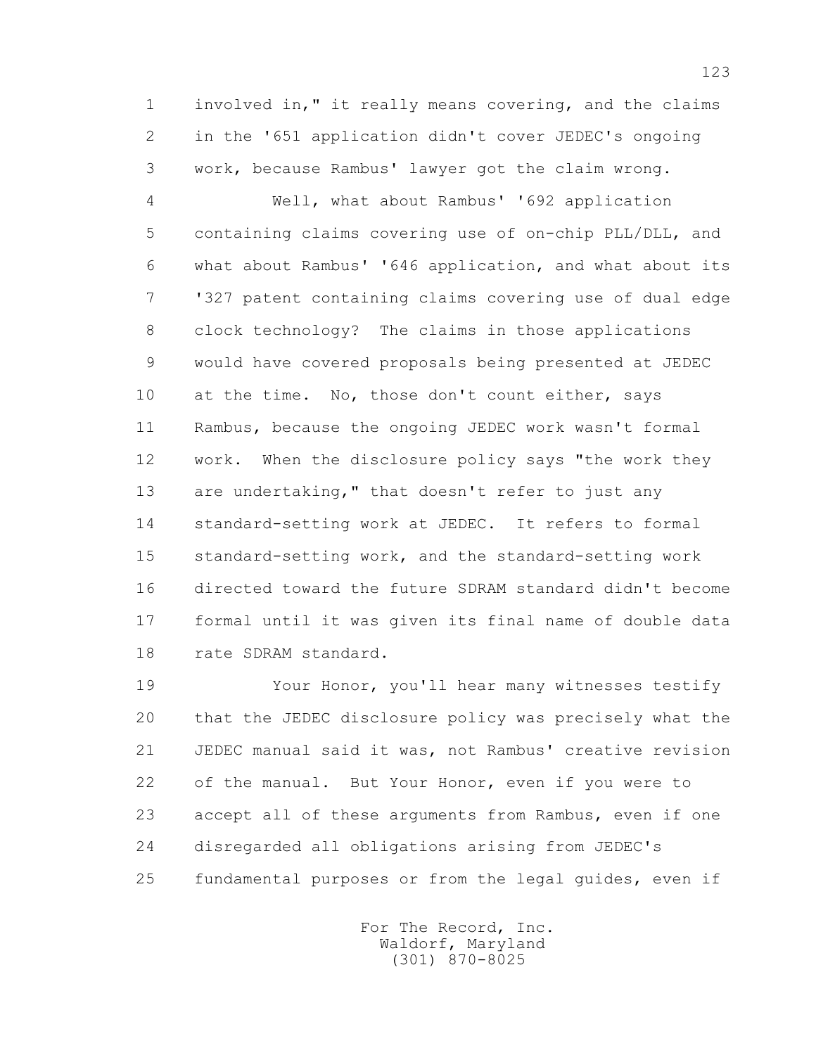1 involved in," it really means covering, and the claims 2 in the '651 application didn't cover JEDEC's ongoing 3 work, because Rambus' lawyer got the claim wrong.

 4 Well, what about Rambus' '692 application 5 containing claims covering use of on-chip PLL/DLL, and 6 what about Rambus' '646 application, and what about its 7 '327 patent containing claims covering use of dual edge 8 clock technology? The claims in those applications 9 would have covered proposals being presented at JEDEC 10 at the time. No, those don't count either, says 11 Rambus, because the ongoing JEDEC work wasn't formal 12 work. When the disclosure policy says "the work they 13 are undertaking," that doesn't refer to just any 14 standard-setting work at JEDEC. It refers to formal 15 standard-setting work, and the standard-setting work 16 directed toward the future SDRAM standard didn't become 17 formal until it was given its final name of double data 18 rate SDRAM standard.

 19 Your Honor, you'll hear many witnesses testify 20 that the JEDEC disclosure policy was precisely what the 21 JEDEC manual said it was, not Rambus' creative revision 22 of the manual. But Your Honor, even if you were to 23 accept all of these arguments from Rambus, even if one 24 disregarded all obligations arising from JEDEC's 25 fundamental purposes or from the legal guides, even if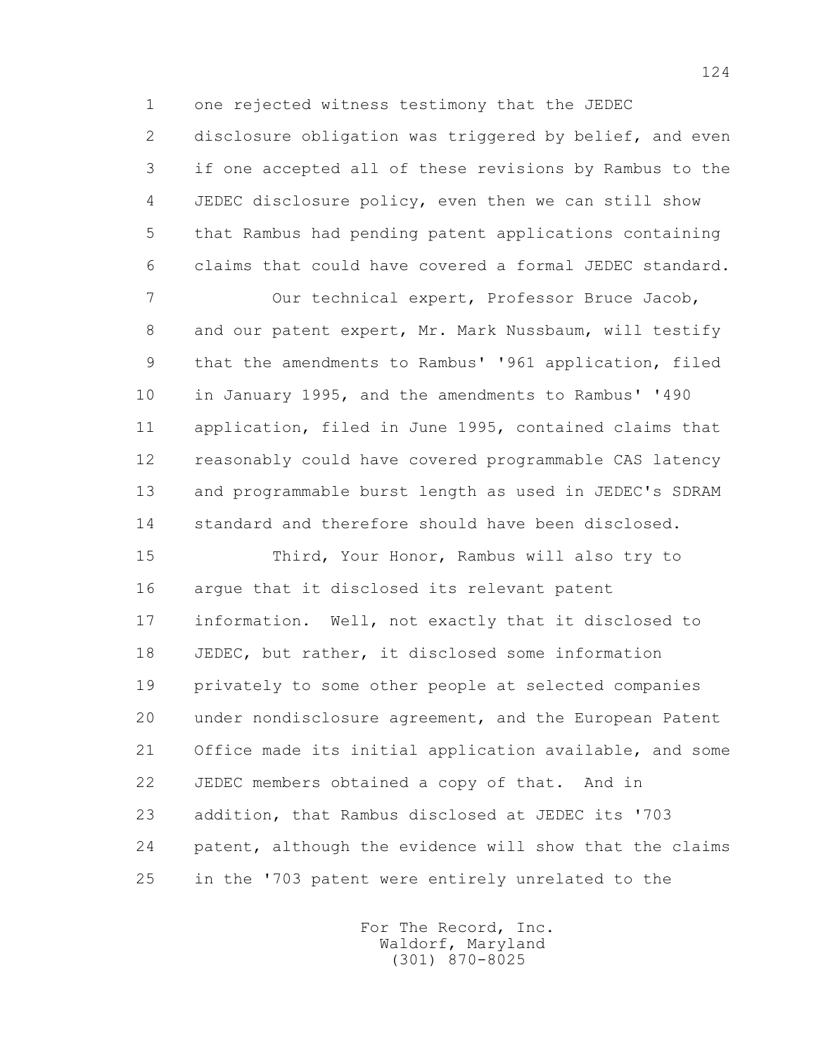1 one rejected witness testimony that the JEDEC

2 disclosure obligation was triggered by belief, and even 3 if one accepted all of these revisions by Rambus to the 4 JEDEC disclosure policy, even then we can still show 5 that Rambus had pending patent applications containing 6 claims that could have covered a formal JEDEC standard.

 7 Our technical expert, Professor Bruce Jacob, 8 and our patent expert, Mr. Mark Nussbaum, will testify 9 that the amendments to Rambus' '961 application, filed 10 in January 1995, and the amendments to Rambus' '490 11 application, filed in June 1995, contained claims that 12 reasonably could have covered programmable CAS latency 13 and programmable burst length as used in JEDEC's SDRAM 14 standard and therefore should have been disclosed.

 15 Third, Your Honor, Rambus will also try to 16 argue that it disclosed its relevant patent 17 information. Well, not exactly that it disclosed to 18 JEDEC, but rather, it disclosed some information 19 privately to some other people at selected companies 20 under nondisclosure agreement, and the European Patent 21 Office made its initial application available, and some 22 JEDEC members obtained a copy of that. And in 23 addition, that Rambus disclosed at JEDEC its '703 24 patent, although the evidence will show that the claims 25 in the '703 patent were entirely unrelated to the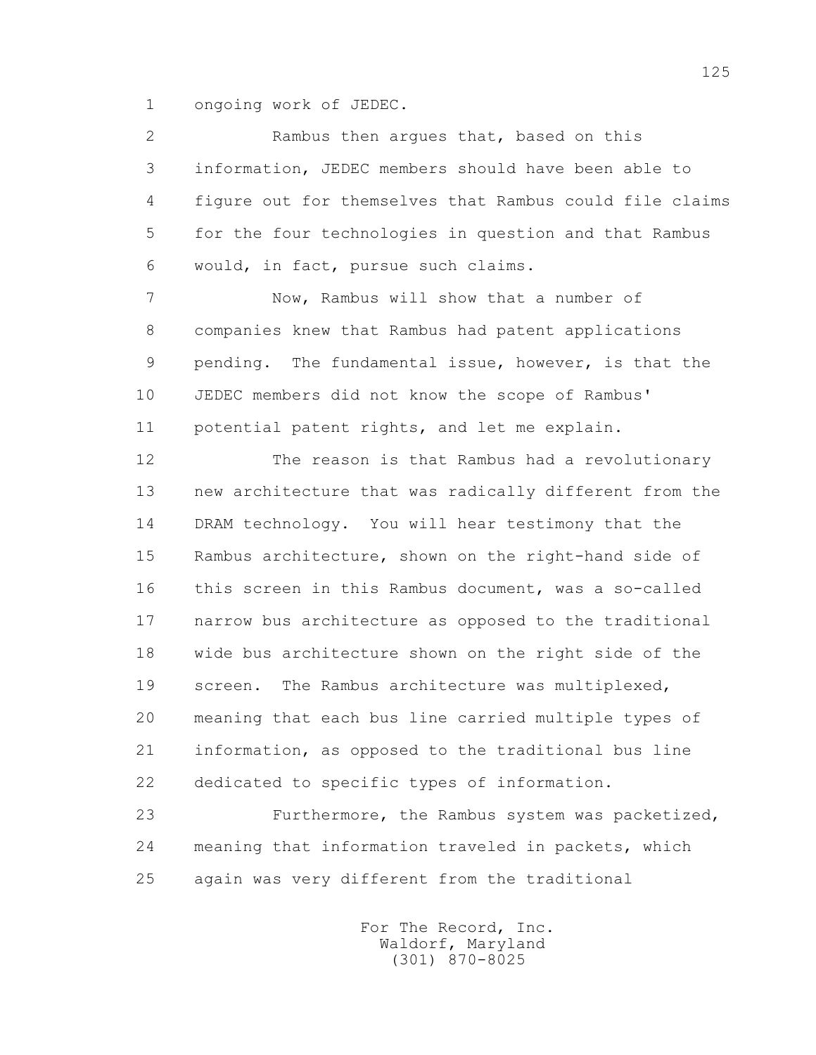1 ongoing work of JEDEC.

 2 Rambus then argues that, based on this 3 information, JEDEC members should have been able to 4 figure out for themselves that Rambus could file claims 5 for the four technologies in question and that Rambus 6 would, in fact, pursue such claims.

 7 Now, Rambus will show that a number of 8 companies knew that Rambus had patent applications 9 pending. The fundamental issue, however, is that the 10 JEDEC members did not know the scope of Rambus' 11 potential patent rights, and let me explain.

 12 The reason is that Rambus had a revolutionary 13 new architecture that was radically different from the 14 DRAM technology. You will hear testimony that the 15 Rambus architecture, shown on the right-hand side of 16 this screen in this Rambus document, was a so-called 17 narrow bus architecture as opposed to the traditional 18 wide bus architecture shown on the right side of the 19 screen. The Rambus architecture was multiplexed, 20 meaning that each bus line carried multiple types of 21 information, as opposed to the traditional bus line 22 dedicated to specific types of information.

 23 Furthermore, the Rambus system was packetized, 24 meaning that information traveled in packets, which 25 again was very different from the traditional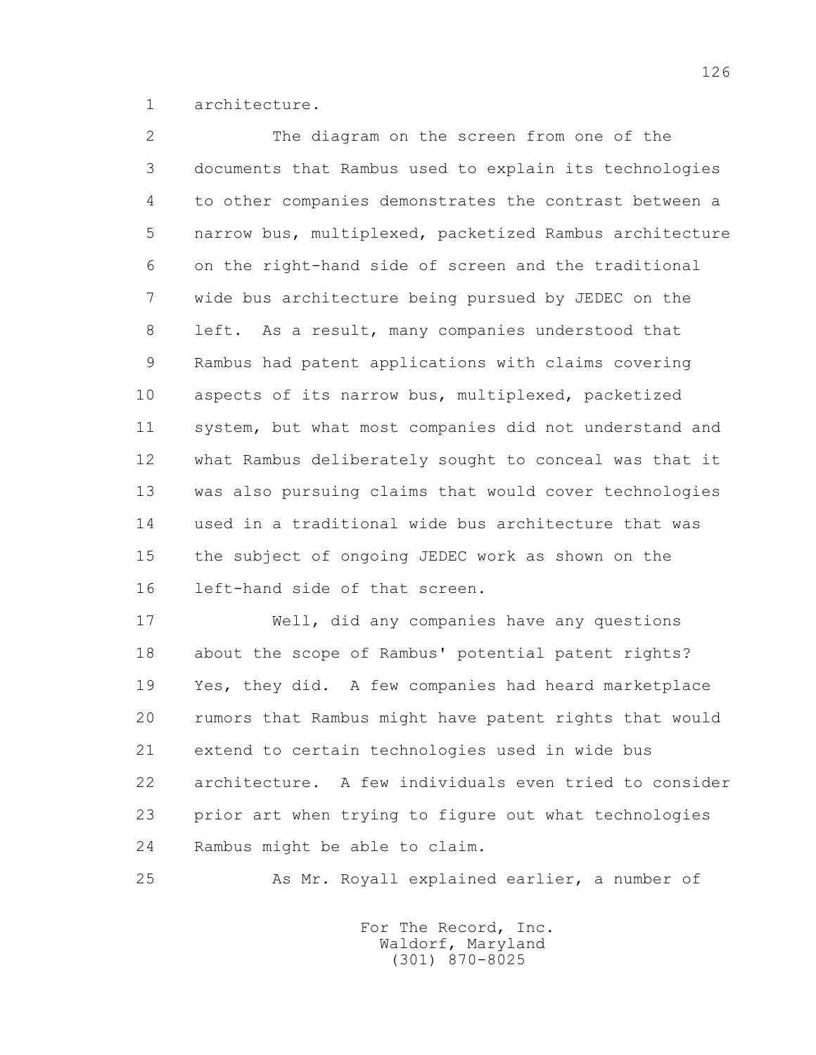1 architecture.

 2 The diagram on the screen from one of the 3 documents that Rambus used to explain its technologies 4 to other companies demonstrates the contrast between a 5 narrow bus, multiplexed, packetized Rambus architecture 6 on the right-hand side of screen and the traditional 7 wide bus architecture being pursued by JEDEC on the 8 left. As a result, many companies understood that 9 Rambus had patent applications with claims covering 10 aspects of its narrow bus, multiplexed, packetized 11 system, but what most companies did not understand and 12 what Rambus deliberately sought to conceal was that it 13 was also pursuing claims that would cover technologies 14 used in a traditional wide bus architecture that was 15 the subject of ongoing JEDEC work as shown on the 16 left-hand side of that screen.

 17 Well, did any companies have any questions 18 about the scope of Rambus' potential patent rights? 19 Yes, they did. A few companies had heard marketplace 20 rumors that Rambus might have patent rights that would 21 extend to certain technologies used in wide bus 22 architecture. A few individuals even tried to consider 23 prior art when trying to figure out what technologies 24 Rambus might be able to claim.

25 As Mr. Royall explained earlier, a number of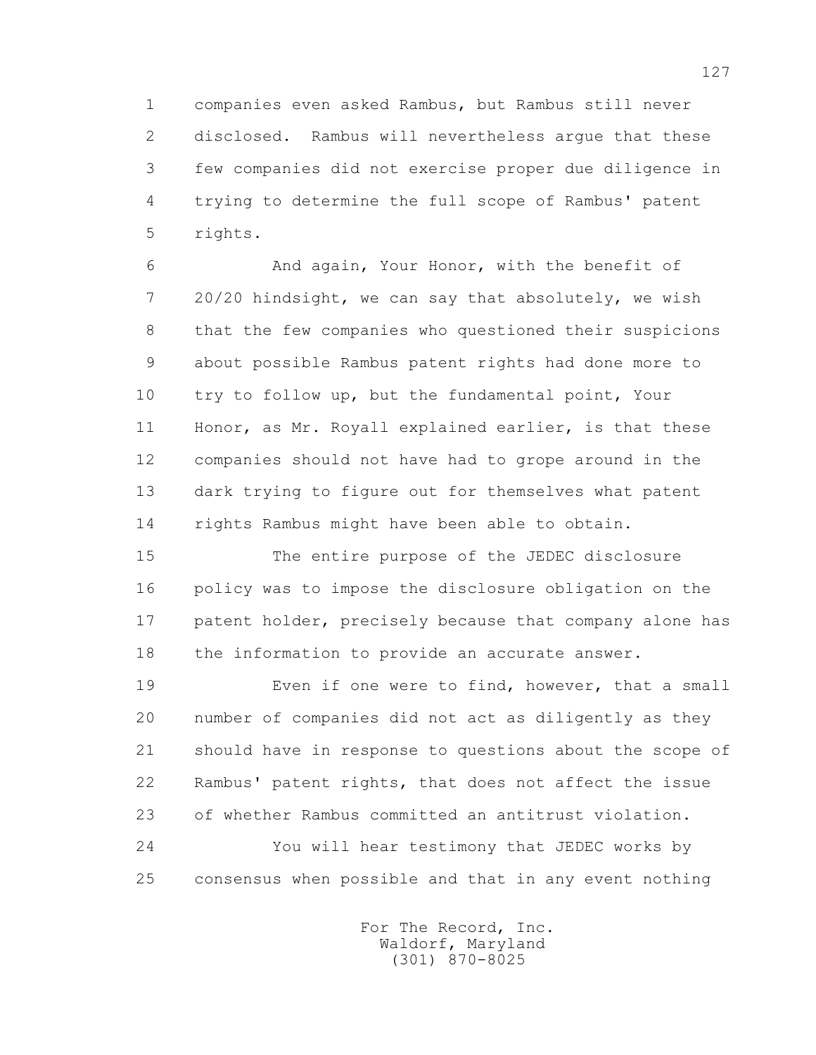1 companies even asked Rambus, but Rambus still never 2 disclosed. Rambus will nevertheless argue that these 3 few companies did not exercise proper due diligence in 4 trying to determine the full scope of Rambus' patent 5 rights.

 6 And again, Your Honor, with the benefit of 7 20/20 hindsight, we can say that absolutely, we wish 8 that the few companies who questioned their suspicions 9 about possible Rambus patent rights had done more to 10 try to follow up, but the fundamental point, Your 11 Honor, as Mr. Royall explained earlier, is that these 12 companies should not have had to grope around in the 13 dark trying to figure out for themselves what patent 14 rights Rambus might have been able to obtain.

 15 The entire purpose of the JEDEC disclosure 16 policy was to impose the disclosure obligation on the 17 patent holder, precisely because that company alone has 18 the information to provide an accurate answer.

 19 Even if one were to find, however, that a small 20 number of companies did not act as diligently as they 21 should have in response to questions about the scope of 22 Rambus' patent rights, that does not affect the issue 23 of whether Rambus committed an antitrust violation. 24 You will hear testimony that JEDEC works by 25 consensus when possible and that in any event nothing

> For The Record, Inc. Waldorf, Maryland (301) 870-8025

127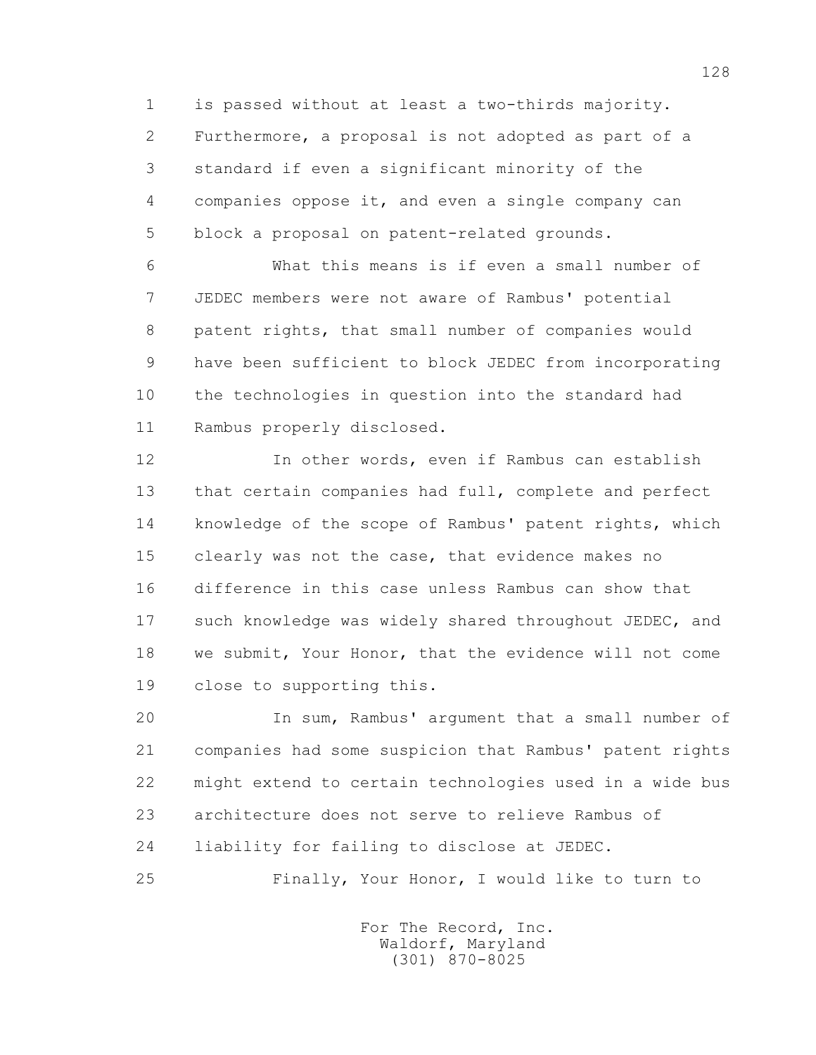1 is passed without at least a two-thirds majority. 2 Furthermore, a proposal is not adopted as part of a 3 standard if even a significant minority of the 4 companies oppose it, and even a single company can 5 block a proposal on patent-related grounds.

 6 What this means is if even a small number of 7 JEDEC members were not aware of Rambus' potential 8 patent rights, that small number of companies would 9 have been sufficient to block JEDEC from incorporating 10 the technologies in question into the standard had 11 Rambus properly disclosed.

 12 In other words, even if Rambus can establish 13 that certain companies had full, complete and perfect 14 knowledge of the scope of Rambus' patent rights, which 15 clearly was not the case, that evidence makes no 16 difference in this case unless Rambus can show that 17 such knowledge was widely shared throughout JEDEC, and 18 we submit, Your Honor, that the evidence will not come 19 close to supporting this.

 20 In sum, Rambus' argument that a small number of 21 companies had some suspicion that Rambus' patent rights 22 might extend to certain technologies used in a wide bus 23 architecture does not serve to relieve Rambus of 24 liability for failing to disclose at JEDEC.

25 Finally, Your Honor, I would like to turn to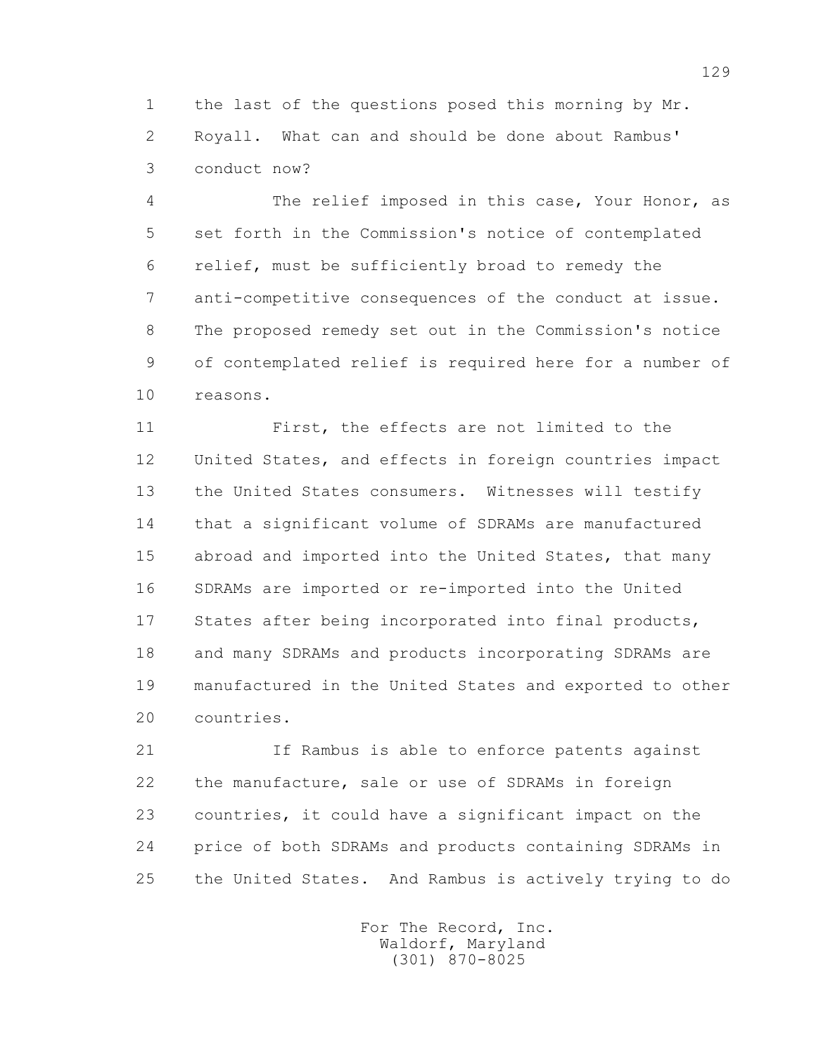1 the last of the questions posed this morning by Mr. 2 Royall. What can and should be done about Rambus' 3 conduct now?

 4 The relief imposed in this case, Your Honor, as 5 set forth in the Commission's notice of contemplated 6 relief, must be sufficiently broad to remedy the 7 anti-competitive consequences of the conduct at issue. 8 The proposed remedy set out in the Commission's notice 9 of contemplated relief is required here for a number of 10 reasons.

 11 First, the effects are not limited to the 12 United States, and effects in foreign countries impact 13 the United States consumers. Witnesses will testify 14 that a significant volume of SDRAMs are manufactured 15 abroad and imported into the United States, that many 16 SDRAMs are imported or re-imported into the United 17 States after being incorporated into final products, 18 and many SDRAMs and products incorporating SDRAMs are 19 manufactured in the United States and exported to other 20 countries.

 21 If Rambus is able to enforce patents against 22 the manufacture, sale or use of SDRAMs in foreign 23 countries, it could have a significant impact on the 24 price of both SDRAMs and products containing SDRAMs in 25 the United States. And Rambus is actively trying to do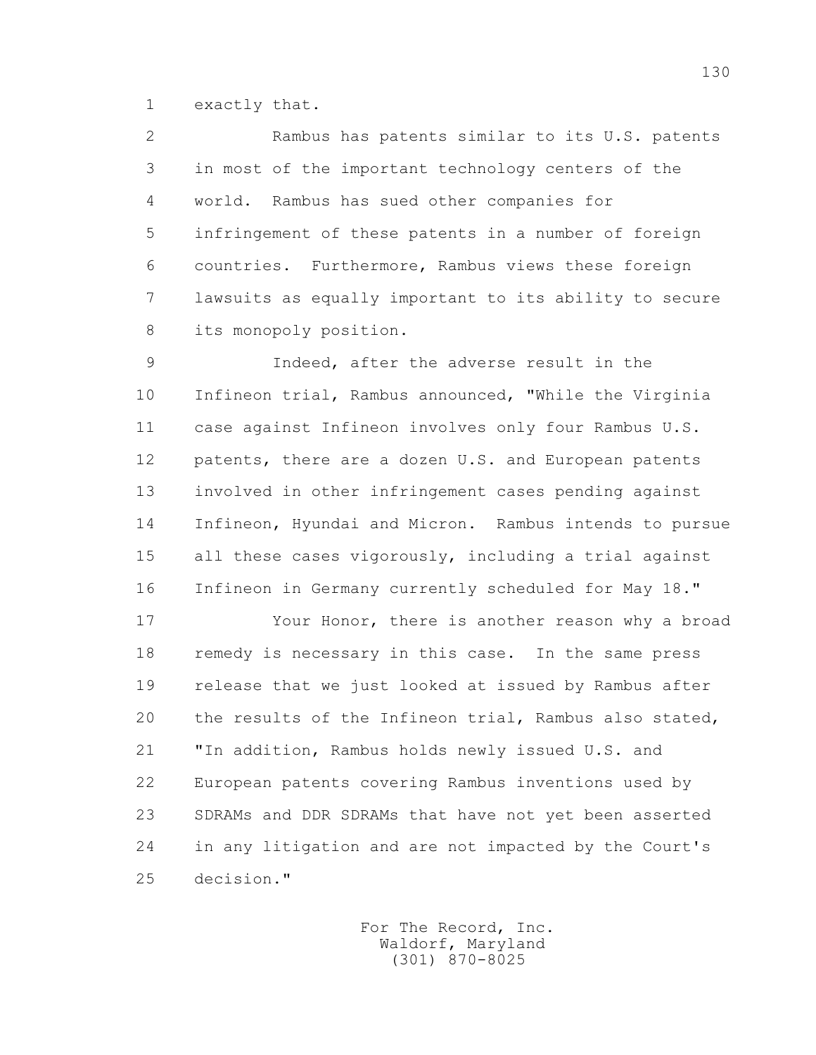1 exactly that.

 2 Rambus has patents similar to its U.S. patents 3 in most of the important technology centers of the 4 world. Rambus has sued other companies for 5 infringement of these patents in a number of foreign 6 countries. Furthermore, Rambus views these foreign 7 lawsuits as equally important to its ability to secure 8 its monopoly position.

 9 Indeed, after the adverse result in the 10 Infineon trial, Rambus announced, "While the Virginia 11 case against Infineon involves only four Rambus U.S. 12 patents, there are a dozen U.S. and European patents 13 involved in other infringement cases pending against 14 Infineon, Hyundai and Micron. Rambus intends to pursue 15 all these cases vigorously, including a trial against 16 Infineon in Germany currently scheduled for May 18."

 17 Your Honor, there is another reason why a broad 18 remedy is necessary in this case. In the same press 19 release that we just looked at issued by Rambus after 20 the results of the Infineon trial, Rambus also stated, 21 "In addition, Rambus holds newly issued U.S. and 22 European patents covering Rambus inventions used by 23 SDRAMs and DDR SDRAMs that have not yet been asserted 24 in any litigation and are not impacted by the Court's 25 decision."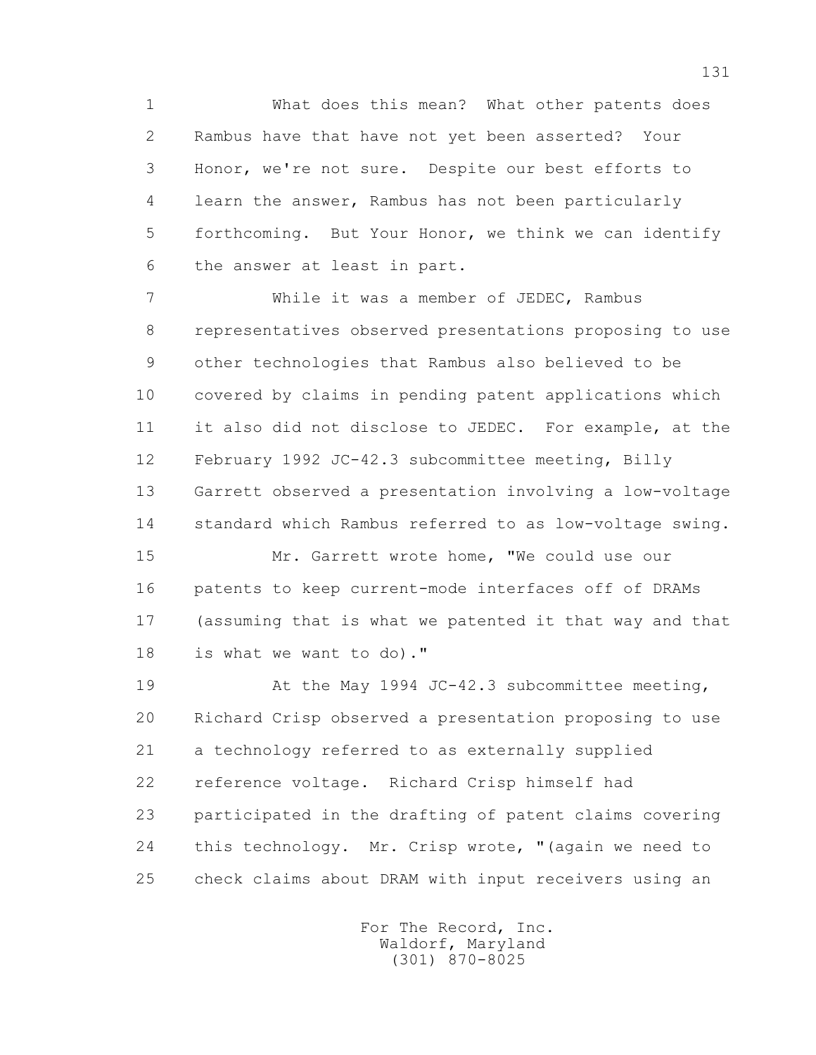1 What does this mean? What other patents does 2 Rambus have that have not yet been asserted? Your 3 Honor, we're not sure. Despite our best efforts to 4 learn the answer, Rambus has not been particularly 5 forthcoming. But Your Honor, we think we can identify 6 the answer at least in part.

 7 While it was a member of JEDEC, Rambus 8 representatives observed presentations proposing to use 9 other technologies that Rambus also believed to be 10 covered by claims in pending patent applications which 11 it also did not disclose to JEDEC. For example, at the 12 February 1992 JC-42.3 subcommittee meeting, Billy 13 Garrett observed a presentation involving a low-voltage 14 standard which Rambus referred to as low-voltage swing.

 15 Mr. Garrett wrote home, "We could use our 16 patents to keep current-mode interfaces off of DRAMs 17 (assuming that is what we patented it that way and that 18 is what we want to do)."

 19 At the May 1994 JC-42.3 subcommittee meeting, 20 Richard Crisp observed a presentation proposing to use 21 a technology referred to as externally supplied 22 reference voltage. Richard Crisp himself had 23 participated in the drafting of patent claims covering 24 this technology. Mr. Crisp wrote, "(again we need to 25 check claims about DRAM with input receivers using an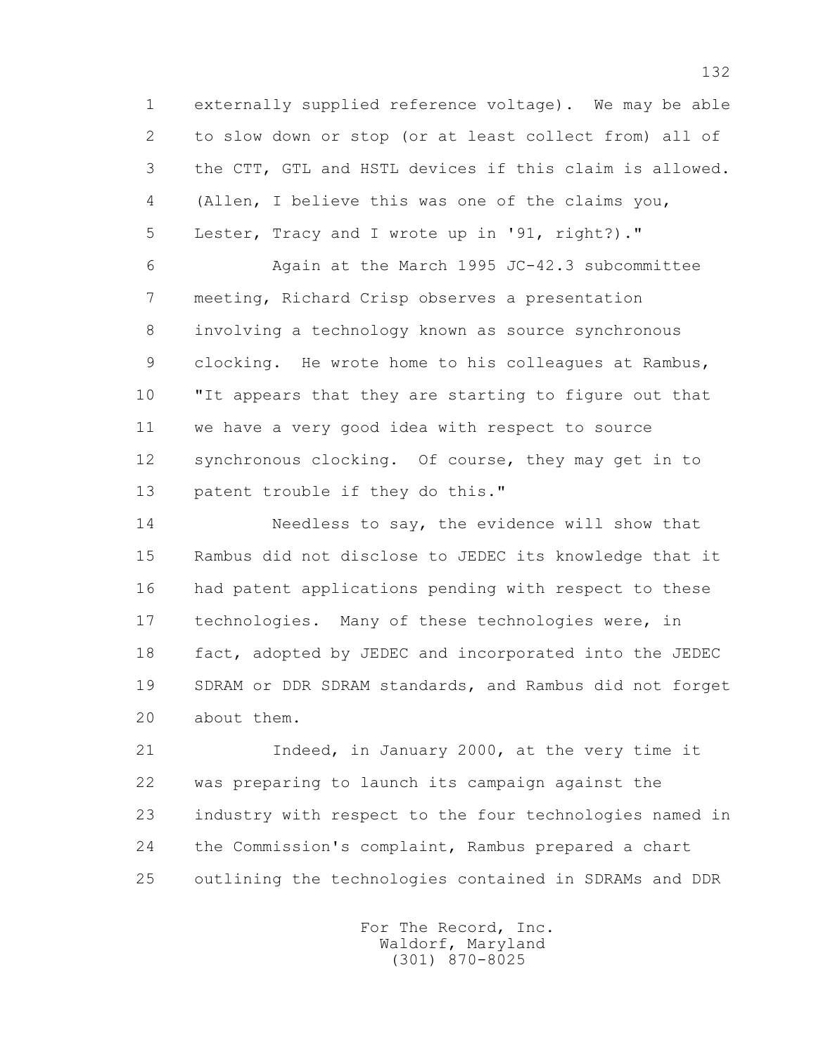1 externally supplied reference voltage). We may be able 2 to slow down or stop (or at least collect from) all of 3 the CTT, GTL and HSTL devices if this claim is allowed. 4 (Allen, I believe this was one of the claims you, 5 Lester, Tracy and I wrote up in '91, right?)."

 6 Again at the March 1995 JC-42.3 subcommittee 7 meeting, Richard Crisp observes a presentation 8 involving a technology known as source synchronous 9 clocking. He wrote home to his colleagues at Rambus, 10 "It appears that they are starting to figure out that 11 we have a very good idea with respect to source 12 synchronous clocking. Of course, they may get in to 13 patent trouble if they do this."

 14 Needless to say, the evidence will show that 15 Rambus did not disclose to JEDEC its knowledge that it 16 had patent applications pending with respect to these 17 technologies. Many of these technologies were, in 18 fact, adopted by JEDEC and incorporated into the JEDEC 19 SDRAM or DDR SDRAM standards, and Rambus did not forget 20 about them.

 21 Indeed, in January 2000, at the very time it 22 was preparing to launch its campaign against the 23 industry with respect to the four technologies named in 24 the Commission's complaint, Rambus prepared a chart 25 outlining the technologies contained in SDRAMs and DDR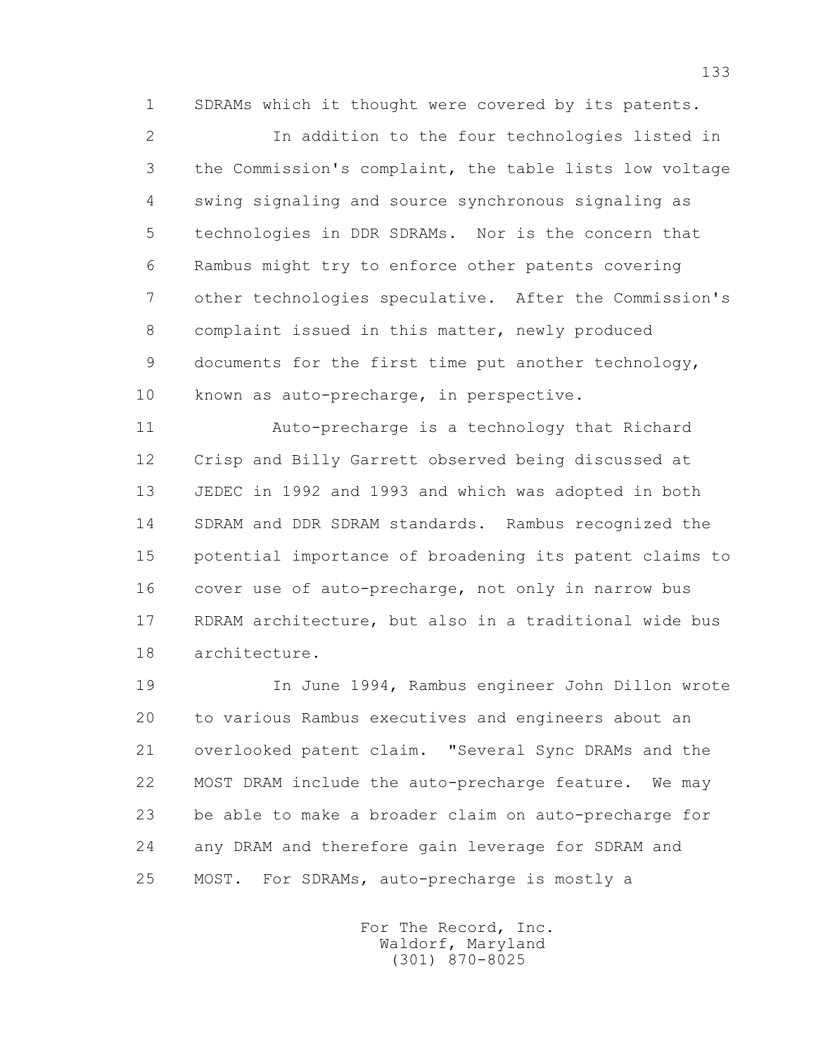1 SDRAMs which it thought were covered by its patents.

 2 In addition to the four technologies listed in 3 the Commission's complaint, the table lists low voltage 4 swing signaling and source synchronous signaling as 5 technologies in DDR SDRAMs. Nor is the concern that 6 Rambus might try to enforce other patents covering 7 other technologies speculative. After the Commission's 8 complaint issued in this matter, newly produced 9 documents for the first time put another technology, 10 known as auto-precharge, in perspective.

 11 Auto-precharge is a technology that Richard 12 Crisp and Billy Garrett observed being discussed at 13 JEDEC in 1992 and 1993 and which was adopted in both 14 SDRAM and DDR SDRAM standards. Rambus recognized the 15 potential importance of broadening its patent claims to 16 cover use of auto-precharge, not only in narrow bus 17 RDRAM architecture, but also in a traditional wide bus 18 architecture.

 19 In June 1994, Rambus engineer John Dillon wrote 20 to various Rambus executives and engineers about an 21 overlooked patent claim. "Several Sync DRAMs and the 22 MOST DRAM include the auto-precharge feature. We may 23 be able to make a broader claim on auto-precharge for 24 any DRAM and therefore gain leverage for SDRAM and 25 MOST. For SDRAMs, auto-precharge is mostly a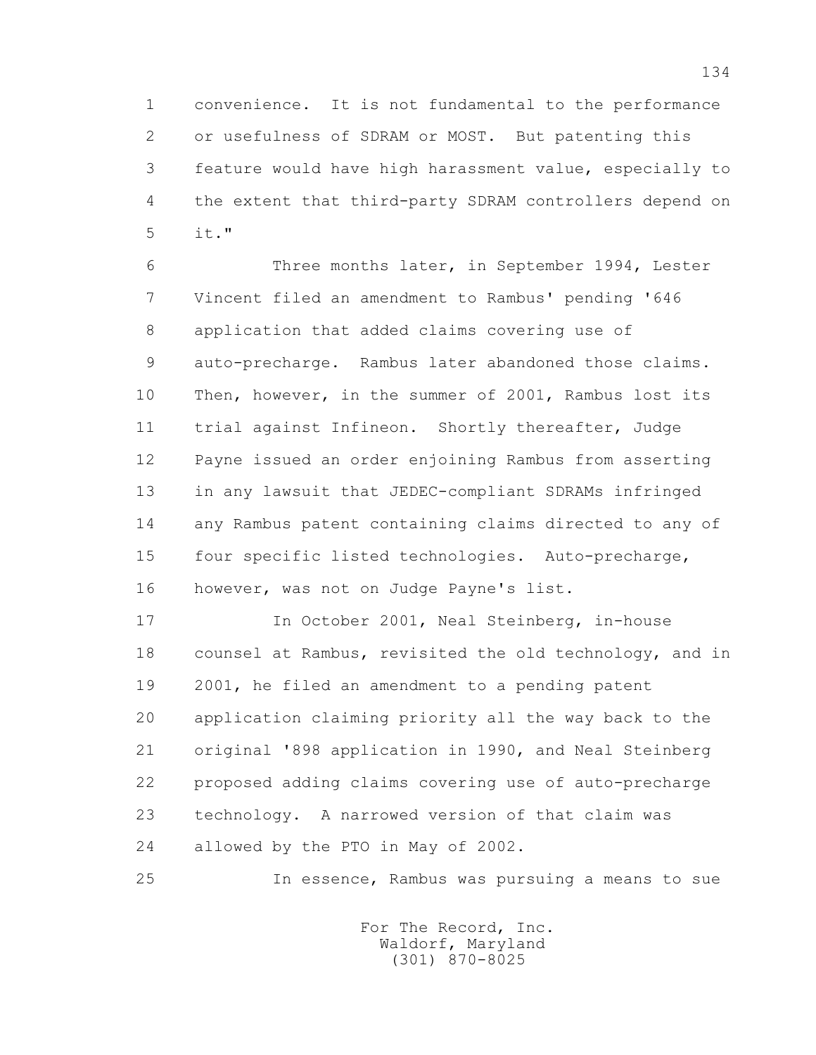1 convenience. It is not fundamental to the performance 2 or usefulness of SDRAM or MOST. But patenting this 3 feature would have high harassment value, especially to 4 the extent that third-party SDRAM controllers depend on 5 it."

 6 Three months later, in September 1994, Lester 7 Vincent filed an amendment to Rambus' pending '646 8 application that added claims covering use of 9 auto-precharge. Rambus later abandoned those claims. 10 Then, however, in the summer of 2001, Rambus lost its 11 trial against Infineon. Shortly thereafter, Judge 12 Payne issued an order enjoining Rambus from asserting 13 in any lawsuit that JEDEC-compliant SDRAMs infringed 14 any Rambus patent containing claims directed to any of 15 four specific listed technologies. Auto-precharge, 16 however, was not on Judge Payne's list.

17 In October 2001, Neal Steinberg, in-house 18 counsel at Rambus, revisited the old technology, and in 19 2001, he filed an amendment to a pending patent 20 application claiming priority all the way back to the 21 original '898 application in 1990, and Neal Steinberg 22 proposed adding claims covering use of auto-precharge 23 technology. A narrowed version of that claim was 24 allowed by the PTO in May of 2002.

25 In essence, Rambus was pursuing a means to sue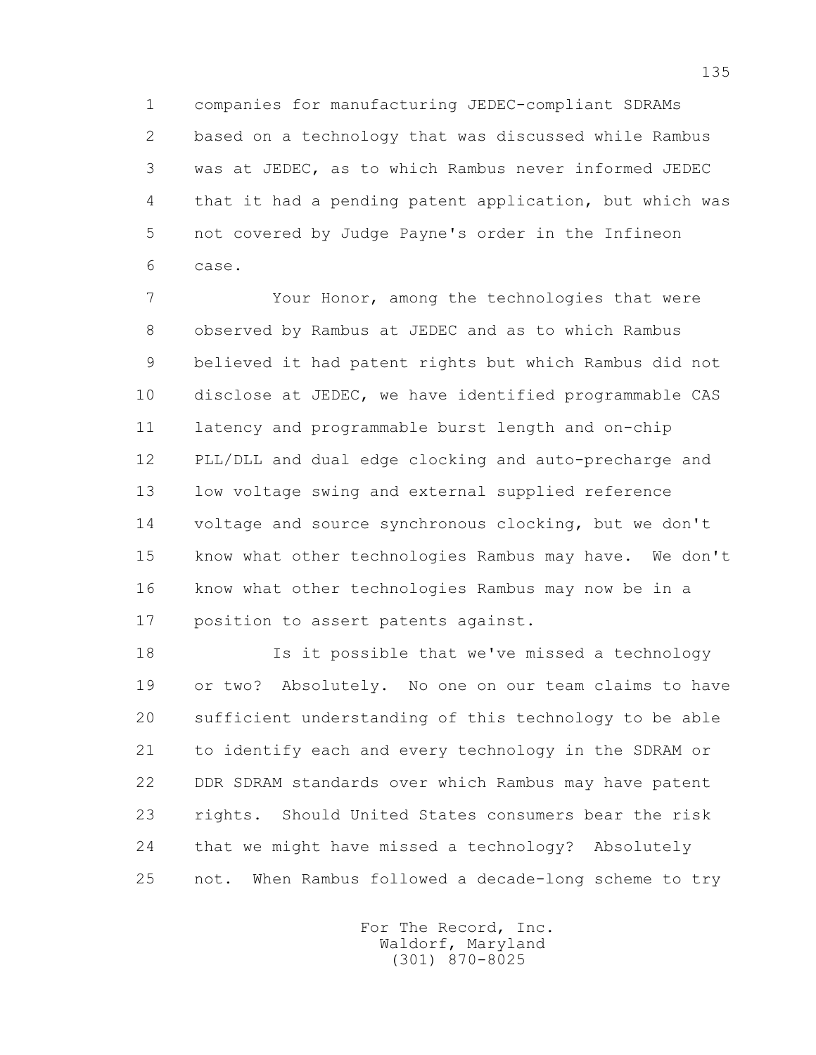1 companies for manufacturing JEDEC-compliant SDRAMs 2 based on a technology that was discussed while Rambus 3 was at JEDEC, as to which Rambus never informed JEDEC 4 that it had a pending patent application, but which was 5 not covered by Judge Payne's order in the Infineon 6 case.

 7 Your Honor, among the technologies that were 8 observed by Rambus at JEDEC and as to which Rambus 9 believed it had patent rights but which Rambus did not 10 disclose at JEDEC, we have identified programmable CAS 11 latency and programmable burst length and on-chip 12 PLL/DLL and dual edge clocking and auto-precharge and 13 low voltage swing and external supplied reference 14 voltage and source synchronous clocking, but we don't 15 know what other technologies Rambus may have. We don't 16 know what other technologies Rambus may now be in a 17 position to assert patents against.

 18 Is it possible that we've missed a technology 19 or two? Absolutely. No one on our team claims to have 20 sufficient understanding of this technology to be able 21 to identify each and every technology in the SDRAM or 22 DDR SDRAM standards over which Rambus may have patent 23 rights. Should United States consumers bear the risk 24 that we might have missed a technology? Absolutely 25 not. When Rambus followed a decade-long scheme to try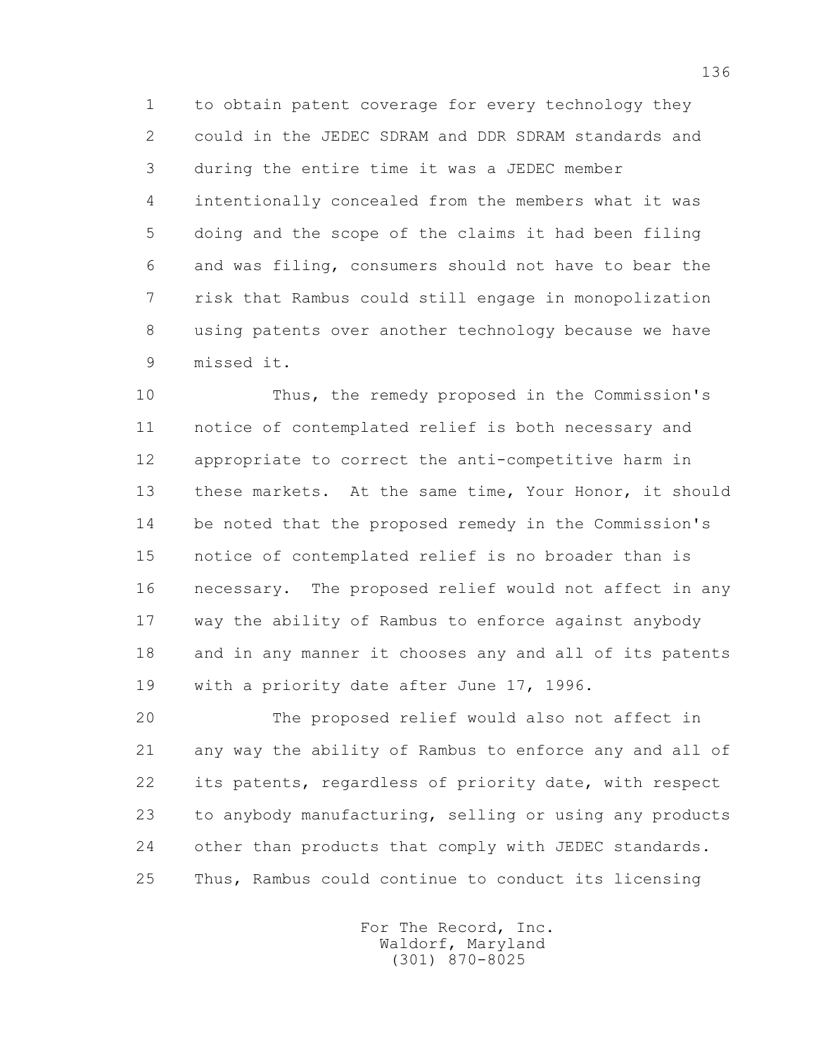1 to obtain patent coverage for every technology they 2 could in the JEDEC SDRAM and DDR SDRAM standards and 3 during the entire time it was a JEDEC member 4 intentionally concealed from the members what it was 5 doing and the scope of the claims it had been filing 6 and was filing, consumers should not have to bear the 7 risk that Rambus could still engage in monopolization 8 using patents over another technology because we have 9 missed it.

 10 Thus, the remedy proposed in the Commission's 11 notice of contemplated relief is both necessary and 12 appropriate to correct the anti-competitive harm in 13 these markets. At the same time, Your Honor, it should 14 be noted that the proposed remedy in the Commission's 15 notice of contemplated relief is no broader than is 16 necessary. The proposed relief would not affect in any 17 way the ability of Rambus to enforce against anybody 18 and in any manner it chooses any and all of its patents 19 with a priority date after June 17, 1996.

 20 The proposed relief would also not affect in 21 any way the ability of Rambus to enforce any and all of 22 its patents, regardless of priority date, with respect 23 to anybody manufacturing, selling or using any products 24 other than products that comply with JEDEC standards. 25 Thus, Rambus could continue to conduct its licensing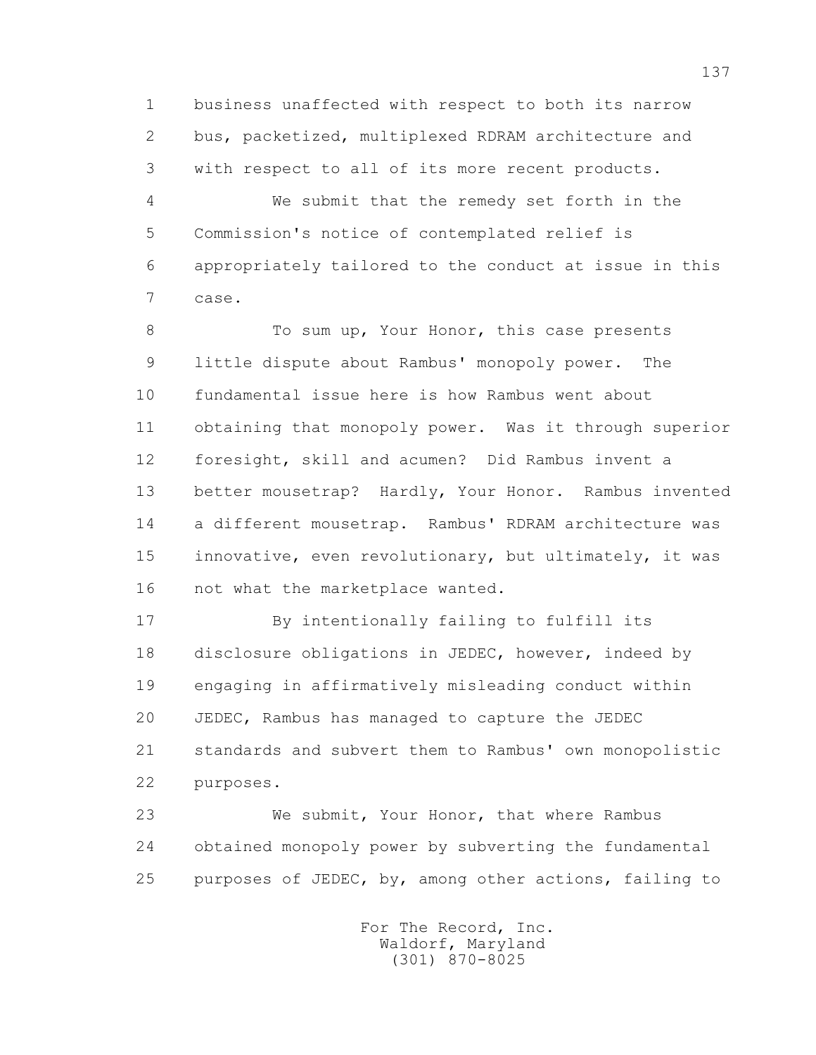1 business unaffected with respect to both its narrow 2 bus, packetized, multiplexed RDRAM architecture and 3 with respect to all of its more recent products.

 4 We submit that the remedy set forth in the 5 Commission's notice of contemplated relief is 6 appropriately tailored to the conduct at issue in this 7 case.

8 To sum up, Your Honor, this case presents 9 little dispute about Rambus' monopoly power. The 10 fundamental issue here is how Rambus went about 11 obtaining that monopoly power. Was it through superior 12 foresight, skill and acumen? Did Rambus invent a 13 better mousetrap? Hardly, Your Honor. Rambus invented 14 a different mousetrap. Rambus' RDRAM architecture was 15 innovative, even revolutionary, but ultimately, it was 16 not what the marketplace wanted.

 17 By intentionally failing to fulfill its 18 disclosure obligations in JEDEC, however, indeed by 19 engaging in affirmatively misleading conduct within 20 JEDEC, Rambus has managed to capture the JEDEC 21 standards and subvert them to Rambus' own monopolistic 22 purposes.

 23 We submit, Your Honor, that where Rambus 24 obtained monopoly power by subverting the fundamental 25 purposes of JEDEC, by, among other actions, failing to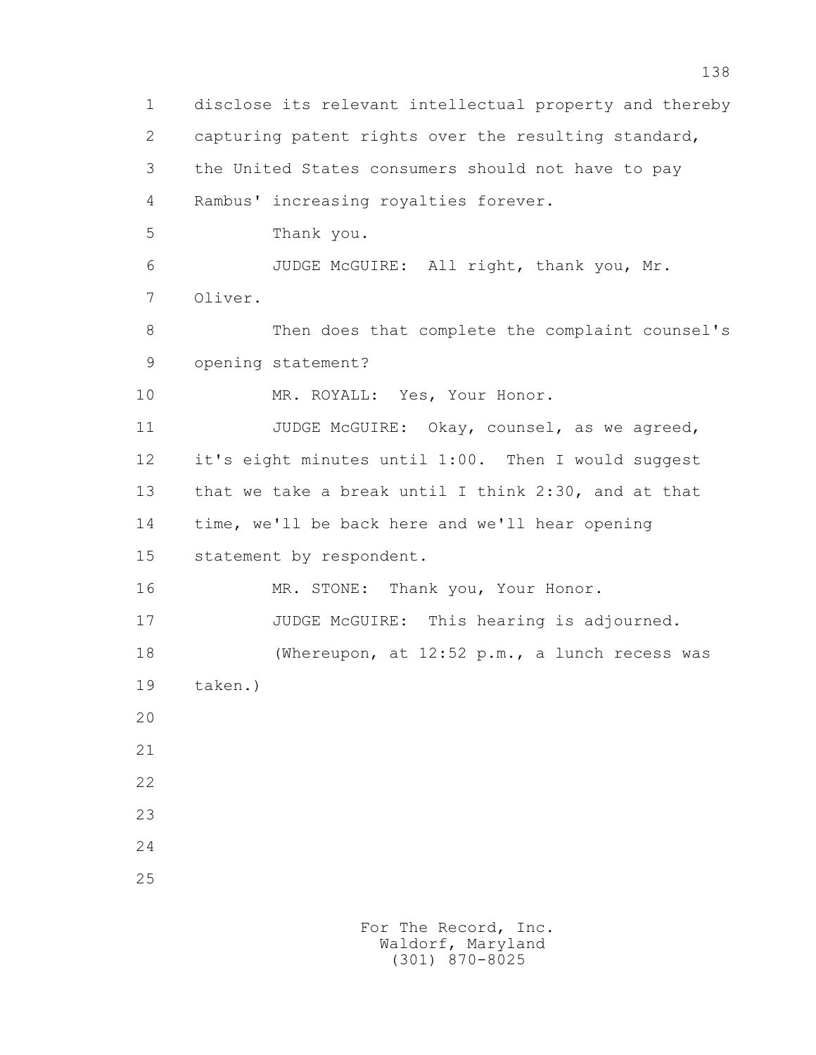1 disclose its relevant intellectual property and thereby 2 capturing patent rights over the resulting standard, 3 the United States consumers should not have to pay 4 Rambus' increasing royalties forever. 5 Thank you. 6 JUDGE McGUIRE: All right, thank you, Mr. 7 Oliver. 8 Then does that complete the complaint counsel's 9 opening statement? 10 MR. ROYALL: Yes, Your Honor. 11 JUDGE McGUIRE: Okay, counsel, as we agreed, 12 it's eight minutes until 1:00. Then I would suggest 13 that we take a break until I think 2:30, and at that 14 time, we'll be back here and we'll hear opening 15 statement by respondent. 16 MR. STONE: Thank you, Your Honor. 17 JUDGE McGUIRE: This hearing is adjourned. 18 (Whereupon, at 12:52 p.m., a lunch recess was 19 taken.) 20 21 22 23 24 25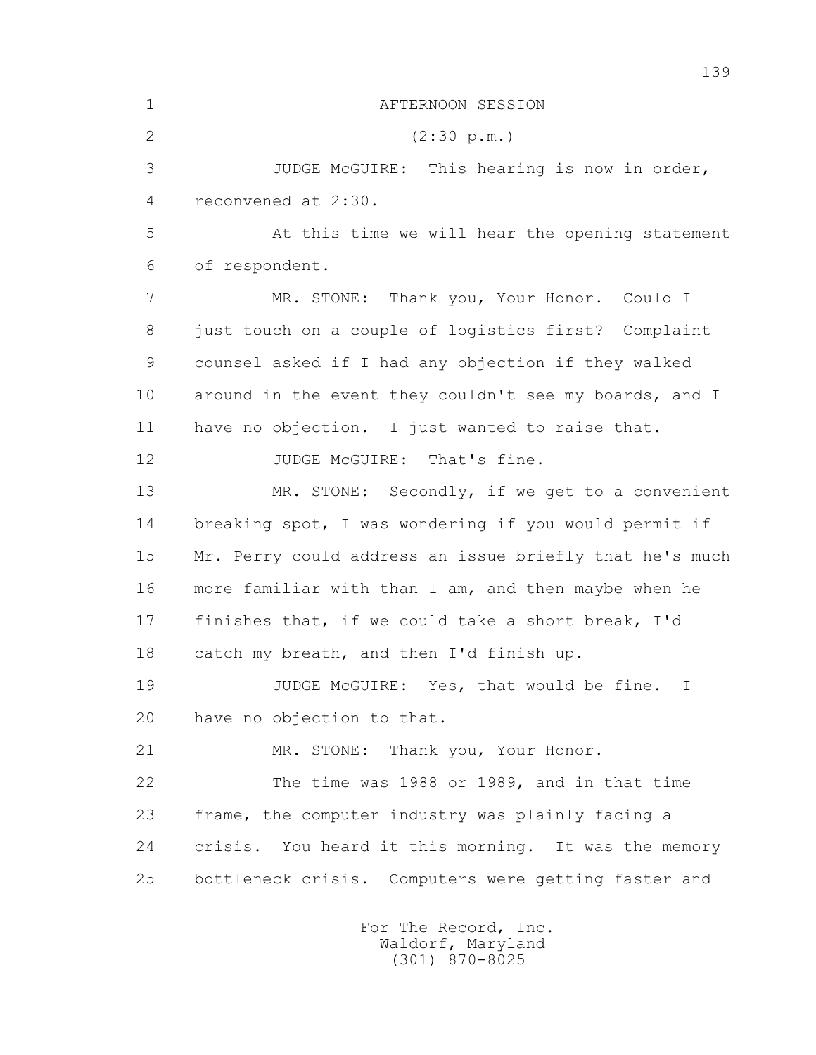1 AFTERNOON SESSION 2 (2:30 p.m.) 3 JUDGE McGUIRE: This hearing is now in order, 4 reconvened at 2:30. 5 At this time we will hear the opening statement 6 of respondent. 7 MR. STONE: Thank you, Your Honor. Could I 8 just touch on a couple of logistics first? Complaint 9 counsel asked if I had any objection if they walked 10 around in the event they couldn't see my boards, and I 11 have no objection. I just wanted to raise that. 12 JUDGE McGUIRE: That's fine. 13 MR. STONE: Secondly, if we get to a convenient 14 breaking spot, I was wondering if you would permit if 15 Mr. Perry could address an issue briefly that he's much 16 more familiar with than I am, and then maybe when he 17 finishes that, if we could take a short break, I'd 18 catch my breath, and then I'd finish up. 19 JUDGE McGUIRE: Yes, that would be fine. I 20 have no objection to that. 21 MR. STONE: Thank you, Your Honor. 22 The time was 1988 or 1989, and in that time 23 frame, the computer industry was plainly facing a 24 crisis. You heard it this morning. It was the memory 25 bottleneck crisis. Computers were getting faster and For The Record, Inc.

139

 Waldorf, Maryland (301) 870-8025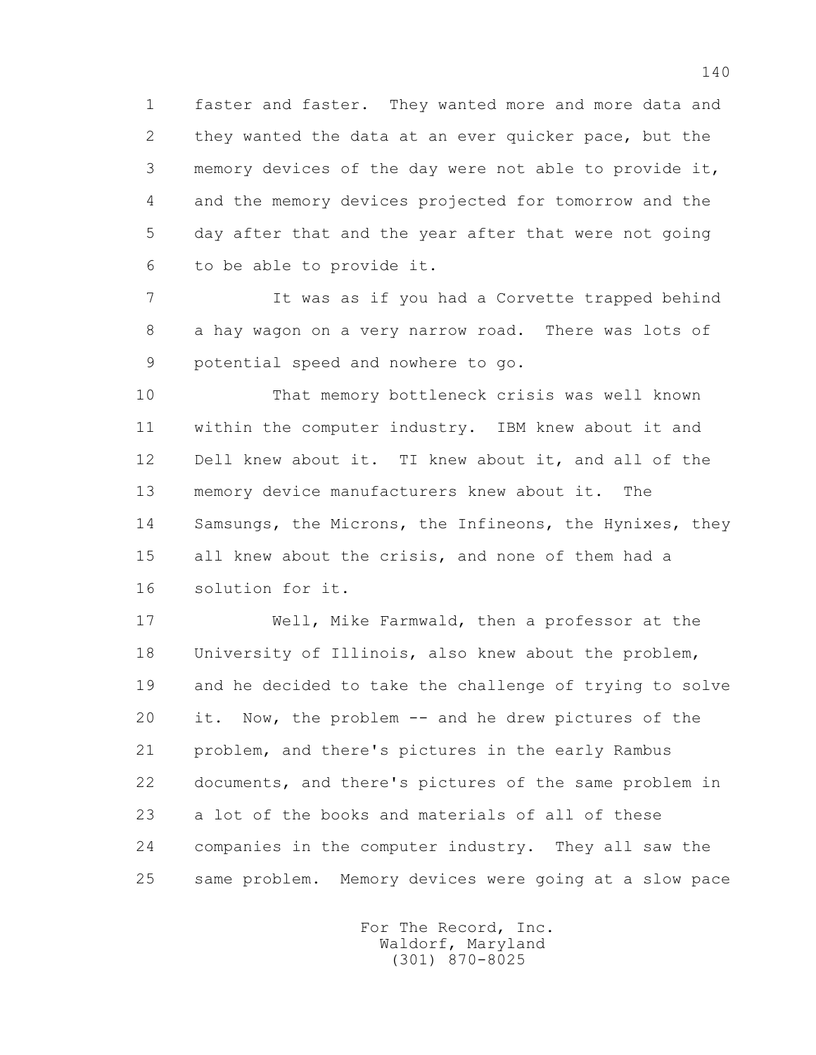1 faster and faster. They wanted more and more data and 2 they wanted the data at an ever quicker pace, but the 3 memory devices of the day were not able to provide it, 4 and the memory devices projected for tomorrow and the 5 day after that and the year after that were not going 6 to be able to provide it.

 7 It was as if you had a Corvette trapped behind 8 a hay wagon on a very narrow road. There was lots of 9 potential speed and nowhere to go.

 10 That memory bottleneck crisis was well known 11 within the computer industry. IBM knew about it and 12 Dell knew about it. TI knew about it, and all of the 13 memory device manufacturers knew about it. The 14 Samsungs, the Microns, the Infineons, the Hynixes, they 15 all knew about the crisis, and none of them had a 16 solution for it.

 17 Well, Mike Farmwald, then a professor at the 18 University of Illinois, also knew about the problem, 19 and he decided to take the challenge of trying to solve 20 it. Now, the problem -- and he drew pictures of the 21 problem, and there's pictures in the early Rambus 22 documents, and there's pictures of the same problem in 23 a lot of the books and materials of all of these 24 companies in the computer industry. They all saw the 25 same problem. Memory devices were going at a slow pace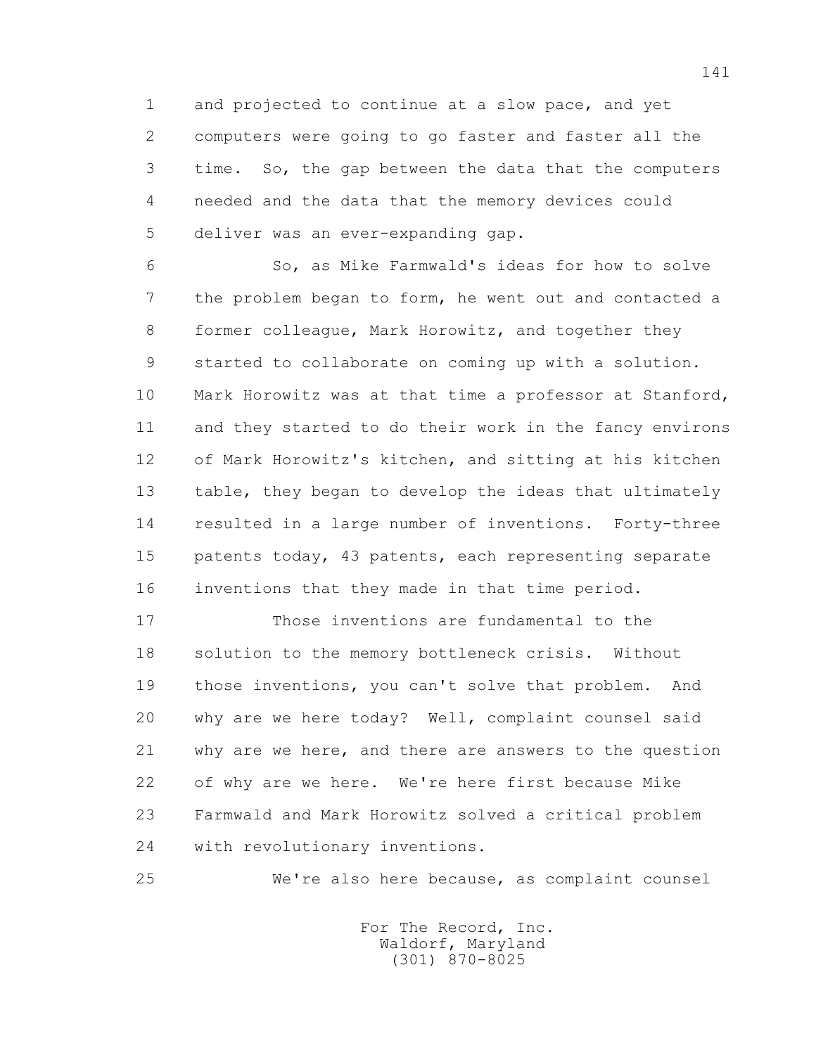1 and projected to continue at a slow pace, and yet 2 computers were going to go faster and faster all the 3 time. So, the gap between the data that the computers 4 needed and the data that the memory devices could 5 deliver was an ever-expanding gap.

 6 So, as Mike Farmwald's ideas for how to solve 7 the problem began to form, he went out and contacted a 8 former colleague, Mark Horowitz, and together they 9 started to collaborate on coming up with a solution. 10 Mark Horowitz was at that time a professor at Stanford, 11 and they started to do their work in the fancy environs 12 of Mark Horowitz's kitchen, and sitting at his kitchen 13 table, they began to develop the ideas that ultimately 14 resulted in a large number of inventions. Forty-three 15 patents today, 43 patents, each representing separate 16 inventions that they made in that time period.

 17 Those inventions are fundamental to the 18 solution to the memory bottleneck crisis. Without 19 those inventions, you can't solve that problem. And 20 why are we here today? Well, complaint counsel said 21 why are we here, and there are answers to the question 22 of why are we here. We're here first because Mike 23 Farmwald and Mark Horowitz solved a critical problem 24 with revolutionary inventions.

25 We're also here because, as complaint counsel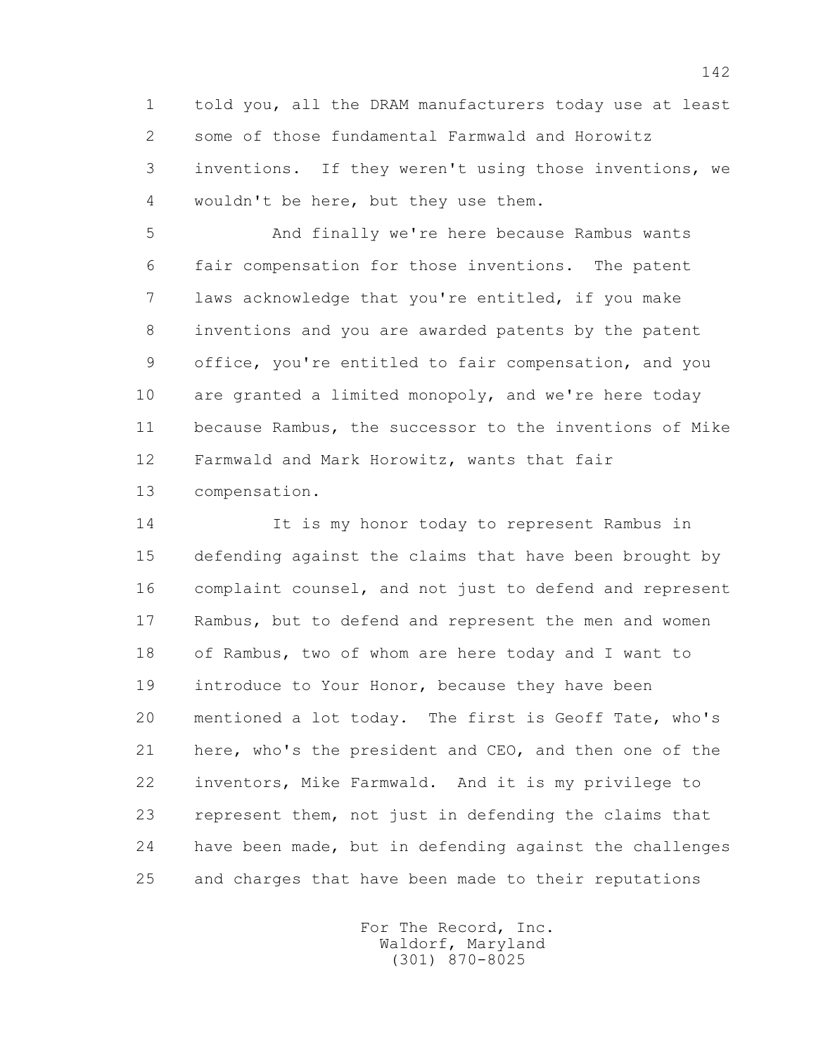1 told you, all the DRAM manufacturers today use at least 2 some of those fundamental Farmwald and Horowitz 3 inventions. If they weren't using those inventions, we 4 wouldn't be here, but they use them.

 5 And finally we're here because Rambus wants 6 fair compensation for those inventions. The patent 7 laws acknowledge that you're entitled, if you make 8 inventions and you are awarded patents by the patent 9 office, you're entitled to fair compensation, and you 10 are granted a limited monopoly, and we're here today 11 because Rambus, the successor to the inventions of Mike 12 Farmwald and Mark Horowitz, wants that fair 13 compensation.

 14 It is my honor today to represent Rambus in 15 defending against the claims that have been brought by 16 complaint counsel, and not just to defend and represent 17 Rambus, but to defend and represent the men and women 18 of Rambus, two of whom are here today and I want to 19 introduce to Your Honor, because they have been 20 mentioned a lot today. The first is Geoff Tate, who's 21 here, who's the president and CEO, and then one of the 22 inventors, Mike Farmwald. And it is my privilege to 23 represent them, not just in defending the claims that 24 have been made, but in defending against the challenges 25 and charges that have been made to their reputations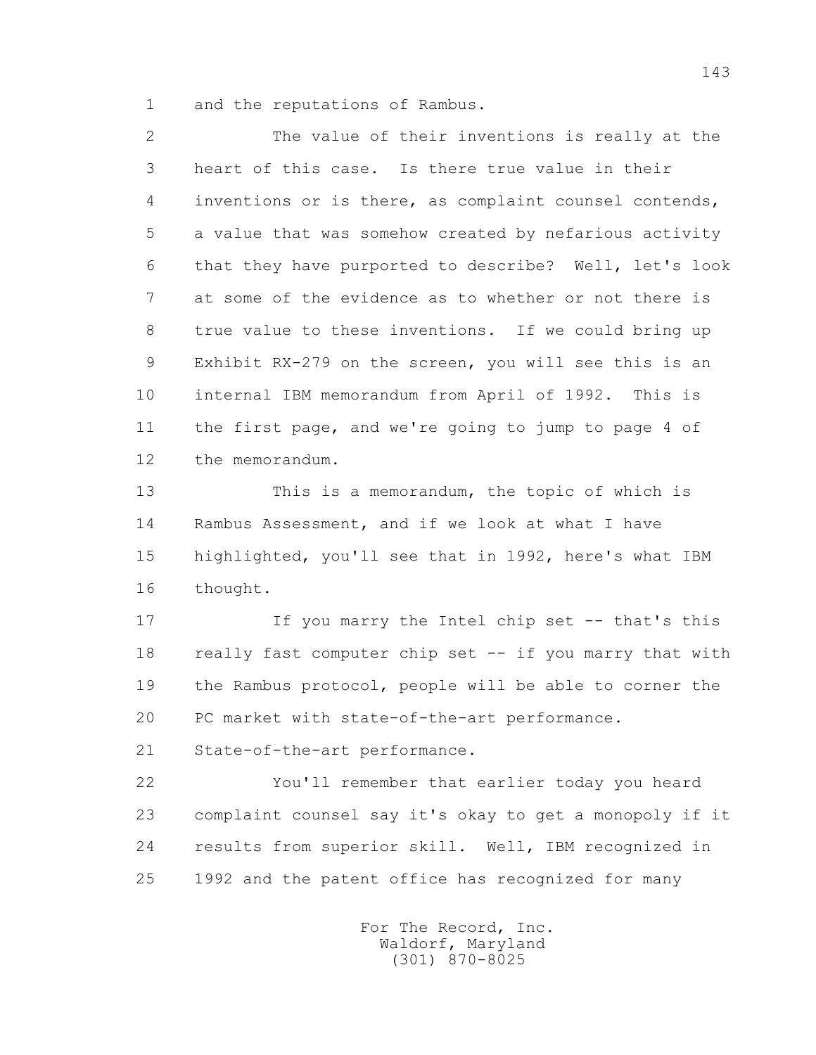1 and the reputations of Rambus.

 2 The value of their inventions is really at the 3 heart of this case. Is there true value in their 4 inventions or is there, as complaint counsel contends, 5 a value that was somehow created by nefarious activity 6 that they have purported to describe? Well, let's look 7 at some of the evidence as to whether or not there is 8 true value to these inventions. If we could bring up 9 Exhibit RX-279 on the screen, you will see this is an 10 internal IBM memorandum from April of 1992. This is 11 the first page, and we're going to jump to page 4 of 12 the memorandum.

 13 This is a memorandum, the topic of which is 14 Rambus Assessment, and if we look at what I have 15 highlighted, you'll see that in 1992, here's what IBM 16 thought.

 17 If you marry the Intel chip set -- that's this 18 really fast computer chip set -- if you marry that with 19 the Rambus protocol, people will be able to corner the 20 PC market with state-of-the-art performance.

21 State-of-the-art performance.

 22 You'll remember that earlier today you heard 23 complaint counsel say it's okay to get a monopoly if it 24 results from superior skill. Well, IBM recognized in 25 1992 and the patent office has recognized for many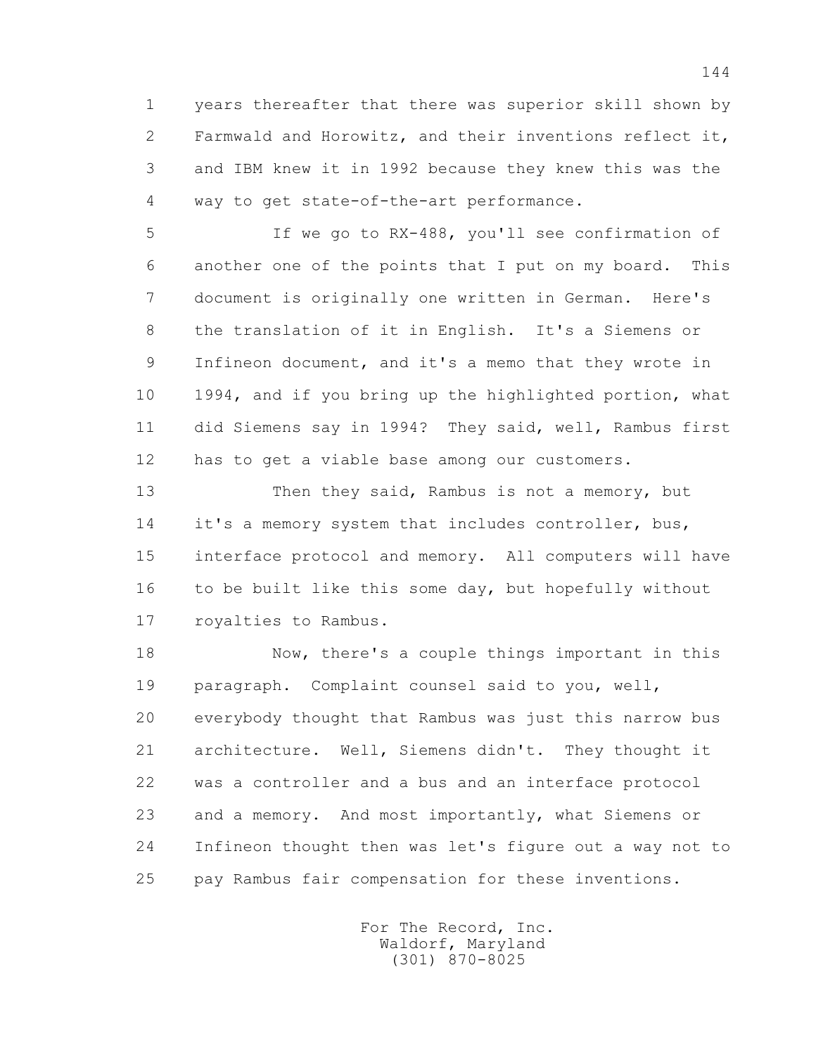1 years thereafter that there was superior skill shown by 2 Farmwald and Horowitz, and their inventions reflect it, 3 and IBM knew it in 1992 because they knew this was the 4 way to get state-of-the-art performance.

 5 If we go to RX-488, you'll see confirmation of 6 another one of the points that I put on my board. This 7 document is originally one written in German. Here's 8 the translation of it in English. It's a Siemens or 9 Infineon document, and it's a memo that they wrote in 10 1994, and if you bring up the highlighted portion, what 11 did Siemens say in 1994? They said, well, Rambus first 12 has to get a viable base among our customers.

 13 Then they said, Rambus is not a memory, but 14 it's a memory system that includes controller, bus, 15 interface protocol and memory. All computers will have 16 to be built like this some day, but hopefully without 17 royalties to Rambus.

 18 Now, there's a couple things important in this 19 paragraph. Complaint counsel said to you, well, 20 everybody thought that Rambus was just this narrow bus 21 architecture. Well, Siemens didn't. They thought it 22 was a controller and a bus and an interface protocol 23 and a memory. And most importantly, what Siemens or 24 Infineon thought then was let's figure out a way not to 25 pay Rambus fair compensation for these inventions.

> For The Record, Inc. Waldorf, Maryland (301) 870-8025

144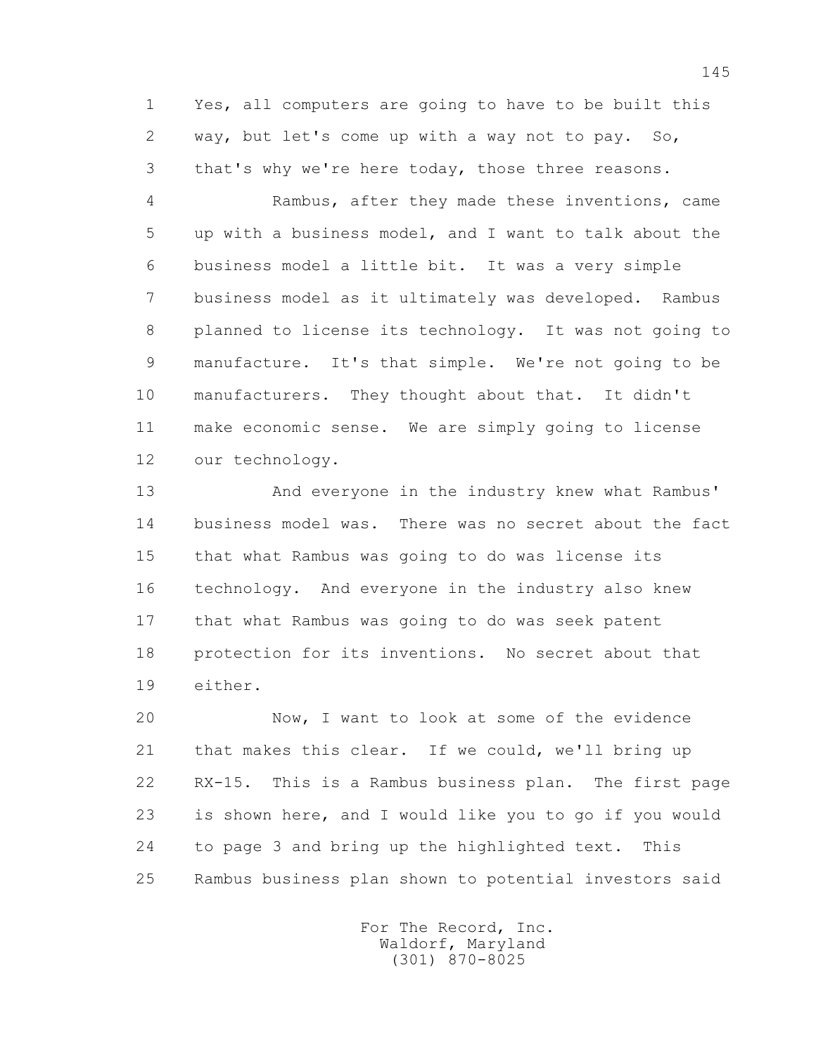1 Yes, all computers are going to have to be built this 2 way, but let's come up with a way not to pay. So, 3 that's why we're here today, those three reasons.

 4 Rambus, after they made these inventions, came 5 up with a business model, and I want to talk about the 6 business model a little bit. It was a very simple 7 business model as it ultimately was developed. Rambus 8 planned to license its technology. It was not going to 9 manufacture. It's that simple. We're not going to be 10 manufacturers. They thought about that. It didn't 11 make economic sense. We are simply going to license 12 our technology.

 13 And everyone in the industry knew what Rambus' 14 business model was. There was no secret about the fact 15 that what Rambus was going to do was license its 16 technology. And everyone in the industry also knew 17 that what Rambus was going to do was seek patent 18 protection for its inventions. No secret about that 19 either.

 20 Now, I want to look at some of the evidence 21 that makes this clear. If we could, we'll bring up 22 RX-15. This is a Rambus business plan. The first page 23 is shown here, and I would like you to go if you would 24 to page 3 and bring up the highlighted text. This 25 Rambus business plan shown to potential investors said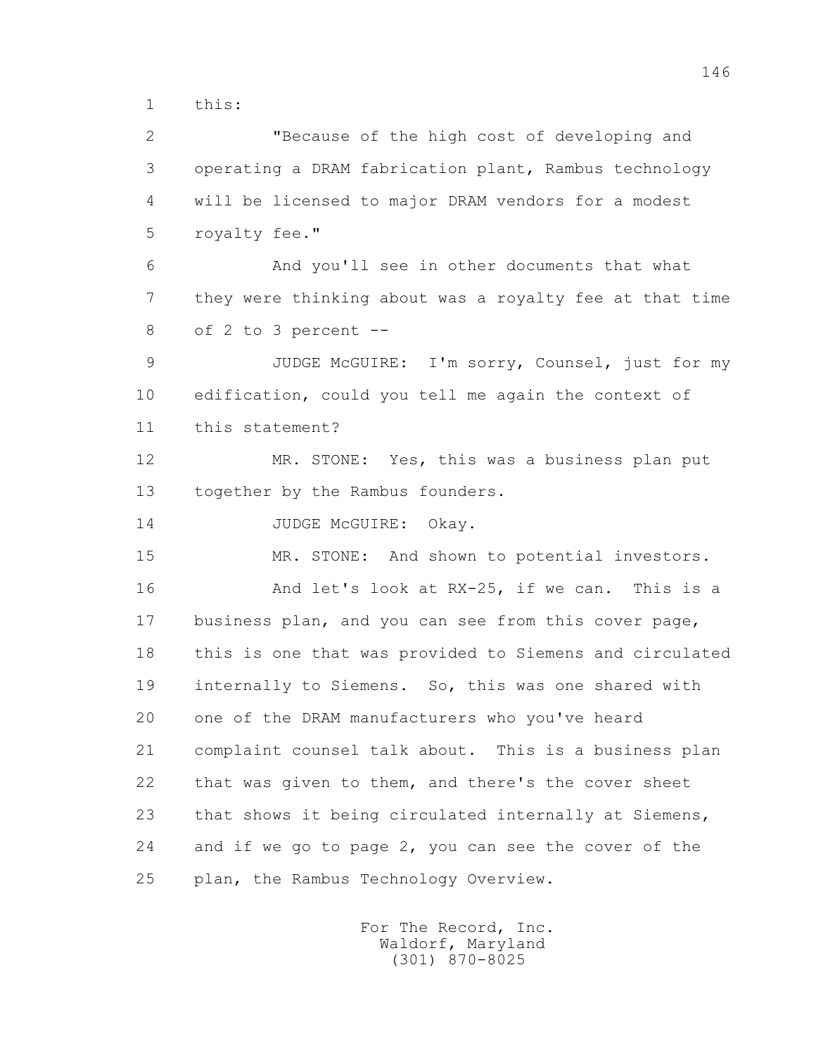1 this:

 2 "Because of the high cost of developing and 3 operating a DRAM fabrication plant, Rambus technology 4 will be licensed to major DRAM vendors for a modest 5 royalty fee." 6 And you'll see in other documents that what 7 they were thinking about was a royalty fee at that time 8 of 2 to 3 percent -- 9 JUDGE McGUIRE: I'm sorry, Counsel, just for my 10 edification, could you tell me again the context of 11 this statement? 12 MR. STONE: Yes, this was a business plan put 13 together by the Rambus founders. 14 JUDGE McGUIRE: Okay. 15 MR. STONE: And shown to potential investors. 16 And let's look at RX-25, if we can. This is a 17 business plan, and you can see from this cover page, 18 this is one that was provided to Siemens and circulated 19 internally to Siemens. So, this was one shared with 20 one of the DRAM manufacturers who you've heard 21 complaint counsel talk about. This is a business plan 22 that was given to them, and there's the cover sheet 23 that shows it being circulated internally at Siemens, 24 and if we go to page 2, you can see the cover of the 25 plan, the Rambus Technology Overview.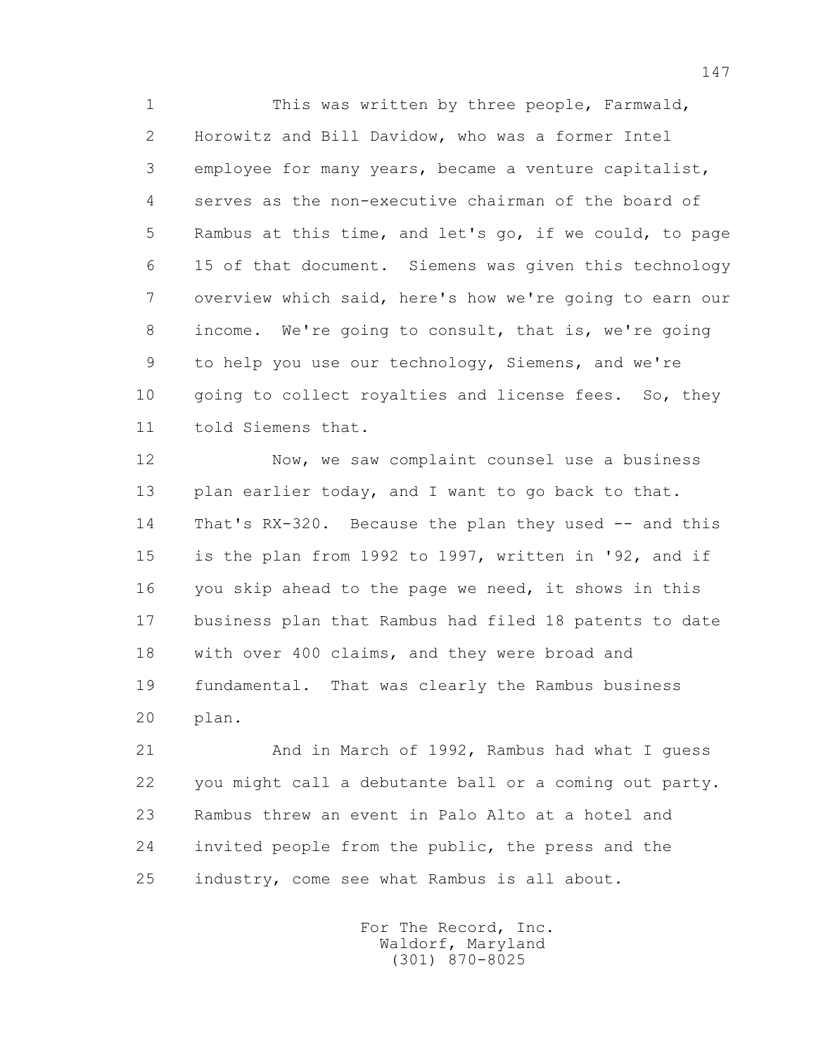1 This was written by three people, Farmwald, 2 Horowitz and Bill Davidow, who was a former Intel 3 employee for many years, became a venture capitalist, 4 serves as the non-executive chairman of the board of 5 Rambus at this time, and let's go, if we could, to page 6 15 of that document. Siemens was given this technology 7 overview which said, here's how we're going to earn our 8 income. We're going to consult, that is, we're going 9 to help you use our technology, Siemens, and we're 10 going to collect royalties and license fees. So, they 11 told Siemens that.

 12 Now, we saw complaint counsel use a business 13 plan earlier today, and I want to go back to that. 14 That's RX-320. Because the plan they used -- and this 15 is the plan from 1992 to 1997, written in '92, and if 16 you skip ahead to the page we need, it shows in this 17 business plan that Rambus had filed 18 patents to date 18 with over 400 claims, and they were broad and 19 fundamental. That was clearly the Rambus business 20 plan.

 21 And in March of 1992, Rambus had what I guess 22 you might call a debutante ball or a coming out party. 23 Rambus threw an event in Palo Alto at a hotel and 24 invited people from the public, the press and the 25 industry, come see what Rambus is all about.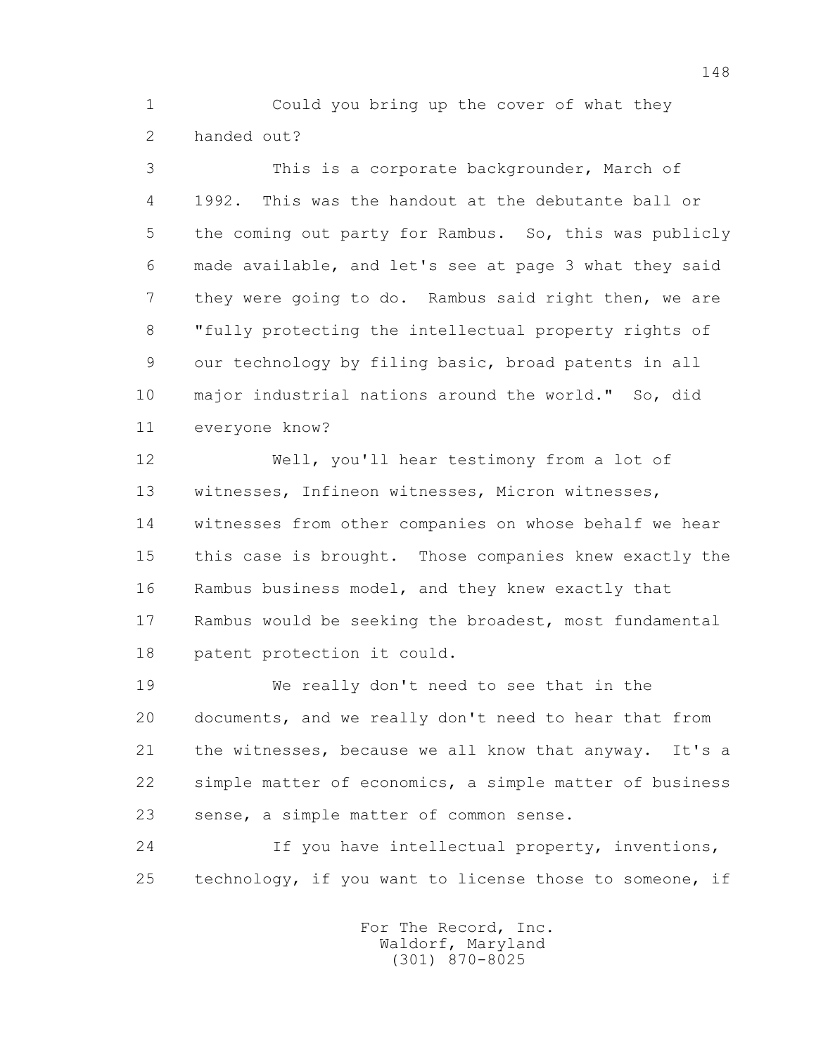1 Could you bring up the cover of what they 2 handed out?

 3 This is a corporate backgrounder, March of 4 1992. This was the handout at the debutante ball or 5 the coming out party for Rambus. So, this was publicly 6 made available, and let's see at page 3 what they said 7 they were going to do. Rambus said right then, we are 8 "fully protecting the intellectual property rights of 9 our technology by filing basic, broad patents in all 10 major industrial nations around the world." So, did 11 everyone know?

 12 Well, you'll hear testimony from a lot of 13 witnesses, Infineon witnesses, Micron witnesses, 14 witnesses from other companies on whose behalf we hear 15 this case is brought. Those companies knew exactly the 16 Rambus business model, and they knew exactly that 17 Rambus would be seeking the broadest, most fundamental 18 patent protection it could.

 19 We really don't need to see that in the 20 documents, and we really don't need to hear that from 21 the witnesses, because we all know that anyway. It's a 22 simple matter of economics, a simple matter of business 23 sense, a simple matter of common sense.

 24 If you have intellectual property, inventions, 25 technology, if you want to license those to someone, if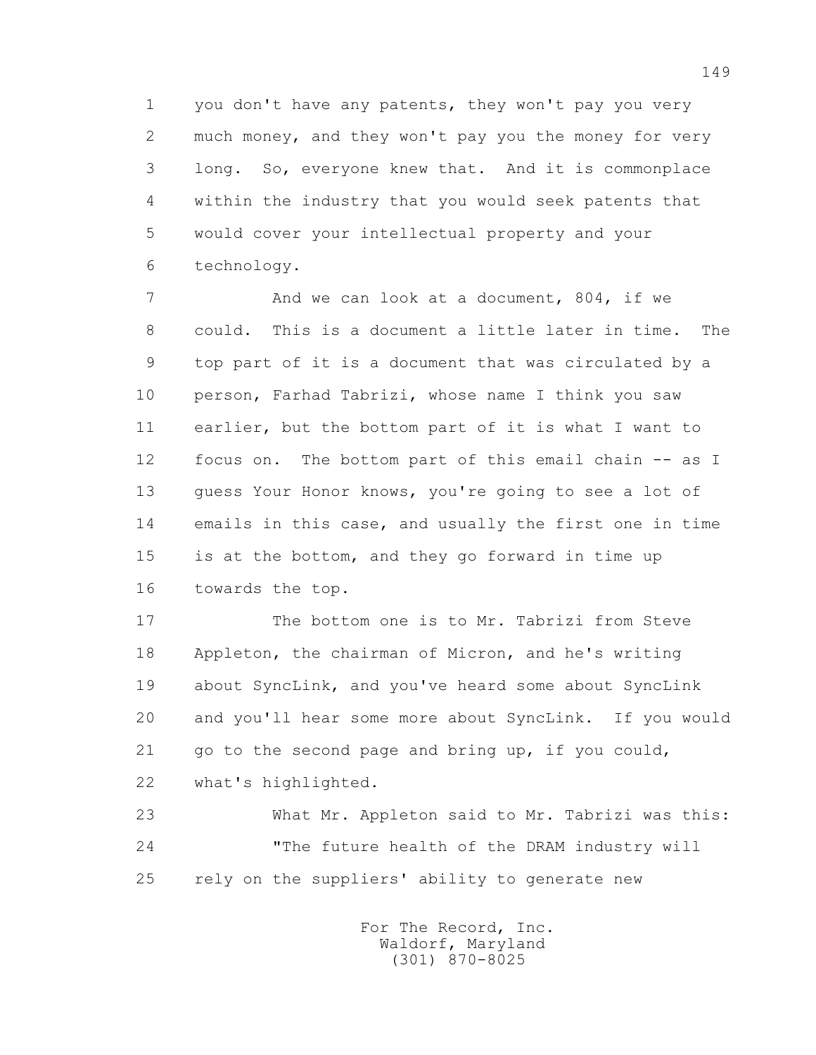1 you don't have any patents, they won't pay you very 2 much money, and they won't pay you the money for very 3 long. So, everyone knew that. And it is commonplace 4 within the industry that you would seek patents that 5 would cover your intellectual property and your 6 technology.

7 And we can look at a document, 804, if we 8 could. This is a document a little later in time. The 9 top part of it is a document that was circulated by a 10 person, Farhad Tabrizi, whose name I think you saw 11 earlier, but the bottom part of it is what I want to 12 focus on. The bottom part of this email chain -- as I 13 guess Your Honor knows, you're going to see a lot of 14 emails in this case, and usually the first one in time 15 is at the bottom, and they go forward in time up 16 towards the top.

 17 The bottom one is to Mr. Tabrizi from Steve 18 Appleton, the chairman of Micron, and he's writing 19 about SyncLink, and you've heard some about SyncLink 20 and you'll hear some more about SyncLink. If you would 21 go to the second page and bring up, if you could, 22 what's highlighted.

 23 What Mr. Appleton said to Mr. Tabrizi was this: 24 "The future health of the DRAM industry will 25 rely on the suppliers' ability to generate new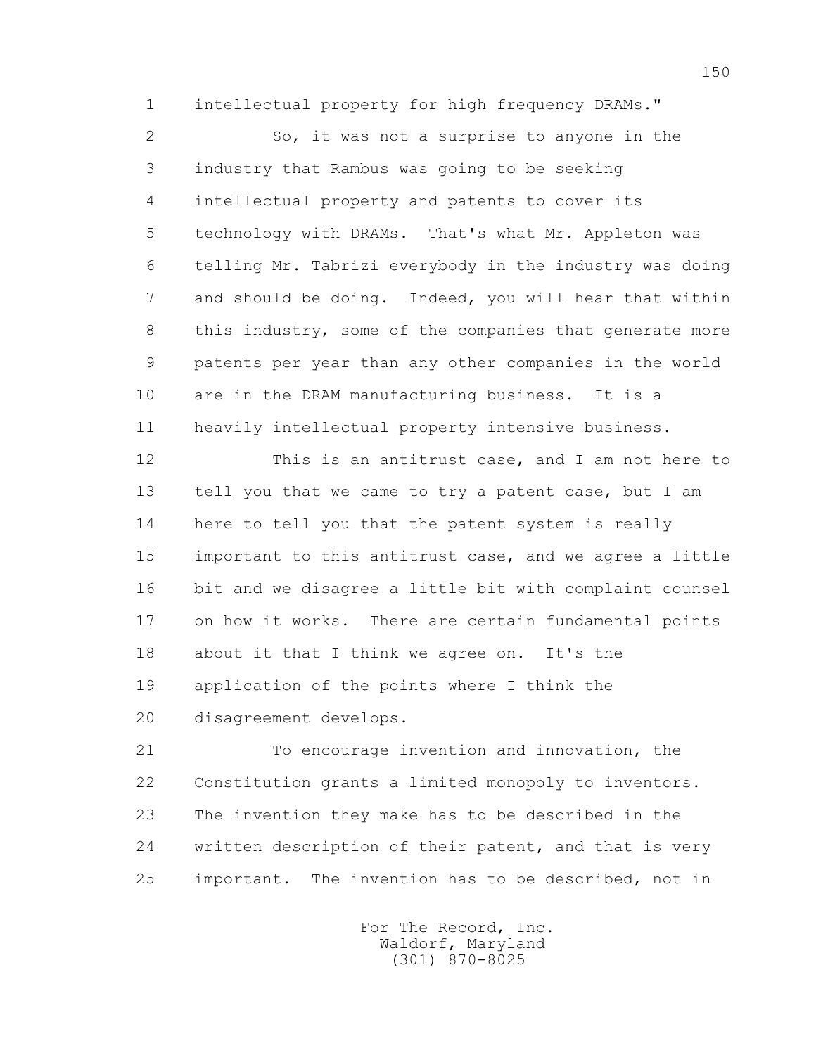1 intellectual property for high frequency DRAMs."

 2 So, it was not a surprise to anyone in the 3 industry that Rambus was going to be seeking 4 intellectual property and patents to cover its 5 technology with DRAMs. That's what Mr. Appleton was 6 telling Mr. Tabrizi everybody in the industry was doing 7 and should be doing. Indeed, you will hear that within 8 this industry, some of the companies that generate more 9 patents per year than any other companies in the world 10 are in the DRAM manufacturing business. It is a 11 heavily intellectual property intensive business.

 12 This is an antitrust case, and I am not here to 13 tell you that we came to try a patent case, but I am 14 here to tell you that the patent system is really 15 important to this antitrust case, and we agree a little 16 bit and we disagree a little bit with complaint counsel 17 on how it works. There are certain fundamental points 18 about it that I think we agree on. It's the 19 application of the points where I think the 20 disagreement develops.

 21 To encourage invention and innovation, the 22 Constitution grants a limited monopoly to inventors. 23 The invention they make has to be described in the 24 written description of their patent, and that is very 25 important. The invention has to be described, not in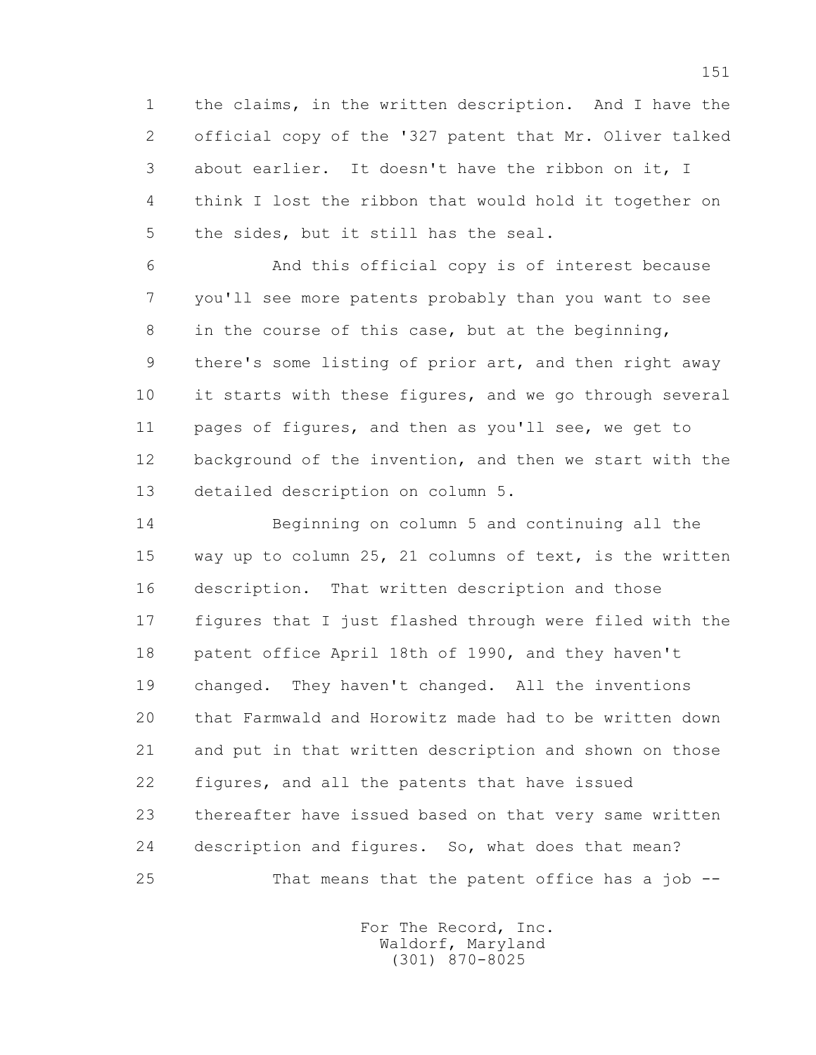1 the claims, in the written description. And I have the 2 official copy of the '327 patent that Mr. Oliver talked 3 about earlier. It doesn't have the ribbon on it, I 4 think I lost the ribbon that would hold it together on 5 the sides, but it still has the seal.

 6 And this official copy is of interest because 7 you'll see more patents probably than you want to see 8 in the course of this case, but at the beginning, 9 there's some listing of prior art, and then right away 10 it starts with these figures, and we go through several 11 pages of figures, and then as you'll see, we get to 12 background of the invention, and then we start with the 13 detailed description on column 5.

 14 Beginning on column 5 and continuing all the 15 way up to column 25, 21 columns of text, is the written 16 description. That written description and those 17 figures that I just flashed through were filed with the 18 patent office April 18th of 1990, and they haven't 19 changed. They haven't changed. All the inventions 20 that Farmwald and Horowitz made had to be written down 21 and put in that written description and shown on those 22 figures, and all the patents that have issued 23 thereafter have issued based on that very same written 24 description and figures. So, what does that mean? 25 That means that the patent office has a job --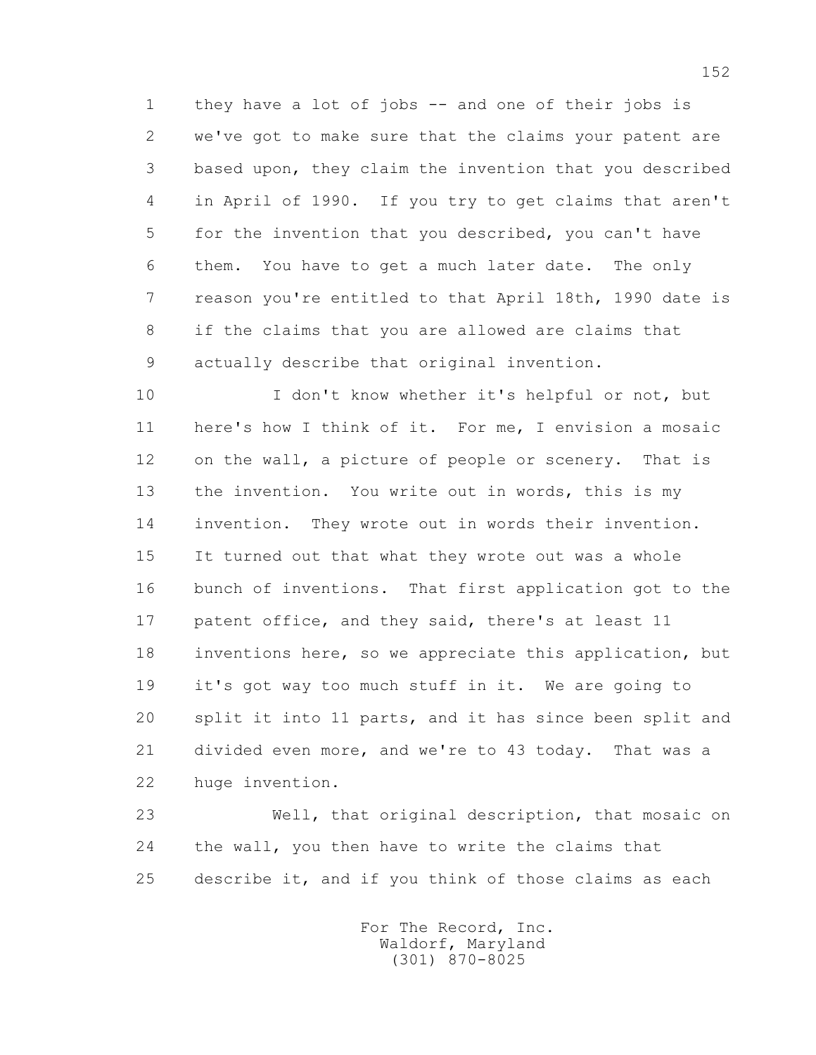1 they have a lot of jobs -- and one of their jobs is 2 we've got to make sure that the claims your patent are 3 based upon, they claim the invention that you described 4 in April of 1990. If you try to get claims that aren't 5 for the invention that you described, you can't have 6 them. You have to get a much later date. The only 7 reason you're entitled to that April 18th, 1990 date is 8 if the claims that you are allowed are claims that 9 actually describe that original invention.

10 I don't know whether it's helpful or not, but 11 here's how I think of it. For me, I envision a mosaic 12 on the wall, a picture of people or scenery. That is 13 the invention. You write out in words, this is my 14 invention. They wrote out in words their invention. 15 It turned out that what they wrote out was a whole 16 bunch of inventions. That first application got to the 17 patent office, and they said, there's at least 11 18 inventions here, so we appreciate this application, but 19 it's got way too much stuff in it. We are going to 20 split it into 11 parts, and it has since been split and 21 divided even more, and we're to 43 today. That was a 22 huge invention.

 23 Well, that original description, that mosaic on 24 the wall, you then have to write the claims that 25 describe it, and if you think of those claims as each

> For The Record, Inc. Waldorf, Maryland (301) 870-8025

152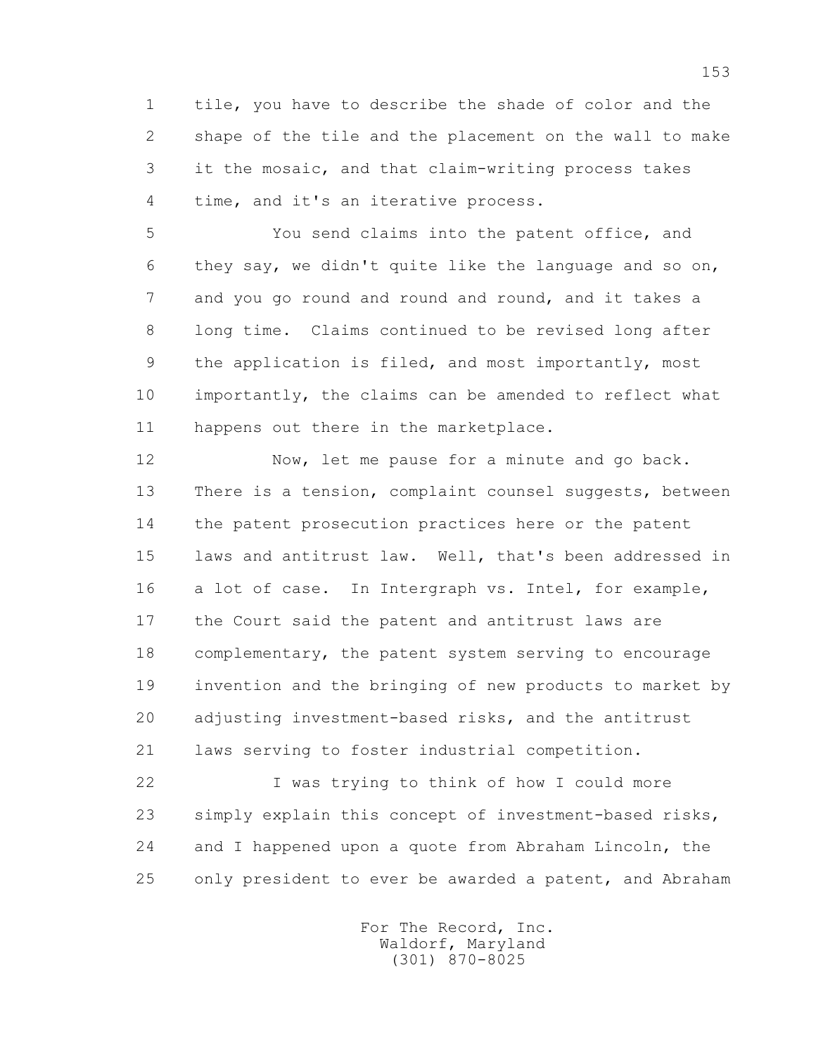1 tile, you have to describe the shade of color and the 2 shape of the tile and the placement on the wall to make 3 it the mosaic, and that claim-writing process takes 4 time, and it's an iterative process.

 5 You send claims into the patent office, and 6 they say, we didn't quite like the language and so on, 7 and you go round and round and round, and it takes a 8 long time. Claims continued to be revised long after 9 the application is filed, and most importantly, most 10 importantly, the claims can be amended to reflect what 11 happens out there in the marketplace.

 12 Now, let me pause for a minute and go back. 13 There is a tension, complaint counsel suggests, between 14 the patent prosecution practices here or the patent 15 laws and antitrust law. Well, that's been addressed in 16 a lot of case. In Intergraph vs. Intel, for example, 17 the Court said the patent and antitrust laws are 18 complementary, the patent system serving to encourage 19 invention and the bringing of new products to market by 20 adjusting investment-based risks, and the antitrust 21 laws serving to foster industrial competition.

 22 I was trying to think of how I could more 23 simply explain this concept of investment-based risks, 24 and I happened upon a quote from Abraham Lincoln, the 25 only president to ever be awarded a patent, and Abraham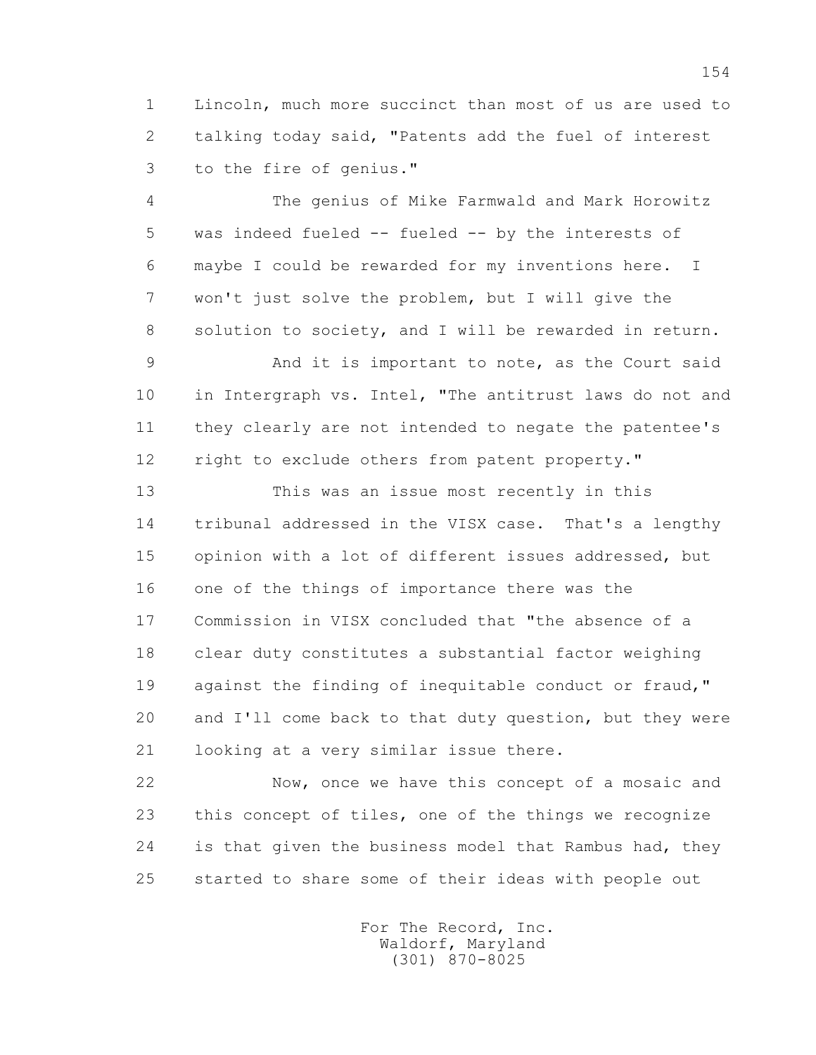1 Lincoln, much more succinct than most of us are used to 2 talking today said, "Patents add the fuel of interest 3 to the fire of genius."

 4 The genius of Mike Farmwald and Mark Horowitz 5 was indeed fueled -- fueled -- by the interests of 6 maybe I could be rewarded for my inventions here. I 7 won't just solve the problem, but I will give the 8 solution to society, and I will be rewarded in return.

 9 And it is important to note, as the Court said 10 in Intergraph vs. Intel, "The antitrust laws do not and 11 they clearly are not intended to negate the patentee's 12 right to exclude others from patent property."

 13 This was an issue most recently in this 14 tribunal addressed in the VISX case. That's a lengthy 15 opinion with a lot of different issues addressed, but 16 one of the things of importance there was the 17 Commission in VISX concluded that "the absence of a 18 clear duty constitutes a substantial factor weighing 19 against the finding of inequitable conduct or fraud," 20 and I'll come back to that duty question, but they were 21 looking at a very similar issue there.

 22 Now, once we have this concept of a mosaic and 23 this concept of tiles, one of the things we recognize 24 is that given the business model that Rambus had, they 25 started to share some of their ideas with people out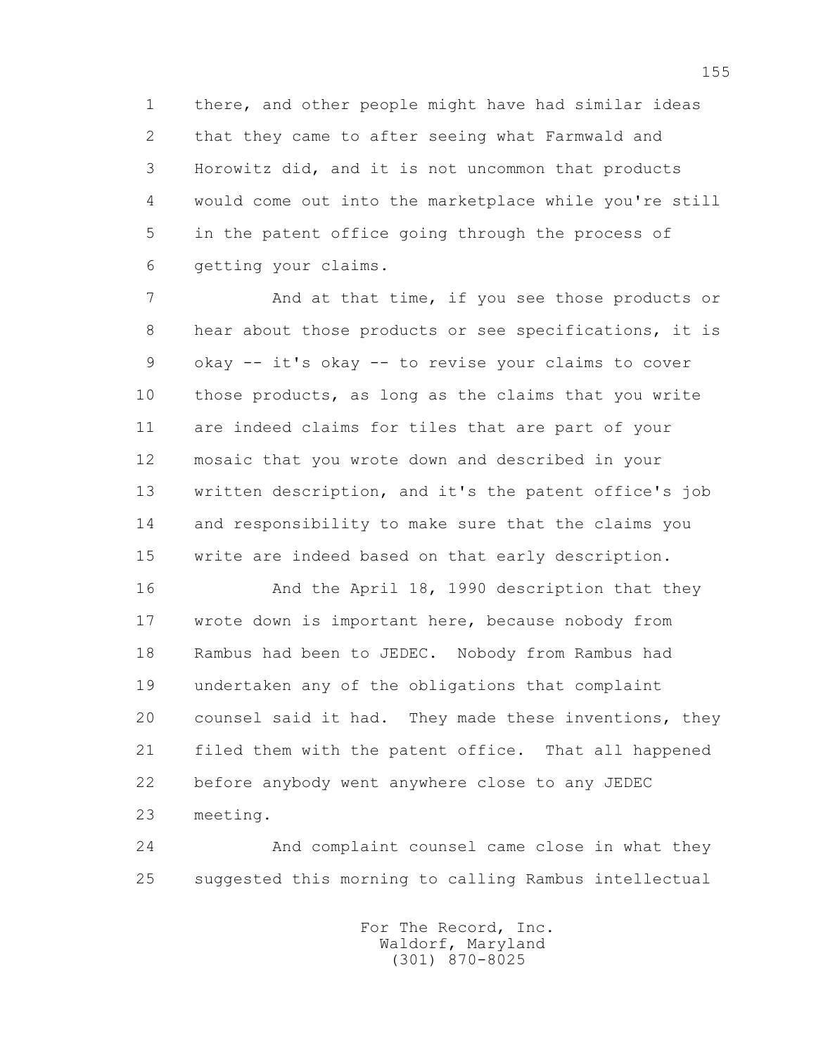1 there, and other people might have had similar ideas 2 that they came to after seeing what Farmwald and 3 Horowitz did, and it is not uncommon that products 4 would come out into the marketplace while you're still 5 in the patent office going through the process of 6 getting your claims.

7 **And at that time, if you see those products or**  8 hear about those products or see specifications, it is 9 okay -- it's okay -- to revise your claims to cover 10 those products, as long as the claims that you write 11 are indeed claims for tiles that are part of your 12 mosaic that you wrote down and described in your 13 written description, and it's the patent office's job 14 and responsibility to make sure that the claims you 15 write are indeed based on that early description.

 16 And the April 18, 1990 description that they 17 wrote down is important here, because nobody from 18 Rambus had been to JEDEC. Nobody from Rambus had 19 undertaken any of the obligations that complaint 20 counsel said it had. They made these inventions, they 21 filed them with the patent office. That all happened 22 before anybody went anywhere close to any JEDEC 23 meeting.

 24 And complaint counsel came close in what they 25 suggested this morning to calling Rambus intellectual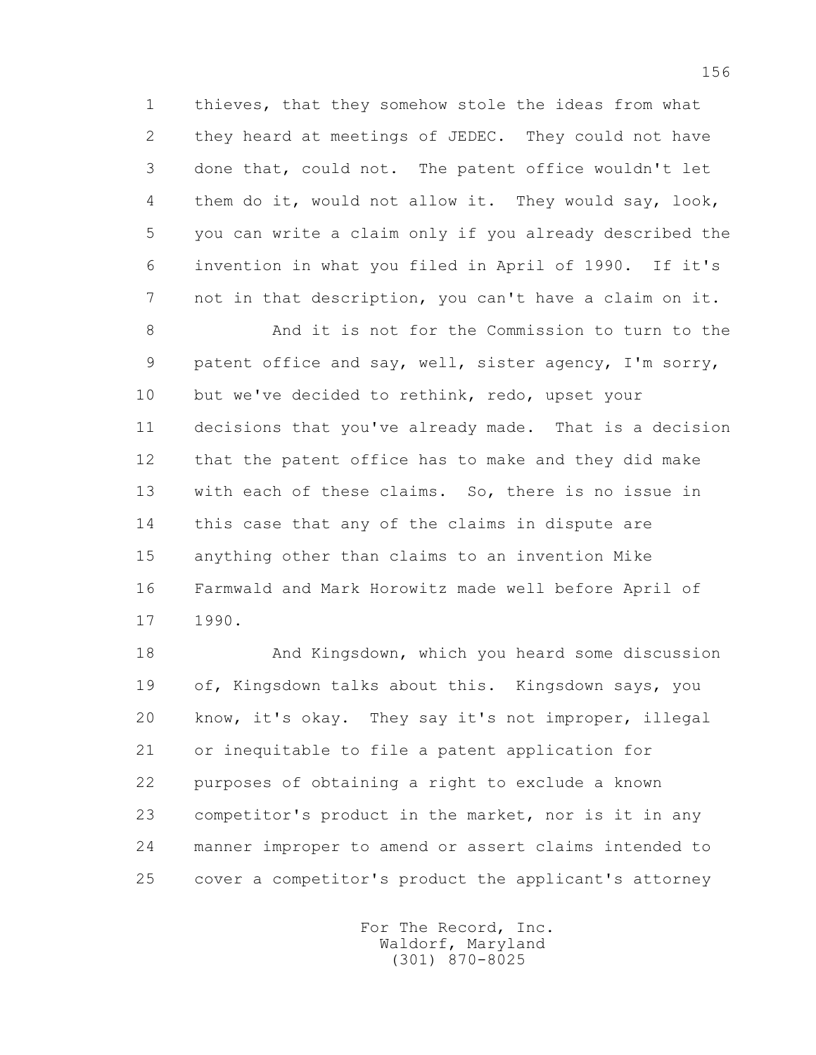1 thieves, that they somehow stole the ideas from what 2 they heard at meetings of JEDEC. They could not have 3 done that, could not. The patent office wouldn't let 4 them do it, would not allow it. They would say, look, 5 you can write a claim only if you already described the 6 invention in what you filed in April of 1990. If it's 7 not in that description, you can't have a claim on it.

 8 And it is not for the Commission to turn to the 9 patent office and say, well, sister agency, I'm sorry, 10 but we've decided to rethink, redo, upset your 11 decisions that you've already made. That is a decision 12 that the patent office has to make and they did make 13 with each of these claims. So, there is no issue in 14 this case that any of the claims in dispute are 15 anything other than claims to an invention Mike 16 Farmwald and Mark Horowitz made well before April of 17 1990.

 18 And Kingsdown, which you heard some discussion 19 of, Kingsdown talks about this. Kingsdown says, you 20 know, it's okay. They say it's not improper, illegal 21 or inequitable to file a patent application for 22 purposes of obtaining a right to exclude a known 23 competitor's product in the market, nor is it in any 24 manner improper to amend or assert claims intended to 25 cover a competitor's product the applicant's attorney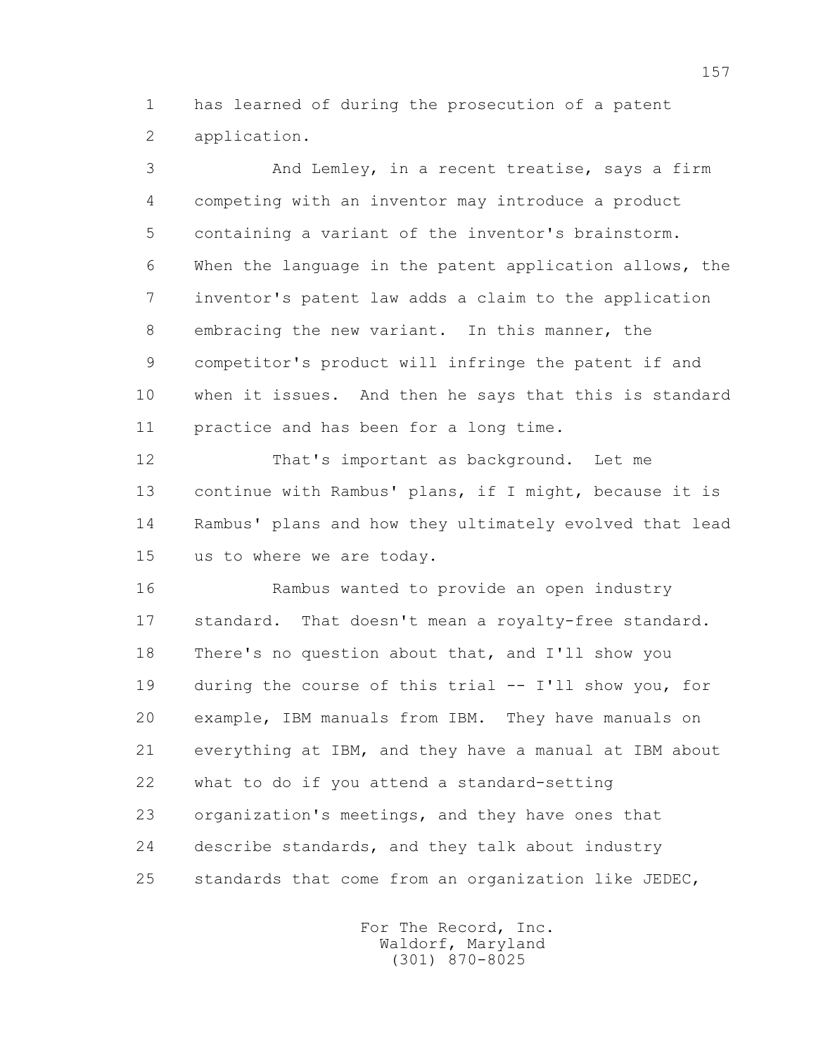1 has learned of during the prosecution of a patent 2 application.

 3 And Lemley, in a recent treatise, says a firm 4 competing with an inventor may introduce a product 5 containing a variant of the inventor's brainstorm. 6 When the language in the patent application allows, the 7 inventor's patent law adds a claim to the application 8 embracing the new variant. In this manner, the 9 competitor's product will infringe the patent if and 10 when it issues. And then he says that this is standard 11 practice and has been for a long time. 12 That's important as background. Let me

 13 continue with Rambus' plans, if I might, because it is 14 Rambus' plans and how they ultimately evolved that lead 15 us to where we are today.

 16 Rambus wanted to provide an open industry 17 standard. That doesn't mean a royalty-free standard. 18 There's no question about that, and I'll show you 19 during the course of this trial -- I'll show you, for 20 example, IBM manuals from IBM. They have manuals on 21 everything at IBM, and they have a manual at IBM about 22 what to do if you attend a standard-setting 23 organization's meetings, and they have ones that 24 describe standards, and they talk about industry 25 standards that come from an organization like JEDEC,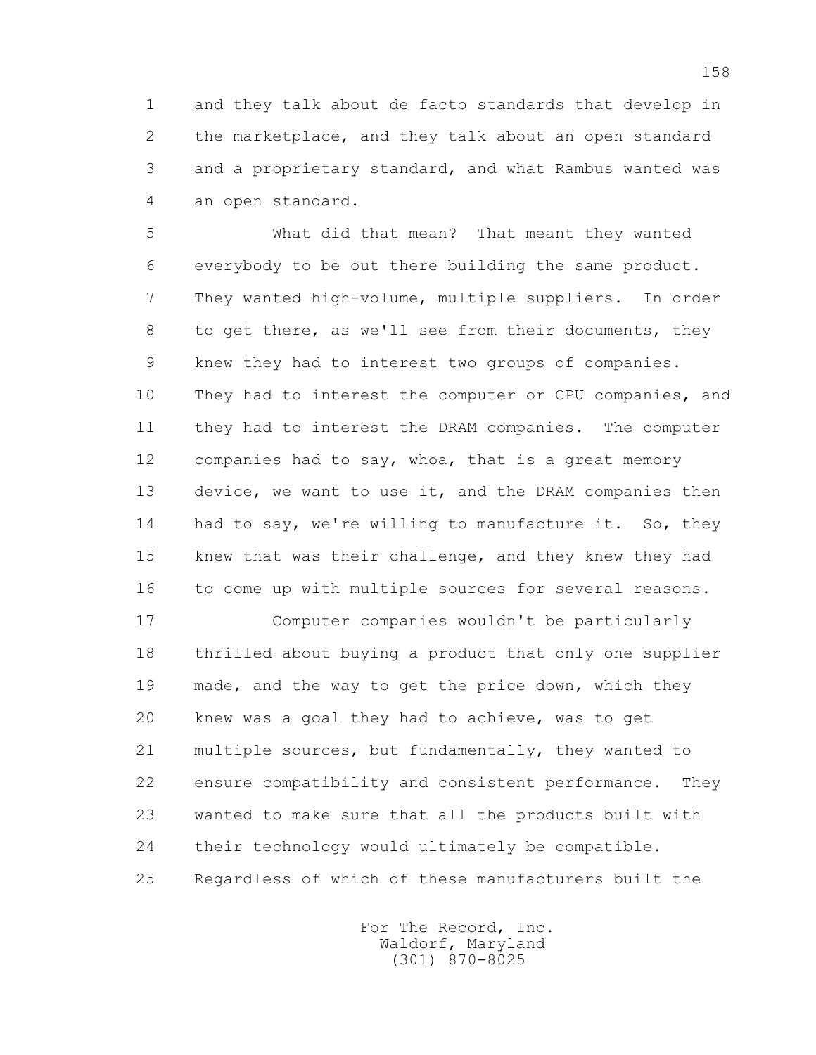1 and they talk about de facto standards that develop in 2 the marketplace, and they talk about an open standard 3 and a proprietary standard, and what Rambus wanted was 4 an open standard.

 5 What did that mean? That meant they wanted 6 everybody to be out there building the same product. 7 They wanted high-volume, multiple suppliers. In order 8 to get there, as we'll see from their documents, they 9 knew they had to interest two groups of companies. 10 They had to interest the computer or CPU companies, and 11 they had to interest the DRAM companies. The computer 12 companies had to say, whoa, that is a great memory 13 device, we want to use it, and the DRAM companies then 14 had to say, we're willing to manufacture it. So, they 15 knew that was their challenge, and they knew they had 16 to come up with multiple sources for several reasons.

 17 Computer companies wouldn't be particularly 18 thrilled about buying a product that only one supplier 19 made, and the way to get the price down, which they 20 knew was a goal they had to achieve, was to get 21 multiple sources, but fundamentally, they wanted to 22 ensure compatibility and consistent performance. They 23 wanted to make sure that all the products built with 24 their technology would ultimately be compatible. 25 Regardless of which of these manufacturers built the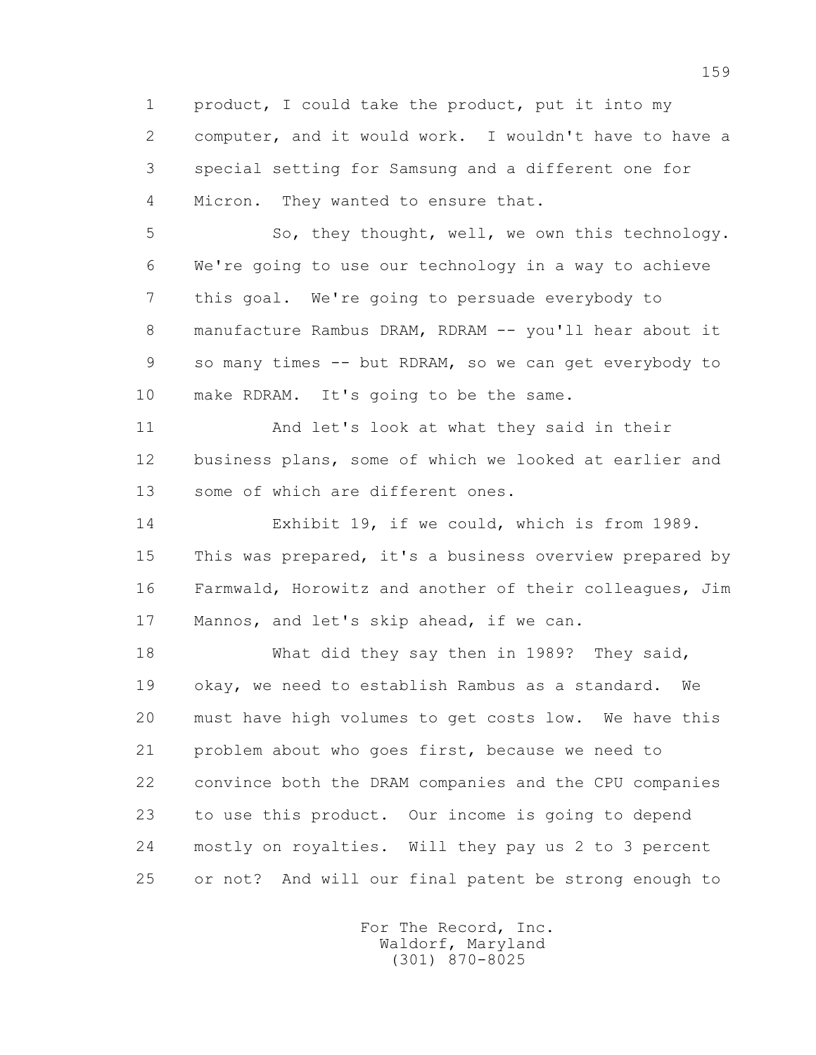1 product, I could take the product, put it into my 2 computer, and it would work. I wouldn't have to have a 3 special setting for Samsung and a different one for 4 Micron. They wanted to ensure that.

 5 So, they thought, well, we own this technology. 6 We're going to use our technology in a way to achieve 7 this goal. We're going to persuade everybody to 8 manufacture Rambus DRAM, RDRAM -- you'll hear about it 9 so many times -- but RDRAM, so we can get everybody to 10 make RDRAM. It's going to be the same.

 11 And let's look at what they said in their 12 business plans, some of which we looked at earlier and 13 some of which are different ones.

 14 Exhibit 19, if we could, which is from 1989. 15 This was prepared, it's a business overview prepared by 16 Farmwald, Horowitz and another of their colleagues, Jim 17 Mannos, and let's skip ahead, if we can.

 18 What did they say then in 1989? They said, 19 okay, we need to establish Rambus as a standard. We 20 must have high volumes to get costs low. We have this 21 problem about who goes first, because we need to 22 convince both the DRAM companies and the CPU companies 23 to use this product. Our income is going to depend 24 mostly on royalties. Will they pay us 2 to 3 percent 25 or not? And will our final patent be strong enough to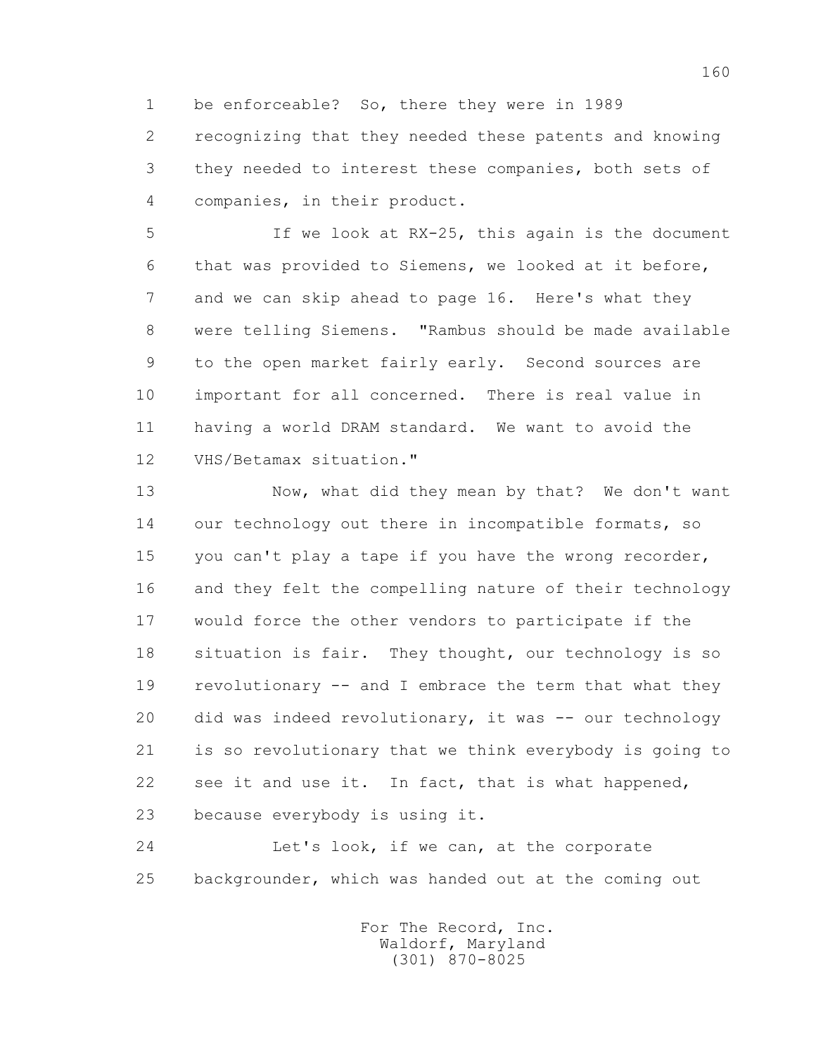1 be enforceable? So, there they were in 1989 2 recognizing that they needed these patents and knowing 3 they needed to interest these companies, both sets of 4 companies, in their product.

 5 If we look at RX-25, this again is the document 6 that was provided to Siemens, we looked at it before, 7 and we can skip ahead to page 16. Here's what they 8 were telling Siemens. "Rambus should be made available 9 to the open market fairly early. Second sources are 10 important for all concerned. There is real value in 11 having a world DRAM standard. We want to avoid the 12 VHS/Betamax situation."

 13 Now, what did they mean by that? We don't want 14 our technology out there in incompatible formats, so 15 you can't play a tape if you have the wrong recorder, 16 and they felt the compelling nature of their technology 17 would force the other vendors to participate if the 18 situation is fair. They thought, our technology is so 19 revolutionary -- and I embrace the term that what they 20 did was indeed revolutionary, it was -- our technology 21 is so revolutionary that we think everybody is going to 22 see it and use it. In fact, that is what happened, 23 because everybody is using it.

 24 Let's look, if we can, at the corporate 25 backgrounder, which was handed out at the coming out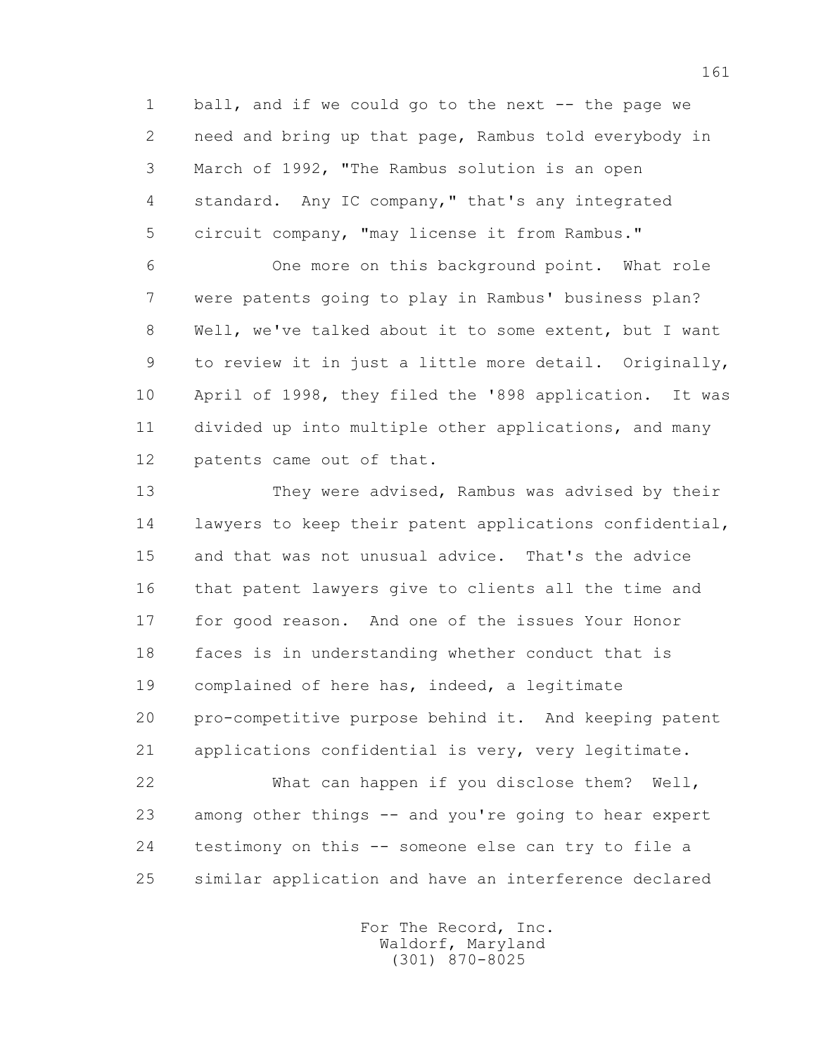1 ball, and if we could go to the next -- the page we 2 need and bring up that page, Rambus told everybody in 3 March of 1992, "The Rambus solution is an open 4 standard. Any IC company," that's any integrated 5 circuit company, "may license it from Rambus."

 6 One more on this background point. What role 7 were patents going to play in Rambus' business plan? 8 Well, we've talked about it to some extent, but I want 9 to review it in just a little more detail. Originally, 10 April of 1998, they filed the '898 application. It was 11 divided up into multiple other applications, and many 12 patents came out of that.

 13 They were advised, Rambus was advised by their 14 lawyers to keep their patent applications confidential, 15 and that was not unusual advice. That's the advice 16 that patent lawyers give to clients all the time and 17 for good reason. And one of the issues Your Honor 18 faces is in understanding whether conduct that is 19 complained of here has, indeed, a legitimate 20 pro-competitive purpose behind it. And keeping patent 21 applications confidential is very, very legitimate. 22 What can happen if you disclose them? Well, 23 among other things -- and you're going to hear expert 24 testimony on this -- someone else can try to file a

25 similar application and have an interference declared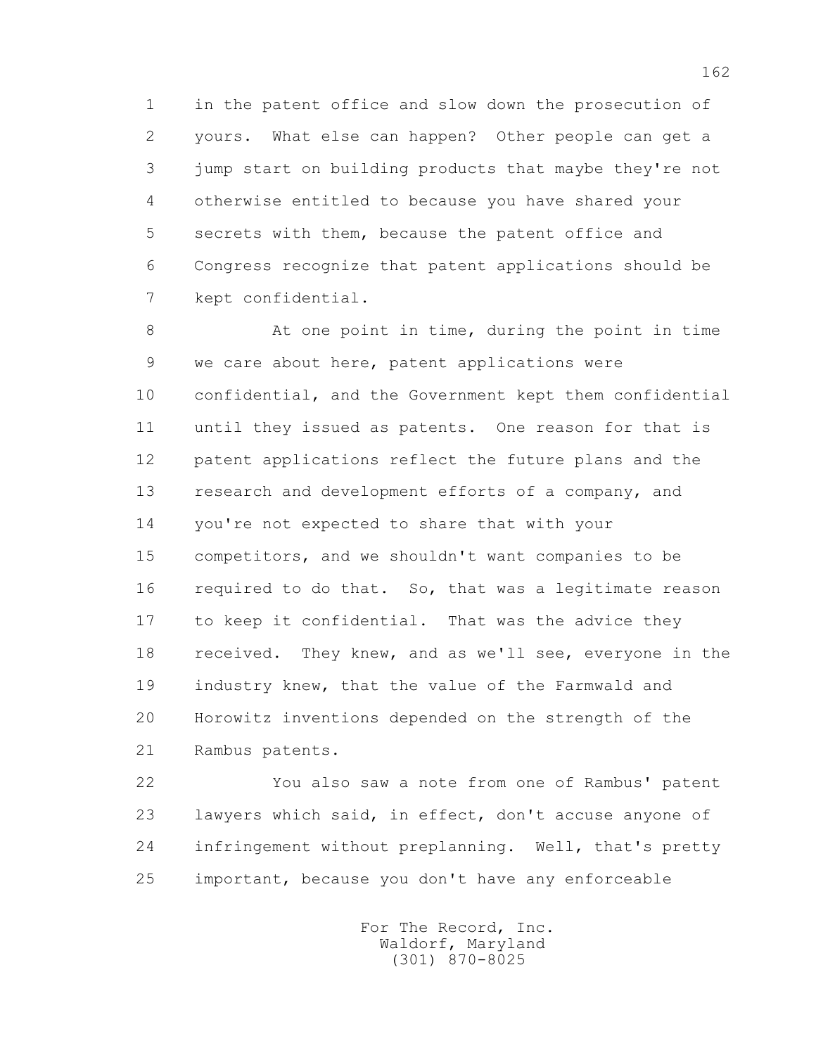1 in the patent office and slow down the prosecution of 2 yours. What else can happen? Other people can get a 3 jump start on building products that maybe they're not 4 otherwise entitled to because you have shared your 5 secrets with them, because the patent office and 6 Congress recognize that patent applications should be 7 kept confidential.

 8 At one point in time, during the point in time 9 we care about here, patent applications were 10 confidential, and the Government kept them confidential 11 until they issued as patents. One reason for that is 12 patent applications reflect the future plans and the 13 research and development efforts of a company, and 14 you're not expected to share that with your 15 competitors, and we shouldn't want companies to be 16 required to do that. So, that was a legitimate reason 17 to keep it confidential. That was the advice they 18 received. They knew, and as we'll see, everyone in the 19 industry knew, that the value of the Farmwald and 20 Horowitz inventions depended on the strength of the 21 Rambus patents.

 22 You also saw a note from one of Rambus' patent 23 lawyers which said, in effect, don't accuse anyone of 24 infringement without preplanning. Well, that's pretty 25 important, because you don't have any enforceable

> For The Record, Inc. Waldorf, Maryland (301) 870-8025

162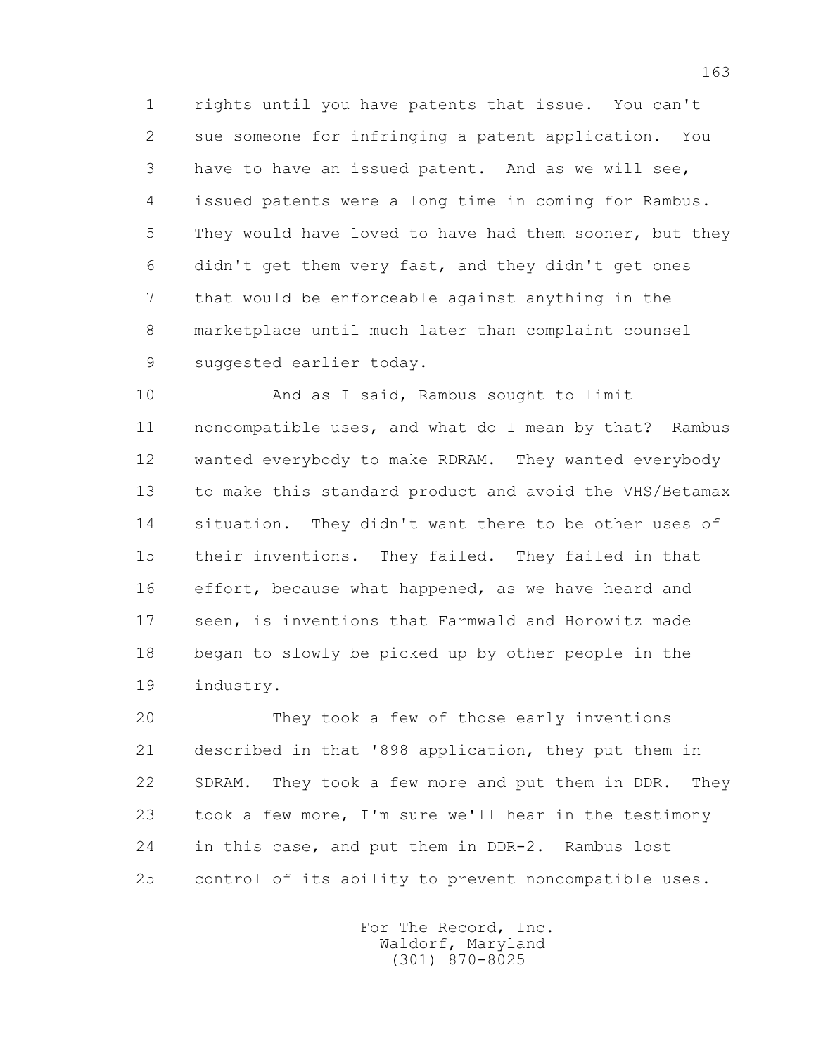1 rights until you have patents that issue. You can't 2 sue someone for infringing a patent application. You 3 have to have an issued patent. And as we will see, 4 issued patents were a long time in coming for Rambus. 5 They would have loved to have had them sooner, but they 6 didn't get them very fast, and they didn't get ones 7 that would be enforceable against anything in the 8 marketplace until much later than complaint counsel 9 suggested earlier today.

 10 And as I said, Rambus sought to limit 11 noncompatible uses, and what do I mean by that? Rambus 12 wanted everybody to make RDRAM. They wanted everybody 13 to make this standard product and avoid the VHS/Betamax 14 situation. They didn't want there to be other uses of 15 their inventions. They failed. They failed in that 16 effort, because what happened, as we have heard and 17 seen, is inventions that Farmwald and Horowitz made 18 began to slowly be picked up by other people in the 19 industry.

 20 They took a few of those early inventions 21 described in that '898 application, they put them in 22 SDRAM. They took a few more and put them in DDR. They 23 took a few more, I'm sure we'll hear in the testimony 24 in this case, and put them in DDR-2. Rambus lost 25 control of its ability to prevent noncompatible uses.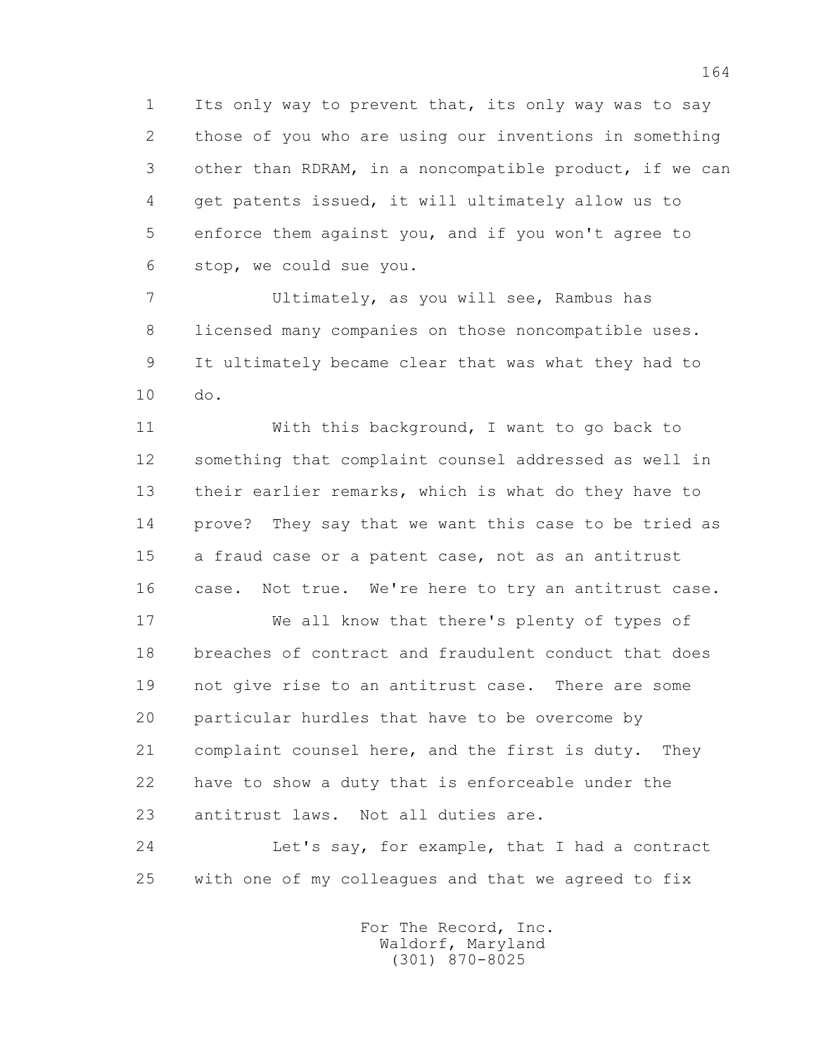1 Its only way to prevent that, its only way was to say 2 those of you who are using our inventions in something 3 other than RDRAM, in a noncompatible product, if we can 4 get patents issued, it will ultimately allow us to 5 enforce them against you, and if you won't agree to 6 stop, we could sue you.

 7 Ultimately, as you will see, Rambus has 8 licensed many companies on those noncompatible uses. 9 It ultimately became clear that was what they had to 10 do.

 11 With this background, I want to go back to 12 something that complaint counsel addressed as well in 13 their earlier remarks, which is what do they have to 14 prove? They say that we want this case to be tried as 15 a fraud case or a patent case, not as an antitrust 16 case. Not true. We're here to try an antitrust case.

 17 We all know that there's plenty of types of 18 breaches of contract and fraudulent conduct that does 19 not give rise to an antitrust case. There are some 20 particular hurdles that have to be overcome by 21 complaint counsel here, and the first is duty. They 22 have to show a duty that is enforceable under the 23 antitrust laws. Not all duties are.

 24 Let's say, for example, that I had a contract 25 with one of my colleagues and that we agreed to fix

> For The Record, Inc. Waldorf, Maryland (301) 870-8025

164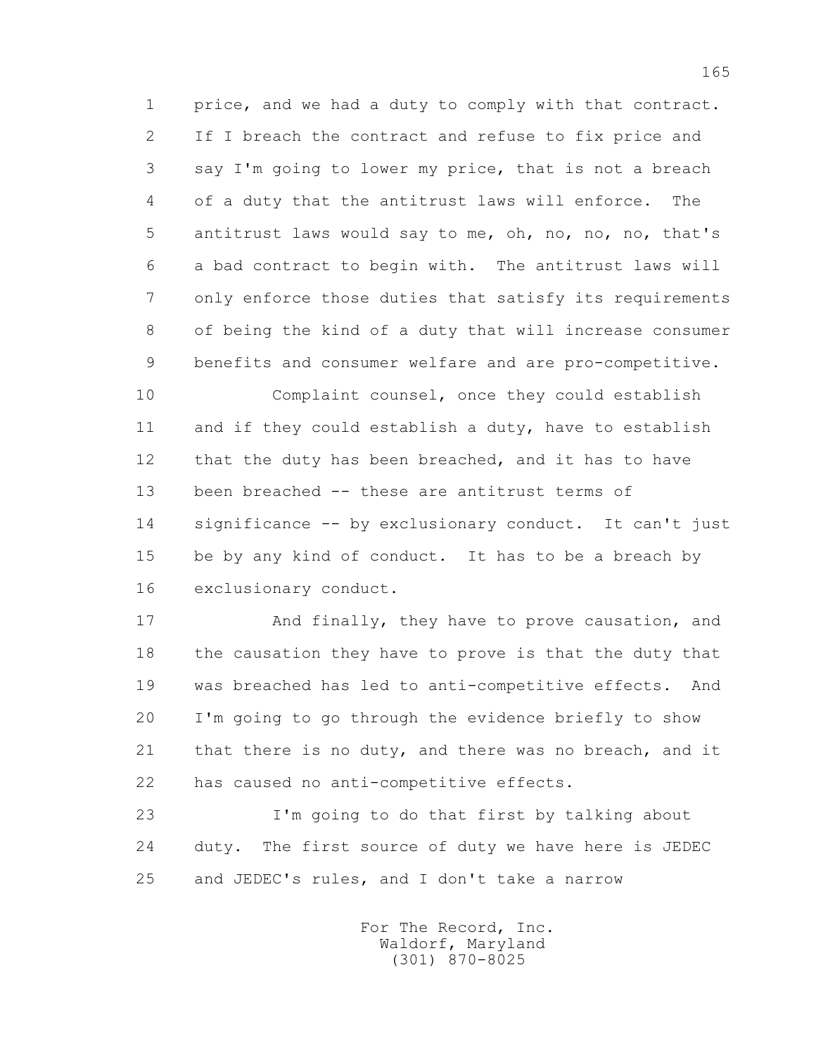1 price, and we had a duty to comply with that contract. 2 If I breach the contract and refuse to fix price and 3 say I'm going to lower my price, that is not a breach 4 of a duty that the antitrust laws will enforce. The 5 antitrust laws would say to me, oh, no, no, no, that's 6 a bad contract to begin with. The antitrust laws will 7 only enforce those duties that satisfy its requirements 8 of being the kind of a duty that will increase consumer 9 benefits and consumer welfare and are pro-competitive.

 10 Complaint counsel, once they could establish 11 and if they could establish a duty, have to establish 12 that the duty has been breached, and it has to have 13 been breached -- these are antitrust terms of 14 significance -- by exclusionary conduct. It can't just 15 be by any kind of conduct. It has to be a breach by 16 exclusionary conduct.

 17 And finally, they have to prove causation, and 18 the causation they have to prove is that the duty that 19 was breached has led to anti-competitive effects. And 20 I'm going to go through the evidence briefly to show 21 that there is no duty, and there was no breach, and it 22 has caused no anti-competitive effects.

 23 I'm going to do that first by talking about 24 duty. The first source of duty we have here is JEDEC 25 and JEDEC's rules, and I don't take a narrow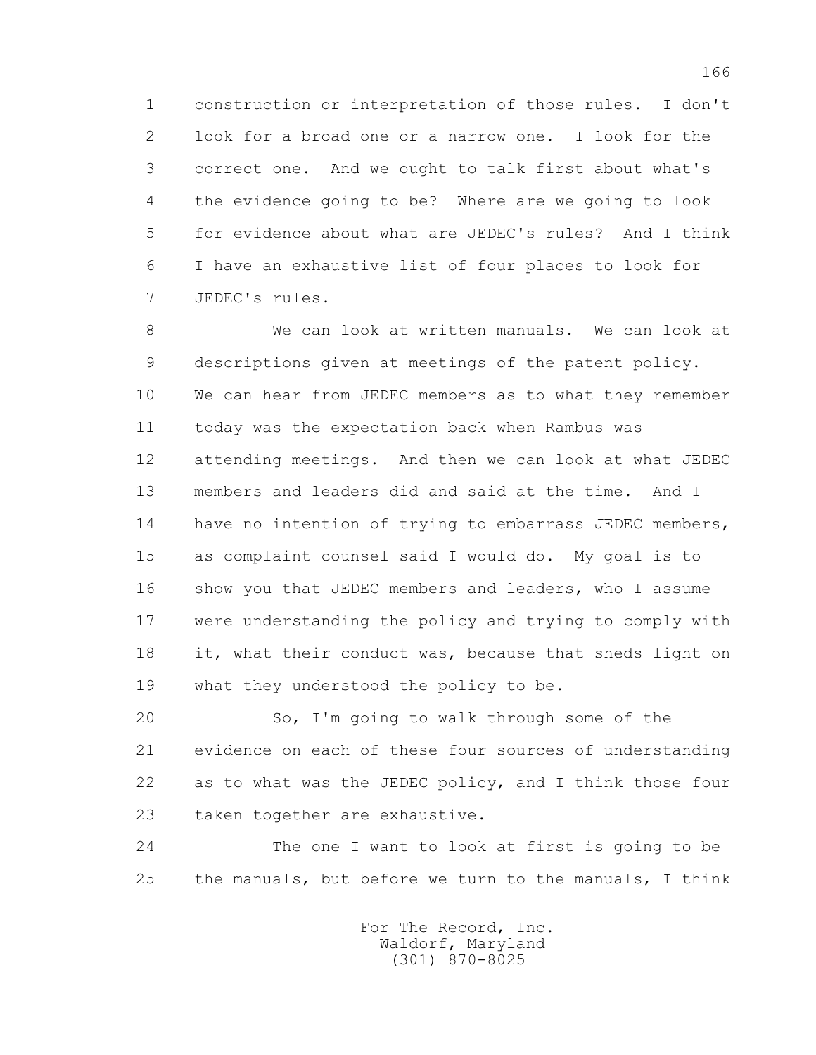1 construction or interpretation of those rules. I don't 2 look for a broad one or a narrow one. I look for the 3 correct one. And we ought to talk first about what's 4 the evidence going to be? Where are we going to look 5 for evidence about what are JEDEC's rules? And I think 6 I have an exhaustive list of four places to look for 7 JEDEC's rules.

 8 We can look at written manuals. We can look at 9 descriptions given at meetings of the patent policy. 10 We can hear from JEDEC members as to what they remember 11 today was the expectation back when Rambus was 12 attending meetings. And then we can look at what JEDEC 13 members and leaders did and said at the time. And I 14 have no intention of trying to embarrass JEDEC members, 15 as complaint counsel said I would do. My goal is to 16 show you that JEDEC members and leaders, who I assume 17 were understanding the policy and trying to comply with 18 it, what their conduct was, because that sheds light on 19 what they understood the policy to be.

 20 So, I'm going to walk through some of the 21 evidence on each of these four sources of understanding 22 as to what was the JEDEC policy, and I think those four 23 taken together are exhaustive.

 24 The one I want to look at first is going to be 25 the manuals, but before we turn to the manuals, I think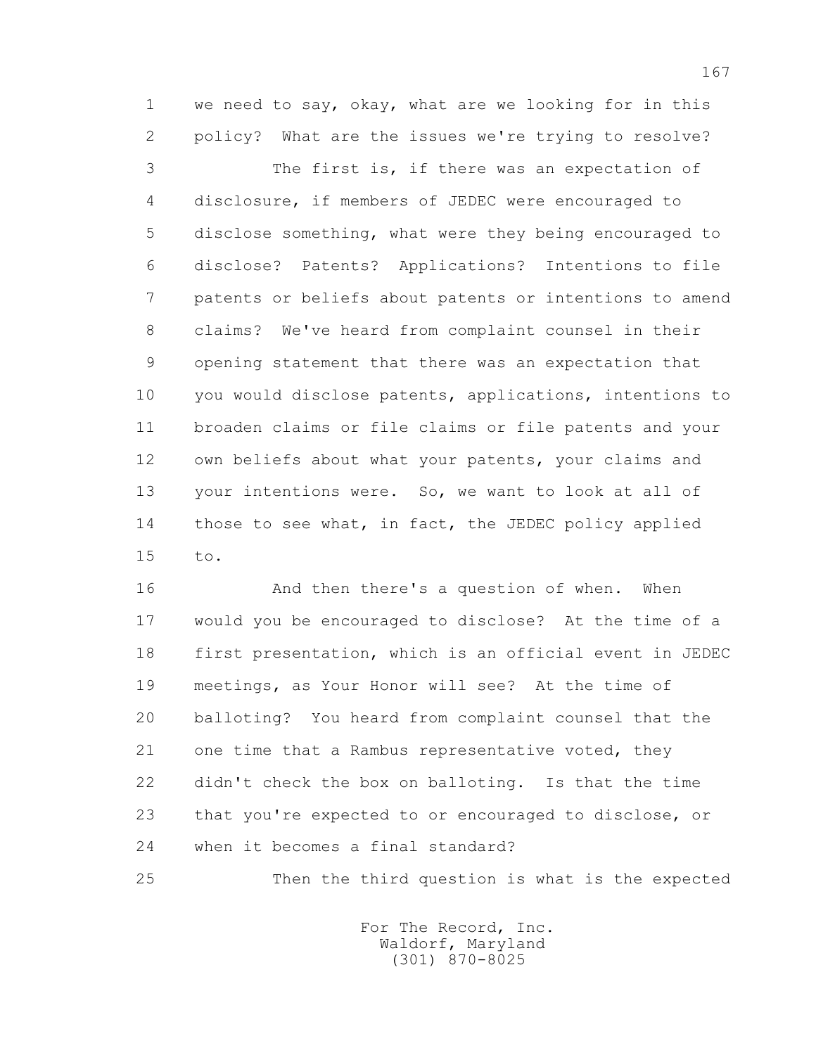1 we need to say, okay, what are we looking for in this 2 policy? What are the issues we're trying to resolve?

 3 The first is, if there was an expectation of 4 disclosure, if members of JEDEC were encouraged to 5 disclose something, what were they being encouraged to 6 disclose? Patents? Applications? Intentions to file 7 patents or beliefs about patents or intentions to amend 8 claims? We've heard from complaint counsel in their 9 opening statement that there was an expectation that 10 you would disclose patents, applications, intentions to 11 broaden claims or file claims or file patents and your 12 own beliefs about what your patents, your claims and 13 your intentions were. So, we want to look at all of 14 those to see what, in fact, the JEDEC policy applied 15 to.

16 And then there's a question of when. When 17 would you be encouraged to disclose? At the time of a 18 first presentation, which is an official event in JEDEC 19 meetings, as Your Honor will see? At the time of 20 balloting? You heard from complaint counsel that the 21 one time that a Rambus representative voted, they 22 didn't check the box on balloting. Is that the time 23 that you're expected to or encouraged to disclose, or 24 when it becomes a final standard?

25 Then the third question is what is the expected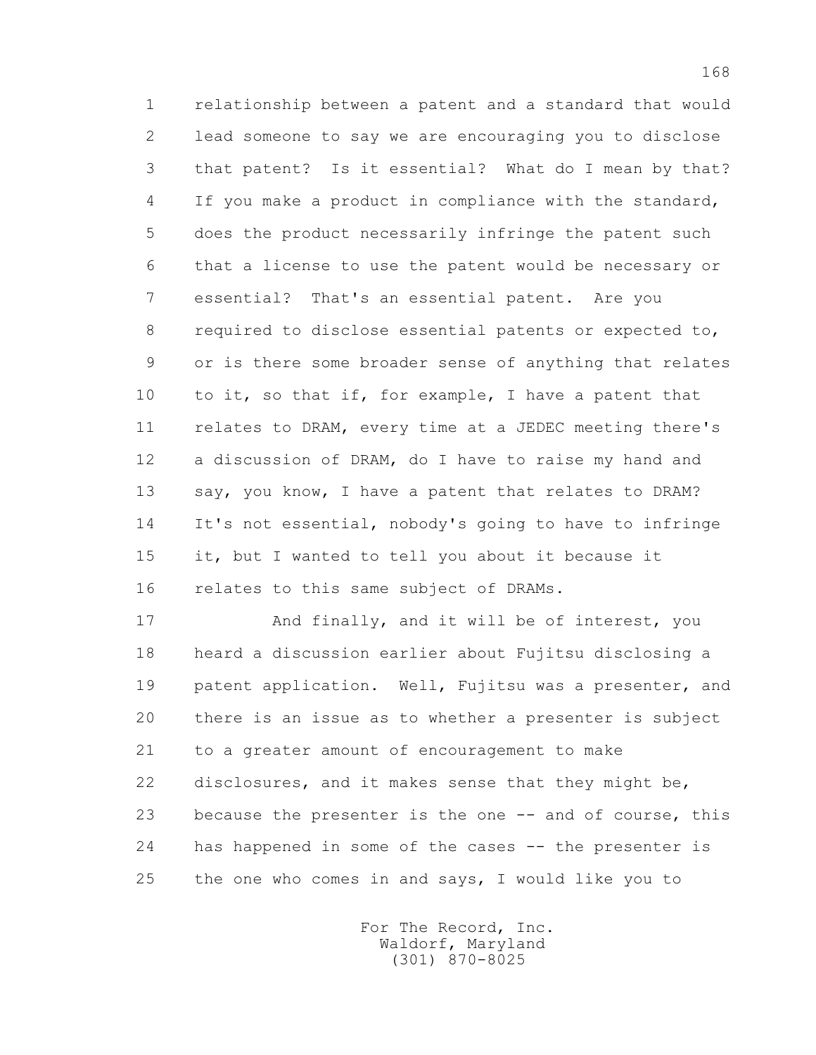1 relationship between a patent and a standard that would 2 lead someone to say we are encouraging you to disclose 3 that patent? Is it essential? What do I mean by that? 4 If you make a product in compliance with the standard, 5 does the product necessarily infringe the patent such 6 that a license to use the patent would be necessary or 7 essential? That's an essential patent. Are you 8 required to disclose essential patents or expected to, 9 or is there some broader sense of anything that relates 10 to it, so that if, for example, I have a patent that 11 relates to DRAM, every time at a JEDEC meeting there's 12 a discussion of DRAM, do I have to raise my hand and 13 say, you know, I have a patent that relates to DRAM? 14 It's not essential, nobody's going to have to infringe 15 it, but I wanted to tell you about it because it 16 relates to this same subject of DRAMs.

 17 And finally, and it will be of interest, you 18 heard a discussion earlier about Fujitsu disclosing a 19 patent application. Well, Fujitsu was a presenter, and 20 there is an issue as to whether a presenter is subject 21 to a greater amount of encouragement to make 22 disclosures, and it makes sense that they might be, 23 because the presenter is the one -- and of course, this 24 has happened in some of the cases -- the presenter is 25 the one who comes in and says, I would like you to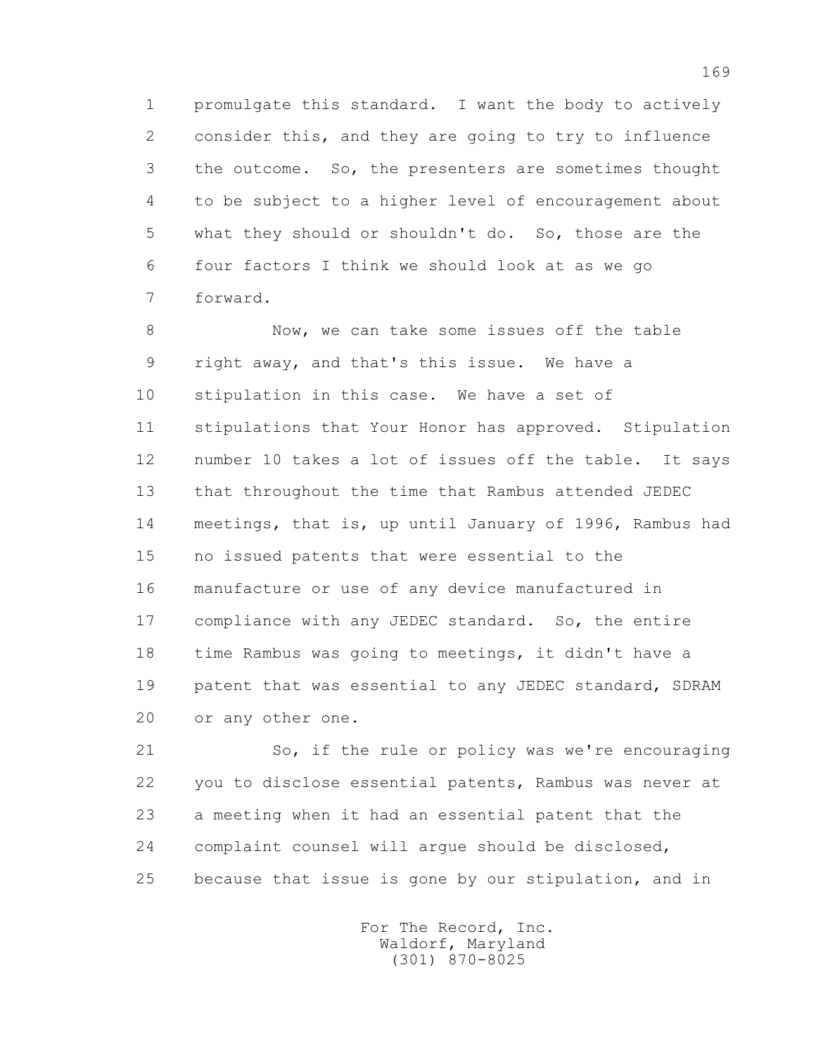1 promulgate this standard. I want the body to actively 2 consider this, and they are going to try to influence 3 the outcome. So, the presenters are sometimes thought 4 to be subject to a higher level of encouragement about 5 what they should or shouldn't do. So, those are the 6 four factors I think we should look at as we go 7 forward.

 8 Now, we can take some issues off the table 9 right away, and that's this issue. We have a 10 stipulation in this case. We have a set of 11 stipulations that Your Honor has approved. Stipulation 12 number 10 takes a lot of issues off the table. It says 13 that throughout the time that Rambus attended JEDEC 14 meetings, that is, up until January of 1996, Rambus had 15 no issued patents that were essential to the 16 manufacture or use of any device manufactured in 17 compliance with any JEDEC standard. So, the entire 18 time Rambus was going to meetings, it didn't have a 19 patent that was essential to any JEDEC standard, SDRAM 20 or any other one.

 21 So, if the rule or policy was we're encouraging 22 you to disclose essential patents, Rambus was never at 23 a meeting when it had an essential patent that the 24 complaint counsel will argue should be disclosed, 25 because that issue is gone by our stipulation, and in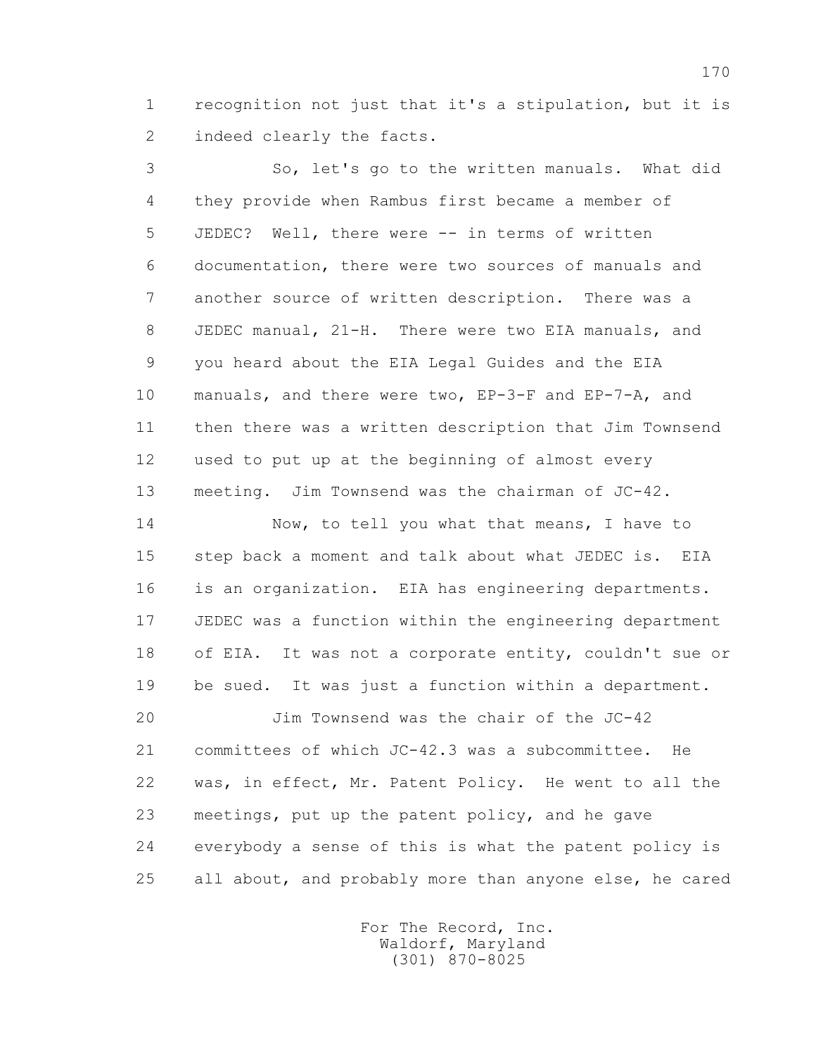1 recognition not just that it's a stipulation, but it is 2 indeed clearly the facts.

 3 So, let's go to the written manuals. What did 4 they provide when Rambus first became a member of 5 JEDEC? Well, there were -- in terms of written 6 documentation, there were two sources of manuals and 7 another source of written description. There was a 8 JEDEC manual, 21-H. There were two EIA manuals, and 9 you heard about the EIA Legal Guides and the EIA 10 manuals, and there were two, EP-3-F and EP-7-A, and 11 then there was a written description that Jim Townsend 12 used to put up at the beginning of almost every 13 meeting. Jim Townsend was the chairman of JC-42.

14 Now, to tell you what that means, I have to 15 step back a moment and talk about what JEDEC is. EIA 16 is an organization. EIA has engineering departments. 17 JEDEC was a function within the engineering department 18 of EIA. It was not a corporate entity, couldn't sue or 19 be sued. It was just a function within a department.

 20 Jim Townsend was the chair of the JC-42 21 committees of which JC-42.3 was a subcommittee. He 22 was, in effect, Mr. Patent Policy. He went to all the 23 meetings, put up the patent policy, and he gave 24 everybody a sense of this is what the patent policy is 25 all about, and probably more than anyone else, he cared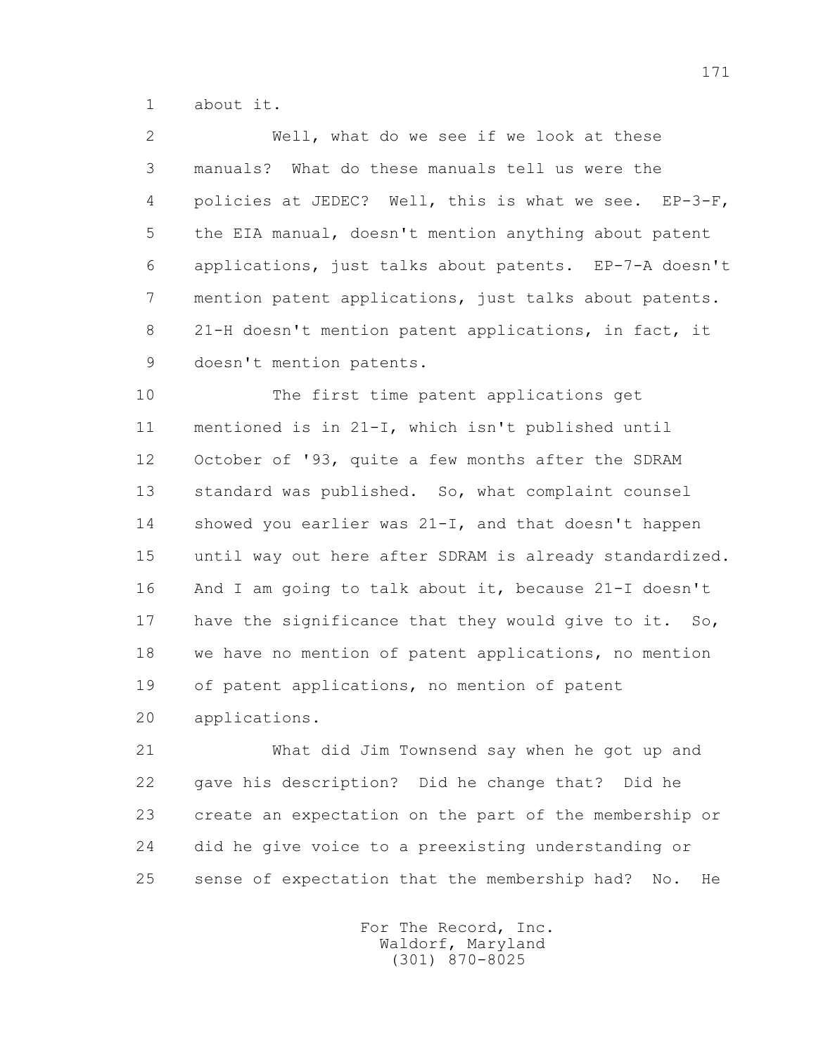1 about it.

 2 Well, what do we see if we look at these 3 manuals? What do these manuals tell us were the 4 policies at JEDEC? Well, this is what we see. EP-3-F, 5 the EIA manual, doesn't mention anything about patent 6 applications, just talks about patents. EP-7-A doesn't 7 mention patent applications, just talks about patents. 8 21-H doesn't mention patent applications, in fact, it 9 doesn't mention patents.

 10 The first time patent applications get 11 mentioned is in 21-I, which isn't published until 12 October of '93, quite a few months after the SDRAM 13 standard was published. So, what complaint counsel 14 showed you earlier was 21-I, and that doesn't happen 15 until way out here after SDRAM is already standardized. 16 And I am going to talk about it, because 21-I doesn't 17 have the significance that they would give to it. So, 18 we have no mention of patent applications, no mention 19 of patent applications, no mention of patent 20 applications.

 21 What did Jim Townsend say when he got up and 22 gave his description? Did he change that? Did he 23 create an expectation on the part of the membership or 24 did he give voice to a preexisting understanding or 25 sense of expectation that the membership had? No. He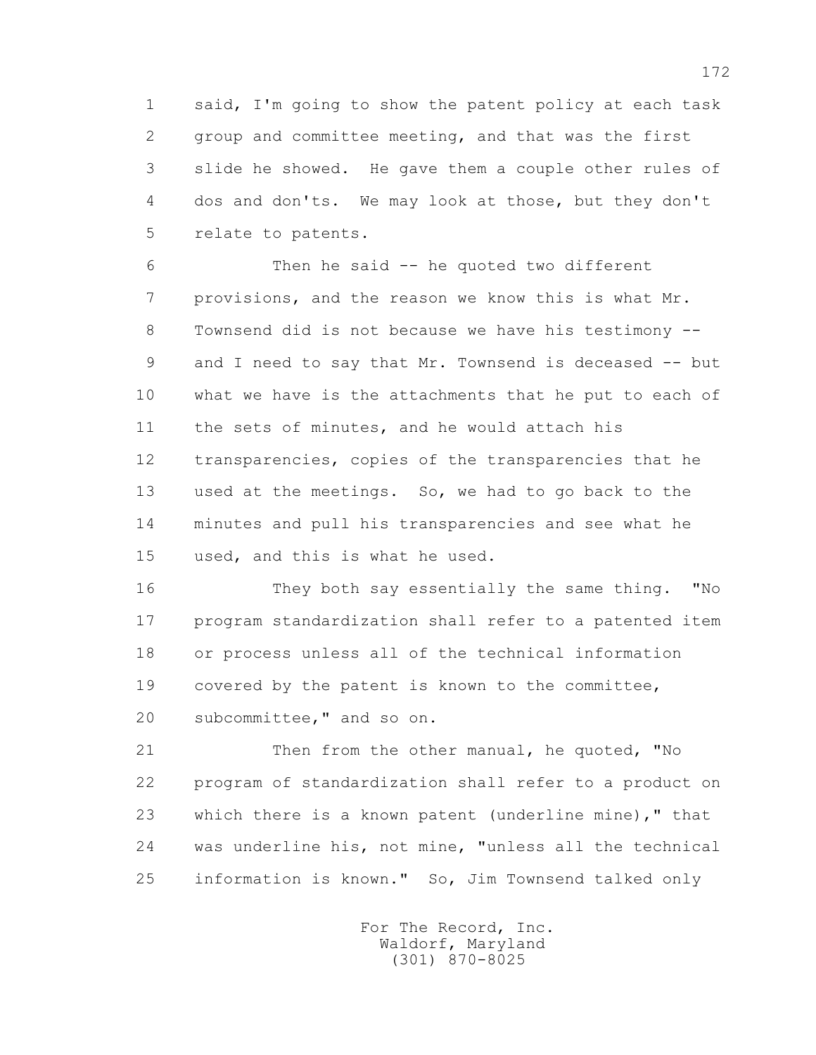1 said, I'm going to show the patent policy at each task 2 group and committee meeting, and that was the first 3 slide he showed. He gave them a couple other rules of 4 dos and don'ts. We may look at those, but they don't 5 relate to patents.

 6 Then he said -- he quoted two different 7 provisions, and the reason we know this is what Mr. 8 Townsend did is not because we have his testimony -- 9 and I need to say that Mr. Townsend is deceased -- but 10 what we have is the attachments that he put to each of 11 the sets of minutes, and he would attach his 12 transparencies, copies of the transparencies that he 13 used at the meetings. So, we had to go back to the 14 minutes and pull his transparencies and see what he 15 used, and this is what he used.

 16 They both say essentially the same thing. "No 17 program standardization shall refer to a patented item 18 or process unless all of the technical information 19 covered by the patent is known to the committee, 20 subcommittee," and so on.

 21 Then from the other manual, he quoted, "No 22 program of standardization shall refer to a product on 23 which there is a known patent (underline mine)," that 24 was underline his, not mine, "unless all the technical 25 information is known." So, Jim Townsend talked only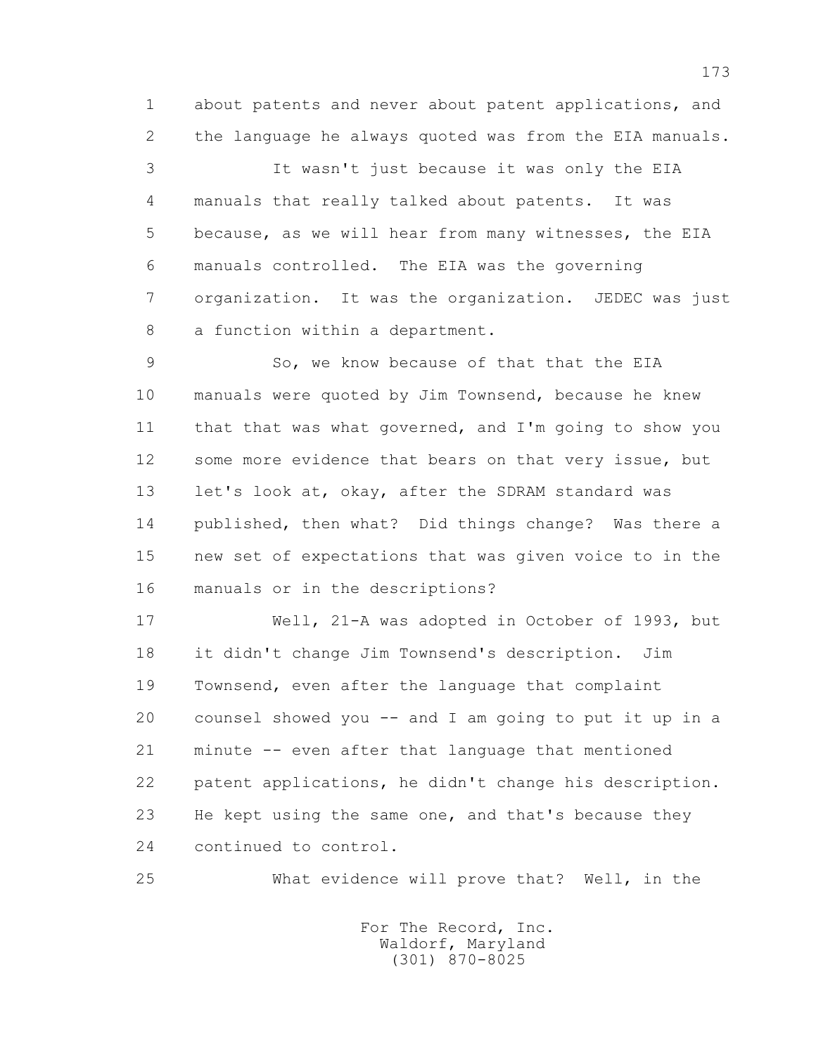1 about patents and never about patent applications, and 2 the language he always quoted was from the EIA manuals.

 3 It wasn't just because it was only the EIA 4 manuals that really talked about patents. It was 5 because, as we will hear from many witnesses, the EIA 6 manuals controlled. The EIA was the governing 7 organization. It was the organization. JEDEC was just 8 a function within a department.

 9 So, we know because of that that the EIA 10 manuals were quoted by Jim Townsend, because he knew 11 that that was what governed, and I'm going to show you 12 some more evidence that bears on that very issue, but 13 let's look at, okay, after the SDRAM standard was 14 published, then what? Did things change? Was there a 15 new set of expectations that was given voice to in the 16 manuals or in the descriptions?

 17 Well, 21-A was adopted in October of 1993, but 18 it didn't change Jim Townsend's description. Jim 19 Townsend, even after the language that complaint 20 counsel showed you -- and I am going to put it up in a 21 minute -- even after that language that mentioned 22 patent applications, he didn't change his description. 23 He kept using the same one, and that's because they 24 continued to control.

25 What evidence will prove that? Well, in the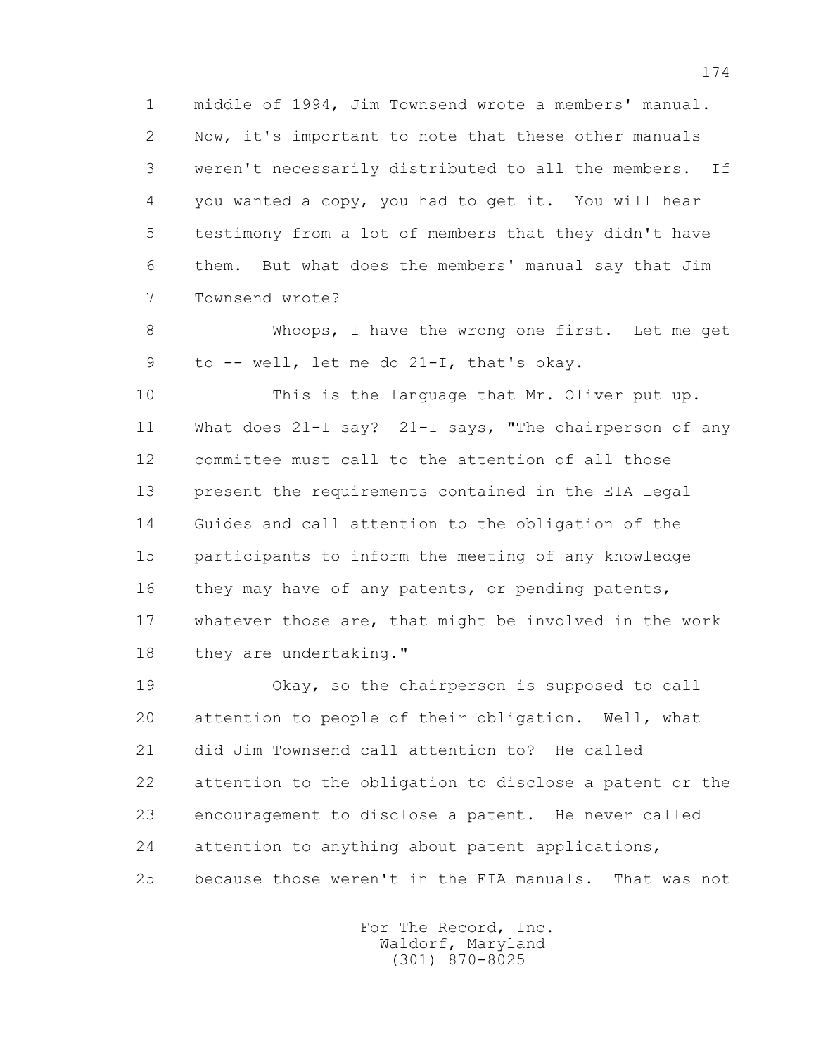1 middle of 1994, Jim Townsend wrote a members' manual. 2 Now, it's important to note that these other manuals 3 weren't necessarily distributed to all the members. If 4 you wanted a copy, you had to get it. You will hear 5 testimony from a lot of members that they didn't have 6 them. But what does the members' manual say that Jim 7 Townsend wrote?

 8 Whoops, I have the wrong one first. Let me get 9 to -- well, let me do 21-I, that's okay.

 10 This is the language that Mr. Oliver put up. 11 What does 21-I say? 21-I says, "The chairperson of any 12 committee must call to the attention of all those 13 present the requirements contained in the EIA Legal 14 Guides and call attention to the obligation of the 15 participants to inform the meeting of any knowledge 16 they may have of any patents, or pending patents, 17 whatever those are, that might be involved in the work 18 they are undertaking."

 19 Okay, so the chairperson is supposed to call 20 attention to people of their obligation. Well, what 21 did Jim Townsend call attention to? He called 22 attention to the obligation to disclose a patent or the 23 encouragement to disclose a patent. He never called 24 attention to anything about patent applications, 25 because those weren't in the EIA manuals. That was not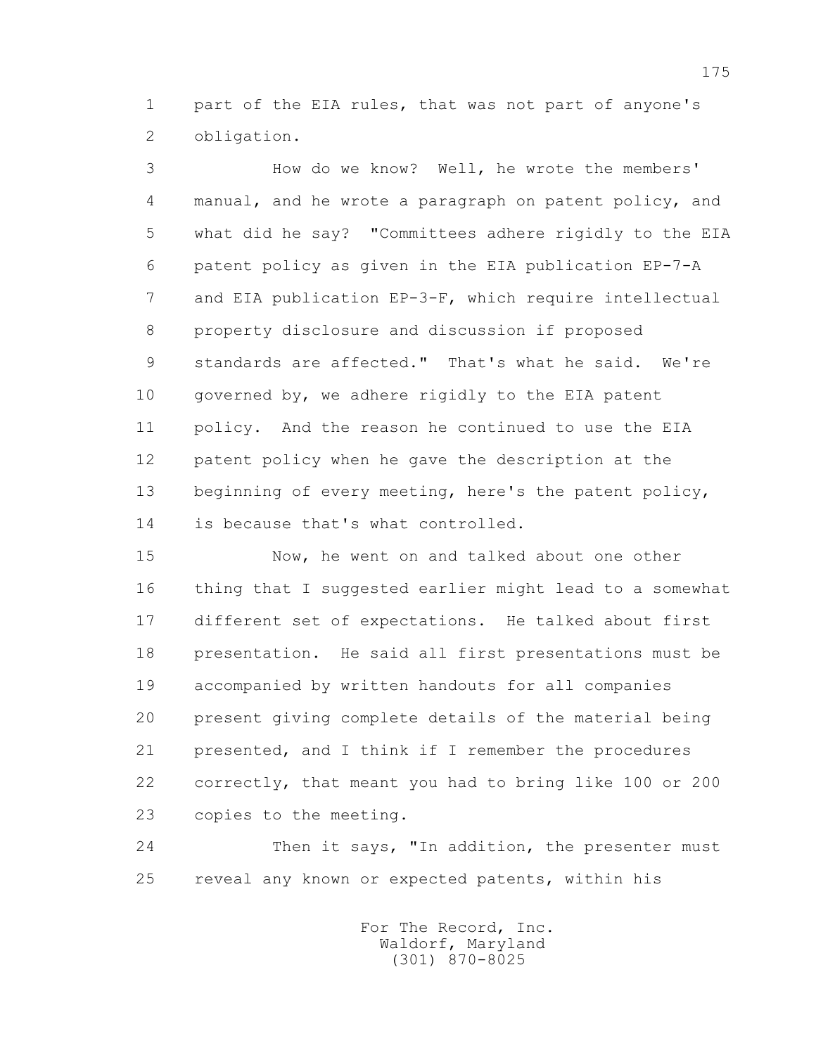1 part of the EIA rules, that was not part of anyone's 2 obligation.

 3 How do we know? Well, he wrote the members' 4 manual, and he wrote a paragraph on patent policy, and 5 what did he say? "Committees adhere rigidly to the EIA 6 patent policy as given in the EIA publication EP-7-A 7 and EIA publication EP-3-F, which require intellectual 8 property disclosure and discussion if proposed 9 standards are affected." That's what he said. We're 10 governed by, we adhere rigidly to the EIA patent 11 policy. And the reason he continued to use the EIA 12 patent policy when he gave the description at the 13 beginning of every meeting, here's the patent policy, 14 is because that's what controlled.

 15 Now, he went on and talked about one other 16 thing that I suggested earlier might lead to a somewhat 17 different set of expectations. He talked about first 18 presentation. He said all first presentations must be 19 accompanied by written handouts for all companies 20 present giving complete details of the material being 21 presented, and I think if I remember the procedures 22 correctly, that meant you had to bring like 100 or 200 23 copies to the meeting.

24 Then it says, "In addition, the presenter must 25 reveal any known or expected patents, within his

> For The Record, Inc. Waldorf, Maryland (301) 870-8025

175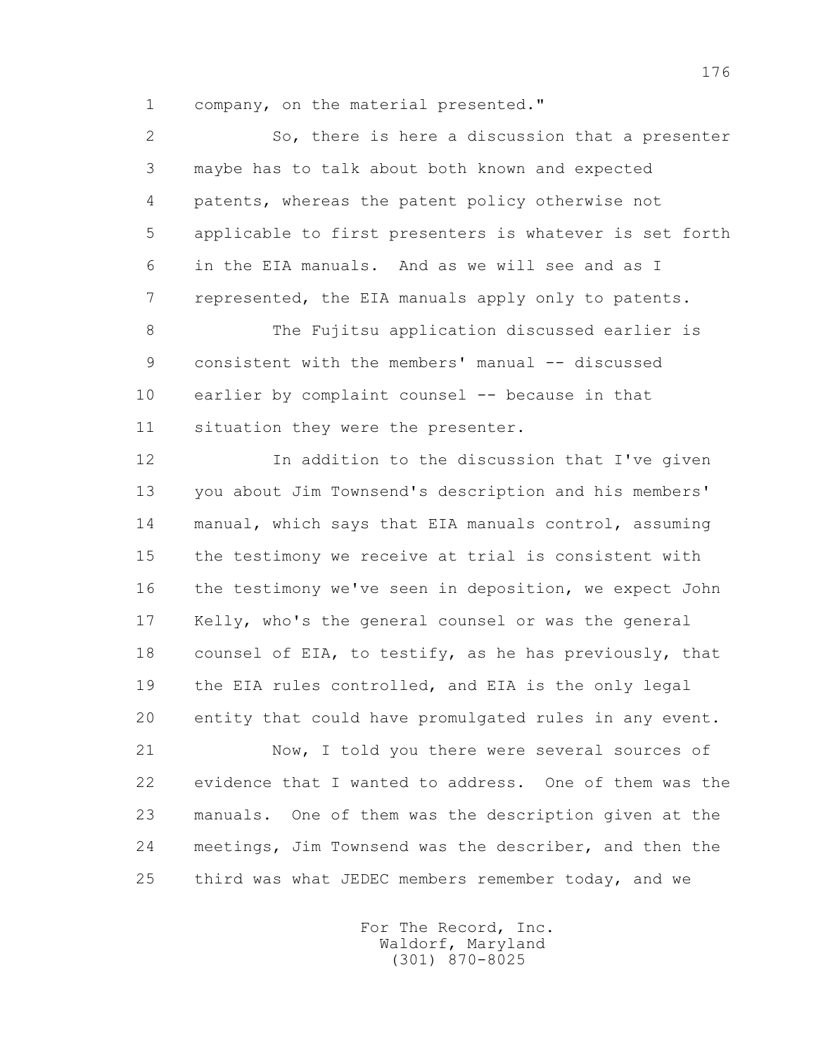1 company, on the material presented."

 2 So, there is here a discussion that a presenter 3 maybe has to talk about both known and expected 4 patents, whereas the patent policy otherwise not 5 applicable to first presenters is whatever is set forth 6 in the EIA manuals. And as we will see and as I 7 represented, the EIA manuals apply only to patents. 8 The Fujitsu application discussed earlier is 9 consistent with the members' manual -- discussed 10 earlier by complaint counsel -- because in that 11 situation they were the presenter. 12 In addition to the discussion that I've given 13 you about Jim Townsend's description and his members' 14 manual, which says that EIA manuals control, assuming 15 the testimony we receive at trial is consistent with 16 the testimony we've seen in deposition, we expect John 17 Kelly, who's the general counsel or was the general 18 counsel of EIA, to testify, as he has previously, that 19 the EIA rules controlled, and EIA is the only legal 20 entity that could have promulgated rules in any event. 21 Now, I told you there were several sources of 22 evidence that I wanted to address. One of them was the

 23 manuals. One of them was the description given at the 24 meetings, Jim Townsend was the describer, and then the 25 third was what JEDEC members remember today, and we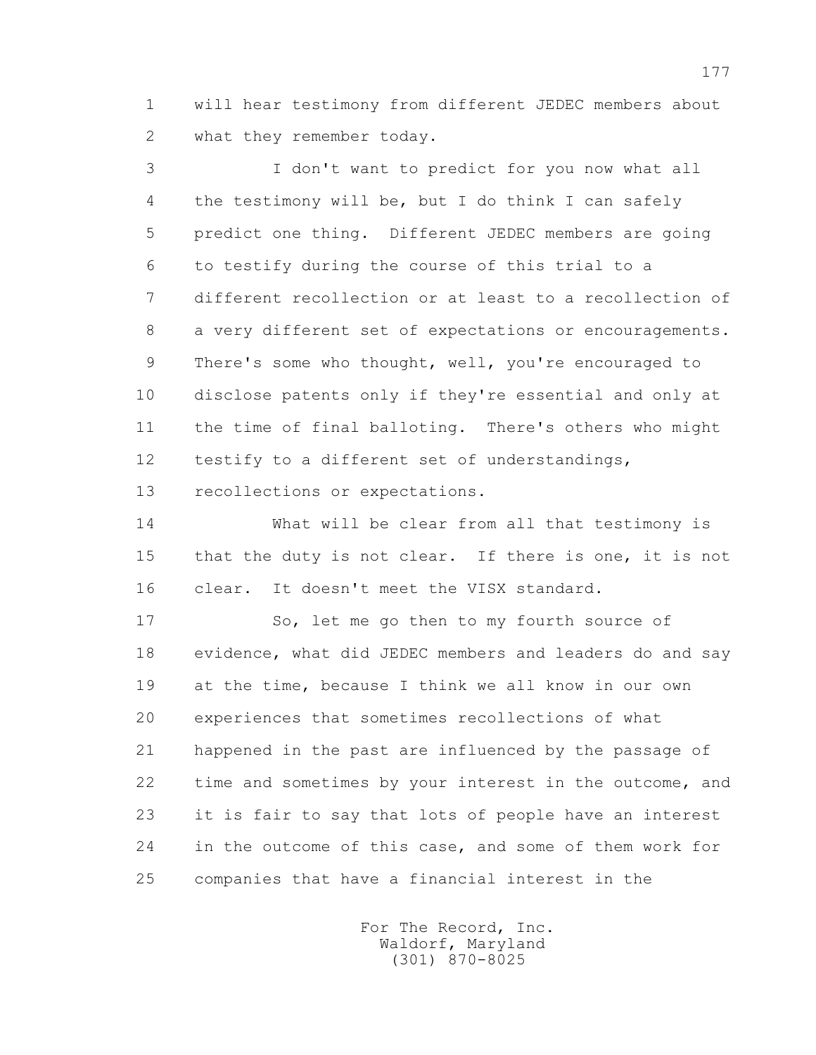1 will hear testimony from different JEDEC members about 2 what they remember today.

 3 I don't want to predict for you now what all 4 the testimony will be, but I do think I can safely 5 predict one thing. Different JEDEC members are going 6 to testify during the course of this trial to a 7 different recollection or at least to a recollection of 8 a very different set of expectations or encouragements. 9 There's some who thought, well, you're encouraged to 10 disclose patents only if they're essential and only at 11 the time of final balloting. There's others who might 12 testify to a different set of understandings, 13 recollections or expectations.

 14 What will be clear from all that testimony is 15 that the duty is not clear. If there is one, it is not 16 clear. It doesn't meet the VISX standard.

17 So, let me go then to my fourth source of 18 evidence, what did JEDEC members and leaders do and say 19 at the time, because I think we all know in our own 20 experiences that sometimes recollections of what 21 happened in the past are influenced by the passage of 22 time and sometimes by your interest in the outcome, and 23 it is fair to say that lots of people have an interest 24 in the outcome of this case, and some of them work for 25 companies that have a financial interest in the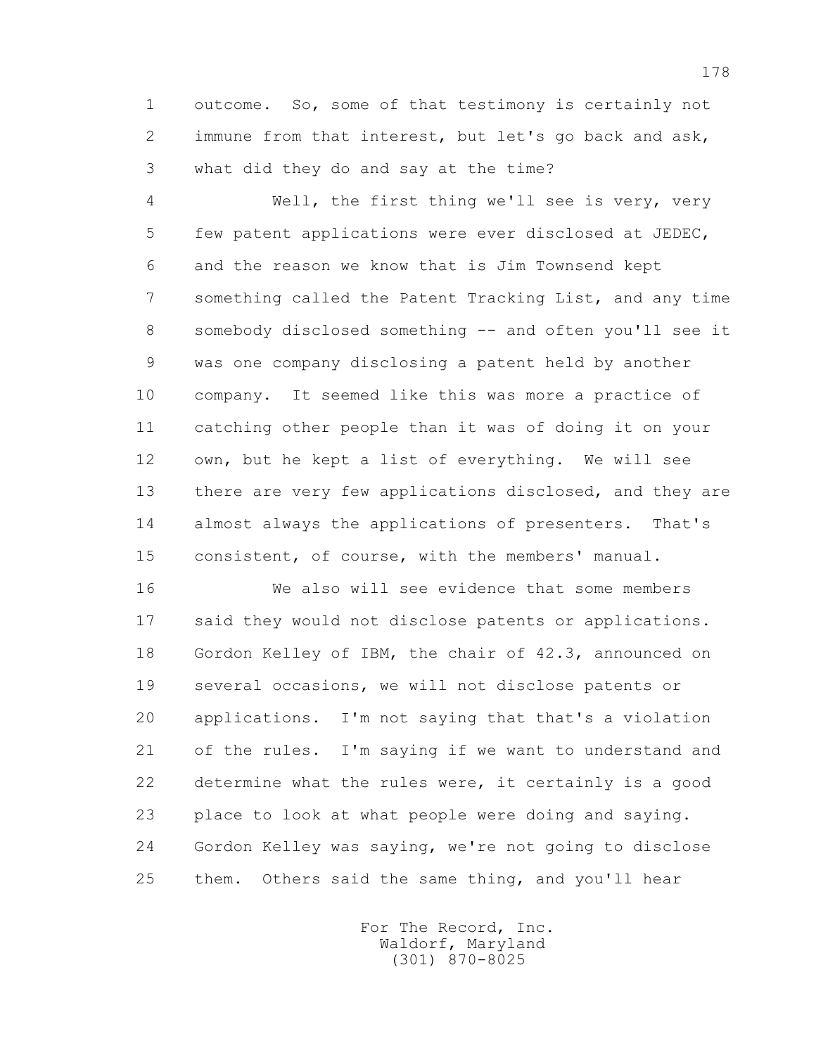1 outcome. So, some of that testimony is certainly not 2 immune from that interest, but let's go back and ask, 3 what did they do and say at the time?

 4 Well, the first thing we'll see is very, very 5 few patent applications were ever disclosed at JEDEC, 6 and the reason we know that is Jim Townsend kept 7 something called the Patent Tracking List, and any time 8 somebody disclosed something -- and often you'll see it 9 was one company disclosing a patent held by another 10 company. It seemed like this was more a practice of 11 catching other people than it was of doing it on your 12 own, but he kept a list of everything. We will see 13 there are very few applications disclosed, and they are 14 almost always the applications of presenters. That's 15 consistent, of course, with the members' manual.

 16 We also will see evidence that some members 17 said they would not disclose patents or applications. 18 Gordon Kelley of IBM, the chair of 42.3, announced on 19 several occasions, we will not disclose patents or 20 applications. I'm not saying that that's a violation 21 of the rules. I'm saying if we want to understand and 22 determine what the rules were, it certainly is a good 23 place to look at what people were doing and saying. 24 Gordon Kelley was saying, we're not going to disclose 25 them. Others said the same thing, and you'll hear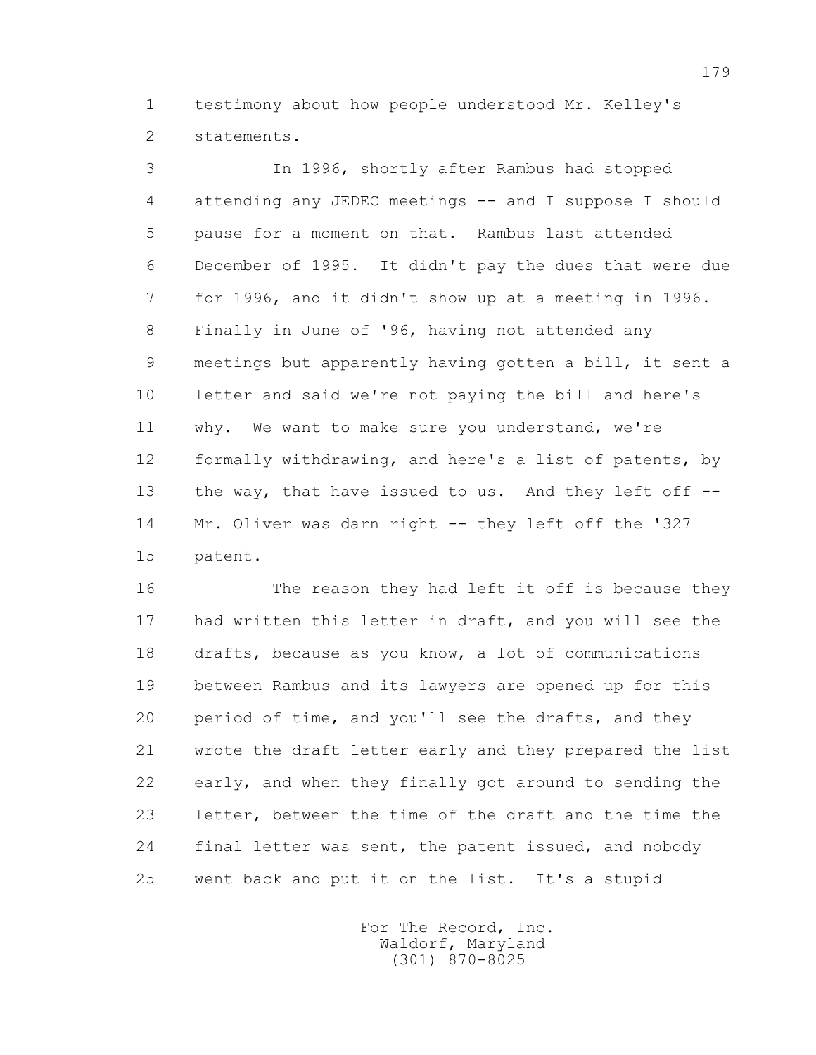1 testimony about how people understood Mr. Kelley's 2 statements.

 3 In 1996, shortly after Rambus had stopped 4 attending any JEDEC meetings -- and I suppose I should 5 pause for a moment on that. Rambus last attended 6 December of 1995. It didn't pay the dues that were due 7 for 1996, and it didn't show up at a meeting in 1996. 8 Finally in June of '96, having not attended any 9 meetings but apparently having gotten a bill, it sent a 10 letter and said we're not paying the bill and here's 11 why. We want to make sure you understand, we're 12 formally withdrawing, and here's a list of patents, by 13 the way, that have issued to us. And they left off -- 14 Mr. Oliver was darn right -- they left off the '327 15 patent.

 16 The reason they had left it off is because they 17 had written this letter in draft, and you will see the 18 drafts, because as you know, a lot of communications 19 between Rambus and its lawyers are opened up for this 20 period of time, and you'll see the drafts, and they 21 wrote the draft letter early and they prepared the list 22 early, and when they finally got around to sending the 23 letter, between the time of the draft and the time the 24 final letter was sent, the patent issued, and nobody 25 went back and put it on the list. It's a stupid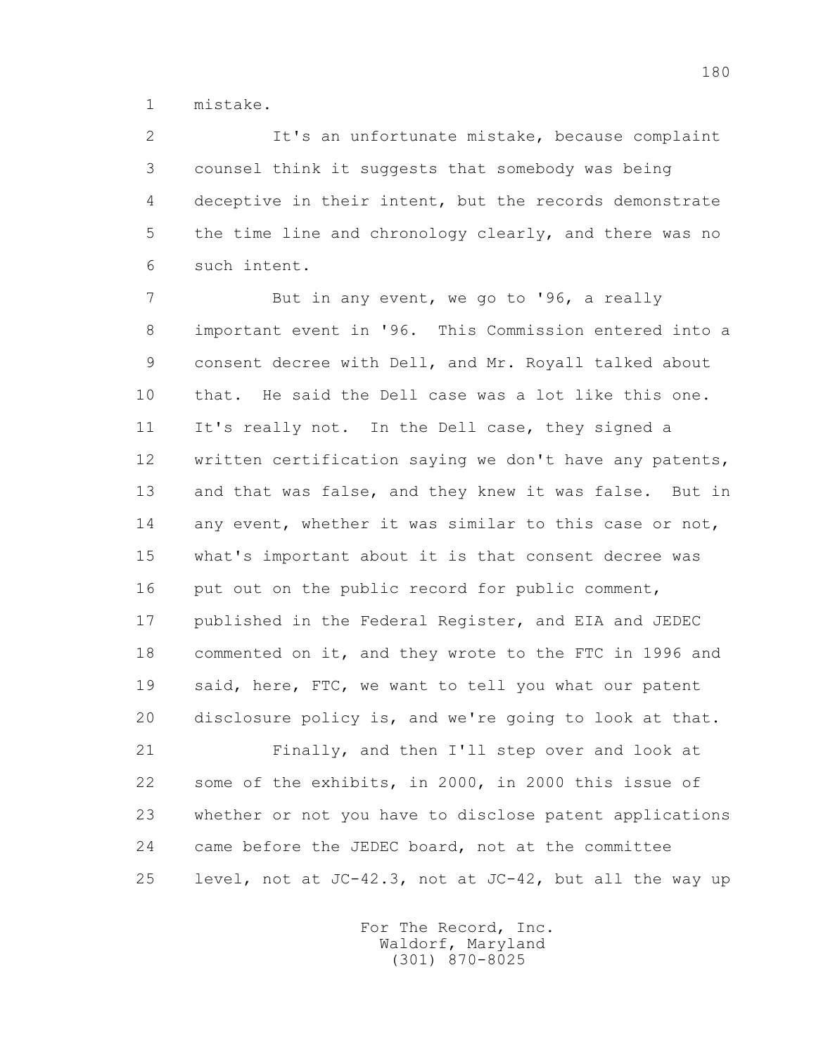1 mistake.

 2 It's an unfortunate mistake, because complaint 3 counsel think it suggests that somebody was being 4 deceptive in their intent, but the records demonstrate 5 the time line and chronology clearly, and there was no 6 such intent.

7 But in any event, we go to '96, a really 8 important event in '96. This Commission entered into a 9 consent decree with Dell, and Mr. Royall talked about 10 that. He said the Dell case was a lot like this one. 11 It's really not. In the Dell case, they signed a 12 written certification saying we don't have any patents, 13 and that was false, and they knew it was false. But in 14 any event, whether it was similar to this case or not, 15 what's important about it is that consent decree was 16 put out on the public record for public comment, 17 published in the Federal Register, and EIA and JEDEC 18 commented on it, and they wrote to the FTC in 1996 and 19 said, here, FTC, we want to tell you what our patent 20 disclosure policy is, and we're going to look at that.

 21 Finally, and then I'll step over and look at 22 some of the exhibits, in 2000, in 2000 this issue of 23 whether or not you have to disclose patent applications 24 came before the JEDEC board, not at the committee 25 level, not at JC-42.3, not at JC-42, but all the way up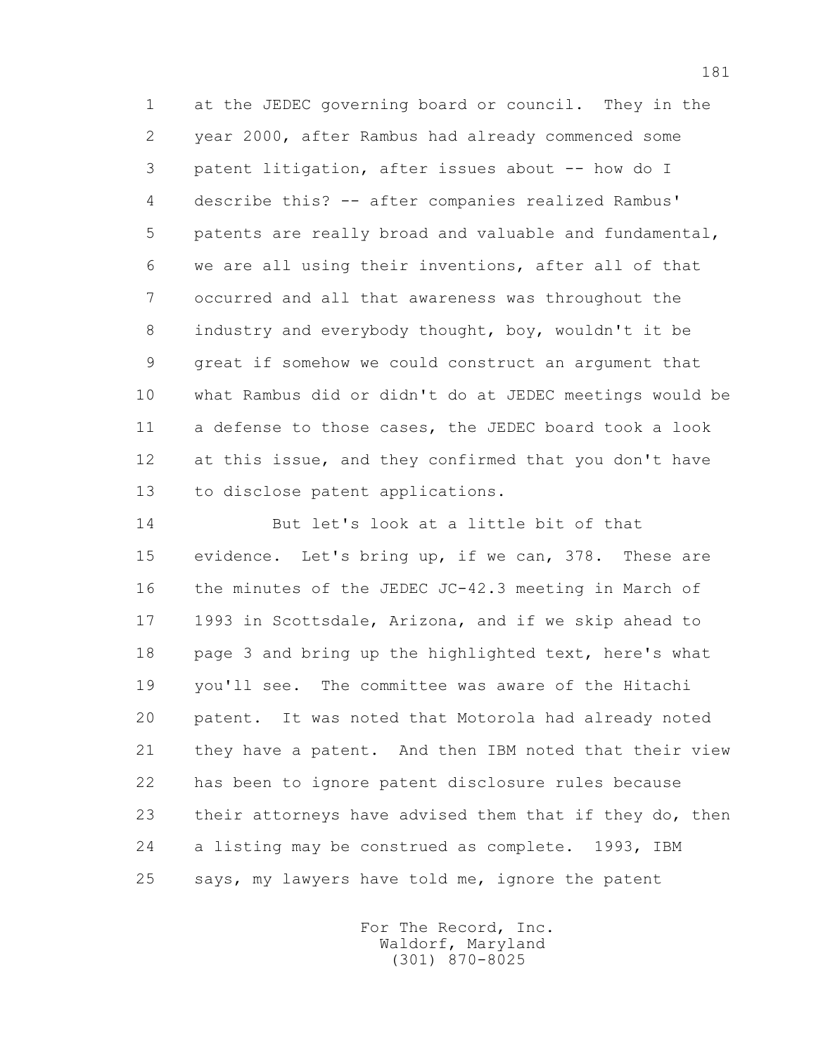1 at the JEDEC governing board or council. They in the 2 year 2000, after Rambus had already commenced some 3 patent litigation, after issues about -- how do I 4 describe this? -- after companies realized Rambus' 5 patents are really broad and valuable and fundamental, 6 we are all using their inventions, after all of that 7 occurred and all that awareness was throughout the 8 industry and everybody thought, boy, wouldn't it be 9 great if somehow we could construct an argument that 10 what Rambus did or didn't do at JEDEC meetings would be 11 a defense to those cases, the JEDEC board took a look 12 at this issue, and they confirmed that you don't have 13 to disclose patent applications.

 14 But let's look at a little bit of that 15 evidence. Let's bring up, if we can, 378. These are 16 the minutes of the JEDEC JC-42.3 meeting in March of 17 1993 in Scottsdale, Arizona, and if we skip ahead to 18 page 3 and bring up the highlighted text, here's what 19 you'll see. The committee was aware of the Hitachi 20 patent. It was noted that Motorola had already noted 21 they have a patent. And then IBM noted that their view 22 has been to ignore patent disclosure rules because 23 their attorneys have advised them that if they do, then 24 a listing may be construed as complete. 1993, IBM 25 says, my lawyers have told me, ignore the patent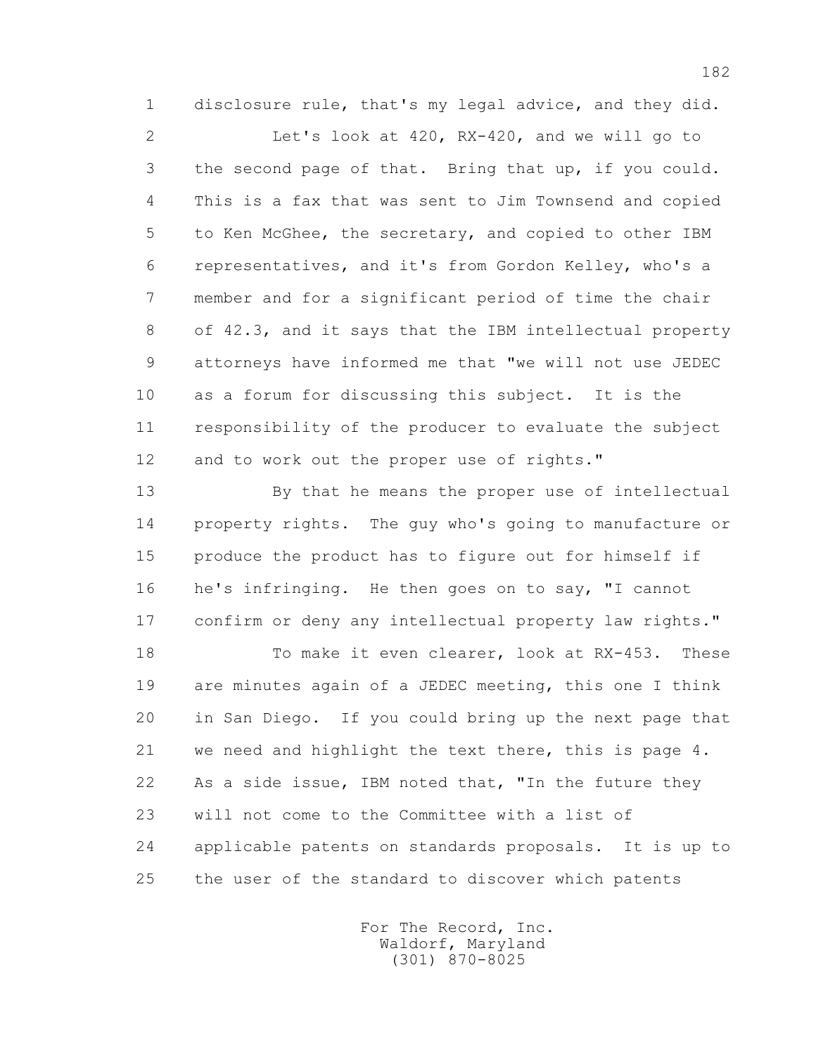1 disclosure rule, that's my legal advice, and they did.

 2 Let's look at 420, RX-420, and we will go to 3 the second page of that. Bring that up, if you could. 4 This is a fax that was sent to Jim Townsend and copied 5 to Ken McGhee, the secretary, and copied to other IBM 6 representatives, and it's from Gordon Kelley, who's a 7 member and for a significant period of time the chair 8 of 42.3, and it says that the IBM intellectual property 9 attorneys have informed me that "we will not use JEDEC 10 as a forum for discussing this subject. It is the 11 responsibility of the producer to evaluate the subject 12 and to work out the proper use of rights."

 13 By that he means the proper use of intellectual 14 property rights. The guy who's going to manufacture or 15 produce the product has to figure out for himself if 16 he's infringing. He then goes on to say, "I cannot 17 confirm or deny any intellectual property law rights."

 18 To make it even clearer, look at RX-453. These 19 are minutes again of a JEDEC meeting, this one I think 20 in San Diego. If you could bring up the next page that 21 we need and highlight the text there, this is page 4. 22 As a side issue, IBM noted that, "In the future they 23 will not come to the Committee with a list of 24 applicable patents on standards proposals. It is up to 25 the user of the standard to discover which patents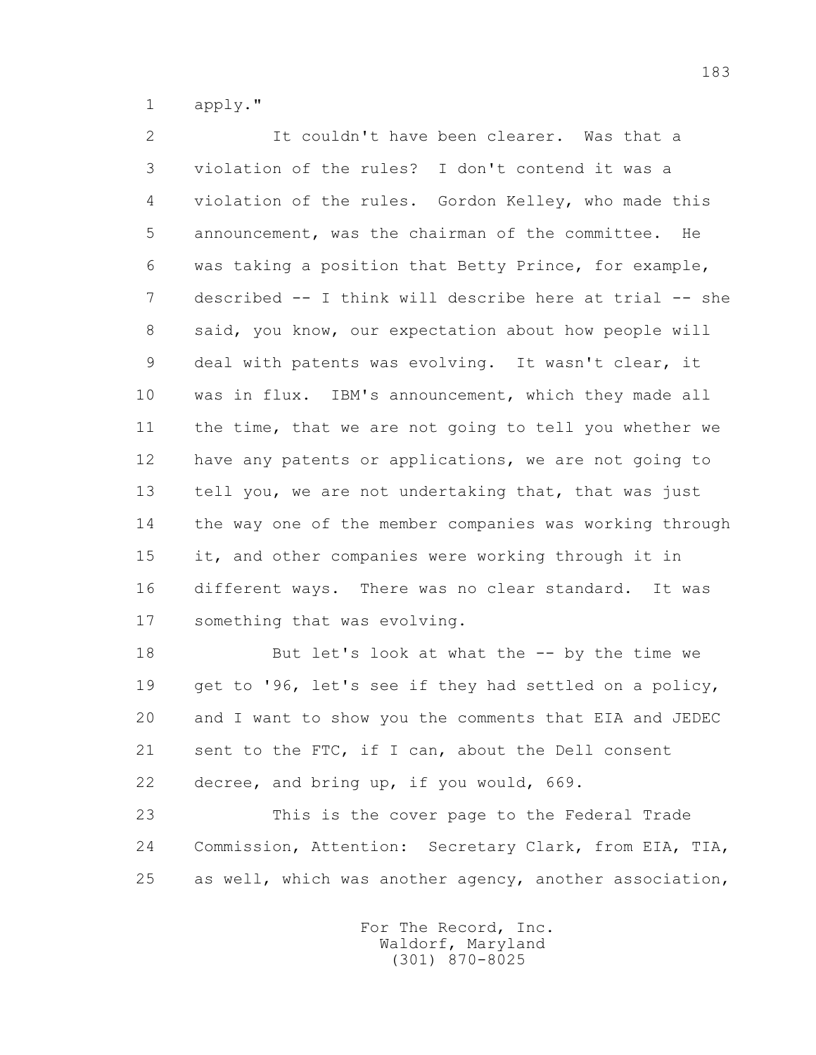1 apply."

 2 It couldn't have been clearer. Was that a 3 violation of the rules? I don't contend it was a 4 violation of the rules. Gordon Kelley, who made this 5 announcement, was the chairman of the committee. He 6 was taking a position that Betty Prince, for example, 7 described -- I think will describe here at trial -- she 8 said, you know, our expectation about how people will 9 deal with patents was evolving. It wasn't clear, it 10 was in flux. IBM's announcement, which they made all 11 the time, that we are not going to tell you whether we 12 have any patents or applications, we are not going to 13 tell you, we are not undertaking that, that was just 14 the way one of the member companies was working through 15 it, and other companies were working through it in 16 different ways. There was no clear standard. It was 17 something that was evolving.

 18 But let's look at what the -- by the time we 19 get to '96, let's see if they had settled on a policy, 20 and I want to show you the comments that EIA and JEDEC 21 sent to the FTC, if I can, about the Dell consent 22 decree, and bring up, if you would, 669.

 23 This is the cover page to the Federal Trade 24 Commission, Attention: Secretary Clark, from EIA, TIA, 25 as well, which was another agency, another association,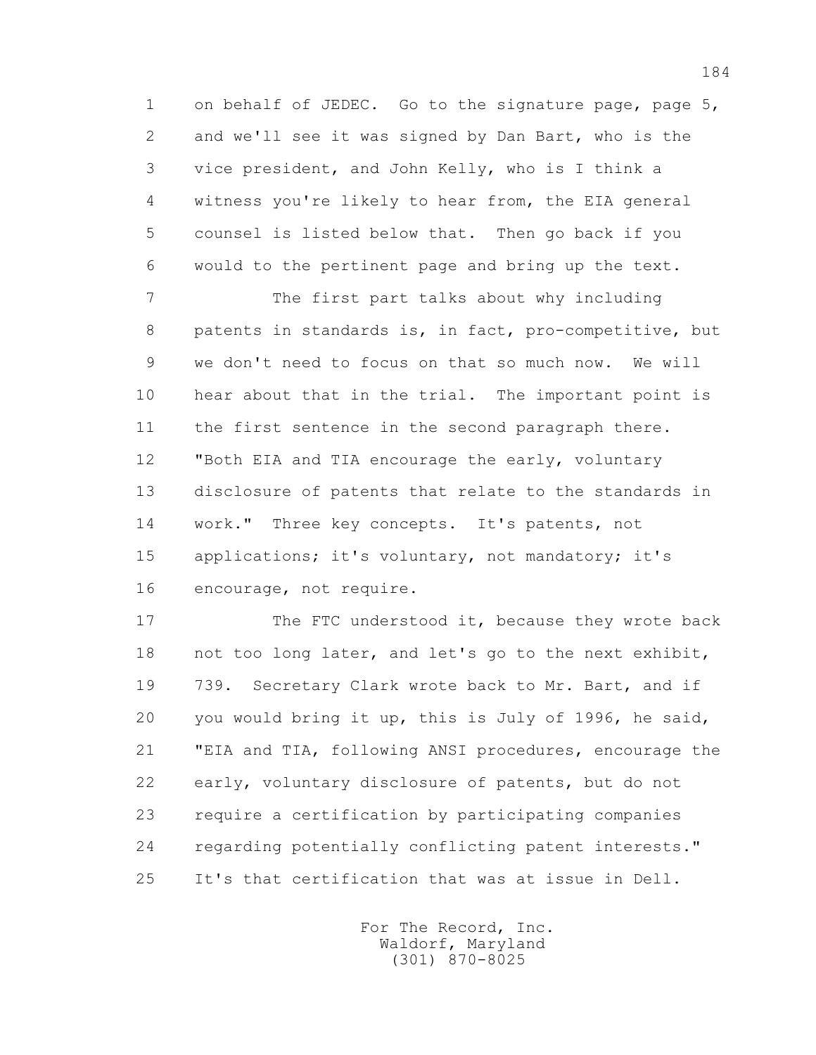1 on behalf of JEDEC. Go to the signature page, page 5, 2 and we'll see it was signed by Dan Bart, who is the 3 vice president, and John Kelly, who is I think a 4 witness you're likely to hear from, the EIA general 5 counsel is listed below that. Then go back if you 6 would to the pertinent page and bring up the text.

 7 The first part talks about why including 8 patents in standards is, in fact, pro-competitive, but 9 we don't need to focus on that so much now. We will 10 hear about that in the trial. The important point is 11 the first sentence in the second paragraph there. 12 "Both EIA and TIA encourage the early, voluntary 13 disclosure of patents that relate to the standards in 14 work." Three key concepts. It's patents, not 15 applications; it's voluntary, not mandatory; it's 16 encourage, not require.

17 The FTC understood it, because they wrote back 18 not too long later, and let's go to the next exhibit, 19 739. Secretary Clark wrote back to Mr. Bart, and if 20 you would bring it up, this is July of 1996, he said, 21 "EIA and TIA, following ANSI procedures, encourage the 22 early, voluntary disclosure of patents, but do not 23 require a certification by participating companies 24 regarding potentially conflicting patent interests." 25 It's that certification that was at issue in Dell.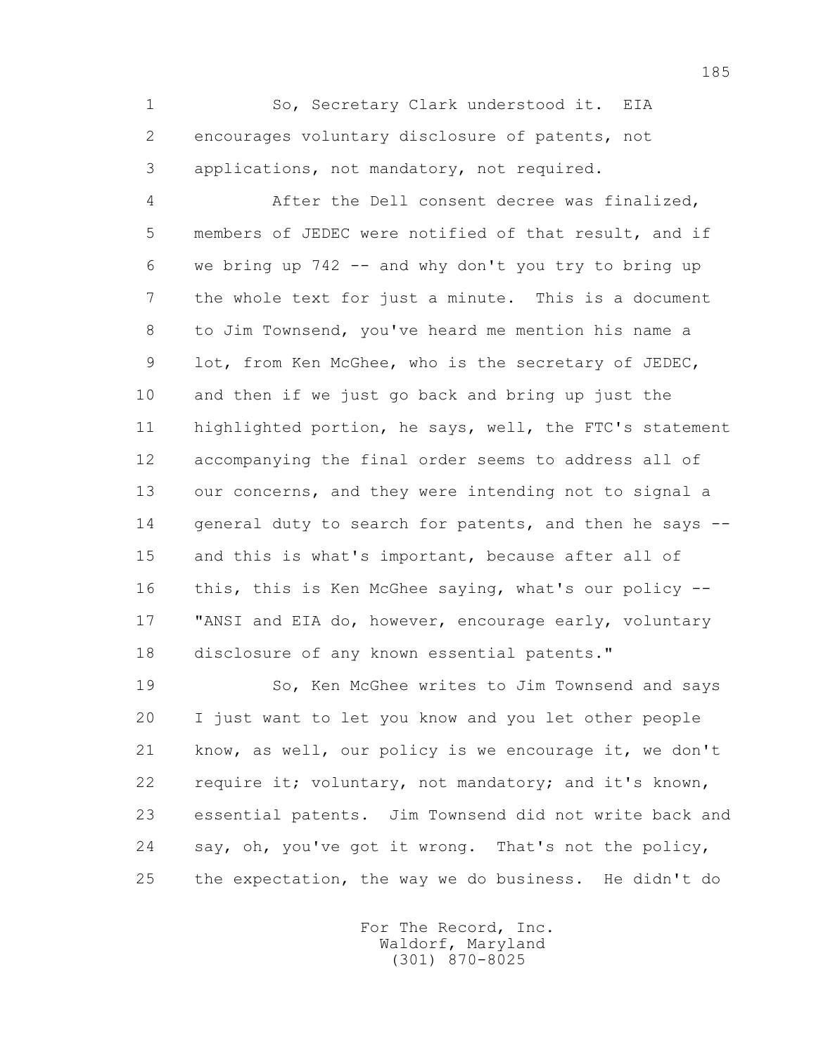1 So, Secretary Clark understood it. EIA 2 encourages voluntary disclosure of patents, not 3 applications, not mandatory, not required.

 4 After the Dell consent decree was finalized, 5 members of JEDEC were notified of that result, and if 6 we bring up 742 -- and why don't you try to bring up 7 the whole text for just a minute. This is a document 8 to Jim Townsend, you've heard me mention his name a 9 lot, from Ken McGhee, who is the secretary of JEDEC, 10 and then if we just go back and bring up just the 11 highlighted portion, he says, well, the FTC's statement 12 accompanying the final order seems to address all of 13 our concerns, and they were intending not to signal a 14 general duty to search for patents, and then he says -- 15 and this is what's important, because after all of 16 this, this is Ken McGhee saying, what's our policy -- 17 "ANSI and EIA do, however, encourage early, voluntary 18 disclosure of any known essential patents."

 19 So, Ken McGhee writes to Jim Townsend and says 20 I just want to let you know and you let other people 21 know, as well, our policy is we encourage it, we don't 22 require it; voluntary, not mandatory; and it's known, 23 essential patents. Jim Townsend did not write back and 24 say, oh, you've got it wrong. That's not the policy, 25 the expectation, the way we do business. He didn't do

> For The Record, Inc. Waldorf, Maryland (301) 870-8025

185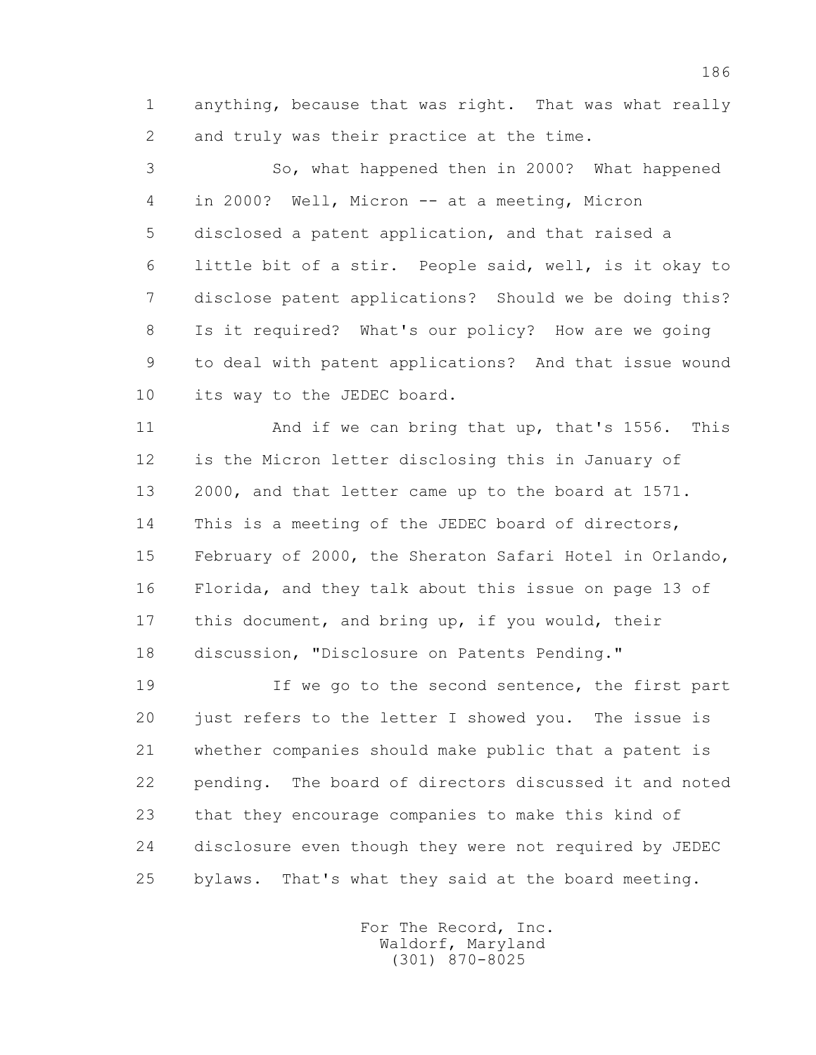1 anything, because that was right. That was what really 2 and truly was their practice at the time.

 3 So, what happened then in 2000? What happened 4 in 2000? Well, Micron -- at a meeting, Micron 5 disclosed a patent application, and that raised a 6 little bit of a stir. People said, well, is it okay to 7 disclose patent applications? Should we be doing this? 8 Is it required? What's our policy? How are we going 9 to deal with patent applications? And that issue wound 10 its way to the JEDEC board.

 11 And if we can bring that up, that's 1556. This 12 is the Micron letter disclosing this in January of 13 2000, and that letter came up to the board at 1571. 14 This is a meeting of the JEDEC board of directors, 15 February of 2000, the Sheraton Safari Hotel in Orlando, 16 Florida, and they talk about this issue on page 13 of 17 this document, and bring up, if you would, their 18 discussion, "Disclosure on Patents Pending."

 19 If we go to the second sentence, the first part 20 just refers to the letter I showed you. The issue is 21 whether companies should make public that a patent is 22 pending. The board of directors discussed it and noted 23 that they encourage companies to make this kind of 24 disclosure even though they were not required by JEDEC 25 bylaws. That's what they said at the board meeting.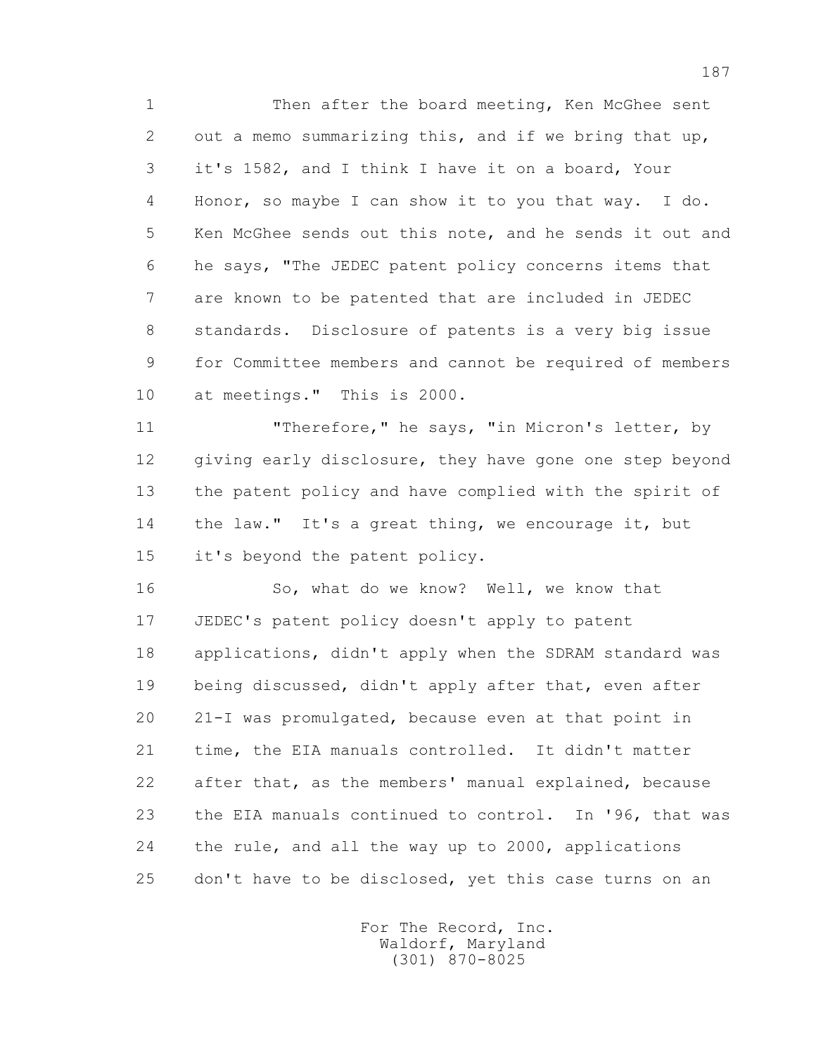1 Then after the board meeting, Ken McGhee sent 2 out a memo summarizing this, and if we bring that up, 3 it's 1582, and I think I have it on a board, Your 4 Honor, so maybe I can show it to you that way. I do. 5 Ken McGhee sends out this note, and he sends it out and 6 he says, "The JEDEC patent policy concerns items that 7 are known to be patented that are included in JEDEC 8 standards. Disclosure of patents is a very big issue 9 for Committee members and cannot be required of members 10 at meetings." This is 2000.

 11 "Therefore," he says, "in Micron's letter, by 12 giving early disclosure, they have gone one step beyond 13 the patent policy and have complied with the spirit of 14 the law." It's a great thing, we encourage it, but 15 it's beyond the patent policy.

 16 So, what do we know? Well, we know that 17 JEDEC's patent policy doesn't apply to patent 18 applications, didn't apply when the SDRAM standard was 19 being discussed, didn't apply after that, even after 20 21-I was promulgated, because even at that point in 21 time, the EIA manuals controlled. It didn't matter 22 after that, as the members' manual explained, because 23 the EIA manuals continued to control. In '96, that was 24 the rule, and all the way up to 2000, applications 25 don't have to be disclosed, yet this case turns on an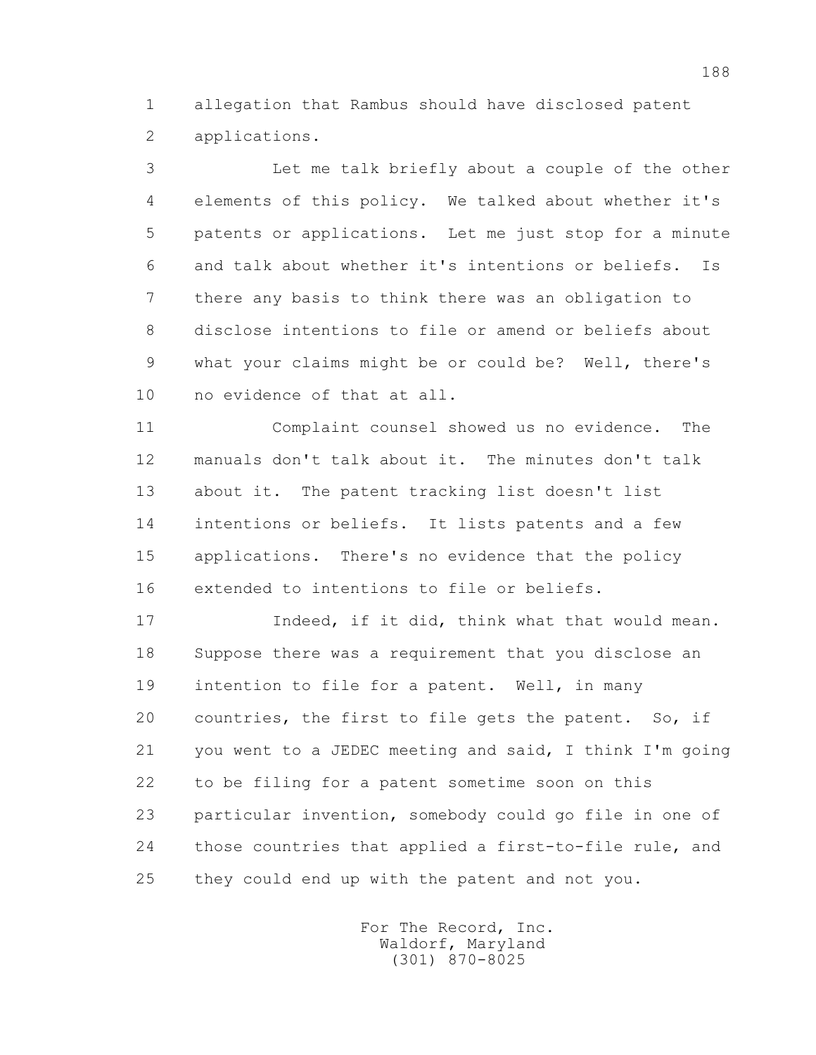1 allegation that Rambus should have disclosed patent 2 applications.

 3 Let me talk briefly about a couple of the other 4 elements of this policy. We talked about whether it's 5 patents or applications. Let me just stop for a minute 6 and talk about whether it's intentions or beliefs. Is 7 there any basis to think there was an obligation to 8 disclose intentions to file or amend or beliefs about 9 what your claims might be or could be? Well, there's 10 no evidence of that at all.

 11 Complaint counsel showed us no evidence. The 12 manuals don't talk about it. The minutes don't talk 13 about it. The patent tracking list doesn't list 14 intentions or beliefs. It lists patents and a few 15 applications. There's no evidence that the policy 16 extended to intentions to file or beliefs.

 17 Indeed, if it did, think what that would mean. 18 Suppose there was a requirement that you disclose an 19 intention to file for a patent. Well, in many 20 countries, the first to file gets the patent. So, if 21 you went to a JEDEC meeting and said, I think I'm going 22 to be filing for a patent sometime soon on this 23 particular invention, somebody could go file in one of 24 those countries that applied a first-to-file rule, and 25 they could end up with the patent and not you.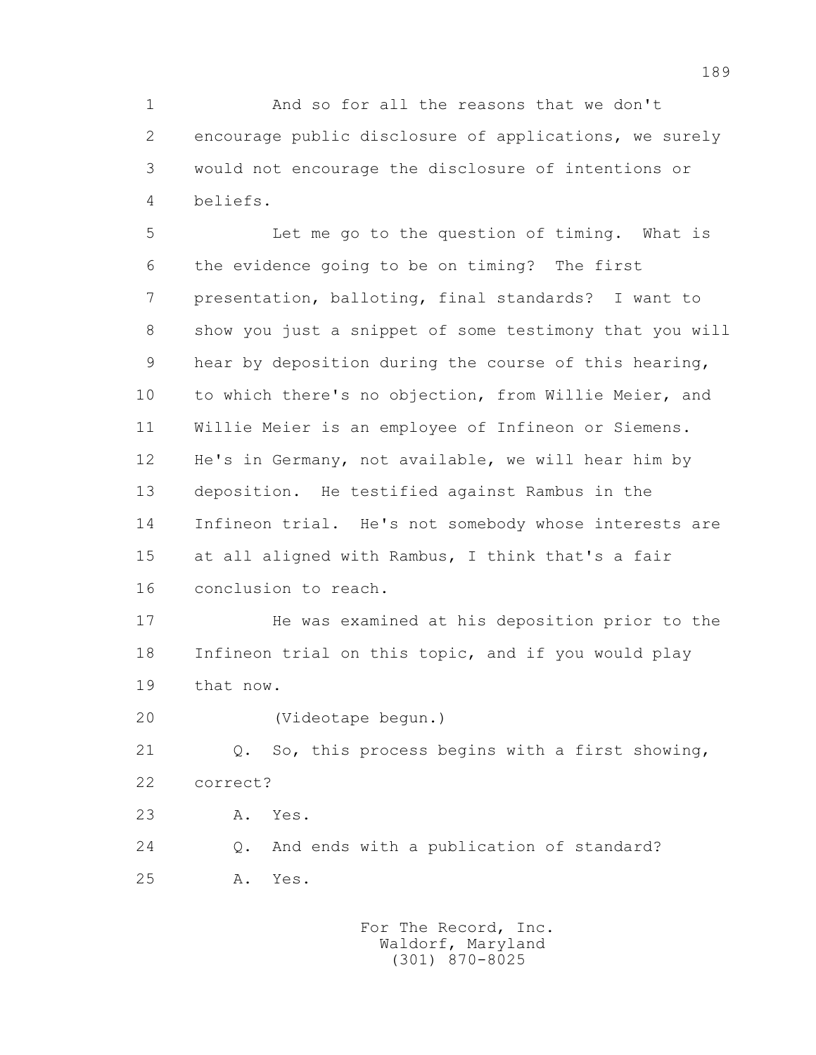1 And so for all the reasons that we don't 2 encourage public disclosure of applications, we surely 3 would not encourage the disclosure of intentions or 4 beliefs.

 5 Let me go to the question of timing. What is 6 the evidence going to be on timing? The first 7 presentation, balloting, final standards? I want to 8 show you just a snippet of some testimony that you will 9 hear by deposition during the course of this hearing, 10 to which there's no objection, from Willie Meier, and 11 Willie Meier is an employee of Infineon or Siemens. 12 He's in Germany, not available, we will hear him by 13 deposition. He testified against Rambus in the 14 Infineon trial. He's not somebody whose interests are 15 at all aligned with Rambus, I think that's a fair 16 conclusion to reach.

 17 He was examined at his deposition prior to the 18 Infineon trial on this topic, and if you would play 19 that now.

20 (Videotape begun.)

 21 Q. So, this process begins with a first showing, 22 correct?

23 A. Yes.

 24 Q. And ends with a publication of standard? 25 A. Yes.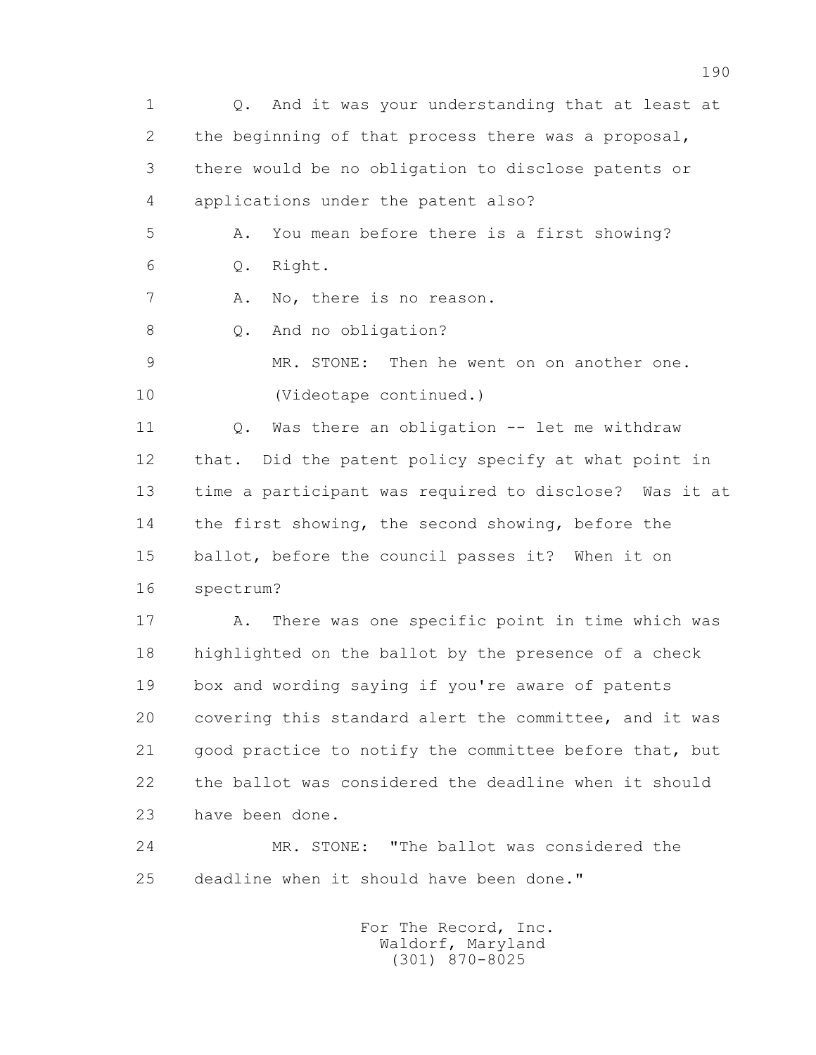1 Q. And it was your understanding that at least at 2 the beginning of that process there was a proposal, 3 there would be no obligation to disclose patents or 4 applications under the patent also? 5 A. You mean before there is a first showing? 6 Q. Right. 7 A. No, there is no reason. 8 Q. And no obligation? 9 MR. STONE: Then he went on on another one. 10 (Videotape continued.) 11 Q. Was there an obligation -- let me withdraw 12 that. Did the patent policy specify at what point in 13 time a participant was required to disclose? Was it at 14 the first showing, the second showing, before the 15 ballot, before the council passes it? When it on 16 spectrum? 17 A. There was one specific point in time which was 18 highlighted on the ballot by the presence of a check 19 box and wording saying if you're aware of patents 20 covering this standard alert the committee, and it was 21 good practice to notify the committee before that, but 22 the ballot was considered the deadline when it should 23 have been done. 24 MR. STONE: "The ballot was considered the

25 deadline when it should have been done."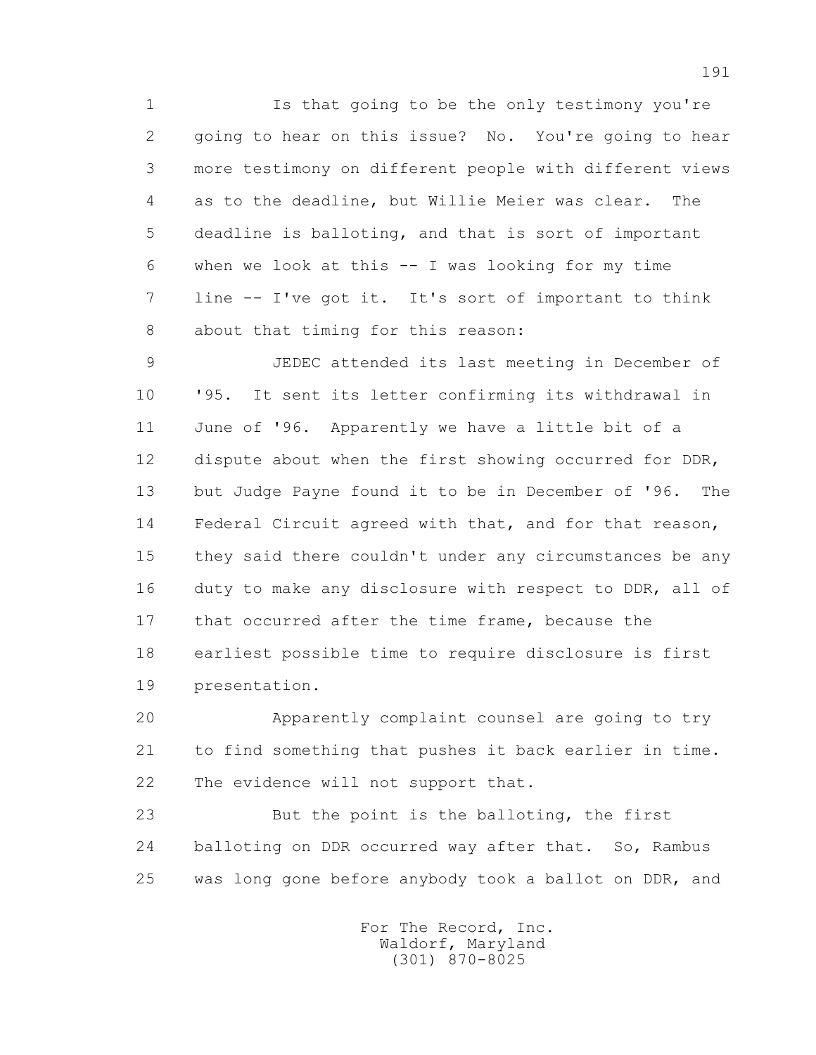1 Is that going to be the only testimony you're 2 going to hear on this issue? No. You're going to hear 3 more testimony on different people with different views 4 as to the deadline, but Willie Meier was clear. The 5 deadline is balloting, and that is sort of important 6 when we look at this -- I was looking for my time 7 line -- I've got it. It's sort of important to think 8 about that timing for this reason:

 9 JEDEC attended its last meeting in December of 10 '95. It sent its letter confirming its withdrawal in 11 June of '96. Apparently we have a little bit of a 12 dispute about when the first showing occurred for DDR, 13 but Judge Payne found it to be in December of '96. The 14 Federal Circuit agreed with that, and for that reason, 15 they said there couldn't under any circumstances be any 16 duty to make any disclosure with respect to DDR, all of 17 that occurred after the time frame, because the 18 earliest possible time to require disclosure is first 19 presentation.

 20 Apparently complaint counsel are going to try 21 to find something that pushes it back earlier in time. 22 The evidence will not support that.

 23 But the point is the balloting, the first 24 balloting on DDR occurred way after that. So, Rambus 25 was long gone before anybody took a ballot on DDR, and

> For The Record, Inc. Waldorf, Maryland (301) 870-8025

191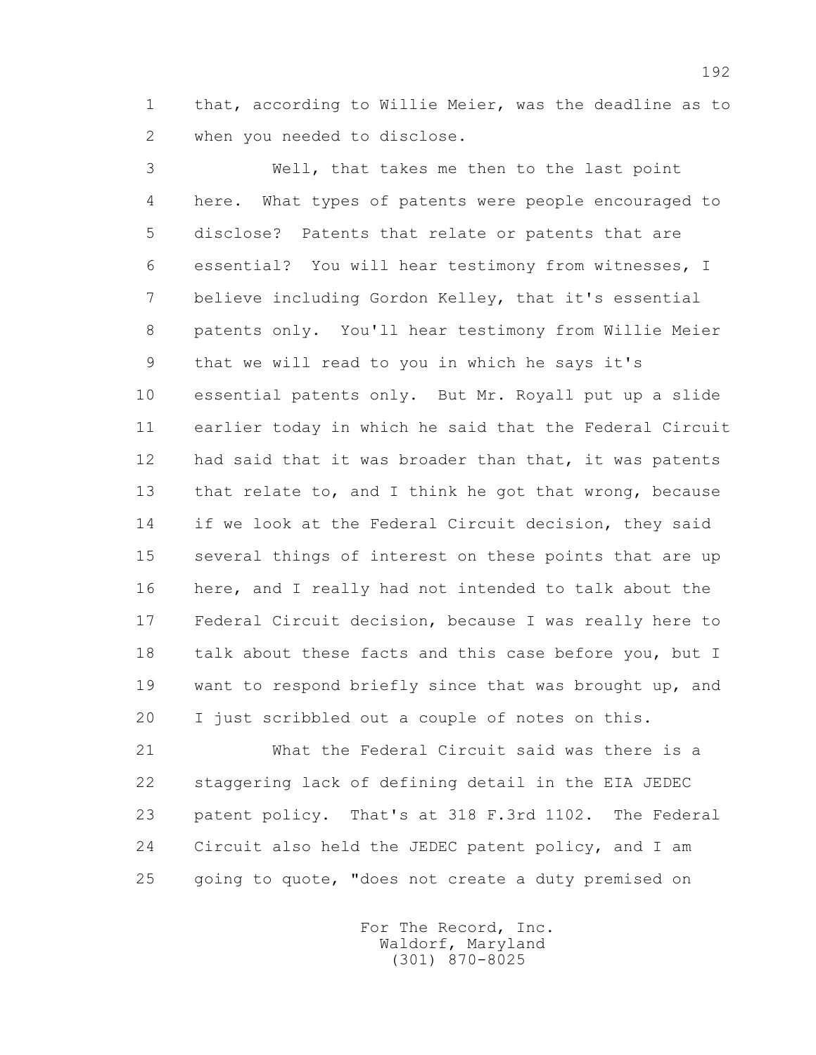1 that, according to Willie Meier, was the deadline as to 2 when you needed to disclose.

 3 Well, that takes me then to the last point 4 here. What types of patents were people encouraged to 5 disclose? Patents that relate or patents that are 6 essential? You will hear testimony from witnesses, I 7 believe including Gordon Kelley, that it's essential 8 patents only. You'll hear testimony from Willie Meier 9 that we will read to you in which he says it's 10 essential patents only. But Mr. Royall put up a slide 11 earlier today in which he said that the Federal Circuit 12 had said that it was broader than that, it was patents 13 that relate to, and I think he got that wrong, because 14 if we look at the Federal Circuit decision, they said 15 several things of interest on these points that are up 16 here, and I really had not intended to talk about the 17 Federal Circuit decision, because I was really here to 18 talk about these facts and this case before you, but I 19 want to respond briefly since that was brought up, and 20 I just scribbled out a couple of notes on this.

 21 What the Federal Circuit said was there is a 22 staggering lack of defining detail in the EIA JEDEC 23 patent policy. That's at 318 F.3rd 1102. The Federal 24 Circuit also held the JEDEC patent policy, and I am 25 going to quote, "does not create a duty premised on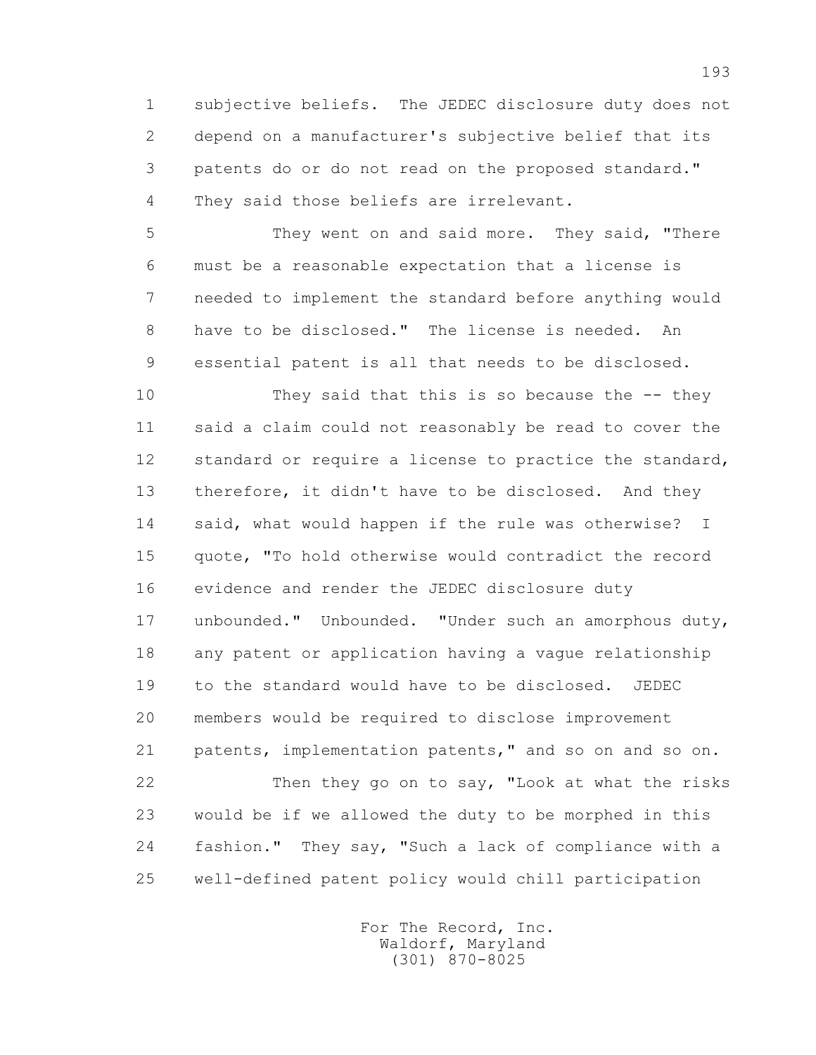1 subjective beliefs. The JEDEC disclosure duty does not 2 depend on a manufacturer's subjective belief that its 3 patents do or do not read on the proposed standard." 4 They said those beliefs are irrelevant.

 5 They went on and said more. They said, "There 6 must be a reasonable expectation that a license is 7 needed to implement the standard before anything would 8 have to be disclosed." The license is needed. An 9 essential patent is all that needs to be disclosed.

 10 They said that this is so because the -- they 11 said a claim could not reasonably be read to cover the 12 standard or require a license to practice the standard, 13 therefore, it didn't have to be disclosed. And they 14 said, what would happen if the rule was otherwise? I 15 quote, "To hold otherwise would contradict the record 16 evidence and render the JEDEC disclosure duty 17 unbounded." Unbounded. "Under such an amorphous duty, 18 any patent or application having a vague relationship 19 to the standard would have to be disclosed. JEDEC 20 members would be required to disclose improvement 21 patents, implementation patents," and so on and so on. 22 Then they go on to say, "Look at what the risks 23 would be if we allowed the duty to be morphed in this 24 fashion." They say, "Such a lack of compliance with a 25 well-defined patent policy would chill participation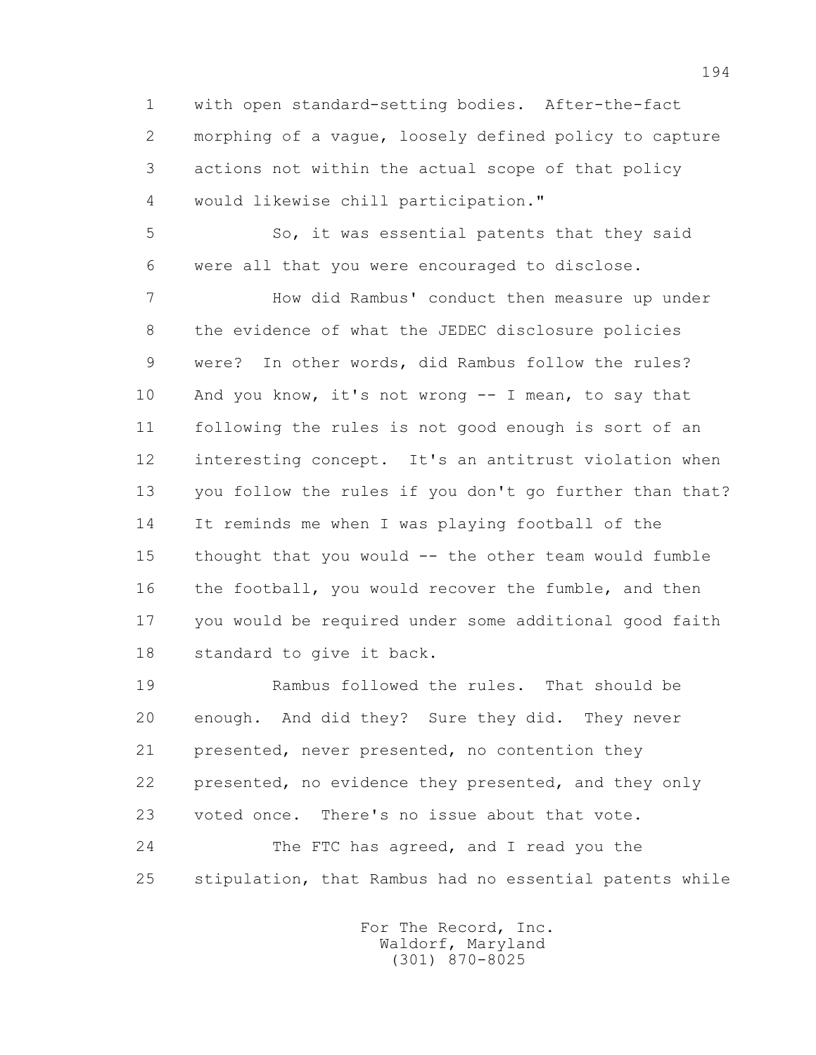1 with open standard-setting bodies. After-the-fact 2 morphing of a vague, loosely defined policy to capture 3 actions not within the actual scope of that policy 4 would likewise chill participation."

 5 So, it was essential patents that they said 6 were all that you were encouraged to disclose.

 7 How did Rambus' conduct then measure up under 8 the evidence of what the JEDEC disclosure policies 9 were? In other words, did Rambus follow the rules? 10 And you know, it's not wrong -- I mean, to say that 11 following the rules is not good enough is sort of an 12 interesting concept. It's an antitrust violation when 13 you follow the rules if you don't go further than that? 14 It reminds me when I was playing football of the 15 thought that you would -- the other team would fumble 16 the football, you would recover the fumble, and then 17 you would be required under some additional good faith 18 standard to give it back.

 19 Rambus followed the rules. That should be 20 enough. And did they? Sure they did. They never 21 presented, never presented, no contention they 22 presented, no evidence they presented, and they only 23 voted once. There's no issue about that vote. 24 The FTC has agreed, and I read you the 25 stipulation, that Rambus had no essential patents while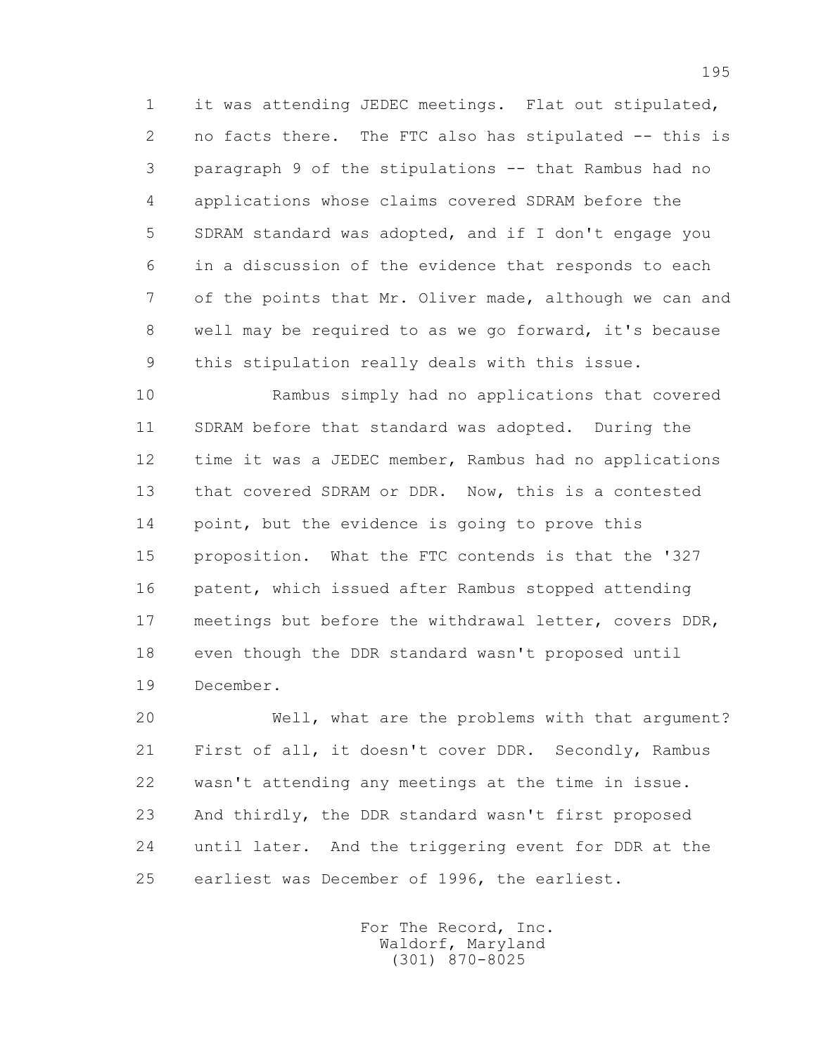1 it was attending JEDEC meetings. Flat out stipulated, 2 no facts there. The FTC also has stipulated -- this is 3 paragraph 9 of the stipulations -- that Rambus had no 4 applications whose claims covered SDRAM before the 5 SDRAM standard was adopted, and if I don't engage you 6 in a discussion of the evidence that responds to each 7 of the points that Mr. Oliver made, although we can and 8 well may be required to as we go forward, it's because 9 this stipulation really deals with this issue.

 10 Rambus simply had no applications that covered 11 SDRAM before that standard was adopted. During the 12 time it was a JEDEC member, Rambus had no applications 13 that covered SDRAM or DDR. Now, this is a contested 14 point, but the evidence is going to prove this 15 proposition. What the FTC contends is that the '327 16 patent, which issued after Rambus stopped attending 17 meetings but before the withdrawal letter, covers DDR, 18 even though the DDR standard wasn't proposed until 19 December.

 20 Well, what are the problems with that argument? 21 First of all, it doesn't cover DDR. Secondly, Rambus 22 wasn't attending any meetings at the time in issue. 23 And thirdly, the DDR standard wasn't first proposed 24 until later. And the triggering event for DDR at the 25 earliest was December of 1996, the earliest.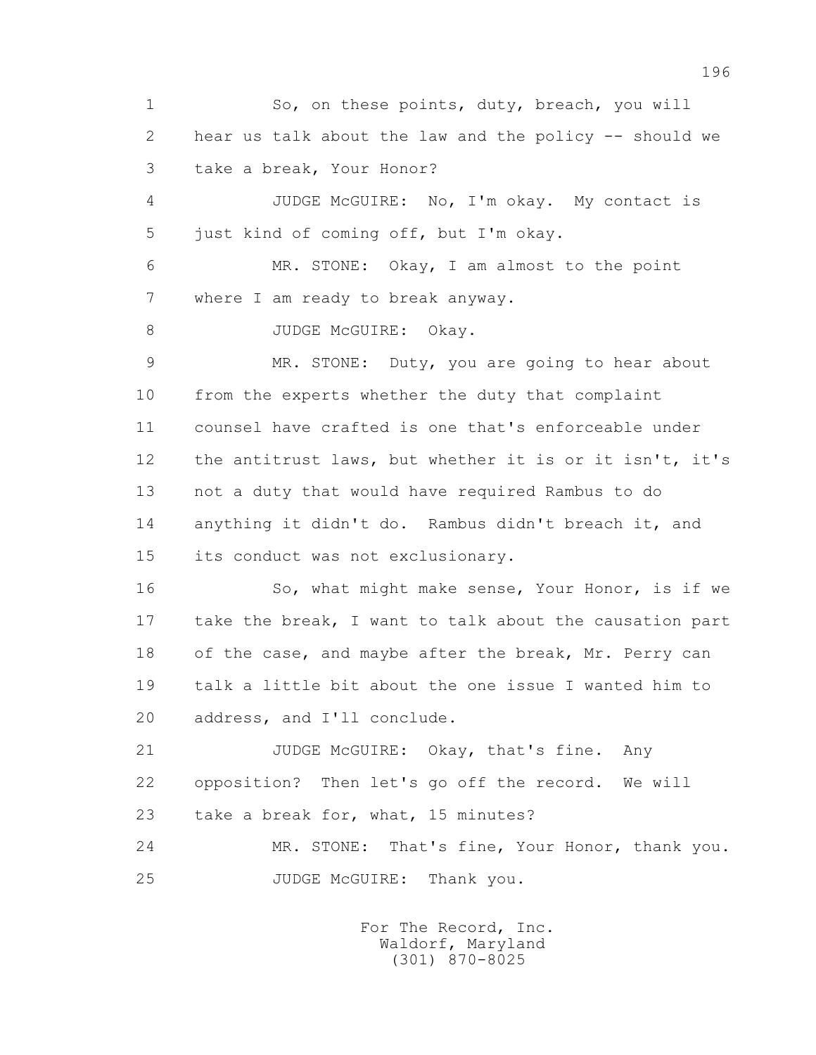1 So, on these points, duty, breach, you will 2 hear us talk about the law and the policy -- should we 3 take a break, Your Honor? 4 JUDGE McGUIRE: No, I'm okay. My contact is 5 just kind of coming off, but I'm okay. 6 MR. STONE: Okay, I am almost to the point 7 where I am ready to break anyway. 8 JUDGE McGUIRE: Okay. 9 MR. STONE: Duty, you are going to hear about 10 from the experts whether the duty that complaint 11 counsel have crafted is one that's enforceable under 12 the antitrust laws, but whether it is or it isn't, it's 13 not a duty that would have required Rambus to do 14 anything it didn't do. Rambus didn't breach it, and 15 its conduct was not exclusionary. 16 So, what might make sense, Your Honor, is if we 17 take the break, I want to talk about the causation part 18 of the case, and maybe after the break, Mr. Perry can 19 talk a little bit about the one issue I wanted him to 20 address, and I'll conclude. 21 JUDGE McGUIRE: Okay, that's fine. Any 22 opposition? Then let's go off the record. We will 23 take a break for, what, 15 minutes? 24 MR. STONE: That's fine, Your Honor, thank you. 25 JUDGE McGUIRE: Thank you.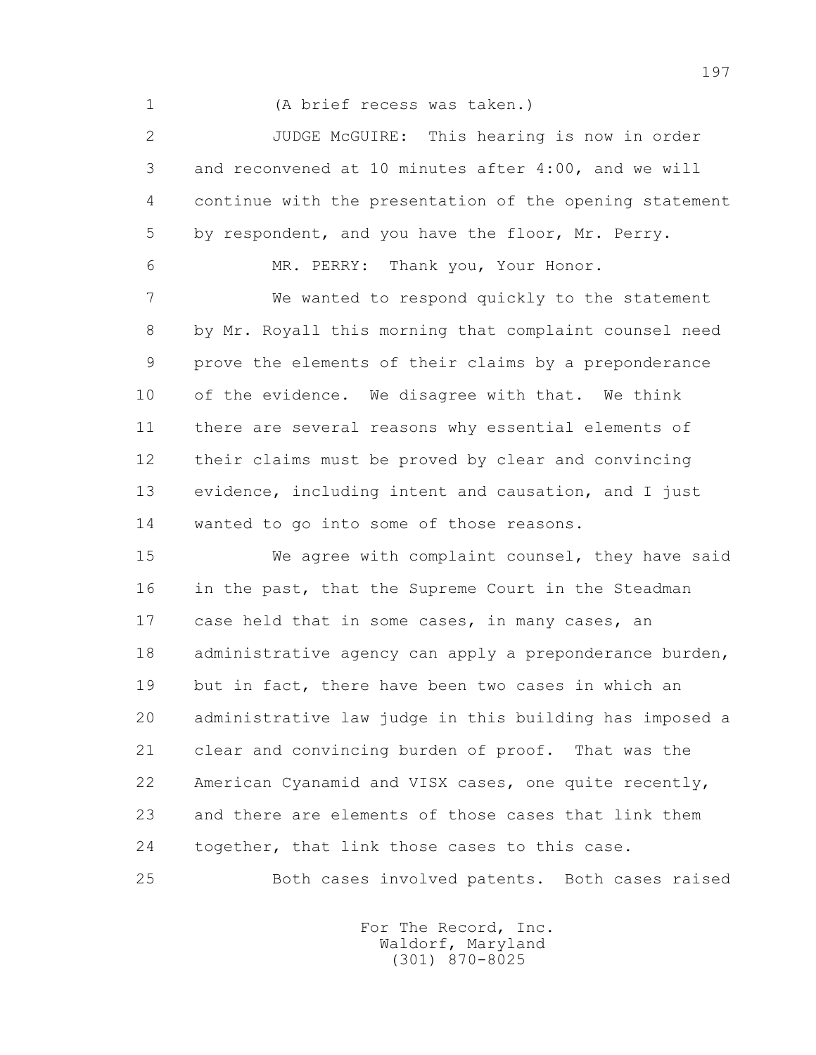1 (A brief recess was taken.)

 2 JUDGE McGUIRE: This hearing is now in order 3 and reconvened at 10 minutes after 4:00, and we will 4 continue with the presentation of the opening statement 5 by respondent, and you have the floor, Mr. Perry.

6 MR. PERRY: Thank you, Your Honor.

 7 We wanted to respond quickly to the statement 8 by Mr. Royall this morning that complaint counsel need 9 prove the elements of their claims by a preponderance 10 of the evidence. We disagree with that. We think 11 there are several reasons why essential elements of 12 their claims must be proved by clear and convincing 13 evidence, including intent and causation, and I just 14 wanted to go into some of those reasons.

 15 We agree with complaint counsel, they have said 16 in the past, that the Supreme Court in the Steadman 17 case held that in some cases, in many cases, an 18 administrative agency can apply a preponderance burden, 19 but in fact, there have been two cases in which an 20 administrative law judge in this building has imposed a 21 clear and convincing burden of proof. That was the 22 American Cyanamid and VISX cases, one quite recently, 23 and there are elements of those cases that link them 24 together, that link those cases to this case.

25 Both cases involved patents. Both cases raised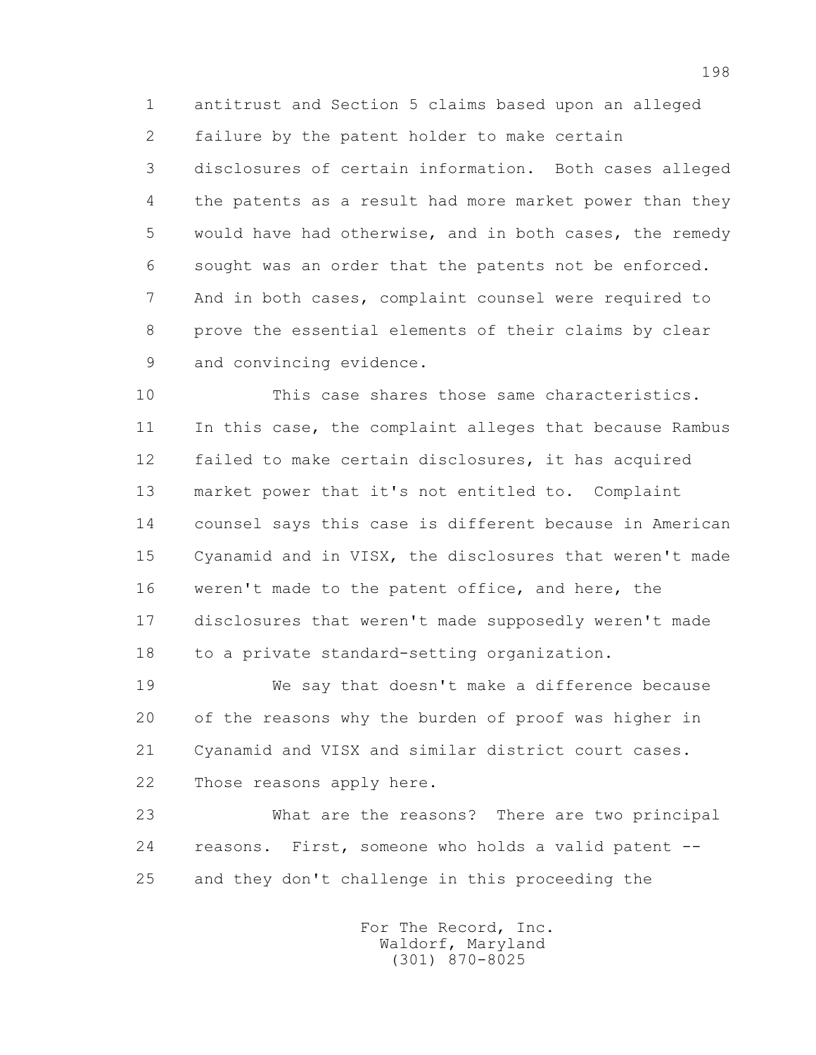1 antitrust and Section 5 claims based upon an alleged 2 failure by the patent holder to make certain 3 disclosures of certain information. Both cases alleged 4 the patents as a result had more market power than they 5 would have had otherwise, and in both cases, the remedy 6 sought was an order that the patents not be enforced. 7 And in both cases, complaint counsel were required to 8 prove the essential elements of their claims by clear 9 and convincing evidence.

 10 This case shares those same characteristics. 11 In this case, the complaint alleges that because Rambus 12 failed to make certain disclosures, it has acquired 13 market power that it's not entitled to. Complaint 14 counsel says this case is different because in American 15 Cyanamid and in VISX, the disclosures that weren't made 16 weren't made to the patent office, and here, the 17 disclosures that weren't made supposedly weren't made 18 to a private standard-setting organization.

 19 We say that doesn't make a difference because 20 of the reasons why the burden of proof was higher in 21 Cyanamid and VISX and similar district court cases. 22 Those reasons apply here.

 23 What are the reasons? There are two principal 24 reasons. First, someone who holds a valid patent -- 25 and they don't challenge in this proceeding the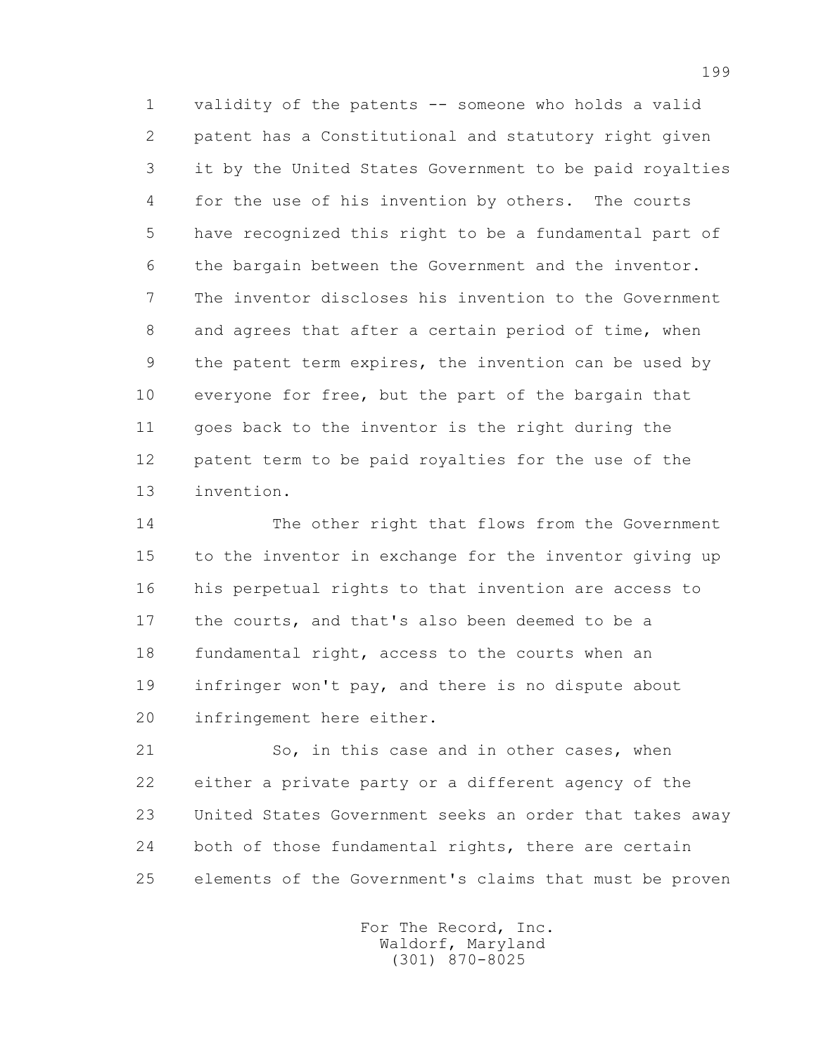1 validity of the patents -- someone who holds a valid 2 patent has a Constitutional and statutory right given 3 it by the United States Government to be paid royalties 4 for the use of his invention by others. The courts 5 have recognized this right to be a fundamental part of 6 the bargain between the Government and the inventor. 7 The inventor discloses his invention to the Government 8 and agrees that after a certain period of time, when 9 the patent term expires, the invention can be used by 10 everyone for free, but the part of the bargain that 11 goes back to the inventor is the right during the 12 patent term to be paid royalties for the use of the 13 invention.

 14 The other right that flows from the Government 15 to the inventor in exchange for the inventor giving up 16 his perpetual rights to that invention are access to 17 the courts, and that's also been deemed to be a 18 fundamental right, access to the courts when an 19 infringer won't pay, and there is no dispute about 20 infringement here either.

21 So, in this case and in other cases, when 22 either a private party or a different agency of the 23 United States Government seeks an order that takes away 24 both of those fundamental rights, there are certain 25 elements of the Government's claims that must be proven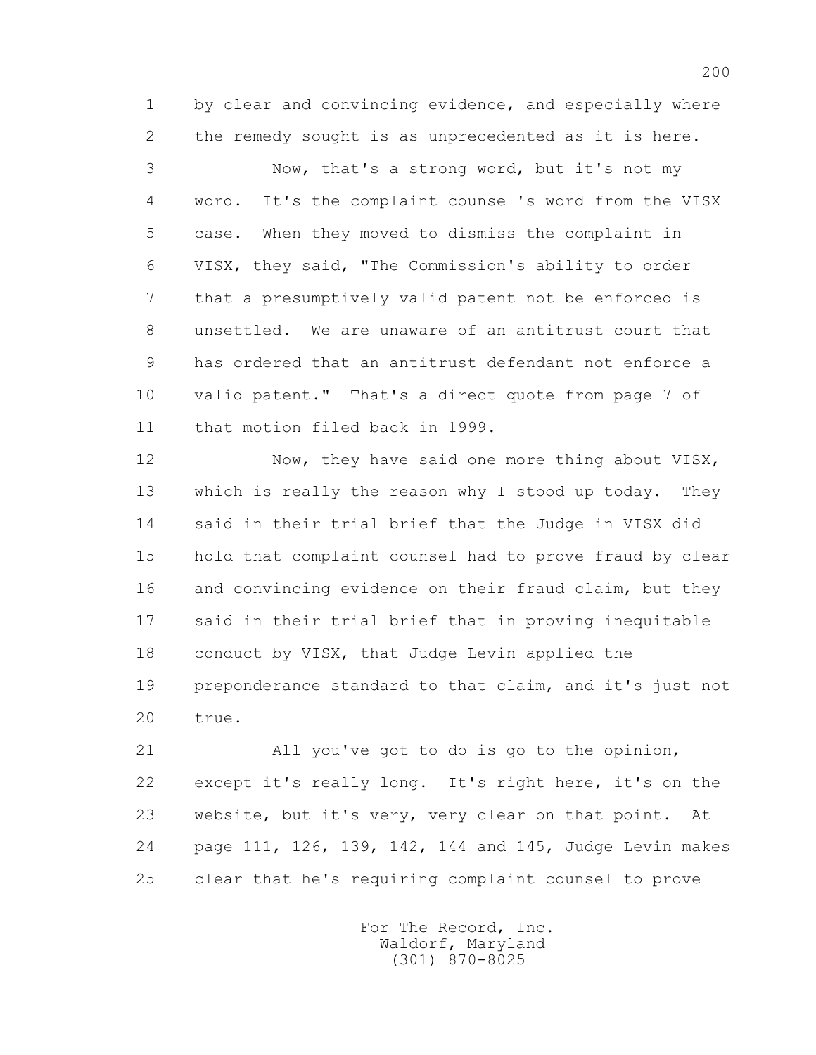1 by clear and convincing evidence, and especially where 2 the remedy sought is as unprecedented as it is here.

 3 Now, that's a strong word, but it's not my 4 word. It's the complaint counsel's word from the VISX 5 case. When they moved to dismiss the complaint in 6 VISX, they said, "The Commission's ability to order 7 that a presumptively valid patent not be enforced is 8 unsettled. We are unaware of an antitrust court that 9 has ordered that an antitrust defendant not enforce a 10 valid patent." That's a direct quote from page 7 of 11 that motion filed back in 1999.

12 Now, they have said one more thing about VISX, 13 which is really the reason why I stood up today. They 14 said in their trial brief that the Judge in VISX did 15 hold that complaint counsel had to prove fraud by clear 16 and convincing evidence on their fraud claim, but they 17 said in their trial brief that in proving inequitable 18 conduct by VISX, that Judge Levin applied the 19 preponderance standard to that claim, and it's just not 20 true.

 21 All you've got to do is go to the opinion, 22 except it's really long. It's right here, it's on the 23 website, but it's very, very clear on that point. At 24 page 111, 126, 139, 142, 144 and 145, Judge Levin makes 25 clear that he's requiring complaint counsel to prove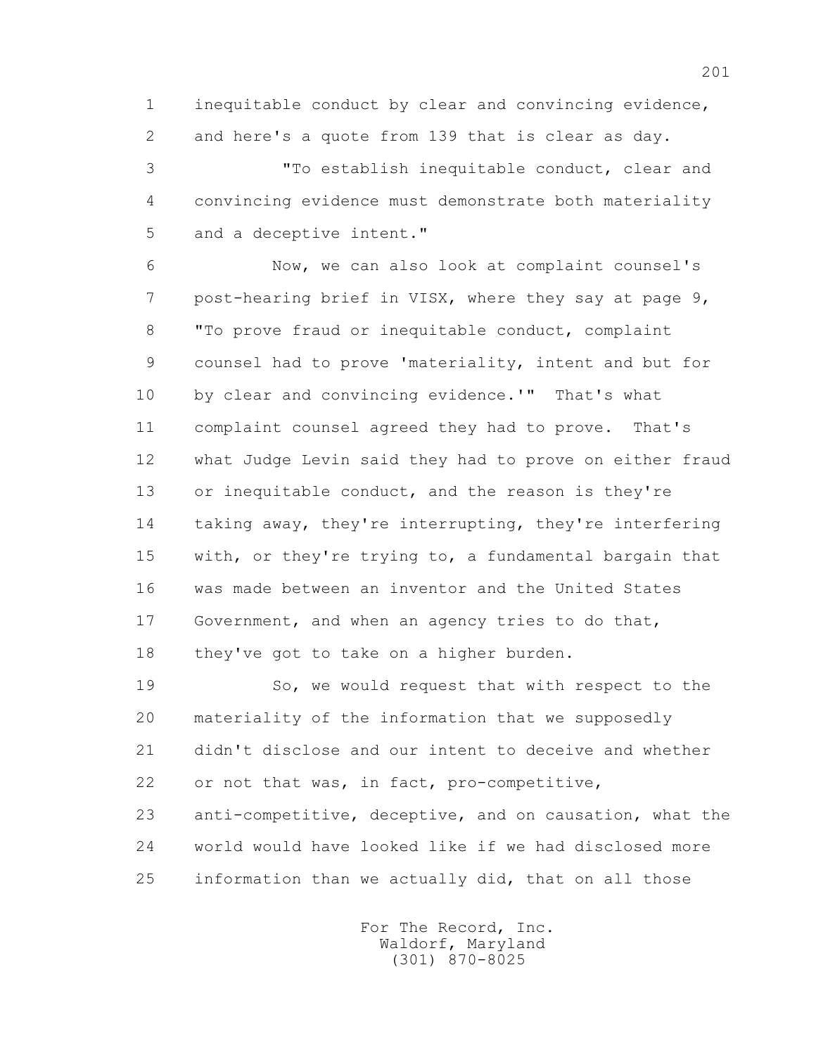1 inequitable conduct by clear and convincing evidence, 2 and here's a quote from 139 that is clear as day.

 3 "To establish inequitable conduct, clear and 4 convincing evidence must demonstrate both materiality 5 and a deceptive intent."

 6 Now, we can also look at complaint counsel's 7 post-hearing brief in VISX, where they say at page 9, 8 "To prove fraud or inequitable conduct, complaint 9 counsel had to prove 'materiality, intent and but for 10 by clear and convincing evidence.'" That's what 11 complaint counsel agreed they had to prove. That's 12 what Judge Levin said they had to prove on either fraud 13 or inequitable conduct, and the reason is they're 14 taking away, they're interrupting, they're interfering 15 with, or they're trying to, a fundamental bargain that 16 was made between an inventor and the United States 17 Government, and when an agency tries to do that, 18 they've got to take on a higher burden.

 19 So, we would request that with respect to the 20 materiality of the information that we supposedly 21 didn't disclose and our intent to deceive and whether 22 or not that was, in fact, pro-competitive, 23 anti-competitive, deceptive, and on causation, what the 24 world would have looked like if we had disclosed more

25 information than we actually did, that on all those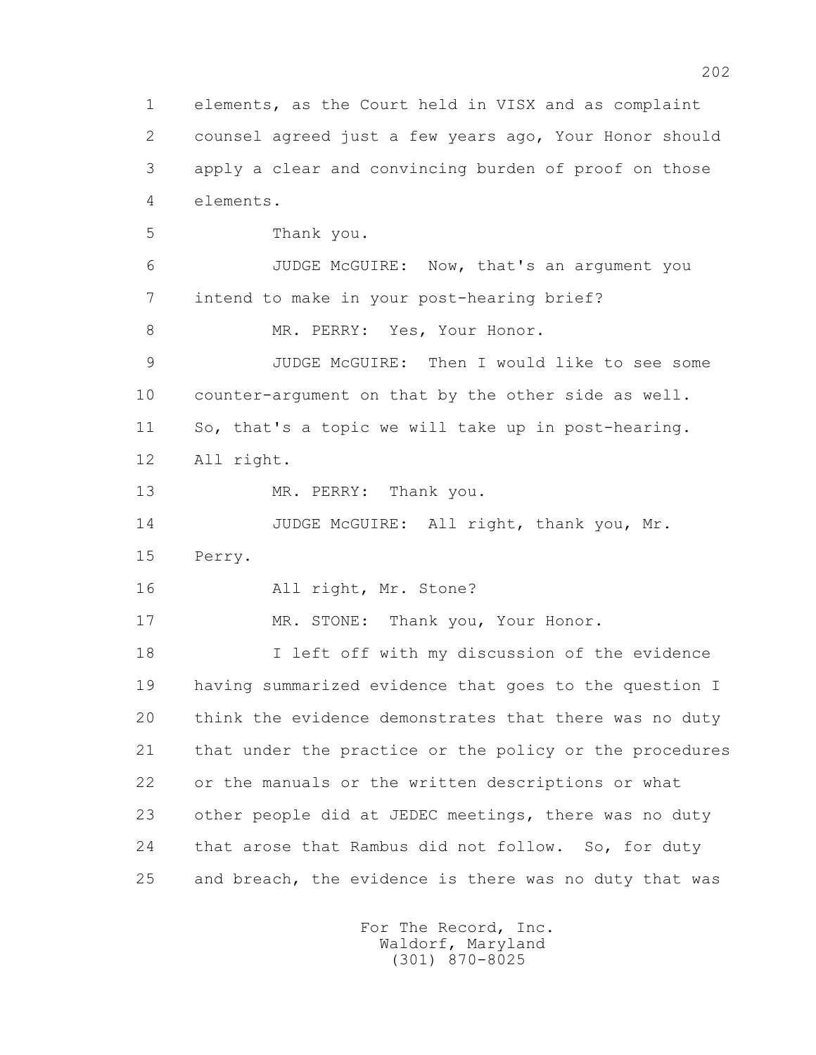1 elements, as the Court held in VISX and as complaint 2 counsel agreed just a few years ago, Your Honor should 3 apply a clear and convincing burden of proof on those 4 elements. 5 Thank you. 6 JUDGE McGUIRE: Now, that's an argument you 7 intend to make in your post-hearing brief? 8 MR. PERRY: Yes, Your Honor. 9 JUDGE McGUIRE: Then I would like to see some 10 counter-argument on that by the other side as well. 11 So, that's a topic we will take up in post-hearing. 12 All right. 13 MR. PERRY: Thank you. 14 JUDGE McGUIRE: All right, thank you, Mr. 15 Perry. 16 All right, Mr. Stone? 17 MR. STONE: Thank you, Your Honor. 18 I left off with my discussion of the evidence 19 having summarized evidence that goes to the question I 20 think the evidence demonstrates that there was no duty 21 that under the practice or the policy or the procedures 22 or the manuals or the written descriptions or what 23 other people did at JEDEC meetings, there was no duty 24 that arose that Rambus did not follow. So, for duty 25 and breach, the evidence is there was no duty that was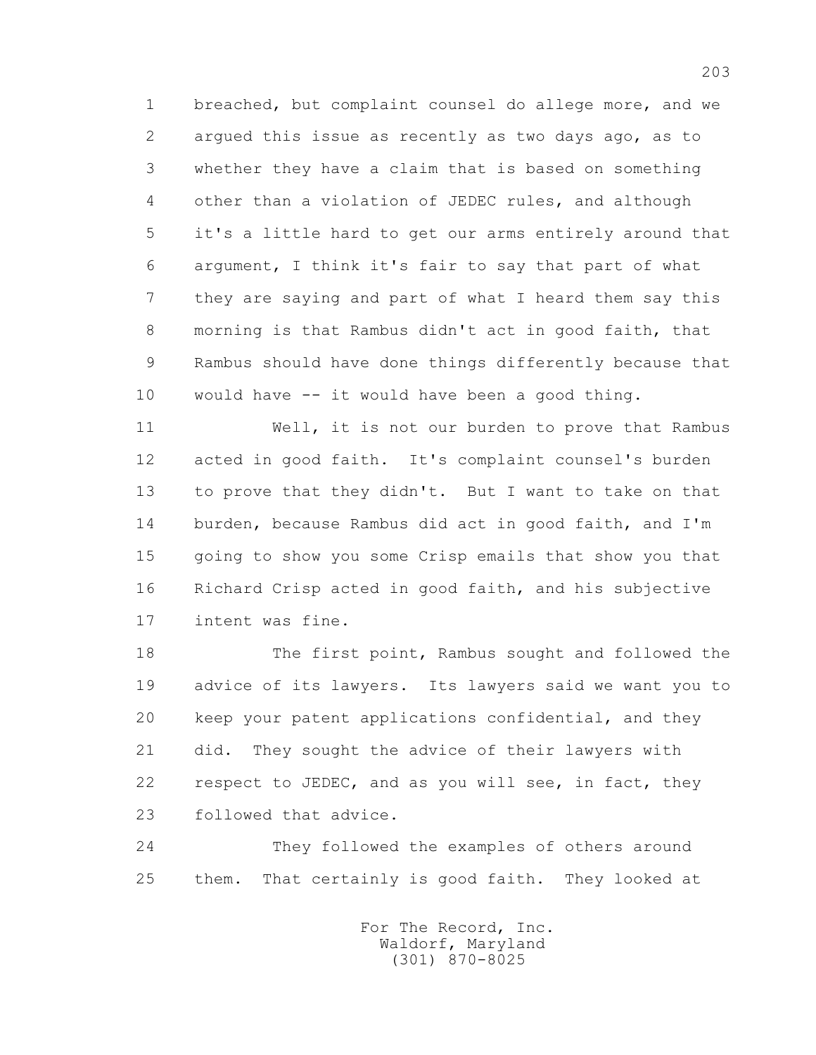1 breached, but complaint counsel do allege more, and we 2 argued this issue as recently as two days ago, as to 3 whether they have a claim that is based on something 4 other than a violation of JEDEC rules, and although 5 it's a little hard to get our arms entirely around that 6 argument, I think it's fair to say that part of what 7 they are saying and part of what I heard them say this 8 morning is that Rambus didn't act in good faith, that 9 Rambus should have done things differently because that 10 would have -- it would have been a good thing.

 11 Well, it is not our burden to prove that Rambus 12 acted in good faith. It's complaint counsel's burden 13 to prove that they didn't. But I want to take on that 14 burden, because Rambus did act in good faith, and I'm 15 going to show you some Crisp emails that show you that 16 Richard Crisp acted in good faith, and his subjective 17 intent was fine.

 18 The first point, Rambus sought and followed the 19 advice of its lawyers. Its lawyers said we want you to 20 keep your patent applications confidential, and they 21 did. They sought the advice of their lawyers with 22 respect to JEDEC, and as you will see, in fact, they 23 followed that advice.

 24 They followed the examples of others around 25 them. That certainly is good faith. They looked at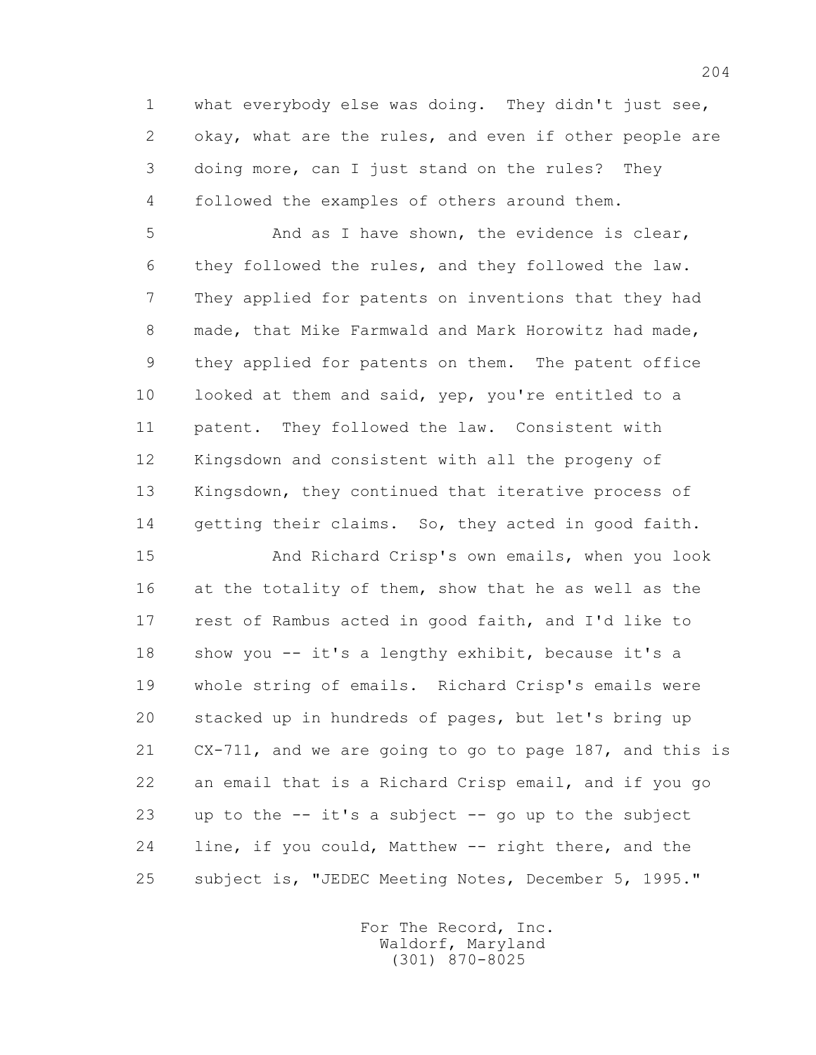1 what everybody else was doing. They didn't just see, 2 okay, what are the rules, and even if other people are 3 doing more, can I just stand on the rules? They 4 followed the examples of others around them.

5 And as I have shown, the evidence is clear, 6 they followed the rules, and they followed the law. 7 They applied for patents on inventions that they had 8 made, that Mike Farmwald and Mark Horowitz had made, 9 they applied for patents on them. The patent office 10 looked at them and said, yep, you're entitled to a 11 patent. They followed the law. Consistent with 12 Kingsdown and consistent with all the progeny of 13 Kingsdown, they continued that iterative process of 14 getting their claims. So, they acted in good faith.

 15 And Richard Crisp's own emails, when you look 16 at the totality of them, show that he as well as the 17 rest of Rambus acted in good faith, and I'd like to 18 show you -- it's a lengthy exhibit, because it's a 19 whole string of emails. Richard Crisp's emails were 20 stacked up in hundreds of pages, but let's bring up 21 CX-711, and we are going to go to page 187, and this is 22 an email that is a Richard Crisp email, and if you go 23 up to the  $-$  it's a subject  $-$  go up to the subject 24 line, if you could, Matthew -- right there, and the 25 subject is, "JEDEC Meeting Notes, December 5, 1995."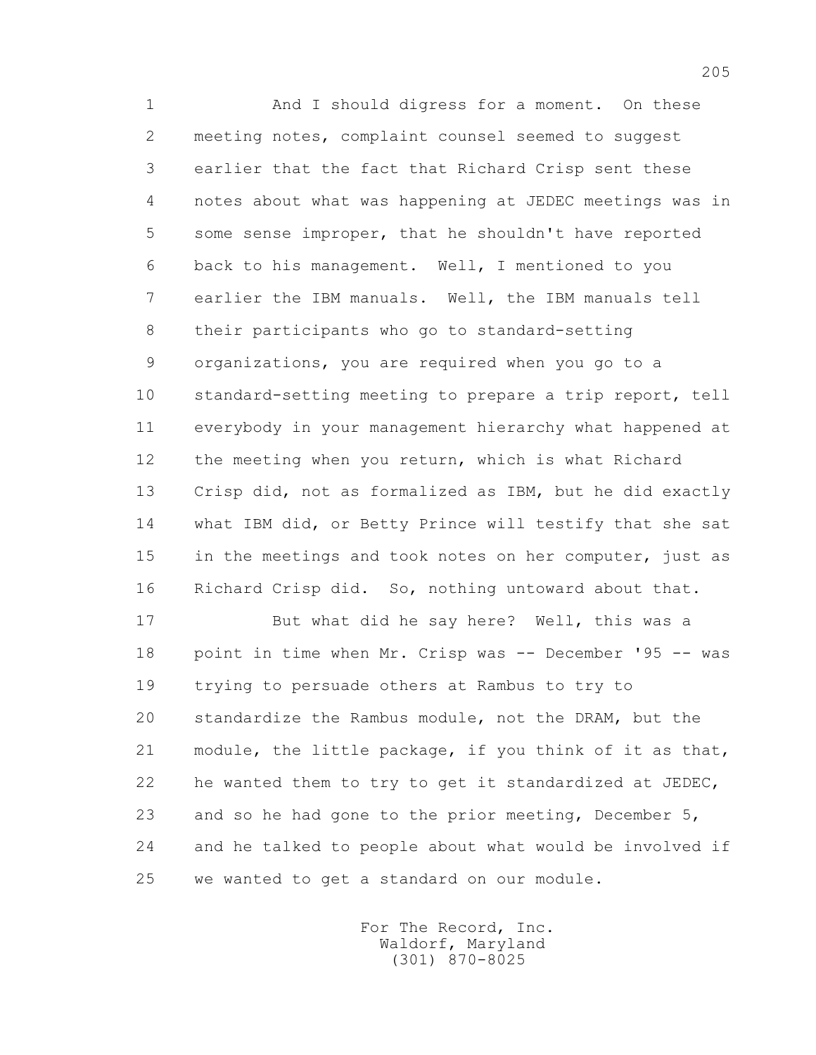1 And I should digress for a moment. On these 2 meeting notes, complaint counsel seemed to suggest 3 earlier that the fact that Richard Crisp sent these 4 notes about what was happening at JEDEC meetings was in 5 some sense improper, that he shouldn't have reported 6 back to his management. Well, I mentioned to you 7 earlier the IBM manuals. Well, the IBM manuals tell 8 their participants who go to standard-setting 9 organizations, you are required when you go to a 10 standard-setting meeting to prepare a trip report, tell 11 everybody in your management hierarchy what happened at 12 the meeting when you return, which is what Richard 13 Crisp did, not as formalized as IBM, but he did exactly 14 what IBM did, or Betty Prince will testify that she sat 15 in the meetings and took notes on her computer, just as 16 Richard Crisp did. So, nothing untoward about that.

 17 But what did he say here? Well, this was a 18 point in time when Mr. Crisp was -- December '95 -- was 19 trying to persuade others at Rambus to try to 20 standardize the Rambus module, not the DRAM, but the 21 module, the little package, if you think of it as that, 22 he wanted them to try to get it standardized at JEDEC, 23 and so he had gone to the prior meeting, December 5, 24 and he talked to people about what would be involved if 25 we wanted to get a standard on our module.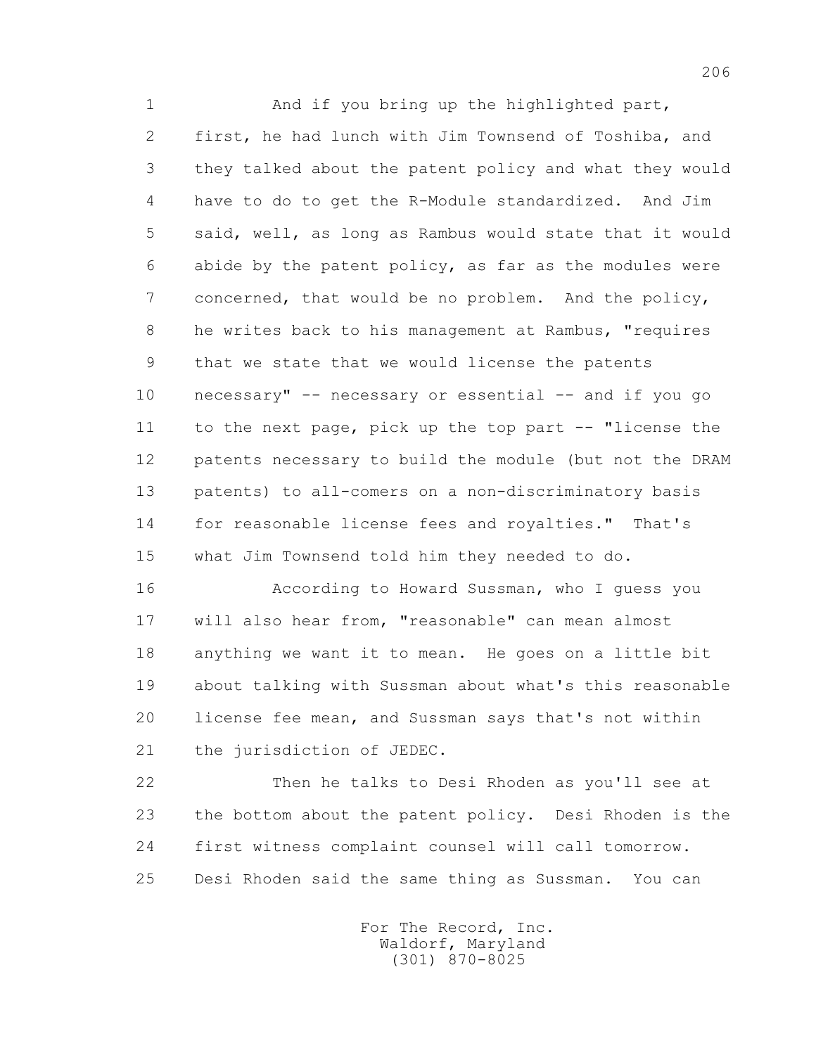1 And if you bring up the highlighted part, 2 first, he had lunch with Jim Townsend of Toshiba, and 3 they talked about the patent policy and what they would 4 have to do to get the R-Module standardized. And Jim 5 said, well, as long as Rambus would state that it would 6 abide by the patent policy, as far as the modules were 7 concerned, that would be no problem. And the policy, 8 he writes back to his management at Rambus, "requires 9 that we state that we would license the patents 10 necessary" -- necessary or essential -- and if you go 11 to the next page, pick up the top part -- "license the 12 patents necessary to build the module (but not the DRAM 13 patents) to all-comers on a non-discriminatory basis 14 for reasonable license fees and royalties." That's 15 what Jim Townsend told him they needed to do. 16 According to Howard Sussman, who I guess you

 17 will also hear from, "reasonable" can mean almost 18 anything we want it to mean. He goes on a little bit 19 about talking with Sussman about what's this reasonable 20 license fee mean, and Sussman says that's not within 21 the jurisdiction of JEDEC.

 22 Then he talks to Desi Rhoden as you'll see at 23 the bottom about the patent policy. Desi Rhoden is the 24 first witness complaint counsel will call tomorrow. 25 Desi Rhoden said the same thing as Sussman. You can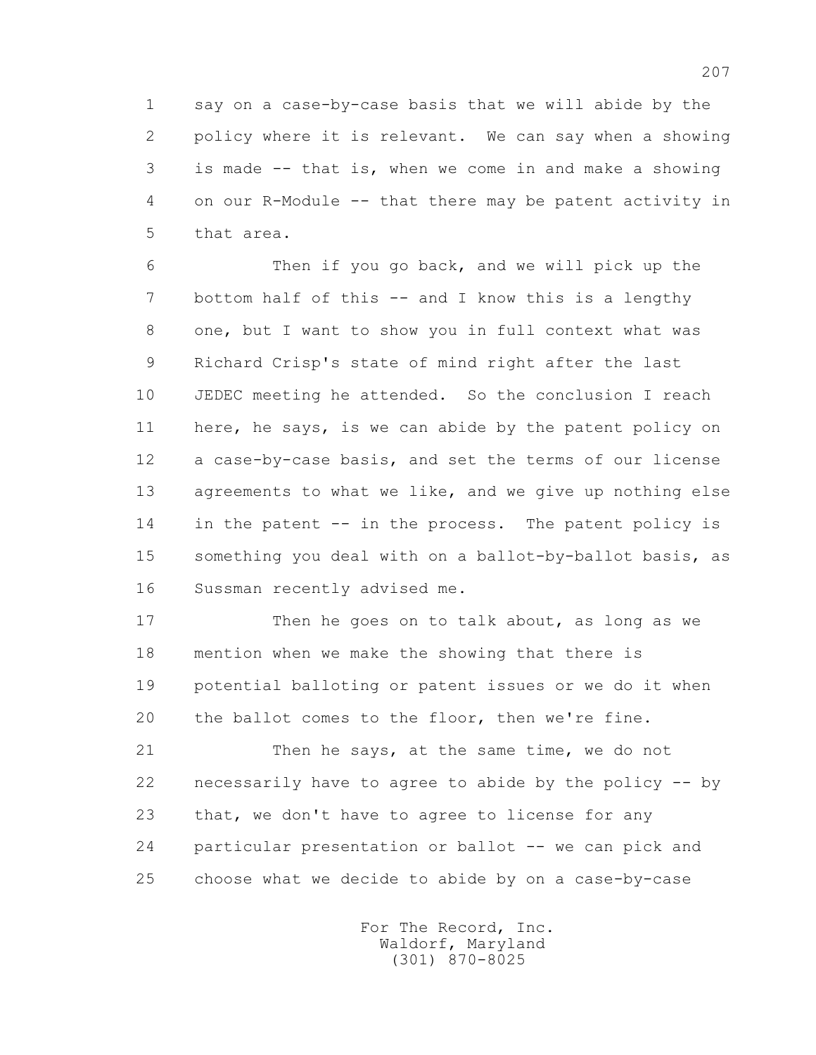1 say on a case-by-case basis that we will abide by the 2 policy where it is relevant. We can say when a showing 3 is made -- that is, when we come in and make a showing 4 on our R-Module -- that there may be patent activity in 5 that area.

 6 Then if you go back, and we will pick up the 7 bottom half of this -- and I know this is a lengthy 8 one, but I want to show you in full context what was 9 Richard Crisp's state of mind right after the last 10 JEDEC meeting he attended. So the conclusion I reach 11 here, he says, is we can abide by the patent policy on 12 a case-by-case basis, and set the terms of our license 13 agreements to what we like, and we give up nothing else 14 in the patent -- in the process. The patent policy is 15 something you deal with on a ballot-by-ballot basis, as 16 Sussman recently advised me.

17 Then he goes on to talk about, as long as we 18 mention when we make the showing that there is 19 potential balloting or patent issues or we do it when 20 the ballot comes to the floor, then we're fine.

 21 Then he says, at the same time, we do not 22 necessarily have to agree to abide by the policy -- by 23 that, we don't have to agree to license for any 24 particular presentation or ballot -- we can pick and 25 choose what we decide to abide by on a case-by-case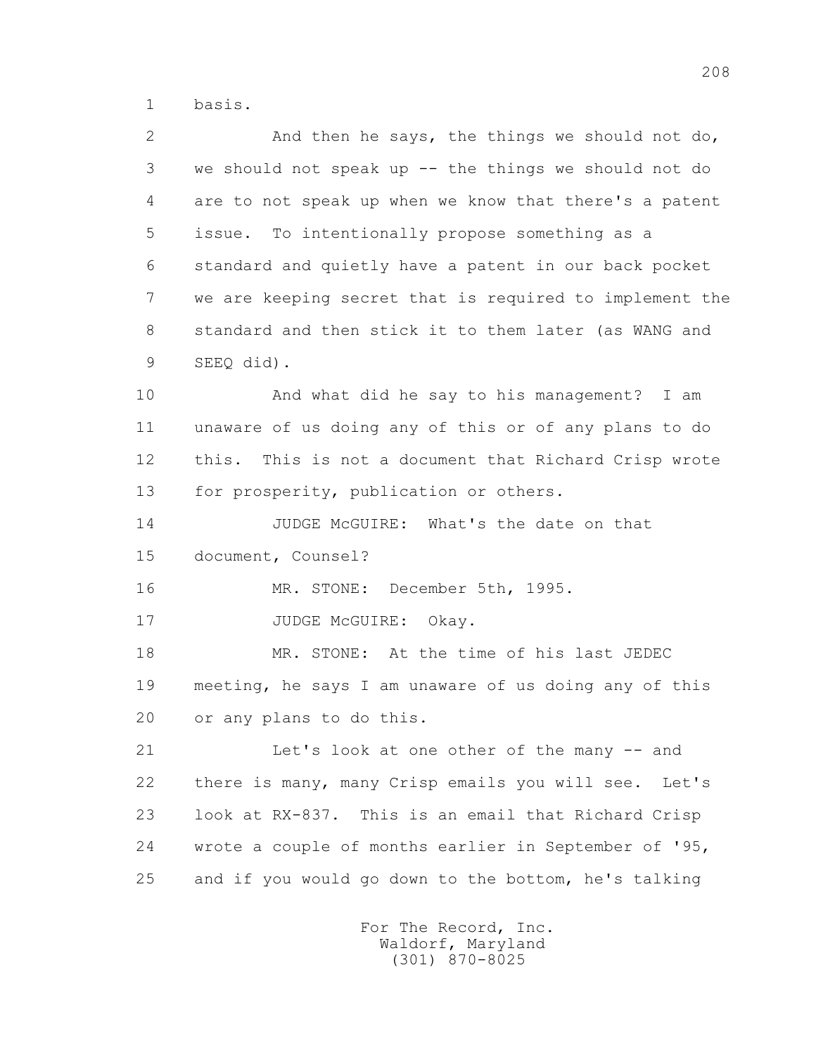1 basis.

 2 And then he says, the things we should not do, 3 we should not speak up -- the things we should not do 4 are to not speak up when we know that there's a patent 5 issue. To intentionally propose something as a 6 standard and quietly have a patent in our back pocket 7 we are keeping secret that is required to implement the 8 standard and then stick it to them later (as WANG and 9 SEEQ did).

 10 And what did he say to his management? I am 11 unaware of us doing any of this or of any plans to do 12 this. This is not a document that Richard Crisp wrote 13 for prosperity, publication or others.

 14 JUDGE McGUIRE: What's the date on that 15 document, Counsel?

16 MR. STONE: December 5th, 1995.

17 JUDGE McGUIRE: Okay.

 18 MR. STONE: At the time of his last JEDEC 19 meeting, he says I am unaware of us doing any of this 20 or any plans to do this.

 21 Let's look at one other of the many -- and 22 there is many, many Crisp emails you will see. Let's 23 look at RX-837. This is an email that Richard Crisp 24 wrote a couple of months earlier in September of '95, 25 and if you would go down to the bottom, he's talking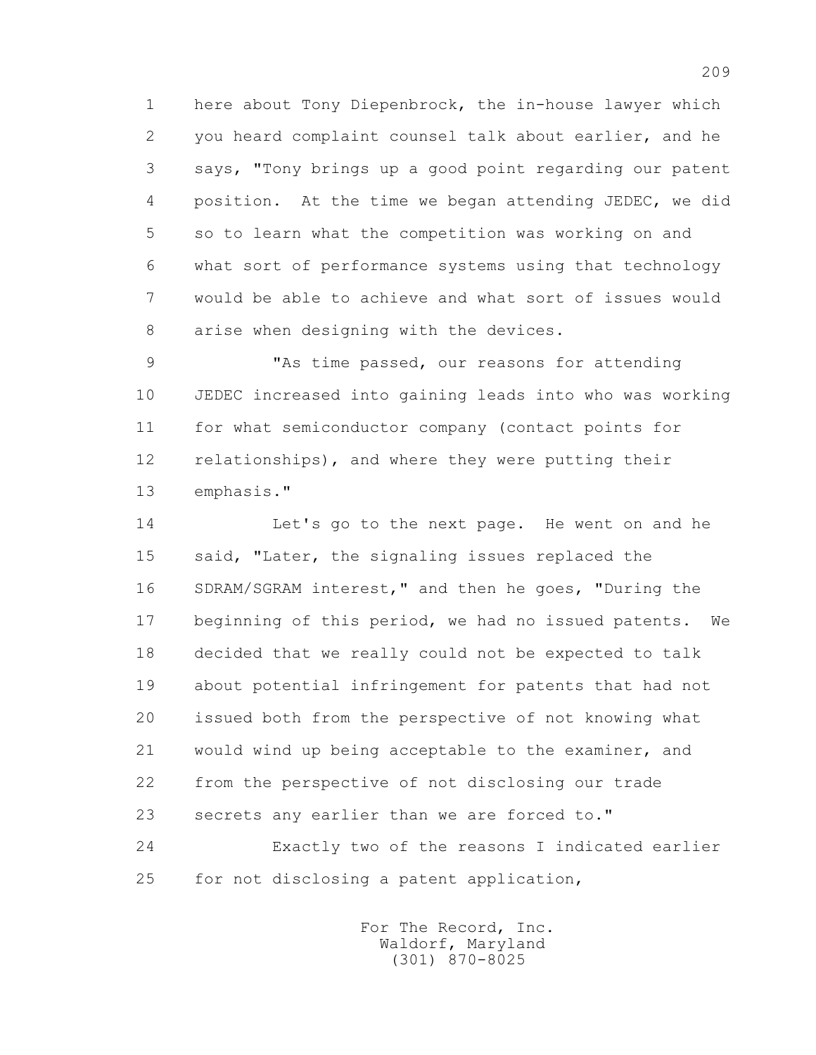1 here about Tony Diepenbrock, the in-house lawyer which 2 you heard complaint counsel talk about earlier, and he 3 says, "Tony brings up a good point regarding our patent 4 position. At the time we began attending JEDEC, we did 5 so to learn what the competition was working on and 6 what sort of performance systems using that technology 7 would be able to achieve and what sort of issues would 8 arise when designing with the devices.

 9 "As time passed, our reasons for attending 10 JEDEC increased into gaining leads into who was working 11 for what semiconductor company (contact points for 12 relationships), and where they were putting their 13 emphasis."

 14 Let's go to the next page. He went on and he 15 said, "Later, the signaling issues replaced the 16 SDRAM/SGRAM interest," and then he goes, "During the 17 beginning of this period, we had no issued patents. We 18 decided that we really could not be expected to talk 19 about potential infringement for patents that had not 20 issued both from the perspective of not knowing what 21 would wind up being acceptable to the examiner, and 22 from the perspective of not disclosing our trade 23 secrets any earlier than we are forced to." 24 Exactly two of the reasons I indicated earlier 25 for not disclosing a patent application,

> For The Record, Inc. Waldorf, Maryland (301) 870-8025

209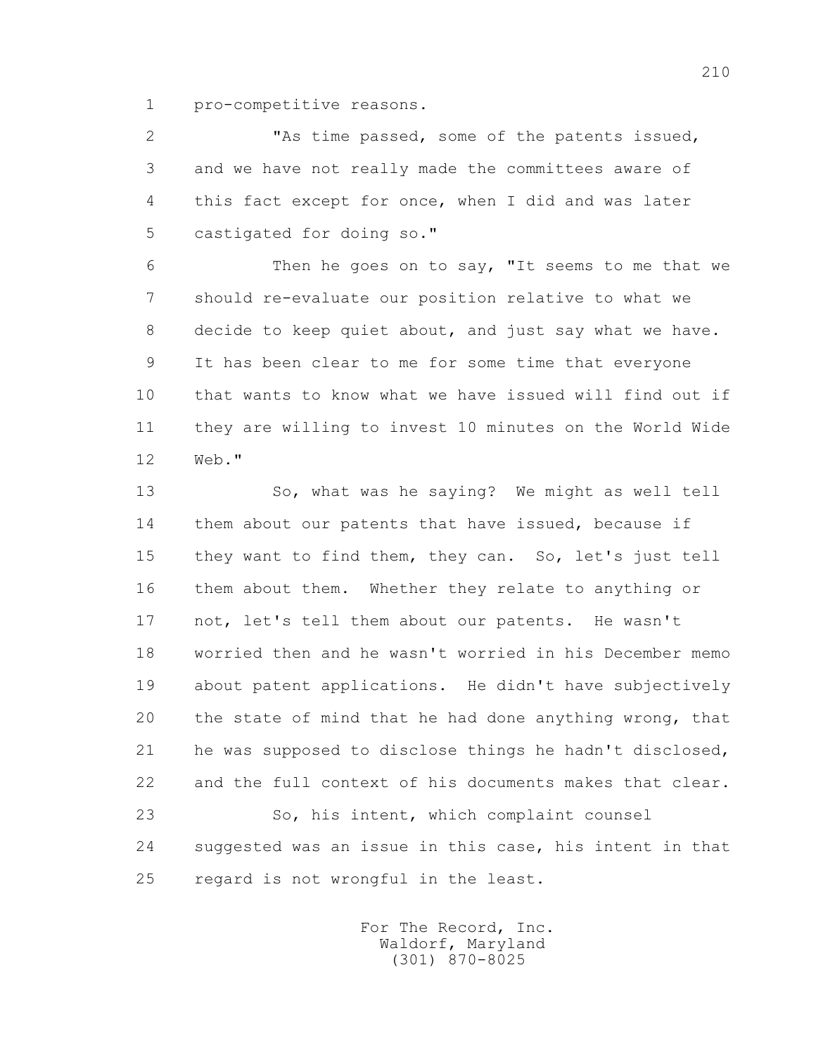1 pro-competitive reasons.

 2 "As time passed, some of the patents issued, 3 and we have not really made the committees aware of 4 this fact except for once, when I did and was later 5 castigated for doing so."

 6 Then he goes on to say, "It seems to me that we 7 should re-evaluate our position relative to what we 8 decide to keep quiet about, and just say what we have. 9 It has been clear to me for some time that everyone 10 that wants to know what we have issued will find out if 11 they are willing to invest 10 minutes on the World Wide 12 Web."

 13 So, what was he saying? We might as well tell 14 them about our patents that have issued, because if 15 they want to find them, they can. So, let's just tell 16 them about them. Whether they relate to anything or 17 not, let's tell them about our patents. He wasn't 18 worried then and he wasn't worried in his December memo 19 about patent applications. He didn't have subjectively 20 the state of mind that he had done anything wrong, that 21 he was supposed to disclose things he hadn't disclosed, 22 and the full context of his documents makes that clear. 23 So, his intent, which complaint counsel 24 suggested was an issue in this case, his intent in that

25 regard is not wrongful in the least.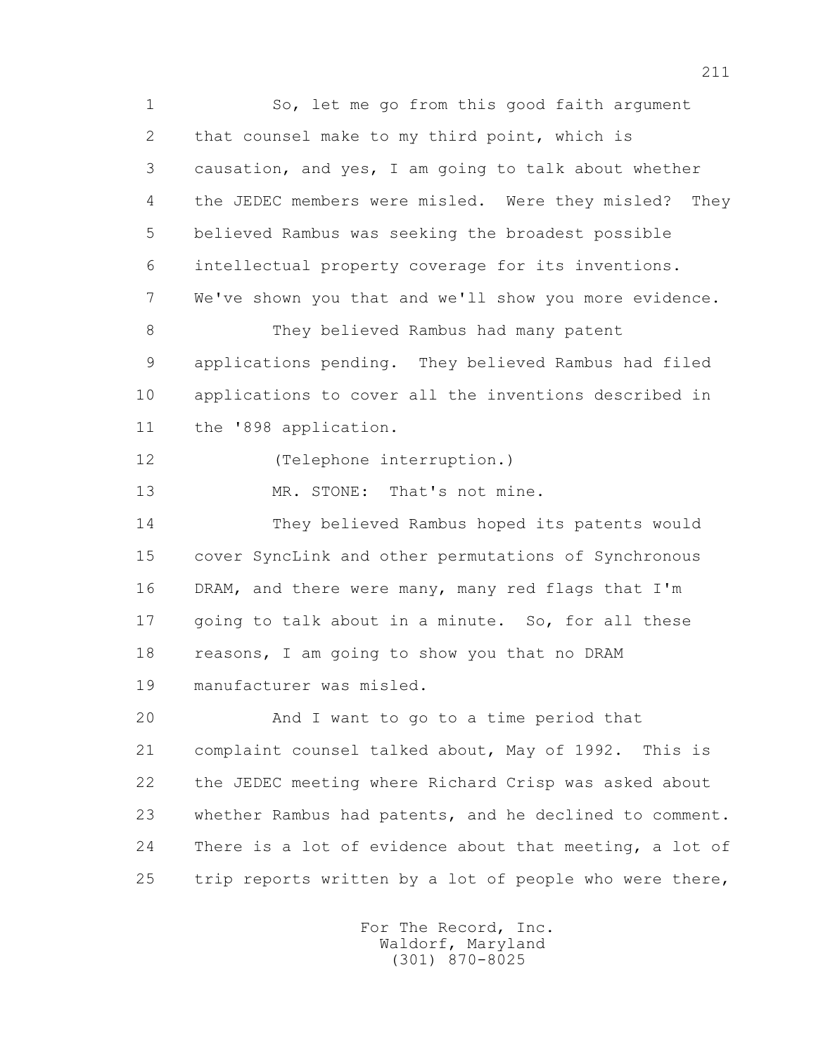1 So, let me go from this good faith argument 2 that counsel make to my third point, which is 3 causation, and yes, I am going to talk about whether 4 the JEDEC members were misled. Were they misled? They 5 believed Rambus was seeking the broadest possible 6 intellectual property coverage for its inventions. 7 We've shown you that and we'll show you more evidence. 8 They believed Rambus had many patent 9 applications pending. They believed Rambus had filed 10 applications to cover all the inventions described in 11 the '898 application. 12 (Telephone interruption.) 13 MR. STONE: That's not mine. 14 They believed Rambus hoped its patents would 15 cover SyncLink and other permutations of Synchronous 16 DRAM, and there were many, many red flags that I'm 17 going to talk about in a minute. So, for all these 18 reasons, I am going to show you that no DRAM 19 manufacturer was misled. 20 And I want to go to a time period that 21 complaint counsel talked about, May of 1992. This is 22 the JEDEC meeting where Richard Crisp was asked about 23 whether Rambus had patents, and he declined to comment. 24 There is a lot of evidence about that meeting, a lot of 25 trip reports written by a lot of people who were there,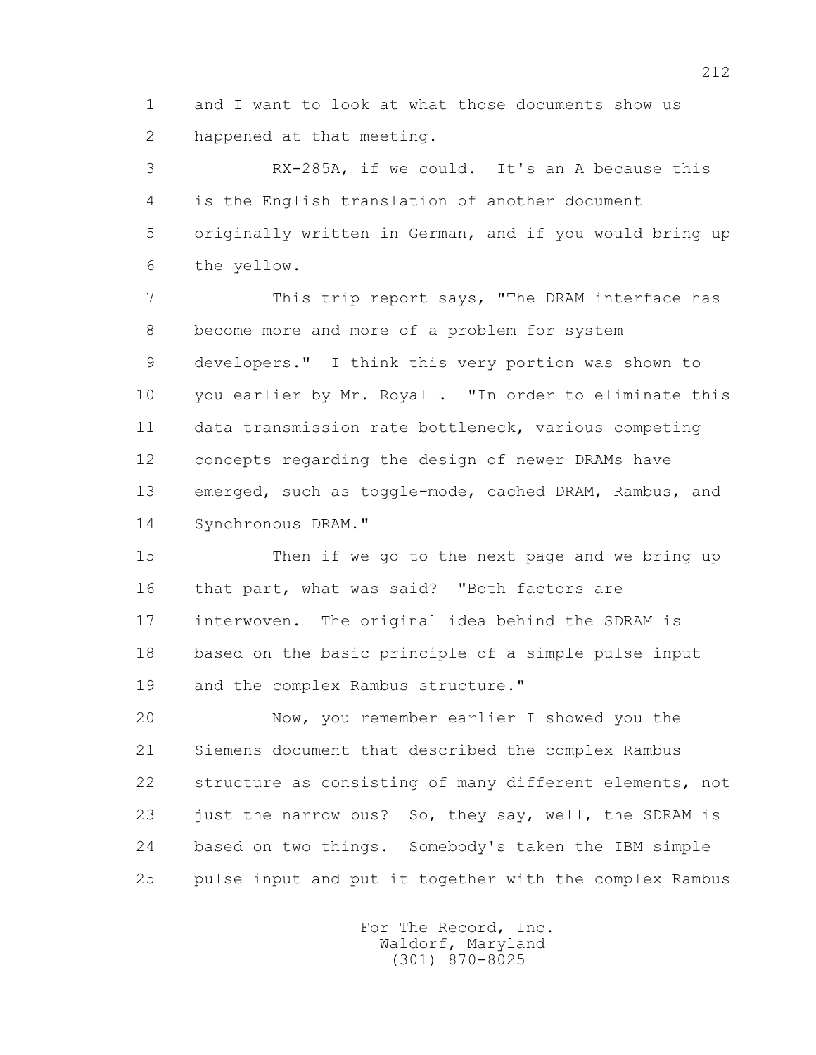1 and I want to look at what those documents show us 2 happened at that meeting.

 3 RX-285A, if we could. It's an A because this 4 is the English translation of another document 5 originally written in German, and if you would bring up 6 the yellow.

7 This trip report says, "The DRAM interface has 8 become more and more of a problem for system 9 developers." I think this very portion was shown to 10 you earlier by Mr. Royall. "In order to eliminate this 11 data transmission rate bottleneck, various competing 12 concepts regarding the design of newer DRAMs have 13 emerged, such as toggle-mode, cached DRAM, Rambus, and 14 Synchronous DRAM."

 15 Then if we go to the next page and we bring up 16 that part, what was said? "Both factors are 17 interwoven. The original idea behind the SDRAM is 18 based on the basic principle of a simple pulse input 19 and the complex Rambus structure."

 20 Now, you remember earlier I showed you the 21 Siemens document that described the complex Rambus 22 structure as consisting of many different elements, not 23 just the narrow bus? So, they say, well, the SDRAM is 24 based on two things. Somebody's taken the IBM simple 25 pulse input and put it together with the complex Rambus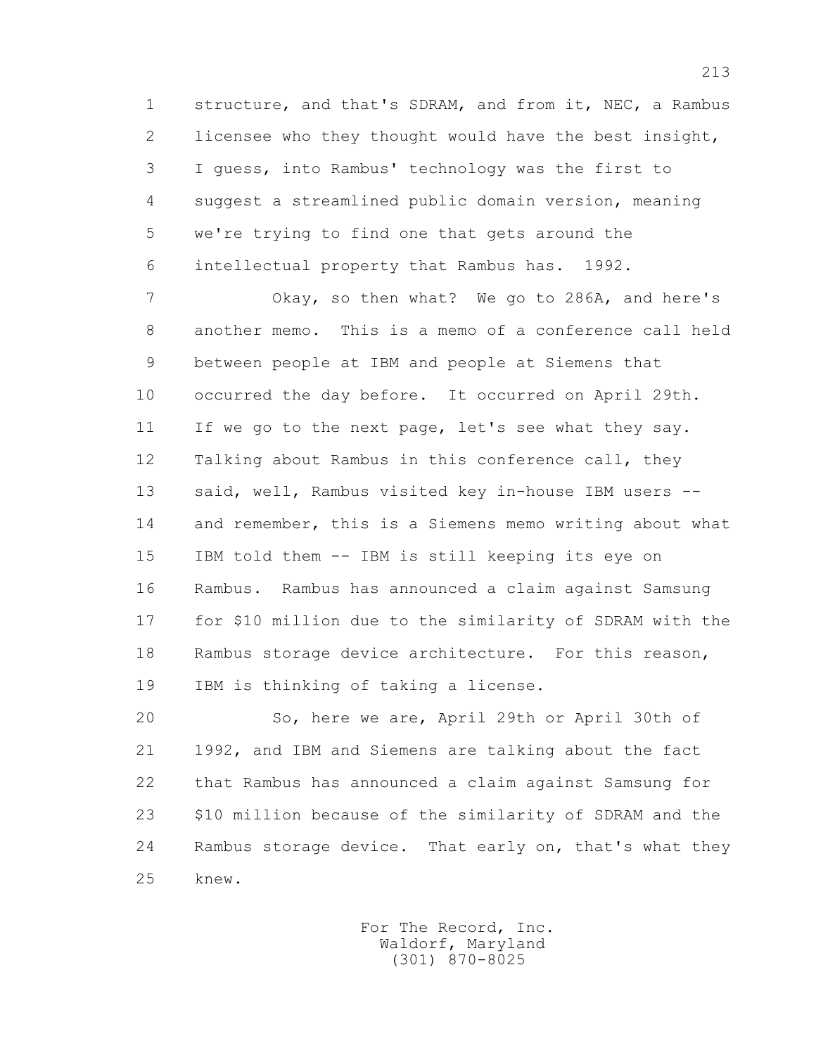1 structure, and that's SDRAM, and from it, NEC, a Rambus 2 licensee who they thought would have the best insight, 3 I guess, into Rambus' technology was the first to 4 suggest a streamlined public domain version, meaning 5 we're trying to find one that gets around the 6 intellectual property that Rambus has. 1992.

 7 Okay, so then what? We go to 286A, and here's 8 another memo. This is a memo of a conference call held 9 between people at IBM and people at Siemens that 10 occurred the day before. It occurred on April 29th. 11 If we go to the next page, let's see what they say. 12 Talking about Rambus in this conference call, they 13 said, well, Rambus visited key in-house IBM users -- 14 and remember, this is a Siemens memo writing about what 15 IBM told them -- IBM is still keeping its eye on 16 Rambus. Rambus has announced a claim against Samsung 17 for \$10 million due to the similarity of SDRAM with the 18 Rambus storage device architecture. For this reason, 19 IBM is thinking of taking a license.

 20 So, here we are, April 29th or April 30th of 21 1992, and IBM and Siemens are talking about the fact 22 that Rambus has announced a claim against Samsung for 23 \$10 million because of the similarity of SDRAM and the 24 Rambus storage device. That early on, that's what they 25 knew.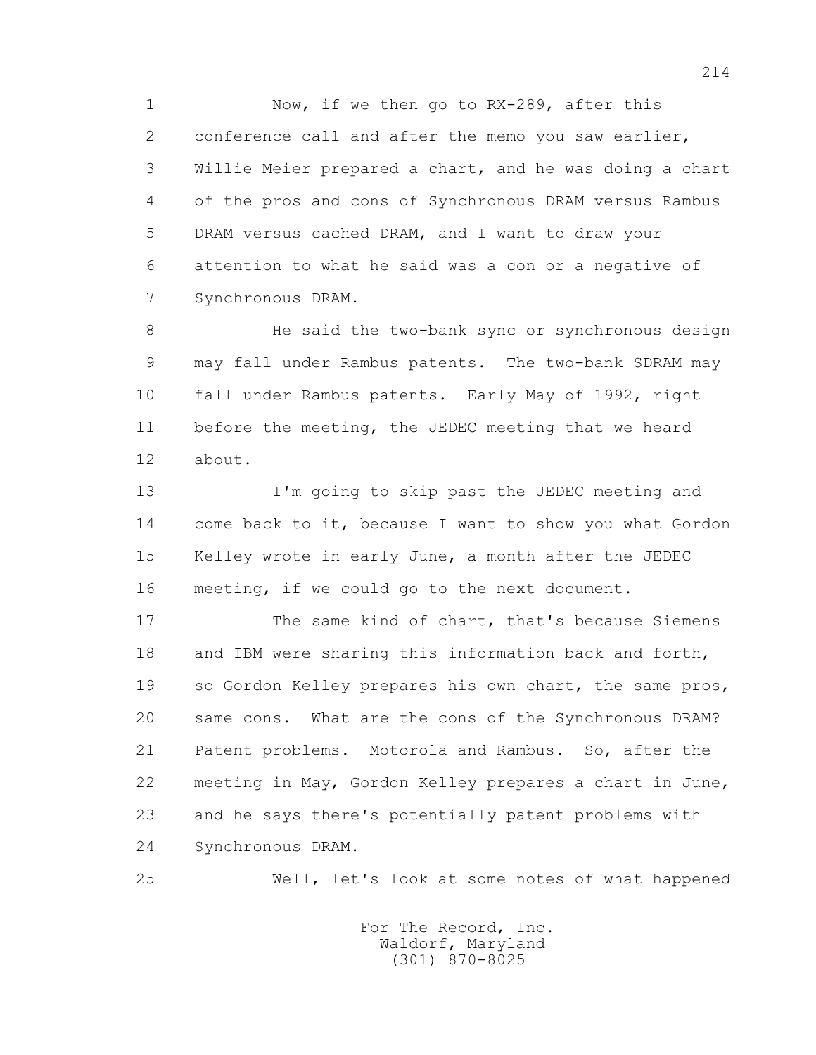1 Now, if we then go to RX-289, after this 2 conference call and after the memo you saw earlier, 3 Willie Meier prepared a chart, and he was doing a chart 4 of the pros and cons of Synchronous DRAM versus Rambus 5 DRAM versus cached DRAM, and I want to draw your 6 attention to what he said was a con or a negative of 7 Synchronous DRAM.

 8 He said the two-bank sync or synchronous design 9 may fall under Rambus patents. The two-bank SDRAM may 10 fall under Rambus patents. Early May of 1992, right 11 before the meeting, the JEDEC meeting that we heard 12 about.

 13 I'm going to skip past the JEDEC meeting and 14 come back to it, because I want to show you what Gordon 15 Kelley wrote in early June, a month after the JEDEC 16 meeting, if we could go to the next document.

 17 The same kind of chart, that's because Siemens 18 and IBM were sharing this information back and forth, 19 so Gordon Kelley prepares his own chart, the same pros, 20 same cons. What are the cons of the Synchronous DRAM? 21 Patent problems. Motorola and Rambus. So, after the 22 meeting in May, Gordon Kelley prepares a chart in June, 23 and he says there's potentially patent problems with 24 Synchronous DRAM.

25 Well, let's look at some notes of what happened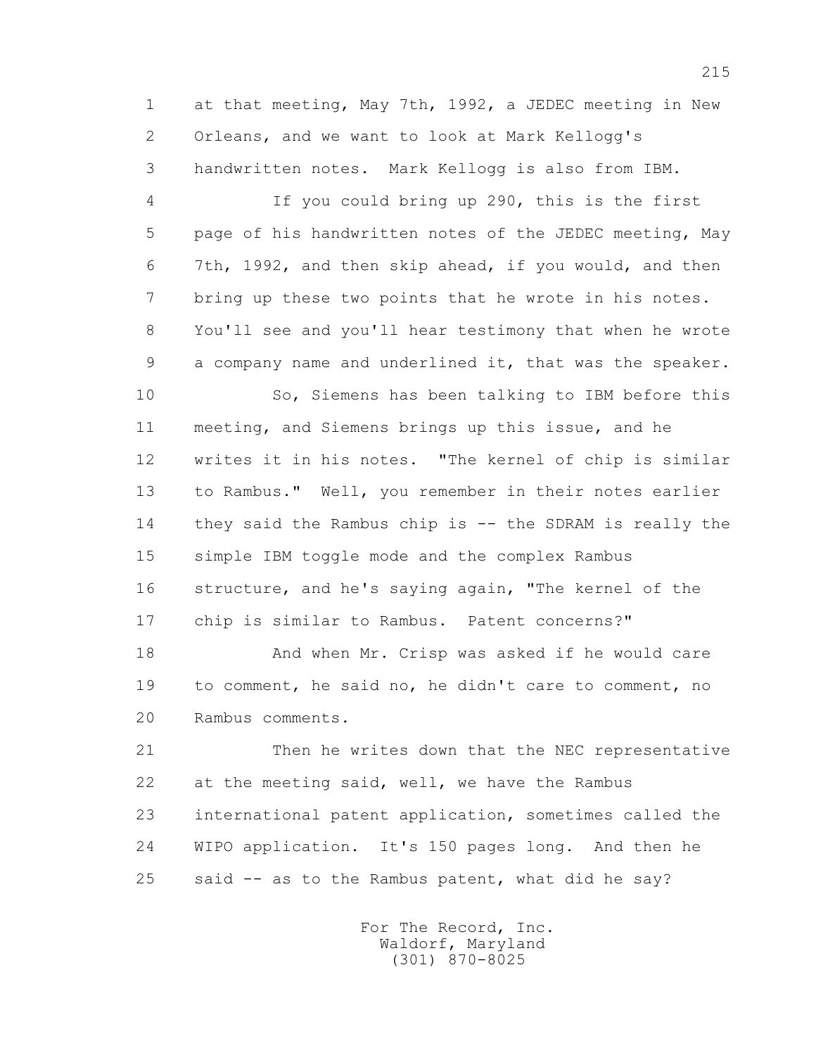1 at that meeting, May 7th, 1992, a JEDEC meeting in New 2 Orleans, and we want to look at Mark Kellogg's 3 handwritten notes. Mark Kellogg is also from IBM.

 4 If you could bring up 290, this is the first 5 page of his handwritten notes of the JEDEC meeting, May 6 7th, 1992, and then skip ahead, if you would, and then 7 bring up these two points that he wrote in his notes. 8 You'll see and you'll hear testimony that when he wrote 9 a company name and underlined it, that was the speaker.

 10 So, Siemens has been talking to IBM before this 11 meeting, and Siemens brings up this issue, and he 12 writes it in his notes. "The kernel of chip is similar 13 to Rambus." Well, you remember in their notes earlier 14 they said the Rambus chip is -- the SDRAM is really the 15 simple IBM toggle mode and the complex Rambus 16 structure, and he's saying again, "The kernel of the 17 chip is similar to Rambus. Patent concerns?"

 18 And when Mr. Crisp was asked if he would care 19 to comment, he said no, he didn't care to comment, no 20 Rambus comments.

 21 Then he writes down that the NEC representative 22 at the meeting said, well, we have the Rambus 23 international patent application, sometimes called the 24 WIPO application. It's 150 pages long. And then he 25 said -- as to the Rambus patent, what did he say?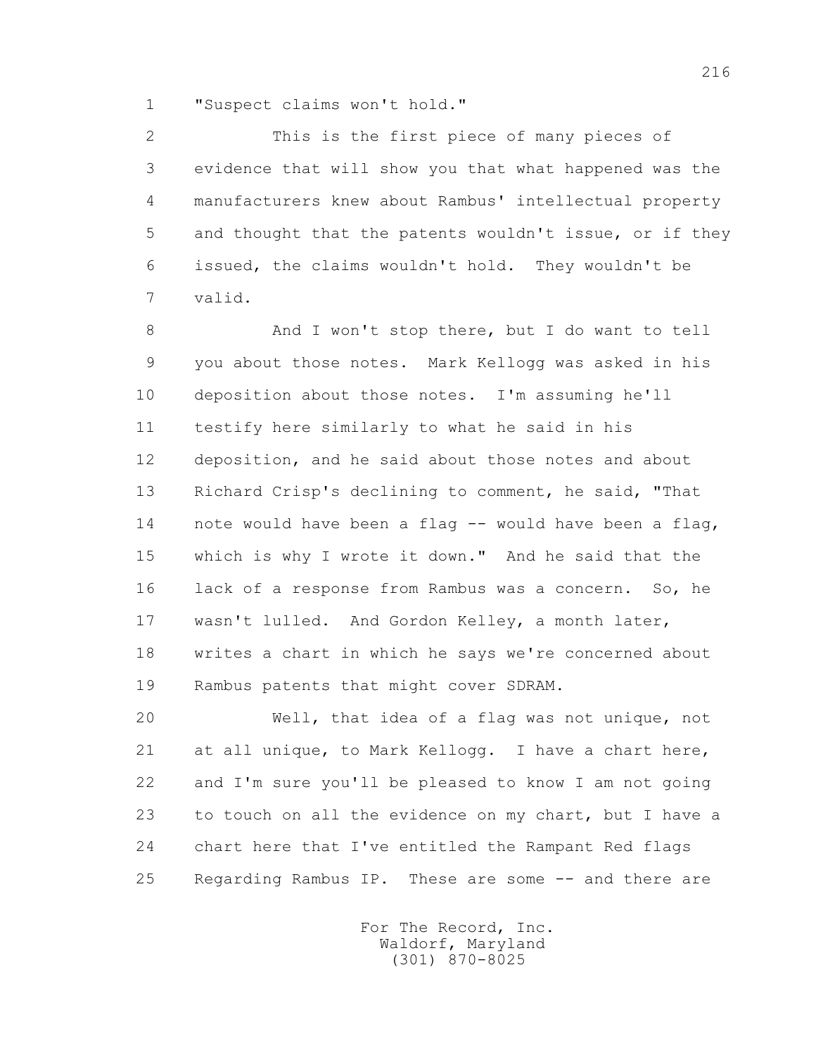1 "Suspect claims won't hold."

 2 This is the first piece of many pieces of 3 evidence that will show you that what happened was the 4 manufacturers knew about Rambus' intellectual property 5 and thought that the patents wouldn't issue, or if they 6 issued, the claims wouldn't hold. They wouldn't be 7 valid.

 8 And I won't stop there, but I do want to tell 9 you about those notes. Mark Kellogg was asked in his 10 deposition about those notes. I'm assuming he'll 11 testify here similarly to what he said in his 12 deposition, and he said about those notes and about 13 Richard Crisp's declining to comment, he said, "That 14 note would have been a flag -- would have been a flag, 15 which is why I wrote it down." And he said that the 16 lack of a response from Rambus was a concern. So, he 17 wasn't lulled. And Gordon Kelley, a month later, 18 writes a chart in which he says we're concerned about 19 Rambus patents that might cover SDRAM.

 20 Well, that idea of a flag was not unique, not 21 at all unique, to Mark Kellogg. I have a chart here, 22 and I'm sure you'll be pleased to know I am not going 23 to touch on all the evidence on my chart, but I have a 24 chart here that I've entitled the Rampant Red flags 25 Regarding Rambus IP. These are some -- and there are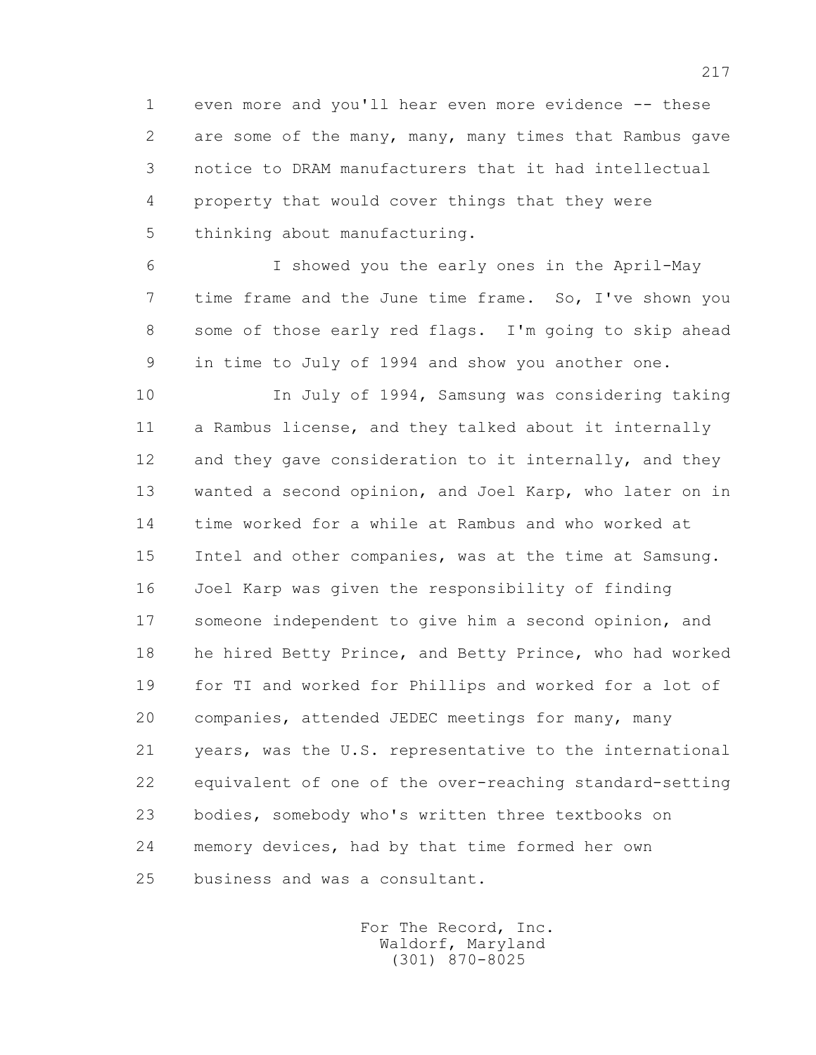1 even more and you'll hear even more evidence -- these 2 are some of the many, many, many times that Rambus gave 3 notice to DRAM manufacturers that it had intellectual 4 property that would cover things that they were 5 thinking about manufacturing.

 6 I showed you the early ones in the April-May 7 time frame and the June time frame. So, I've shown you 8 some of those early red flags. I'm going to skip ahead 9 in time to July of 1994 and show you another one.

 10 In July of 1994, Samsung was considering taking 11 a Rambus license, and they talked about it internally 12 and they gave consideration to it internally, and they 13 wanted a second opinion, and Joel Karp, who later on in 14 time worked for a while at Rambus and who worked at 15 Intel and other companies, was at the time at Samsung. 16 Joel Karp was given the responsibility of finding 17 someone independent to give him a second opinion, and 18 he hired Betty Prince, and Betty Prince, who had worked 19 for TI and worked for Phillips and worked for a lot of 20 companies, attended JEDEC meetings for many, many 21 years, was the U.S. representative to the international 22 equivalent of one of the over-reaching standard-setting 23 bodies, somebody who's written three textbooks on 24 memory devices, had by that time formed her own 25 business and was a consultant.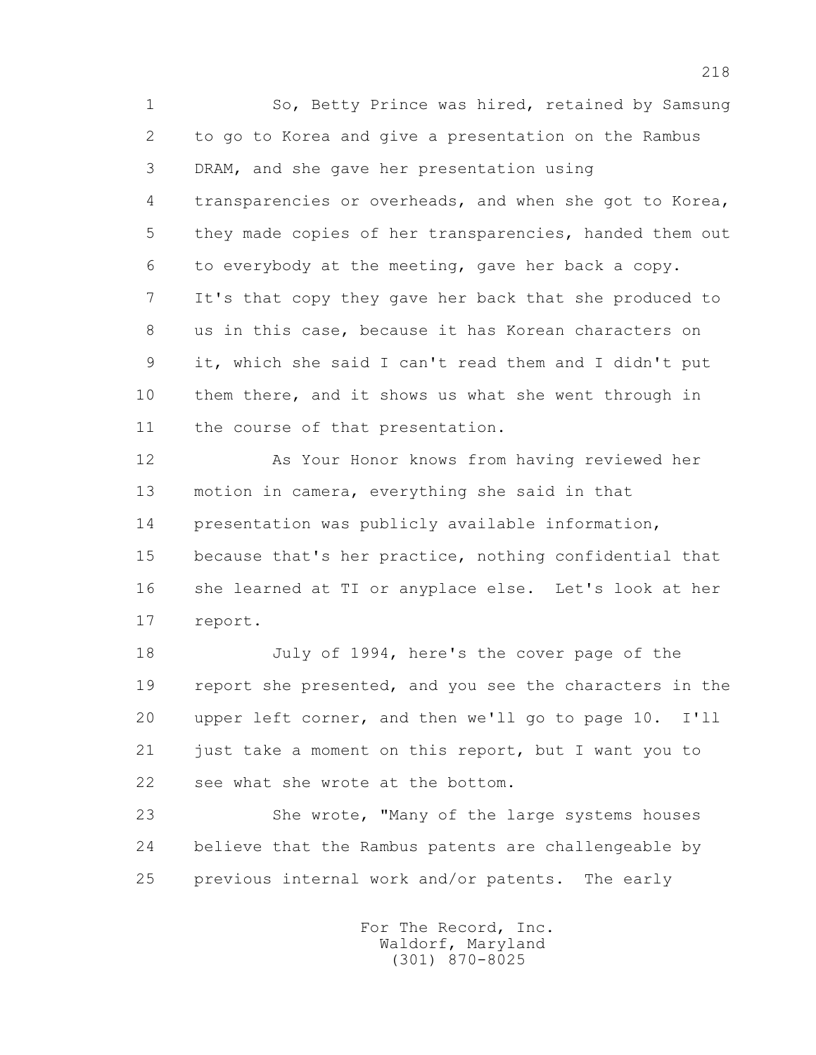1 So, Betty Prince was hired, retained by Samsung 2 to go to Korea and give a presentation on the Rambus 3 DRAM, and she gave her presentation using 4 transparencies or overheads, and when she got to Korea, 5 they made copies of her transparencies, handed them out 6 to everybody at the meeting, gave her back a copy. 7 It's that copy they gave her back that she produced to 8 us in this case, because it has Korean characters on 9 it, which she said I can't read them and I didn't put 10 them there, and it shows us what she went through in 11 the course of that presentation.

 12 As Your Honor knows from having reviewed her 13 motion in camera, everything she said in that 14 presentation was publicly available information, 15 because that's her practice, nothing confidential that 16 she learned at TI or anyplace else. Let's look at her 17 report.

 18 July of 1994, here's the cover page of the 19 report she presented, and you see the characters in the 20 upper left corner, and then we'll go to page 10. I'll 21 just take a moment on this report, but I want you to 22 see what she wrote at the bottom.

 23 She wrote, "Many of the large systems houses 24 believe that the Rambus patents are challengeable by 25 previous internal work and/or patents. The early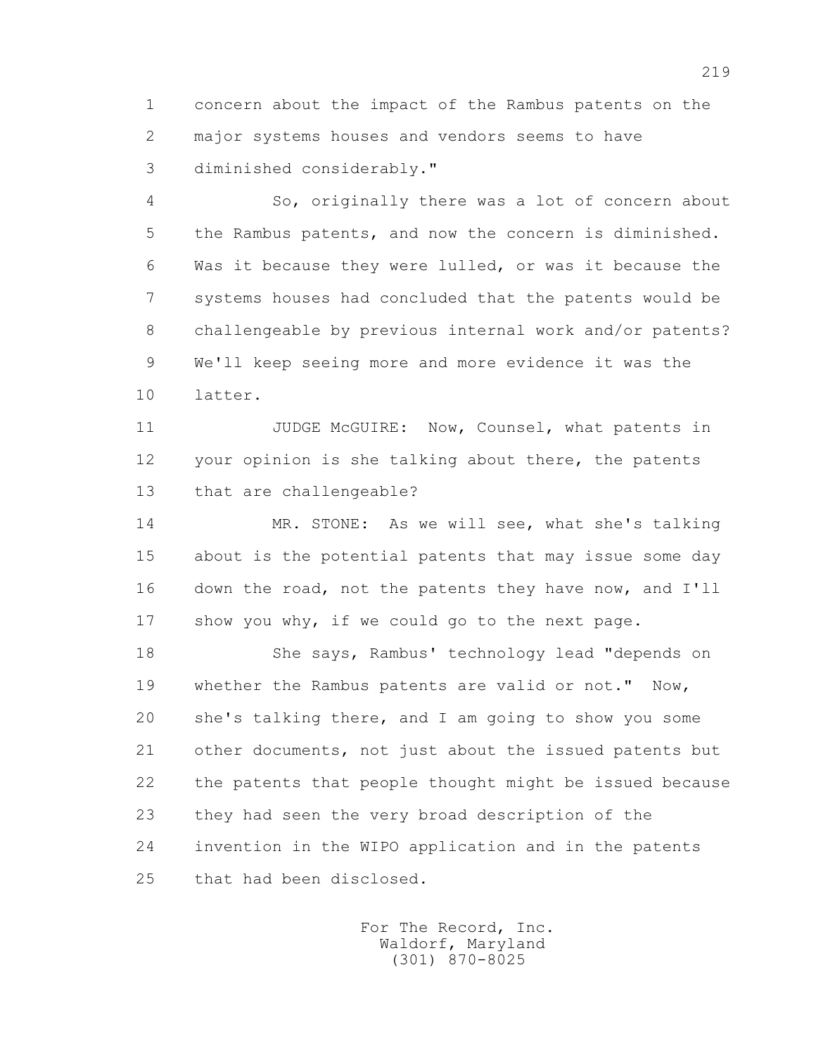1 concern about the impact of the Rambus patents on the 2 major systems houses and vendors seems to have 3 diminished considerably."

 4 So, originally there was a lot of concern about 5 the Rambus patents, and now the concern is diminished. 6 Was it because they were lulled, or was it because the 7 systems houses had concluded that the patents would be 8 challengeable by previous internal work and/or patents? 9 We'll keep seeing more and more evidence it was the 10 latter.

11 JUDGE McGUIRE: Now, Counsel, what patents in 12 your opinion is she talking about there, the patents 13 that are challengeable?

 14 MR. STONE: As we will see, what she's talking 15 about is the potential patents that may issue some day 16 down the road, not the patents they have now, and I'll 17 show you why, if we could go to the next page.

 18 She says, Rambus' technology lead "depends on 19 whether the Rambus patents are valid or not." Now, 20 she's talking there, and I am going to show you some 21 other documents, not just about the issued patents but 22 the patents that people thought might be issued because 23 they had seen the very broad description of the 24 invention in the WIPO application and in the patents 25 that had been disclosed.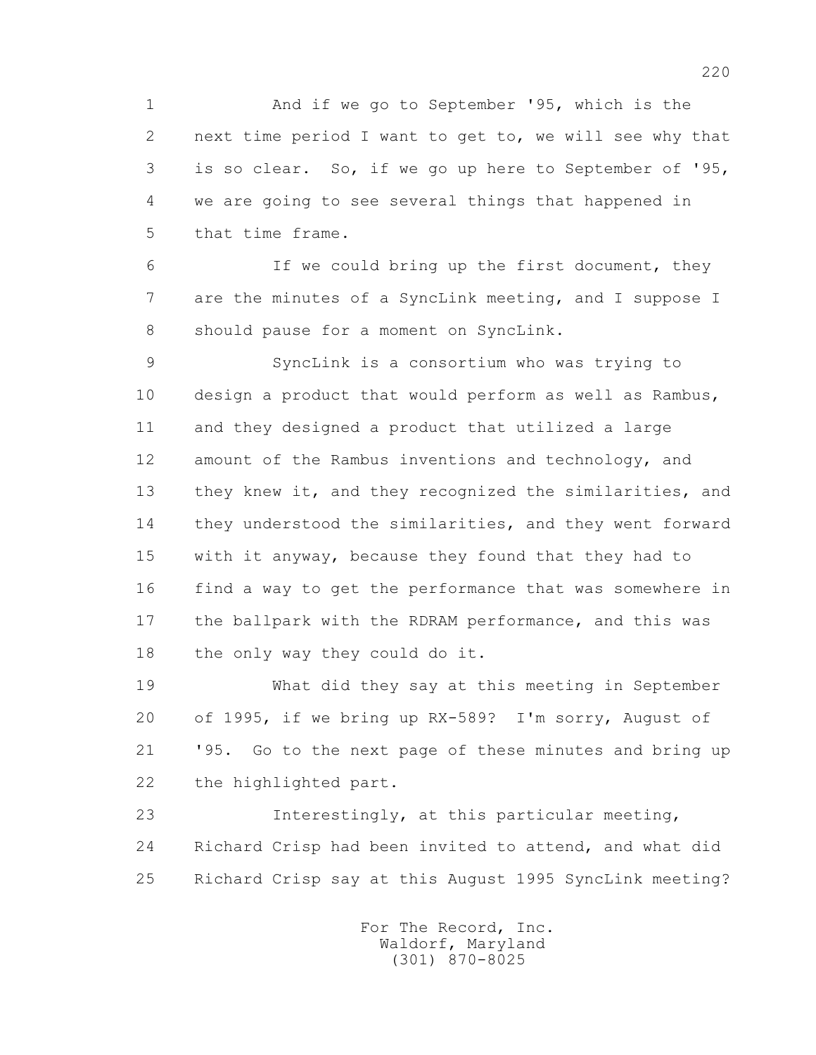1 And if we go to September '95, which is the 2 next time period I want to get to, we will see why that 3 is so clear. So, if we go up here to September of '95, 4 we are going to see several things that happened in 5 that time frame.

 6 If we could bring up the first document, they 7 are the minutes of a SyncLink meeting, and I suppose I 8 should pause for a moment on SyncLink.

 9 SyncLink is a consortium who was trying to 10 design a product that would perform as well as Rambus, 11 and they designed a product that utilized a large 12 amount of the Rambus inventions and technology, and 13 they knew it, and they recognized the similarities, and 14 they understood the similarities, and they went forward 15 with it anyway, because they found that they had to 16 find a way to get the performance that was somewhere in 17 the ballpark with the RDRAM performance, and this was 18 the only way they could do it.

 19 What did they say at this meeting in September 20 of 1995, if we bring up RX-589? I'm sorry, August of 21 '95. Go to the next page of these minutes and bring up 22 the highlighted part.

 23 Interestingly, at this particular meeting, 24 Richard Crisp had been invited to attend, and what did 25 Richard Crisp say at this August 1995 SyncLink meeting?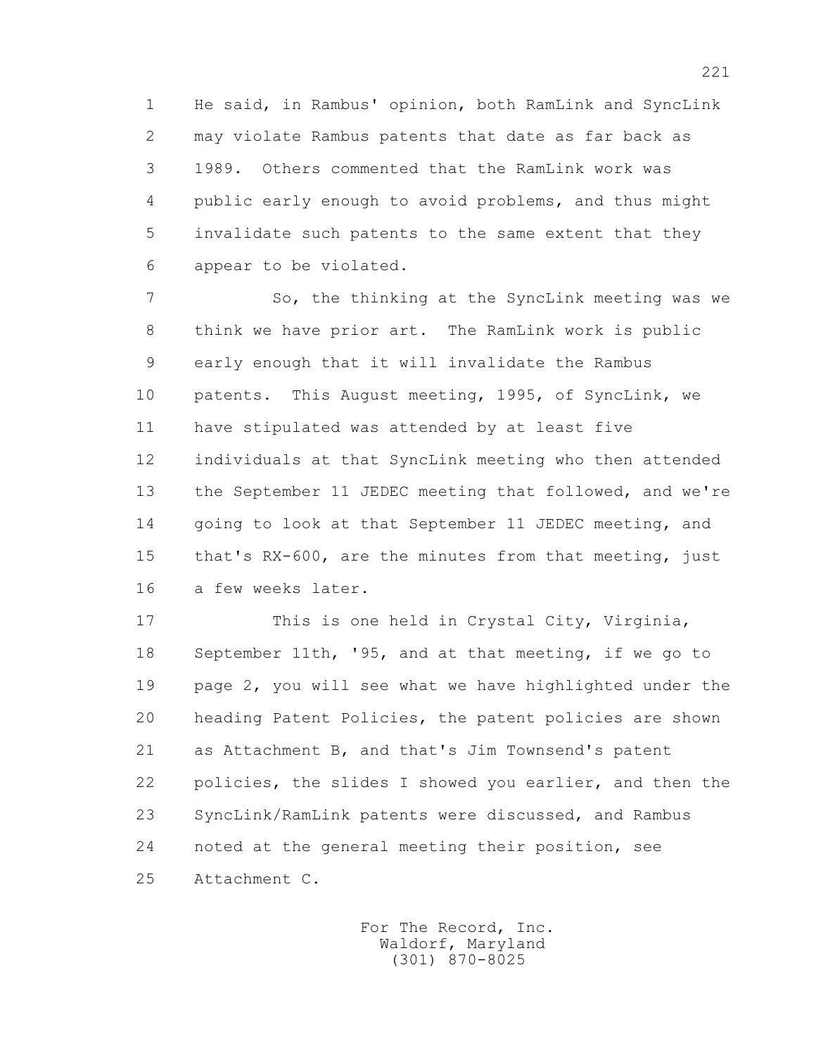1 He said, in Rambus' opinion, both RamLink and SyncLink 2 may violate Rambus patents that date as far back as 3 1989. Others commented that the RamLink work was 4 public early enough to avoid problems, and thus might 5 invalidate such patents to the same extent that they 6 appear to be violated.

 7 So, the thinking at the SyncLink meeting was we 8 think we have prior art. The RamLink work is public 9 early enough that it will invalidate the Rambus 10 patents. This August meeting, 1995, of SyncLink, we 11 have stipulated was attended by at least five 12 individuals at that SyncLink meeting who then attended 13 the September 11 JEDEC meeting that followed, and we're 14 going to look at that September 11 JEDEC meeting, and 15 that's RX-600, are the minutes from that meeting, just 16 a few weeks later.

 17 This is one held in Crystal City, Virginia, 18 September 11th, '95, and at that meeting, if we go to 19 page 2, you will see what we have highlighted under the 20 heading Patent Policies, the patent policies are shown 21 as Attachment B, and that's Jim Townsend's patent 22 policies, the slides I showed you earlier, and then the 23 SyncLink/RamLink patents were discussed, and Rambus 24 noted at the general meeting their position, see 25 Attachment C.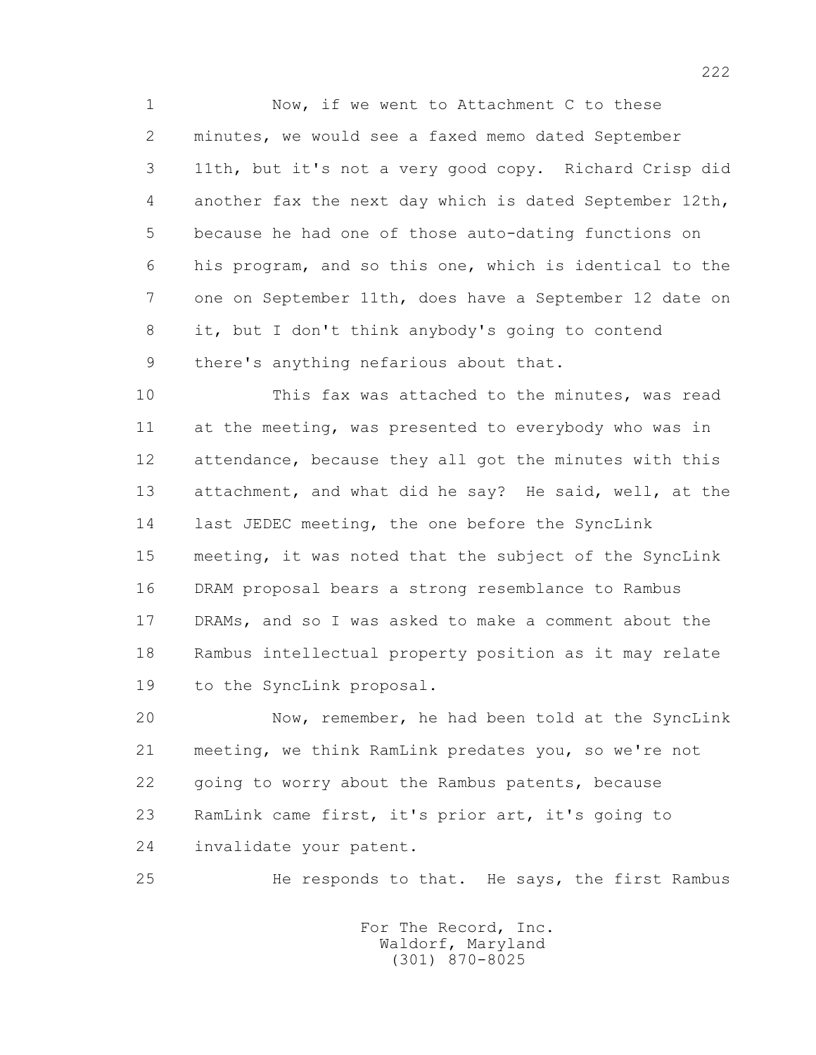1 Now, if we went to Attachment C to these 2 minutes, we would see a faxed memo dated September 3 11th, but it's not a very good copy. Richard Crisp did 4 another fax the next day which is dated September 12th, 5 because he had one of those auto-dating functions on 6 his program, and so this one, which is identical to the 7 one on September 11th, does have a September 12 date on 8 it, but I don't think anybody's going to contend 9 there's anything nefarious about that.

 10 This fax was attached to the minutes, was read 11 at the meeting, was presented to everybody who was in 12 attendance, because they all got the minutes with this 13 attachment, and what did he say? He said, well, at the 14 last JEDEC meeting, the one before the SyncLink 15 meeting, it was noted that the subject of the SyncLink 16 DRAM proposal bears a strong resemblance to Rambus 17 DRAMs, and so I was asked to make a comment about the 18 Rambus intellectual property position as it may relate 19 to the SyncLink proposal.

 20 Now, remember, he had been told at the SyncLink 21 meeting, we think RamLink predates you, so we're not 22 going to worry about the Rambus patents, because 23 RamLink came first, it's prior art, it's going to 24 invalidate your patent.

25 He responds to that. He says, the first Rambus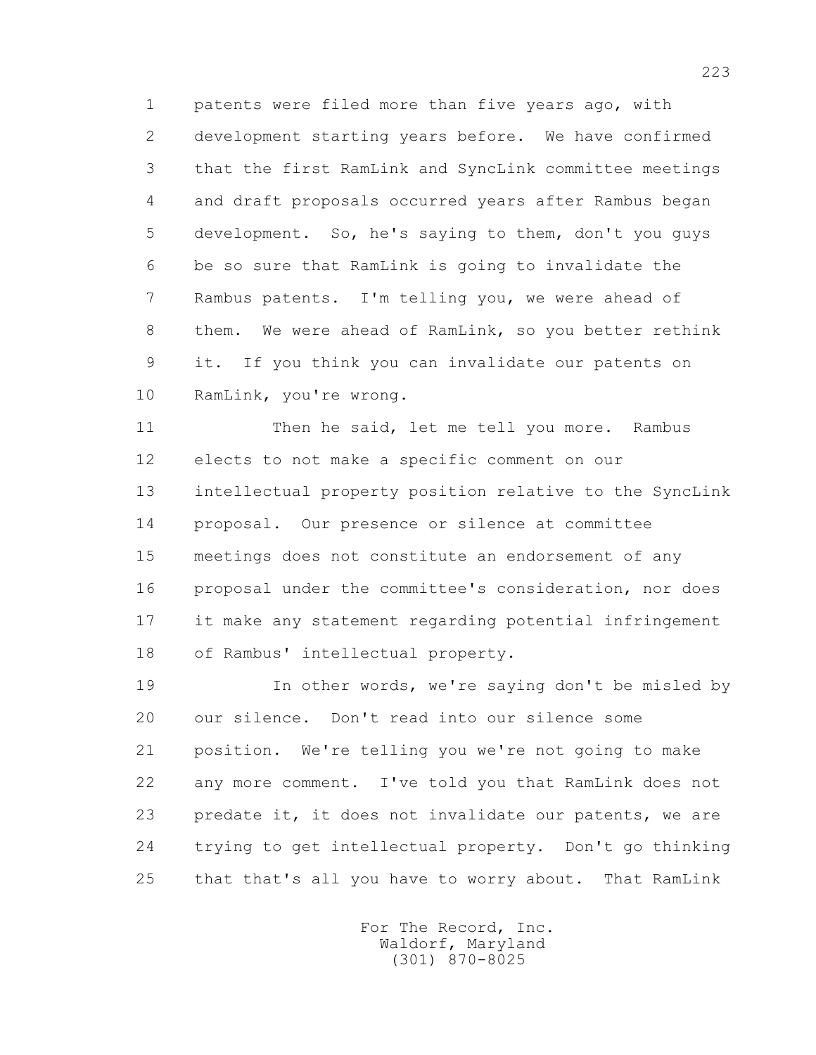1 patents were filed more than five years ago, with 2 development starting years before. We have confirmed 3 that the first RamLink and SyncLink committee meetings 4 and draft proposals occurred years after Rambus began 5 development. So, he's saying to them, don't you guys 6 be so sure that RamLink is going to invalidate the 7 Rambus patents. I'm telling you, we were ahead of 8 them. We were ahead of RamLink, so you better rethink 9 it. If you think you can invalidate our patents on 10 RamLink, you're wrong.

11 Then he said, let me tell you more. Rambus 12 elects to not make a specific comment on our 13 intellectual property position relative to the SyncLink 14 proposal. Our presence or silence at committee 15 meetings does not constitute an endorsement of any 16 proposal under the committee's consideration, nor does 17 it make any statement regarding potential infringement 18 of Rambus' intellectual property.

 19 In other words, we're saying don't be misled by 20 our silence. Don't read into our silence some 21 position. We're telling you we're not going to make 22 any more comment. I've told you that RamLink does not 23 predate it, it does not invalidate our patents, we are 24 trying to get intellectual property. Don't go thinking 25 that that's all you have to worry about. That RamLink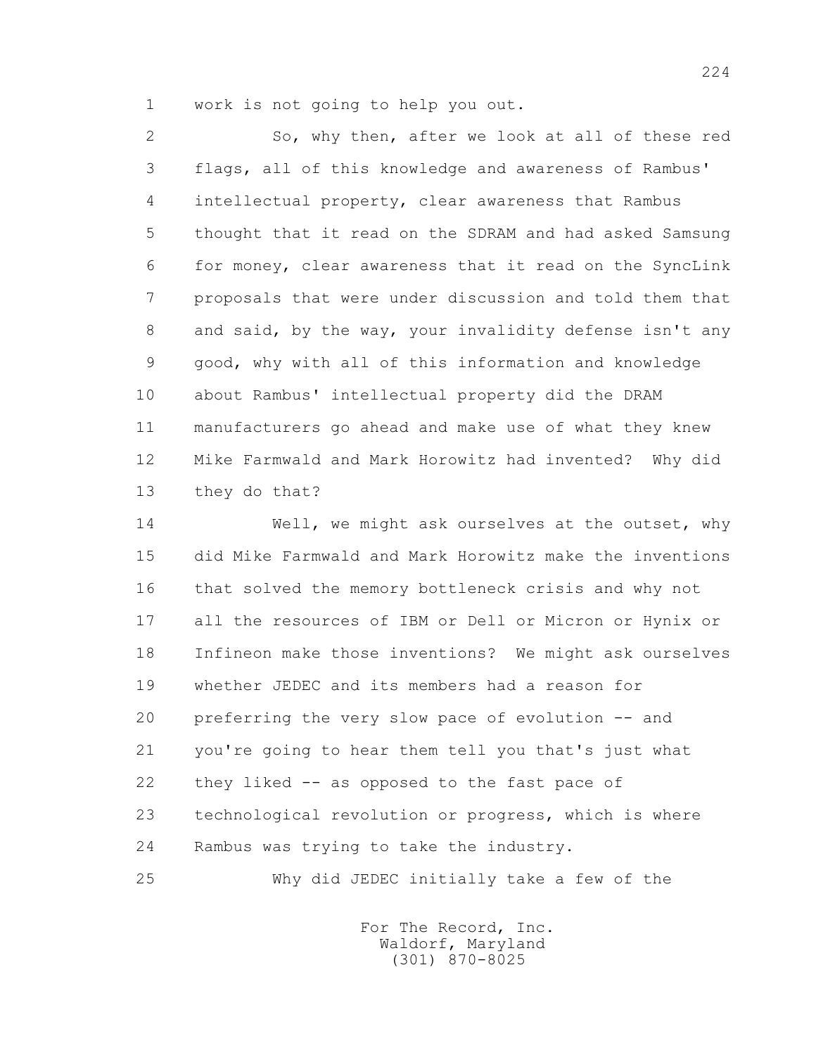1 work is not going to help you out.

 2 So, why then, after we look at all of these red 3 flags, all of this knowledge and awareness of Rambus' 4 intellectual property, clear awareness that Rambus 5 thought that it read on the SDRAM and had asked Samsung 6 for money, clear awareness that it read on the SyncLink 7 proposals that were under discussion and told them that 8 and said, by the way, your invalidity defense isn't any 9 good, why with all of this information and knowledge 10 about Rambus' intellectual property did the DRAM 11 manufacturers go ahead and make use of what they knew 12 Mike Farmwald and Mark Horowitz had invented? Why did 13 they do that?

14 Well, we might ask ourselves at the outset, why 15 did Mike Farmwald and Mark Horowitz make the inventions 16 that solved the memory bottleneck crisis and why not 17 all the resources of IBM or Dell or Micron or Hynix or 18 Infineon make those inventions? We might ask ourselves 19 whether JEDEC and its members had a reason for 20 preferring the very slow pace of evolution -- and 21 you're going to hear them tell you that's just what 22 they liked -- as opposed to the fast pace of 23 technological revolution or progress, which is where 24 Rambus was trying to take the industry.

25 Why did JEDEC initially take a few of the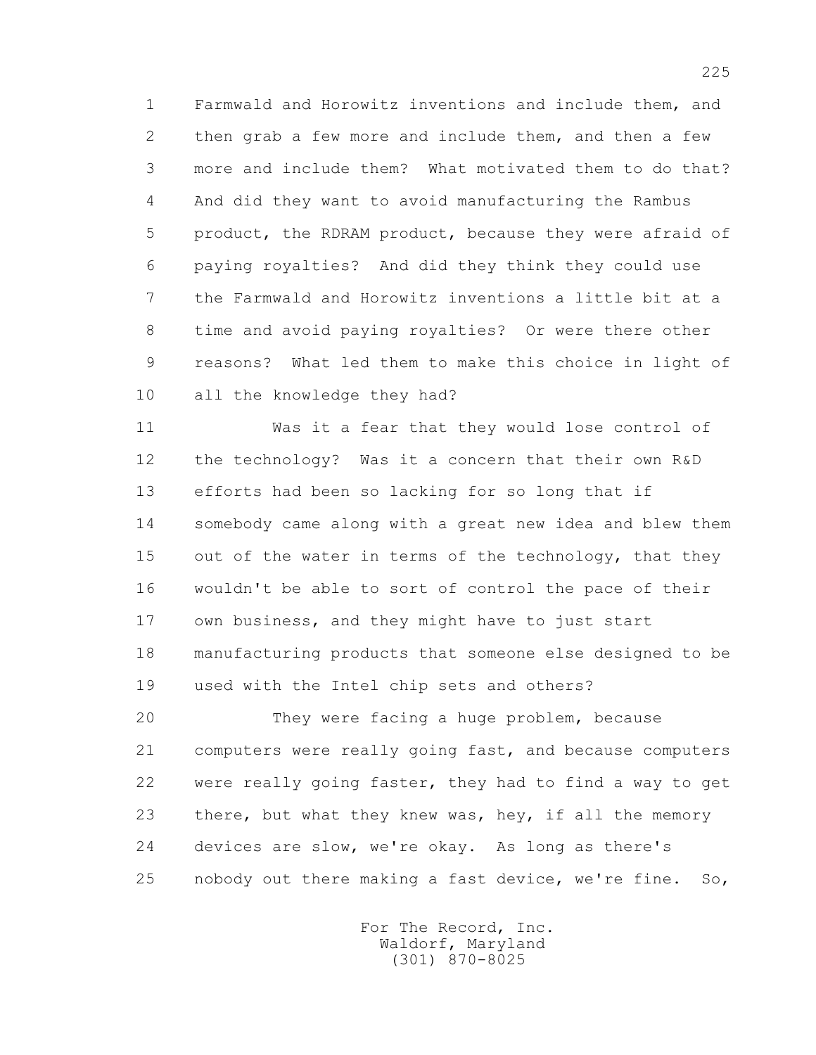1 Farmwald and Horowitz inventions and include them, and 2 then grab a few more and include them, and then a few 3 more and include them? What motivated them to do that? 4 And did they want to avoid manufacturing the Rambus 5 product, the RDRAM product, because they were afraid of 6 paying royalties? And did they think they could use 7 the Farmwald and Horowitz inventions a little bit at a 8 time and avoid paying royalties? Or were there other 9 reasons? What led them to make this choice in light of 10 all the knowledge they had?

 11 Was it a fear that they would lose control of 12 the technology? Was it a concern that their own R&D 13 efforts had been so lacking for so long that if 14 somebody came along with a great new idea and blew them 15 out of the water in terms of the technology, that they 16 wouldn't be able to sort of control the pace of their 17 own business, and they might have to just start 18 manufacturing products that someone else designed to be 19 used with the Intel chip sets and others?

 20 They were facing a huge problem, because 21 computers were really going fast, and because computers 22 were really going faster, they had to find a way to get 23 there, but what they knew was, hey, if all the memory 24 devices are slow, we're okay. As long as there's 25 nobody out there making a fast device, we're fine. So,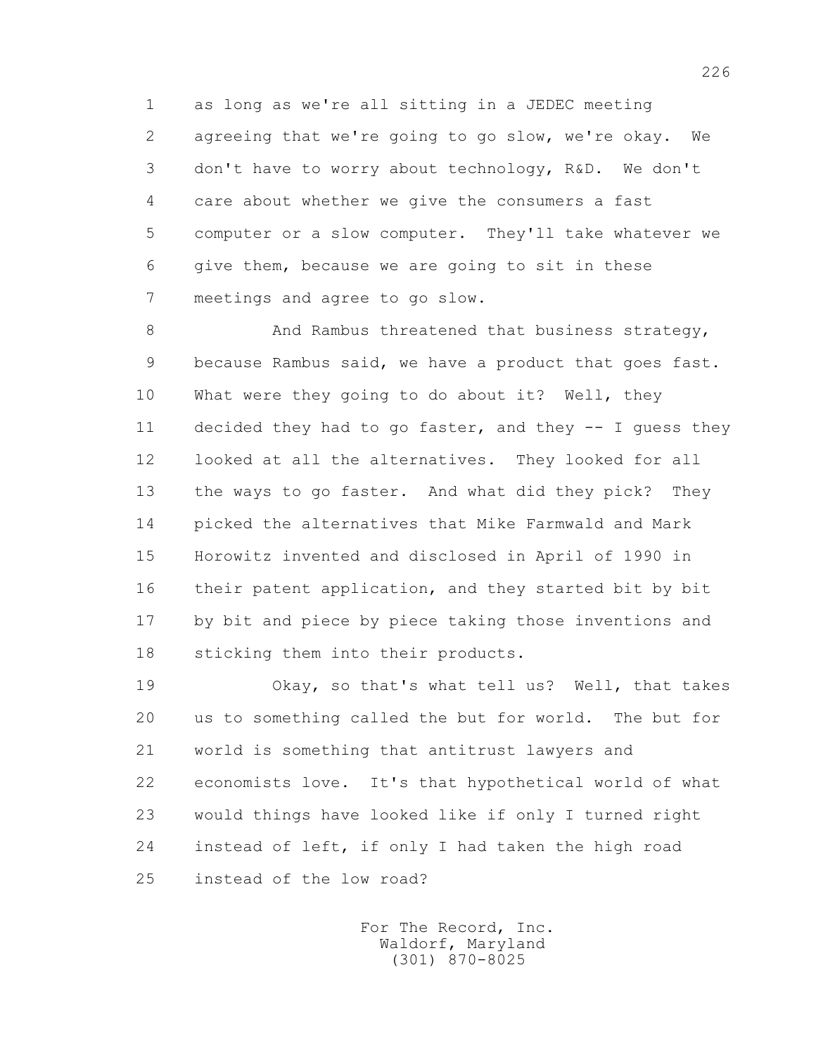1 as long as we're all sitting in a JEDEC meeting 2 agreeing that we're going to go slow, we're okay. We 3 don't have to worry about technology, R&D. We don't 4 care about whether we give the consumers a fast 5 computer or a slow computer. They'll take whatever we 6 give them, because we are going to sit in these 7 meetings and agree to go slow.

8 And Rambus threatened that business strategy, 9 because Rambus said, we have a product that goes fast. 10 What were they going to do about it? Well, they 11 decided they had to go faster, and they -- I guess they 12 looked at all the alternatives. They looked for all 13 the ways to go faster. And what did they pick? They 14 picked the alternatives that Mike Farmwald and Mark 15 Horowitz invented and disclosed in April of 1990 in 16 their patent application, and they started bit by bit 17 by bit and piece by piece taking those inventions and 18 sticking them into their products.

 19 Okay, so that's what tell us? Well, that takes 20 us to something called the but for world. The but for 21 world is something that antitrust lawyers and 22 economists love. It's that hypothetical world of what 23 would things have looked like if only I turned right 24 instead of left, if only I had taken the high road 25 instead of the low road?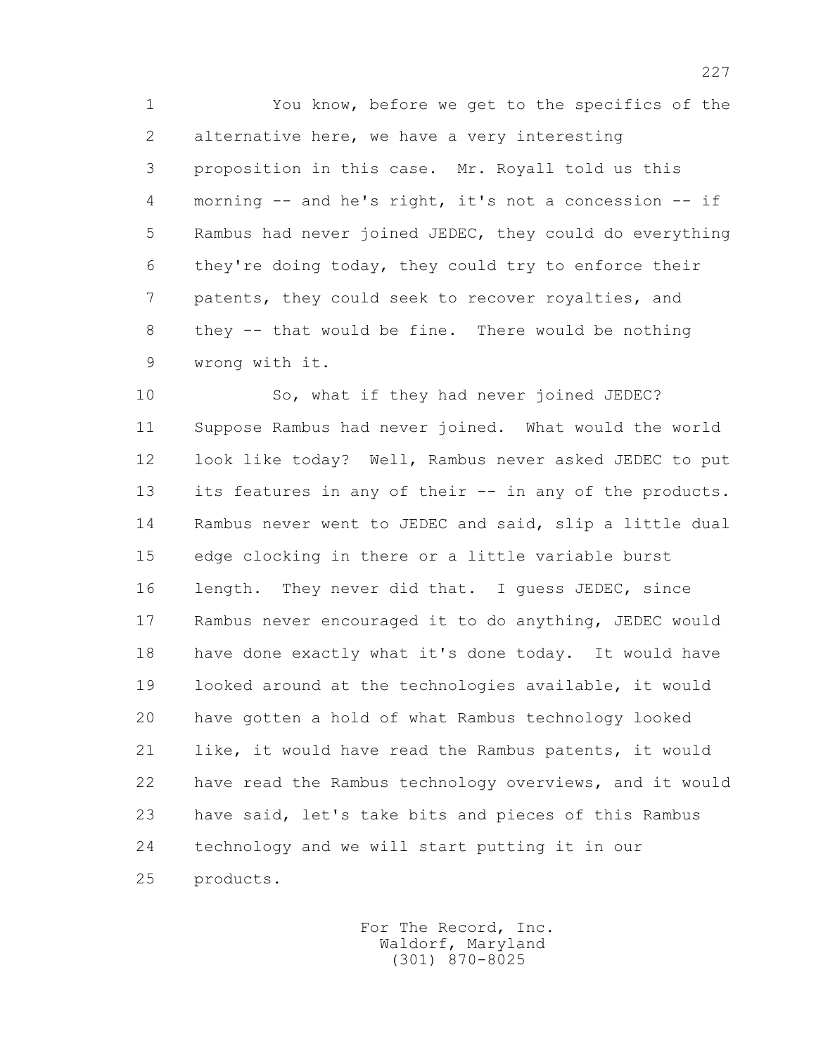1 You know, before we get to the specifics of the 2 alternative here, we have a very interesting 3 proposition in this case. Mr. Royall told us this 4 morning -- and he's right, it's not a concession -- if 5 Rambus had never joined JEDEC, they could do everything 6 they're doing today, they could try to enforce their 7 patents, they could seek to recover royalties, and 8 they -- that would be fine. There would be nothing 9 wrong with it.

 10 So, what if they had never joined JEDEC? 11 Suppose Rambus had never joined. What would the world 12 look like today? Well, Rambus never asked JEDEC to put 13 its features in any of their -- in any of the products. 14 Rambus never went to JEDEC and said, slip a little dual 15 edge clocking in there or a little variable burst 16 length. They never did that. I guess JEDEC, since 17 Rambus never encouraged it to do anything, JEDEC would 18 have done exactly what it's done today. It would have 19 looked around at the technologies available, it would 20 have gotten a hold of what Rambus technology looked 21 like, it would have read the Rambus patents, it would 22 have read the Rambus technology overviews, and it would 23 have said, let's take bits and pieces of this Rambus 24 technology and we will start putting it in our 25 products.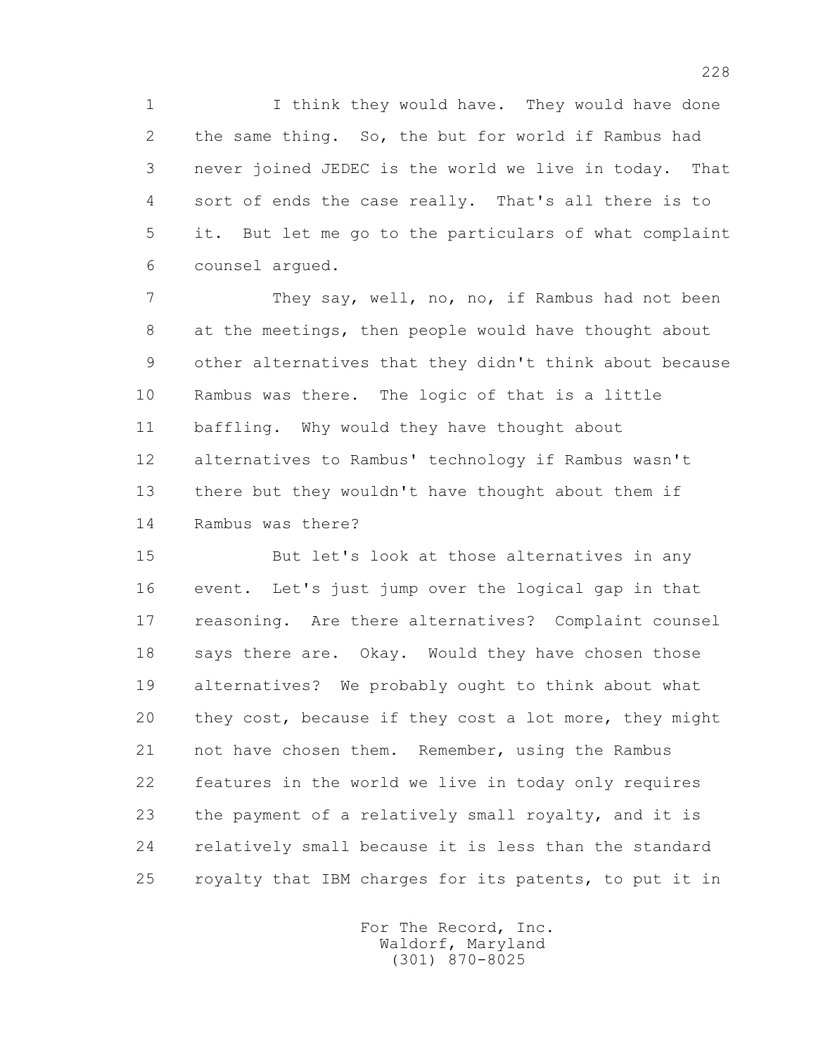1 I think they would have. They would have done 2 the same thing. So, the but for world if Rambus had 3 never joined JEDEC is the world we live in today. That 4 sort of ends the case really. That's all there is to 5 it. But let me go to the particulars of what complaint 6 counsel argued.

 7 They say, well, no, no, if Rambus had not been 8 at the meetings, then people would have thought about 9 other alternatives that they didn't think about because 10 Rambus was there. The logic of that is a little 11 baffling. Why would they have thought about 12 alternatives to Rambus' technology if Rambus wasn't 13 there but they wouldn't have thought about them if 14 Rambus was there?

 15 But let's look at those alternatives in any 16 event. Let's just jump over the logical gap in that 17 reasoning. Are there alternatives? Complaint counsel 18 says there are. Okay. Would they have chosen those 19 alternatives? We probably ought to think about what 20 they cost, because if they cost a lot more, they might 21 not have chosen them. Remember, using the Rambus 22 features in the world we live in today only requires 23 the payment of a relatively small royalty, and it is 24 relatively small because it is less than the standard 25 royalty that IBM charges for its patents, to put it in

> For The Record, Inc. Waldorf, Maryland (301) 870-8025

228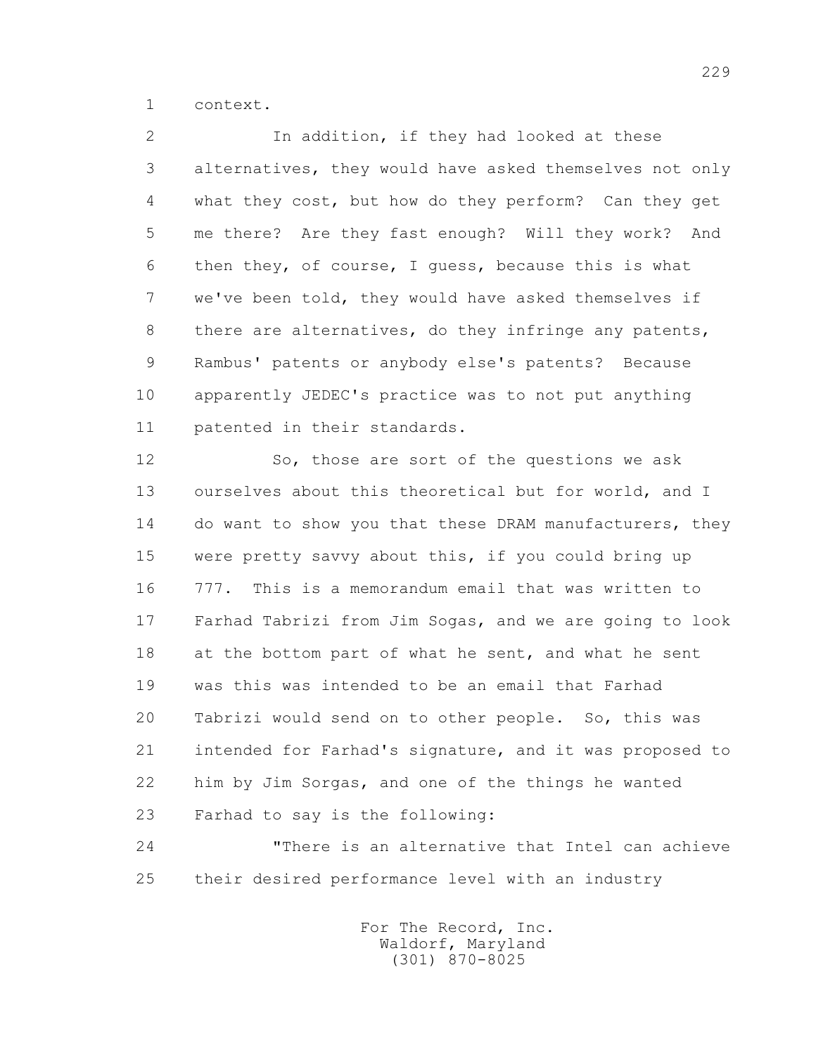1 context.

 2 In addition, if they had looked at these 3 alternatives, they would have asked themselves not only 4 what they cost, but how do they perform? Can they get 5 me there? Are they fast enough? Will they work? And 6 then they, of course, I guess, because this is what 7 we've been told, they would have asked themselves if 8 there are alternatives, do they infringe any patents, 9 Rambus' patents or anybody else's patents? Because 10 apparently JEDEC's practice was to not put anything 11 patented in their standards.

 12 So, those are sort of the questions we ask 13 ourselves about this theoretical but for world, and I 14 do want to show you that these DRAM manufacturers, they 15 were pretty savvy about this, if you could bring up 16 777. This is a memorandum email that was written to 17 Farhad Tabrizi from Jim Sogas, and we are going to look 18 at the bottom part of what he sent, and what he sent 19 was this was intended to be an email that Farhad 20 Tabrizi would send on to other people. So, this was 21 intended for Farhad's signature, and it was proposed to 22 him by Jim Sorgas, and one of the things he wanted 23 Farhad to say is the following:

 24 "There is an alternative that Intel can achieve 25 their desired performance level with an industry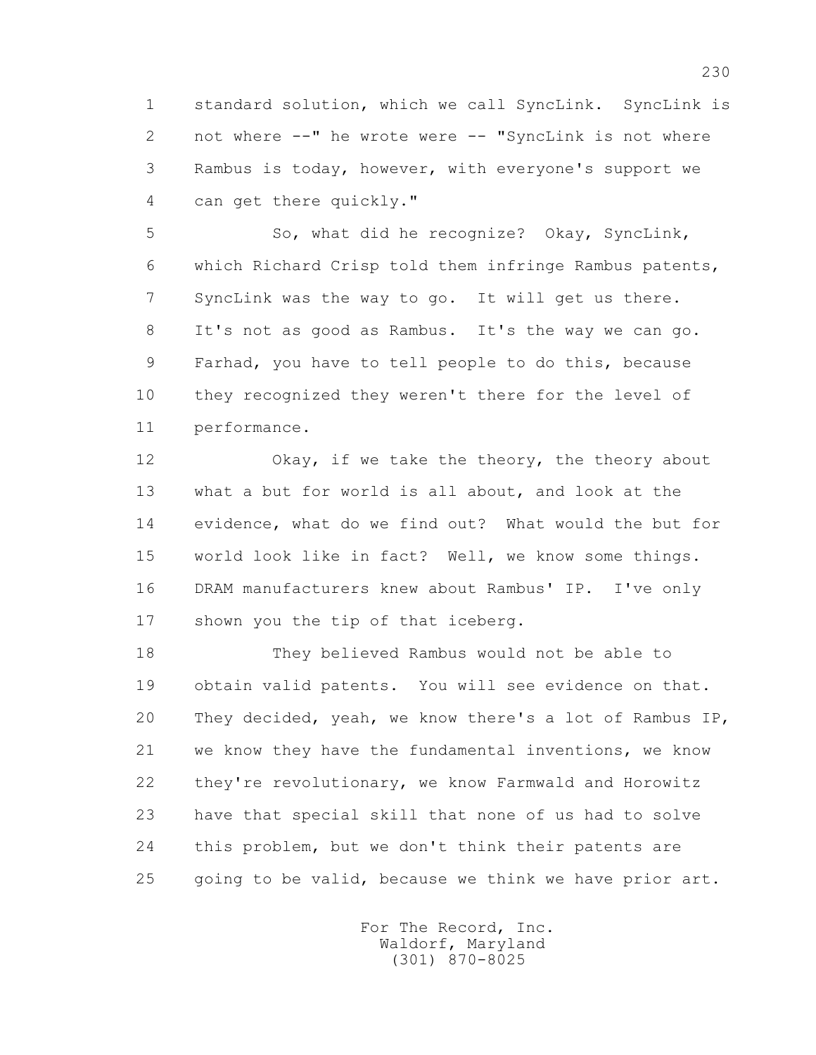1 standard solution, which we call SyncLink. SyncLink is 2 not where --" he wrote were -- "SyncLink is not where 3 Rambus is today, however, with everyone's support we 4 can get there quickly."

 5 So, what did he recognize? Okay, SyncLink, 6 which Richard Crisp told them infringe Rambus patents, 7 SyncLink was the way to go. It will get us there. 8 It's not as good as Rambus. It's the way we can go. 9 Farhad, you have to tell people to do this, because 10 they recognized they weren't there for the level of 11 performance.

 12 Okay, if we take the theory, the theory about 13 what a but for world is all about, and look at the 14 evidence, what do we find out? What would the but for 15 world look like in fact? Well, we know some things. 16 DRAM manufacturers knew about Rambus' IP. I've only 17 shown you the tip of that iceberg.

 18 They believed Rambus would not be able to 19 obtain valid patents. You will see evidence on that. 20 They decided, yeah, we know there's a lot of Rambus IP, 21 we know they have the fundamental inventions, we know 22 they're revolutionary, we know Farmwald and Horowitz 23 have that special skill that none of us had to solve 24 this problem, but we don't think their patents are 25 going to be valid, because we think we have prior art.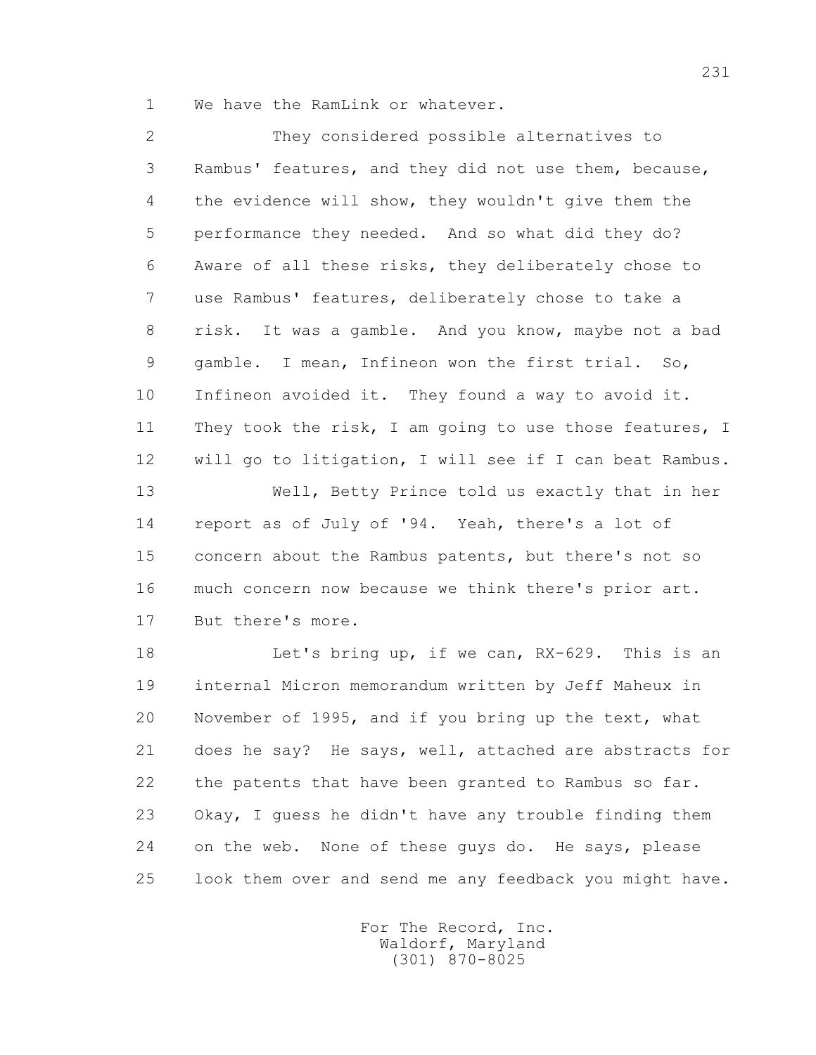1 We have the RamLink or whatever.

 2 They considered possible alternatives to 3 Rambus' features, and they did not use them, because, 4 the evidence will show, they wouldn't give them the 5 performance they needed. And so what did they do? 6 Aware of all these risks, they deliberately chose to 7 use Rambus' features, deliberately chose to take a 8 risk. It was a gamble. And you know, maybe not a bad 9 gamble. I mean, Infineon won the first trial. So, 10 Infineon avoided it. They found a way to avoid it. 11 They took the risk, I am going to use those features, I 12 will go to litigation, I will see if I can beat Rambus. 13 Well, Betty Prince told us exactly that in her 14 report as of July of '94. Yeah, there's a lot of 15 concern about the Rambus patents, but there's not so 16 much concern now because we think there's prior art. 17 But there's more.

 18 Let's bring up, if we can, RX-629. This is an 19 internal Micron memorandum written by Jeff Maheux in 20 November of 1995, and if you bring up the text, what 21 does he say? He says, well, attached are abstracts for 22 the patents that have been granted to Rambus so far. 23 Okay, I guess he didn't have any trouble finding them 24 on the web. None of these guys do. He says, please 25 look them over and send me any feedback you might have.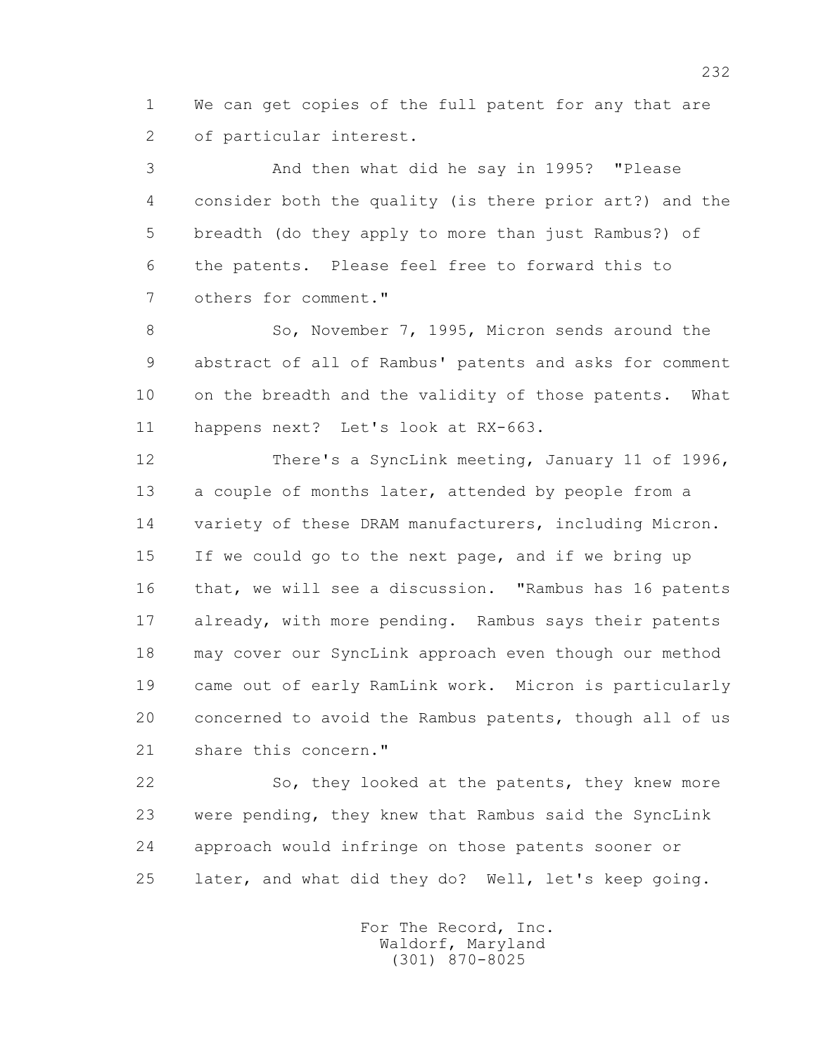1 We can get copies of the full patent for any that are 2 of particular interest.

 3 And then what did he say in 1995? "Please 4 consider both the quality (is there prior art?) and the 5 breadth (do they apply to more than just Rambus?) of 6 the patents. Please feel free to forward this to 7 others for comment."

8 So, November 7, 1995, Micron sends around the 9 abstract of all of Rambus' patents and asks for comment 10 on the breadth and the validity of those patents. What 11 happens next? Let's look at RX-663.

 12 There's a SyncLink meeting, January 11 of 1996, 13 a couple of months later, attended by people from a 14 variety of these DRAM manufacturers, including Micron. 15 If we could go to the next page, and if we bring up 16 that, we will see a discussion. "Rambus has 16 patents 17 already, with more pending. Rambus says their patents 18 may cover our SyncLink approach even though our method 19 came out of early RamLink work. Micron is particularly 20 concerned to avoid the Rambus patents, though all of us 21 share this concern."

 22 So, they looked at the patents, they knew more 23 were pending, they knew that Rambus said the SyncLink 24 approach would infringe on those patents sooner or 25 later, and what did they do? Well, let's keep going.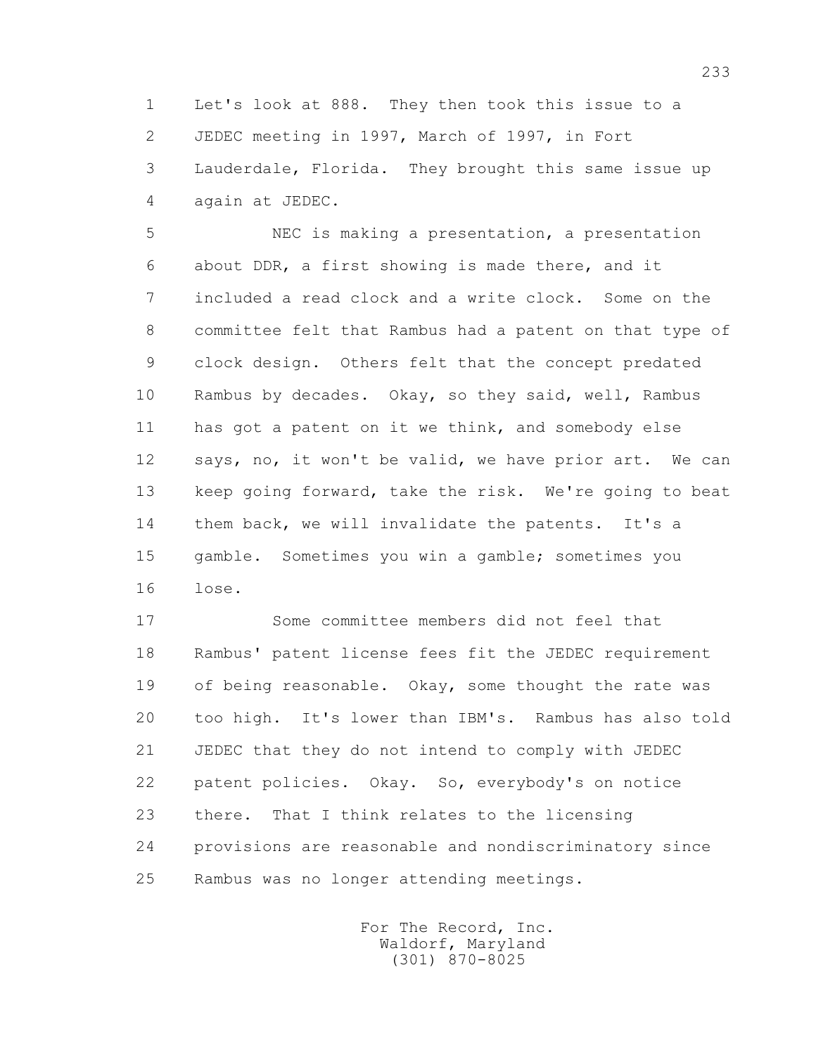1 Let's look at 888. They then took this issue to a 2 JEDEC meeting in 1997, March of 1997, in Fort 3 Lauderdale, Florida. They brought this same issue up 4 again at JEDEC.

 5 NEC is making a presentation, a presentation 6 about DDR, a first showing is made there, and it 7 included a read clock and a write clock. Some on the 8 committee felt that Rambus had a patent on that type of 9 clock design. Others felt that the concept predated 10 Rambus by decades. Okay, so they said, well, Rambus 11 has got a patent on it we think, and somebody else 12 says, no, it won't be valid, we have prior art. We can 13 keep going forward, take the risk. We're going to beat 14 them back, we will invalidate the patents. It's a 15 gamble. Sometimes you win a gamble; sometimes you 16 lose.

 17 Some committee members did not feel that 18 Rambus' patent license fees fit the JEDEC requirement 19 of being reasonable. Okay, some thought the rate was 20 too high. It's lower than IBM's. Rambus has also told 21 JEDEC that they do not intend to comply with JEDEC 22 patent policies. Okay. So, everybody's on notice 23 there. That I think relates to the licensing 24 provisions are reasonable and nondiscriminatory since 25 Rambus was no longer attending meetings.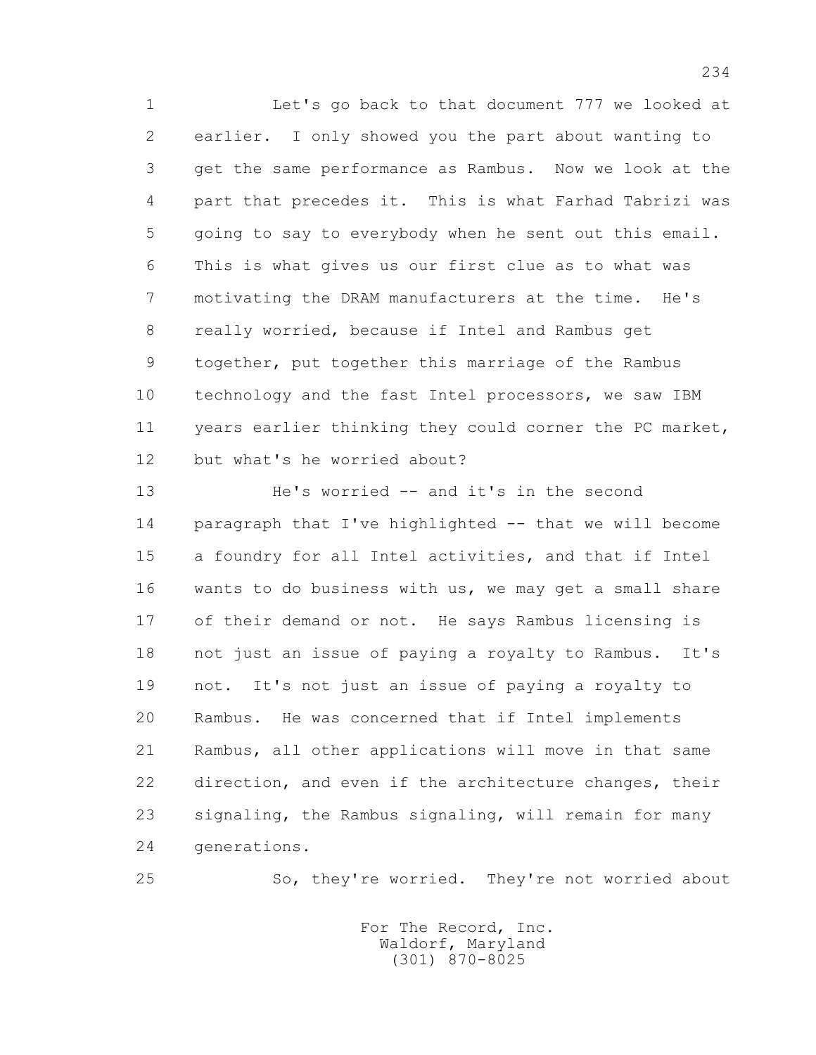1 Let's go back to that document 777 we looked at 2 earlier. I only showed you the part about wanting to 3 get the same performance as Rambus. Now we look at the 4 part that precedes it. This is what Farhad Tabrizi was 5 going to say to everybody when he sent out this email. 6 This is what gives us our first clue as to what was 7 motivating the DRAM manufacturers at the time. He's 8 really worried, because if Intel and Rambus get 9 together, put together this marriage of the Rambus 10 technology and the fast Intel processors, we saw IBM 11 years earlier thinking they could corner the PC market, 12 but what's he worried about?

 13 He's worried -- and it's in the second 14 paragraph that I've highlighted -- that we will become 15 a foundry for all Intel activities, and that if Intel 16 wants to do business with us, we may get a small share 17 of their demand or not. He says Rambus licensing is 18 not just an issue of paying a royalty to Rambus. It's 19 not. It's not just an issue of paying a royalty to 20 Rambus. He was concerned that if Intel implements 21 Rambus, all other applications will move in that same 22 direction, and even if the architecture changes, their 23 signaling, the Rambus signaling, will remain for many 24 generations.

25 So, they're worried. They're not worried about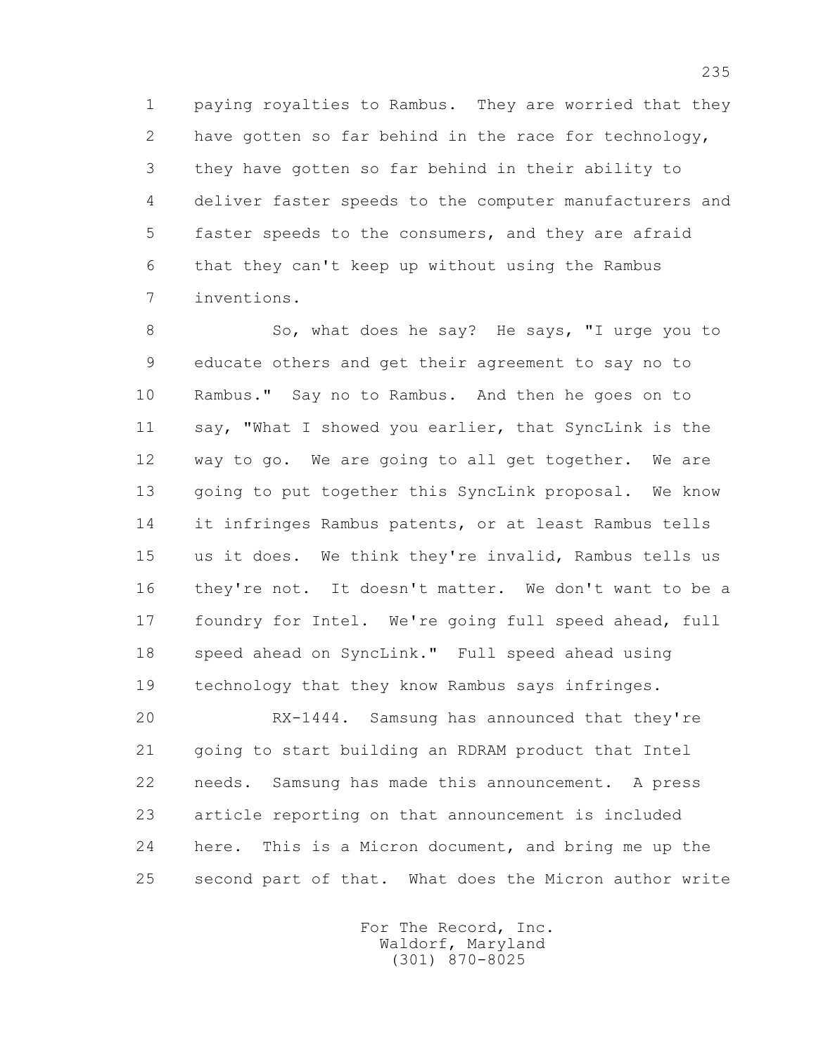1 paying royalties to Rambus. They are worried that they 2 have gotten so far behind in the race for technology, 3 they have gotten so far behind in their ability to 4 deliver faster speeds to the computer manufacturers and 5 faster speeds to the consumers, and they are afraid 6 that they can't keep up without using the Rambus 7 inventions.

8 So, what does he say? He says, "I urge you to 9 educate others and get their agreement to say no to 10 Rambus." Say no to Rambus. And then he goes on to 11 say, "What I showed you earlier, that SyncLink is the 12 way to go. We are going to all get together. We are 13 going to put together this SyncLink proposal. We know 14 it infringes Rambus patents, or at least Rambus tells 15 us it does. We think they're invalid, Rambus tells us 16 they're not. It doesn't matter. We don't want to be a 17 foundry for Intel. We're going full speed ahead, full 18 speed ahead on SyncLink." Full speed ahead using 19 technology that they know Rambus says infringes.

 20 RX-1444. Samsung has announced that they're 21 going to start building an RDRAM product that Intel 22 needs. Samsung has made this announcement. A press 23 article reporting on that announcement is included 24 here. This is a Micron document, and bring me up the 25 second part of that. What does the Micron author write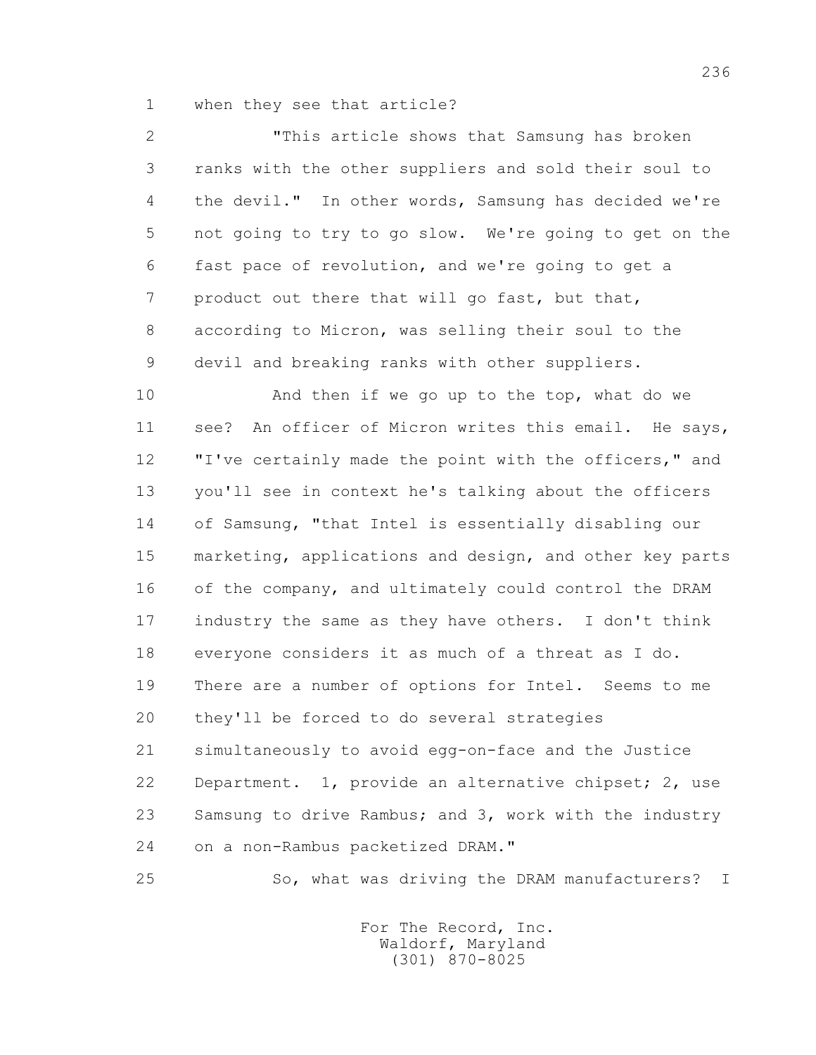1 when they see that article?

 2 "This article shows that Samsung has broken 3 ranks with the other suppliers and sold their soul to 4 the devil." In other words, Samsung has decided we're 5 not going to try to go slow. We're going to get on the 6 fast pace of revolution, and we're going to get a 7 product out there that will go fast, but that, 8 according to Micron, was selling their soul to the 9 devil and breaking ranks with other suppliers.

 10 And then if we go up to the top, what do we 11 see? An officer of Micron writes this email. He says, 12 "I've certainly made the point with the officers," and 13 you'll see in context he's talking about the officers 14 of Samsung, "that Intel is essentially disabling our 15 marketing, applications and design, and other key parts 16 of the company, and ultimately could control the DRAM 17 industry the same as they have others. I don't think 18 everyone considers it as much of a threat as I do. 19 There are a number of options for Intel. Seems to me 20 they'll be forced to do several strategies 21 simultaneously to avoid egg-on-face and the Justice 22 Department. 1, provide an alternative chipset; 2, use 23 Samsung to drive Rambus; and 3, work with the industry 24 on a non-Rambus packetized DRAM."

25 So, what was driving the DRAM manufacturers? I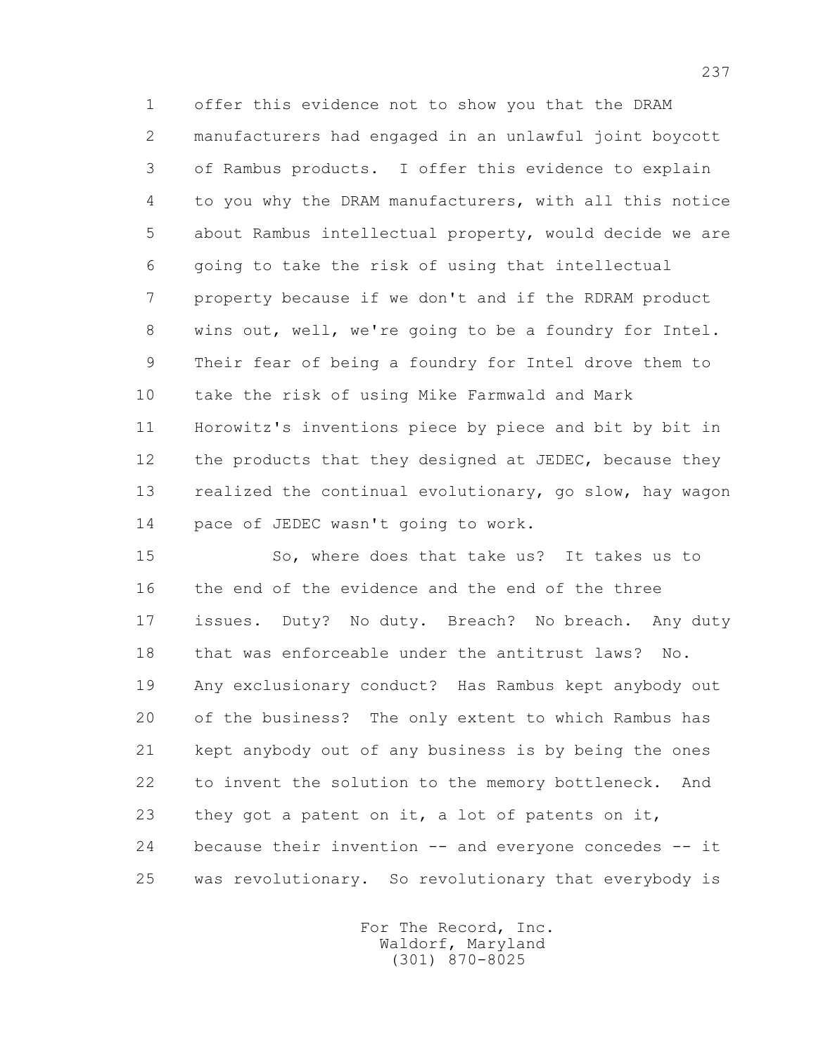1 offer this evidence not to show you that the DRAM 2 manufacturers had engaged in an unlawful joint boycott 3 of Rambus products. I offer this evidence to explain 4 to you why the DRAM manufacturers, with all this notice 5 about Rambus intellectual property, would decide we are 6 going to take the risk of using that intellectual 7 property because if we don't and if the RDRAM product 8 wins out, well, we're going to be a foundry for Intel. 9 Their fear of being a foundry for Intel drove them to 10 take the risk of using Mike Farmwald and Mark 11 Horowitz's inventions piece by piece and bit by bit in 12 the products that they designed at JEDEC, because they 13 realized the continual evolutionary, go slow, hay wagon 14 pace of JEDEC wasn't going to work.

 15 So, where does that take us? It takes us to 16 the end of the evidence and the end of the three 17 issues. Duty? No duty. Breach? No breach. Any duty 18 that was enforceable under the antitrust laws? No. 19 Any exclusionary conduct? Has Rambus kept anybody out 20 of the business? The only extent to which Rambus has 21 kept anybody out of any business is by being the ones 22 to invent the solution to the memory bottleneck. And 23 they got a patent on it, a lot of patents on it, 24 because their invention -- and everyone concedes -- it 25 was revolutionary. So revolutionary that everybody is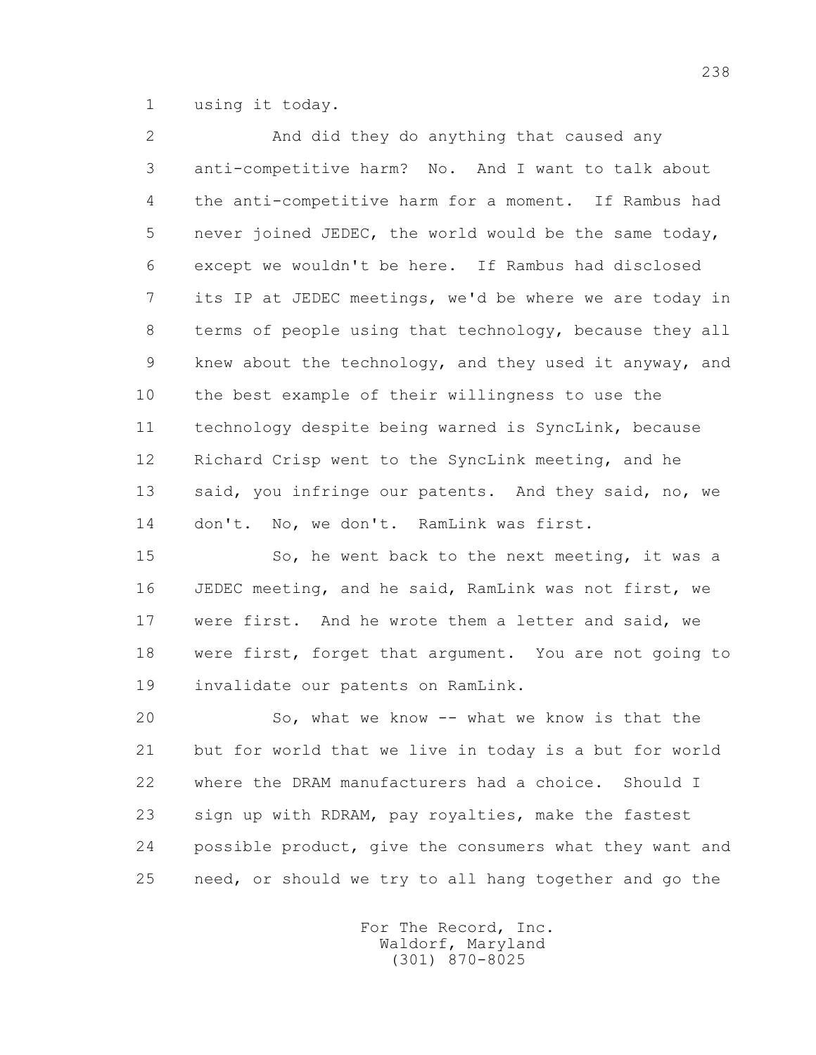1 using it today.

 2 And did they do anything that caused any 3 anti-competitive harm? No. And I want to talk about 4 the anti-competitive harm for a moment. If Rambus had 5 never joined JEDEC, the world would be the same today, 6 except we wouldn't be here. If Rambus had disclosed 7 its IP at JEDEC meetings, we'd be where we are today in 8 terms of people using that technology, because they all 9 knew about the technology, and they used it anyway, and 10 the best example of their willingness to use the 11 technology despite being warned is SyncLink, because 12 Richard Crisp went to the SyncLink meeting, and he 13 said, you infringe our patents. And they said, no, we 14 don't. No, we don't. RamLink was first.

15 So, he went back to the next meeting, it was a 16 JEDEC meeting, and he said, RamLink was not first, we 17 were first. And he wrote them a letter and said, we 18 were first, forget that argument. You are not going to 19 invalidate our patents on RamLink.

 20 So, what we know -- what we know is that the 21 but for world that we live in today is a but for world 22 where the DRAM manufacturers had a choice. Should I 23 sign up with RDRAM, pay royalties, make the fastest 24 possible product, give the consumers what they want and 25 need, or should we try to all hang together and go the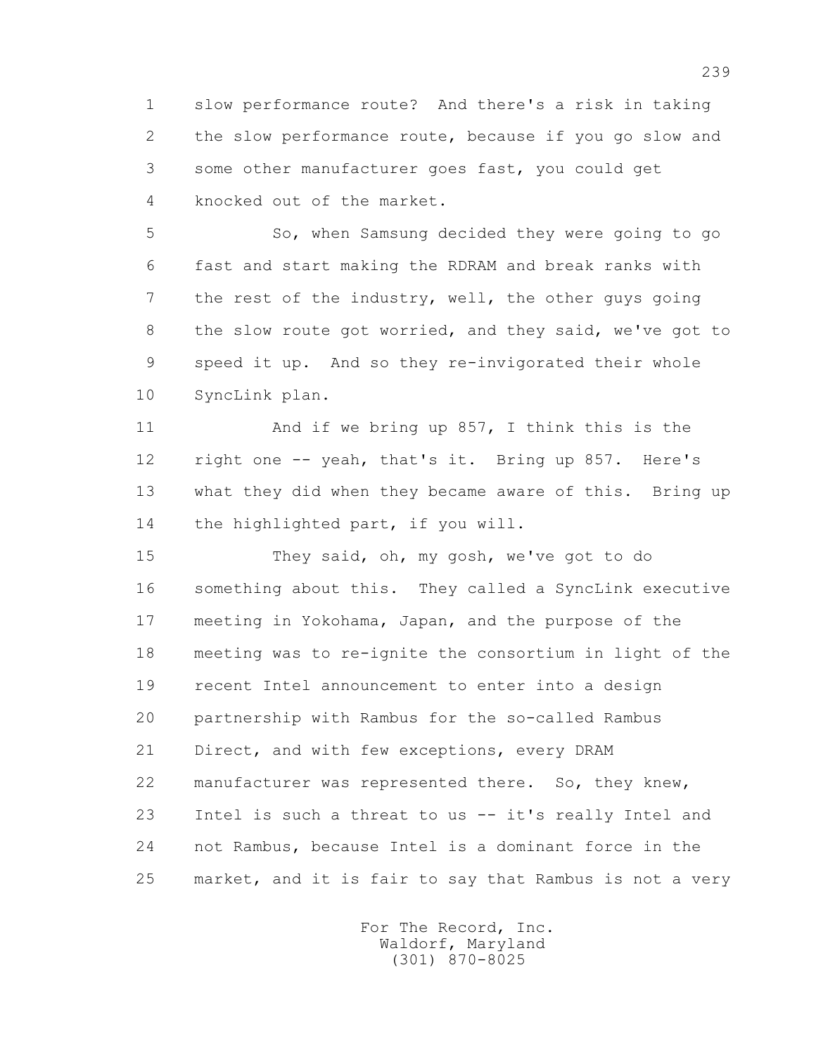1 slow performance route? And there's a risk in taking 2 the slow performance route, because if you go slow and 3 some other manufacturer goes fast, you could get 4 knocked out of the market.

 5 So, when Samsung decided they were going to go 6 fast and start making the RDRAM and break ranks with 7 the rest of the industry, well, the other guys going 8 the slow route got worried, and they said, we've got to 9 speed it up. And so they re-invigorated their whole 10 SyncLink plan.

11 And if we bring up 857, I think this is the 12 right one -- yeah, that's it. Bring up 857. Here's 13 what they did when they became aware of this. Bring up 14 the highlighted part, if you will.

 15 They said, oh, my gosh, we've got to do 16 something about this. They called a SyncLink executive 17 meeting in Yokohama, Japan, and the purpose of the 18 meeting was to re-ignite the consortium in light of the 19 recent Intel announcement to enter into a design 20 partnership with Rambus for the so-called Rambus 21 Direct, and with few exceptions, every DRAM 22 manufacturer was represented there. So, they knew, 23 Intel is such a threat to us -- it's really Intel and 24 not Rambus, because Intel is a dominant force in the 25 market, and it is fair to say that Rambus is not a very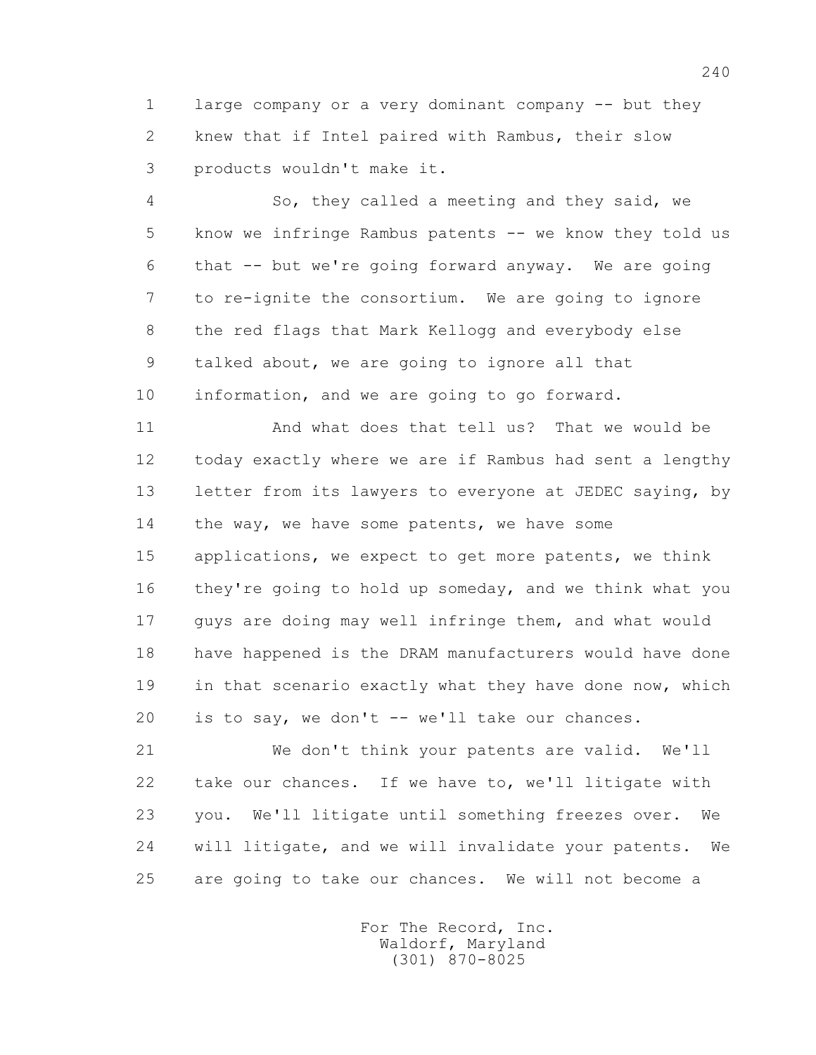1 large company or a very dominant company -- but they 2 knew that if Intel paired with Rambus, their slow 3 products wouldn't make it.

 4 So, they called a meeting and they said, we 5 know we infringe Rambus patents -- we know they told us 6 that -- but we're going forward anyway. We are going 7 to re-ignite the consortium. We are going to ignore 8 the red flags that Mark Kellogg and everybody else 9 talked about, we are going to ignore all that 10 information, and we are going to go forward.

 11 And what does that tell us? That we would be 12 today exactly where we are if Rambus had sent a lengthy 13 letter from its lawyers to everyone at JEDEC saying, by 14 the way, we have some patents, we have some

 15 applications, we expect to get more patents, we think 16 they're going to hold up someday, and we think what you 17 guys are doing may well infringe them, and what would 18 have happened is the DRAM manufacturers would have done 19 in that scenario exactly what they have done now, which 20 is to say, we don't -- we'll take our chances.

 21 We don't think your patents are valid. We'll 22 take our chances. If we have to, we'll litigate with 23 you. We'll litigate until something freezes over. We 24 will litigate, and we will invalidate your patents. We 25 are going to take our chances. We will not become a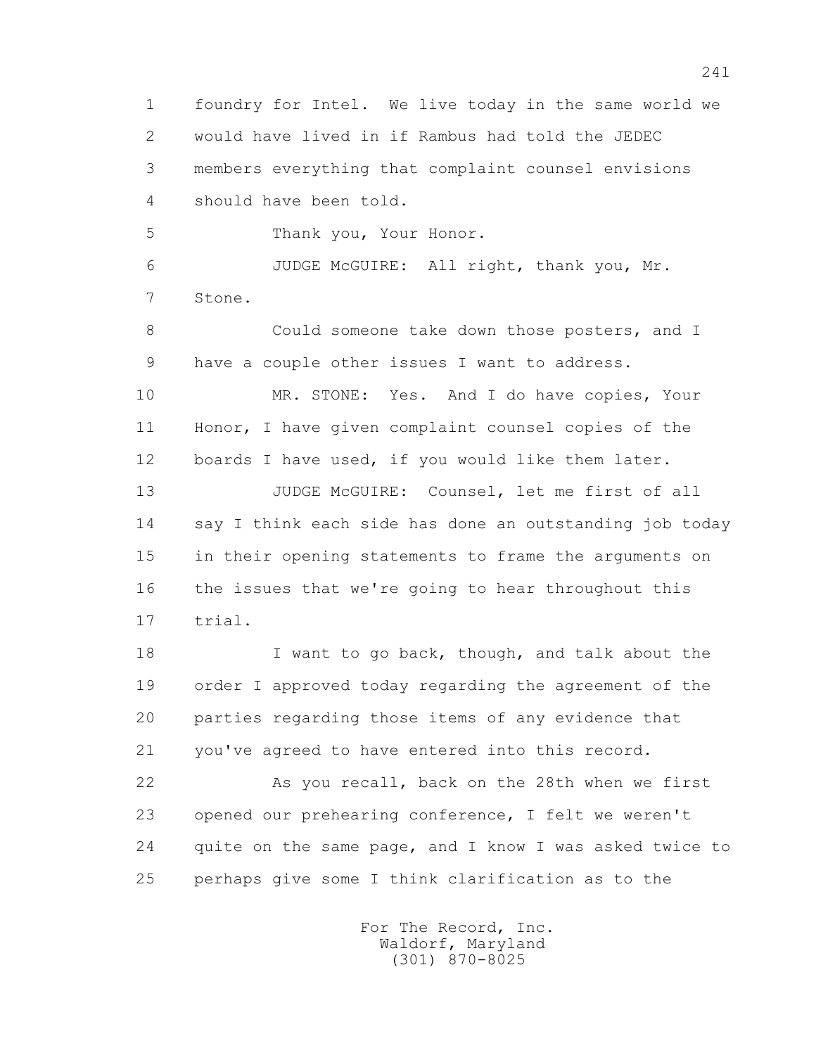1 foundry for Intel. We live today in the same world we 2 would have lived in if Rambus had told the JEDEC 3 members everything that complaint counsel envisions 4 should have been told. 5 Thank you, Your Honor. 6 JUDGE McGUIRE: All right, thank you, Mr. 7 Stone. 8 Could someone take down those posters, and I 9 have a couple other issues I want to address. 10 MR. STONE: Yes. And I do have copies, Your 11 Honor, I have given complaint counsel copies of the 12 boards I have used, if you would like them later. 13 JUDGE McGUIRE: Counsel, let me first of all 14 say I think each side has done an outstanding job today 15 in their opening statements to frame the arguments on 16 the issues that we're going to hear throughout this 17 trial. 18 I want to go back, though, and talk about the 19 order I approved today regarding the agreement of the 20 parties regarding those items of any evidence that 21 you've agreed to have entered into this record. 22 As you recall, back on the 28th when we first 23 opened our prehearing conference, I felt we weren't 24 quite on the same page, and I know I was asked twice to 25 perhaps give some I think clarification as to the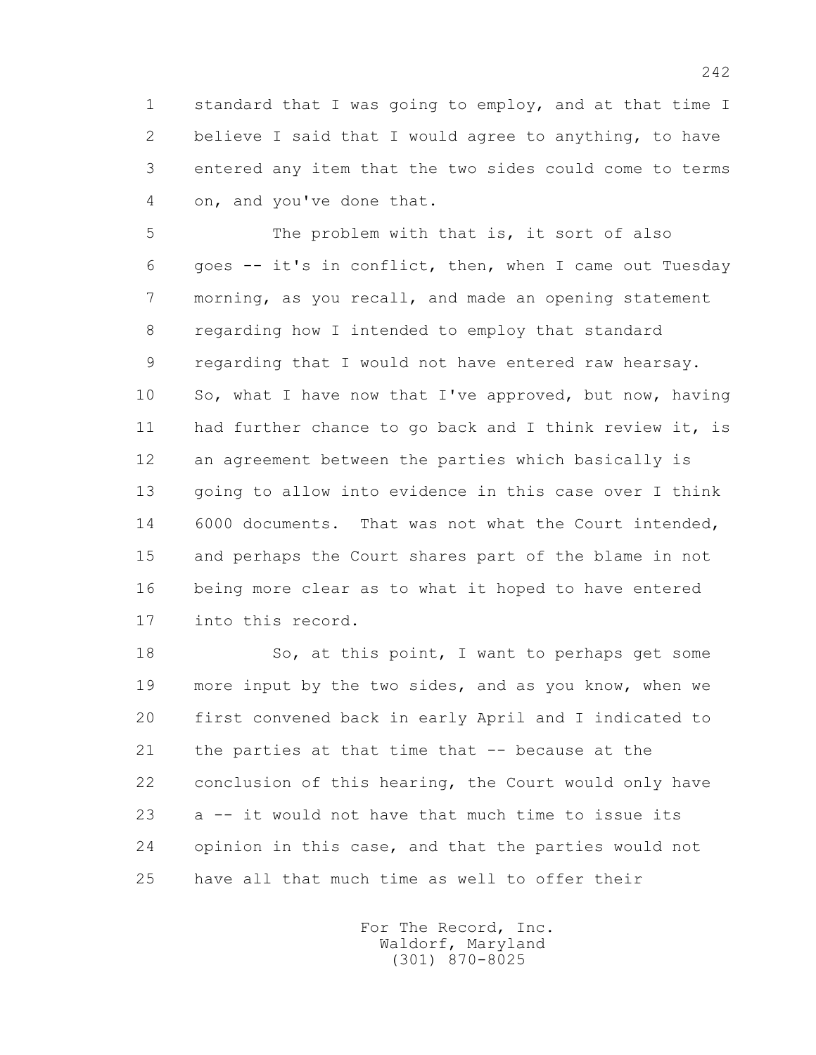1 standard that I was going to employ, and at that time I 2 believe I said that I would agree to anything, to have 3 entered any item that the two sides could come to terms 4 on, and you've done that.

 5 The problem with that is, it sort of also 6 goes -- it's in conflict, then, when I came out Tuesday 7 morning, as you recall, and made an opening statement 8 regarding how I intended to employ that standard 9 regarding that I would not have entered raw hearsay. 10 So, what I have now that I've approved, but now, having 11 had further chance to go back and I think review it, is 12 an agreement between the parties which basically is 13 going to allow into evidence in this case over I think 14 6000 documents. That was not what the Court intended, 15 and perhaps the Court shares part of the blame in not 16 being more clear as to what it hoped to have entered 17 into this record.

18 So, at this point, I want to perhaps get some 19 more input by the two sides, and as you know, when we 20 first convened back in early April and I indicated to 21 the parties at that time that -- because at the 22 conclusion of this hearing, the Court would only have 23 a -- it would not have that much time to issue its 24 opinion in this case, and that the parties would not 25 have all that much time as well to offer their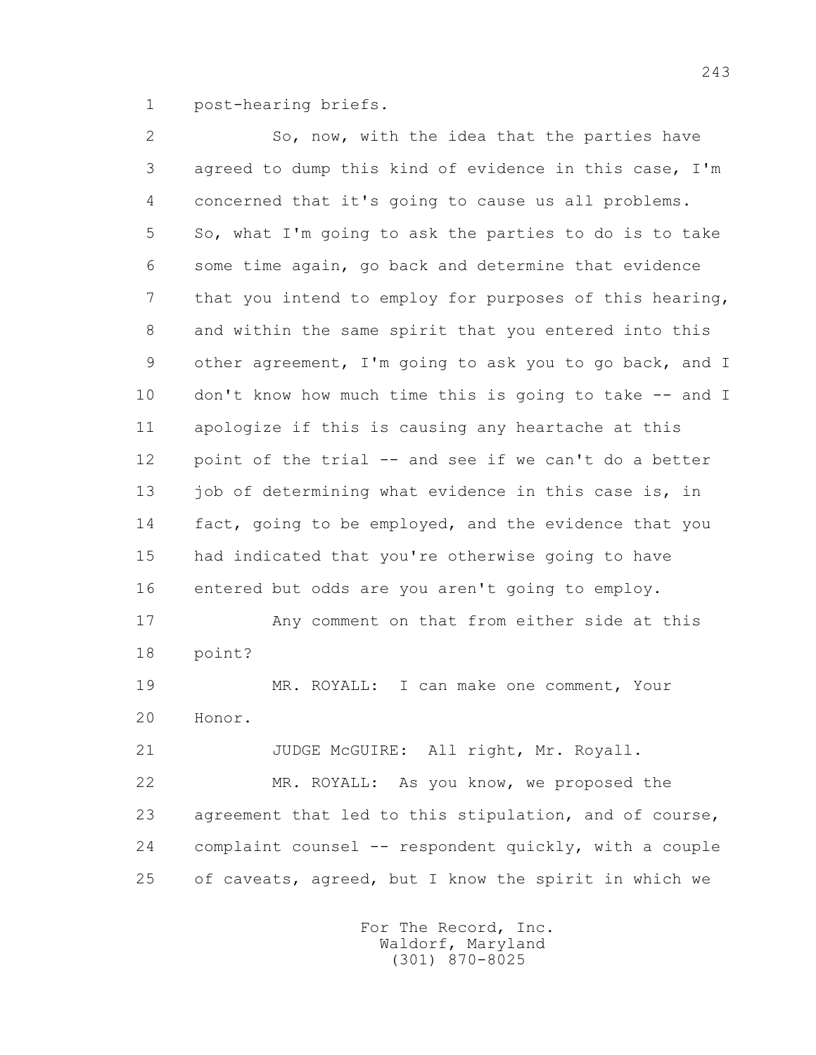1 post-hearing briefs.

 2 So, now, with the idea that the parties have 3 agreed to dump this kind of evidence in this case, I'm 4 concerned that it's going to cause us all problems. 5 So, what I'm going to ask the parties to do is to take 6 some time again, go back and determine that evidence 7 that you intend to employ for purposes of this hearing, 8 and within the same spirit that you entered into this 9 other agreement, I'm going to ask you to go back, and I 10 don't know how much time this is going to take -- and I 11 apologize if this is causing any heartache at this 12 point of the trial -- and see if we can't do a better 13 job of determining what evidence in this case is, in 14 fact, going to be employed, and the evidence that you 15 had indicated that you're otherwise going to have 16 entered but odds are you aren't going to employ. 17 Any comment on that from either side at this 18 point? 19 MR. ROYALL: I can make one comment, Your 20 Honor. 21 JUDGE McGUIRE: All right, Mr. Royall. 22 MR. ROYALL: As you know, we proposed the 23 agreement that led to this stipulation, and of course, 24 complaint counsel -- respondent quickly, with a couple 25 of caveats, agreed, but I know the spirit in which we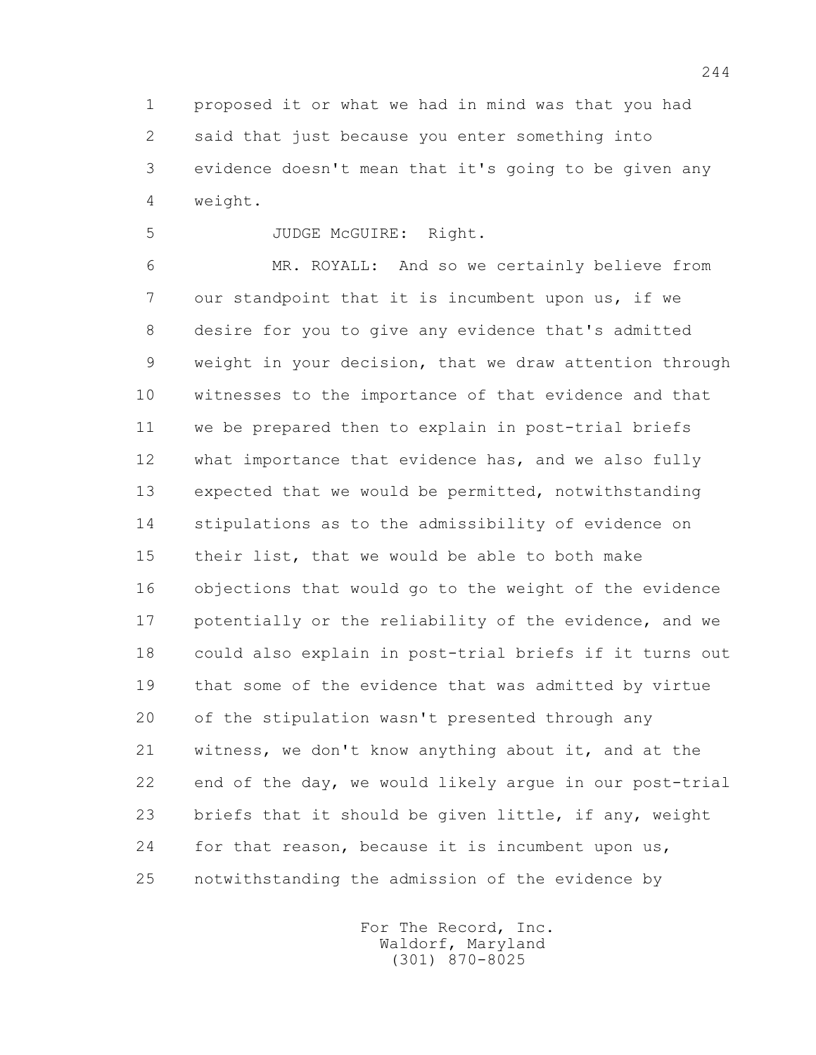1 proposed it or what we had in mind was that you had 2 said that just because you enter something into 3 evidence doesn't mean that it's going to be given any 4 weight.

5 JUDGE McGUIRE: Right.

 6 MR. ROYALL: And so we certainly believe from 7 our standpoint that it is incumbent upon us, if we 8 desire for you to give any evidence that's admitted 9 weight in your decision, that we draw attention through 10 witnesses to the importance of that evidence and that 11 we be prepared then to explain in post-trial briefs 12 what importance that evidence has, and we also fully 13 expected that we would be permitted, notwithstanding 14 stipulations as to the admissibility of evidence on 15 their list, that we would be able to both make 16 objections that would go to the weight of the evidence 17 potentially or the reliability of the evidence, and we 18 could also explain in post-trial briefs if it turns out 19 that some of the evidence that was admitted by virtue 20 of the stipulation wasn't presented through any 21 witness, we don't know anything about it, and at the 22 end of the day, we would likely argue in our post-trial 23 briefs that it should be given little, if any, weight 24 for that reason, because it is incumbent upon us, 25 notwithstanding the admission of the evidence by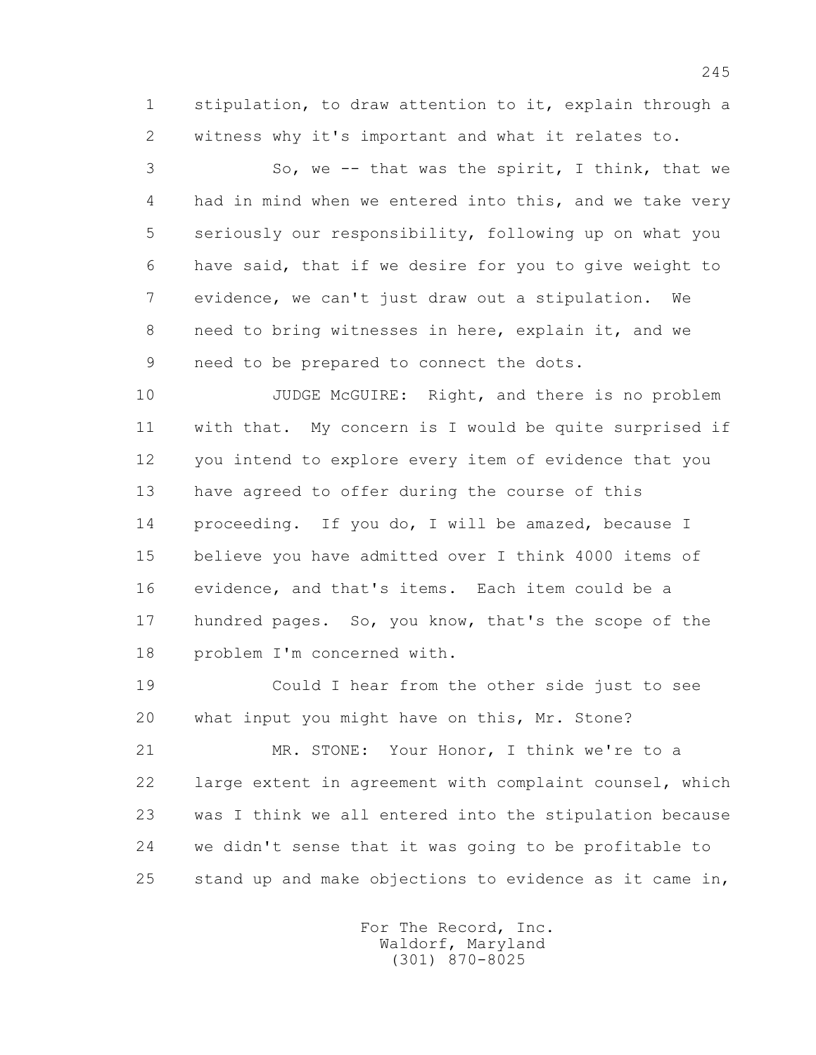1 stipulation, to draw attention to it, explain through a 2 witness why it's important and what it relates to.

 3 So, we -- that was the spirit, I think, that we 4 had in mind when we entered into this, and we take very 5 seriously our responsibility, following up on what you 6 have said, that if we desire for you to give weight to 7 evidence, we can't just draw out a stipulation. We 8 need to bring witnesses in here, explain it, and we 9 need to be prepared to connect the dots.

10 JUDGE McGUIRE: Right, and there is no problem 11 with that. My concern is I would be quite surprised if 12 you intend to explore every item of evidence that you 13 have agreed to offer during the course of this 14 proceeding. If you do, I will be amazed, because I 15 believe you have admitted over I think 4000 items of 16 evidence, and that's items. Each item could be a 17 hundred pages. So, you know, that's the scope of the 18 problem I'm concerned with.

 19 Could I hear from the other side just to see 20 what input you might have on this, Mr. Stone?

 21 MR. STONE: Your Honor, I think we're to a 22 large extent in agreement with complaint counsel, which 23 was I think we all entered into the stipulation because 24 we didn't sense that it was going to be profitable to 25 stand up and make objections to evidence as it came in,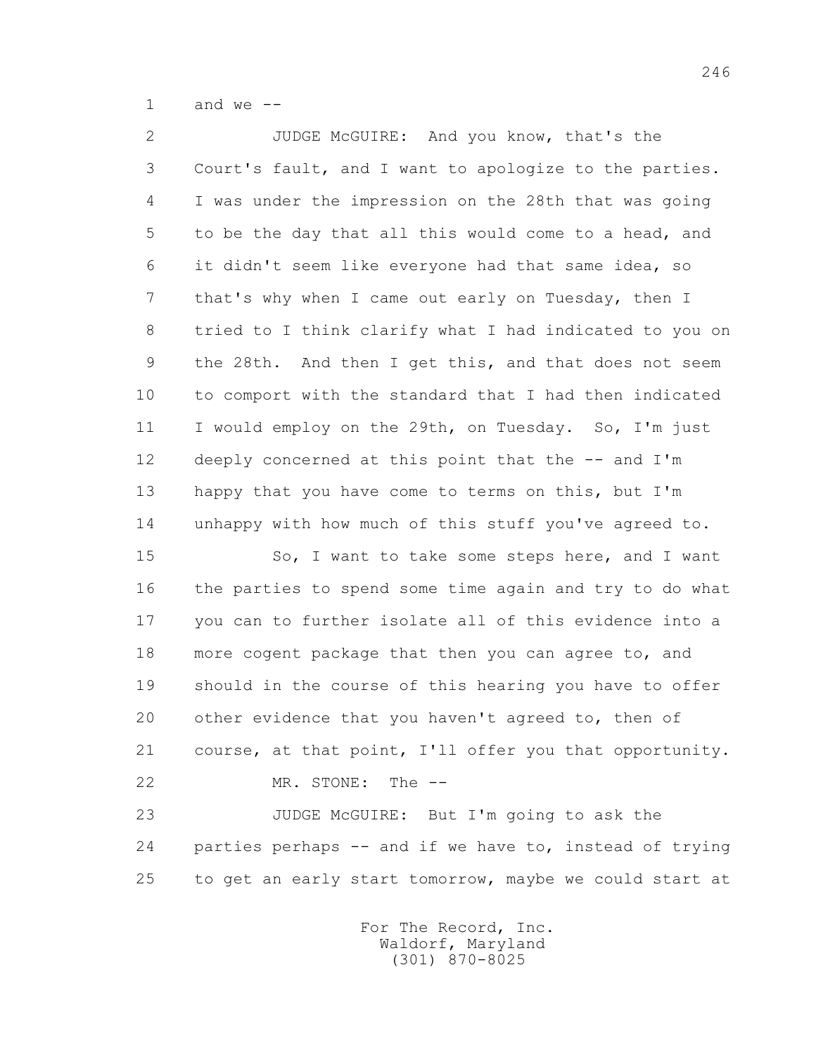1 and we  $--$ 

 2 JUDGE McGUIRE: And you know, that's the 3 Court's fault, and I want to apologize to the parties. 4 I was under the impression on the 28th that was going 5 to be the day that all this would come to a head, and 6 it didn't seem like everyone had that same idea, so 7 that's why when I came out early on Tuesday, then I 8 tried to I think clarify what I had indicated to you on 9 the 28th. And then I get this, and that does not seem 10 to comport with the standard that I had then indicated 11 I would employ on the 29th, on Tuesday. So, I'm just 12 deeply concerned at this point that the -- and I'm 13 happy that you have come to terms on this, but I'm 14 unhappy with how much of this stuff you've agreed to.

15 So, I want to take some steps here, and I want 16 the parties to spend some time again and try to do what 17 you can to further isolate all of this evidence into a 18 more cogent package that then you can agree to, and 19 should in the course of this hearing you have to offer 20 other evidence that you haven't agreed to, then of 21 course, at that point, I'll offer you that opportunity. 22 MR. STONE: The --

 23 JUDGE McGUIRE: But I'm going to ask the 24 parties perhaps -- and if we have to, instead of trying 25 to get an early start tomorrow, maybe we could start at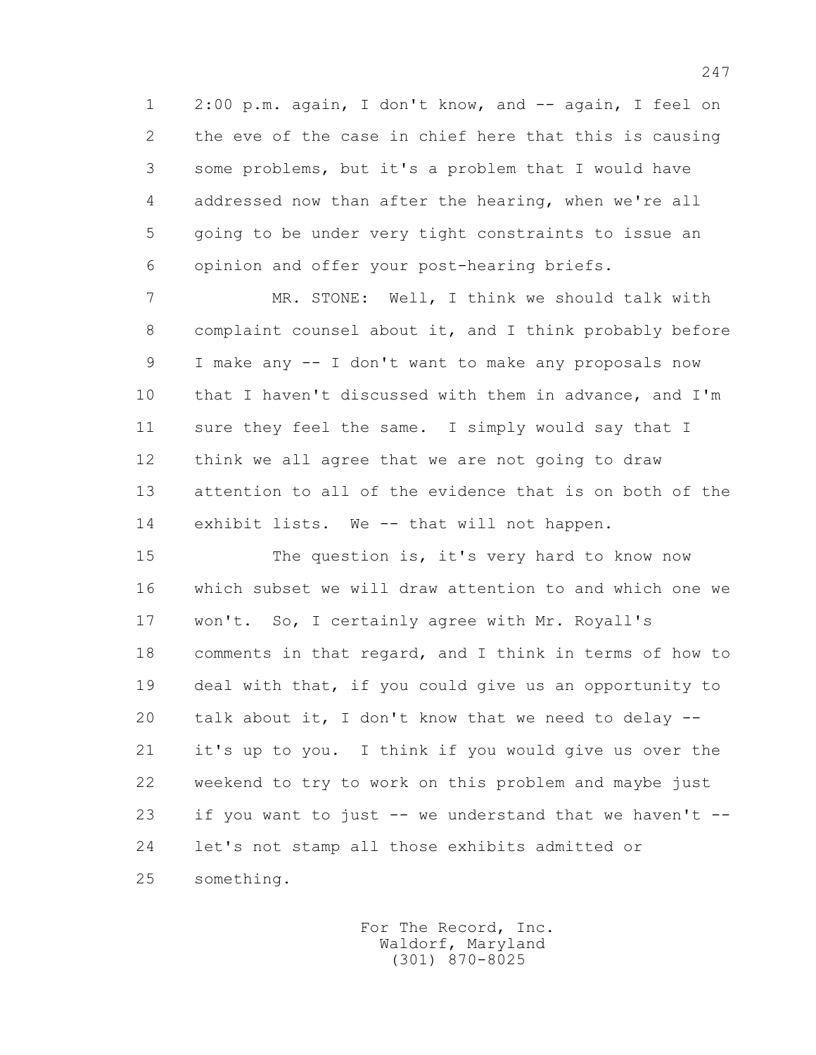1 2:00 p.m. again, I don't know, and -- again, I feel on 2 the eve of the case in chief here that this is causing 3 some problems, but it's a problem that I would have 4 addressed now than after the hearing, when we're all 5 going to be under very tight constraints to issue an 6 opinion and offer your post-hearing briefs.

 7 MR. STONE: Well, I think we should talk with 8 complaint counsel about it, and I think probably before 9 I make any -- I don't want to make any proposals now 10 that I haven't discussed with them in advance, and I'm 11 sure they feel the same. I simply would say that I 12 think we all agree that we are not going to draw 13 attention to all of the evidence that is on both of the 14 exhibit lists. We -- that will not happen.

15 The question is, it's very hard to know now 16 which subset we will draw attention to and which one we 17 won't. So, I certainly agree with Mr. Royall's 18 comments in that regard, and I think in terms of how to 19 deal with that, if you could give us an opportunity to 20 talk about it, I don't know that we need to delay -- 21 it's up to you. I think if you would give us over the 22 weekend to try to work on this problem and maybe just 23 if you want to just -- we understand that we haven't -- 24 let's not stamp all those exhibits admitted or 25 something.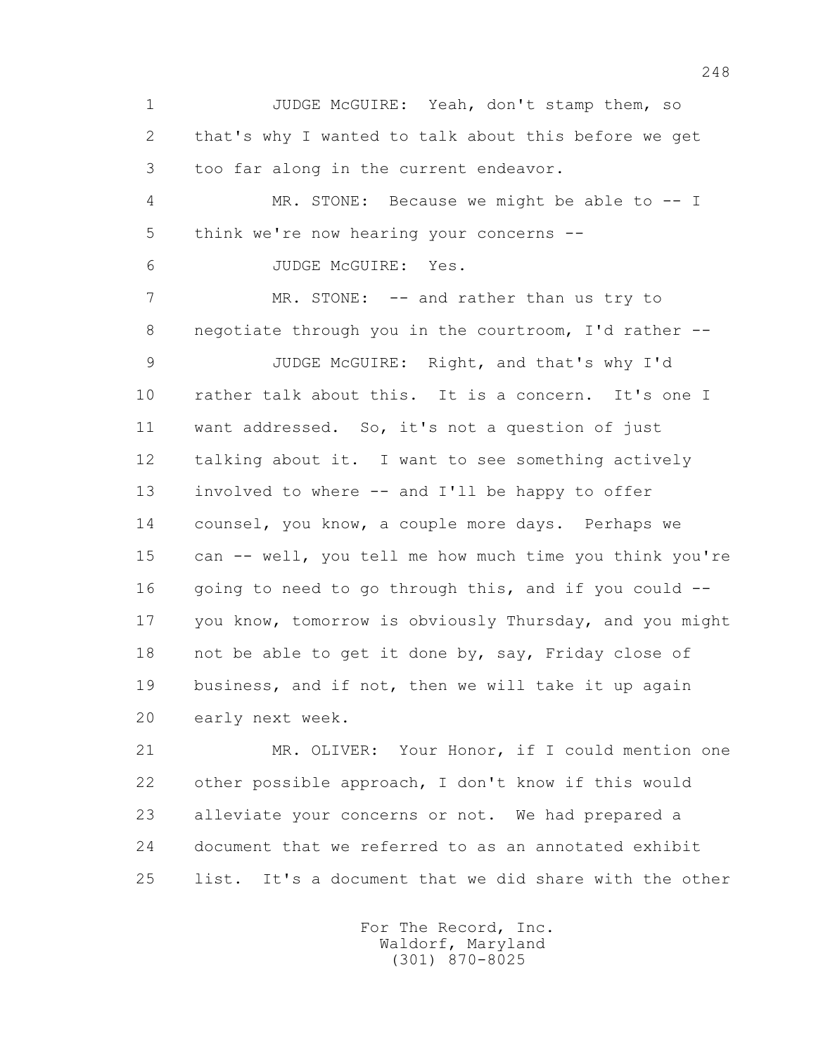1 JUDGE McGUIRE: Yeah, don't stamp them, so 2 that's why I wanted to talk about this before we get 3 too far along in the current endeavor. 4 MR. STONE: Because we might be able to -- I 5 think we're now hearing your concerns -- 6 JUDGE McGUIRE: Yes. 7 MR. STONE: -- and rather than us try to 8 negotiate through you in the courtroom, I'd rather -- 9 JUDGE McGUIRE: Right, and that's why I'd 10 rather talk about this. It is a concern. It's one I 11 want addressed. So, it's not a question of just 12 talking about it. I want to see something actively 13 involved to where -- and I'll be happy to offer 14 counsel, you know, a couple more days. Perhaps we 15 can -- well, you tell me how much time you think you're 16 going to need to go through this, and if you could -- 17 you know, tomorrow is obviously Thursday, and you might 18 not be able to get it done by, say, Friday close of 19 business, and if not, then we will take it up again 20 early next week.

 21 MR. OLIVER: Your Honor, if I could mention one 22 other possible approach, I don't know if this would 23 alleviate your concerns or not. We had prepared a 24 document that we referred to as an annotated exhibit 25 list. It's a document that we did share with the other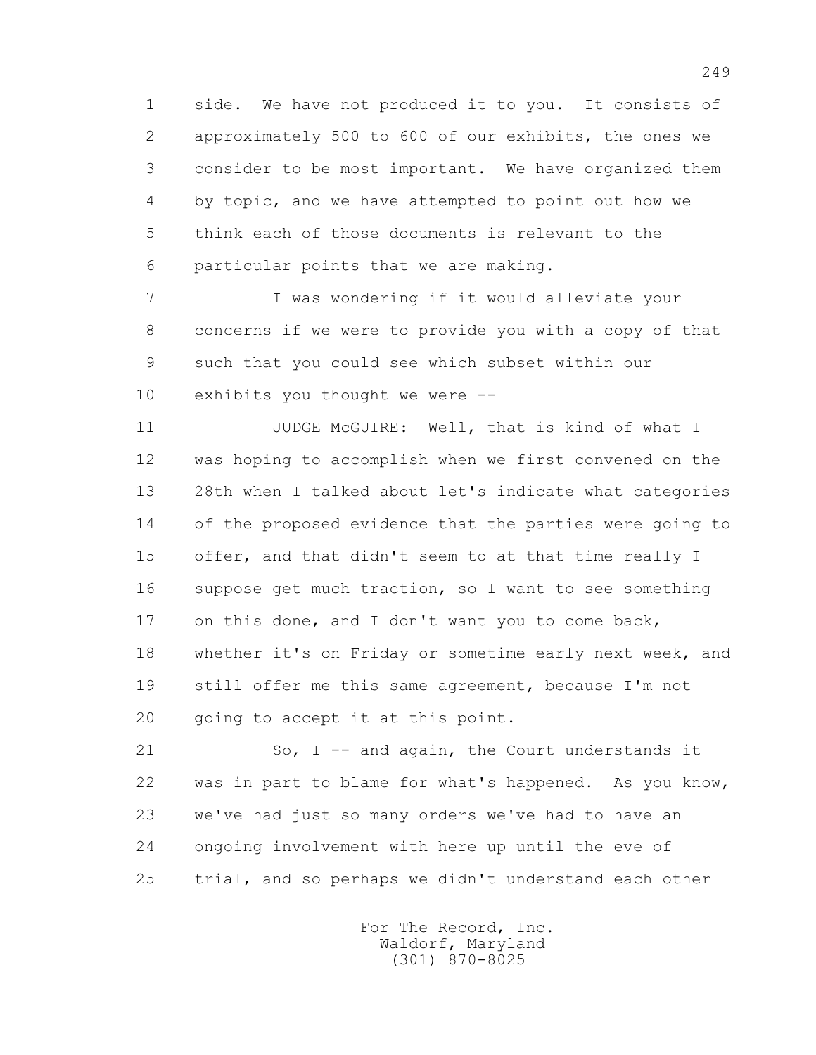1 side. We have not produced it to you. It consists of 2 approximately 500 to 600 of our exhibits, the ones we 3 consider to be most important. We have organized them 4 by topic, and we have attempted to point out how we 5 think each of those documents is relevant to the 6 particular points that we are making.

 7 I was wondering if it would alleviate your 8 concerns if we were to provide you with a copy of that 9 such that you could see which subset within our 10 exhibits you thought we were --

11 JUDGE McGUIRE: Well, that is kind of what I 12 was hoping to accomplish when we first convened on the 13 28th when I talked about let's indicate what categories 14 of the proposed evidence that the parties were going to 15 offer, and that didn't seem to at that time really I 16 suppose get much traction, so I want to see something 17 on this done, and I don't want you to come back, 18 whether it's on Friday or sometime early next week, and 19 still offer me this same agreement, because I'm not 20 going to accept it at this point.

 21 So, I -- and again, the Court understands it 22 was in part to blame for what's happened. As you know, 23 we've had just so many orders we've had to have an 24 ongoing involvement with here up until the eve of 25 trial, and so perhaps we didn't understand each other

> For The Record, Inc. Waldorf, Maryland (301) 870-8025

249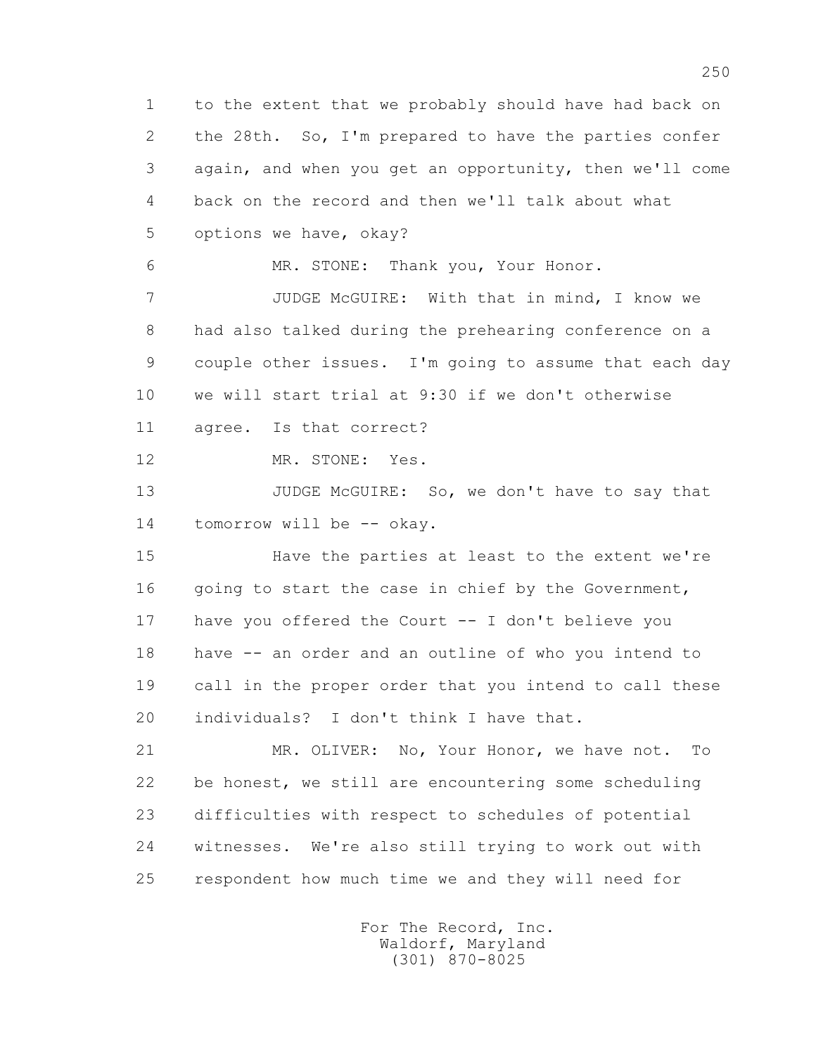1 to the extent that we probably should have had back on 2 the 28th. So, I'm prepared to have the parties confer 3 again, and when you get an opportunity, then we'll come 4 back on the record and then we'll talk about what 5 options we have, okay? 6 MR. STONE: Thank you, Your Honor. 7 JUDGE McGUIRE: With that in mind, I know we 8 had also talked during the prehearing conference on a 9 couple other issues. I'm going to assume that each day 10 we will start trial at 9:30 if we don't otherwise 11 agree. Is that correct? 12 MR. STONE: Yes. 13 JUDGE McGUIRE: So, we don't have to say that 14 tomorrow will be -- okay. 15 Have the parties at least to the extent we're 16 going to start the case in chief by the Government, 17 have you offered the Court -- I don't believe you 18 have -- an order and an outline of who you intend to 19 call in the proper order that you intend to call these 20 individuals? I don't think I have that. 21 MR. OLIVER: No, Your Honor, we have not. To 22 be honest, we still are encountering some scheduling 23 difficulties with respect to schedules of potential 24 witnesses. We're also still trying to work out with 25 respondent how much time we and they will need for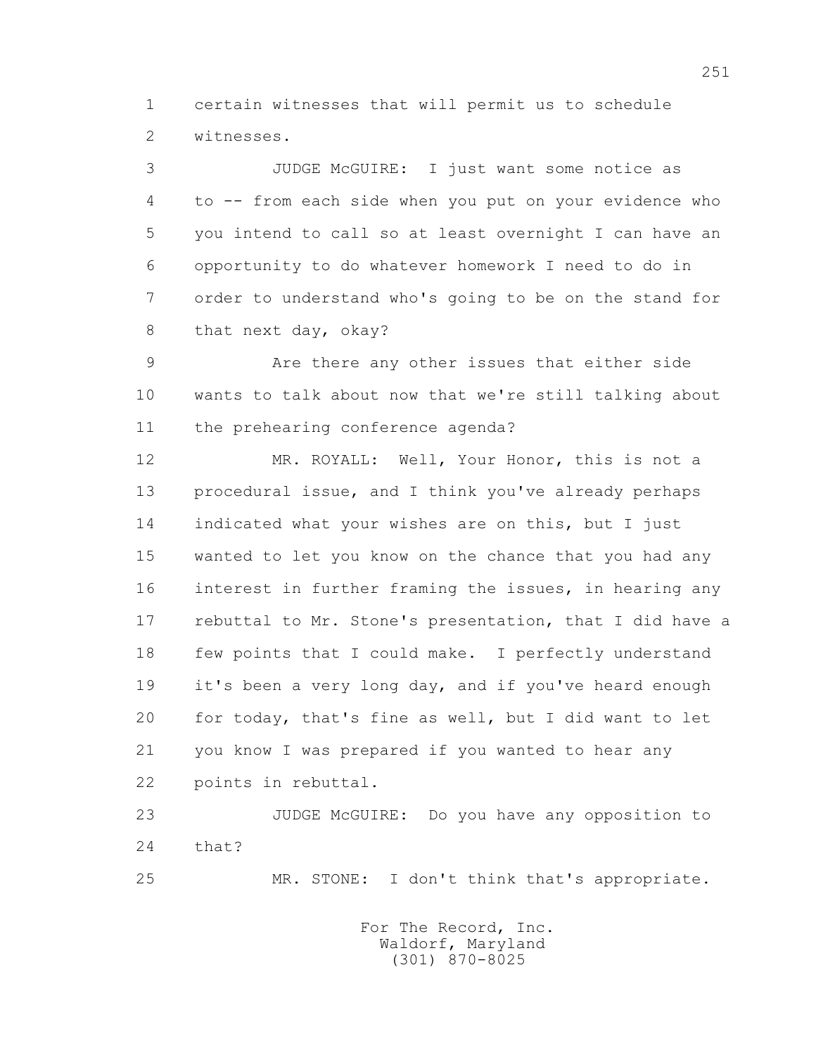1 certain witnesses that will permit us to schedule 2 witnesses.

 3 JUDGE McGUIRE: I just want some notice as 4 to -- from each side when you put on your evidence who 5 you intend to call so at least overnight I can have an 6 opportunity to do whatever homework I need to do in 7 order to understand who's going to be on the stand for 8 that next day, okay?

 9 Are there any other issues that either side 10 wants to talk about now that we're still talking about 11 the prehearing conference agenda?

 12 MR. ROYALL: Well, Your Honor, this is not a 13 procedural issue, and I think you've already perhaps 14 indicated what your wishes are on this, but I just 15 wanted to let you know on the chance that you had any 16 interest in further framing the issues, in hearing any 17 rebuttal to Mr. Stone's presentation, that I did have a 18 few points that I could make. I perfectly understand 19 it's been a very long day, and if you've heard enough 20 for today, that's fine as well, but I did want to let 21 you know I was prepared if you wanted to hear any 22 points in rebuttal.

 23 JUDGE McGUIRE: Do you have any opposition to 24 that?

25 MR. STONE: I don't think that's appropriate.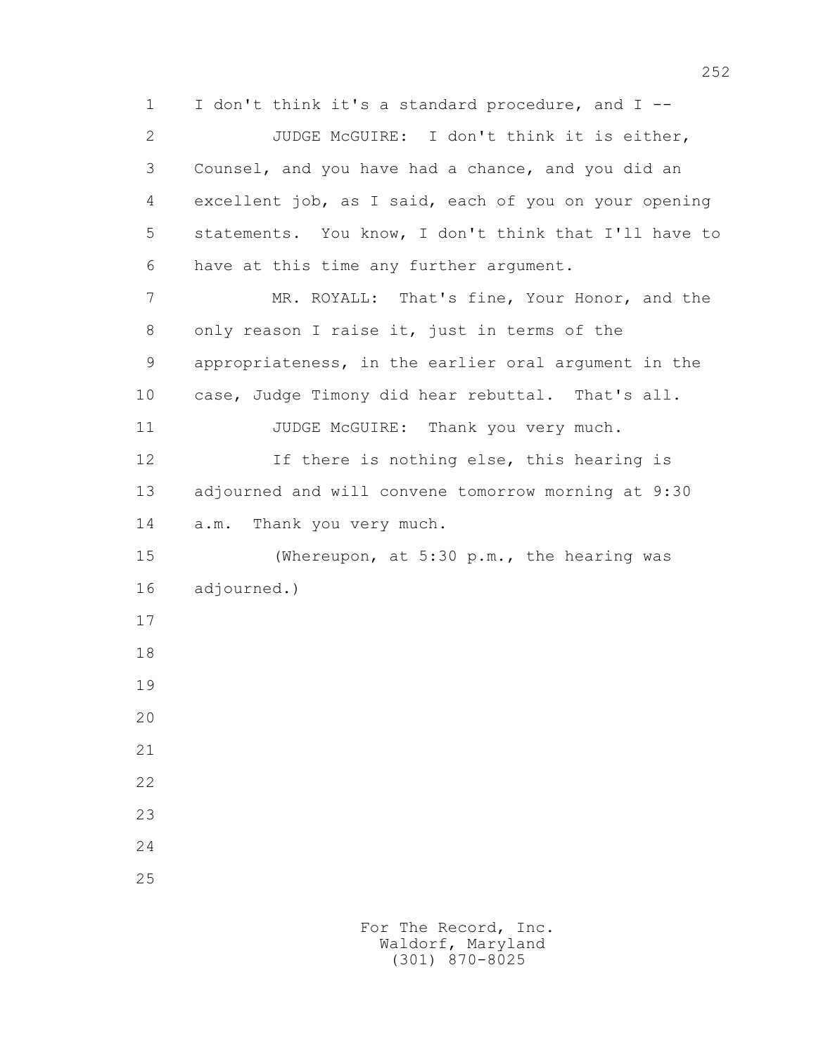1 I don't think it's a standard procedure, and I -- 2 JUDGE McGUIRE: I don't think it is either, 3 Counsel, and you have had a chance, and you did an 4 excellent job, as I said, each of you on your opening 5 statements. You know, I don't think that I'll have to 6 have at this time any further argument. 7 MR. ROYALL: That's fine, Your Honor, and the 8 only reason I raise it, just in terms of the 9 appropriateness, in the earlier oral argument in the 10 case, Judge Timony did hear rebuttal. That's all. 11 JUDGE McGUIRE: Thank you very much. 12 If there is nothing else, this hearing is 13 adjourned and will convene tomorrow morning at 9:30 14 a.m. Thank you very much. 15 (Whereupon, at 5:30 p.m., the hearing was 16 adjourned.) 17 18 19 20 21 22 23 24 25